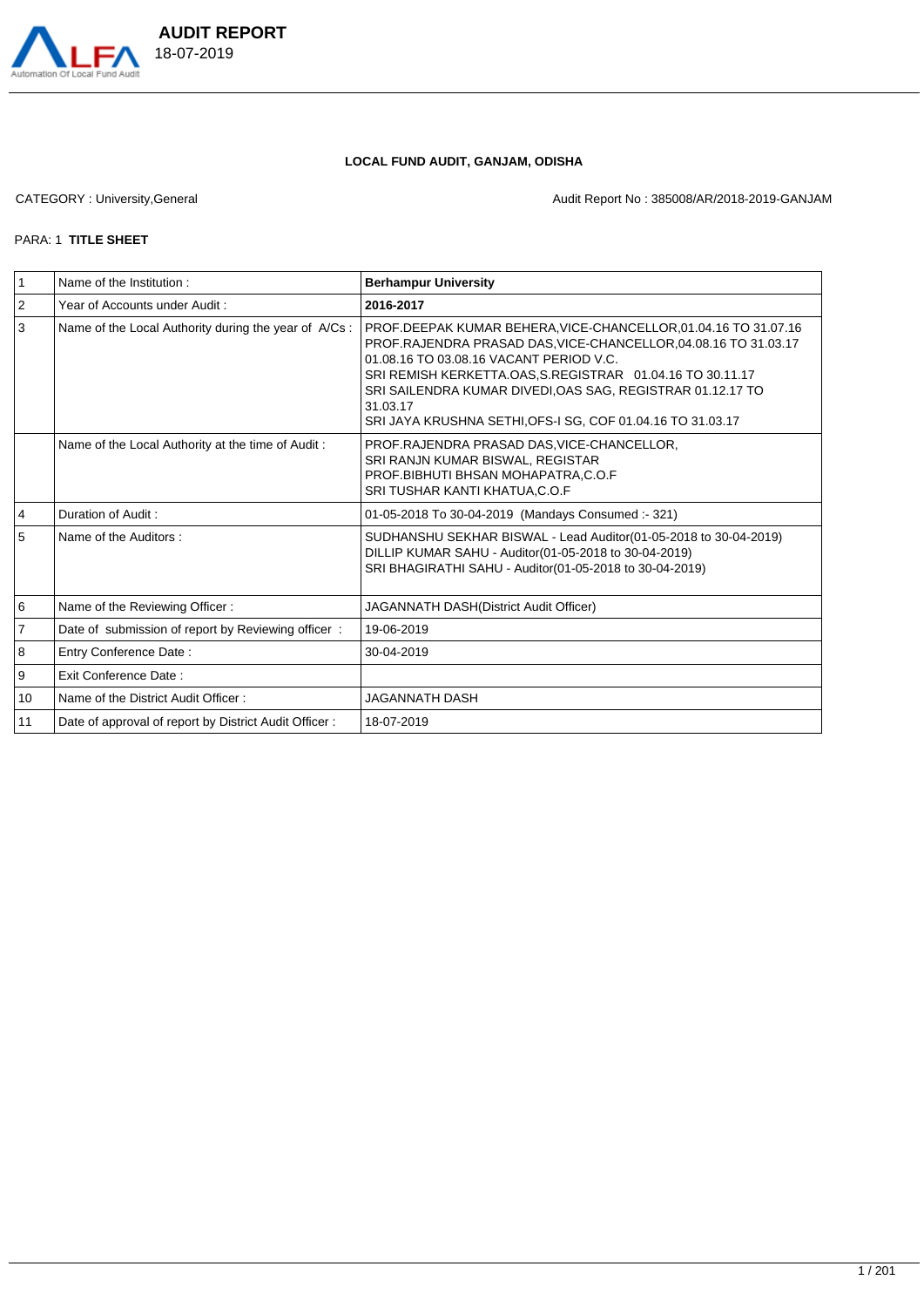

# **LOCAL FUND AUDIT, GANJAM, ODISHA**

CATEGORY : University,General CATEGORY : University,General Audit Report No : 385008/AR/2018-2019-GANJAM

# PARA: 1 **TITLE SHEET**

|                | Name of the Institution:                              | <b>Berhampur University</b>                                                                                                                                                                                                                                                                                                                                                        |
|----------------|-------------------------------------------------------|------------------------------------------------------------------------------------------------------------------------------------------------------------------------------------------------------------------------------------------------------------------------------------------------------------------------------------------------------------------------------------|
| 2              | Year of Accounts under Audit:                         | 2016-2017                                                                                                                                                                                                                                                                                                                                                                          |
| 3              | Name of the Local Authority during the year of A/Cs:  | PROF. DEEPAK KUMAR BEHERA, VICE-CHANCELLOR, 01.04.16 TO 31.07.16<br>PROF.RAJENDRA PRASAD DAS, VICE-CHANCELLOR, 04.08.16 TO 31.03.17<br>01.08.16 TO 03.08.16 VACANT PERIOD V.C.<br>SRI REMISH KERKETTA.OAS.S.REGISTRAR 01.04.16 TO 30.11.17<br>SRI SAILENDRA KUMAR DIVEDI, OAS SAG, REGISTRAR 01.12.17 TO<br>31.03.17<br>SRI JAYA KRUSHNA SETHI, OFS-I SG, COF 01.04.16 TO 31.03.17 |
|                | Name of the Local Authority at the time of Audit:     | PROF.RAJENDRA PRASAD DAS.VICE-CHANCELLOR.<br>SRI RANJN KUMAR BISWAL, REGISTAR<br>PROF. BIBHUTI BHSAN MOHAPATRA.C.O.F<br>SRI TUSHAR KANTI KHATUA, C.O.F                                                                                                                                                                                                                             |
| 4              | Duration of Audit:                                    | 01-05-2018 To 30-04-2019 (Mandays Consumed :- 321)                                                                                                                                                                                                                                                                                                                                 |
| 5              | Name of the Auditors:                                 | SUDHANSHU SEKHAR BISWAL - Lead Auditor (01-05-2018 to 30-04-2019)<br>DILLIP KUMAR SAHU - Auditor(01-05-2018 to 30-04-2019)<br>SRI BHAGIRATHI SAHU - Auditor(01-05-2018 to 30-04-2019)                                                                                                                                                                                              |
| 6              | Name of the Reviewing Officer:                        | JAGANNATH DASH(District Audit Officer)                                                                                                                                                                                                                                                                                                                                             |
| $\overline{7}$ | Date of submission of report by Reviewing officer:    | 19-06-2019                                                                                                                                                                                                                                                                                                                                                                         |
| 8              | Entry Conference Date:                                | 30-04-2019                                                                                                                                                                                                                                                                                                                                                                         |
| 9              | Exit Conference Date:                                 |                                                                                                                                                                                                                                                                                                                                                                                    |
| 10             | Name of the District Audit Officer:                   | <b>JAGANNATH DASH</b>                                                                                                                                                                                                                                                                                                                                                              |
| 11             | Date of approval of report by District Audit Officer: | 18-07-2019                                                                                                                                                                                                                                                                                                                                                                         |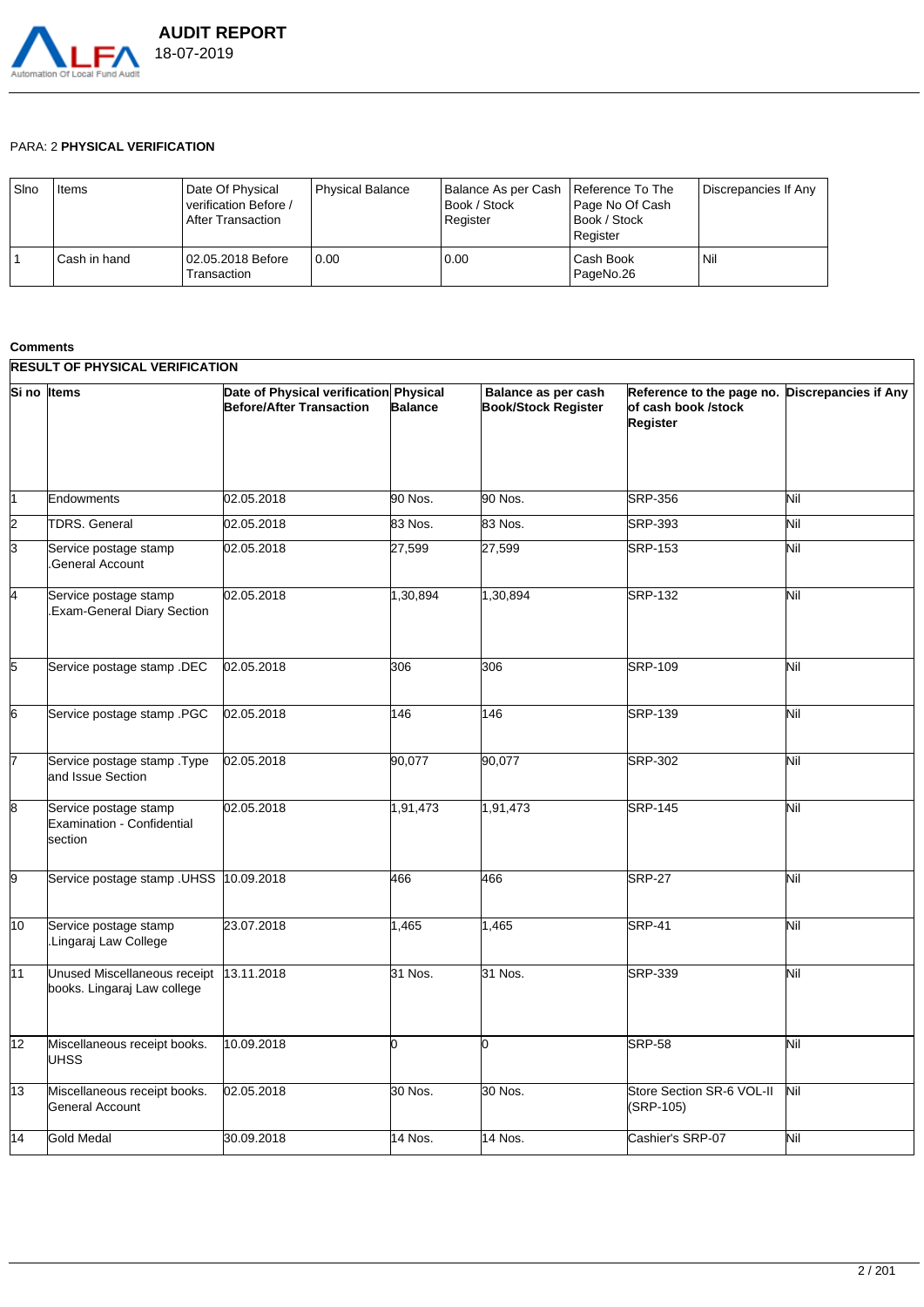

# PARA: 2 **PHYSICAL VERIFICATION**

| Sino | Items        | Date Of Physical<br>verification Before /<br><b>After Transaction</b> | Physical Balance | Balance As per Cash   Reference To The<br>Book / Stock<br>Register | Page No Of Cash<br>Book / Stock<br>Reaister | Discrepancies If Any |
|------|--------------|-----------------------------------------------------------------------|------------------|--------------------------------------------------------------------|---------------------------------------------|----------------------|
|      | Cash in hand | 02.05.2018 Before<br>Transaction                                      | 0.00             | 0.00                                                               | l Cash Book<br>PageNo.26                    | l Nil                |

#### **Comments**

### **RESULT OF PHYSICAL VERIFICATION**

|                 | Si no Items                                                    | Date of Physical verification Physical<br><b>Before/After Transaction</b> | <b>Balance</b> | Balance as per cash<br><b>Book/Stock Register</b> | Reference to the page no. Discrepancies if Any<br>of cash book /stock<br>Register |     |
|-----------------|----------------------------------------------------------------|---------------------------------------------------------------------------|----------------|---------------------------------------------------|-----------------------------------------------------------------------------------|-----|
| l1.             | Endowments                                                     | 02.05.2018                                                                | 90 Nos.        | 90 Nos.                                           | SRP-356                                                                           | Nil |
| $\mathsf{z}$    | <b>TDRS. General</b>                                           | 02.05.2018                                                                | 83 Nos.        | 83 Nos.                                           | SRP-393                                                                           | Nil |
| 3               | Service postage stamp<br><b>General Account</b>                | 02.05.2018                                                                | 27,599         | 27,599                                            | <b>SRP-153</b>                                                                    | Nil |
| l4              | Service postage stamp<br>Exam-General Diary Section            | 02.05.2018                                                                | 1,30,894       | 1,30,894                                          | <b>SRP-132</b>                                                                    | Nil |
| $\overline{5}$  | Service postage stamp .DEC                                     | 02.05.2018                                                                | 306            | 306                                               | <b>SRP-109</b>                                                                    | Nil |
| $\overline{6}$  | Service postage stamp .PGC                                     | 02.05.2018                                                                | 146            | 146                                               | SRP-139                                                                           | Nil |
| 17              | Service postage stamp .Type<br>and Issue Section               | 02.05.2018                                                                | 90,077         | 90,077                                            | <b>SRP-302</b>                                                                    | Nil |
| $\overline{8}$  | Service postage stamp<br>Examination - Confidential<br>section | 02.05.2018                                                                | 1,91,473       | 1,91,473                                          | <b>SRP-145</b>                                                                    | Nil |
| 9               | Service postage stamp .UHSS 10.09.2018                         |                                                                           | 466            | 466                                               | SRP-27                                                                            | Nil |
| 10              | Service postage stamp<br>Lingaraj Law College                  | 23.07.2018                                                                | 1,465          | 1,465                                             | SRP-41                                                                            | Nil |
| 11              | Unused Miscellaneous receipt<br>books. Lingaraj Law college    | 13.11.2018                                                                | 31 Nos.        | 31 Nos.                                           | SRP-339                                                                           | Nil |
| $\overline{12}$ | Miscellaneous receipt books.<br><b>UHSS</b>                    | 10.09.2018                                                                | O              | lo.                                               | <b>SRP-58</b>                                                                     | Nil |
| 13              | Miscellaneous receipt books.<br>General Account                | 02.05.2018                                                                | 30 Nos.        | 30 Nos.                                           | Store Section SR-6 VOL-II<br>(SRP-105)                                            | Nil |
| 14              | Gold Medal                                                     | 30.09.2018                                                                | 14 Nos.        | $\sqrt{14}$ Nos.                                  | Cashier's SRP-07                                                                  | Nil |

٦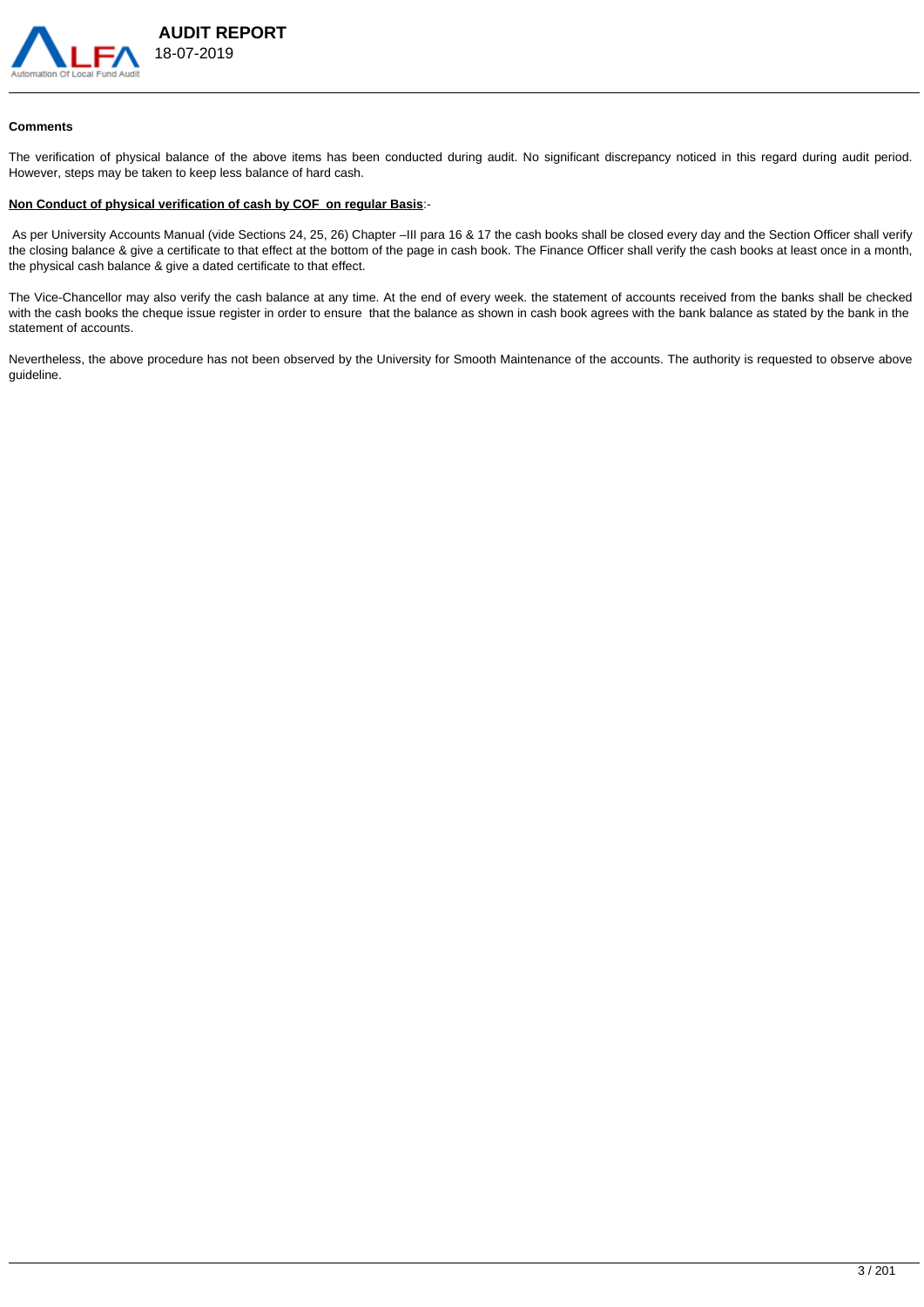

#### **Comments**

The verification of physical balance of the above items has been conducted during audit. No significant discrepancy noticed in this regard during audit period. However, steps may be taken to keep less balance of hard cash.

#### **Non Conduct of physical verification of cash by COF on regular Basis**:-

As per University Accounts Manual (vide Sections 24, 25, 26) Chapter –III para 16 & 17 the cash books shall be closed every day and the Section Officer shall verify the closing balance & give a certificate to that effect at the bottom of the page in cash book. The Finance Officer shall verify the cash books at least once in a month, the physical cash balance & give a dated certificate to that effect.

The Vice-Chancellor may also verify the cash balance at any time. At the end of every week. the statement of accounts received from the banks shall be checked with the cash books the cheque issue register in order to ensure that the balance as shown in cash book agrees with the bank balance as stated by the bank in the statement of accounts.

Nevertheless, the above procedure has not been observed by the University for Smooth Maintenance of the accounts. The authority is requested to observe above guideline.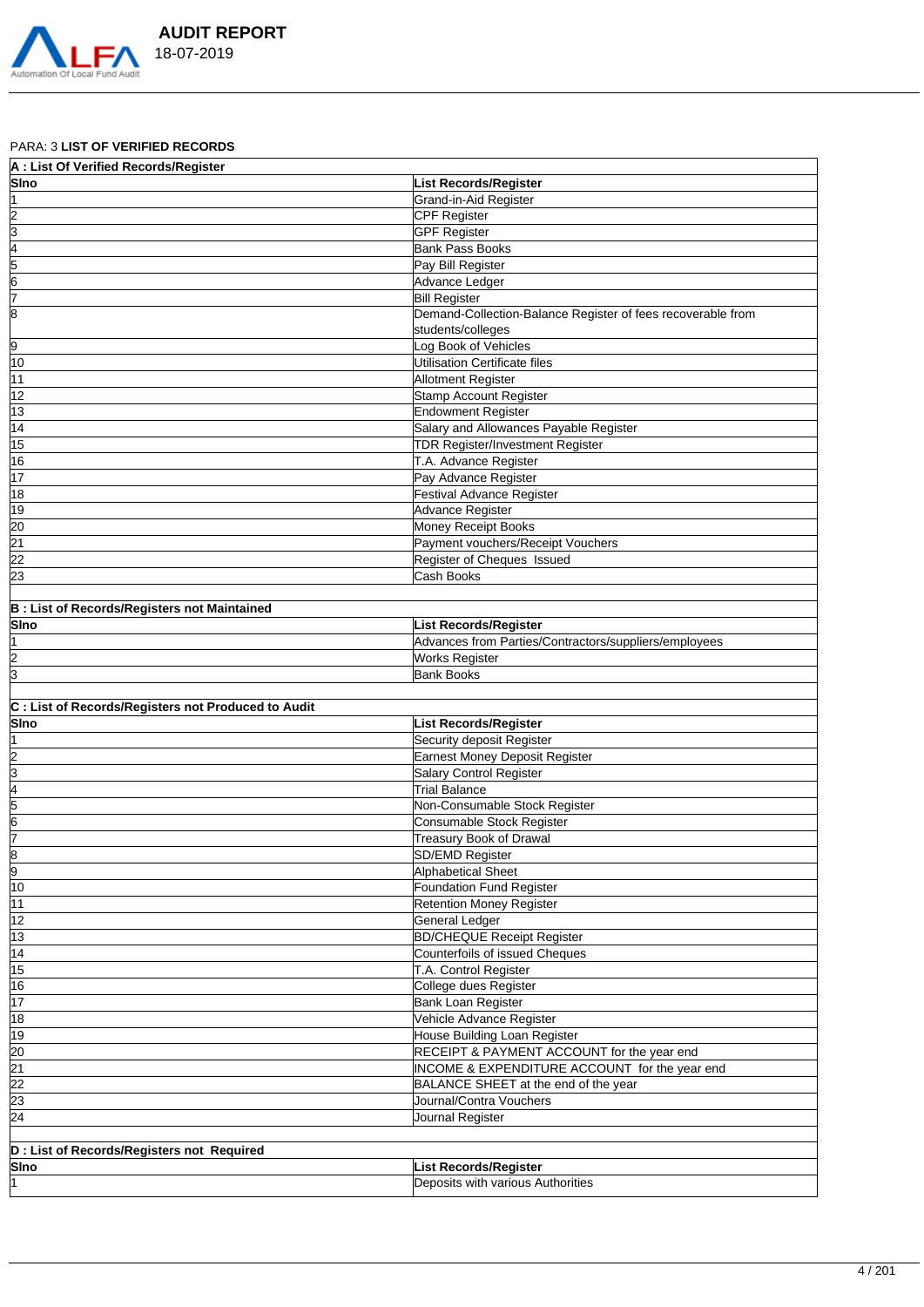

# PARA: 3 **LIST OF VERIFIED RECORDS**

| A : List Of Verified Records/Register               |                                                                   |
|-----------------------------------------------------|-------------------------------------------------------------------|
| Sino                                                | <b>List Records/Register</b>                                      |
|                                                     | Grand-in-Aid Register                                             |
|                                                     | <b>CPF Register</b>                                               |
|                                                     | <b>GPF Register</b>                                               |
|                                                     | <b>Bank Pass Books</b>                                            |
| 234567                                              | Pay Bill Register                                                 |
|                                                     | Advance Ledger                                                    |
|                                                     | <b>Bill Register</b>                                              |
| $\overline{8}$                                      | Demand-Collection-Balance Register of fees recoverable from       |
|                                                     | students/colleges                                                 |
| $\frac{9}{10}$                                      | Log Book of Vehicles                                              |
| $\overline{11}$                                     | <b>Utilisation Certificate files</b>                              |
| 12                                                  | <b>Allotment Register</b>                                         |
| 13                                                  | Stamp Account Register                                            |
| $\overline{14}$                                     | <b>Endowment Register</b>                                         |
| $\overline{15}$                                     | Salary and Allowances Payable Register                            |
|                                                     | <b>TDR Register/Investment Register</b>                           |
| 16                                                  | T.A. Advance Register                                             |
| $\overline{17}$<br>18                               | Pay Advance Register                                              |
|                                                     | Festival Advance Register                                         |
| 19                                                  | Advance Register                                                  |
| $\frac{20}{21}$<br>$\frac{22}{23}$                  | Money Receipt Books                                               |
|                                                     | Payment vouchers/Receipt Vouchers                                 |
|                                                     | Register of Cheques Issued                                        |
|                                                     | Cash Books                                                        |
|                                                     |                                                                   |
| <b>B</b> : List of Records/Registers not Maintained |                                                                   |
| Sino                                                | <b>List Records/Register</b>                                      |
|                                                     | Advances from Parties/Contractors/suppliers/employees             |
| $\overline{a}$                                      | <b>Works Register</b>                                             |
|                                                     |                                                                   |
| $\overline{3}$                                      | <b>Bank Books</b>                                                 |
|                                                     |                                                                   |
| C : List of Records/Registers not Produced to Audit |                                                                   |
| Sino                                                | <b>List Records/Register</b>                                      |
|                                                     | Security deposit Register                                         |
|                                                     | Earnest Money Deposit Register                                    |
|                                                     | Salary Control Register                                           |
|                                                     | <b>Trial Balance</b>                                              |
|                                                     | Non-Consumable Stock Register                                     |
|                                                     | Consumable Stock Register                                         |
| 234567                                              | <b>Treasury Book of Drawal</b>                                    |
|                                                     | SD/EMD Register                                                   |
|                                                     | <b>Alphabetical Sheet</b>                                         |
|                                                     | <b>Foundation Fund Register</b>                                   |
|                                                     | <b>Retention Money Register</b>                                   |
| $\frac{8}{9}$ $\frac{9}{10}$ $\frac{11}{12}$        | General Ledger                                                    |
| $\overline{13}$                                     | <b>BD/CHEQUE Receipt Register</b>                                 |
| $\overline{14}$                                     | <b>Counterfoils of issued Cheques</b>                             |
| $\overline{15}$                                     | T.A. Control Register                                             |
| 16                                                  | College dues Register                                             |
| $\overline{17}$                                     | <b>Bank Loan Register</b>                                         |
| 18                                                  | Vehicle Advance Register                                          |
|                                                     | House Building Loan Register                                      |
|                                                     | RECEIPT & PAYMENT ACCOUNT for the year end                        |
|                                                     | INCOME & EXPENDITURE ACCOUNT for the year end                     |
|                                                     | BALANCE SHEET at the end of the year                              |
|                                                     | Journal/Contra Vouchers                                           |
| $\frac{19}{20}$ $\frac{22}{22}$ $\frac{23}{24}$     | Journal Register                                                  |
|                                                     |                                                                   |
| D : List of Records/Registers not Required          |                                                                   |
| Sino<br>1                                           | <b>List Records/Register</b><br>Deposits with various Authorities |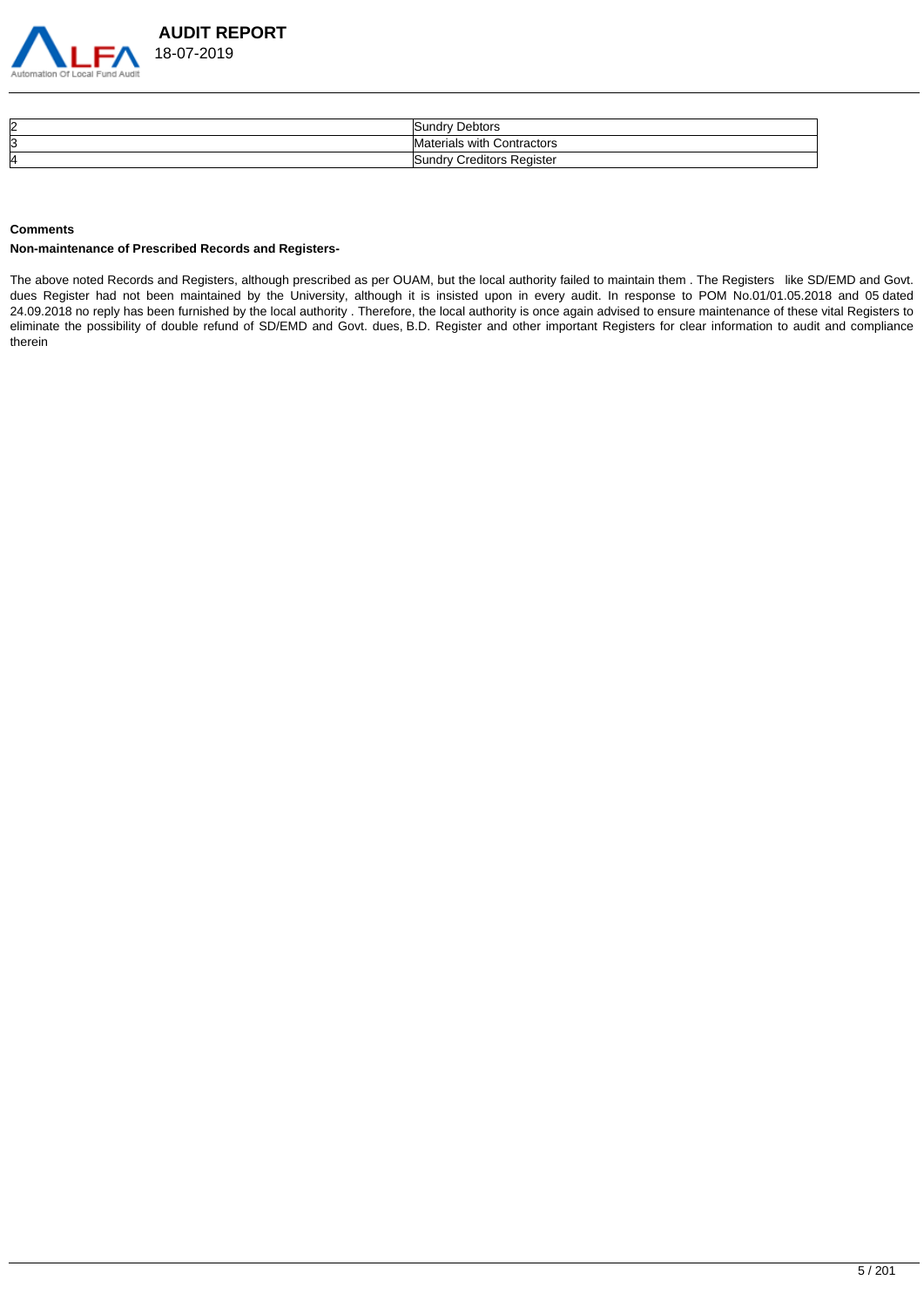

| r<br>ıŁ | Sundry<br><b>Debtors</b>            |
|---------|-------------------------------------|
| IC.     | Materials with Contractors          |
| 14      | <b>Creditors Register</b><br>undrvٽ |

#### **Comments**

#### **Non-maintenance of Prescribed Records and Registers-**

The above noted Records and Registers, although prescribed as per OUAM, but the local authority failed to maintain them . The Registers like SD/EMD and Govt. dues Register had not been maintained by the University, although it is insisted upon in every audit. In response to POM No.01/01.05.2018 and 05 dated 24.09.2018 no reply has been furnished by the local authority . Therefore, the local authority is once again advised to ensure maintenance of these vital Registers to eliminate the possibility of double refund of SD/EMD and Govt. dues, B.D. Register and other important Registers for clear information to audit and compliance therein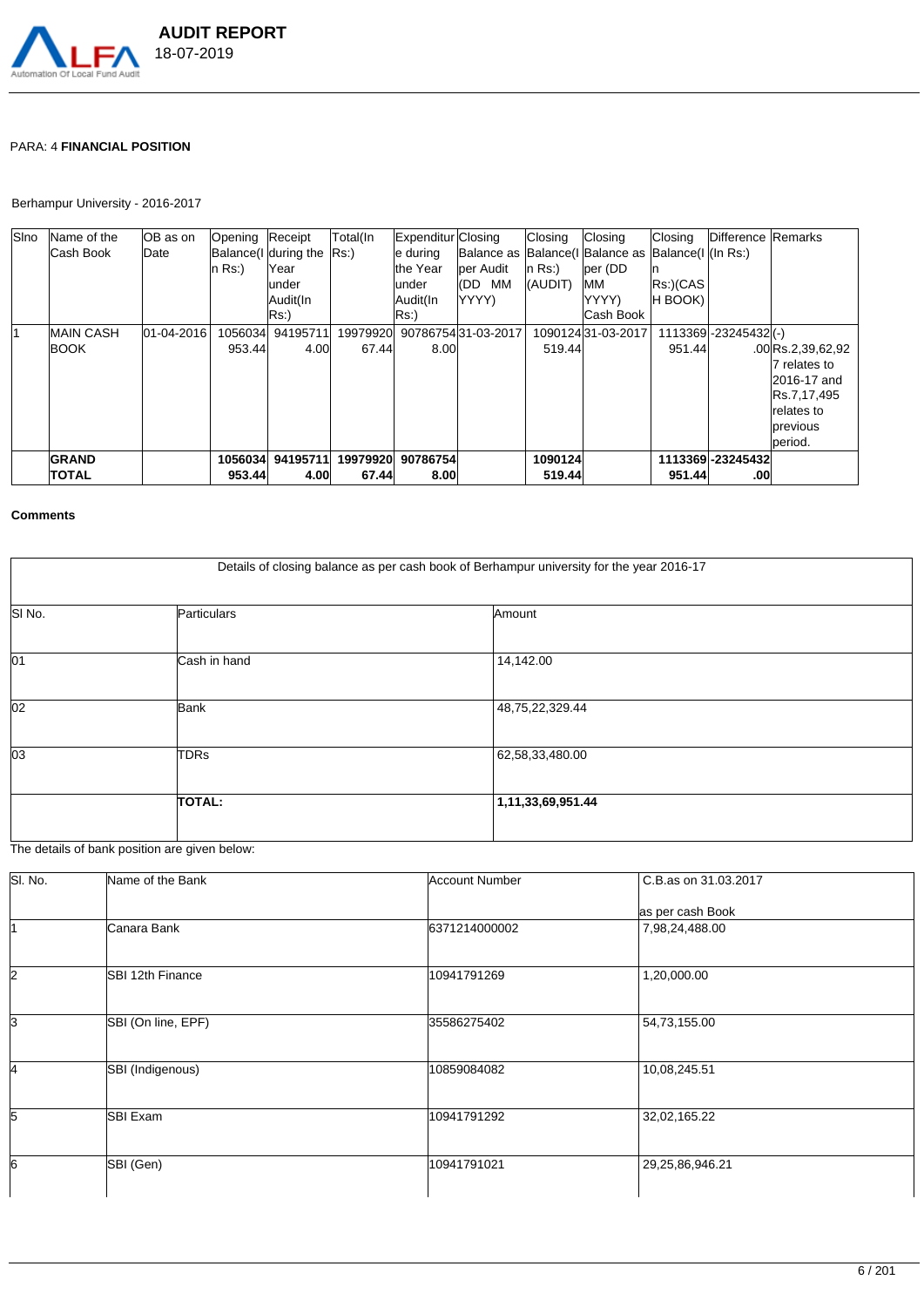

# PARA: 4 **FINANCIAL POSITION**

Berhampur University - 2016-2017

| <b>S</b> lno | Name of the      | OB as on    | Opening | Receipt                    | Total(In | Expenditur Closing |                                                      | Closing       | Closing           | Closing        | Difference Remarks    |                      |
|--------------|------------------|-------------|---------|----------------------------|----------|--------------------|------------------------------------------------------|---------------|-------------------|----------------|-----------------------|----------------------|
|              | Cash Book        | <b>Date</b> |         | Balance (I during the Rs.) |          | le during          | Balance as Balance (I Balance as Balance (I (In Rs.) |               |                   |                |                       |                      |
|              |                  |             | ∣n Rs:) | Year                       |          | lthe Year          | lper Audit                                           | $\ln$ Rs: $)$ | per (DD           |                |                       |                      |
|              |                  |             |         | under                      |          | lunder             | (DD MM                                               | (AUDIT)       | MМ                | $Rs.$ )( $CAS$ |                       |                      |
|              |                  |             |         | Audit(In                   |          | Audit(In           | lYYYY)                                               |               | YYYY)             | IH BOOK)       |                       |                      |
|              |                  |             |         | Rs:)                       |          | IRs:)              |                                                      |               | Cash Book         |                |                       |                      |
|              | <b>MAIN CASH</b> | 01-04-2016  | 1056034 | 94195711                   | 19979920 |                    | 9078675431-03-2017                                   |               | 109012431-03-2017 |                | 1113369 - 23245432(-) |                      |
|              | <b>BOOK</b>      |             | 953.44  | 4.00l                      | 67.44    | 8.00               |                                                      | 519.44        |                   | 951.44         |                       | .00 Rs.2, 39, 62, 92 |
|              |                  |             |         |                            |          |                    |                                                      |               |                   |                |                       | 7 relates to         |
|              |                  |             |         |                            |          |                    |                                                      |               |                   |                |                       | 2016-17 and          |
|              |                  |             |         |                            |          |                    |                                                      |               |                   |                |                       | Rs.7,17,495          |
|              |                  |             |         |                            |          |                    |                                                      |               |                   |                |                       | relates to           |
|              |                  |             |         |                            |          |                    |                                                      |               |                   |                |                       | Iprevious            |
|              |                  |             |         |                            |          |                    |                                                      |               |                   |                |                       | lperiod.             |
|              | <b>GRAND</b>     |             | 1056034 | 94195711                   | 19979920 | 90786754           |                                                      | 1090124       |                   |                | 1113369 - 23245432    |                      |
|              | <b>TOTAL</b>     |             | 953.44  | 4.00                       | 67.44    | 8.00               |                                                      | 519.44        |                   | 951.44         | .00                   |                      |

#### **Comments**

|                 | Details of closing balance as per cash book of Berhampur university for the year 2016-17 |                   |  |  |  |
|-----------------|------------------------------------------------------------------------------------------|-------------------|--|--|--|
| SI No.          | Particulars                                                                              | Amount            |  |  |  |
| 01              | Cash in hand                                                                             | 14,142.00         |  |  |  |
| $\overline{02}$ | Bank                                                                                     | 48,75,22,329.44   |  |  |  |
| $\overline{03}$ | <b>TDRs</b>                                                                              | 62,58,33,480.00   |  |  |  |
|                 | <b>TOTAL:</b>                                                                            | 1,11,33,69,951.44 |  |  |  |

The details of bank position are given below:

| SI. No. | Name of the Bank        | Account Number | C.B.as on 31.03.2017 |  |
|---------|-------------------------|----------------|----------------------|--|
|         |                         |                | as per cash Book     |  |
|         | Canara Bank             | 6371214000002  | 7,98,24,488.00       |  |
| I2      | <b>SBI 12th Finance</b> | 10941791269    | 1,20,000.00          |  |
| lЗ      | SBI (On line, EPF)      | 35586275402    | 54,73,155.00         |  |
| 14      | SBI (Indigenous)        | 10859084082    | 10,08,245.51         |  |
| 5       | <b>SBI Exam</b>         | 10941791292    | 32,02,165.22         |  |
| 6       | SBI (Gen)               | 10941791021    | 29,25,86,946.21      |  |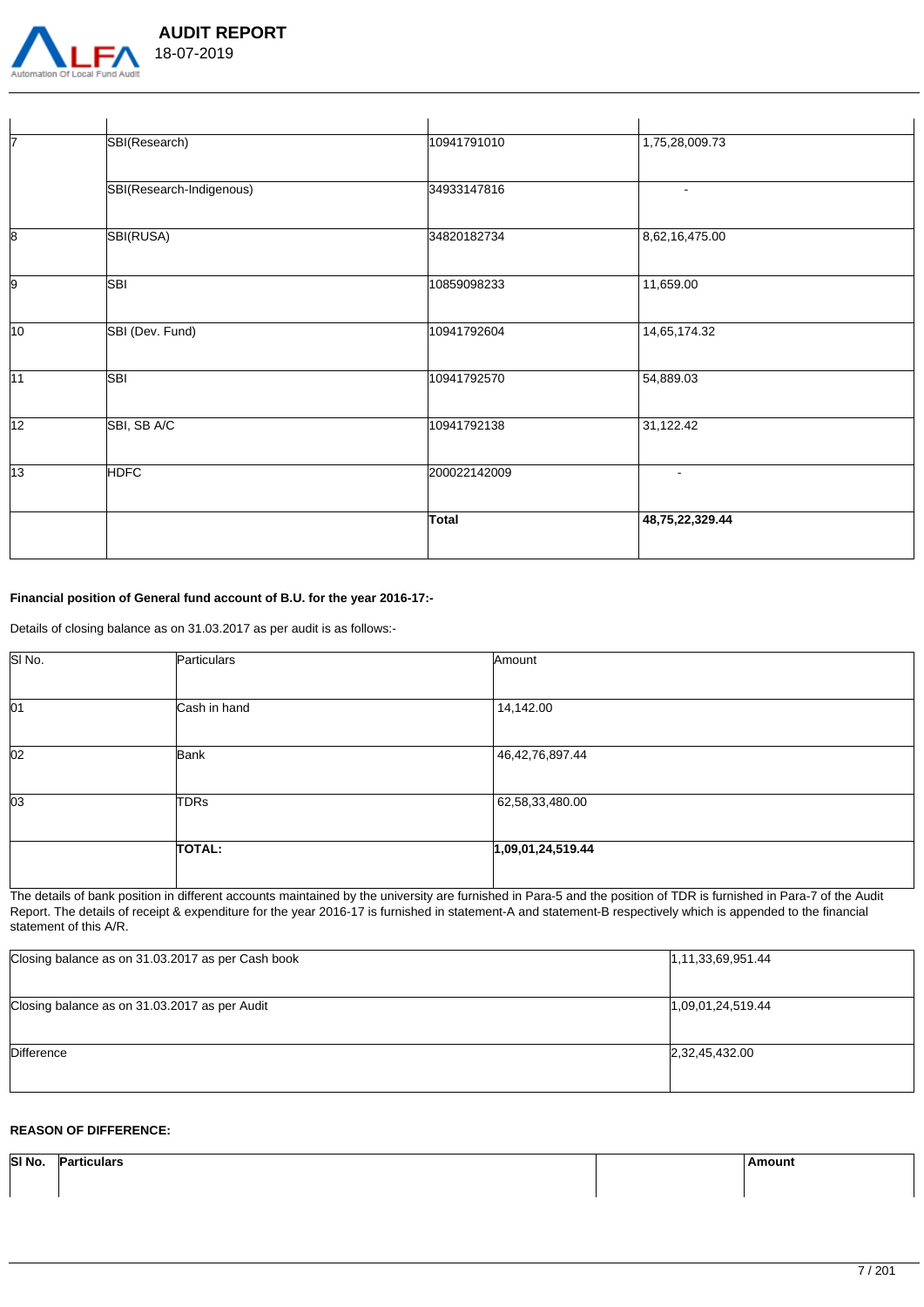

|                 | SBI(Research)            | 10941791010  | 1,75,28,009.73  |  |
|-----------------|--------------------------|--------------|-----------------|--|
|                 | SBI(Research-Indigenous) | 34933147816  | $\sim$          |  |
| l8              | SBI(RUSA)                | 34820182734  | 8,62,16,475.00  |  |
| 9               | <b>SBI</b>               | 10859098233  | 11,659.00       |  |
| $\overline{10}$ | SBI (Dev. Fund)          | 10941792604  | 14,65,174.32    |  |
| 11              | SBI                      | 10941792570  | 54,889.03       |  |
| $\overline{12}$ | SBI, SB A/C              | 10941792138  | 31,122.42       |  |
| $\overline{13}$ | <b>HDFC</b>              | 200022142009 | $\blacksquare$  |  |
|                 |                          | Total        | 48,75,22,329.44 |  |
|                 |                          |              |                 |  |

#### **Financial position of General fund account of B.U. for the year 2016-17:-**

Details of closing balance as on 31.03.2017 as per audit is as follows:-

| SI <sub>No.</sub> | Particulars   | Amount            |
|-------------------|---------------|-------------------|
| 01                | Cash in hand  | 14,142.00         |
| 02                | Bank          | 46,42,76,897.44   |
| 03                | <b>TDRs</b>   | 62,58,33,480.00   |
|                   | <b>TOTAL:</b> | 1,09,01,24,519.44 |

The details of bank position in different accounts maintained by the university are furnished in Para-5 and the position of TDR is furnished in Para-7 of the Audit Report. The details of receipt & expenditure for the year 2016-17 is furnished in statement-A and statement-B respectively which is appended to the financial statement of this A/R.

| Closing balance as on 31.03.2017 as per Cash book | 1,11,33,69,951.44 |
|---------------------------------------------------|-------------------|
|                                                   |                   |
| Closing balance as on 31.03.2017 as per Audit     | 1,09,01,24,519.44 |
| Difference                                        |                   |
|                                                   | 2,32,45,432.00    |

# **REASON OF DIFFERENCE:**

| SI No. | . | Amount |
|--------|---|--------|
|        |   |        |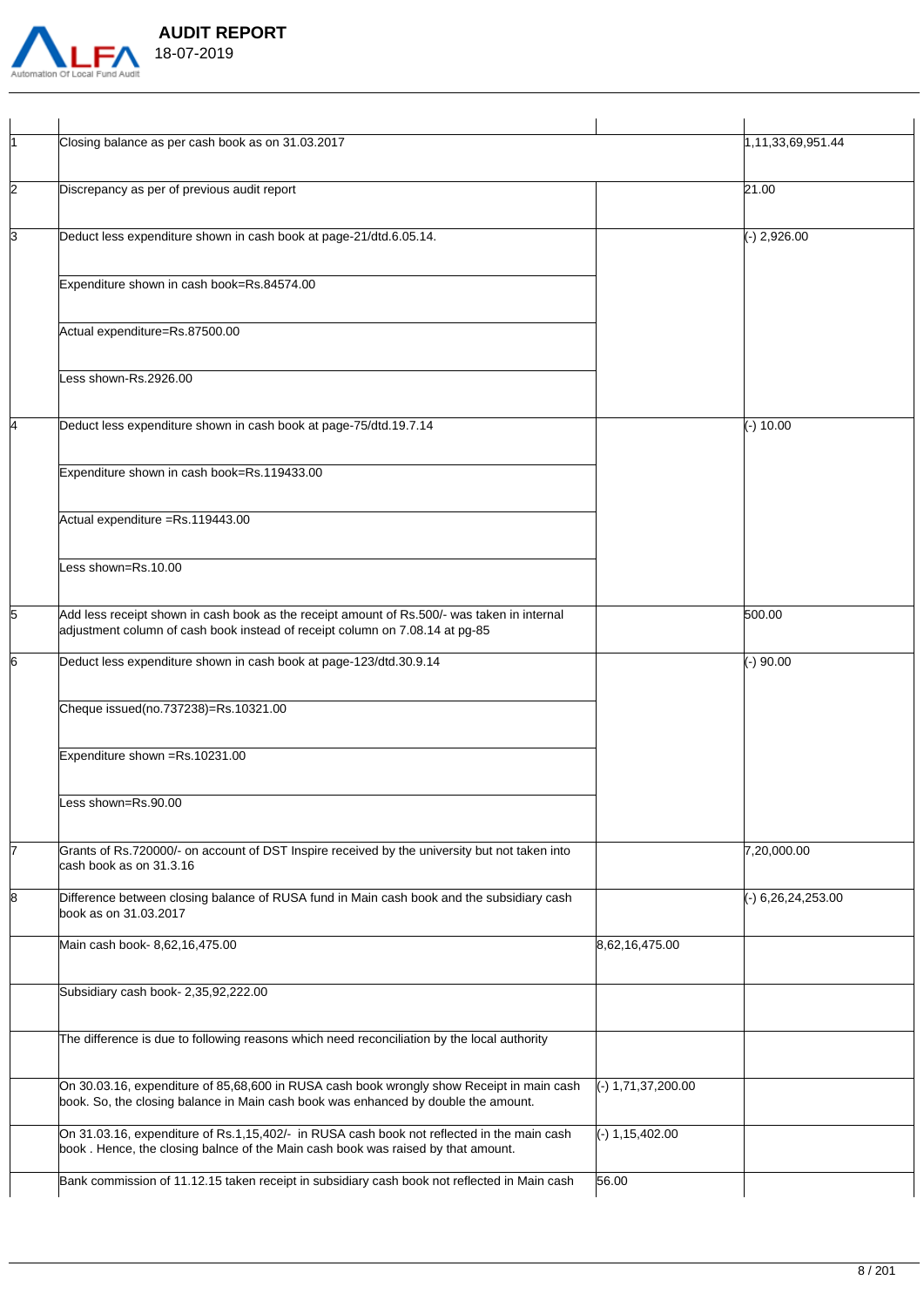

| 1              | Closing balance as per cash book as on 31.03.2017                                                                                                                               |                      | 1,11,33,69,951.44    |
|----------------|---------------------------------------------------------------------------------------------------------------------------------------------------------------------------------|----------------------|----------------------|
| 2              | Discrepancy as per of previous audit report                                                                                                                                     |                      | 21.00                |
| 3              | Deduct less expenditure shown in cash book at page-21/dtd.6.05.14.                                                                                                              |                      | $(-)$ 2,926.00       |
|                | Expenditure shown in cash book=Rs.84574.00                                                                                                                                      |                      |                      |
|                | Actual expenditure=Rs.87500.00                                                                                                                                                  |                      |                      |
|                | ess shown-Rs.2926.00                                                                                                                                                            |                      |                      |
| 4              | Deduct less expenditure shown in cash book at page-75/dtd.19.7.14                                                                                                               |                      | $(-) 10.00$          |
|                | Expenditure shown in cash book=Rs.119433.00                                                                                                                                     |                      |                      |
|                | Actual expenditure =Rs.119443.00                                                                                                                                                |                      |                      |
|                | Less shown=Rs.10.00                                                                                                                                                             |                      |                      |
| 5              | Add less receipt shown in cash book as the receipt amount of Rs.500/- was taken in internal<br>adjustment column of cash book instead of receipt column on 7.08.14 at pg-85     |                      | 500.00               |
| 6              | Deduct less expenditure shown in cash book at page-123/dtd.30.9.14                                                                                                              |                      | $(-)$ 90.00          |
|                | Cheque issued(no.737238)=Rs.10321.00                                                                                                                                            |                      |                      |
|                | Expenditure shown =Rs.10231.00                                                                                                                                                  |                      |                      |
|                | ess shown=Rs.90.00.                                                                                                                                                             |                      |                      |
| $\overline{7}$ | Grants of Rs.720000/- on account of DST Inspire received by the university but not taken into<br>cash book as on 31.3.16                                                        |                      | 7,20,000.00          |
| 8              | Difference between closing balance of RUSA fund in Main cash book and the subsidiary cash<br>book as on 31.03.2017                                                              |                      | $(-)$ 6,26,24,253.00 |
|                | Main cash book- 8,62,16,475.00                                                                                                                                                  | 8,62,16,475.00       |                      |
|                | Subsidiary cash book- 2,35,92,222.00                                                                                                                                            |                      |                      |
|                | The difference is due to following reasons which need reconciliation by the local authority                                                                                     |                      |                      |
|                | On 30.03.16, expenditure of 85,68,600 in RUSA cash book wrongly show Receipt in main cash<br>book. So, the closing balance in Main cash book was enhanced by double the amount. | $(-) 1,71,37,200.00$ |                      |
|                | On 31.03.16, expenditure of Rs.1,15,402/- in RUSA cash book not reflected in the main cash<br>book. Hence, the closing balnce of the Main cash book was raised by that amount.  | $(-) 1, 15, 402.00$  |                      |
|                | Bank commission of 11.12.15 taken receipt in subsidiary cash book not reflected in Main cash                                                                                    | 56.00                |                      |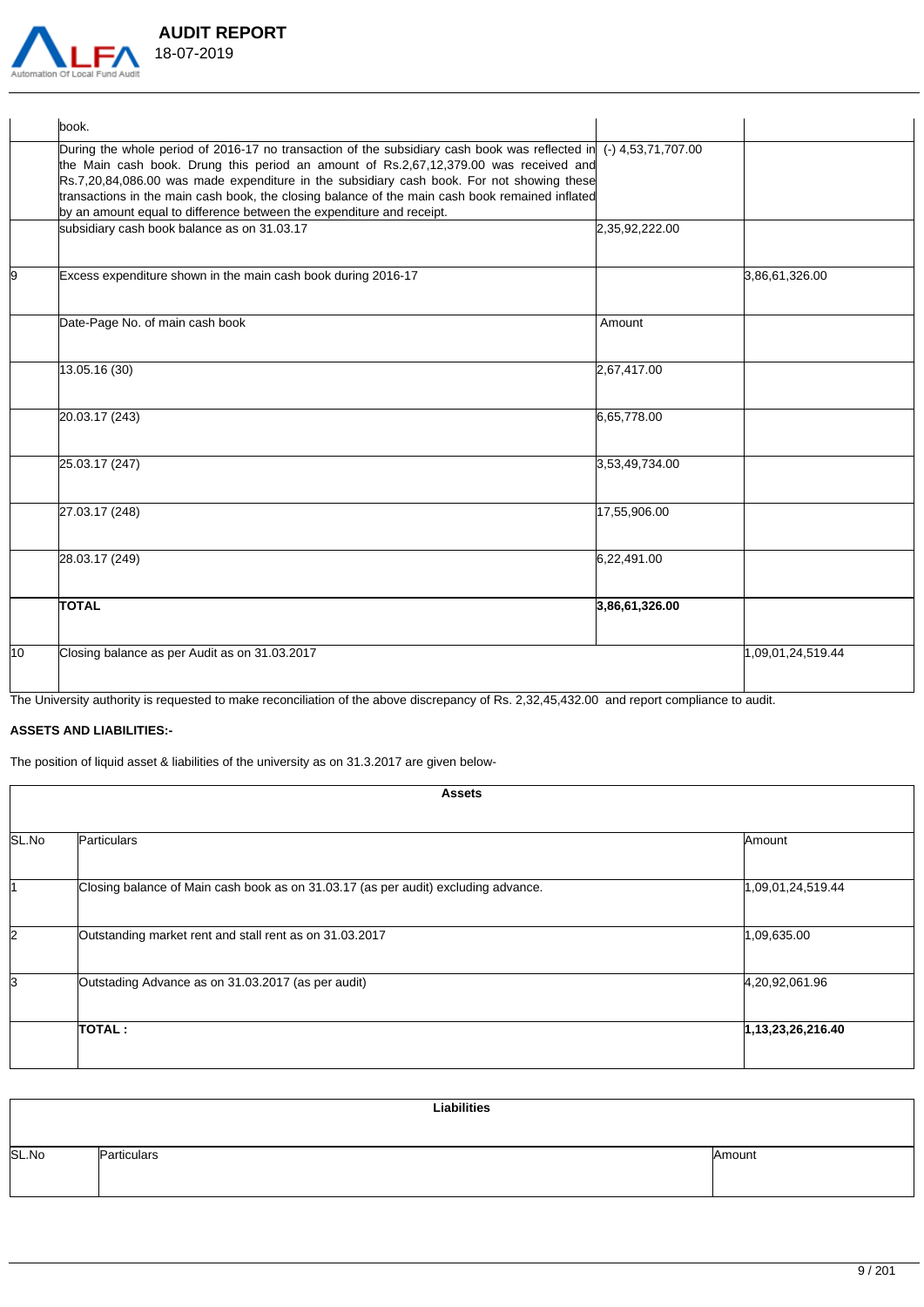

 **AUDIT REPORT** 

|    | book.                                                                                                                                                                                                                                                                                                                                                                                                                                                                               |                |                   |
|----|-------------------------------------------------------------------------------------------------------------------------------------------------------------------------------------------------------------------------------------------------------------------------------------------------------------------------------------------------------------------------------------------------------------------------------------------------------------------------------------|----------------|-------------------|
|    | During the whole period of 2016-17 no transaction of the subsidiary cash book was reflected in (-) 4,53,71,707.00<br>the Main cash book. Drung this period an amount of Rs.2,67,12,379.00 was received and<br>Rs.7,20,84,086.00 was made expenditure in the subsidiary cash book. For not showing these<br>transactions in the main cash book, the closing balance of the main cash book remained inflated<br>by an amount equal to difference between the expenditure and receipt. |                |                   |
|    | subsidiary cash book balance as on 31.03.17                                                                                                                                                                                                                                                                                                                                                                                                                                         | 2,35,92,222.00 |                   |
| l9 | Excess expenditure shown in the main cash book during 2016-17                                                                                                                                                                                                                                                                                                                                                                                                                       |                | 3,86,61,326.00    |
|    | Date-Page No. of main cash book                                                                                                                                                                                                                                                                                                                                                                                                                                                     | Amount         |                   |
|    | $13.05.\overline{16(30)}$                                                                                                                                                                                                                                                                                                                                                                                                                                                           | 2,67,417.00    |                   |
|    | 20.03.17 (243)                                                                                                                                                                                                                                                                                                                                                                                                                                                                      | 6,65,778.00    |                   |
|    | 25.03.17 (247)                                                                                                                                                                                                                                                                                                                                                                                                                                                                      | 3,53,49,734.00 |                   |
|    | 27.03.17 (248)                                                                                                                                                                                                                                                                                                                                                                                                                                                                      | 17,55,906.00   |                   |
|    | 28.03.17 (249)                                                                                                                                                                                                                                                                                                                                                                                                                                                                      | 6,22,491.00    |                   |
|    | <b>TOTAL</b>                                                                                                                                                                                                                                                                                                                                                                                                                                                                        | 3,86,61,326.00 |                   |
| 10 | Closing balance as per Audit as on 31.03.2017                                                                                                                                                                                                                                                                                                                                                                                                                                       |                | 1,09,01,24,519.44 |

The University authority is requested to make reconciliation of the above discrepancy of Rs. 2,32,45,432.00 and report compliance to audit.

#### **ASSETS AND LIABILITIES:-**

The position of liquid asset & liabilities of the university as on 31.3.2017 are given below-

|       | <b>Assets</b>                                                                      |                   |  |
|-------|------------------------------------------------------------------------------------|-------------------|--|
| SL.No | Particulars                                                                        | Amount            |  |
|       | Closing balance of Main cash book as on 31.03.17 (as per audit) excluding advance. | 1,09,01,24,519.44 |  |
| I2    | Outstanding market rent and stall rent as on 31.03.2017                            | 1,09,635.00       |  |
| lЗ    | Outstading Advance as on 31.03.2017 (as per audit)                                 | 4,20,92,061.96    |  |
|       | <b>TOTAL:</b>                                                                      | 1,13,23,26,216.40 |  |
|       |                                                                                    |                   |  |

|       |             | Liabilities |        |
|-------|-------------|-------------|--------|
| SL.No | Particulars |             | Amount |
|       |             |             |        |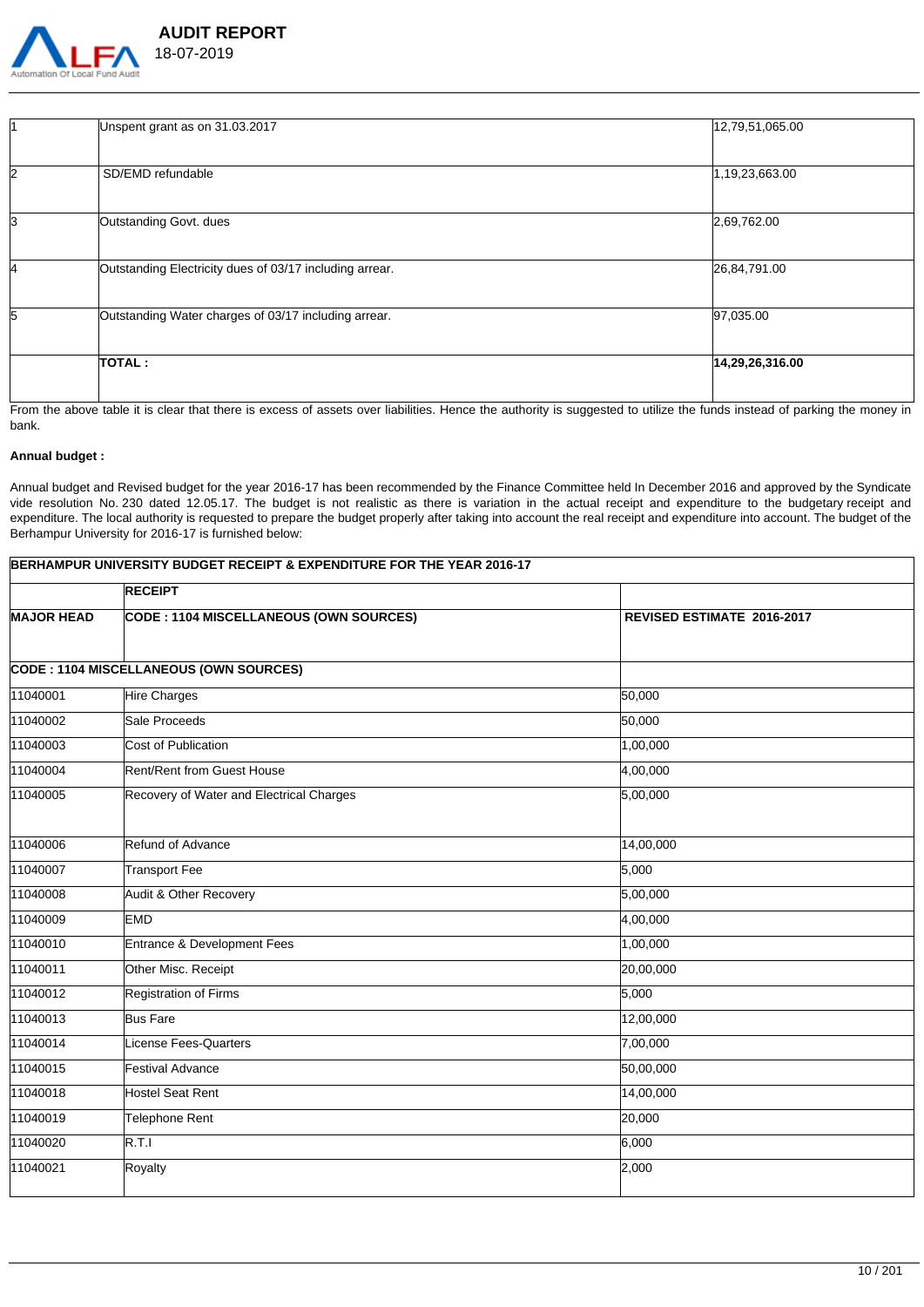

| <b>TOTAL:</b>                                           | 14,29,26,316.00 |
|---------------------------------------------------------|-----------------|
| Outstanding Water charges of 03/17 including arrear.    | 97,035.00       |
| Outstanding Electricity dues of 03/17 including arrear. | 26,84,791.00    |
| Outstanding Govt. dues                                  | 2,69,762.00     |
| SD/EMD refundable                                       | 1,19,23,663.00  |
| Unspent grant as on 31.03.2017                          | 12,79,51,065.00 |
|                                                         |                 |

From the above table it is clear that there is excess of assets over liabilities. Hence the authority is suggested to utilize the funds instead of parking the money in bank.

#### **Annual budget :**

Annual budget and Revised budget for the year 2016-17 has been recommended by the Finance Committee held In December 2016 and approved by the Syndicate vide resolution No. 230 dated 12.05.17. The budget is not realistic as there is variation in the actual receipt and expenditure to the budgetary receipt and expenditure. The local authority is requested to prepare the budget properly after taking into account the real receipt and expenditure into account. The budget of the Berhampur University for 2016-17 is furnished below:

| BERHAMPUR UNIVERSITY BUDGET RECEIPT & EXPENDITURE FOR THE YEAR 2016-17 |                                                |                            |  |
|------------------------------------------------------------------------|------------------------------------------------|----------------------------|--|
|                                                                        | <b>RECEIPT</b>                                 |                            |  |
| <b>MAJOR HEAD</b>                                                      | CODE : 1104 MISCELLANEOUS (OWN SOURCES)        | REVISED ESTIMATE 2016-2017 |  |
|                                                                        |                                                |                            |  |
|                                                                        | <b>CODE : 1104 MISCELLANEOUS (OWN SOURCES)</b> |                            |  |
| 11040001                                                               | <b>Hire Charges</b>                            | 50,000                     |  |
| 11040002                                                               | Sale Proceeds                                  | 50,000                     |  |
| 11040003                                                               | Cost of Publication                            | 1,00,000                   |  |
| 11040004                                                               | <b>Rent/Rent from Guest House</b>              | 4,00,000                   |  |
| 11040005                                                               | Recovery of Water and Electrical Charges       | 5,00,000                   |  |
|                                                                        |                                                |                            |  |
| 11040006                                                               | Refund of Advance                              | 14,00,000                  |  |
| 11040007                                                               | <b>Transport Fee</b>                           | $\sqrt{5,000}$             |  |
| 11040008                                                               | Audit & Other Recovery                         | 5,00,000                   |  |
| 11040009                                                               | <b>EMD</b>                                     | 4,00,000                   |  |
| 11040010                                                               | Entrance & Development Fees                    | 1,00,000                   |  |
| 11040011                                                               | Other Misc. Receipt                            | 20,00,000                  |  |
| 11040012                                                               | <b>Registration of Firms</b>                   | 5,000                      |  |
| 11040013                                                               | <b>Bus Fare</b>                                | 12,00,000                  |  |
| 11040014                                                               | License Fees-Quarters                          | 7,00,000                   |  |
| 11040015                                                               | <b>Festival Advance</b>                        | 50,00,000                  |  |
| 11040018                                                               | <b>Hostel Seat Rent</b>                        | 14,00,000                  |  |
| 11040019                                                               | Telephone Rent                                 | 20,000                     |  |
| 11040020                                                               | R.T.I                                          | 6,000                      |  |
| 11040021                                                               | Royalty                                        | 2,000                      |  |
|                                                                        |                                                |                            |  |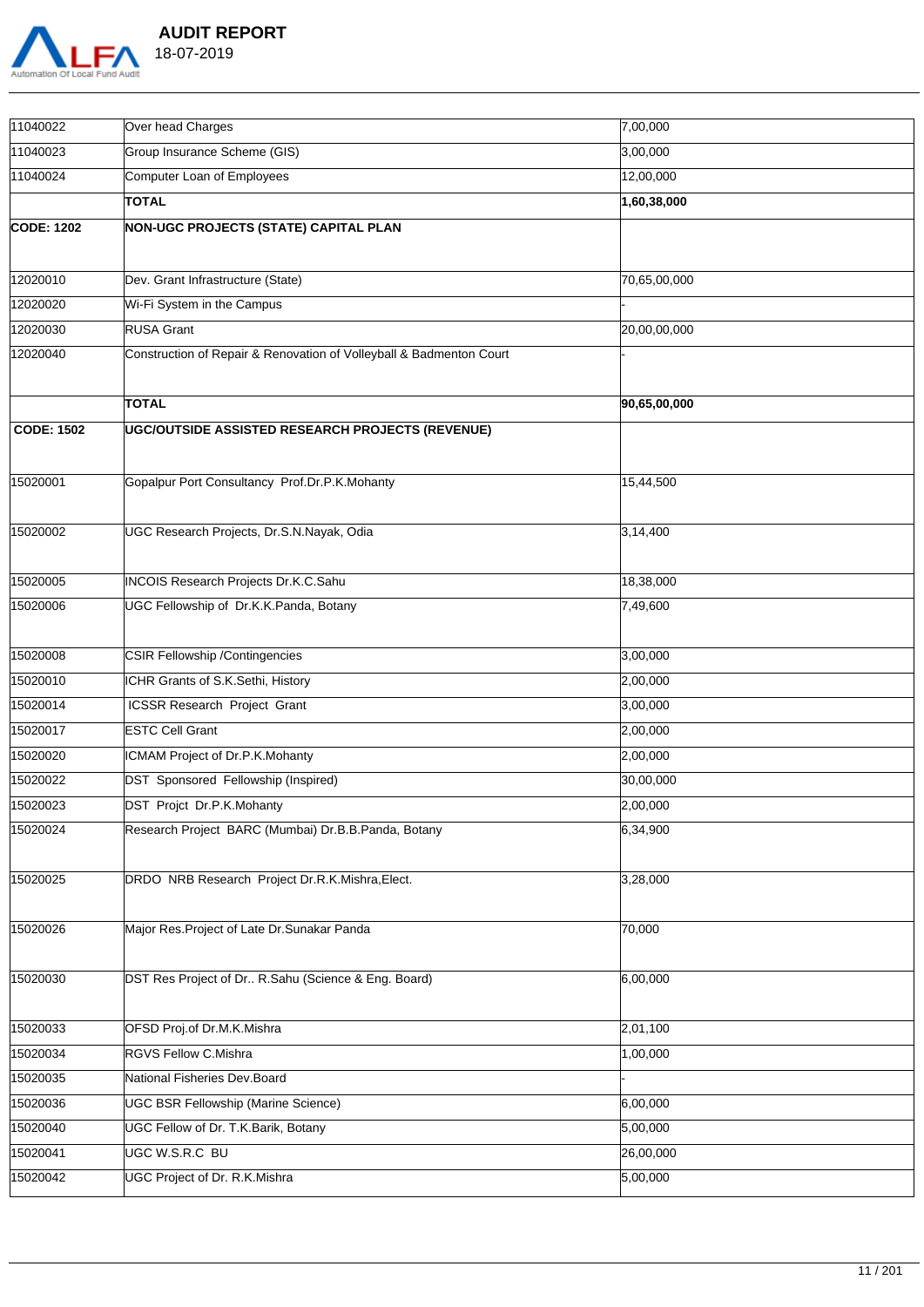

| 11040022          | Over head Charges                                                   | $\sqrt{7,00,000}$ |
|-------------------|---------------------------------------------------------------------|-------------------|
| 11040023          | Group Insurance Scheme (GIS)                                        | 3,00,000          |
| 11040024          | Computer Loan of Employees                                          | 12,00,000         |
|                   | <b>TOTAL</b>                                                        | 1,60,38,000       |
| <b>CODE: 1202</b> | NON-UGC PROJECTS (STATE) CAPITAL PLAN                               |                   |
| 12020010          | Dev. Grant Infrastructure (State)                                   | 70,65,00,000      |
| 12020020          | Wi-Fi System in the Campus                                          |                   |
| 12020030          | <b>RUSA Grant</b>                                                   | 20,00,00,000      |
| 12020040          | Construction of Repair & Renovation of Volleyball & Badmenton Court |                   |
|                   | <b>TOTAL</b>                                                        | 90,65,00,000      |
| <b>CODE: 1502</b> | UGC/OUTSIDE ASSISTED RESEARCH PROJECTS (REVENUE)                    |                   |
| 15020001          | Gopalpur Port Consultancy Prof.Dr.P.K.Mohanty                       | 15,44,500         |
| 15020002          | UGC Research Projects, Dr.S.N.Nayak, Odia                           | 3,14,400          |
| 15020005          | <b>INCOIS Research Projects Dr.K.C.Sahu</b>                         | 18,38,000         |
| 15020006          | UGC Fellowship of Dr.K.K.Panda, Botany                              | 7,49,600          |
| 15020008          | <b>CSIR Fellowship / Contingencies</b>                              | 3,00,000          |
| 15020010          | ICHR Grants of S.K.Sethi, History                                   | 2,00,000          |
| 15020014          | <b>ICSSR Research Project Grant</b>                                 | 3,00,000          |
| 15020017          | <b>ESTC Cell Grant</b>                                              | 2,00,000          |
| 15020020          | ICMAM Project of Dr.P.K.Mohanty                                     | 2,00,000          |
| 15020022          | DST Sponsored Fellowship (Inspired)                                 | 30,00,000         |
| 15020023          | DST Projct Dr.P.K.Mohanty                                           | 2,00,000          |
| 15020024          | Research Project BARC (Mumbai) Dr.B.B.Panda, Botany                 | 6,34,900          |
| 15020025          | DRDO NRB Research Project Dr.R.K.Mishra, Elect.                     | 3,28,000          |
| 15020026          | Major Res. Project of Late Dr. Sunakar Panda                        | 70,000            |
| 15020030          | DST Res Project of Dr R.Sahu (Science & Eng. Board)                 | 6,00,000          |
| 15020033          | OFSD Proj.of Dr.M.K.Mishra                                          | 2,01,100          |
| 15020034          | RGVS Fellow C.Mishra                                                | 1,00,000          |
| 15020035          | National Fisheries Dev.Board                                        |                   |
| 15020036          | UGC BSR Fellowship (Marine Science)                                 | 6,00,000          |
| 15020040          | UGC Fellow of Dr. T.K.Barik, Botany                                 | 5,00,000          |
| 15020041          | UGC W.S.R.C BU                                                      | 26,00,000         |
| 15020042          | UGC Project of Dr. R.K.Mishra                                       | 5,00,000          |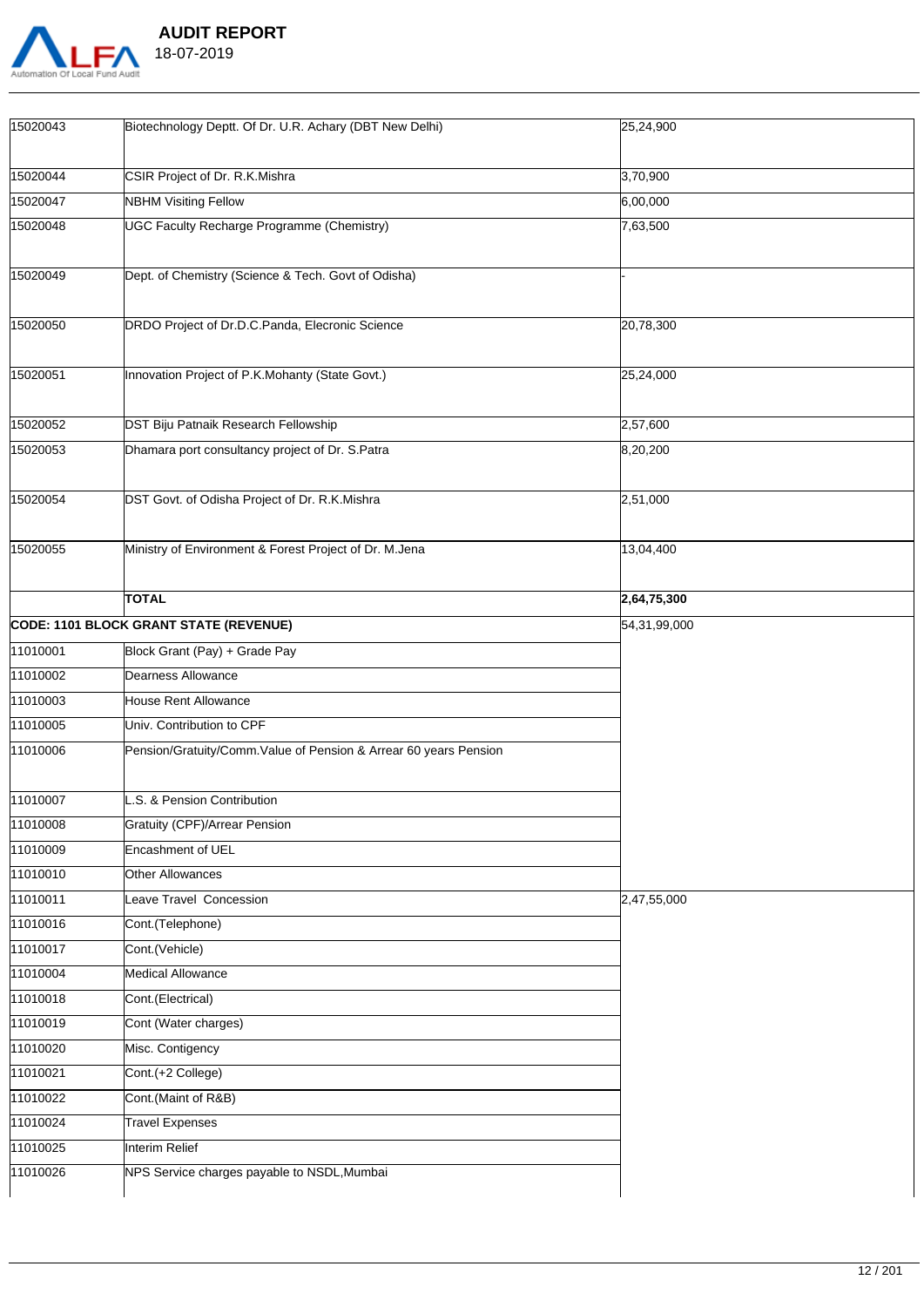

 **AUDIT REPORT**  18-07-2019

| 15020043 | Biotechnology Deptt. Of Dr. U.R. Achary (DBT New Delhi)          | 25,24,900    |
|----------|------------------------------------------------------------------|--------------|
| 15020044 | CSIR Project of Dr. R.K.Mishra                                   | 3,70,900     |
| 15020047 | <b>NBHM Visiting Fellow</b>                                      | 6,00,000     |
| 15020048 | <b>UGC Faculty Recharge Programme (Chemistry)</b>                | 7,63,500     |
| 15020049 | Dept. of Chemistry (Science & Tech. Govt of Odisha)              |              |
| 15020050 | DRDO Project of Dr.D.C.Panda, Elecronic Science                  | 20,78,300    |
| 15020051 | Innovation Project of P.K.Mohanty (State Govt.)                  | 25,24,000    |
| 15020052 | DST Biju Patnaik Research Fellowship                             | 2,57,600     |
| 15020053 | Dhamara port consultancy project of Dr. S.Patra                  | 8,20,200     |
| 15020054 | DST Govt. of Odisha Project of Dr. R.K.Mishra                    | 2,51,000     |
| 15020055 | Ministry of Environment & Forest Project of Dr. M.Jena           | 13,04,400    |
|          | <b>TOTAL</b>                                                     | 2,64,75,300  |
|          | CODE: 1101 BLOCK GRANT STATE (REVENUE)                           | 54,31,99,000 |
| 11010001 | Block Grant (Pay) + Grade Pay                                    |              |
| 11010002 | Dearness Allowance                                               |              |
| 11010003 | House Rent Allowance                                             |              |
| 11010005 | Univ. Contribution to CPF                                        |              |
| 11010006 | Pension/Gratuity/Comm.Value of Pension & Arrear 60 years Pension |              |
| 11010007 | .S. & Pension Contribution                                       |              |
| 11010008 | <b>Gratuity (CPF)/Arrear Pension</b>                             |              |
| 11010009 | Encashment of UEL                                                |              |
| 11010010 | Other Allowances                                                 |              |
| 11010011 | Leave Travel Concession                                          | 2,47,55,000  |
| 11010016 | Cont.(Telephone)                                                 |              |
| 11010017 | Cont.(Vehicle)                                                   |              |
| 11010004 | <b>Medical Allowance</b>                                         |              |
| 11010018 | Cont.(Electrical)                                                |              |
| 11010019 | Cont (Water charges)                                             |              |
| 11010020 | Misc. Contigency                                                 |              |
| 11010021 | Cont.(+2 College)                                                |              |
| 11010022 | Cont. (Maint of R&B)                                             |              |
| 11010024 | <b>Travel Expenses</b>                                           |              |
| 11010025 | Interim Relief                                                   |              |
| 11010026 | NPS Service charges payable to NSDL, Mumbai                      |              |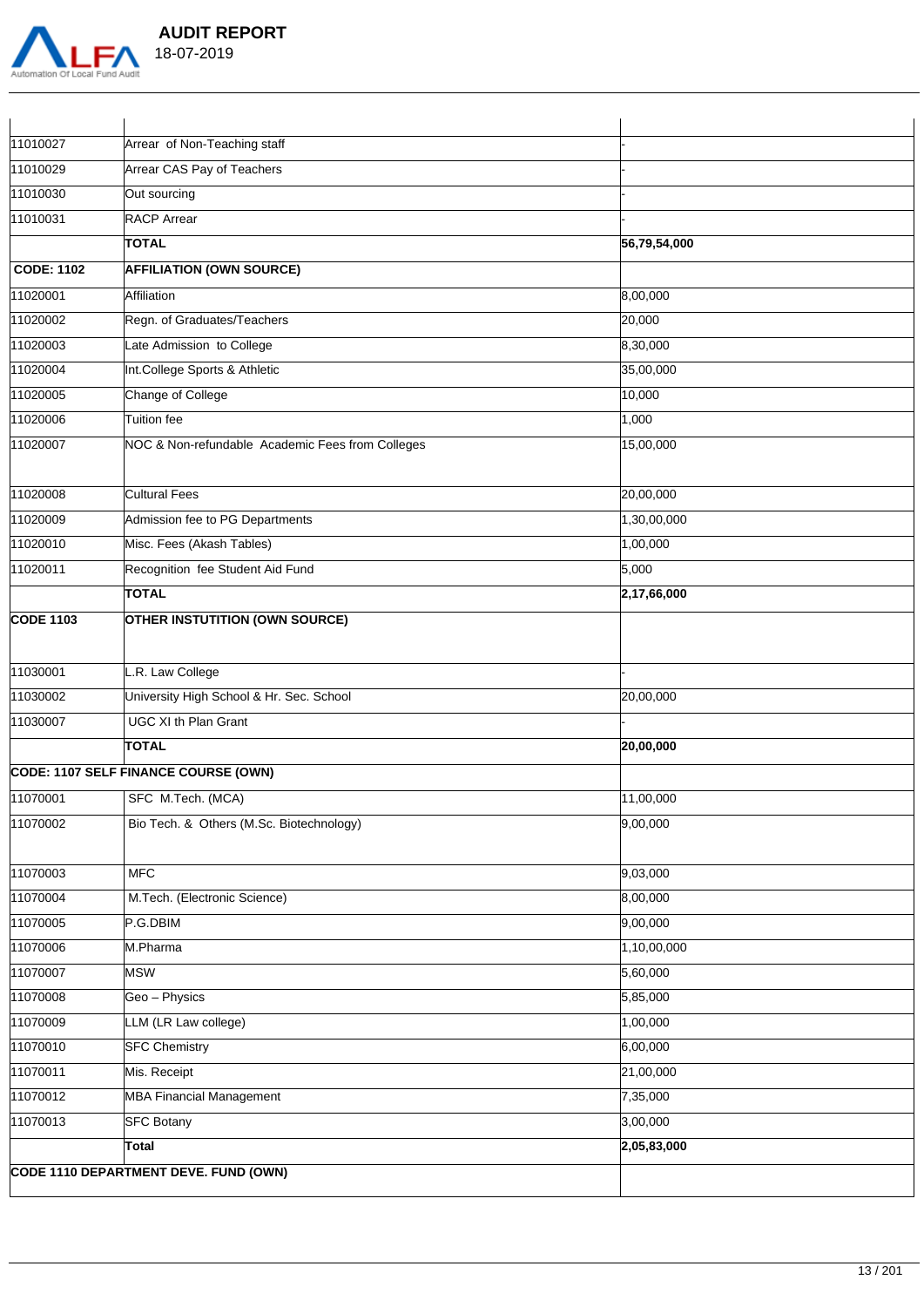

| 11010027          | Arrear of Non-Teaching staff                     |                   |
|-------------------|--------------------------------------------------|-------------------|
| 11010029          | Arrear CAS Pay of Teachers                       |                   |
| 11010030          | Out sourcing                                     |                   |
| 11010031          | <b>RACP Arrear</b>                               |                   |
|                   | <b>TOTAL</b>                                     | 56,79,54,000      |
| <b>CODE: 1102</b> | <b>AFFILIATION (OWN SOURCE)</b>                  |                   |
| 11020001          | Affiliation                                      | 8,00,000          |
| 11020002          | Regn. of Graduates/Teachers                      | 20,000            |
| 11020003          | Late Admission to College                        | 8,30,000          |
| 11020004          | Int.College Sports & Athletic                    | 35,00,000         |
| 11020005          | Change of College                                | 10,000            |
| 11020006          | Tuition fee                                      | $\frac{1,000}{ }$ |
| 11020007          | NOC & Non-refundable Academic Fees from Colleges | 15,00,000         |
|                   |                                                  |                   |
| 11020008          | <b>Cultural Fees</b>                             | 20,00,000         |
| 11020009          | Admission fee to PG Departments                  | 1,30,00,000       |
| 11020010          | Misc. Fees (Akash Tables)                        | 1,00,000          |
| 11020011          | Recognition fee Student Aid Fund                 | 5,000             |
|                   | <b>TOTAL</b>                                     | 2,17,66,000       |
| <b>CODE 1103</b>  | <b>OTHER INSTUTITION (OWN SOURCE)</b>            |                   |
|                   |                                                  |                   |
| 11030001          | L.R. Law College                                 |                   |
| 11030002          | University High School & Hr. Sec. School         | 20,00,000         |
| 11030007          | <b>UGC XI th Plan Grant</b>                      |                   |
|                   | <b>TOTAL</b>                                     | 20,00,000         |
|                   | <b>CODE: 1107 SELF FINANCE COURSE (OWN)</b>      |                   |
| 11070001          | SFC M.Tech. (MCA)                                | 11,00,000         |
| 11070002          | Bio Tech. & Others (M.Sc. Biotechnology)         | 9,00,000          |
|                   |                                                  |                   |
| 11070003          | <b>MFC</b>                                       | 9,03,000          |
| 11070004          | M.Tech. (Electronic Science)                     | 8,00,000          |
| 11070005          | P.G.DBIM                                         | 9,00,000          |
| 11070006          | M.Pharma                                         | 1,10,00,000       |
| 11070007          | <b>MSW</b>                                       | 5,60,000          |
| 11070008          | Geo - Physics                                    | 5,85,000          |
| 11070009          | LLM (LR Law college)                             | 1,00,000          |
| 11070010          | <b>SFC Chemistry</b>                             | 6,00,000          |
| 11070011          | Mis. Receipt                                     | 21,00,000         |
| 11070012          | <b>MBA Financial Management</b>                  | 7,35,000          |
| 11070013          | <b>SFC Botany</b>                                | 3,00,000          |
|                   | <b>Total</b>                                     | 2,05,83,000       |
|                   | CODE 1110 DEPARTMENT DEVE. FUND (OWN)            |                   |
|                   |                                                  |                   |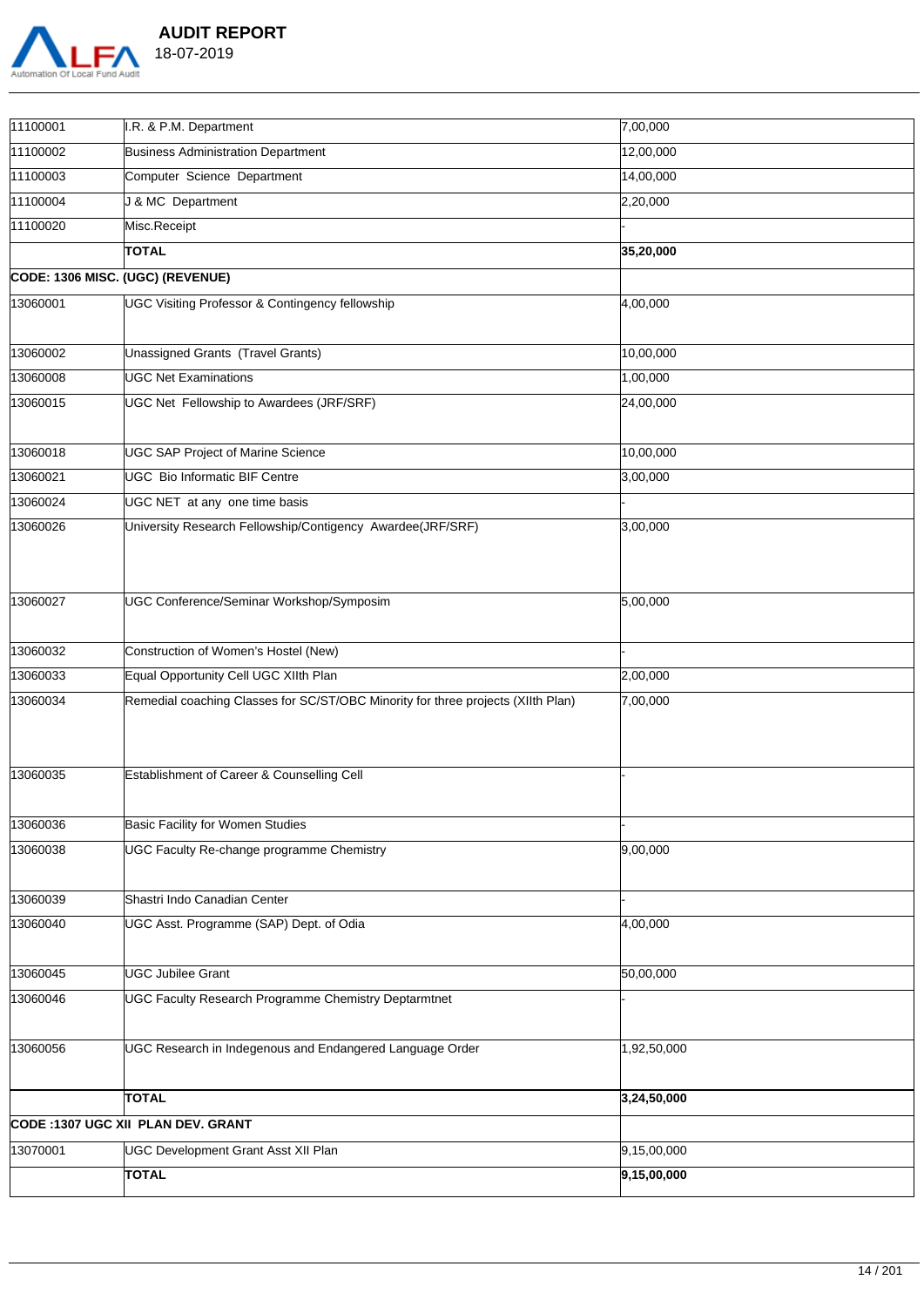

11100001 I.R. & P.M. Department 7,00,000

11100002 Business Administration Department 12,00,000 11100003 Computer Science Department 14,00,000 11100004 J & MC Department 2,20,000 11100020 Misc.Receipt **TOTAL 35,20,000 CODE: 1306 MISC. (UGC) (REVENUE)** 13060001 UGC Visiting Professor & Contingency fellowship 4,00,000 4,00,000 13060002 Unassigned Grants (Travel Grants) 10,00,000 13060008 UGC Net Examinations 1,00,000 13060015 UGC Net Fellowship to Awardees (JRF/SRF) 24,00,000 13060018 UGC SAP Project of Marine Science 10,000 UGC SAP Project of Marine Science 13060021 UGC Bio Informatic BIF Centre 3,00,000 13060024 UGC NET at any one time basis 13060026 University Research Fellowship/Contigency Awardee(JRF/SRF) 3,00,000 13060027 UGC Conference/Seminar Workshop/Symposim 5,00,000 13060032 Construction of Women's Hostel (New) 13060033 Equal Opportunity Cell UGC XIIth Plan 2,00,000 13060034 Remedial coaching Classes for SC/ST/OBC Minority for three projects (XIIth Plan) 7,00,000 13060035 Establishment of Career & Counselling Cell 13060036 Basic Facility for Women Studies 13060038 UGC Faculty Re-change programme Chemistry 9,00,000 13060039 Shastri Indo Canadian Center 13060040 UGC Asst. Programme (SAP) Dept. of Odia 4,00,000 13060045 UGC Jubilee Grant 50,00,000 13060046 UGC Faculty Research Programme Chemistry Deptarmtnet 13060056 UGC Research in Indegenous and Endangered Language Order 1,92,50,000 **TOTAL 3,24,50,000 CODE :1307 UGC XII PLAN DEV. GRANT** 13070001 UGC Development Grant Asst XII Plan 9,15,00,000

**TOTAL 9,15,00,000**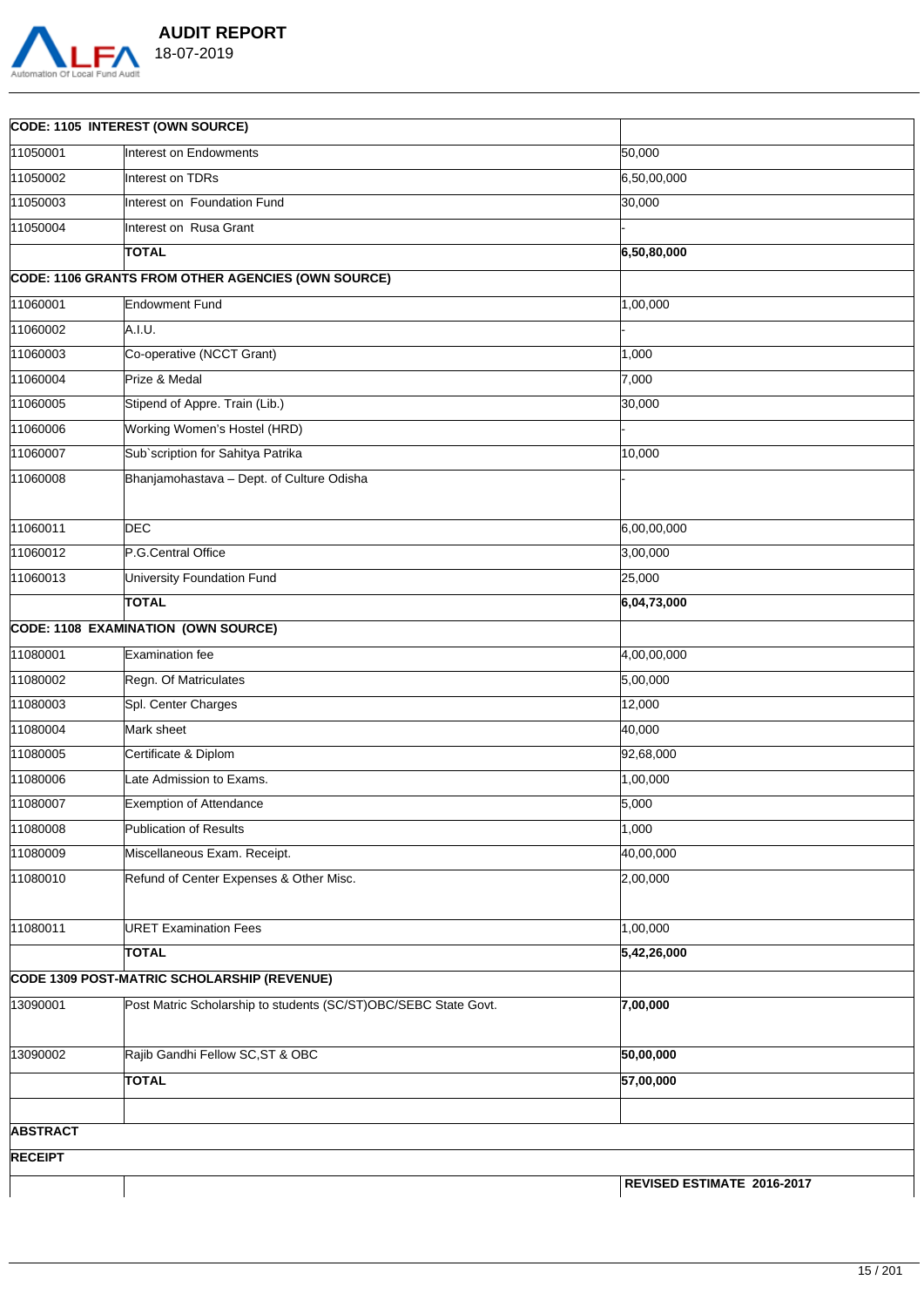

|                 | CODE: 1105 INTEREST (OWN SOURCE)                                |                            |
|-----------------|-----------------------------------------------------------------|----------------------------|
| 11050001        | Interest on Endowments                                          | 50,000                     |
| 11050002        | Interest on TDRs                                                | 6,50,00,000                |
| 11050003        | Interest on Foundation Fund                                     | 30,000                     |
| 11050004        | Interest on Rusa Grant                                          |                            |
|                 | <b>TOTAL</b>                                                    | 6,50,80,000                |
|                 | CODE: 1106 GRANTS FROM OTHER AGENCIES (OWN SOURCE)              |                            |
| 11060001        | Endowment Fund                                                  | 1,00,000                   |
| 11060002        | A.I.U.                                                          |                            |
| 11060003        | Co-operative (NCCT Grant)                                       | 1,000                      |
| 11060004        | Prize & Medal                                                   | 7,000                      |
| 11060005        | Stipend of Appre. Train (Lib.)                                  | 30,000                     |
| 11060006        | Working Women's Hostel (HRD)                                    |                            |
| 11060007        | Sub'scription for Sahitya Patrika                               | 10,000                     |
| 11060008        | Bhanjamohastava - Dept. of Culture Odisha                       |                            |
|                 |                                                                 |                            |
| 11060011        | <b>DEC</b>                                                      | 6,00,00,000                |
| 11060012        | P.G.Central Office                                              | 3,00,000                   |
| 11060013        | University Foundation Fund                                      | 25,000                     |
|                 | <b>TOTAL</b>                                                    | 6,04,73,000                |
|                 | <b>CODE: 1108 EXAMINATION (OWN SOURCE)</b>                      |                            |
| 11080001        | Examination fee                                                 | 4,00,00,000                |
| 11080002        | Regn. Of Matriculates                                           | 5,00,000                   |
| 11080003        | Spl. Center Charges                                             | 12,000                     |
| 11080004        | Mark sheet                                                      | 40,000                     |
| 11080005        | Certificate & Diplom                                            | 92,68,000                  |
| 11080006        | Late Admission to Exams.                                        | 1,00,000                   |
| 11080007        | Exemption of Attendance                                         | 5,000                      |
| 11080008        | Publication of Results                                          | 1,000                      |
| 11080009        | Miscellaneous Exam. Receipt.                                    | 40,00,000                  |
| 11080010        | Refund of Center Expenses & Other Misc.                         | 2,00,000                   |
| 11080011        | <b>URET Examination Fees</b>                                    | 1,00,000                   |
|                 | <b>TOTAL</b>                                                    | 5,42,26,000                |
|                 | CODE 1309 POST-MATRIC SCHOLARSHIP (REVENUE)                     |                            |
| 13090001        | Post Matric Scholarship to students (SC/ST)OBC/SEBC State Govt. | 7,00,000                   |
| 13090002        | Rajib Gandhi Fellow SC, ST & OBC                                | 50,00,000                  |
|                 | <b>TOTAL</b>                                                    | 57,00,000                  |
|                 |                                                                 |                            |
| <b>ABSTRACT</b> |                                                                 |                            |
| <b>RECEIPT</b>  |                                                                 |                            |
|                 |                                                                 | REVISED ESTIMATE 2016-2017 |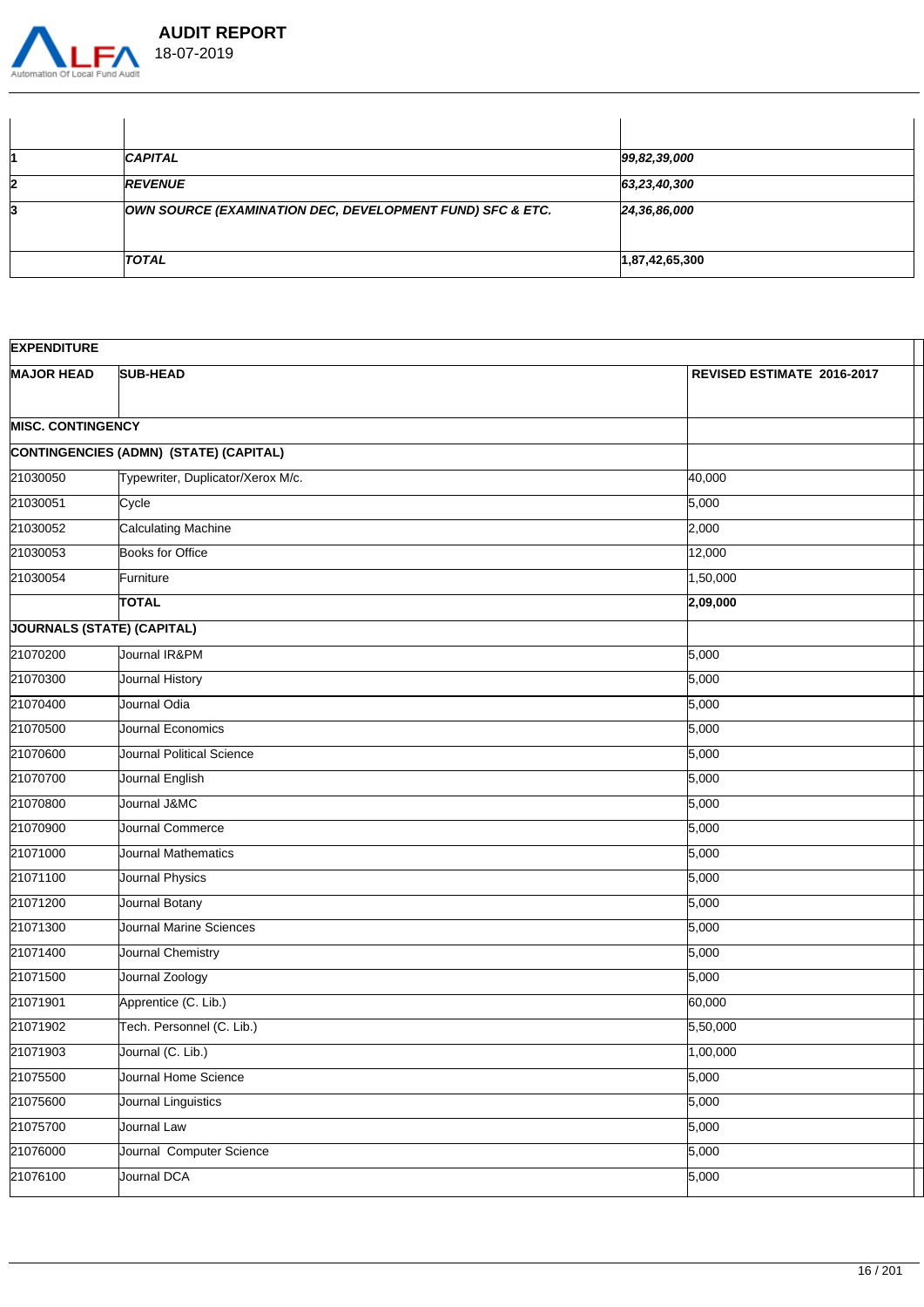

| <b>CAPITAL</b>                                            | 99,82,39,000   |
|-----------------------------------------------------------|----------------|
| <b>REVENUE</b>                                            | 63,23,40,300   |
| OWN SOURCE (EXAMINATION DEC, DEVELOPMENT FUND) SFC & ETC. | 24,36,86,000   |
| <b>TOTAL</b>                                              | 1,87,42,65,300 |

| <b>EXPENDITURE</b>                |                                               |                            |
|-----------------------------------|-----------------------------------------------|----------------------------|
| <b>MAJOR HEAD</b>                 | <b>SUB-HEAD</b>                               | REVISED ESTIMATE 2016-2017 |
| <b>MISC. CONTINGENCY</b>          |                                               |                            |
|                                   | <b>CONTINGENCIES (ADMN) (STATE) (CAPITAL)</b> |                            |
| 21030050                          | Typewriter, Duplicator/Xerox M/c.             | 40,000                     |
| 21030051                          | Cycle                                         | 5,000                      |
| 21030052                          | Calculating Machine                           | 2,000                      |
| 21030053                          | Books for Office                              | 12,000                     |
| 21030054                          | Furniture                                     | 1,50,000                   |
|                                   | TOTAL                                         | 2,09,000                   |
| <b>JOURNALS (STATE) (CAPITAL)</b> |                                               |                            |
| 21070200                          | Journal IR&PM                                 | 5,000                      |
| 21070300                          | Journal History                               | 5,000                      |
| 21070400                          | Journal Odia                                  | 5,000                      |
| 21070500                          | Journal Economics                             | 5,000                      |
| 21070600                          | Journal Political Science                     | 5,000                      |
| 21070700                          | Journal English                               | 5,000                      |
| 21070800                          | Journal J&MC                                  | 5,000                      |
| 21070900                          | Journal Commerce                              | 5,000                      |
| 21071000                          | Journal Mathematics                           | 5,000                      |
| 21071100                          | Journal Physics                               | 5,000                      |
| 21071200                          | Journal Botany                                | 5,000                      |
| 21071300                          | Journal Marine Sciences                       | 5,000                      |
| 21071400                          | Journal Chemistry                             | 5,000                      |
| 21071500                          | Journal Zoology                               | 5,000                      |
| 21071901                          | Apprentice (C. Lib.)                          | 60,000                     |
| 21071902                          | Tech. Personnel (C. Lib.)                     | 5,50,000                   |
| 21071903                          | Journal (C. Lib.)                             | 1,00,000                   |
| 21075500                          | Journal Home Science                          | 5,000                      |
| 21075600                          | Journal Linguistics                           | 5,000                      |
| 21075700                          | Journal Law                                   | 5,000                      |
| 21076000                          | Journal Computer Science                      | 5,000                      |
| 21076100                          | Journal DCA                                   | 5,000                      |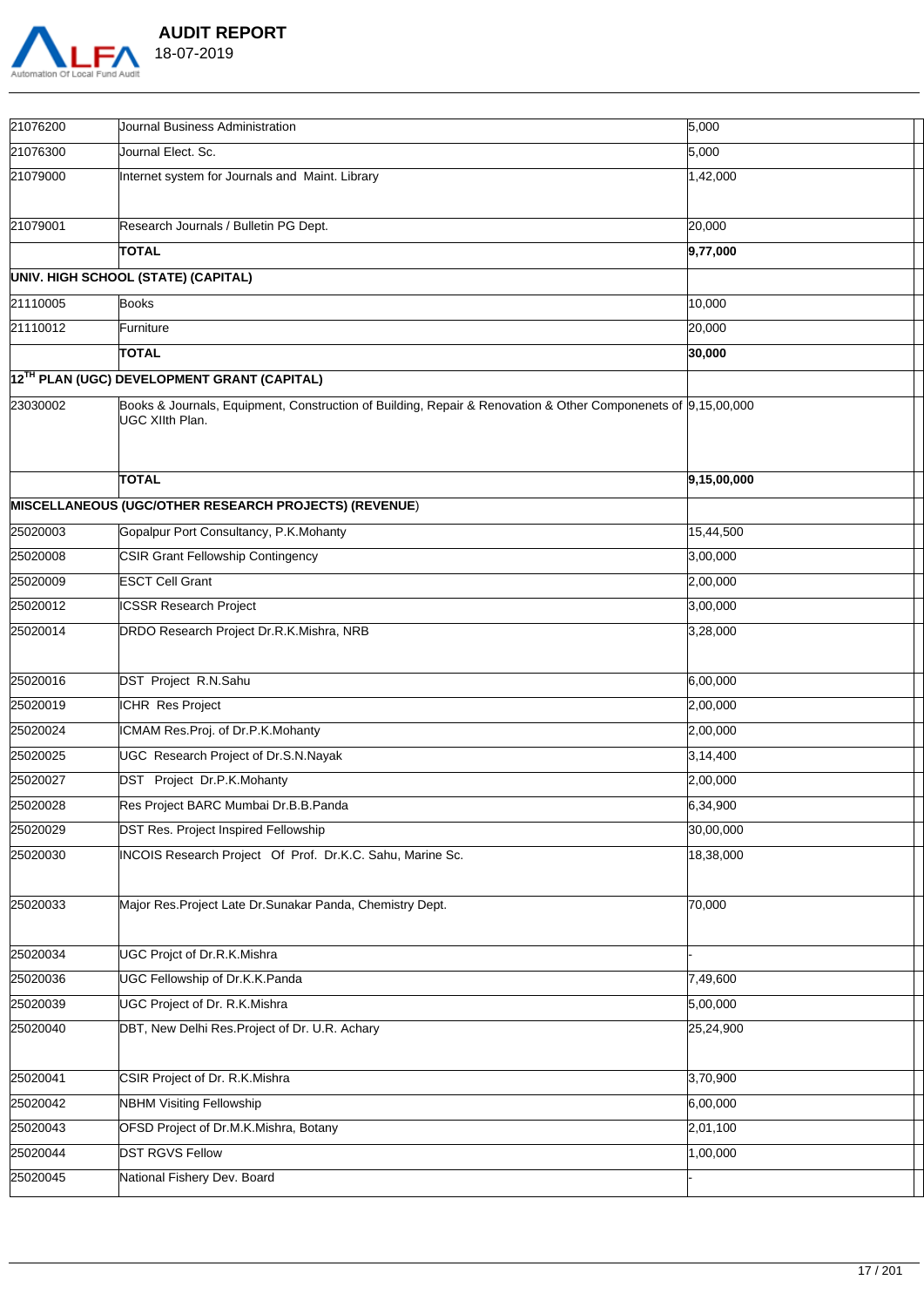

 **AUDIT REPORT** 

18-07-2019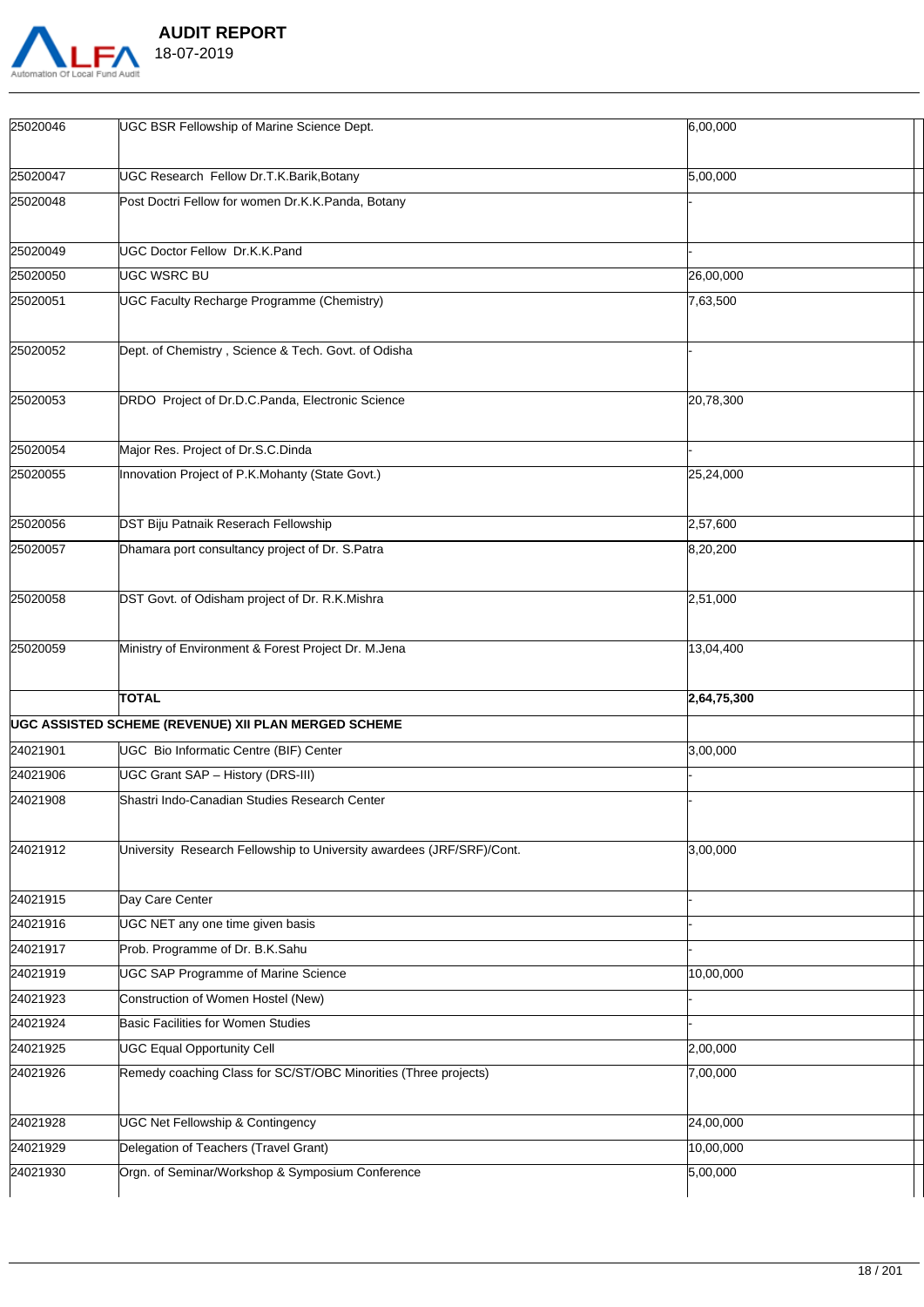

| 25020046 | UGC BSR Fellowship of Marine Science Dept.                            | 6,00,000    |
|----------|-----------------------------------------------------------------------|-------------|
| 25020047 | <b>UGC Research Fellow Dr.T.K.Barik, Botany</b>                       | 5,00,000    |
| 25020048 | Post Doctri Fellow for women Dr.K.K.Panda, Botany                     |             |
| 25020049 | UGC Doctor Fellow Dr.K.K.Pand                                         |             |
| 25020050 | UGC WSRC BU                                                           | 26,00,000   |
| 25020051 | <b>UGC Faculty Recharge Programme (Chemistry)</b>                     | 7,63,500    |
| 25020052 | Dept. of Chemistry, Science & Tech. Govt. of Odisha                   |             |
| 25020053 | DRDO Project of Dr.D.C.Panda, Electronic Science                      | 20,78,300   |
| 25020054 | Major Res. Project of Dr.S.C.Dinda                                    |             |
| 25020055 | Innovation Project of P.K.Mohanty (State Govt.)                       | 25,24,000   |
| 25020056 | DST Biju Patnaik Reserach Fellowship                                  | 2,57,600    |
| 25020057 | Dhamara port consultancy project of Dr. S.Patra                       | 8,20,200    |
| 25020058 | DST Govt. of Odisham project of Dr. R.K.Mishra                        | 2,51,000    |
| 25020059 | Ministry of Environment & Forest Project Dr. M.Jena                   | 13,04,400   |
|          | <b>TOTAL</b>                                                          | 2,64,75,300 |
|          | UGC ASSISTED SCHEME (REVENUE) XII PLAN MERGED SCHEME                  |             |
| 24021901 | UGC Bio Informatic Centre (BIF) Center                                | 3,00,000    |
| 24021906 | UGC Grant SAP - History (DRS-III)                                     |             |
| 24021908 | Shastri Indo-Canadian Studies Research Center                         |             |
| 24021912 | University Research Fellowship to University awardees (JRF/SRF)/Cont. | 3,00,000    |
| 24021915 | Day Care Center                                                       |             |
| 24021916 | UGC NET any one time given basis                                      |             |
| 24021917 | Prob. Programme of Dr. B.K.Sahu                                       |             |
| 24021919 | <b>UGC SAP Programme of Marine Science</b>                            | 10,00,000   |
| 24021923 | Construction of Women Hostel (New)                                    |             |
| 24021924 | Basic Facilities for Women Studies                                    |             |
| 24021925 | <b>UGC Equal Opportunity Cell</b>                                     | 2,00,000    |
| 24021926 | Remedy coaching Class for SC/ST/OBC Minorities (Three projects)       | 7,00,000    |
| 24021928 | <b>UGC Net Fellowship &amp; Contingency</b>                           | 24,00,000   |
| 24021929 | Delegation of Teachers (Travel Grant)                                 | 10,00,000   |
| 24021930 | Orgn. of Seminar/Workshop & Symposium Conference                      | 5,00,000    |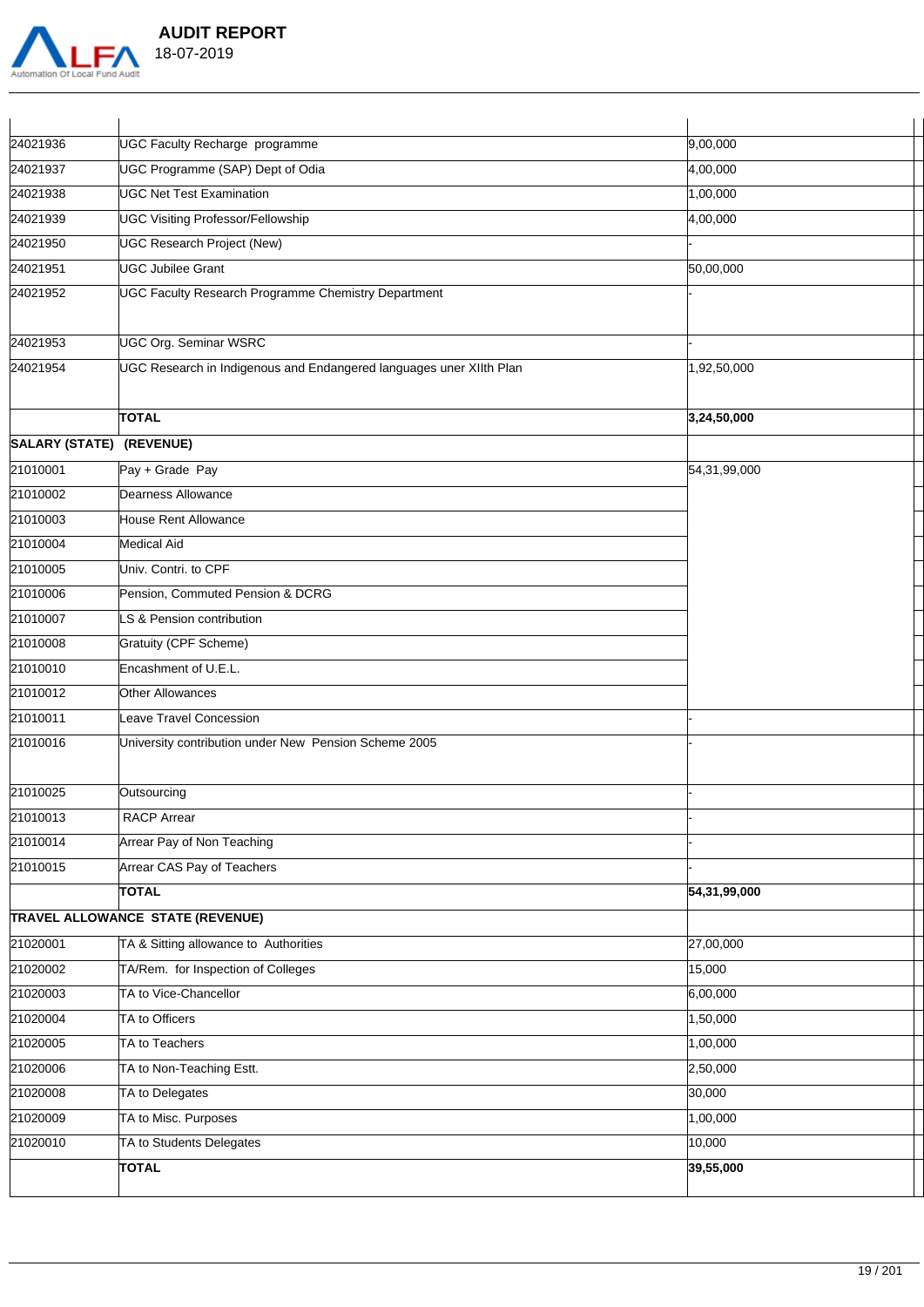

| <b>AUDIT REPORT</b> |
|---------------------|
| 18-07-2019          |
|                     |

| 24021936                 | UGC Faculty Recharge programme                                      | 9,00,000     |  |
|--------------------------|---------------------------------------------------------------------|--------------|--|
| 24021937                 | UGC Programme (SAP) Dept of Odia                                    | 4,00,000     |  |
| 24021938                 | <b>UGC Net Test Examination</b>                                     | 1,00,000     |  |
| 24021939                 | <b>UGC Visiting Professor/Fellowship</b>                            | 4,00,000     |  |
| 24021950                 | <b>UGC Research Project (New)</b>                                   |              |  |
| 24021951                 | UGC Jubilee Grant                                                   | 50,00,000    |  |
| 24021952                 | <b>UGC Faculty Research Programme Chemistry Department</b>          |              |  |
|                          |                                                                     |              |  |
| 24021953                 | UGC Org. Seminar WSRC                                               |              |  |
| 24021954                 | UGC Research in Indigenous and Endangered languages uner XIIth Plan | 1,92,50,000  |  |
|                          |                                                                     |              |  |
|                          | <b>TOTAL</b>                                                        | 3,24,50,000  |  |
| SALARY (STATE) (REVENUE) |                                                                     |              |  |
| 21010001                 | Pay + Grade Pay                                                     | 54,31,99,000 |  |
| 21010002                 | Dearness Allowance                                                  |              |  |
| 21010003                 | House Rent Allowance                                                |              |  |
| 21010004                 | Medical Aid                                                         |              |  |
| 21010005                 | Univ. Contri. to CPF                                                |              |  |
| 21010006                 | Pension, Commuted Pension & DCRG                                    |              |  |
| 21010007                 | LS & Pension contribution                                           |              |  |
| 21010008                 | Gratuity (CPF Scheme)                                               |              |  |
| 21010010                 | Encashment of U.E.L.                                                |              |  |
| 21010012                 | Other Allowances                                                    |              |  |
| 21010011                 | Leave Travel Concession                                             |              |  |
| 21010016                 | University contribution under New Pension Scheme 2005               |              |  |
|                          |                                                                     |              |  |
| 21010025                 | Outsourcing                                                         |              |  |
| 21010013                 | <b>RACP Arrear</b>                                                  |              |  |
| 21010014                 | Arrear Pay of Non Teaching                                          |              |  |
| 21010015                 | Arrear CAS Pay of Teachers                                          |              |  |
|                          | <b>TOTAL</b>                                                        | 54,31,99,000 |  |
|                          | TRAVEL ALLOWANCE STATE (REVENUE)                                    |              |  |
| 21020001                 | TA & Sitting allowance to Authorities                               | 27,00,000    |  |
| 21020002                 | TA/Rem. for Inspection of Colleges                                  | 15,000       |  |
| 21020003                 | TA to Vice-Chancellor                                               | 6,00,000     |  |
| 21020004                 | TA to Officers                                                      | 1,50,000     |  |
| 21020005                 | TA to Teachers                                                      | 1,00,000     |  |
| 21020006                 | TA to Non-Teaching Estt.                                            | 2,50,000     |  |
| 21020008                 | TA to Delegates                                                     | 30,000       |  |
| 21020009                 | TA to Misc. Purposes                                                | 1,00,000     |  |
| 21020010                 | TA to Students Delegates                                            | 10,000       |  |
|                          | <b>TOTAL</b>                                                        | 39,55,000    |  |
|                          |                                                                     |              |  |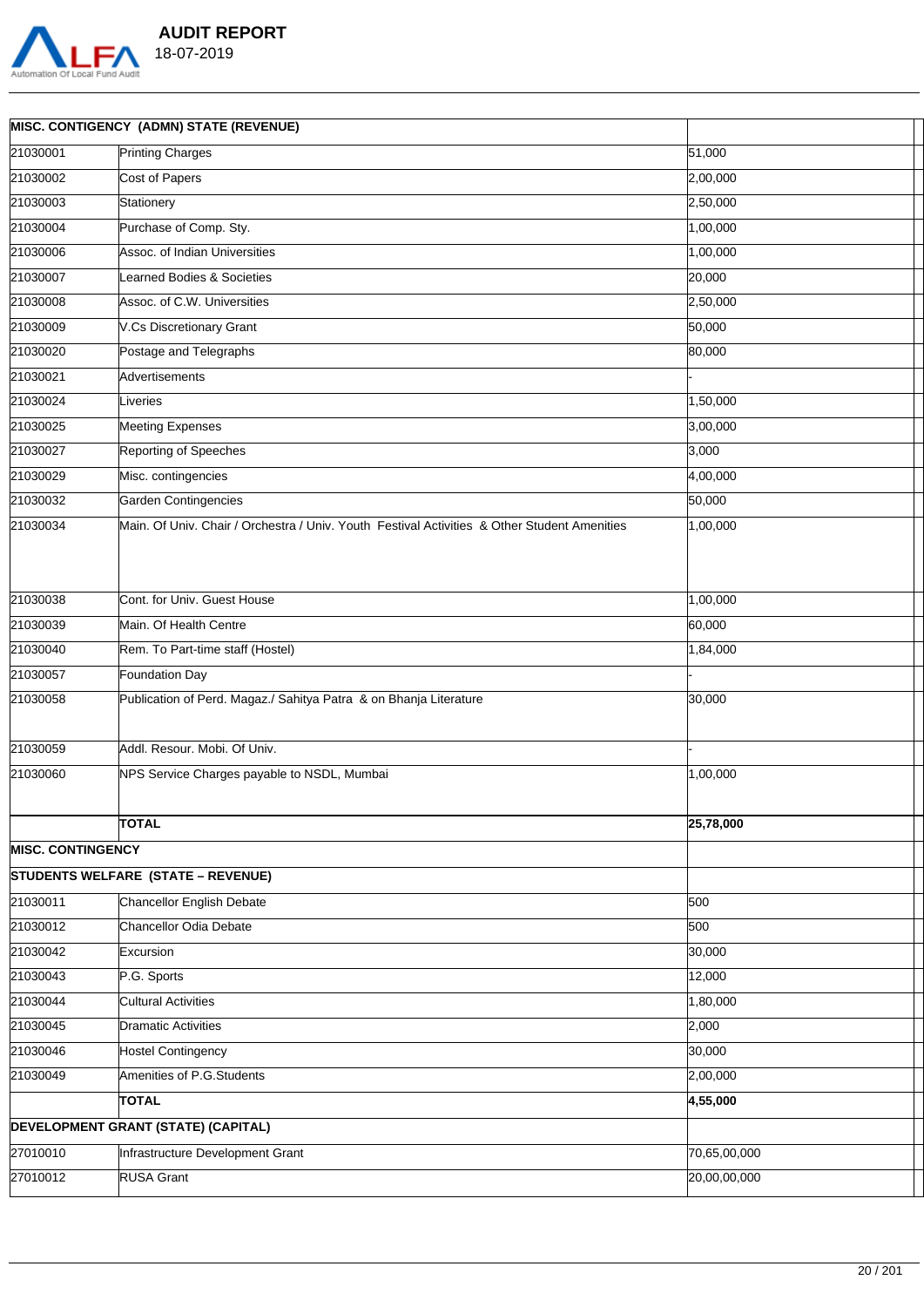

|                          | MISC. CONTIGENCY (ADMN) STATE (REVENUE)                                                      |              |  |
|--------------------------|----------------------------------------------------------------------------------------------|--------------|--|
| 21030001                 | <b>Printing Charges</b>                                                                      | 51,000       |  |
| 21030002                 | Cost of Papers                                                                               | 2,00,000     |  |
| 21030003                 | Stationery                                                                                   | 2,50,000     |  |
| 21030004                 | Purchase of Comp. Sty.                                                                       | 1,00,000     |  |
| 21030006                 | Assoc. of Indian Universities                                                                | 1,00,000     |  |
| 21030007                 | earned Bodies & Societies                                                                    | 20,000       |  |
| 21030008                 | Assoc. of C.W. Universities                                                                  | 2,50,000     |  |
| 21030009                 | V.Cs Discretionary Grant                                                                     | 50,000       |  |
| 21030020                 | Postage and Telegraphs                                                                       | 80,000       |  |
| 21030021                 | Advertisements                                                                               |              |  |
| 21030024                 | Liveries                                                                                     | 1,50,000     |  |
| 21030025                 | Meeting Expenses                                                                             | 3,00,000     |  |
| 21030027                 | Reporting of Speeches                                                                        | 3,000        |  |
| 21030029                 | Misc. contingencies                                                                          | 4,00,000     |  |
| 21030032                 | Garden Contingencies                                                                         | 50,000       |  |
| 21030034                 | Main. Of Univ. Chair / Orchestra / Univ. Youth Festival Activities & Other Student Amenities | 1,00,000     |  |
| 21030038                 | Cont. for Univ. Guest House                                                                  | 1,00,000     |  |
| 21030039                 | Main. Of Health Centre                                                                       | 60,000       |  |
| 21030040                 | Rem. To Part-time staff (Hostel)                                                             | 1,84,000     |  |
| 21030057                 | Foundation Day                                                                               |              |  |
| 21030058                 | Publication of Perd. Magaz./ Sahitya Patra & on Bhanja Literature                            | 30,000       |  |
| 21030059                 | Addl. Resour. Mobi. Of Univ.                                                                 |              |  |
| 21030060                 | NPS Service Charges payable to NSDL, Mumbai                                                  | 1,00,000     |  |
|                          | <b>TOTAL</b>                                                                                 | 25,78,000    |  |
| <b>MISC. CONTINGENCY</b> |                                                                                              |              |  |
|                          | STUDENTS WELFARE (STATE – REVENUE)                                                           |              |  |
| 21030011                 | Chancellor English Debate                                                                    | 500          |  |
| 21030012                 | Chancellor Odia Debate                                                                       | 500          |  |
| 21030042                 | Excursion                                                                                    | 30,000       |  |
| 21030043                 | P.G. Sports                                                                                  | 12,000       |  |
| 21030044                 | <b>Cultural Activities</b>                                                                   | 1,80,000     |  |
| 21030045                 | Dramatic Activities                                                                          | 2,000        |  |
| 21030046                 | Hostel Contingency                                                                           | 30,000       |  |
| 21030049                 | Amenities of P.G.Students                                                                    | 2,00,000     |  |
|                          | <b>TOTAL</b>                                                                                 | 4,55,000     |  |
|                          | DEVELOPMENT GRANT (STATE) (CAPITAL)                                                          |              |  |
| 27010010                 | Infrastructure Development Grant                                                             | 70,65,00,000 |  |
| 27010012                 | <b>RUSA Grant</b>                                                                            | 20,00,00,000 |  |
|                          |                                                                                              |              |  |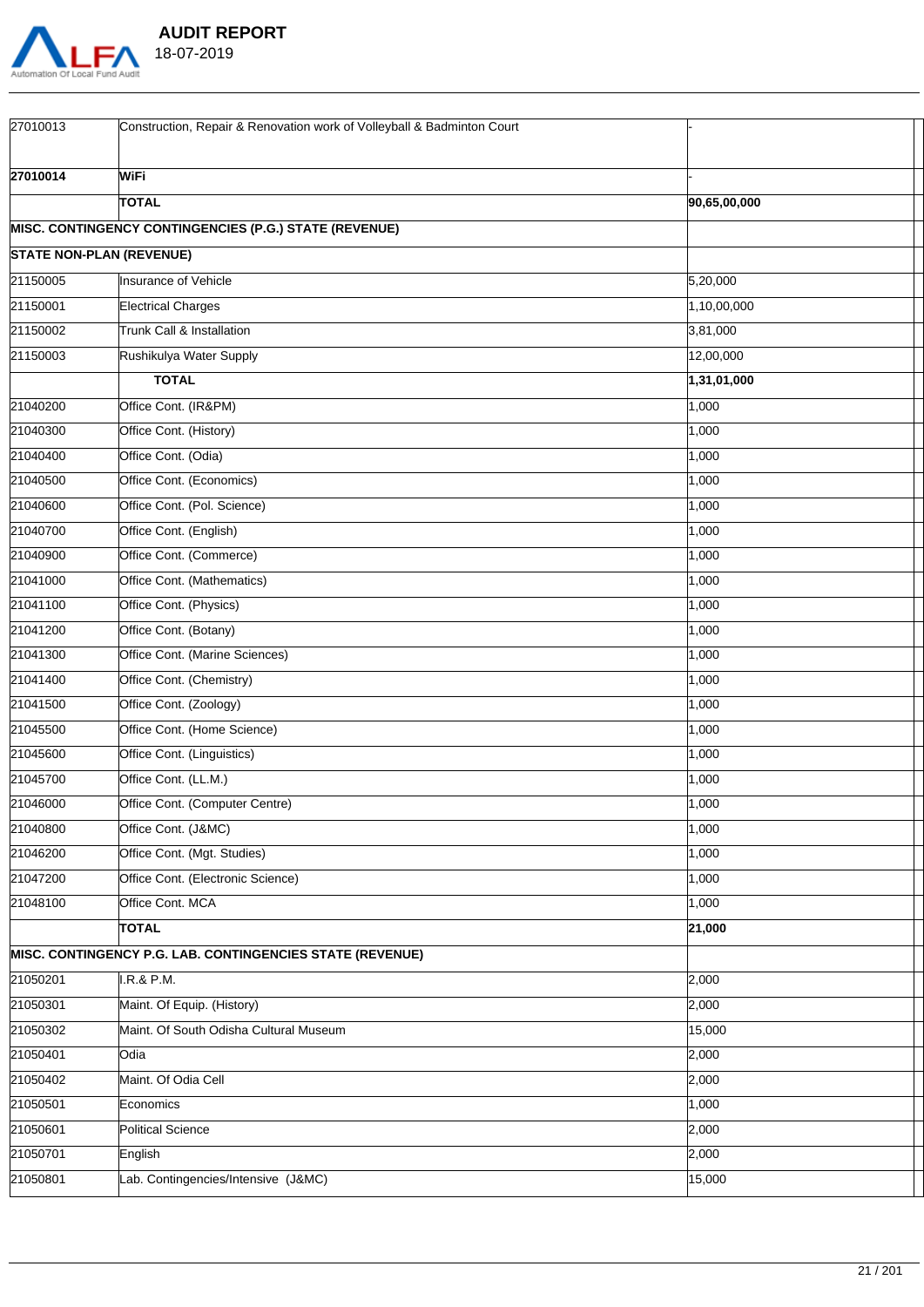

|            | <b>AUDIT REPORT</b> |
|------------|---------------------|
| 18-07-2019 |                     |

| 27010013 | Construction, Repair & Renovation work of Volleyball & Badminton Court |              |
|----------|------------------------------------------------------------------------|--------------|
| 27010014 | WiFi                                                                   |              |
|          | <b>TOTAL</b>                                                           | 90,65,00,000 |
|          | MISC. CONTINGENCY CONTINGENCIES (P.G.) STATE (REVENUE)                 |              |
|          | <b>STATE NON-PLAN (REVENUE)</b>                                        |              |
| 21150005 | Insurance of Vehicle                                                   | 5,20,000     |
| 21150001 | <b>Electrical Charges</b>                                              | 1,10,00,000  |
| 21150002 | Trunk Call & Installation                                              | 3,81,000     |
| 21150003 | Rushikulya Water Supply                                                | 12,00,000    |
|          | <b>TOTAL</b>                                                           | 1,31,01,000  |
| 21040200 | Office Cont. (IR&PM)                                                   | 1,000        |
| 21040300 | Office Cont. (History)                                                 | 1,000        |
| 21040400 | Office Cont. (Odia)                                                    | 1,000        |
| 21040500 | Office Cont. (Economics)                                               | 1,000        |
| 21040600 | Office Cont. (Pol. Science)                                            | 1,000        |
| 21040700 | Office Cont. (English)                                                 | 1,000        |
| 21040900 | Office Cont. (Commerce)                                                | 1,000        |
| 21041000 | Office Cont. (Mathematics)                                             | 1,000        |
| 21041100 | Office Cont. (Physics)                                                 | 1,000        |
| 21041200 | Office Cont. (Botany)                                                  | 1,000        |
| 21041300 | Office Cont. (Marine Sciences)                                         | 1,000        |
| 21041400 | Office Cont. (Chemistry)                                               | 1,000        |
| 21041500 | Office Cont. (Zoology)                                                 | 1,000        |
| 21045500 | Office Cont. (Home Science)                                            | 1,000        |
| 21045600 | Office Cont. (Linguistics)                                             | 1,000        |
| 21045700 | Office Cont. (LL.M.)                                                   | 1,000        |
| 21046000 | Office Cont. (Computer Centre)                                         | 1,000        |
| 21040800 | Office Cont. (J&MC)                                                    | 1,000        |
| 21046200 | Office Cont. (Mgt. Studies)                                            | 1,000        |
| 21047200 | Office Cont. (Electronic Science)                                      | 1,000        |
| 21048100 | Office Cont. MCA                                                       | 1,000        |
|          | <b>TOTAL</b>                                                           | 21,000       |
|          | MISC. CONTINGENCY P.G. LAB. CONTINGENCIES STATE (REVENUE)              |              |
| 21050201 | I.R.& P.M.                                                             | 2,000        |
| 21050301 | Maint. Of Equip. (History)                                             | 2,000        |
| 21050302 | Maint. Of South Odisha Cultural Museum                                 | 15,000       |
| 21050401 | Odia                                                                   | 2,000        |
| 21050402 | Maint. Of Odia Cell                                                    | 2,000        |
| 21050501 | Economics                                                              | 1,000        |
| 21050601 | Political Science                                                      | 2,000        |
| 21050701 | English                                                                | 2,000        |
| 21050801 | Lab. Contingencies/Intensive (J&MC)                                    | 15,000       |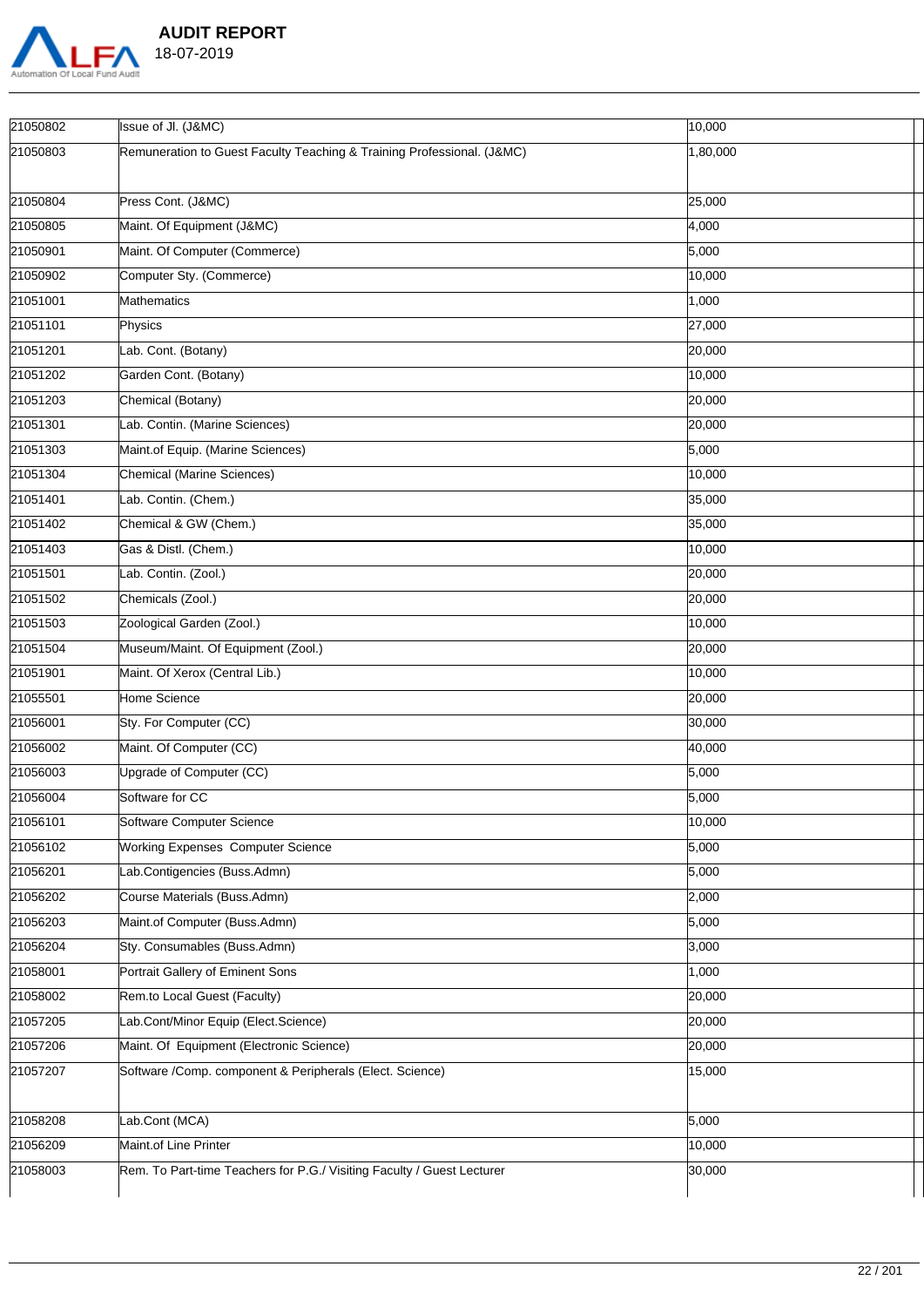

| 21050802 | Issue of Jl. (J&MC)                                                    | $\sqrt{10,000}$ |  |
|----------|------------------------------------------------------------------------|-----------------|--|
| 21050803 | Remuneration to Guest Faculty Teaching & Training Professional. (J&MC) | 1,80,000        |  |
|          |                                                                        |                 |  |
| 21050804 | Press Cont. (J&MC)                                                     | 25,000          |  |
| 21050805 | Maint. Of Equipment (J&MC)                                             | 4,000           |  |
| 21050901 | Maint. Of Computer (Commerce)                                          | 5,000           |  |
| 21050902 | Computer Sty. (Commerce)                                               | 10,000          |  |
| 21051001 | Mathematics                                                            | 1,000           |  |
| 21051101 | Physics                                                                | 27,000          |  |
| 21051201 | Lab. Cont. (Botany)                                                    | 20,000          |  |
| 21051202 | Garden Cont. (Botany)                                                  | 10,000          |  |
| 21051203 | Chemical (Botany)                                                      | 20,000          |  |
| 21051301 | Lab. Contin. (Marine Sciences)                                         | 20,000          |  |
| 21051303 | Maint.of Equip. (Marine Sciences)                                      | 5,000           |  |
| 21051304 | Chemical (Marine Sciences)                                             | 10,000          |  |
| 21051401 | Lab. Contin. (Chem.)                                                   | 35,000          |  |
| 21051402 | Chemical & GW (Chem.)                                                  | 35,000          |  |
| 21051403 | Gas & Distl. (Chem.)                                                   | 10,000          |  |
| 21051501 | Lab. Contin. (Zool.)                                                   | 20,000          |  |
| 21051502 | Chemicals (Zool.)                                                      | 20,000          |  |
| 21051503 | Zoological Garden (Zool.)                                              | 10,000          |  |
| 21051504 | Museum/Maint. Of Equipment (Zool.)                                     | 20,000          |  |
| 21051901 | Maint. Of Xerox (Central Lib.)                                         | 10,000          |  |
| 21055501 | Home Science                                                           | 20,000          |  |
| 21056001 | Sty. For Computer (CC)                                                 | 30,000          |  |
| 21056002 | Maint. Of Computer (CC)                                                | 40,000          |  |
| 21056003 | Upgrade of Computer (CC)                                               | 5,000           |  |
| 21056004 | Software for CC                                                        | 5,000           |  |
| 21056101 | Software Computer Science                                              | 10,000          |  |
| 21056102 | <b>Working Expenses Computer Science</b>                               | 5,000           |  |
| 21056201 | Lab.Contigencies (Buss.Admn)                                           | 5,000           |  |
| 21056202 | Course Materials (Buss.Admn)                                           | 2,000           |  |
| 21056203 | Maint.of Computer (Buss.Admn)                                          | 5,000           |  |
| 21056204 | Sty. Consumables (Buss.Admn)                                           | 3,000           |  |
| 21058001 | Portrait Gallery of Eminent Sons                                       | $\sqrt{1,000}$  |  |
| 21058002 | Rem.to Local Guest (Faculty)                                           | 20,000          |  |
| 21057205 | Lab.Cont/Minor Equip (Elect.Science)                                   | 20,000          |  |
| 21057206 | Maint. Of Equipment (Electronic Science)                               | 20,000          |  |
| 21057207 | Software /Comp. component & Peripherals (Elect. Science)               | 15,000          |  |
|          |                                                                        |                 |  |
| 21058208 | Lab.Cont (MCA)                                                         | 5,000           |  |
| 21056209 | Maint.of Line Printer                                                  | 10,000          |  |
| 21058003 | Rem. To Part-time Teachers for P.G./ Visiting Faculty / Guest Lecturer | 30,000          |  |
|          |                                                                        |                 |  |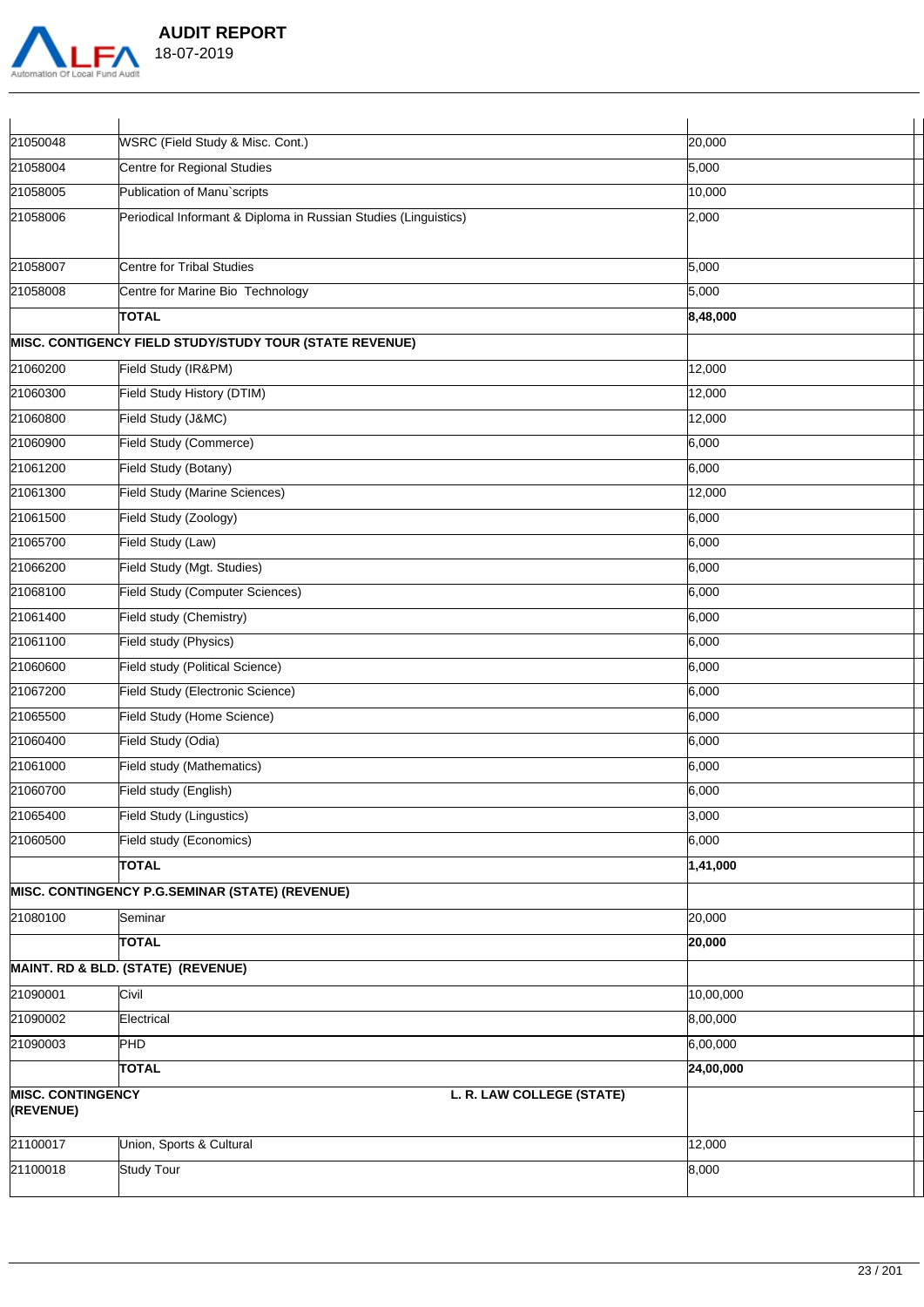

| 21050048                 | WSRC (Field Study & Misc. Cont.)                                | 20,000    |  |
|--------------------------|-----------------------------------------------------------------|-----------|--|
| 21058004                 | Centre for Regional Studies                                     | 5,000     |  |
| 21058005                 | Publication of Manu'scripts                                     | 10,000    |  |
| 21058006                 | Periodical Informant & Diploma in Russian Studies (Linguistics) | 2,000     |  |
| 21058007                 | Centre for Tribal Studies                                       | 5,000     |  |
| 21058008                 | Centre for Marine Bio Technology                                | 5,000     |  |
|                          | TOTAL                                                           | 8,48,000  |  |
|                          | <b>MISC. CONTIGENCY FIELD STUDY/STUDY TOUR (STATE REVENUE)</b>  |           |  |
| 21060200                 | Field Study (IR&PM)                                             | 12,000    |  |
| 21060300                 | Field Study History (DTIM)                                      | 12,000    |  |
| 21060800                 | Field Study (J&MC)                                              | 12,000    |  |
| 21060900                 | Field Study (Commerce)                                          | 6,000     |  |
| 21061200                 | Field Study (Botany)                                            | 6,000     |  |
| 21061300                 | <b>Field Study (Marine Sciences)</b>                            | 12,000    |  |
| 21061500                 | Field Study (Zoology)                                           | 6,000     |  |
| 21065700                 | Field Study (Law)                                               | 6,000     |  |
| 21066200                 | Field Study (Mgt. Studies)                                      | 6,000     |  |
| 21068100                 | Field Study (Computer Sciences)                                 | 6,000     |  |
| 21061400                 | Field study (Chemistry)                                         | 6,000     |  |
| 21061100                 | Field study (Physics)                                           | 6,000     |  |
| 21060600                 | Field study (Political Science)                                 | 6,000     |  |
| 21067200                 | Field Study (Electronic Science)                                | 6,000     |  |
| 21065500                 | Field Study (Home Science)                                      | 6,000     |  |
| 21060400                 | Field Study (Odia)                                              | 6,000     |  |
| 21061000                 | Field study (Mathematics)                                       | 6,000     |  |
| 21060700                 | Field study (English)                                           | 6,000     |  |
| 21065400                 | Field Study (Lingustics)                                        | 3,000     |  |
| 21060500                 | Field study (Economics)                                         | 6,000     |  |
|                          | TOTAL                                                           | 1,41,000  |  |
|                          | MISC. CONTINGENCY P.G.SEMINAR (STATE) (REVENUE)                 |           |  |
| 21080100                 | Seminar                                                         | 20,000    |  |
|                          | <b>TOTAL</b>                                                    | 20,000    |  |
|                          | MAINT. RD & BLD. (STATE) (REVENUE)                              |           |  |
| 21090001                 | Civil                                                           | 10,00,000 |  |
| 21090002                 | Electrical                                                      | 8,00,000  |  |
| 21090003                 | PHD                                                             | 6,00,000  |  |
|                          | TOTAL                                                           | 24,00,000 |  |
| <b>MISC. CONTINGENCY</b> | L. R. LAW COLLEGE (STATE)                                       |           |  |
| (REVENUE)                |                                                                 |           |  |
| 21100017                 | Union, Sports & Cultural                                        | 12,000    |  |
| 21100018                 | Study Tour                                                      | 8,000     |  |
|                          |                                                                 |           |  |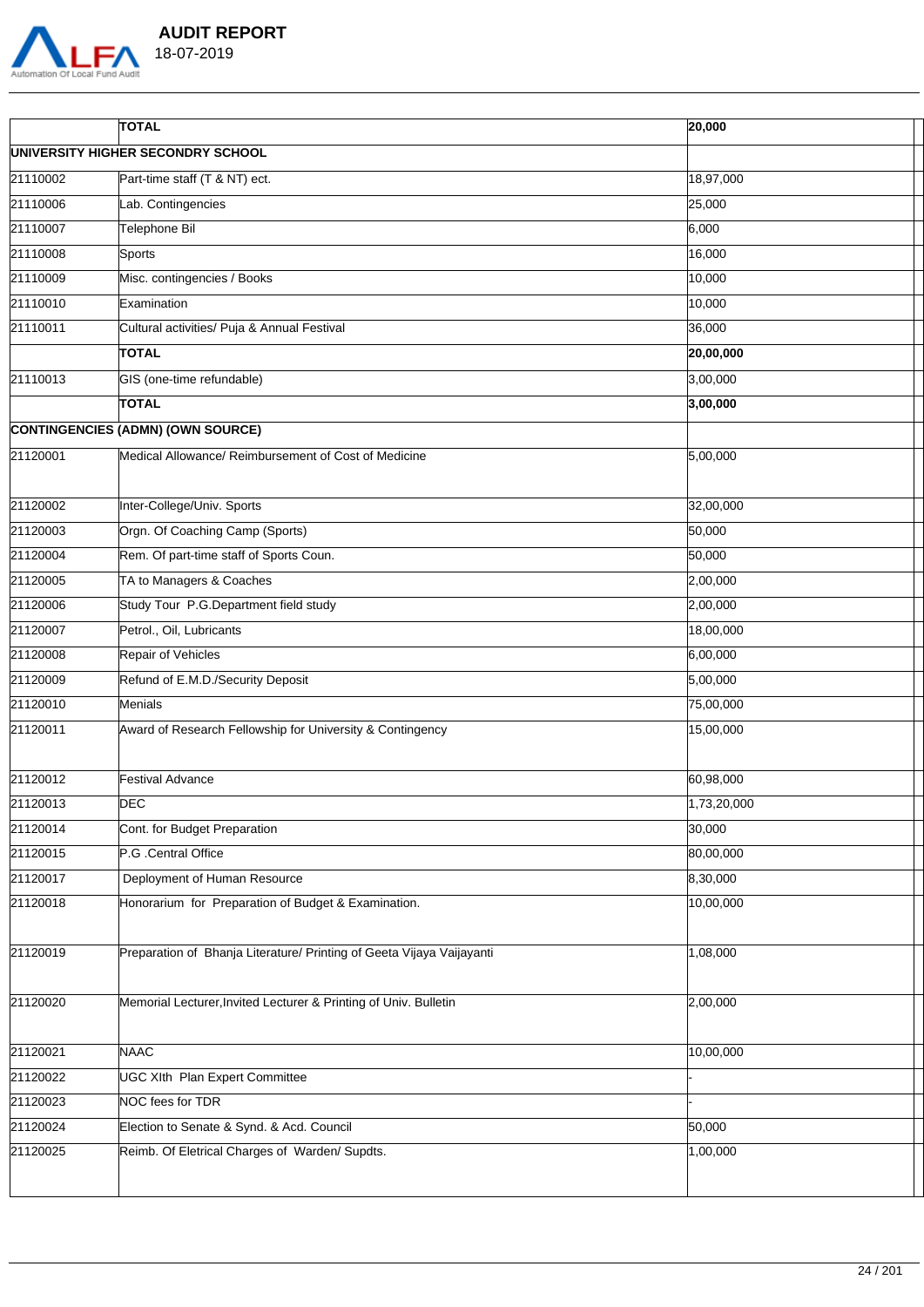

|            | <b>AUDIT REPORT</b> |
|------------|---------------------|
| 18-07-2019 |                     |

|          | <b>TOTAL</b>                                                          | $\sqrt{20,000}$ |
|----------|-----------------------------------------------------------------------|-----------------|
|          | UNIVERSITY HIGHER SECONDRY SCHOOL                                     |                 |
| 21110002 | Part-time staff (T & NT) ect.                                         | 18,97,000       |
| 21110006 | Lab. Contingencies                                                    | 25,000          |
| 21110007 | Telephone Bil                                                         | 6,000           |
| 21110008 | Sports                                                                | 16,000          |
| 21110009 | Misc. contingencies / Books                                           | 10,000          |
| 21110010 | Examination                                                           | 10,000          |
| 21110011 | Cultural activities/ Puja & Annual Festival                           | 36,000          |
|          | TOTAL                                                                 | 20,00,000       |
| 21110013 | GIS (one-time refundable)                                             | 3,00,000        |
|          | TOTAL                                                                 | 3,00,000        |
|          | <b>CONTINGENCIES (ADMN) (OWN SOURCE)</b>                              |                 |
| 21120001 | Medical Allowance/ Reimbursement of Cost of Medicine                  | 5,00,000        |
| 21120002 | Inter-College/Univ. Sports                                            | 32,00,000       |
| 21120003 | Orgn. Of Coaching Camp (Sports)                                       | 50,000          |
| 21120004 | Rem. Of part-time staff of Sports Coun.                               | 50,000          |
| 21120005 | TA to Managers & Coaches                                              | 2,00,000        |
| 21120006 | Study Tour P.G.Department field study                                 | 2,00,000        |
| 21120007 | Petrol., Oil, Lubricants                                              | 18,00,000       |
| 21120008 | Repair of Vehicles                                                    | 6,00,000        |
| 21120009 | Refund of E.M.D./Security Deposit                                     | 5,00,000        |
| 21120010 | Menials                                                               | 75,00,000       |
| 21120011 | Award of Research Fellowship for University & Contingency             | 15,00,000       |
| 21120012 | Festival Advance                                                      | 60,98,000       |
| 21120013 | <b>DEC</b>                                                            | 1,73,20,000     |
| 21120014 | Cont. for Budget Preparation                                          | 30,000          |
| 21120015 | P.G .Central Office                                                   | 80,00,000       |
| 21120017 | Deployment of Human Resource                                          | 8,30,000        |
| 21120018 | Honorarium for Preparation of Budget & Examination.                   | 10,00,000       |
| 21120019 | Preparation of Bhanja Literature/ Printing of Geeta Vijaya Vaijayanti | 1,08,000        |
| 21120020 | Memorial Lecturer, Invited Lecturer & Printing of Univ. Bulletin      | 2,00,000        |
| 21120021 | <b>NAAC</b>                                                           | 10,00,000       |
| 21120022 | <b>UGC XIth Plan Expert Committee</b>                                 |                 |
| 21120023 | NOC fees for TDR                                                      |                 |
| 21120024 | Election to Senate & Synd. & Acd. Council                             | 50,000          |
| 21120025 | Reimb. Of Eletrical Charges of Warden/Supdts.                         | 1,00,000        |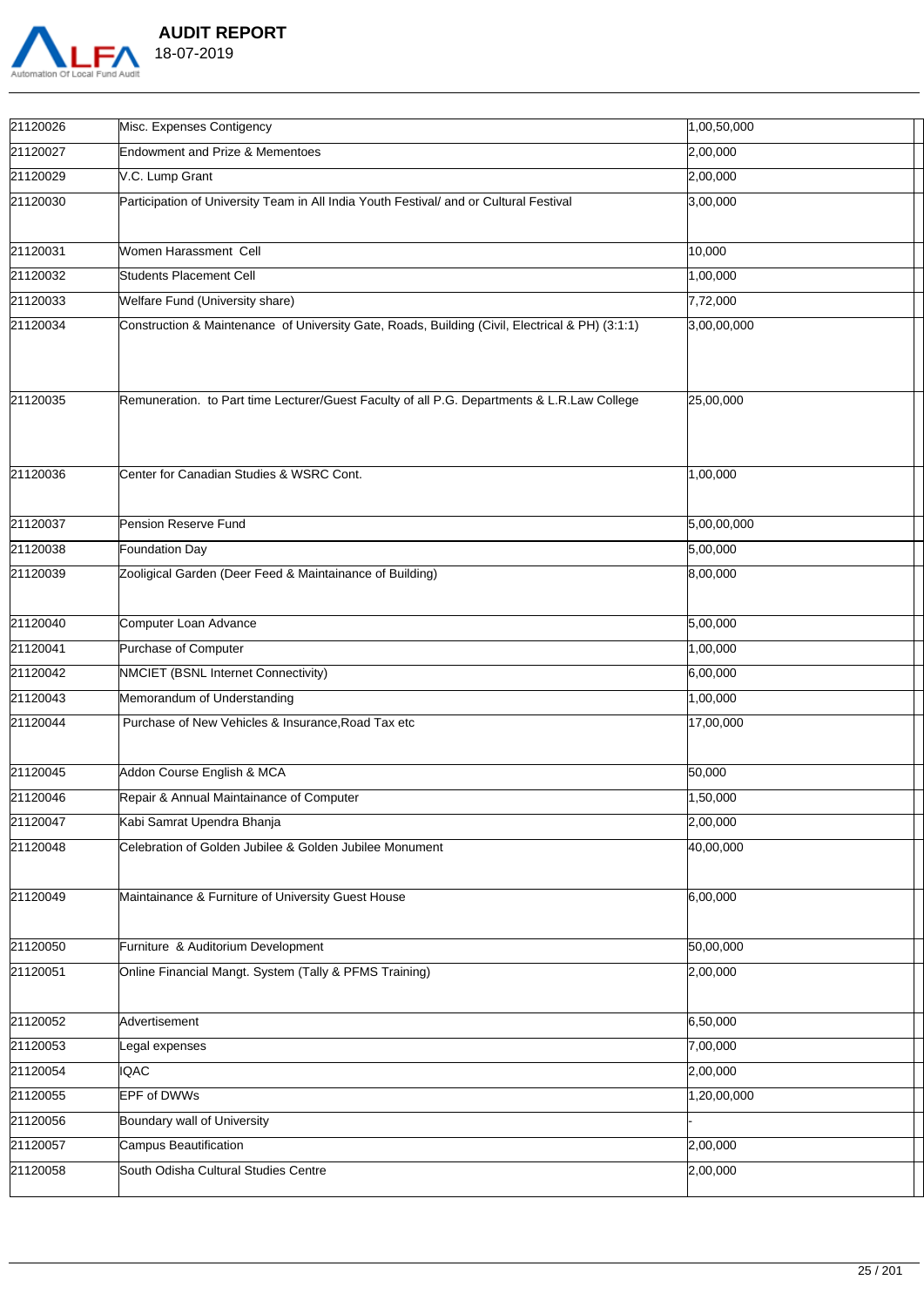

 **AUDIT REPORT**  18-07-2019

| 21120026 | Misc. Expenses Contigency                                                                       | 1,00,50,000 |
|----------|-------------------------------------------------------------------------------------------------|-------------|
| 21120027 | <b>Endowment and Prize &amp; Mementoes</b>                                                      | 2,00,000    |
| 21120029 | V.C. Lump Grant                                                                                 | 2,00,000    |
| 21120030 | Participation of University Team in All India Youth Festival/ and or Cultural Festival          | 3,00,000    |
| 21120031 | Women Harassment Cell                                                                           | 10,000      |
| 21120032 | Students Placement Cell                                                                         | 1,00,000    |
| 21120033 | <b>Welfare Fund (University share)</b>                                                          | 7,72,000    |
| 21120034 | Construction & Maintenance of University Gate, Roads, Building (Civil, Electrical & PH) (3:1:1) | 3,00,00,000 |
| 21120035 | Remuneration. to Part time Lecturer/Guest Faculty of all P.G. Departments & L.R.Law College     | 25,00,000   |
| 21120036 | Center for Canadian Studies & WSRC Cont.                                                        | 1,00,000    |
| 21120037 | Pension Reserve Fund                                                                            | 5,00,00,000 |
| 21120038 | Foundation Day                                                                                  | 5,00,000    |
| 21120039 | Zooligical Garden (Deer Feed & Maintainance of Building)                                        | 8,00,000    |
| 21120040 | Computer Loan Advance                                                                           | 5,00,000    |
| 21120041 | Purchase of Computer                                                                            | 1,00,000    |
| 21120042 | NMCIET (BSNL Internet Connectivity)                                                             | 6,00,000    |
| 21120043 | Memorandum of Understanding                                                                     | 1,00,000    |
| 21120044 | Purchase of New Vehicles & Insurance, Road Tax etc                                              | 17,00,000   |
| 21120045 | Addon Course English & MCA                                                                      | 50,000      |
| 21120046 | Repair & Annual Maintainance of Computer                                                        | 1,50,000    |
| 21120047 | Kabi Samrat Upendra Bhanja                                                                      | 2,00,000    |
| 21120048 | Celebration of Golden Jubilee & Golden Jubilee Monument                                         | 40,00,000   |
| 21120049 | Maintainance & Furniture of University Guest House                                              | 6,00,000    |
| 21120050 | Furniture & Auditorium Development                                                              | 50,00,000   |
| 21120051 | Online Financial Mangt. System (Tally & PFMS Training)                                          | 2,00,000    |
| 21120052 | Advertisement                                                                                   | 6,50,000    |
| 21120053 | egal expenses                                                                                   | 7,00,000    |
| 21120054 | IQAC                                                                                            | 2,00,000    |
| 21120055 | <b>EPF of DWWs</b>                                                                              | 1,20,00,000 |
| 21120056 | Boundary wall of University                                                                     |             |
| 21120057 | Campus Beautification                                                                           | 2,00,000    |
| 21120058 | South Odisha Cultural Studies Centre                                                            | 2,00,000    |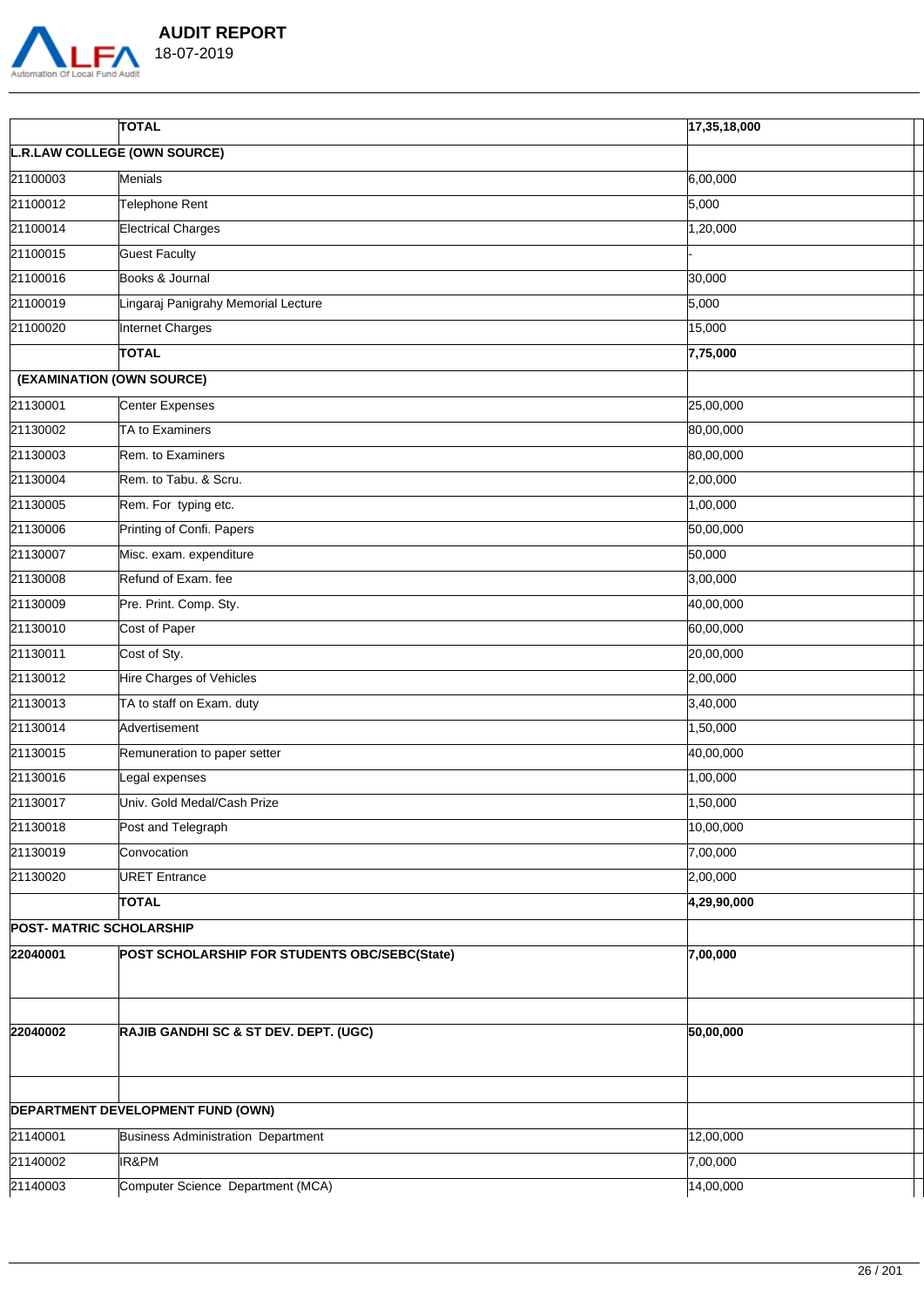

|                           | <b>TOTAL</b>                                  | 17,35,18,000 |
|---------------------------|-----------------------------------------------|--------------|
|                           | <b>L.R.LAW COLLEGE (OWN SOURCE)</b>           |              |
| 21100003                  | Menials                                       | 6,00,000     |
| 21100012                  | <b>Telephone Rent</b>                         | 5,000        |
| 21100014                  | <b>Electrical Charges</b>                     | 1,20,000     |
| 21100015                  | <b>Guest Faculty</b>                          |              |
| 21100016                  | Books & Journal                               | 30,000       |
| 21100019                  | Lingaraj Panigrahy Memorial Lecture           | 5,000        |
| 21100020                  | <b>Internet Charges</b>                       | 15,000       |
|                           | <b>TOTAL</b>                                  | 7,75,000     |
| (EXAMINATION (OWN SOURCE) |                                               |              |
| 21130001                  | Center Expenses                               | 25,00,000    |
| 21130002                  | TA to Examiners                               | 80,00,000    |
| 21130003                  | Rem. to Examiners                             | 80,00,000    |
| 21130004                  | Rem. to Tabu. & Scru.                         | 2,00,000     |
| 21130005                  | Rem. For typing etc.                          | 1,00,000     |
| 21130006                  | Printing of Confi. Papers                     | 50,00,000    |
| 21130007                  | Misc. exam. expenditure                       | 50,000       |
| 21130008                  | Refund of Exam. fee                           | 3,00,000     |
| 21130009                  | Pre. Print. Comp. Sty.                        | 40,00,000    |
| 21130010                  | Cost of Paper                                 | 60,00,000    |
| 21130011                  | Cost of Sty.                                  | 20,00,000    |
| 21130012                  | Hire Charges of Vehicles                      | 2,00,000     |
| 21130013                  | TA to staff on Exam. duty                     | 3,40,000     |
| 21130014                  | Advertisement                                 | 1,50,000     |
| 21130015                  | Remuneration to paper setter                  | 40,00,000    |
| 21130016                  | egal expenses                                 | 1,00,000     |
| 21130017                  | Univ. Gold Medal/Cash Prize                   | 1,50,000     |
| 21130018                  | Post and Telegraph                            | 10,00,000    |
| 21130019                  | Convocation                                   | 7,00,000     |
| 21130020                  | <b>URET Entrance</b>                          | 2,00,000     |
|                           | TOTAL                                         | 4,29,90,000  |
| POST- MATRIC SCHOLARSHIP  |                                               |              |
| 22040001                  | POST SCHOLARSHIP FOR STUDENTS OBC/SEBC(State) | 7,00,000     |
|                           |                                               |              |
| 22040002                  | RAJIB GANDHI SC & ST DEV. DEPT. (UGC)         | 50,00,000    |
|                           |                                               |              |
|                           | DEPARTMENT DEVELOPMENT FUND (OWN)             |              |
| 21140001                  | Business Administration Department            | 12,00,000    |
| 21140002                  | <b>IR&amp;PM</b>                              | 7,00,000     |
| 21140003                  | Computer Science Department (MCA)             | 14,00,000    |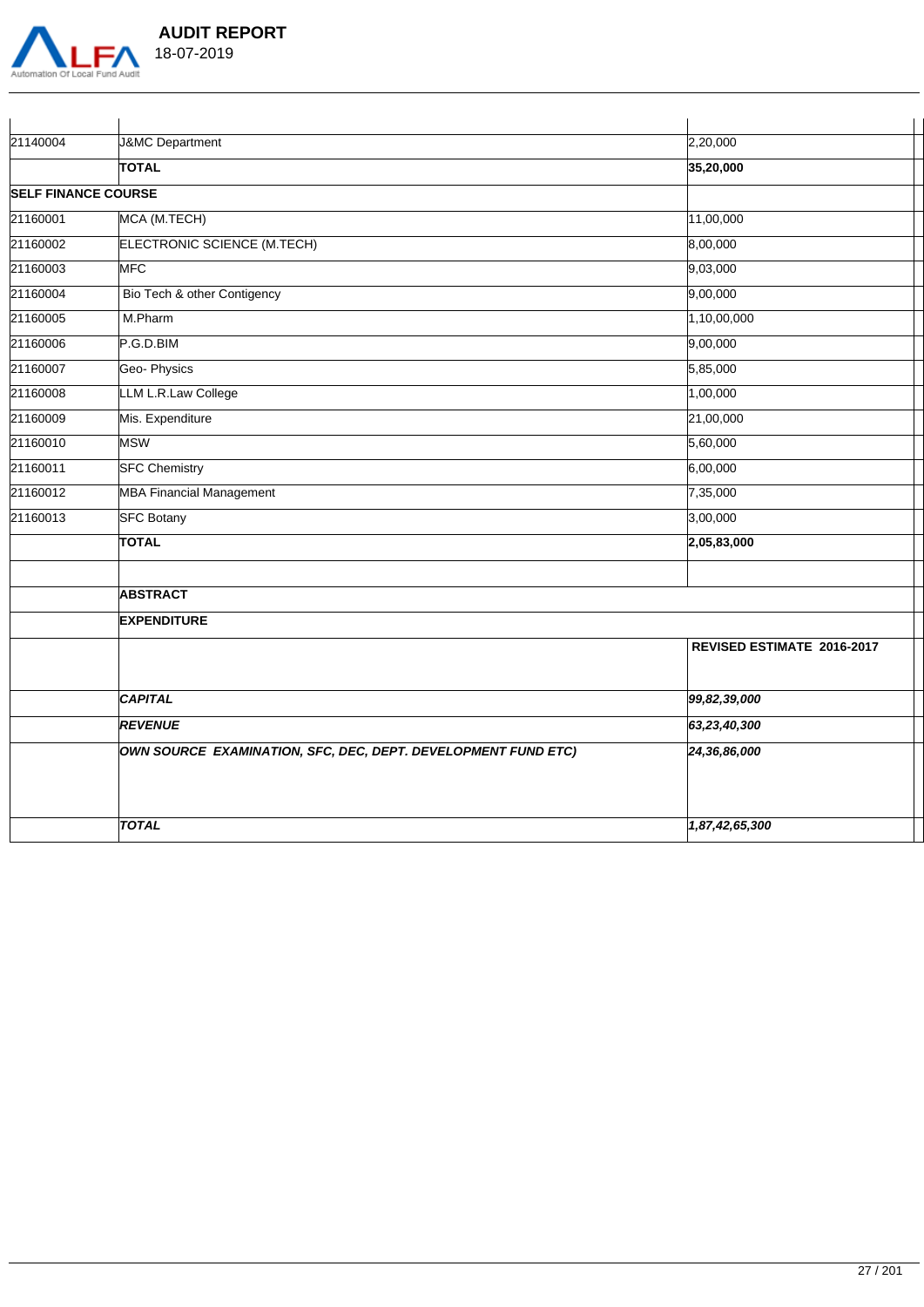

| 21140004                   | <b>J&amp;MC Department</b>                                    | 2,20,000                   |
|----------------------------|---------------------------------------------------------------|----------------------------|
|                            | <b>TOTAL</b>                                                  | 35,20,000                  |
| <b>SELF FINANCE COURSE</b> |                                                               |                            |
| 21160001                   | MCA (M.TECH)                                                  | 11,00,000                  |
| 21160002                   | ELECTRONIC SCIENCE (M.TECH)                                   | 8,00,000                   |
| 21160003                   | MFC                                                           | 9,03,000                   |
| 21160004                   | Bio Tech & other Contigency                                   | 9,00,000                   |
| 21160005                   | M.Pharm                                                       | 1,10,00,000                |
| 21160006                   | P.G.D.BIM                                                     | 9,00,000                   |
| 21160007                   | Geo-Physics                                                   | 5,85,000                   |
| 21160008                   | LLM L.R.Law College                                           | 1,00,000                   |
| 21160009                   | Mis. Expenditure                                              | 21,00,000                  |
| 21160010                   | <b>MSW</b>                                                    | 5,60,000                   |
| 21160011                   | <b>SFC Chemistry</b>                                          | 6,00,000                   |
| 21160012                   | <b>MBA Financial Management</b>                               | 7,35,000                   |
| 21160013                   | <b>SFC Botany</b>                                             | 3,00,000                   |
|                            | <b>TOTAL</b>                                                  | 2,05,83,000                |
|                            |                                                               |                            |
|                            | <b>ABSTRACT</b>                                               |                            |
|                            | <b>EXPENDITURE</b>                                            |                            |
|                            |                                                               | REVISED ESTIMATE 2016-2017 |
|                            | <b>CAPITAL</b>                                                | 99,82,39,000               |
|                            | <b>REVENUE</b>                                                | 63,23,40,300               |
|                            | OWN SOURCE EXAMINATION, SFC, DEC, DEPT. DEVELOPMENT FUND ETC) | 24,36,86,000               |
|                            |                                                               |                            |
|                            | <b>TOTAL</b>                                                  | 1,87,42,65,300             |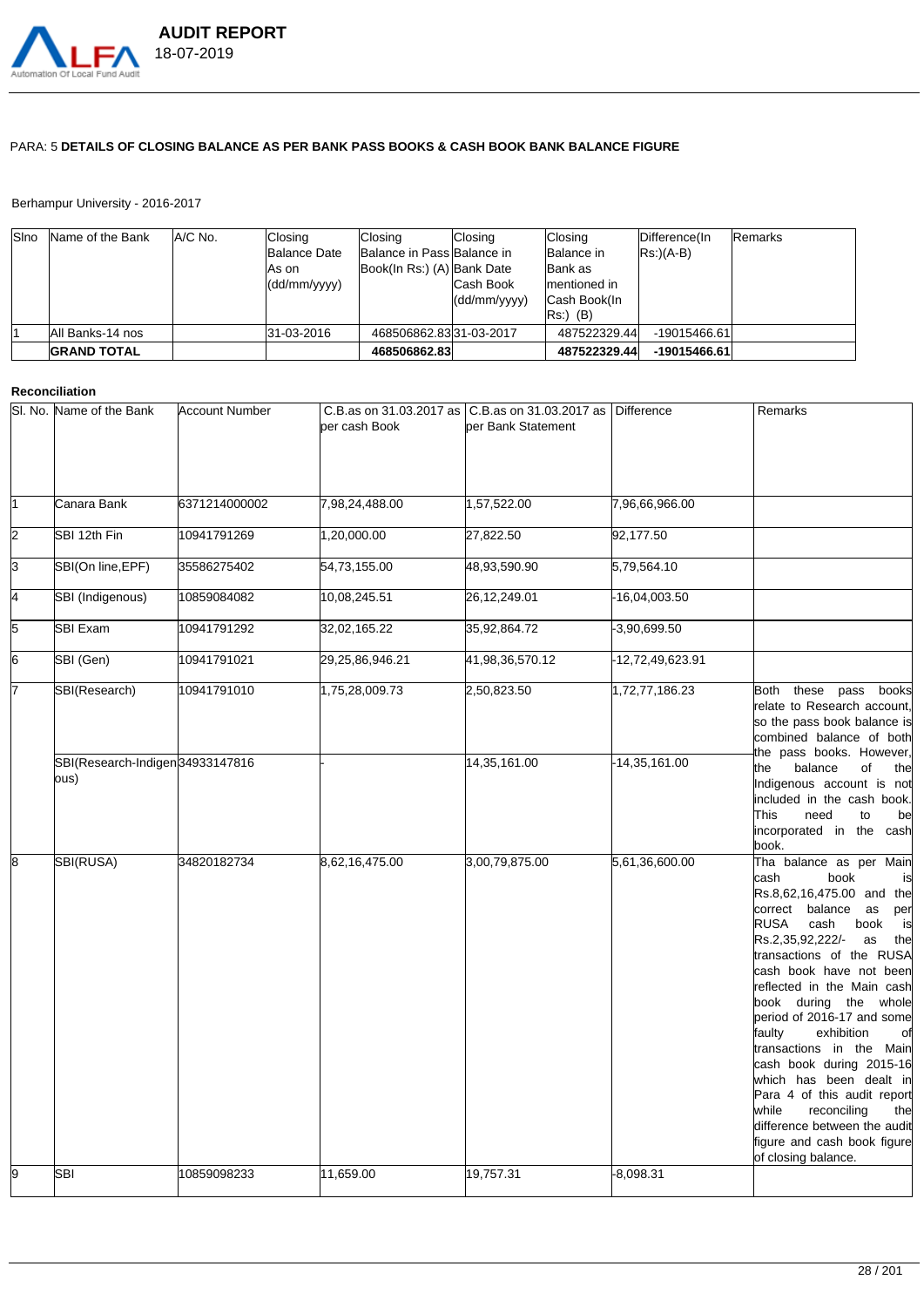

# 18-07-2019

# PARA: 5 **DETAILS OF CLOSING BALANCE AS PER BANK PASS BOOKS & CASH BOOK BANK BALANCE FIGURE**

Berhampur University - 2016-2017

| <b>S</b> lno | Name of the Bank    | IA/C No. | Closing      | Closing                    | <b>Closing</b> | Closing       | Difference(In   | Remarks |
|--------------|---------------------|----------|--------------|----------------------------|----------------|---------------|-----------------|---------|
|              |                     |          | Balance Date | Balance in Pass Balance in |                | Balance in    | $Rs.$ ) $(A-B)$ |         |
|              |                     |          | IAs on       | Book(In Rs:) (A) Bank Date |                | Bank as       |                 |         |
|              |                     |          | (dd/mm/yyyy) |                            | Cash Book      | Imentioned in |                 |         |
|              |                     |          |              |                            | (dd/mm/yyyy)   | Cash Book(In  |                 |         |
|              |                     |          |              |                            |                | $RS()$ $(B)$  |                 |         |
|              | All Banks-14 nos    |          | 31-03-2016   | 468506862.8331-03-2017     |                | 487522329.44  | -19015466.61    |         |
|              | <b>IGRAND TOTAL</b> |          |              | 468506862.83               |                | 487522329.44  | -19015466.61    |         |

#### **Reconciliation**

|            | SI. No. Name of the Bank                | <b>Account Number</b> | per cash Book   | C.B.as on 31.03.2017 as   C.B.as on 31.03.2017 as   Difference<br>per Bank Statement |                  | Remarks                                                                                                                                                                                                                                                                                                                                                                                                                                                                                                                                                                                         |
|------------|-----------------------------------------|-----------------------|-----------------|--------------------------------------------------------------------------------------|------------------|-------------------------------------------------------------------------------------------------------------------------------------------------------------------------------------------------------------------------------------------------------------------------------------------------------------------------------------------------------------------------------------------------------------------------------------------------------------------------------------------------------------------------------------------------------------------------------------------------|
|            | Canara Bank                             | 6371214000002         | 7,98,24,488.00  | 1,57,522.00                                                                          | 7,96,66,966.00   |                                                                                                                                                                                                                                                                                                                                                                                                                                                                                                                                                                                                 |
| 2          | SBI 12th Fin                            | 10941791269           | 1,20,000.00     | 27,822.50                                                                            | 92,177.50        |                                                                                                                                                                                                                                                                                                                                                                                                                                                                                                                                                                                                 |
| 3          | SBI(On line, EPF)                       | 35586275402           | 54,73,155.00    | 48,93,590.90                                                                         | 5,79,564.10      |                                                                                                                                                                                                                                                                                                                                                                                                                                                                                                                                                                                                 |
| 4          | SBI (Indigenous)                        | 10859084082           | 10,08,245.51    | 26,12,249.01                                                                         | -16,04,003.50    |                                                                                                                                                                                                                                                                                                                                                                                                                                                                                                                                                                                                 |
| 5          | <b>SBI Exam</b>                         | 10941791292           | 32,02,165.22    | 35,92,864.72                                                                         | $-3,90,699.50$   |                                                                                                                                                                                                                                                                                                                                                                                                                                                                                                                                                                                                 |
| $\sqrt{6}$ | SBI (Gen)                               | 10941791021           | 29,25,86,946.21 | 41,98,36,570.12                                                                      | -12,72,49,623.91 |                                                                                                                                                                                                                                                                                                                                                                                                                                                                                                                                                                                                 |
| 17         | SBI(Research)                           | 10941791010           | 1,75,28,009.73  | 2,50,823.50                                                                          | 1,72,77,186.23   | Both these pass books<br>relate to Research account,<br>so the pass book balance is<br>combined balance of both                                                                                                                                                                                                                                                                                                                                                                                                                                                                                 |
|            | SBI(Research-Indigen34933147816<br>ous) |                       |                 | 14,35,161.00                                                                         | -14,35,161.00    | the pass books. However,<br>balance<br>of<br>lthe<br>the<br>Indigenous account is not<br>included in the cash book.<br>This<br>need<br>to<br>be<br>incorporated in the cash<br>book.                                                                                                                                                                                                                                                                                                                                                                                                            |
| 8          | SBI(RUSA)                               | 34820182734           | 8,62,16,475.00  | 3,00,79,875.00                                                                       | 5,61,36,600.00   | Tha balance as per Main<br>book<br>cash<br>is<br>Rs.8,62,16,475.00 and the<br>correct balance<br>as<br>per<br>RUSA<br>cash<br>book<br>isl<br>Rs.2,35,92,222/-<br>as<br>the<br>transactions of the RUSA<br>cash book have not been<br>reflected in the Main cash<br>book during the<br>whole<br>period of 2016-17 and some<br>faulty<br>exhibition<br>of<br>transactions in the Main<br>cash book during 2015-16<br>which has been dealt in<br>Para 4 of this audit report<br>reconciling<br>lwhile<br>the<br>difference between the audit<br>figure and cash book figure<br>of closing balance. |
| l9         | lsbi                                    | 10859098233           | 11,659.00       | 19,757.31                                                                            | -8,098.31        |                                                                                                                                                                                                                                                                                                                                                                                                                                                                                                                                                                                                 |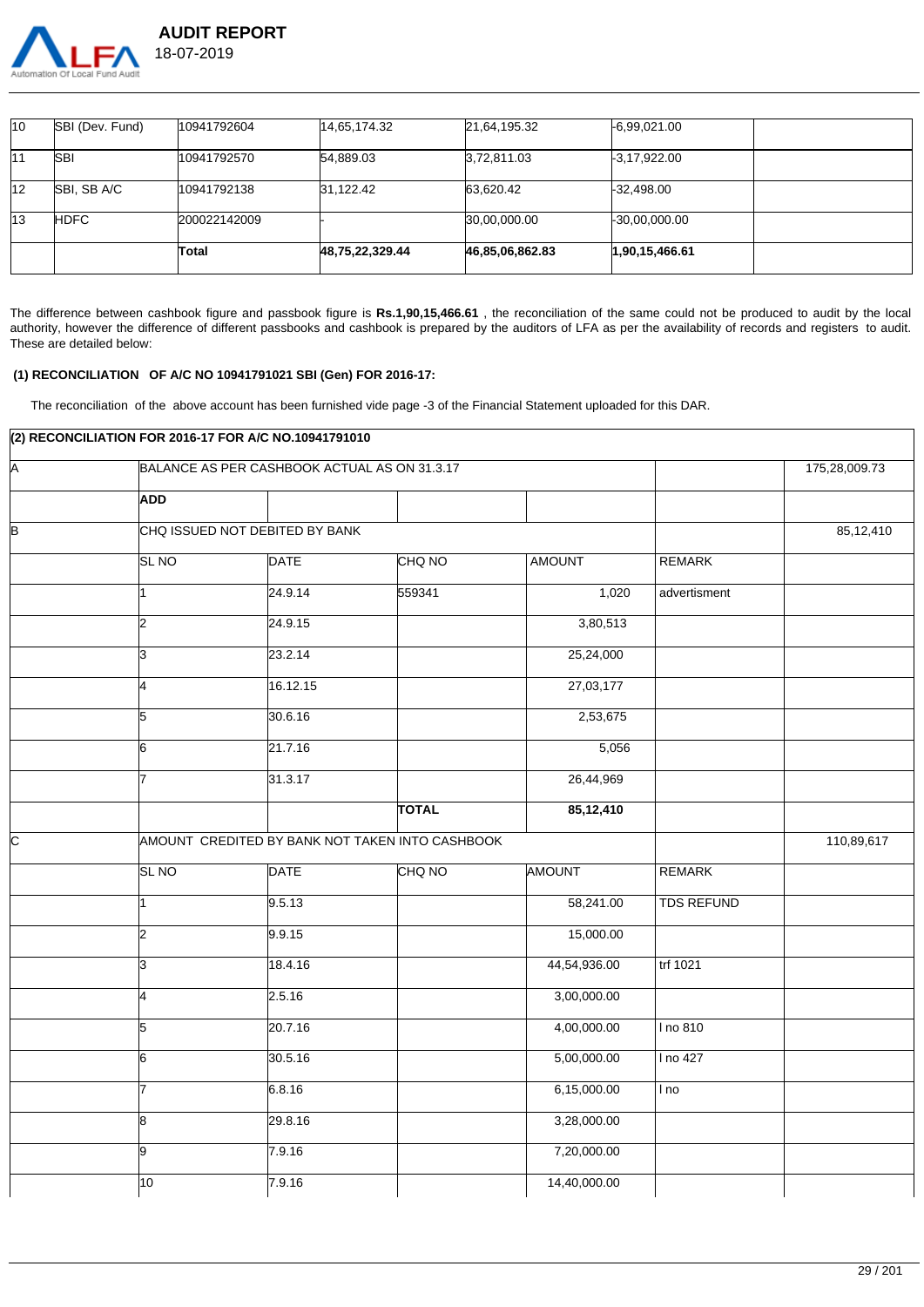

| 10 | SBI (Dev. Fund) | 10941792604  | 14,65,174.32    | 21,64,195.32    | $-6,99,021.00$ |  |
|----|-----------------|--------------|-----------------|-----------------|----------------|--|
| 11 | <b>ISBI</b>     | 10941792570  | 54,889.03       | 3,72,811.03     | -3,17,922.00   |  |
| 12 | SBI, SB A/C     | 10941792138  | 31,122.42       | 63,620.42       | $-32,498.00$   |  |
| 13 | <b>HDFC</b>     | 200022142009 |                 | 30,00,000.00    | -30,00,000.00  |  |
|    |                 | Total        | 48,75,22,329.44 | 46,85,06,862.83 | 1,90,15,466.61 |  |

The difference between cashbook figure and passbook figure is **Rs.1,90,15,466.61** , the reconciliation of the same could not be produced to audit by the local authority, however the difference of different passbooks and cashbook is prepared by the auditors of LFA as per the availability of records and registers to audit. These are detailed below:

#### **(1) RECONCILIATION OF A/C NO 10941791021 SBI (Gen) FOR 2016-17:**

The reconciliation of the above account has been furnished vide page -3 of the Financial Statement uploaded for this DAR.

# **(2) RECONCILIATION FOR 2016-17 FOR A/C NO.10941791010** A BALANCE AS PER CASHBOOK ACTUAL AS ON 31.3.17 **ADD** B CHQ ISSUED NOT DEBITED BY BANK 85,12,410 SL NO DATE CHQ NO AMOUNT REMARK 24.9.14 559341 559341 559341 559341 559341 559341 559341 559341 559341 559341 561 561 561 561 561 561 561 561 5 2 24.9.15 3,80,513 3 23.2.14 25,24,000 4 16.12.15 27,03,177 5 30.6.16 2,53,675 6 21.7.16 5,056 7 31.3.17 26,44,969 **TOTAL 85,12,410**  C **AMOUNT CREDITED BY BANK NOT TAKEN INTO CASHBOOK 110,89,617** 110,89,617 SL NO DATE CHQ NO AMOUNT REMARK **1** 9.5.13 **1 1 58,241.00** TDS REFUND **2** 9.9.15 **15,000.00** 3 18.4.16 44,54,936.00 trf 1021 4 2.5.16 2.5.16 3,00,000.00 5 20.7.16 4,00,000.00 l no 810 6 30.5.16 5,00,000.00 l no 427 7 6.8.16 6,15,000.00 l no 8 29.8.16 29.8.16 3,28,000.00 9 7.9.16 7,20,000.00

10 7.9.16 7.9.16 14,40,000.00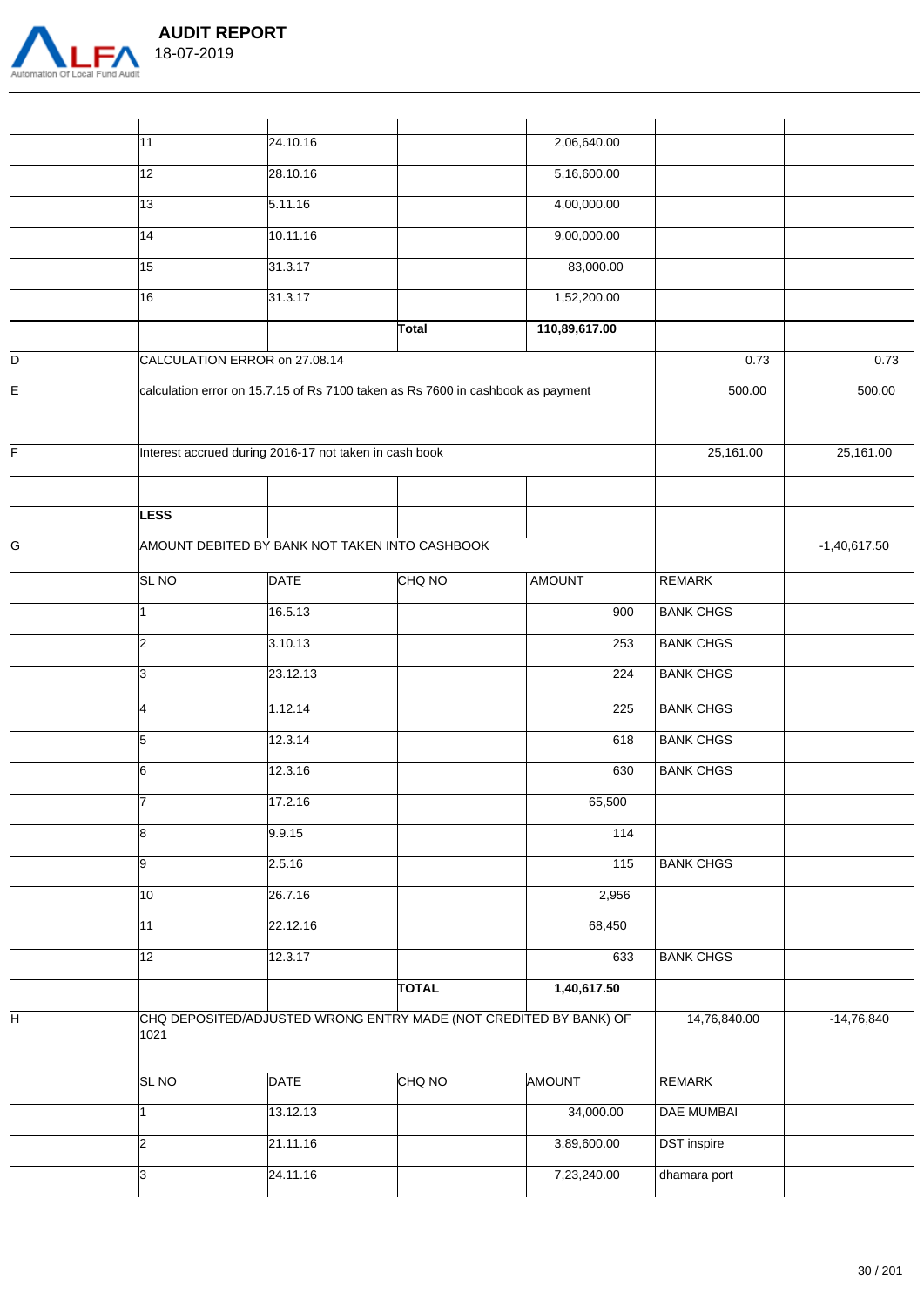

|                         | 11              | 24.10.16                                                                        |               | 2,06,640.00                                                       |                   |                |
|-------------------------|-----------------|---------------------------------------------------------------------------------|---------------|-------------------------------------------------------------------|-------------------|----------------|
|                         | 12              | 28.10.16                                                                        |               | 5,16,600.00                                                       |                   |                |
|                         | 13              | 5.11.16                                                                         |               | 4,00,000.00                                                       |                   |                |
|                         | 14              | 10.11.16                                                                        |               | 9,00,000.00                                                       |                   |                |
|                         | 15              | 31.3.17                                                                         |               | 83,000.00                                                         |                   |                |
|                         | 16              | 31.3.17                                                                         |               | 1,52,200.00                                                       |                   |                |
|                         |                 |                                                                                 | <b>Total</b>  | 110,89,617.00                                                     |                   |                |
| $\overline{D}$          |                 | CALCULATION ERROR on 27.08.14                                                   |               |                                                                   | 0.73              | 0.73           |
| $\overline{E}$          |                 | calculation error on 15.7.15 of Rs 7100 taken as Rs 7600 in cashbook as payment |               |                                                                   | 500.00            | 500.00         |
| F                       |                 | Interest accrued during 2016-17 not taken in cash book                          |               |                                                                   | 25,161.00         | 25,161.00      |
|                         |                 |                                                                                 |               |                                                                   |                   |                |
|                         | <b>LESS</b>     |                                                                                 |               |                                                                   |                   |                |
| $\overline{\mathsf{G}}$ |                 | AMOUNT DEBITED BY BANK NOT TAKEN INTO CASHBOOK                                  |               |                                                                   |                   | $-1,40,617.50$ |
|                         | <b>SLNO</b>     | <b>DATE</b>                                                                     | <b>CHQ NO</b> | <b>AMOUNT</b>                                                     | <b>REMARK</b>     |                |
|                         |                 | 16.5.13                                                                         |               | 900                                                               | <b>BANK CHGS</b>  |                |
|                         | l2              | 3.10.13                                                                         |               | 253                                                               | <b>BANK CHGS</b>  |                |
|                         | 3               | 23.12.13                                                                        |               | 224                                                               | <b>BANK CHGS</b>  |                |
|                         | l4              | 1.12.14                                                                         |               | 225                                                               | <b>BANK CHGS</b>  |                |
|                         | 5               | 12.3.14                                                                         |               | 618                                                               | <b>BANK CHGS</b>  |                |
|                         | 6               | 12.3.16                                                                         |               | 630                                                               | <b>BANK CHGS</b>  |                |
|                         |                 | 17.2.16                                                                         |               | 65,500                                                            |                   |                |
|                         | 8               | 9.9.15                                                                          |               | $114$                                                             |                   |                |
|                         | 9               | 2.5.16                                                                          |               | $\frac{115}{115}$                                                 | <b>BANK CHGS</b>  |                |
|                         | $\overline{10}$ | 26.7.16                                                                         |               | 2,956                                                             |                   |                |
|                         | 11              | 22.12.16                                                                        |               | 68,450                                                            |                   |                |
|                         | $\overline{12}$ | 12.3.17                                                                         |               | 633                                                               | <b>BANK CHGS</b>  |                |
|                         |                 |                                                                                 | <b>TOTAL</b>  | 1,40,617.50                                                       |                   |                |
| $\overline{H}$          | 1021            |                                                                                 |               | CHQ DEPOSITED/ADJUSTED WRONG ENTRY MADE (NOT CREDITED BY BANK) OF | 14,76,840.00      | $-14,76,840$   |
|                         | <b>SL NO</b>    | <b>DATE</b>                                                                     | <b>CHQ NO</b> | AMOUNT                                                            | <b>REMARK</b>     |                |
|                         |                 | 13.12.13                                                                        |               | 34,000.00                                                         | <b>DAE MUMBAI</b> |                |
|                         | 2               | 21.11.16                                                                        |               | 3,89,600.00                                                       | DST inspire       |                |
|                         | IЗ              | 24.11.16                                                                        |               | 7,23,240.00                                                       | dhamara port      |                |
|                         |                 |                                                                                 |               |                                                                   |                   |                |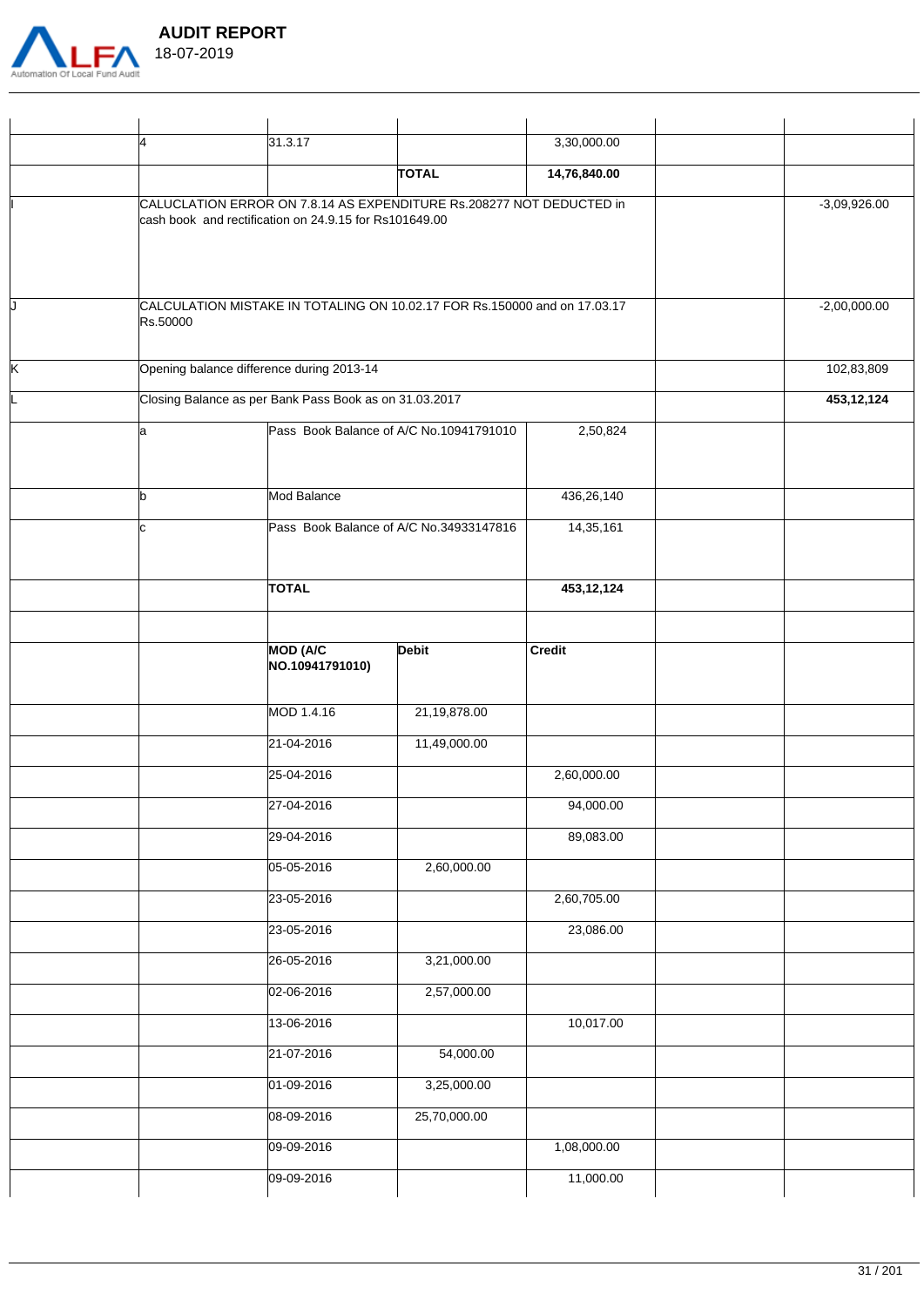

|    | 4                                                                                                                              | 31.3.17                                                                   |                                         | 3,30,000.00   |                |
|----|--------------------------------------------------------------------------------------------------------------------------------|---------------------------------------------------------------------------|-----------------------------------------|---------------|----------------|
|    |                                                                                                                                |                                                                           | <b>TOTAL</b>                            | 14,76,840.00  |                |
|    | CALUCLATION ERROR ON 7.8.14 AS EXPENDITURE Rs.208277 NOT DEDUCTED in<br>cash book and rectification on 24.9.15 for Rs101649.00 | $-3,09,926.00$                                                            |                                         |               |                |
| IJ | Rs.50000                                                                                                                       | CALCULATION MISTAKE IN TOTALING ON 10.02.17 FOR Rs.150000 and on 17.03.17 |                                         |               | $-2,00,000.00$ |
| κ  |                                                                                                                                | Opening balance difference during 2013-14                                 |                                         |               | 102,83,809     |
|    |                                                                                                                                | Closing Balance as per Bank Pass Book as on 31.03.2017                    |                                         |               | 453, 12, 124   |
|    | la                                                                                                                             |                                                                           | Pass Book Balance of A/C No.10941791010 | 2,50,824      |                |
|    | lb                                                                                                                             | Mod Balance                                                               |                                         | 436,26,140    |                |
|    | Ċ.                                                                                                                             |                                                                           | Pass Book Balance of A/C No.34933147816 | 14,35,161     |                |
|    |                                                                                                                                | <b>TOTAL</b>                                                              |                                         | 453, 12, 124  |                |
|    |                                                                                                                                | <b>MOD (A/C</b><br>NO.10941791010)                                        | <b>Debit</b>                            | <b>Credit</b> |                |
|    |                                                                                                                                |                                                                           |                                         |               |                |
|    |                                                                                                                                | MOD 1.4.16                                                                | 21,19,878.00                            |               |                |
|    |                                                                                                                                | 21-04-2016                                                                | 11,49,000.00                            |               |                |
|    |                                                                                                                                | 25-04-2016                                                                |                                         | 2,60,000.00   |                |
|    |                                                                                                                                | 27-04-2016                                                                |                                         | 94,000.00     |                |
|    |                                                                                                                                | 29-04-2016                                                                |                                         | 89,083.00     |                |
|    |                                                                                                                                | 05-05-2016                                                                | 2,60,000.00                             |               |                |
|    |                                                                                                                                | 23-05-2016                                                                |                                         | 2,60,705.00   |                |
|    |                                                                                                                                | 23-05-2016                                                                |                                         | 23,086.00     |                |
|    |                                                                                                                                | 26-05-2016                                                                | 3,21,000.00                             |               |                |
|    |                                                                                                                                | 02-06-2016                                                                | 2,57,000.00                             |               |                |
|    |                                                                                                                                | 13-06-2016                                                                |                                         | 10,017.00     |                |
|    |                                                                                                                                | 21-07-2016                                                                | 54,000.00                               |               |                |
|    |                                                                                                                                | 01-09-2016                                                                | 3,25,000.00                             |               |                |
|    |                                                                                                                                | 08-09-2016                                                                | 25,70,000.00                            |               |                |
|    |                                                                                                                                | 09-09-2016                                                                |                                         | 1,08,000.00   |                |
|    |                                                                                                                                | 09-09-2016                                                                |                                         | 11,000.00     |                |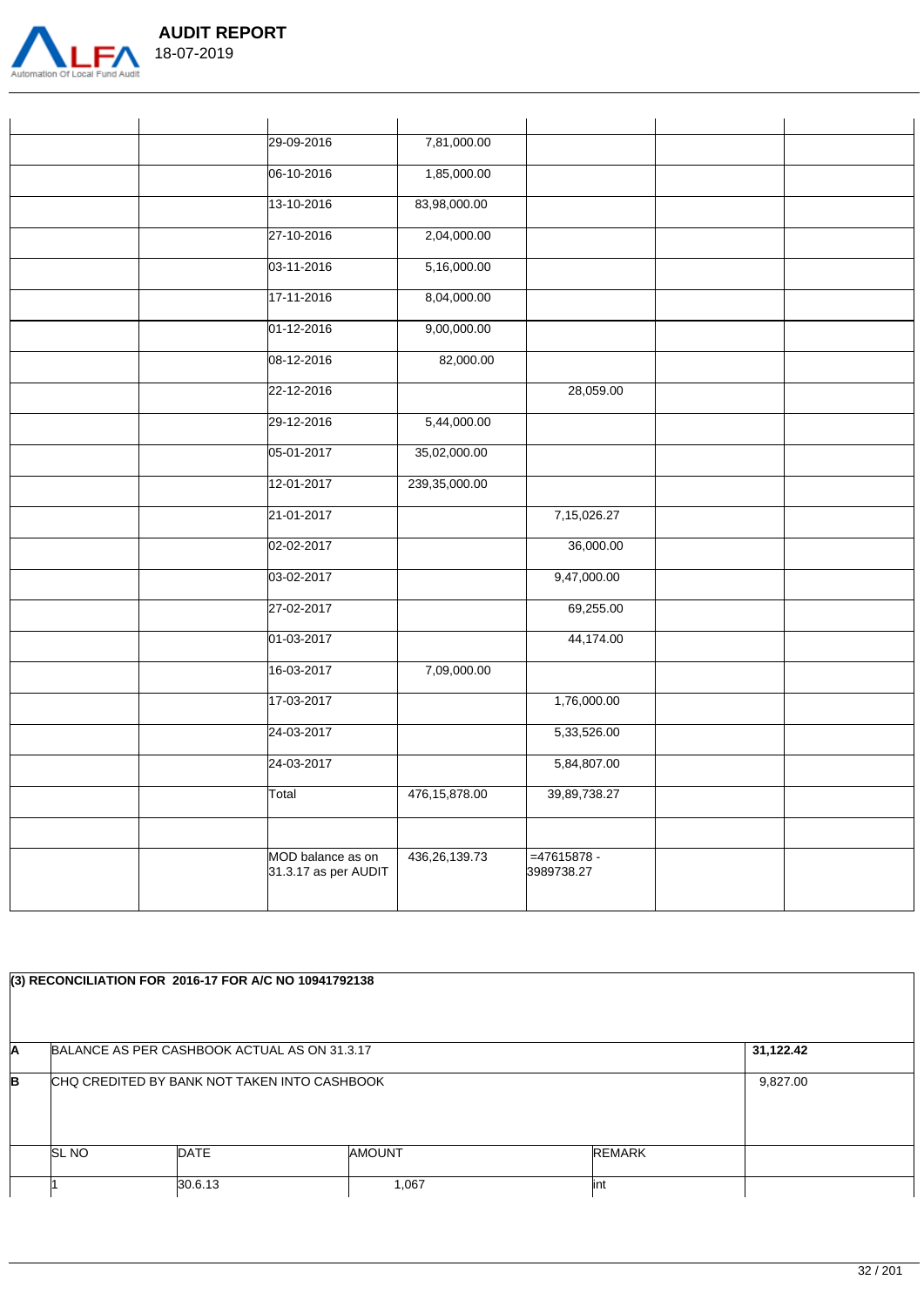

 **AUDIT REPORT** 

| 29-09-2016                                | 7,81,000.00      |                             |  |
|-------------------------------------------|------------------|-----------------------------|--|
| 06-10-2016                                | 1,85,000.00      |                             |  |
| 13-10-2016                                | 83,98,000.00     |                             |  |
| 27-10-2016                                | 2,04,000.00      |                             |  |
| 03-11-2016                                | 5,16,000.00      |                             |  |
| 17-11-2016                                | 8,04,000.00      |                             |  |
| 01-12-2016                                | 9,00,000.00      |                             |  |
| 08-12-2016                                | 82,000.00        |                             |  |
| 22-12-2016                                |                  | 28,059.00                   |  |
| 29-12-2016                                | 5,44,000.00      |                             |  |
| 05-01-2017                                | 35,02,000.00     |                             |  |
| 12-01-2017                                | 239,35,000.00    |                             |  |
| 21-01-2017                                |                  | 7,15,026.27                 |  |
| 02-02-2017                                |                  | 36,000.00                   |  |
| 03-02-2017                                |                  | 9,47,000.00                 |  |
|                                           |                  |                             |  |
| 27-02-2017                                |                  | 69,255.00                   |  |
| 01-03-2017                                |                  | 44,174.00                   |  |
| 16-03-2017                                | 7,09,000.00      |                             |  |
| 17-03-2017                                |                  | 1,76,000.00                 |  |
| 24-03-2017                                |                  | 5,33,526.00                 |  |
| 24-03-2017                                |                  | 5,84,807.00                 |  |
| Total                                     | 476, 15, 878.00  | 39,89,738.27                |  |
|                                           |                  |                             |  |
| MOD balance as on<br>31.3.17 as per AUDIT | 436, 26, 139. 73 | $=47615878 -$<br>3989738.27 |  |

|          |                                               | (3) RECONCILIATION FOR 2016-17 FOR A/C NO 10941792138 |               |               |           |
|----------|-----------------------------------------------|-------------------------------------------------------|---------------|---------------|-----------|
| ΙA       |                                               | BALANCE AS PER CASHBOOK ACTUAL AS ON 31.3.17          |               |               | 31,122.42 |
| <b>B</b> | ICHO CREDITED BY BANK NOT TAKEN INTO CASHBOOK | 9,827.00                                              |               |               |           |
|          | <b>SL NO</b>                                  | <b>DATE</b>                                           | <b>AMOUNT</b> | <b>REMARK</b> |           |
|          |                                               | 30.6.13                                               | 1,067         | lint          |           |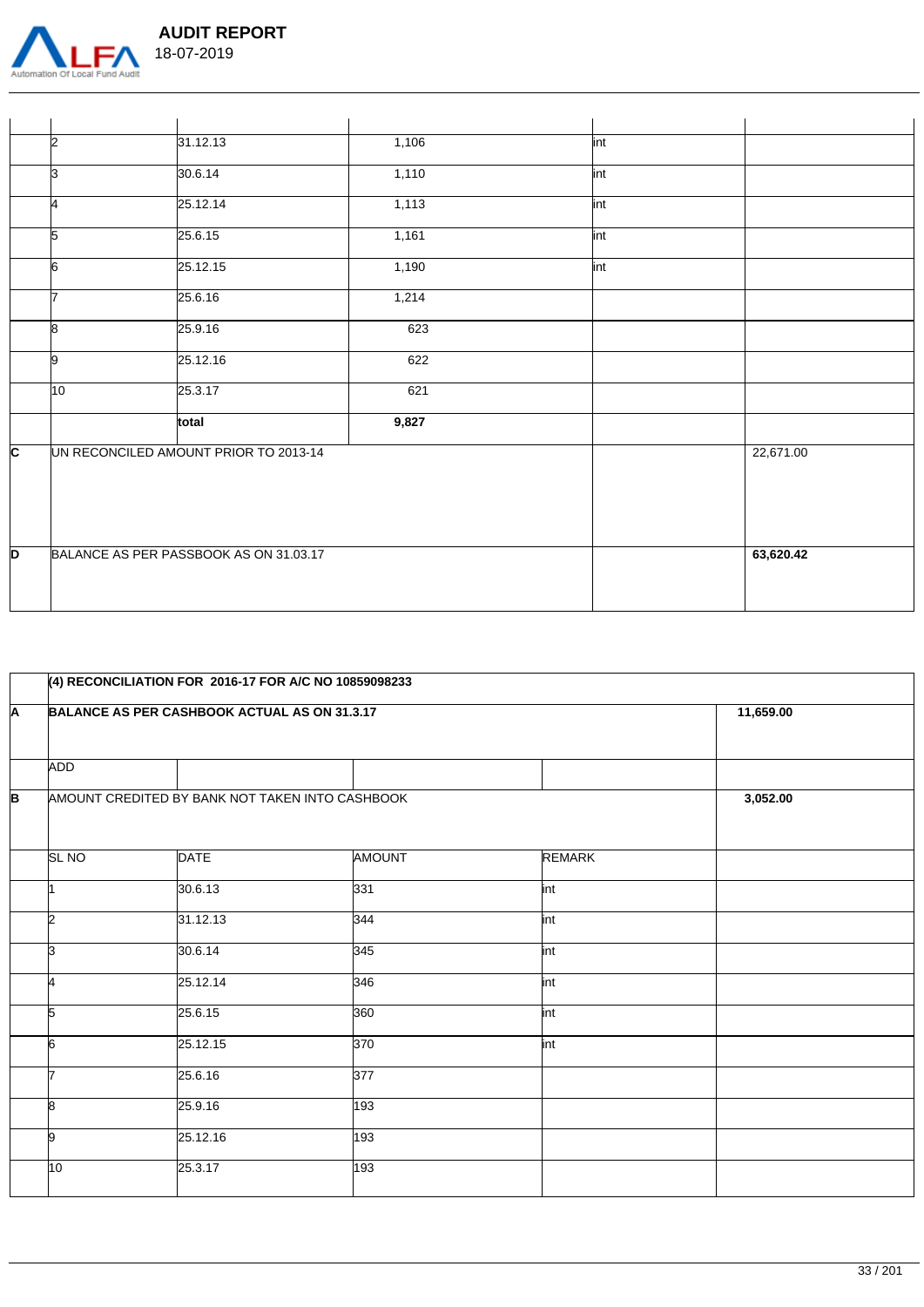

|                | I2                                     | 31.12.13                              | 1,106 | int       |           |
|----------------|----------------------------------------|---------------------------------------|-------|-----------|-----------|
|                | ß                                      | 30.6.14                               | 1,110 | lint      |           |
|                | l4                                     | 25.12.14                              | 1,113 | int       |           |
|                | 5                                      | 25.6.15                               | 1,161 | int       |           |
|                | 6                                      | 25.12.15                              | 1,190 | int       |           |
|                | 17                                     | 25.6.16                               | 1,214 |           |           |
|                | 8                                      | 25.9.16                               | 623   |           |           |
|                | 9                                      | 25.12.16                              | 622   |           |           |
|                | 10                                     | 25.3.17                               | 621   |           |           |
|                |                                        | total                                 | 9,827 |           |           |
| $\overline{c}$ |                                        | UN RECONCILED AMOUNT PRIOR TO 2013-14 |       | 22,671.00 |           |
| D              | BALANCE AS PER PASSBOOK AS ON 31.03.17 |                                       |       |           | 63,620.42 |

| (4) RECONCILIATION FOR 2016-17 FOR A/C NO 10859098233 |                                              |                                                 |        |               |          |  |  |  |
|-------------------------------------------------------|----------------------------------------------|-------------------------------------------------|--------|---------------|----------|--|--|--|
| A                                                     | BALANCE AS PER CASHBOOK ACTUAL AS ON 31.3.17 | 11,659.00                                       |        |               |          |  |  |  |
|                                                       | <b>ADD</b>                                   |                                                 |        |               |          |  |  |  |
| B                                                     |                                              | AMOUNT CREDITED BY BANK NOT TAKEN INTO CASHBOOK |        |               | 3,052.00 |  |  |  |
|                                                       | <b>SL NO</b>                                 | <b>DATE</b>                                     | AMOUNT | <b>REMARK</b> |          |  |  |  |
|                                                       |                                              | 30.6.13                                         | 331    | lint          |          |  |  |  |
|                                                       | 2                                            | 31.12.13                                        | 344    | lint          |          |  |  |  |
|                                                       | lз                                           | 30.6.14                                         | 345    | lint          |          |  |  |  |
|                                                       | l4                                           | 25.12.14                                        | 346    | int           |          |  |  |  |
|                                                       | 15                                           | 25.6.15                                         | 360    | lint          |          |  |  |  |
|                                                       | 6                                            | 25.12.15                                        | 370    | int           |          |  |  |  |
|                                                       | 17                                           | 25.6.16                                         | 377    |               |          |  |  |  |
|                                                       | 18                                           | 25.9.16                                         | 193    |               |          |  |  |  |
|                                                       | l9                                           | 25.12.16                                        | 193    |               |          |  |  |  |
|                                                       | 10                                           | 25.3.17                                         | 193    |               |          |  |  |  |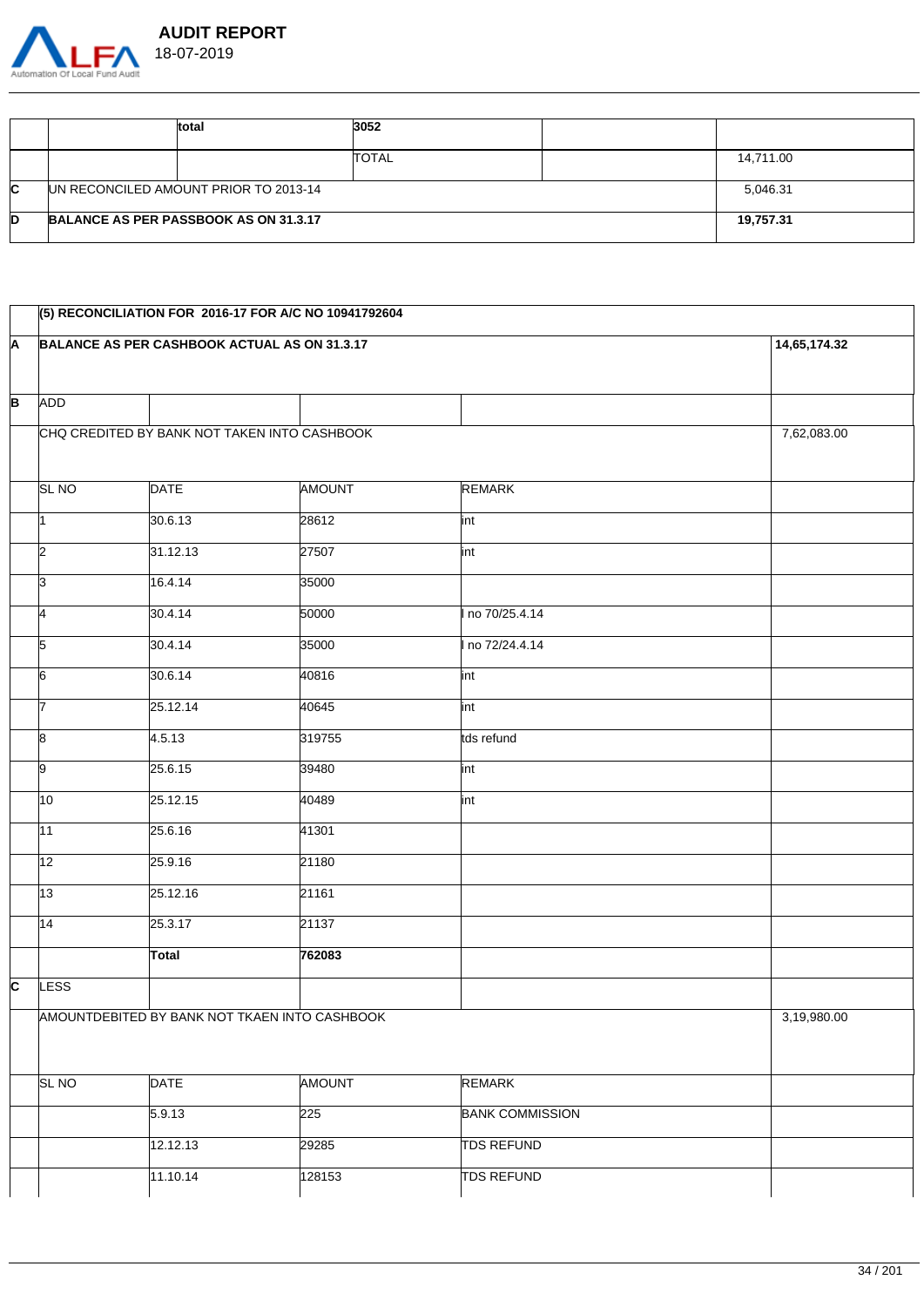

|    |                                       | total     | 3052  |  |           |
|----|---------------------------------------|-----------|-------|--|-----------|
|    |                                       |           | TOTAL |  | 14,711.00 |
| C. | UN RECONCILED AMOUNT PRIOR TO 2013-14 | 5,046.31  |       |  |           |
| D  | BALANCE AS PER PASSBOOK AS ON 31.3.17 | 19,757.31 |       |  |           |

|                         |                                               | (5) RECONCILIATION FOR 2016-17 FOR A/C NO 10941792604 |        |                        |             |  |  |
|-------------------------|-----------------------------------------------|-------------------------------------------------------|--------|------------------------|-------------|--|--|
| $\overline{\mathsf{A}}$ | BALANCE AS PER CASHBOOK ACTUAL AS ON 31.3.17  | 14,65,174.32                                          |        |                        |             |  |  |
|                         |                                               |                                                       |        |                        |             |  |  |
| B                       | ADD                                           |                                                       |        |                        |             |  |  |
|                         |                                               | CHQ CREDITED BY BANK NOT TAKEN INTO CASHBOOK          |        |                        | 7,62,083.00 |  |  |
|                         |                                               |                                                       |        |                        |             |  |  |
|                         | <b>SL NO</b>                                  | <b>DATE</b>                                           | AMOUNT | <b>REMARK</b>          |             |  |  |
|                         | Ι1                                            | 30.6.13                                               | 28612  | int                    |             |  |  |
|                         | $\overline{2}$                                | 31.12.13                                              | 27507  | int                    |             |  |  |
|                         | lЗ                                            | 16.4.14                                               | 35000  |                        |             |  |  |
|                         | 4                                             | 30.4.14                                               | 50000  | no 70/25.4.14          |             |  |  |
|                         | 5                                             | 30.4.14                                               | 35000  | no 72/24.4.14          |             |  |  |
|                         | 6                                             | 30.6.14                                               | 40816  | int                    |             |  |  |
|                         |                                               | 25.12.14                                              | 40645  | int                    |             |  |  |
|                         | 8                                             | 4.5.13                                                | 319755 | tds refund             |             |  |  |
|                         |                                               |                                                       |        |                        |             |  |  |
|                         | l9                                            | 25.6.15                                               | 39480  | int                    |             |  |  |
|                         | 10                                            | 25.12.15                                              | 40489  | int                    |             |  |  |
|                         | 11                                            | 25.6.16                                               | 41301  |                        |             |  |  |
|                         | 12                                            | 25.9.16                                               | 21180  |                        |             |  |  |
|                         | 13                                            | 25.12.16                                              | 21161  |                        |             |  |  |
|                         | 14                                            | 25.3.17                                               | 21137  |                        |             |  |  |
|                         |                                               | Total                                                 | 762083 |                        |             |  |  |
| $\overline{\mathsf{c}}$ | <b>LESS</b>                                   |                                                       |        |                        |             |  |  |
|                         | AMOUNTDEBITED BY BANK NOT TKAEN INTO CASHBOOK | 3,19,980.00                                           |        |                        |             |  |  |
|                         |                                               |                                                       |        |                        |             |  |  |
|                         | SL <sub>NO</sub>                              | <b>DATE</b>                                           | AMOUNT | <b>REMARK</b>          |             |  |  |
|                         |                                               | 5.9.13                                                | 225    | <b>BANK COMMISSION</b> |             |  |  |
|                         |                                               |                                                       |        |                        |             |  |  |
|                         |                                               | 12.12.13                                              | 29285  | <b>TDS REFUND</b>      |             |  |  |
|                         | 128153<br><b>TDS REFUND</b><br>11.10.14       |                                                       |        |                        |             |  |  |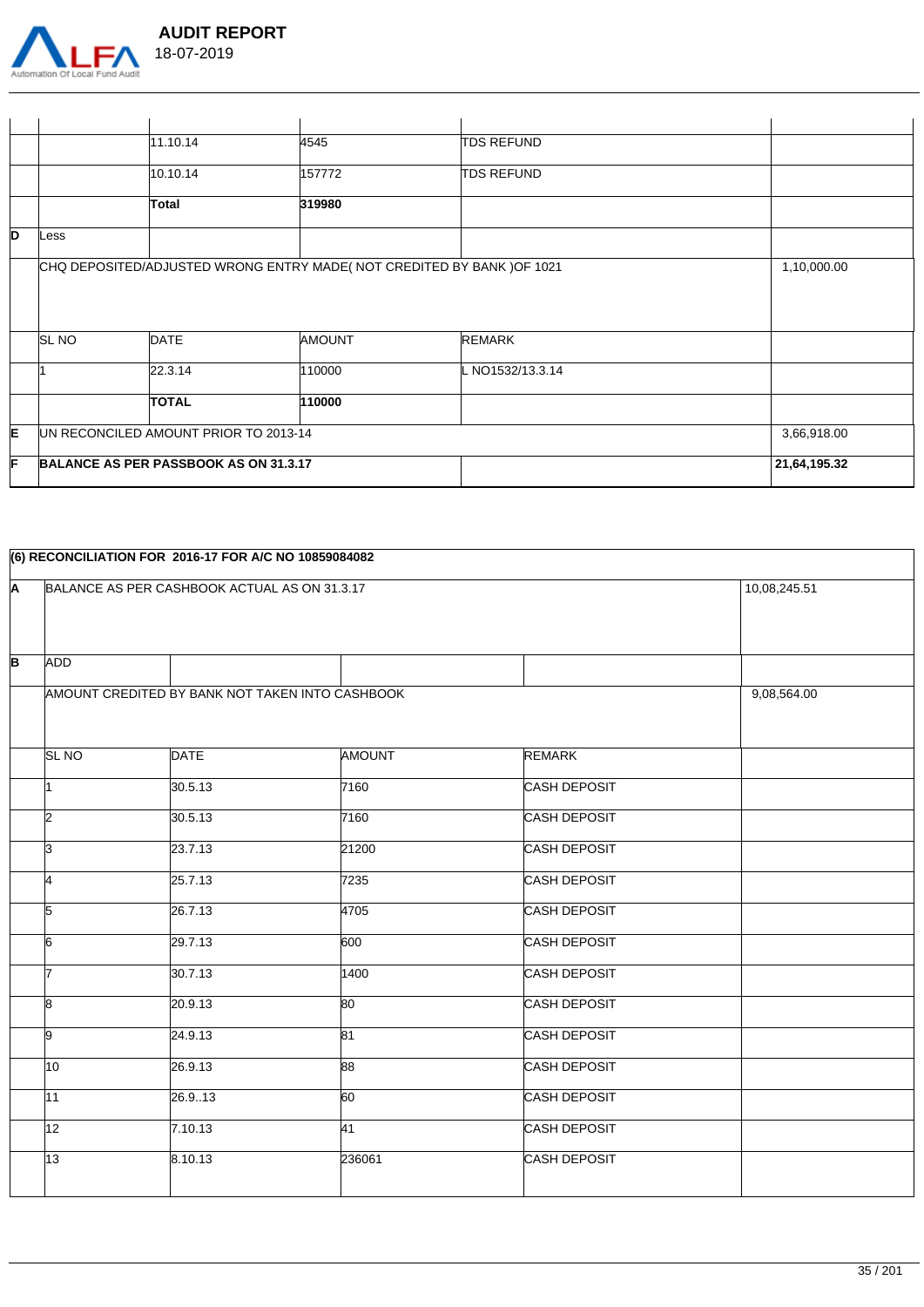

|     |                                                                       | 11.10.14     | 4545          | <b>TDS REFUND</b> |              |
|-----|-----------------------------------------------------------------------|--------------|---------------|-------------------|--------------|
|     |                                                                       | 10.10.14     | 157772        | <b>TDS REFUND</b> |              |
|     |                                                                       | Total        | 319980        |                   |              |
| ID. | Less                                                                  |              |               |                   |              |
|     | CHQ DEPOSITED/ADJUSTED WRONG ENTRY MADE(NOT CREDITED BY BANK) OF 1021 | 1,10,000.00  |               |                   |              |
|     | SL NO                                                                 | DATE         | <b>AMOUNT</b> | <b>REMARK</b>     |              |
|     |                                                                       | 22.3.14      | 110000        | L NO1532/13.3.14  |              |
|     |                                                                       | <b>TOTAL</b> | 110000        |                   |              |
| E.  | UN RECONCILED AMOUNT PRIOR TO 2013-14                                 |              |               |                   | 3,66,918.00  |
| F   | BALANCE AS PER PASSBOOK AS ON 31.3.17                                 |              |               |                   | 21,64,195.32 |

|                         | (6) RECONCILIATION FOR 2016-17 FOR A/C NO 10859084082 |                                                 |        |                     |             |  |  |
|-------------------------|-------------------------------------------------------|-------------------------------------------------|--------|---------------------|-------------|--|--|
| $\overline{\mathsf{A}}$ | BALANCE AS PER CASHBOOK ACTUAL AS ON 31.3.17          | 10,08,245.51                                    |        |                     |             |  |  |
| B                       | ADD                                                   |                                                 |        |                     |             |  |  |
|                         |                                                       | AMOUNT CREDITED BY BANK NOT TAKEN INTO CASHBOOK |        |                     | 9,08,564.00 |  |  |
|                         | SL <sub>NO</sub>                                      | <b>DATE</b>                                     | AMOUNT | <b>REMARK</b>       |             |  |  |
|                         | 1                                                     | 30.5.13                                         | 7160   | <b>CASH DEPOSIT</b> |             |  |  |
|                         | 2                                                     | 30.5.13                                         | 7160   | <b>CASH DEPOSIT</b> |             |  |  |
|                         | lз                                                    | 23.7.13                                         | 21200  | <b>CASH DEPOSIT</b> |             |  |  |
|                         | 4                                                     | 25.7.13                                         | 7235   | <b>CASH DEPOSIT</b> |             |  |  |
|                         | 5                                                     | 26.7.13                                         | 4705   | <b>CASH DEPOSIT</b> |             |  |  |
|                         | 6                                                     | 29.7.13                                         | 600    | <b>CASH DEPOSIT</b> |             |  |  |
|                         |                                                       | 30.7.13                                         | 1400   | <b>CASH DEPOSIT</b> |             |  |  |
|                         | 8                                                     | 20.9.13                                         | 80     | <b>CASH DEPOSIT</b> |             |  |  |
|                         | 9                                                     | 24.9.13                                         | 81     | <b>CASH DEPOSIT</b> |             |  |  |
|                         | 10                                                    | 26.9.13                                         | 88     | <b>CASH DEPOSIT</b> |             |  |  |
|                         | 11                                                    | 26.9.13                                         | 60     | <b>CASH DEPOSIT</b> |             |  |  |
|                         | $\overline{12}$                                       | 7.10.13                                         | 41     | <b>CASH DEPOSIT</b> |             |  |  |
|                         | 13                                                    | 8.10.13                                         | 236061 | <b>CASH DEPOSIT</b> |             |  |  |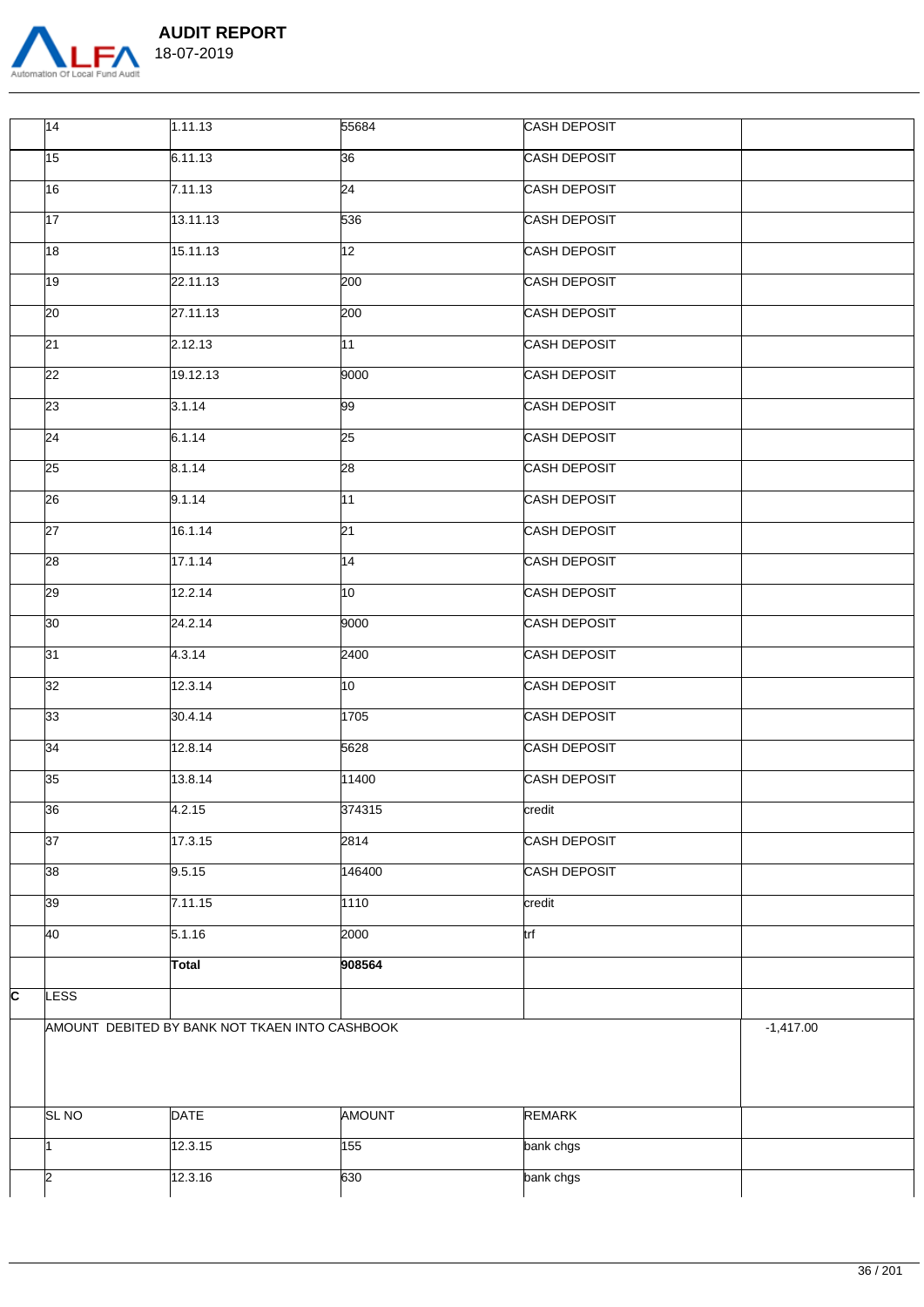

|                         | 14                                             | 1.11.13  | 55684           | <b>CASH DEPOSIT</b> |             |
|-------------------------|------------------------------------------------|----------|-----------------|---------------------|-------------|
|                         | $\overline{15}$                                | 6.11.13  | 36              | <b>CASH DEPOSIT</b> |             |
|                         | $\overline{16}$                                | 7.11.13  | $\sqrt{24}$     | <b>CASH DEPOSIT</b> |             |
|                         | 17                                             | 13.11.13 | 536             | <b>CASH DEPOSIT</b> |             |
|                         | $\overline{18}$                                | 15.11.13 | 12              | <b>CASH DEPOSIT</b> |             |
|                         | 19                                             | 22.11.13 | 200             | CASH DEPOSIT        |             |
|                         | 20                                             | 27.11.13 | 200             | <b>CASH DEPOSIT</b> |             |
|                         | 21                                             | 2.12.13  | 11              | <b>CASH DEPOSIT</b> |             |
|                         | 22                                             | 19.12.13 | 9000            | CASH DEPOSIT        |             |
|                         | 23                                             | 3.1.14   | 99              | <b>CASH DEPOSIT</b> |             |
|                         | $\overline{24}$                                | 6.1.14   | 25              | <b>CASH DEPOSIT</b> |             |
|                         | 25                                             | 8.1.14   | 28              | CASH DEPOSIT        |             |
|                         | 26                                             | 9.1.14   | $\overline{11}$ | <b>CASH DEPOSIT</b> |             |
|                         | 27                                             | 16.1.14  | 21              | <b>CASH DEPOSIT</b> |             |
|                         | 28                                             | 17.1.14  | 14              | <b>CASH DEPOSIT</b> |             |
|                         | 29                                             | 12.2.14  | 10              | <b>CASH DEPOSIT</b> |             |
|                         | 30                                             | 24.2.14  | 9000            | <b>CASH DEPOSIT</b> |             |
|                         | 31                                             | 4.3.14   | 2400            | <b>CASH DEPOSIT</b> |             |
|                         | 32                                             | 12.3.14  | 10              | <b>CASH DEPOSIT</b> |             |
|                         | 33                                             | 30.4.14  | 1705            | CASH DEPOSIT        |             |
|                         | 34                                             | 12.8.14  | 5628            | <b>CASH DEPOSIT</b> |             |
|                         | 35                                             | 13.8.14  | 11400           | <b>CASH DEPOSIT</b> |             |
|                         | 36                                             | 4.2.15   | 374315          | credit              |             |
|                         | 37                                             | 17.3.15  | 2814            | <b>CASH DEPOSIT</b> |             |
|                         | 38                                             | 9.5.15   | 146400          | <b>CASH DEPOSIT</b> |             |
|                         | 39                                             | 7.11.15  | 1110            | credit              |             |
|                         | 40                                             | 5.1.16   | 2000            | trf                 |             |
|                         |                                                | Total    | 908564          |                     |             |
| $\overline{\mathsf{c}}$ | LESS                                           |          |                 |                     |             |
|                         | AMOUNT DEBITED BY BANK NOT TKAEN INTO CASHBOOK |          |                 |                     | $-1,417.00$ |
|                         |                                                |          |                 |                     |             |
|                         | <b>SL NO</b>                                   | DATE     | AMOUNT          | <b>REMARK</b>       |             |
|                         |                                                | 12.3.15  | 155             | bank chgs           |             |
|                         | I2                                             | 12.3.16  | 630             | bank chgs           |             |
|                         |                                                |          |                 |                     |             |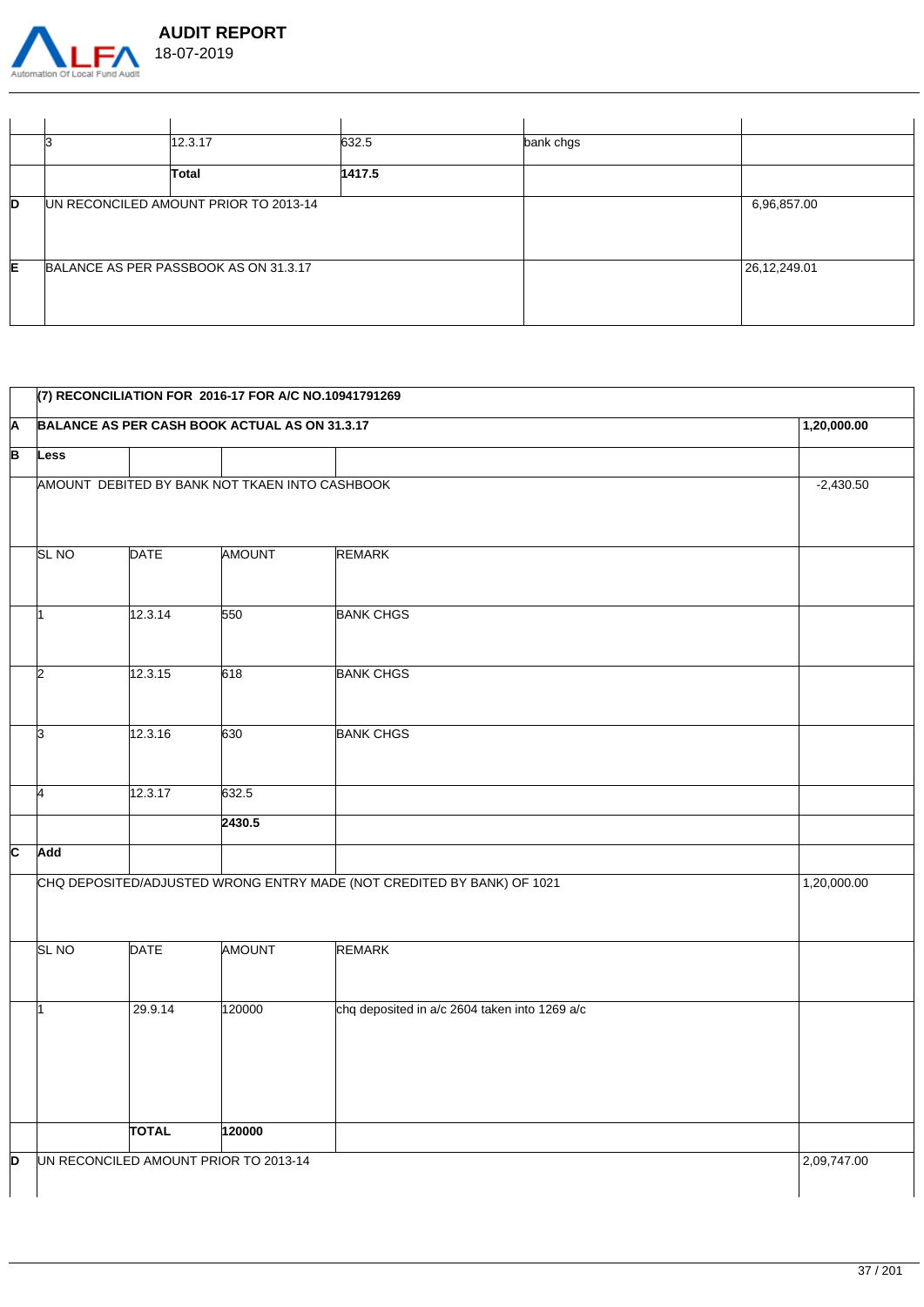

|    | 12.3.17                               | 632.5  | bank chgs    |  |
|----|---------------------------------------|--------|--------------|--|
|    | Total                                 | 1417.5 |              |  |
| D  | UN RECONCILED AMOUNT PRIOR TO 2013-14 |        | 6,96,857.00  |  |
| E. | BALANCE AS PER PASSBOOK AS ON 31.3.17 |        | 26,12,249.01 |  |

|                         | (7) RECONCILIATION FOR 2016-17 FOR A/C NO.10941791269 |              |                                                |                                                                        |             |  |
|-------------------------|-------------------------------------------------------|--------------|------------------------------------------------|------------------------------------------------------------------------|-------------|--|
| ⊼                       |                                                       |              | BALANCE AS PER CASH BOOK ACTUAL AS ON 31.3.17  |                                                                        | 1,20,000.00 |  |
| $\overline{\mathsf{B}}$ | Less                                                  |              |                                                |                                                                        |             |  |
|                         |                                                       |              | AMOUNT DEBITED BY BANK NOT TKAEN INTO CASHBOOK |                                                                        | $-2,430.50$ |  |
|                         | SL <sub>NO</sub>                                      | <b>DATE</b>  | AMOUNT                                         | REMARK                                                                 |             |  |
|                         |                                                       | 12.3.14      | 550                                            | <b>BANK CHGS</b>                                                       |             |  |
|                         | I2                                                    | 12.3.15      | 618                                            | <b>BANK CHGS</b>                                                       |             |  |
|                         | ß                                                     | 12.3.16      | 630                                            | <b>BANK CHGS</b>                                                       |             |  |
|                         | <sup>4</sup>                                          | 12.3.17      | 632.5                                          |                                                                        |             |  |
|                         |                                                       |              | 2430.5                                         |                                                                        |             |  |
| $\overline{\mathsf{c}}$ | Add                                                   |              |                                                |                                                                        |             |  |
|                         |                                                       |              |                                                | CHQ DEPOSITED/ADJUSTED WRONG ENTRY MADE (NOT CREDITED BY BANK) OF 1021 | 1,20,000.00 |  |
|                         | <b>SL NO</b>                                          | <b>DATE</b>  | AMOUNT                                         | <b>REMARK</b>                                                          |             |  |
|                         | 1                                                     | 29.9.14      | 120000                                         | chq deposited in a/c 2604 taken into 1269 a/c                          |             |  |
|                         |                                                       | <b>TOTAL</b> | 120000                                         |                                                                        |             |  |
| D                       |                                                       |              | UN RECONCILED AMOUNT PRIOR TO 2013-14          |                                                                        | 2,09,747.00 |  |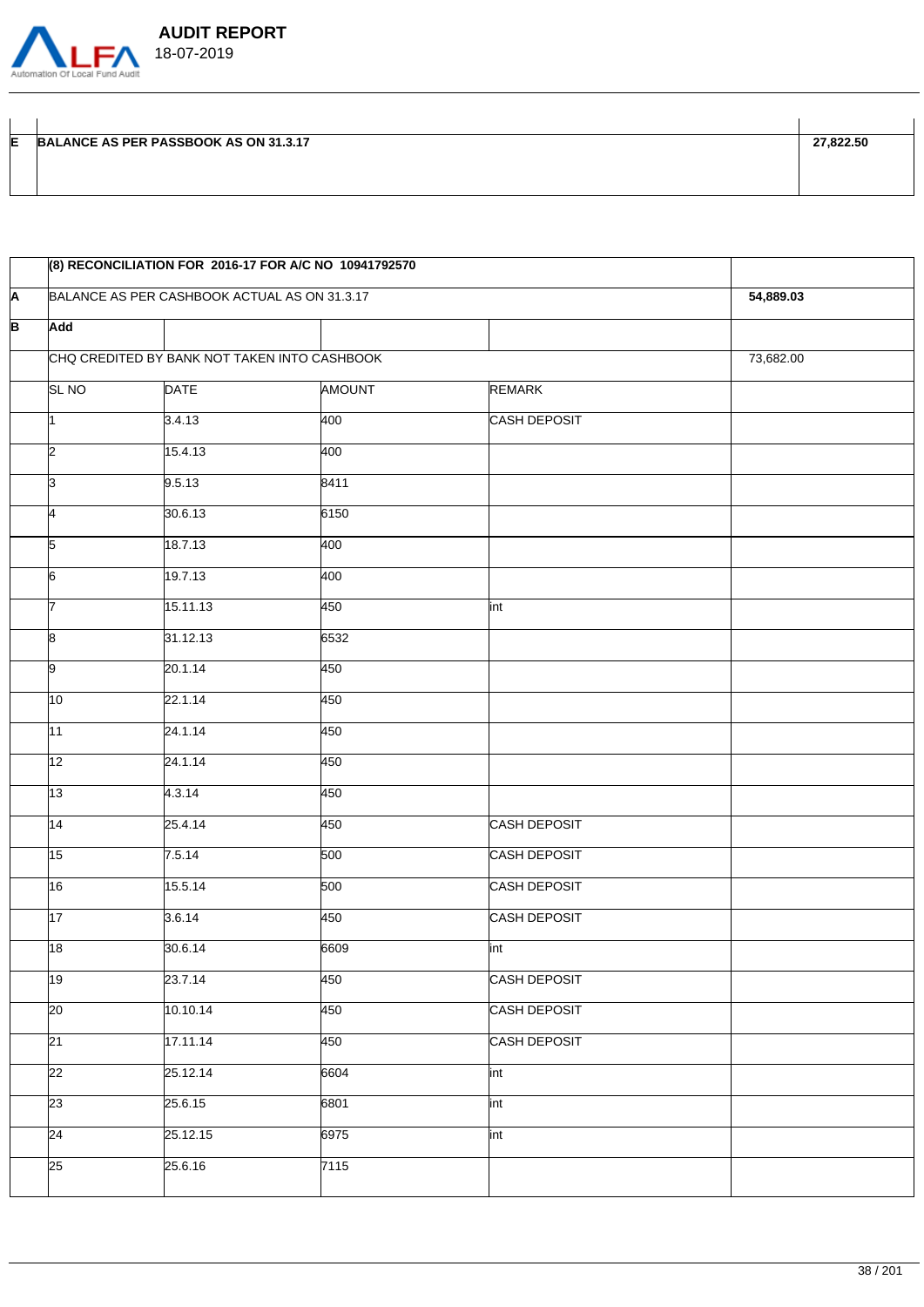

| E BALANCE AS PER PASSBOOK AS ON 31.3.17 | 27,822.50 |
|-----------------------------------------|-----------|
|                                         |           |
|                                         |           |
|                                         |           |

|                |                 | (8) RECONCILIATION FOR 2016-17 FOR A/C NO 10941792570 |           |                     |           |
|----------------|-----------------|-------------------------------------------------------|-----------|---------------------|-----------|
| $\overline{A}$ |                 | BALANCE AS PER CASHBOOK ACTUAL AS ON 31.3.17          | 54,889.03 |                     |           |
| E              | Add             |                                                       |           |                     |           |
|                |                 | CHQ CREDITED BY BANK NOT TAKEN INTO CASHBOOK          |           |                     | 73,682.00 |
|                | <b>SL NO</b>    | <b>DATE</b>                                           | AMOUNT    | <b>REMARK</b>       |           |
|                |                 | 3.4.13                                                | 400       | <b>CASH DEPOSIT</b> |           |
|                | 2               | 15.4.13                                               | 400       |                     |           |
|                | IЗ              | 9.5.13                                                | 8411      |                     |           |
|                | 14              | 30.6.13                                               | 6150      |                     |           |
|                | 15              | 18.7.13                                               | 400       |                     |           |
|                | 16              | 19.7.13                                               | 400       |                     |           |
|                |                 | 15.11.13                                              | 450       | int                 |           |
|                | 18              | 31.12.13                                              | 6532      |                     |           |
|                | 19              | 20.1.14                                               | 450       |                     |           |
|                | 10              | 22.1.14                                               | 450       |                     |           |
|                | $\overline{11}$ | 24.1.14                                               | 450       |                     |           |
|                | $\overline{12}$ | 24.1.14                                               | 450       |                     |           |
|                | $ 13\rangle$    | 4.3.14                                                | 450       |                     |           |
|                | $\sqrt{14}$     | 25.4.14                                               | 450       | <b>CASH DEPOSIT</b> |           |
|                | 15              | 7.5.14                                                | 500       | <b>CASH DEPOSIT</b> |           |
|                | 16              | 15.5.14                                               | 500       | <b>CASH DEPOSIT</b> |           |
|                | $\overline{17}$ | 3.6.14                                                | 450       | <b>CASH DEPOSIT</b> |           |
|                | $ 18\rangle$    | 30.6.14                                               | 6609      | int                 |           |
|                | 19              | 23.7.14                                               | 450       | <b>CASH DEPOSIT</b> |           |
|                | $ 20\rangle$    | 10.10.14                                              | 450       | <b>CASH DEPOSIT</b> |           |
|                | 21              | 17.11.14                                              | 450       | CASH DEPOSIT        |           |
|                | 22              | 25.12.14                                              | 6604      | int                 |           |
|                | $ 23\rangle$    | 25.6.15                                               | 6801      | int                 |           |
|                | $\sqrt{24}$     | 25.12.15                                              | 6975      | int                 |           |
|                | 25              | 25.6.16                                               | 7115      |                     |           |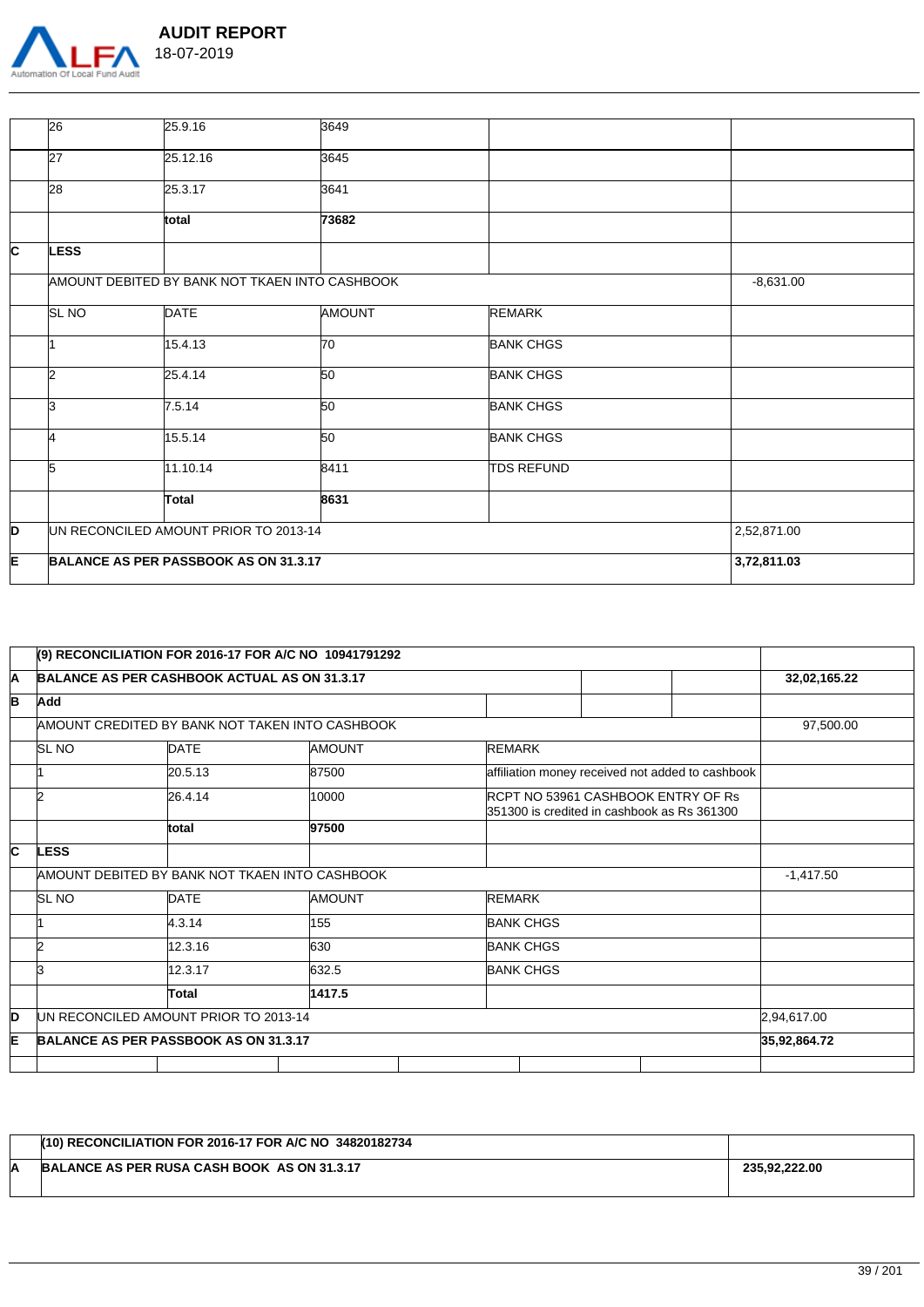

|                         | 26           | 25.9.16                                        | 3649          |                   |             |
|-------------------------|--------------|------------------------------------------------|---------------|-------------------|-------------|
|                         | 27           | 25.12.16                                       | 3645          |                   |             |
|                         | 28           | 25.3.17                                        | 3641          |                   |             |
|                         |              | total                                          | 73682         |                   |             |
| $\overline{\mathsf{c}}$ | <b>LESS</b>  |                                                |               |                   |             |
|                         |              | AMOUNT DEBITED BY BANK NOT TKAEN INTO CASHBOOK |               |                   | $-8,631.00$ |
|                         | <b>SL NO</b> | <b>DATE</b>                                    | <b>AMOUNT</b> | <b>REMARK</b>     |             |
|                         |              | 15.4.13                                        | 70            | <b>BANK CHGS</b>  |             |
|                         | I2           | 25.4.14                                        | 50            | <b>BANK CHGS</b>  |             |
|                         | lз           | 7.5.14                                         | 50            | <b>BANK CHGS</b>  |             |
|                         | l4           | 15.5.14                                        | 50            | <b>BANK CHGS</b>  |             |
|                         | 5            | 11.10.14                                       | 8411          | <b>TDS REFUND</b> |             |
|                         |              | <b>Total</b>                                   | 8631          |                   |             |
| D                       |              | UN RECONCILED AMOUNT PRIOR TO 2013-14          |               |                   | 2,52,871.00 |
| E                       |              | BALANCE AS PER PASSBOOK AS ON 31.3.17          | 3,72,811.03   |                   |             |

|                         | (9) RECONCILIATION FOR 2016-17 FOR A/C NO 10941791292 |                                              |               |                  |  |  |  |                                                                                          |              |
|-------------------------|-------------------------------------------------------|----------------------------------------------|---------------|------------------|--|--|--|------------------------------------------------------------------------------------------|--------------|
| A                       |                                                       | BALANCE AS PER CASHBOOK ACTUAL AS ON 31.3.17 |               |                  |  |  |  |                                                                                          | 32,02,165.22 |
| $\overline{\mathsf{B}}$ | Add                                                   |                                              |               |                  |  |  |  |                                                                                          |              |
|                         | AMOUNT CREDITED BY BANK NOT TAKEN INTO CASHBOOK       |                                              |               |                  |  |  |  | 97,500.00                                                                                |              |
|                         | <b>SL NO</b>                                          | <b>DATE</b>                                  | <b>AMOUNT</b> | <b>REMARK</b>    |  |  |  |                                                                                          |              |
|                         |                                                       | 20.5.13                                      | 87500         |                  |  |  |  | affiliation money received not added to cashbook                                         |              |
|                         | 2<br>26.4.14<br>10000                                 |                                              |               |                  |  |  |  | <b>RCPT NO 53961 CASHBOOK ENTRY OF Rs</b><br>351300 is credited in cashbook as Rs 361300 |              |
|                         |                                                       | total                                        | 97500         |                  |  |  |  |                                                                                          |              |
| $\overline{\mathsf{c}}$ | <b>LESS</b>                                           |                                              |               |                  |  |  |  |                                                                                          |              |
|                         | AMOUNT DEBITED BY BANK NOT TKAEN INTO CASHBOOK        |                                              |               |                  |  |  |  |                                                                                          | $-1,417.50$  |
|                         | <b>SL NO</b>                                          | <b>DATE</b>                                  | AMOUNT        | <b>REMARK</b>    |  |  |  |                                                                                          |              |
|                         |                                                       | 4.3.14                                       | 155           | <b>BANK CHGS</b> |  |  |  |                                                                                          |              |
|                         | 12                                                    | 12.3.16                                      | 630           | <b>BANK CHGS</b> |  |  |  |                                                                                          |              |
|                         | l3                                                    | 12.3.17                                      | 632.5         | <b>BANK CHGS</b> |  |  |  |                                                                                          |              |
|                         |                                                       | Total                                        | 1417.5        |                  |  |  |  |                                                                                          |              |
| ந                       | UN RECONCILED AMOUNT PRIOR TO 2013-14                 |                                              |               |                  |  |  |  |                                                                                          | 2,94,617.00  |
| E                       | BALANCE AS PER PASSBOOK AS ON 31.3.17                 |                                              |               |                  |  |  |  |                                                                                          | 35,92,864.72 |
|                         |                                                       |                                              |               |                  |  |  |  |                                                                                          |              |

| <b>(10) RECONCILIATION FOR 2016-17 FOR A/C NO 34820182734</b> |               |
|---------------------------------------------------------------|---------------|
| BALANCE AS PER RUSA CASH BOOK AS ON 31.3.17                   | 235.92.222.00 |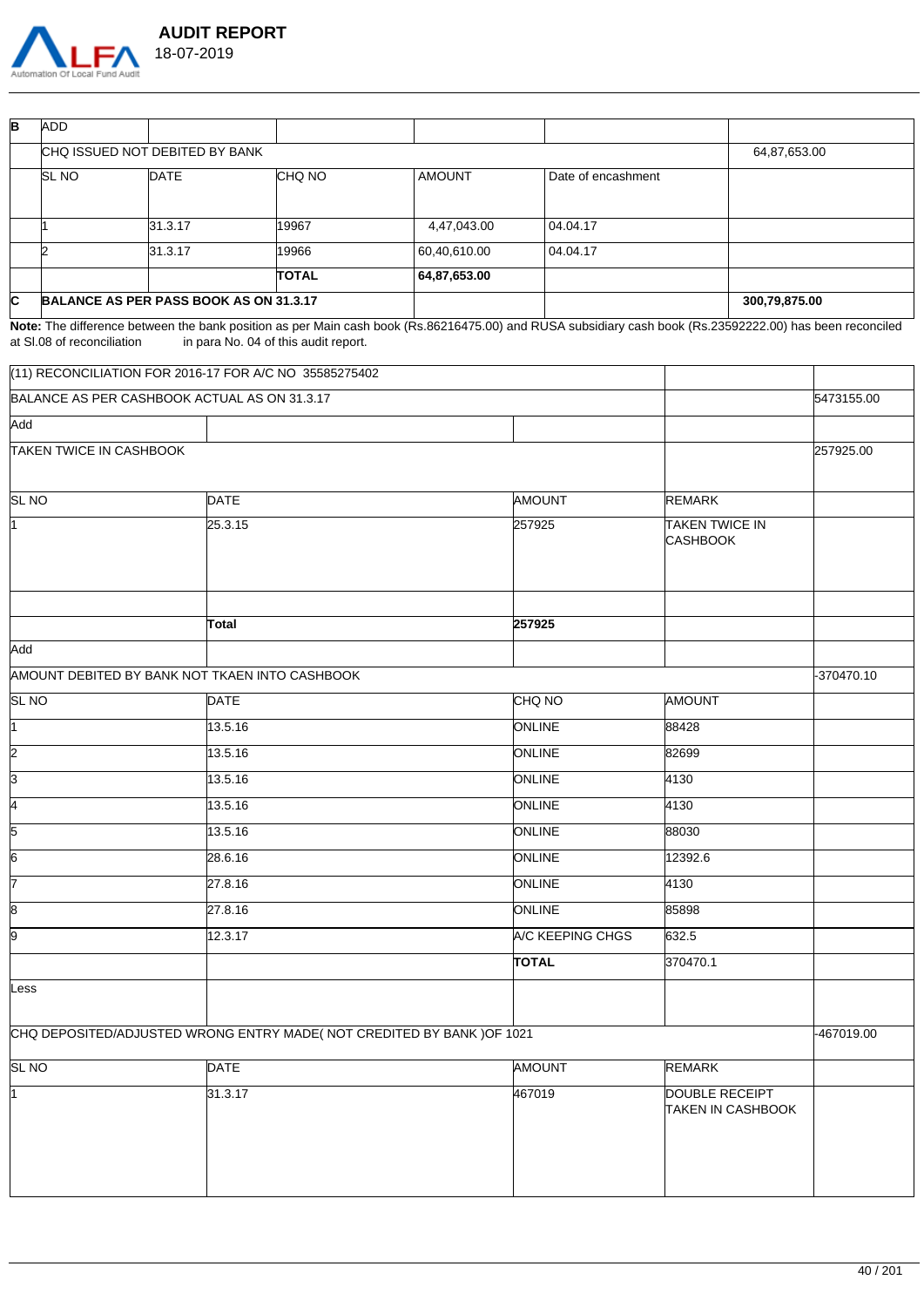

| B                       | ADD                                                                    |             |                      |                                      |               |               |                                                                                                                                                          |                       |                          |            |
|-------------------------|------------------------------------------------------------------------|-------------|----------------------|--------------------------------------|---------------|---------------|----------------------------------------------------------------------------------------------------------------------------------------------------------|-----------------------|--------------------------|------------|
|                         | CHQ ISSUED NOT DEBITED BY BANK                                         |             |                      |                                      |               |               |                                                                                                                                                          |                       | 64,87,653.00             |            |
|                         | <b>SL NO</b>                                                           | <b>DATE</b> |                      | <b>CHQ NO</b>                        | <b>AMOUNT</b> |               | Date of encashment                                                                                                                                       |                       |                          |            |
|                         |                                                                        |             |                      |                                      |               |               |                                                                                                                                                          |                       |                          |            |
|                         |                                                                        | 31.3.17     |                      | 19967                                | 4,47,043.00   |               | 04.04.17                                                                                                                                                 |                       |                          |            |
|                         | b.                                                                     | 31.3.17     |                      | 19966                                | 60,40,610.00  |               | 04.04.17                                                                                                                                                 |                       |                          |            |
|                         |                                                                        |             |                      | <b>TOTAL</b>                         | 64,87,653.00  |               |                                                                                                                                                          |                       |                          |            |
| C                       | BALANCE AS PER PASS BOOK AS ON 31.3.17                                 |             |                      |                                      |               |               |                                                                                                                                                          |                       | 300,79,875.00            |            |
|                         | at SI.08 of reconciliation                                             |             |                      | in para No. 04 of this audit report. |               |               | Note: The difference between the bank position as per Main cash book (Rs.86216475.00) and RUSA subsidiary cash book (Rs.23592222.00) has been reconciled |                       |                          |            |
|                         | (11) RECONCILIATION FOR 2016-17 FOR A/C NO 35585275402                 |             |                      |                                      |               |               |                                                                                                                                                          |                       |                          |            |
|                         | BALANCE AS PER CASHBOOK ACTUAL AS ON 31.3.17                           |             |                      |                                      |               |               |                                                                                                                                                          |                       |                          | 5473155.00 |
| Add                     |                                                                        |             |                      |                                      |               |               |                                                                                                                                                          |                       |                          |            |
|                         | TAKEN TWICE IN CASHBOOK                                                |             |                      |                                      |               |               |                                                                                                                                                          |                       |                          | 257925.00  |
|                         |                                                                        |             |                      |                                      |               |               |                                                                                                                                                          |                       |                          |            |
| SL <sub>NO</sub>        |                                                                        |             | <b>DATE</b>          |                                      |               | <b>AMOUNT</b> |                                                                                                                                                          | <b>REMARK</b>         |                          |            |
|                         |                                                                        |             | $\overline{25.3.15}$ |                                      |               | 257925        |                                                                                                                                                          | <b>TAKEN TWICE IN</b> |                          |            |
|                         |                                                                        |             |                      |                                      |               |               |                                                                                                                                                          | <b>CASHBOOK</b>       |                          |            |
|                         |                                                                        |             |                      |                                      |               |               |                                                                                                                                                          |                       |                          |            |
|                         |                                                                        |             |                      |                                      |               |               |                                                                                                                                                          |                       |                          |            |
|                         |                                                                        |             | Total                |                                      |               | 257925        |                                                                                                                                                          |                       |                          |            |
| Add                     |                                                                        |             |                      |                                      |               |               |                                                                                                                                                          |                       |                          |            |
|                         | AMOUNT DEBITED BY BANK NOT TKAEN INTO CASHBOOK                         |             |                      |                                      |               |               |                                                                                                                                                          |                       |                          | -370470.10 |
| SL <sub>NO</sub>        |                                                                        |             | <b>DATE</b>          |                                      |               | CHQ NO        |                                                                                                                                                          | <b>AMOUNT</b>         |                          |            |
|                         |                                                                        |             | 13.5.16              |                                      |               | ONLINE        |                                                                                                                                                          | 88428                 |                          |            |
| $\overline{2}$          |                                                                        |             | 13.5.16              |                                      |               | ONLINE        |                                                                                                                                                          | 82699                 |                          |            |
| $\overline{\mathbf{3}}$ |                                                                        |             | 13.5.16              |                                      |               | <b>ONLINE</b> |                                                                                                                                                          | 4130                  |                          |            |
| 4                       |                                                                        |             | 13.5.16              |                                      |               | <b>ONLINE</b> |                                                                                                                                                          | 4130                  |                          |            |
| 5                       |                                                                        |             | 13.5.16              |                                      |               | ONLINE        |                                                                                                                                                          | 88030                 |                          |            |
| 6                       |                                                                        |             | 28.6.16              |                                      |               | <b>ONLINE</b> |                                                                                                                                                          | 12392.6               |                          |            |
| $\overline{7}$          |                                                                        |             | 27.8.16              |                                      |               | ONLINE        |                                                                                                                                                          | 4130                  |                          |            |
| 8                       |                                                                        |             | 27.8.16              |                                      |               | ONLINE        |                                                                                                                                                          | 85898                 |                          |            |
| 9                       |                                                                        |             | 12.3.17              |                                      |               |               | A/C KEEPING CHGS                                                                                                                                         | 632.5                 |                          |            |
|                         |                                                                        |             |                      |                                      |               | <b>TOTAL</b>  |                                                                                                                                                          | 370470.1              |                          |            |
| Less                    |                                                                        |             |                      |                                      |               |               |                                                                                                                                                          |                       |                          |            |
|                         |                                                                        |             |                      |                                      |               |               |                                                                                                                                                          |                       |                          |            |
|                         | CHQ DEPOSITED/ADJUSTED WRONG ENTRY MADE( NOT CREDITED BY BANK )OF 1021 |             |                      |                                      |               |               |                                                                                                                                                          |                       |                          | -467019.00 |
| SL <sub>NO</sub>        |                                                                        |             | <b>DATE</b>          |                                      |               | <b>AMOUNT</b> |                                                                                                                                                          | <b>REMARK</b>         |                          |            |
| $\mathbf{1}$            |                                                                        |             | 31.3.17              |                                      |               | 467019        |                                                                                                                                                          | DOUBLE RECEIPT        |                          |            |
|                         |                                                                        |             |                      |                                      |               |               |                                                                                                                                                          |                       | <b>TAKEN IN CASHBOOK</b> |            |
|                         |                                                                        |             |                      |                                      |               |               |                                                                                                                                                          |                       |                          |            |
|                         |                                                                        |             |                      |                                      |               |               |                                                                                                                                                          |                       |                          |            |
|                         |                                                                        |             |                      |                                      |               |               |                                                                                                                                                          |                       |                          |            |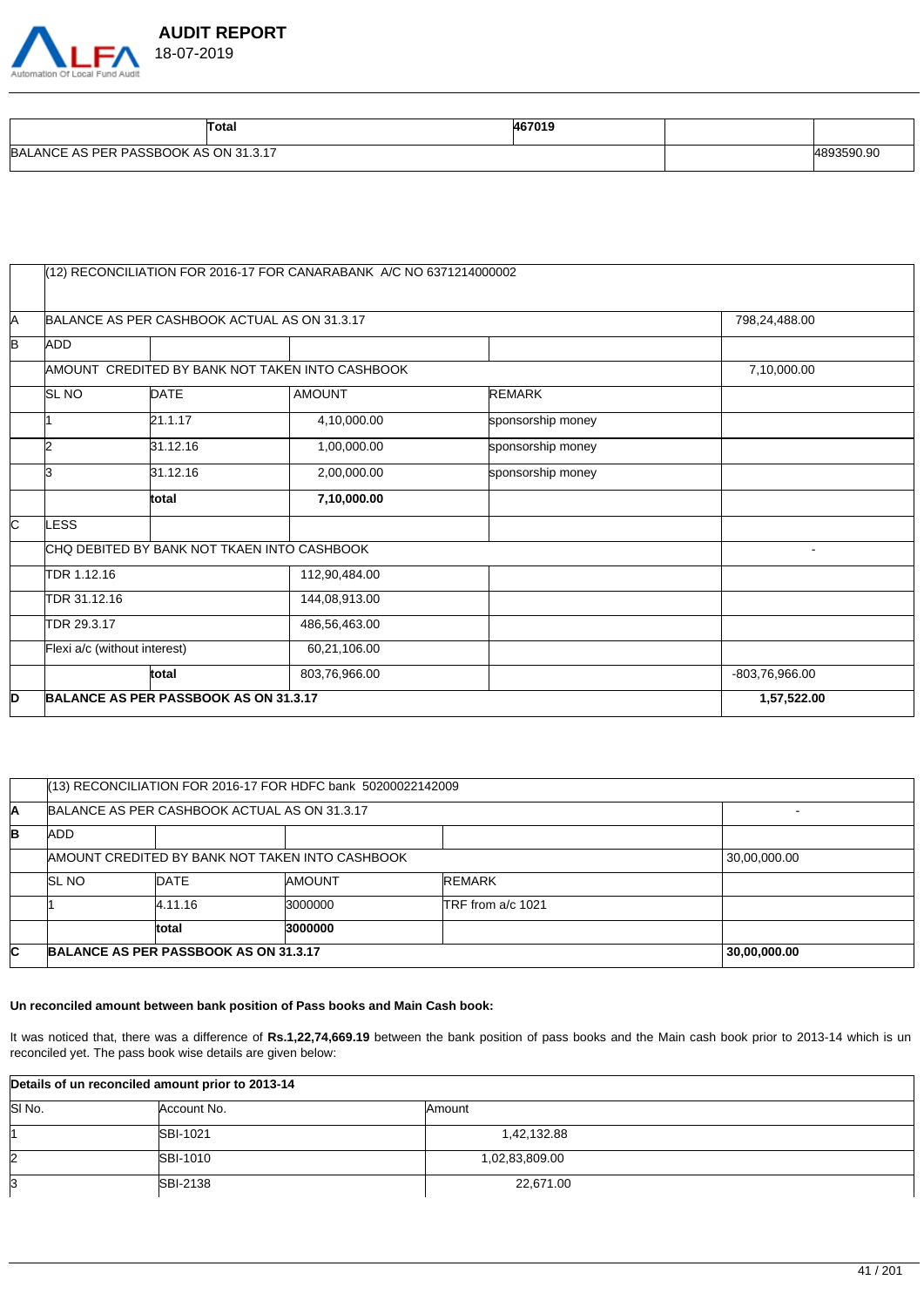

|                                       | Total | 467019 |            |
|---------------------------------------|-------|--------|------------|
| BALANCE AS PER PASSBOOK AS ON 31.3.17 |       |        | 4893590.90 |

|     |                              |                                       | 12) RECONCILIATION FOR 2016-17 FOR CANARABANK A/C NO 6371214000002 |                   |                |
|-----|------------------------------|---------------------------------------|--------------------------------------------------------------------|-------------------|----------------|
| A   |                              |                                       | BALANCE AS PER CASHBOOK ACTUAL AS ON 31.3.17                       |                   | 798,24,488.00  |
| B   | <b>ADD</b>                   |                                       |                                                                    |                   |                |
|     |                              |                                       | AMOUNT CREDITED BY BANK NOT TAKEN INTO CASHBOOK                    |                   | 7,10,000.00    |
|     | SL <sub>NO</sub>             | <b>DATE</b>                           | <b>AMOUNT</b>                                                      | <b>REMARK</b>     |                |
|     |                              | 21.1.17                               | 4,10,000.00                                                        | sponsorship money |                |
|     | l2                           | 31.12.16                              | 1,00,000.00                                                        | sponsorship money |                |
|     |                              | 31.12.16                              | 2,00,000.00                                                        | sponsorship money |                |
|     |                              | total                                 | 7,10,000.00                                                        |                   |                |
| lc. | ESS.                         |                                       |                                                                    |                   |                |
|     |                              |                                       | CHQ DEBITED BY BANK NOT TKAEN INTO CASHBOOK                        |                   | $\blacksquare$ |
|     | TDR 1.12.16                  |                                       | 112,90,484.00                                                      |                   |                |
|     | TDR 31.12.16                 |                                       | 144,08,913.00                                                      |                   |                |
|     | TDR 29.3.17                  |                                       | 486,56,463.00                                                      |                   |                |
|     | Flexi a/c (without interest) |                                       | 60,21,106.00                                                       |                   |                |
|     |                              | total                                 | 803,76,966.00                                                      |                   | -803,76,966.00 |
| D   |                              | BALANCE AS PER PASSBOOK AS ON 31.3.17 |                                                                    |                   | 1,57,522.00    |

| C  | BALANCE AS PER PASSBOOK AS ON 31.3.17        |                                                              |                                                 |                   | 30,00,000.00 |  |  |  |  |
|----|----------------------------------------------|--------------------------------------------------------------|-------------------------------------------------|-------------------|--------------|--|--|--|--|
|    |                                              | Itotal                                                       | 3000000                                         |                   |              |  |  |  |  |
|    |                                              | 4.11.16                                                      | 3000000                                         | TRF from a/c 1021 |              |  |  |  |  |
|    | <b>ISL NO</b>                                | DATE                                                         | <b>AMOUNT</b>                                   | <b>REMARK</b>     |              |  |  |  |  |
|    |                                              |                                                              | AMOUNT CREDITED BY BANK NOT TAKEN INTO CASHBOOK |                   | 30,00,000.00 |  |  |  |  |
| B  | <b>IADD</b>                                  |                                                              |                                                 |                   |              |  |  |  |  |
| IA | BALANCE AS PER CASHBOOK ACTUAL AS ON 31.3.17 |                                                              |                                                 |                   |              |  |  |  |  |
|    |                                              | (13) RECONCILIATION FOR 2016-17 FOR HDFC bank 50200022142009 |                                                 |                   |              |  |  |  |  |

### **Un reconciled amount between bank position of Pass books and Main Cash book:**

It was noticed that, there was a difference of **Rs.1,22,74,669.19** between the bank position of pass books and the Main cash book prior to 2013-14 which is un reconciled yet. The pass book wise details are given below:

## **Details of un reconciled amount prior to 2013-14**

| SI No. | Account No.     | Amount         |
|--------|-----------------|----------------|
|        | <b>SBI-1021</b> | 1,42,132.88    |
| 12     | SBI-1010        | 1,02,83,809.00 |
| 13     | SBI-2138        | 22,671.00      |

 $\overline{\phantom{a}}$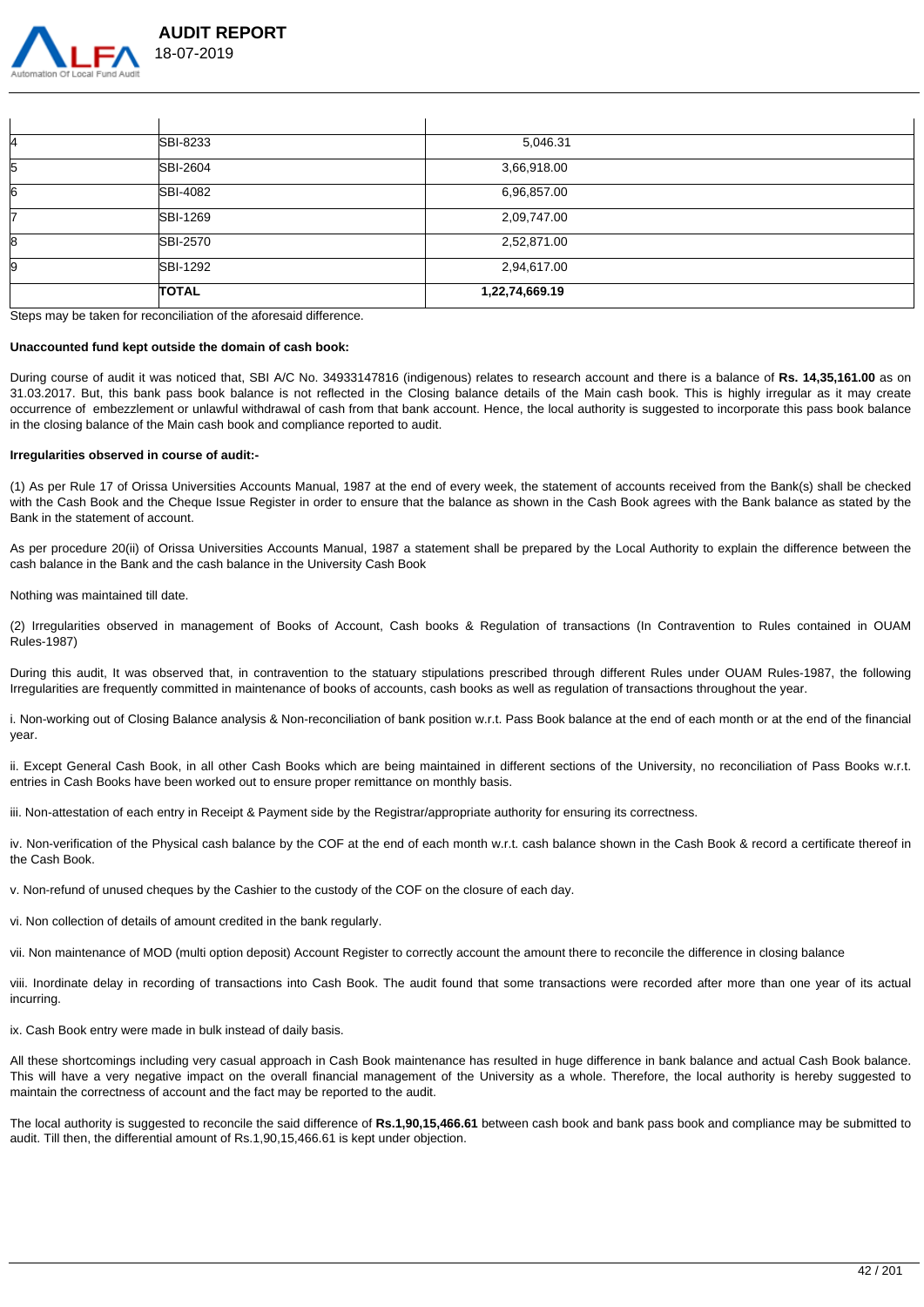

| SBI-8233        | 5,046.31       |
|-----------------|----------------|
| <b>SBI-2604</b> | 3,66,918.00    |
| <b>SBI-4082</b> | 6,96,857.00    |
| <b>SBI-1269</b> | 2,09,747.00    |
| <b>SBI-2570</b> | 2,52,871.00    |
| <b>SBI-1292</b> | 2,94,617.00    |
| <b>TOTAL</b>    | 1,22,74,669.19 |

Steps may be taken for reconciliation of the aforesaid difference.

#### **Unaccounted fund kept outside the domain of cash book:**

During course of audit it was noticed that, SBI A/C No. 34933147816 (indigenous) relates to research account and there is a balance of **Rs. 14,35,161.00** as on 31.03.2017. But, this bank pass book balance is not reflected in the Closing balance details of the Main cash book. This is highly irregular as it may create occurrence of embezzlement or unlawful withdrawal of cash from that bank account. Hence, the local authority is suggested to incorporate this pass book balance in the closing balance of the Main cash book and compliance reported to audit.

#### **Irregularities observed in course of audit:-**

(1) As per Rule 17 of Orissa Universities Accounts Manual, 1987 at the end of every week, the statement of accounts received from the Bank(s) shall be checked with the Cash Book and the Cheque Issue Register in order to ensure that the balance as shown in the Cash Book agrees with the Bank balance as stated by the Bank in the statement of account.

As per procedure 20(ii) of Orissa Universities Accounts Manual, 1987 a statement shall be prepared by the Local Authority to explain the difference between the cash balance in the Bank and the cash balance in the University Cash Book

Nothing was maintained till date.

(2) Irregularities observed in management of Books of Account, Cash books & Regulation of transactions (In Contravention to Rules contained in OUAM Rules-1987)

During this audit, It was observed that, in contravention to the statuary stipulations prescribed through different Rules under OUAM Rules-1987, the following Irregularities are frequently committed in maintenance of books of accounts, cash books as well as regulation of transactions throughout the year.

i. Non-working out of Closing Balance analysis & Non-reconciliation of bank position w.r.t. Pass Book balance at the end of each month or at the end of the financial year.

ii. Except General Cash Book, in all other Cash Books which are being maintained in different sections of the University, no reconciliation of Pass Books w.r.t. entries in Cash Books have been worked out to ensure proper remittance on monthly basis.

iii. Non-attestation of each entry in Receipt & Payment side by the Registrar/appropriate authority for ensuring its correctness.

iv. Non-verification of the Physical cash balance by the COF at the end of each month w.r.t. cash balance shown in the Cash Book & record a certificate thereof in the Cash Book.

v. Non-refund of unused cheques by the Cashier to the custody of the COF on the closure of each day.

vi. Non collection of details of amount credited in the bank regularly.

vii. Non maintenance of MOD (multi option deposit) Account Register to correctly account the amount there to reconcile the difference in closing balance

viii. Inordinate delay in recording of transactions into Cash Book. The audit found that some transactions were recorded after more than one year of its actual incurring.

ix. Cash Book entry were made in bulk instead of daily basis.

All these shortcomings including very casual approach in Cash Book maintenance has resulted in huge difference in bank balance and actual Cash Book balance. This will have a very negative impact on the overall financial management of the University as a whole. Therefore, the local authority is hereby suggested to maintain the correctness of account and the fact may be reported to the audit.

The local authority is suggested to reconcile the said difference of **Rs.1,90,15,466.61** between cash book and bank pass book and compliance may be submitted to audit. Till then, the differential amount of Rs.1,90,15,466.61 is kept under objection.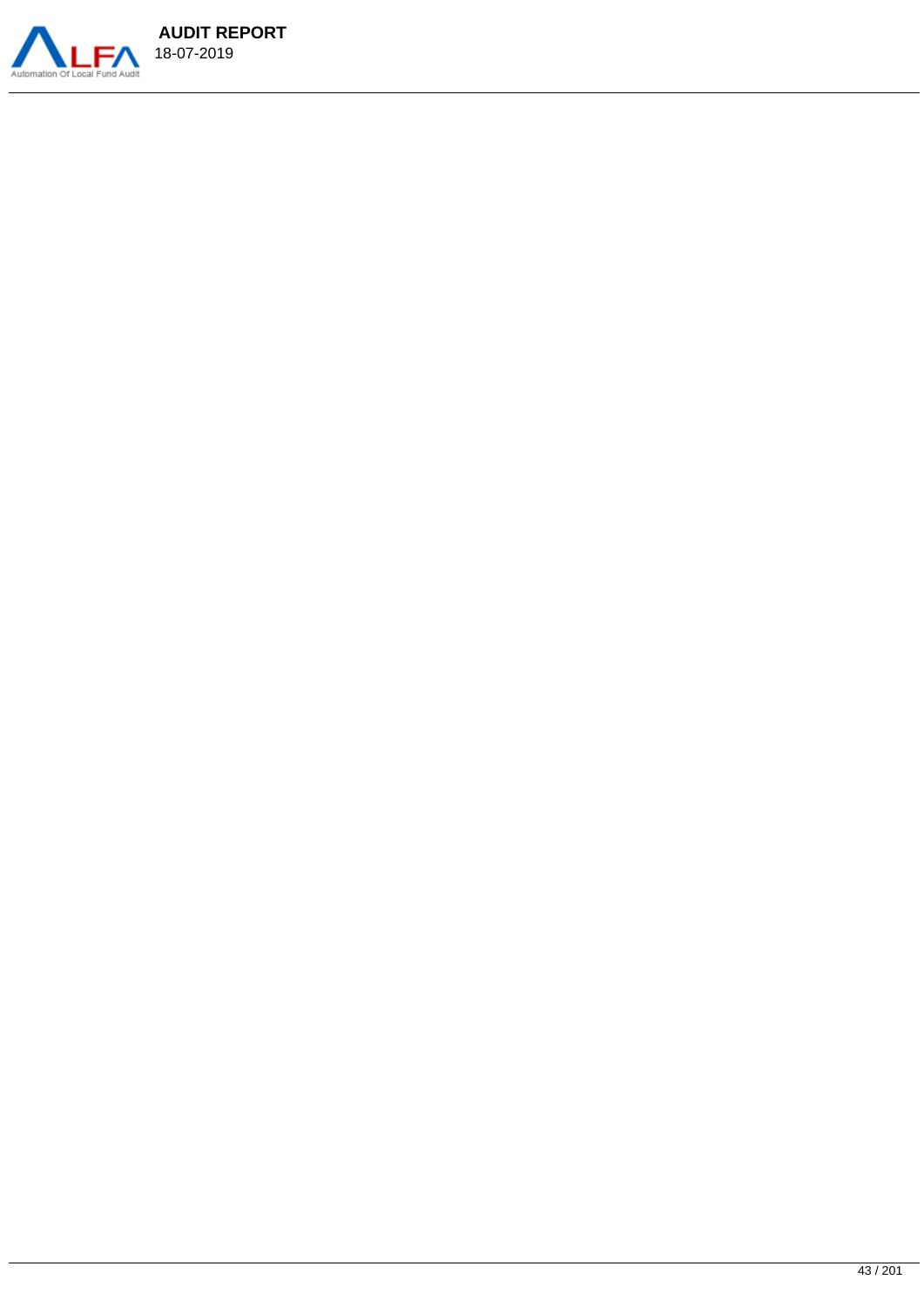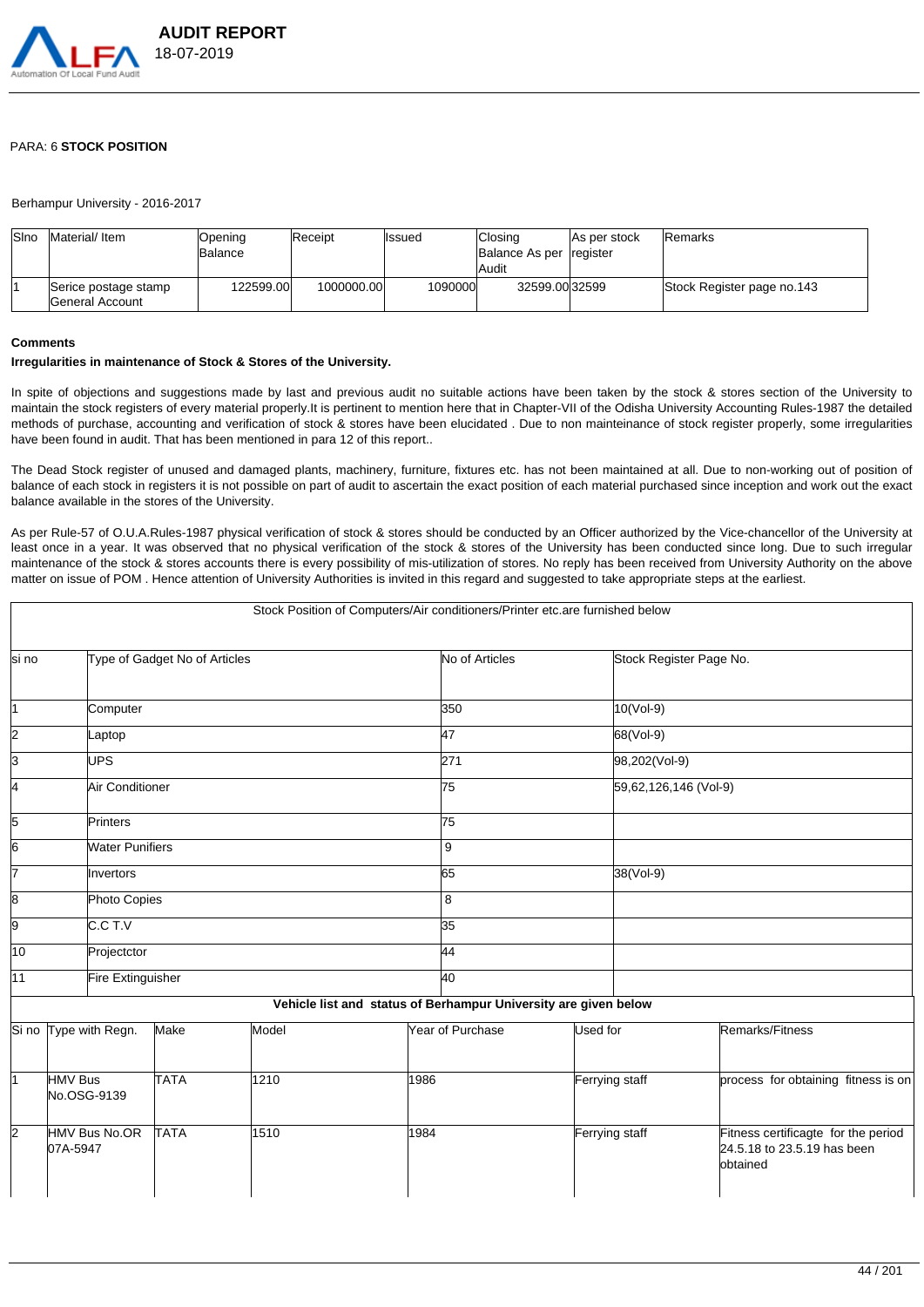

### PARA: 6 **STOCK POSITION**

Berhampur University - 2016-2017

| <b>S</b> lno | Material/ Item                          | Opening<br>Balance | <b>Receipt</b> | Ilssued | lClosina<br>Balance As per Iregister<br>lAudit | <b>As per stock</b> | <b>IRemarks</b>            |
|--------------|-----------------------------------------|--------------------|----------------|---------|------------------------------------------------|---------------------|----------------------------|
|              | Serice postage stamp<br>General Account | 122599.00          | 1000000.00     | 1090000 | 32599.00 32599                                 |                     | Stock Register page no.143 |

### **Comments**

### **Irregularities in maintenance of Stock & Stores of the University.**

In spite of objections and suggestions made by last and previous audit no suitable actions have been taken by the stock & stores section of the University to maintain the stock registers of every material properly.It is pertinent to mention here that in Chapter-VII of the Odisha University Accounting Rules-1987 the detailed methods of purchase, accounting and verification of stock & stores have been elucidated . Due to non mainteinance of stock register properly, some irregularities have been found in audit. That has been mentioned in para 12 of this report..

The Dead Stock register of unused and damaged plants, machinery, furniture, fixtures etc. has not been maintained at all. Due to non-working out of position of balance of each stock in registers it is not possible on part of audit to ascertain the exact position of each material purchased since inception and work out the exact balance available in the stores of the University.

As per Rule-57 of O.U.A.Rules-1987 physical verification of stock & stores should be conducted by an Officer authorized by the Vice-chancellor of the University at least once in a year. It was observed that no physical verification of the stock & stores of the University has been conducted since long. Due to such irregular maintenance of the stock & stores accounts there is every possibility of mis-utilization of stores. No reply has been received from University Authority on the above matter on issue of POM . Hence attention of University Authorities is invited in this regard and suggested to take appropriate steps at the earliest.

|                |                               |                               |       |      | Stock Position of Computers/Air conditioners/Printer etc.are furnished below |                |                                                                                |                                     |
|----------------|-------------------------------|-------------------------------|-------|------|------------------------------------------------------------------------------|----------------|--------------------------------------------------------------------------------|-------------------------------------|
| si no          |                               | Type of Gadget No of Articles |       |      | No of Articles                                                               |                | Stock Register Page No.                                                        |                                     |
| ł1.            | Computer                      |                               |       |      | 350                                                                          |                | $10(Vol-9)$                                                                    |                                     |
| $\overline{2}$ | Laptop                        |                               |       |      | 47                                                                           |                | 68(Vol-9)                                                                      |                                     |
| 3              | <b>UPS</b>                    |                               |       |      | 271<br>98,202(Vol-9)                                                         |                |                                                                                |                                     |
| 4              |                               | Air Conditioner               |       |      | 75<br>59,62,126,146 (Vol-9)                                                  |                |                                                                                |                                     |
| $\overline{5}$ | Printers                      |                               |       |      | 75                                                                           |                |                                                                                |                                     |
| 6              | <b>Water Punifiers</b>        |                               |       |      | 9                                                                            |                |                                                                                |                                     |
| 17             | Invertors                     |                               |       |      | 65                                                                           |                | 38(Vol-9)                                                                      |                                     |
| $\overline{8}$ | Photo Copies                  |                               |       |      | 8                                                                            |                |                                                                                |                                     |
| $\overline{9}$ | C.C T.V                       |                               |       |      | $\overline{35}$                                                              |                |                                                                                |                                     |
| 10             | Projectctor                   |                               |       |      | 44                                                                           |                |                                                                                |                                     |
| 11             |                               | Fire Extinguisher             |       |      | 40                                                                           |                |                                                                                |                                     |
|                |                               |                               |       |      | Vehicle list and status of Berhampur University are given below              |                |                                                                                |                                     |
|                | Si no Type with Regn.         | Make                          | Model |      | Year of Purchase                                                             | Used for       |                                                                                | Remarks/Fitness                     |
| ł1.            | <b>HMV Bus</b><br>No.OSG-9139 | <b>TATA</b>                   | 1210  | 1986 |                                                                              |                | <b>Ferrying staff</b>                                                          | process for obtaining fitness is on |
| $\overline{2}$ | HMV Bus No.OR<br>07A-5947     | <b>TATA</b><br>1510<br>1984   |       |      |                                                                              | Ferrying staff | Fitness certificagte for the period<br>24.5.18 to 23.5.19 has been<br>obtained |                                     |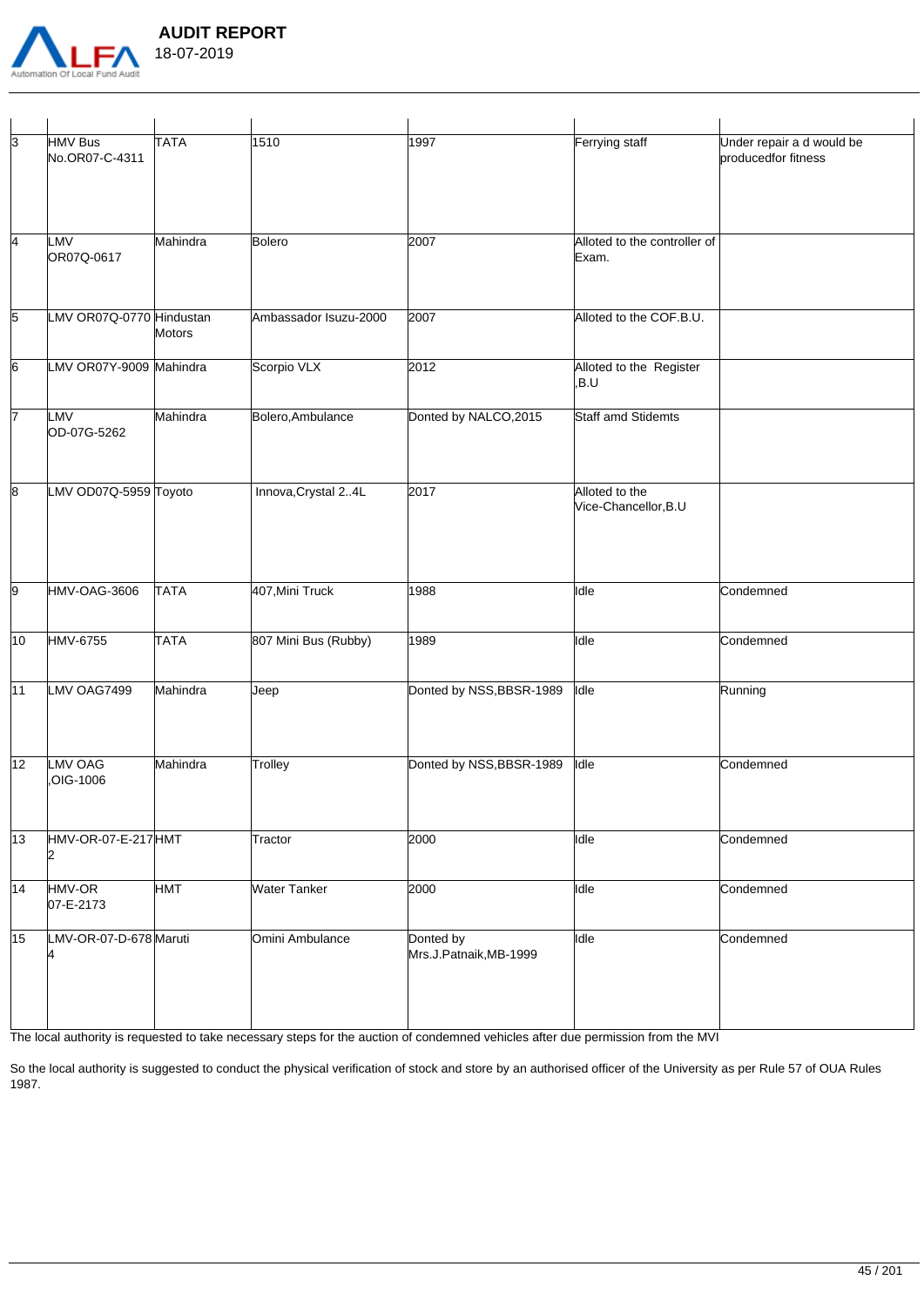

| $\overline{3}$  | <b>HMV Bus</b><br>No.OR07-C-4311 | <b>TATA</b>   | 1510                  | 1997                                | Ferrying staff                         | Under repair a d would be<br>producedfor fitness |
|-----------------|----------------------------------|---------------|-----------------------|-------------------------------------|----------------------------------------|--------------------------------------------------|
| l4              | LMV<br>OR07Q-0617                | Mahindra      | Bolero                | 2007                                | Alloted to the controller of<br>Exam.  |                                                  |
| 5               | LMV OR07Q-0770 Hindustan         | <b>Motors</b> | Ambassador Isuzu-2000 | 2007                                | Alloted to the COF.B.U.                |                                                  |
| 6               | LMV OR07Y-9009 Mahindra          |               | Scorpio VLX           | 2012                                | Alloted to the Register<br>,B.U        |                                                  |
| 7               | LMV<br>OD-07G-5262               | Mahindra      | Bolero, Ambulance     | Donted by NALCO, 2015               | Staff amd Stidemts                     |                                                  |
| $\overline{8}$  | LMV OD07Q-5959 Toyoto            |               | Innova, Crystal 24L   | 2017                                | Alloted to the<br>Vice-Chancellor, B.U |                                                  |
| 9               | HMV-OAG-3606                     | <b>TATA</b>   | 407, Mini Truck       | 1988                                | Idle                                   | Condemned                                        |
| $\overline{10}$ | <b>HMV-6755</b>                  | <b>TATA</b>   | 807 Mini Bus (Rubby)  | 1989                                | Idle                                   | Condemned                                        |
| 11              | LMV OAG7499                      | Mahindra      | Jeep                  | Donted by NSS, BBSR-1989            | Idle                                   | Running                                          |
| 12              | <b>LMV OAG</b><br>OIG-1006       | Mahindra      | Trolley               | Donted by NSS, BBSR-1989            | Idle                                   | Condemned                                        |
| $\sqrt{13}$     | HMV-OR-07-E-217 HMT<br>12        |               | Tractor               | 2000                                | Idle                                   | Condemned                                        |
| $\overline{14}$ | HMV-OR<br>07-E-2173              | <b>HMT</b>    | Water Tanker          | 2000                                | Idle                                   | Condemned                                        |
| $\overline{15}$ | LMV-OR-07-D-678 Maruti           |               | Omini Ambulance       | Donted by<br>Mrs.J.Patnaik, MB-1999 | Idle                                   | Condemned                                        |

The local authority is requested to take necessary steps for the auction of condemned vehicles after due permission from the MVI

So the local authority is suggested to conduct the physical verification of stock and store by an authorised officer of the University as per Rule 57 of OUA Rules 1987.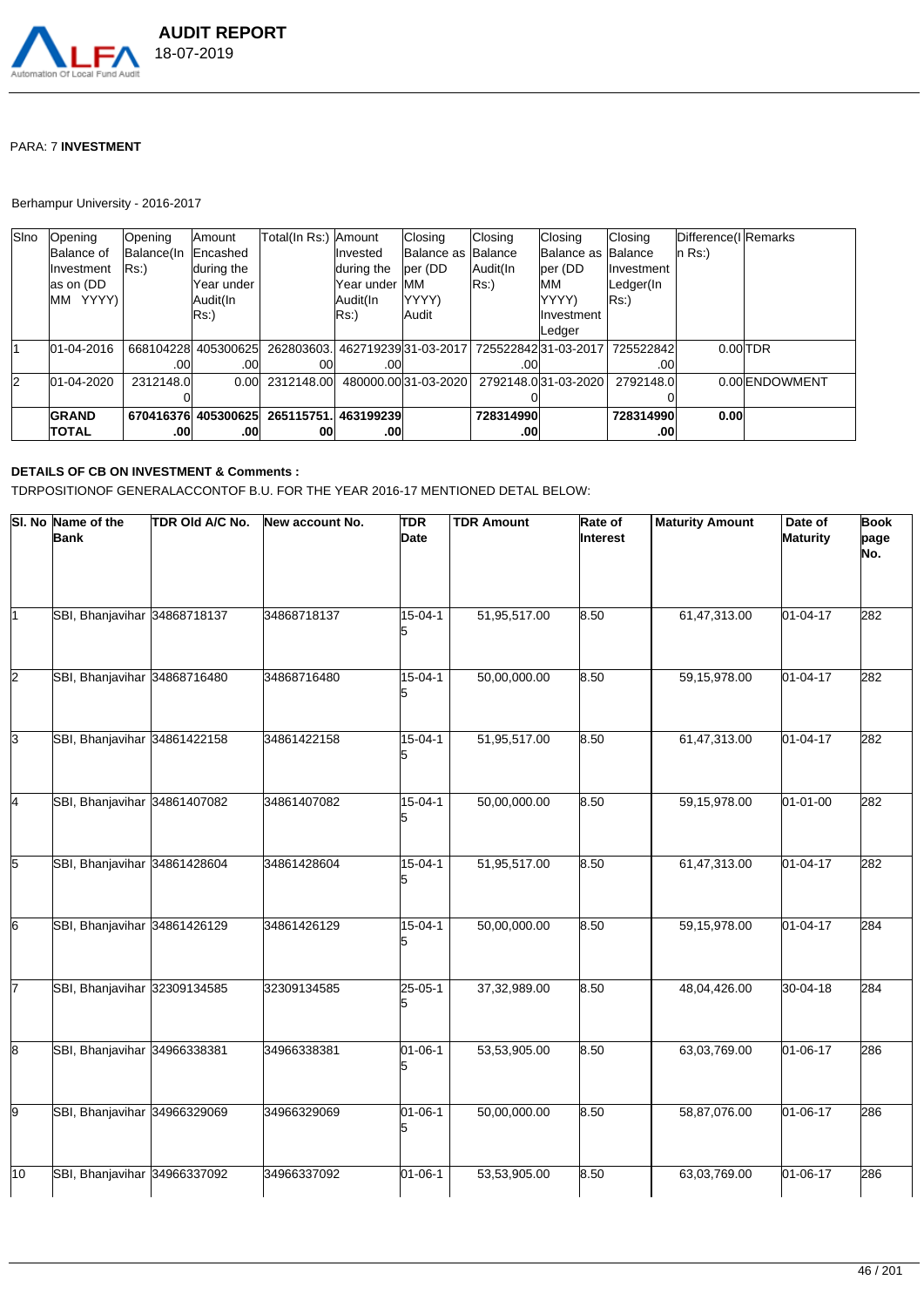

# PARA: 7 **INVESTMENT**

# Berhampur University - 2016-2017

| Sino | Opening           | Opening             | Amount              | Total(In Rs:) Amount                                               |                  | Closing             | Closing   | Closing             | Closing     | Difference(I Remarks |                |
|------|-------------------|---------------------|---------------------|--------------------------------------------------------------------|------------------|---------------------|-----------|---------------------|-------------|----------------------|----------------|
|      | <b>Balance of</b> | Balance(In Encashed |                     |                                                                    | <b>Invested</b>  | Balance as          | Balance   | Balance as Balance  |             | $n$ Rs:)             |                |
|      | Investment        | $Rs.$ )             | during the          |                                                                    | during the       | per (DD             | Audit(In  | per (DD             | llnyestment |                      |                |
|      | as on (DD         |                     | Year under          |                                                                    | Year under       | IMM.                | Rs:       | MМ                  | Ledger(In   |                      |                |
|      | MM YYYY)          |                     | Audit(In            |                                                                    | Audit(In         | lYYYY)              |           | YYYY)               | Rs.         |                      |                |
|      |                   |                     | (Rs:)               |                                                                    | Rs.              | <b>Audit</b>        |           | Investment          |             |                      |                |
|      |                   |                     |                     |                                                                    |                  |                     |           | Ledger              |             |                      |                |
|      | 01-04-2016        |                     | 668104228 405300625 | 262803603. 462719239 31-03-2017   725522842 31-03-2017   725522842 |                  |                     |           |                     |             |                      | $0.00$ TDR     |
|      |                   | .001                | .00                 | 00l                                                                | .00I             |                     | .00       |                     | .001        |                      |                |
| 12   | $01 - 04 - 2020$  | 2312148.0           | 0.00                | 2312148.00                                                         |                  | 480000.0031-03-2020 |           | 2792148.031-03-2020 | 2792148.0   |                      | 0.00 ENDOWMENT |
|      |                   |                     |                     |                                                                    |                  |                     |           |                     |             |                      |                |
|      | <b>GRAND</b>      |                     | 670416376 405300625 | 265115751.                                                         | 463199239        |                     | 728314990 |                     | 728314990   | 0.00                 |                |
|      | <b>TOTAL</b>      | .00                 | .00                 | 00                                                                 | .00 <sub>l</sub> |                     | .001      |                     | .001        |                      |                |

## **DETAILS OF CB ON INVESTMENT & Comments :**

TDRPOSITIONOF GENERALACCONTOF B.U. FOR THE YEAR 2016-17 MENTIONED DETAL BELOW:

|                | SI. No Name of the<br><b>Bank</b> | TDR Old A/C No. | New account No. | <b>TDR</b><br><b>Date</b> | <b>TDR Amount</b> | Rate of<br>Interest | <b>Maturity Amount</b> | Date of<br><b>Maturity</b> | <b>Book</b><br>page<br>No. |
|----------------|-----------------------------------|-----------------|-----------------|---------------------------|-------------------|---------------------|------------------------|----------------------------|----------------------------|
| I1.            | SBI, Bhanjavihar 34868718137      |                 | 34868718137     | $15 - 04 - 1$             | 51,95,517.00      | 8.50                | 61,47,313.00           | $01 - 04 - 17$             | 282                        |
| $\sqrt{2}$     | SBI, Bhanjavihar 34868716480      |                 | 34868716480     | $15 - 04 - 1$             | 50,00,000.00      | 8.50                | 59, 15, 978.00         | $01 - 04 - 17$             | 282                        |
| 3              | SBI, Bhanjavihar 34861422158      |                 | 34861422158     | $15 - 04 - 1$             | 51,95,517.00      | 8.50                | 61,47,313.00           | $01 - 04 - 17$             | 282                        |
| l4             | SBI, Bhanjavihar 34861407082      |                 | 34861407082     | 15-04-1<br>5              | 50,00,000.00      | 8.50                | 59,15,978.00           | 01-01-00                   | 282                        |
| $\overline{5}$ | SBI, Bhanjavihar 34861428604      |                 | 34861428604     | $15 - 04 - 1$<br>5        | 51,95,517.00      | 8.50                | 61,47,313.00           | $01 - 04 - 17$             | 282                        |
| 6              | SBI, Bhanjavihar 34861426129      |                 | 34861426129     | $15 - 04 - 1$<br>5        | 50,00,000.00      | 8.50                | 59,15,978.00           | $01 - 04 - 17$             | 284                        |
| 17             | SBI, Bhanjavihar 32309134585      |                 | 32309134585     | $25 - 05 - 1$             | 37,32,989.00      | 8.50                | 48,04,426.00           | 30-04-18                   | 284                        |
| 8              | SBI, Bhanjavihar 34966338381      |                 | 34966338381     | $01 - 06 - 1$             | 53,53,905.00      | 8.50                | 63,03,769.00           | $01 - 06 - 17$             | 286                        |
| 9              | SBI, Bhanjavihar 34966329069      |                 | 34966329069     | $01 - 06 - 1$<br>5        | 50,00,000.00      | 8.50                | 58,87,076.00           | $01 - 06 - 17$             | 286                        |
| 10             | SBI, Bhanjavihar 34966337092      |                 | 34966337092     | $01 - 06 - 1$             | 53,53,905.00      | 8.50                | 63,03,769.00           | 01-06-17                   | 286                        |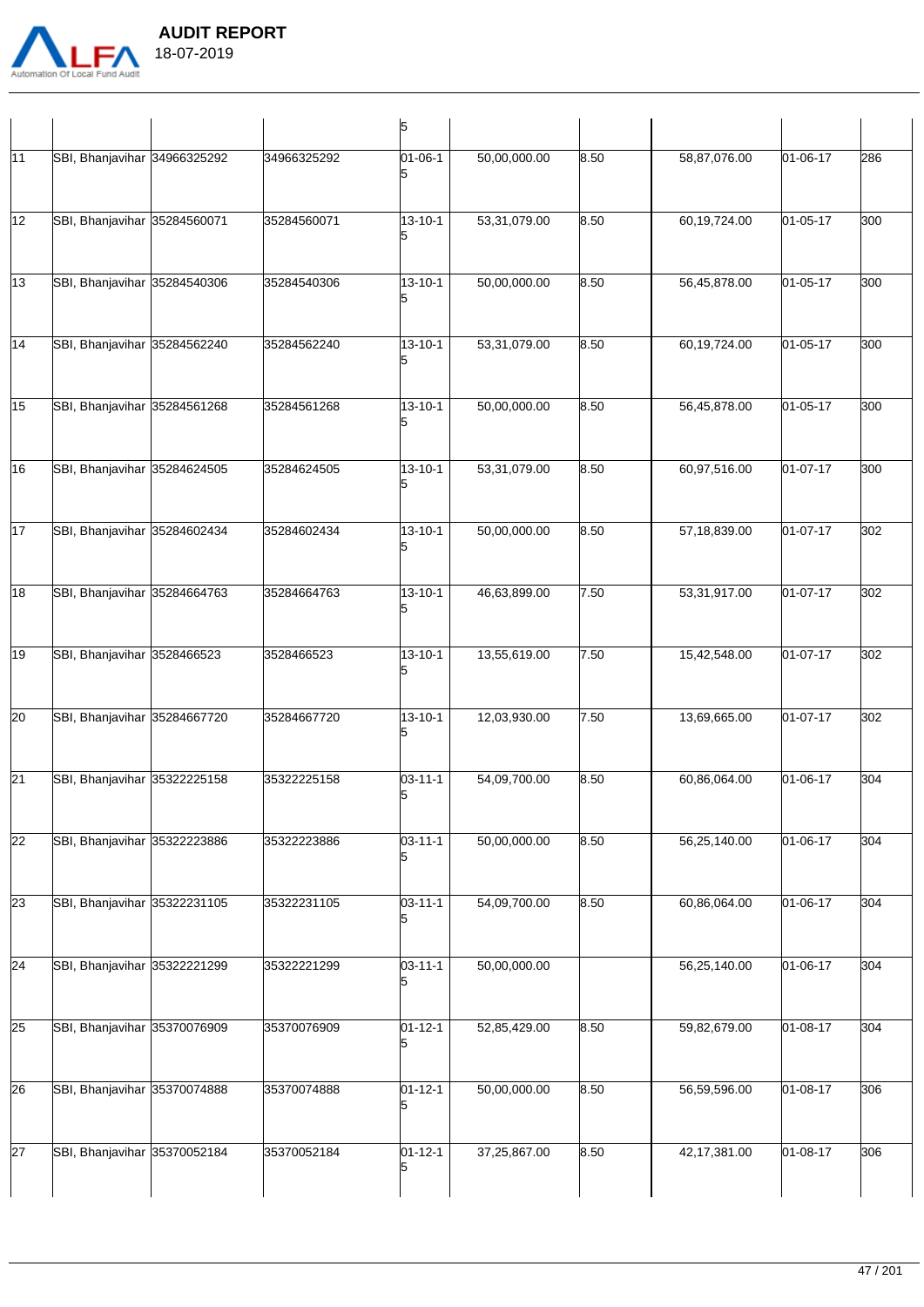

| 11              | SBI, Bhanjavihar 34966325292 | 34966325292 | $01 - 06 - 1$ | 50,00,000.00 | 8.50 | 58,87,076.00 | 01-06-17       | 286 |
|-----------------|------------------------------|-------------|---------------|--------------|------|--------------|----------------|-----|
| 12              | SBI, Bhanjavihar 35284560071 | 35284560071 | $13 - 10 - 1$ | 53,31,079.00 | 8.50 | 60,19,724.00 | $01 - 05 - 17$ | 300 |
| 13              | SBI, Bhanjavihar 35284540306 | 35284540306 | $13 - 10 - 1$ | 50,00,000.00 | 8.50 | 56,45,878.00 | $01 - 05 - 17$ | 300 |
| 14              | SBI, Bhanjavihar 35284562240 | 35284562240 | $13 - 10 - 1$ | 53,31,079.00 | 8.50 | 60,19,724.00 | 01-05-17       | 300 |
| 15              | SBI, Bhanjavihar 35284561268 | 35284561268 | $13 - 10 - 1$ | 50,00,000.00 | 8.50 | 56,45,878.00 | $01 - 05 - 17$ | 300 |
| 16              | SBI, Bhanjavihar 35284624505 | 35284624505 | $13 - 10 - 1$ | 53,31,079.00 | 8.50 | 60,97,516.00 | $01 - 07 - 17$ | 300 |
| 17              | SBI, Bhanjavihar 35284602434 | 35284602434 | $13 - 10 - 1$ | 50,00,000.00 | 8.50 | 57,18,839.00 | $01 - 07 - 17$ | 302 |
| 18              | SBI, Bhanjavihar 35284664763 | 35284664763 | $13 - 10 - 1$ | 46,63,899.00 | 7.50 | 53,31,917.00 | $01 - 07 - 17$ | 302 |
| 19              | SBI, Bhanjavihar 3528466523  | 3528466523  | $13 - 10 - 1$ | 13,55,619.00 | 7.50 | 15,42,548.00 | 01-07-17       | 302 |
| 20              | SBI, Bhanjavihar 35284667720 | 35284667720 | $13 - 10 - 1$ | 12,03,930.00 | 7.50 | 13,69,665.00 | 01-07-17       | 302 |
| 21              | SBI, Bhanjavihar 35322225158 | 35322225158 | $03 - 11 - 1$ | 54,09,700.00 | 8.50 | 60,86,064.00 | 01-06-17       | 304 |
| $\overline{22}$ | SBI, Bhanjavihar 35322223886 | 35322223886 | $03 - 11 - 1$ | 50,00,000.00 | 8.50 | 56,25,140.00 | 01-06-17       | 304 |
| 23              | SBI, Bhanjavihar 35322231105 | 35322231105 | $03 - 11 - 1$ | 54,09,700.00 | 8.50 | 60,86,064.00 | $01 - 06 - 17$ | 304 |
| 24              | SBI, Bhanjavihar 35322221299 | 35322221299 | $03 - 11 - 1$ | 50,00,000.00 |      | 56,25,140.00 | 01-06-17       | 304 |
| 25              | SBI, Bhanjavihar 35370076909 | 35370076909 | $01 - 12 - 1$ | 52,85,429.00 | 8.50 | 59,82,679.00 | 01-08-17       | 304 |
| 26              | SBI, Bhanjavihar 35370074888 | 35370074888 | $01 - 12 - 1$ | 50,00,000.00 | 8.50 | 56,59,596.00 | $01 - 08 - 17$ | 306 |
| 27              | SBI, Bhanjavihar 35370052184 | 35370052184 | $01 - 12 - 1$ | 37,25,867.00 | 8.50 | 42,17,381.00 | $01 - 08 - 17$ | 306 |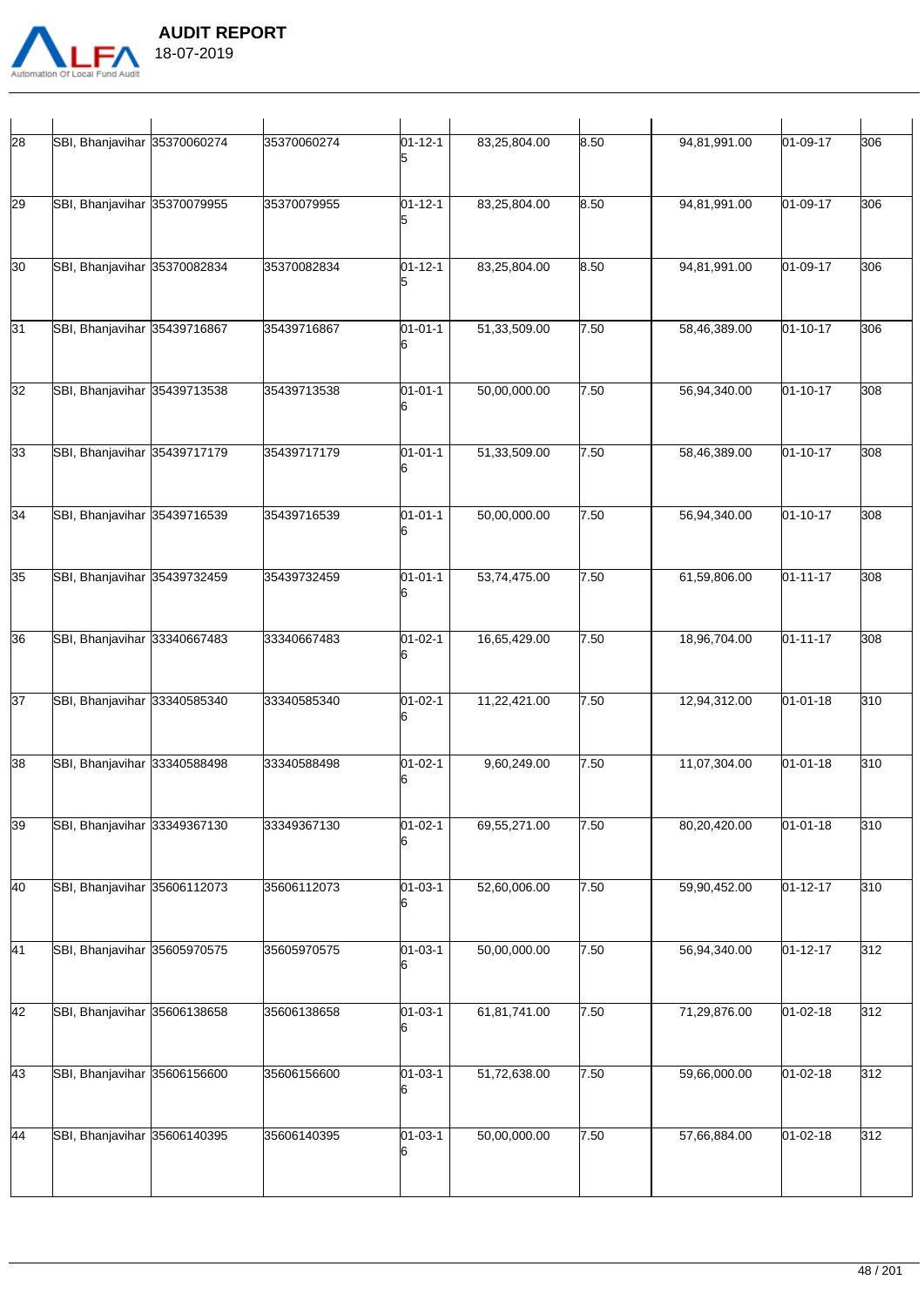

|            | <b>AUDIT REPORT</b> |
|------------|---------------------|
| 18-07-2019 |                     |

| 28 | SBI, Bhanjavihar 35370060274 | 35370060274 | $01 - 12 - 1$      | 83,25,804.00 | 8.50 | 94,81,991.00 | 01-09-17       | 306 |
|----|------------------------------|-------------|--------------------|--------------|------|--------------|----------------|-----|
| 29 | SBI, Bhanjavihar 35370079955 | 35370079955 | $01 - 12 - 1$      | 83,25,804.00 | 8.50 | 94,81,991.00 | 01-09-17       | 306 |
| 30 | SBI, Bhanjavihar 35370082834 | 35370082834 | $01 - 12 - 1$<br>5 | 83,25,804.00 | 8.50 | 94,81,991.00 | 01-09-17       | 306 |
| 31 | SBI, Bhanjavihar 35439716867 | 35439716867 | $01 - 01 - 1$      | 51,33,509.00 | 7.50 | 58,46,389.00 | 01-10-17       | 306 |
| 32 | SBI, Bhanjavihar 35439713538 | 35439713538 | $01 - 01 - 1$      | 50,00,000.00 | 7.50 | 56,94,340.00 | 01-10-17       | 308 |
| 33 | SBI, Bhanjavihar 35439717179 | 35439717179 | $01 - 01 - 1$      | 51,33,509.00 | 7.50 | 58,46,389.00 | $01 - 10 - 17$ | 308 |
| 34 | SBI, Bhanjavihar 35439716539 | 35439716539 | $01 - 01 - 1$      | 50,00,000.00 | 7.50 | 56,94,340.00 | $01 - 10 - 17$ | 308 |
| 35 | SBI, Bhanjavihar 35439732459 | 35439732459 | $01 - 01 - 1$      | 53,74,475.00 | 7.50 | 61,59,806.00 | $01 - 11 - 17$ | 308 |
| 36 | SBI, Bhanjavihar 33340667483 | 33340667483 | $01 - 02 - 1$      | 16,65,429.00 | 7.50 | 18,96,704.00 | $01 - 11 - 17$ | 308 |
| 37 | SBI, Bhanjavihar 33340585340 | 33340585340 | $01 - 02 - 1$      | 11,22,421.00 | 7.50 | 12,94,312.00 | $01 - 01 - 18$ | 310 |
| 38 | SBI, Bhanjavihar 33340588498 | 33340588498 | $01 - 02 - 1$      | 9,60,249.00  | 7.50 | 11,07,304.00 | $01 - 01 - 18$ | 310 |
| 39 | SBI, Bhanjavihar 33349367130 | 33349367130 | $01 - 02 - 1$      | 69,55,271.00 | 7.50 | 80,20,420.00 | $01 - 01 - 18$ | 310 |
| 40 | SBI, Bhanjavihar 35606112073 | 35606112073 | $01 - 03 - 1$      | 52,60,006.00 | 7.50 | 59,90,452.00 | $01 - 12 - 17$ | 310 |
| 41 | SBI, Bhanjavihar 35605970575 | 35605970575 | $01 - 03 - 1$      | 50,00,000.00 | 7.50 | 56,94,340.00 | $01 - 12 - 17$ | 312 |
| 42 | SBI, Bhanjavihar 35606138658 | 35606138658 | $01 - 03 - 1$      | 61,81,741.00 | 7.50 | 71,29,876.00 | $01 - 02 - 18$ | 312 |
| 43 | SBI, Bhanjavihar 35606156600 | 35606156600 | $01 - 03 - 1$<br>6 | 51,72,638.00 | 7.50 | 59,66,000.00 | $01 - 02 - 18$ | 312 |
| 44 | SBI, Bhanjavihar 35606140395 | 35606140395 | $01 - 03 - 1$      | 50,00,000.00 | 7.50 | 57,66,884.00 | 01-02-18       | 312 |
|    |                              |             |                    |              |      |              |                |     |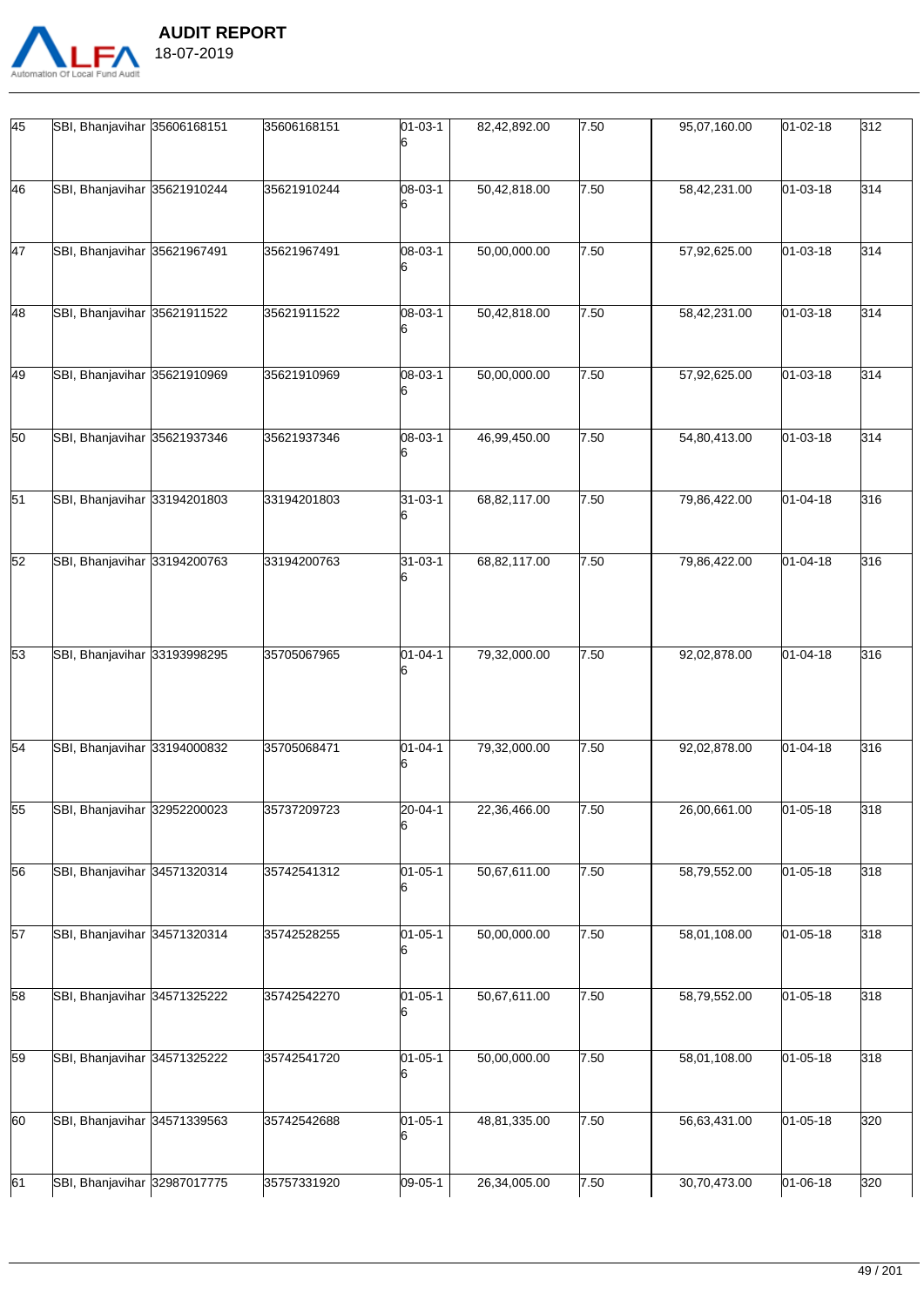

| 45 | SBI, Bhanjavihar 35606168151 | 35606168151 | $01 - 03 - 1$ | 82,42,892.00 | 7.50 | 95,07,160.00 | 01-02-18       | 312 |
|----|------------------------------|-------------|---------------|--------------|------|--------------|----------------|-----|
| 46 | SBI, Bhanjavihar 35621910244 | 35621910244 | $08 - 03 - 1$ | 50,42,818.00 | 7.50 | 58,42,231.00 | 01-03-18       | 314 |
| 47 | SBI, Bhanjavihar 35621967491 | 35621967491 | $08 - 03 - 1$ | 50,00,000.00 | 7.50 | 57,92,625.00 | 01-03-18       | 314 |
| 48 | SBI, Bhanjavihar 35621911522 | 35621911522 | 08-03-1       | 50,42,818.00 | 7.50 | 58,42,231.00 | 01-03-18       | 314 |
| 49 | SBI, Bhanjavihar 35621910969 | 35621910969 | 08-03-1       | 50,00,000.00 | 7.50 | 57,92,625.00 | 01-03-18       | 314 |
| 50 | SBI, Bhanjavihar 35621937346 | 35621937346 | $08 - 03 - 1$ | 46,99,450.00 | 7.50 | 54,80,413.00 | 01-03-18       | 314 |
| 51 | SBI, Bhanjavihar 33194201803 | 33194201803 | $31 - 03 - 1$ | 68,82,117.00 | 7.50 | 79,86,422.00 | $01 - 04 - 18$ | 316 |
| 52 | SBI, Bhanjavihar 33194200763 | 33194200763 | 31-03-1       | 68,82,117.00 | 7.50 | 79,86,422.00 | 01-04-18       | 316 |
| 53 | SBI, Bhanjavihar 33193998295 | 35705067965 | $01 - 04 - 1$ | 79,32,000.00 | 7.50 | 92,02,878.00 | $01 - 04 - 18$ | 316 |
| 54 | SBI, Bhanjavihar 33194000832 | 35705068471 | $01 - 04 - 1$ | 79,32,000.00 | 7.50 | 92,02,878.00 | 01-04-18       | 316 |
| 55 | SBI, Bhanjavihar 32952200023 | 35737209723 | 20-04-1<br>6  | 22,36,466.00 | 7.50 | 26,00,661.00 | 01-05-18       | 318 |
| 56 | SBI, Bhanjavihar 34571320314 | 35742541312 | $01 - 05 - 1$ | 50,67,611.00 | 7.50 | 58,79,552.00 | $01 - 05 - 18$ | 318 |
| 57 | SBI, Bhanjavihar 34571320314 | 35742528255 | $01 - 05 - 1$ | 50,00,000.00 | 7.50 | 58,01,108.00 | 01-05-18       | 318 |
| 58 | SBI, Bhanjavihar 34571325222 | 35742542270 | $01 - 05 - 1$ | 50,67,611.00 | 7.50 | 58,79,552.00 | 01-05-18       | 318 |
| 59 | SBI, Bhanjavihar 34571325222 | 35742541720 | $01 - 05 - 1$ | 50,00,000.00 | 7.50 | 58,01,108.00 | $01 - 05 - 18$ | 318 |
| 60 | SBI, Bhanjavihar 34571339563 | 35742542688 | $01 - 05 - 1$ | 48,81,335.00 | 7.50 | 56,63,431.00 | 01-05-18       | 320 |

61 SBI, Bhanjavihar 32987017775 35757331920 09-05-1 26,34,005.00 7.50 30,70,473.00 01-06-18 320

82,42,892.00 7.50 95,07,160.00 01-02-18 312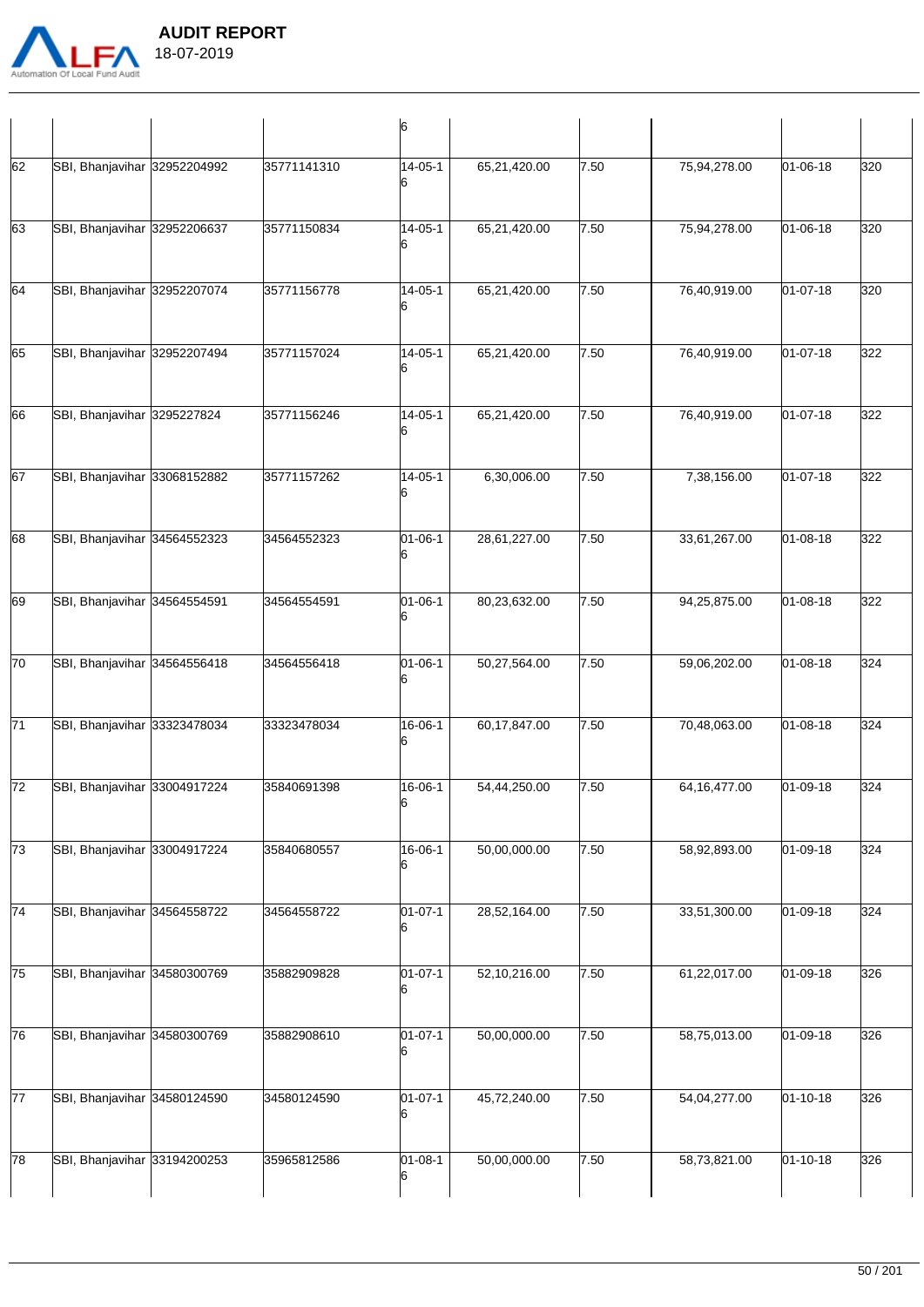

| 62 | SBI, Bhanjavihar 32952204992 | 35771141310 | $14 - 05 - 1$ | 65,21,420.00 | 7.50 | 75,94,278.00   | 01-06-18               | 320 |
|----|------------------------------|-------------|---------------|--------------|------|----------------|------------------------|-----|
| 63 | SBI, Bhanjavihar 32952206637 | 35771150834 | $14 - 05 - 1$ | 65,21,420.00 | 7.50 | 75,94,278.00   | 01-06-18               | 320 |
| 64 | SBI, Bhanjavihar 32952207074 | 35771156778 | $14 - 05 - 1$ | 65,21,420.00 | 7.50 | 76,40,919.00   | $01 - 07 - 18$         | 320 |
| 65 | SBI, Bhanjavihar 32952207494 | 35771157024 | $14 - 05 - 1$ | 65,21,420.00 | 7.50 | 76,40,919.00   | $01 - 07 - 18$         | 322 |
| 66 | SBI, Bhanjavihar 3295227824  | 35771156246 | $14 - 05 - 1$ | 65,21,420.00 | 7.50 | 76,40,919.00   | $01 - 07 - 18$         | 322 |
| 67 | SBI, Bhanjavihar 33068152882 | 35771157262 | $14 - 05 - 1$ | 6,30,006.00  | 7.50 | 7,38,156.00    | $01 - 07 - 18$         | 322 |
| 68 | SBI, Bhanjavihar 34564552323 | 34564552323 | $01 - 06 - 1$ | 28,61,227.00 | 7.50 | 33,61,267.00   | 01-08-18               | 322 |
| 69 | SBI, Bhanjavihar 34564554591 | 34564554591 | $01 - 06 - 1$ | 80,23,632.00 | 7.50 | 94,25,875.00   | 01-08-18               | 322 |
| 70 | SBI, Bhanjavihar 34564556418 | 34564556418 | $01 - 06 - 1$ | 50,27,564.00 | 7.50 | 59,06,202.00   | $\overline{01}$ -08-18 | 324 |
| 71 | SBI, Bhanjavihar 33323478034 | 33323478034 | 16-06-1       | 60,17,847.00 | 7.50 | 70,48,063.00   | 01-08-18               | 324 |
| 72 | SBI, Bhanjavihar 33004917224 | 35840691398 | 16-06-1       | 54,44,250.00 | 7.50 | 64, 16, 477.00 | $01 - 09 - 18$         | 324 |
| 73 | SBI, Bhanjavihar 33004917224 | 35840680557 | $16 - 06 - 1$ | 50,00,000.00 | 7.50 | 58,92,893.00   | 01-09-18               | 324 |
| 74 | SBI, Bhanjavihar 34564558722 | 34564558722 | $01 - 07 - 1$ | 28,52,164.00 | 7.50 | 33,51,300.00   | 01-09-18               | 324 |
| 75 | SBI, Bhanjavihar 34580300769 | 35882909828 | $01 - 07 - 1$ | 52,10,216.00 | 7.50 | 61,22,017.00   | 01-09-18               | 326 |
| 76 | SBI, Bhanjavihar 34580300769 | 35882908610 | $01 - 07 - 1$ | 50,00,000.00 | 7.50 | 58,75,013.00   | 01-09-18               | 326 |
| 77 | SBI, Bhanjavihar 34580124590 | 34580124590 | $01 - 07 - 1$ | 45,72,240.00 | 7.50 | 54,04,277.00   | 01-10-18               | 326 |
| 78 | SBI, Bhanjavihar 33194200253 | 35965812586 | $01 - 08 - 1$ | 50,00,000.00 | 7.50 | 58,73,821.00   | $01 - 10 - 18$         | 326 |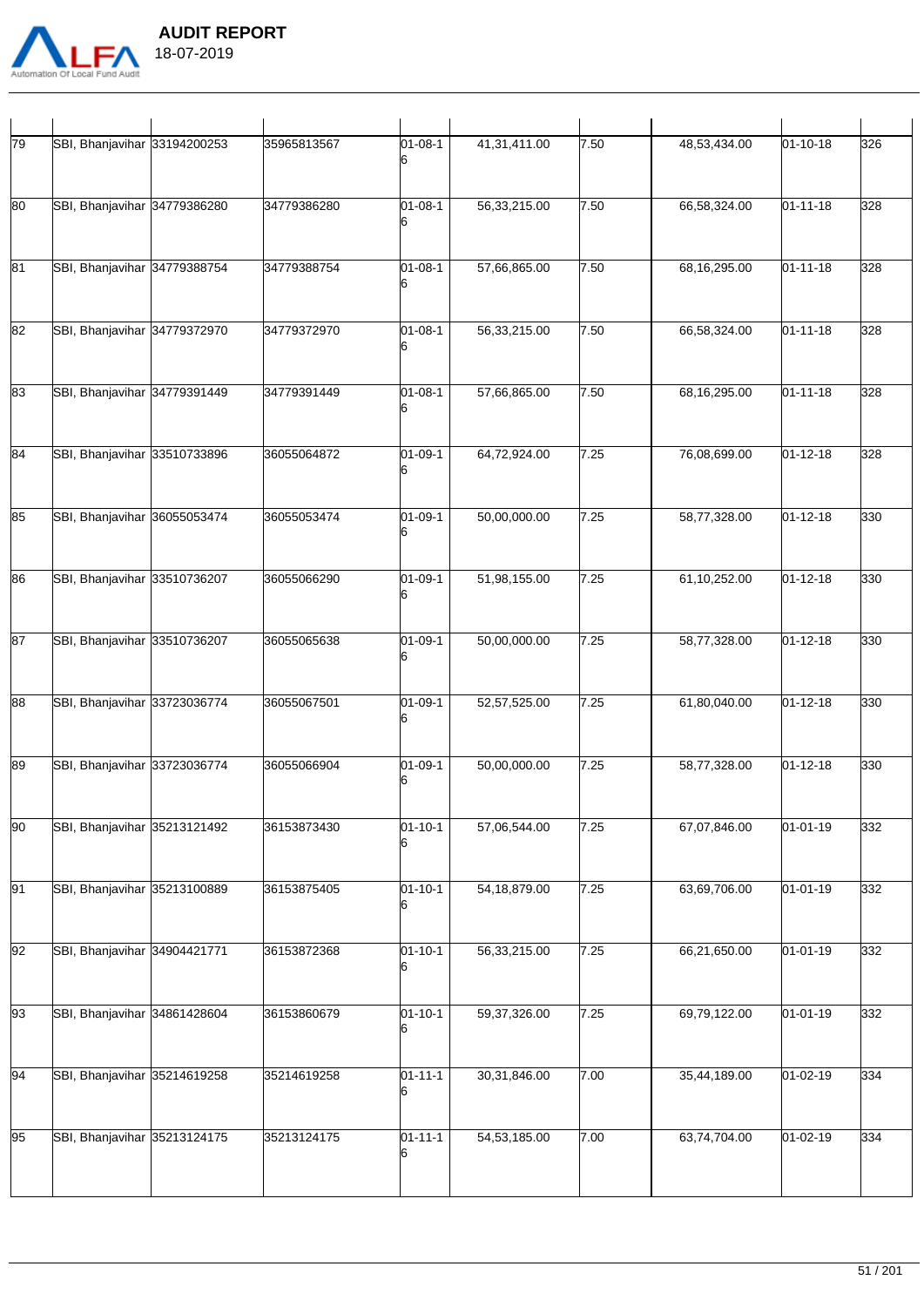

|            | <b>AUDIT REPORT</b> |
|------------|---------------------|
| 18-07-2019 |                     |

| 79 | SBI, Bhanjavihar 33194200253 | 35965813567 | $01 - 08 - 1$      | 41,31,411.00 | 7.50 | 48,53,434.00   | $01 - 10 - 18$ | 326 |
|----|------------------------------|-------------|--------------------|--------------|------|----------------|----------------|-----|
| 80 | SBI, Bhanjavihar 34779386280 | 34779386280 | $01 - 08 - 1$      | 56,33,215.00 | 7.50 | 66,58,324.00   | $01 - 11 - 18$ | 328 |
| 81 | SBI, Bhanjavihar 34779388754 | 34779388754 | $01 - 08 - 1$      | 57,66,865.00 | 7.50 | 68,16,295.00   | $01 - 11 - 18$ | 328 |
| 82 | SBI, Bhanjavihar 34779372970 | 34779372970 | $01 - 08 - 1$      | 56,33,215.00 | 7.50 | 66,58,324.00   | $01 - 11 - 18$ | 328 |
| 83 | SBI, Bhanjavihar 34779391449 | 34779391449 | $01 - 08 - 1$      | 57,66,865.00 | 7.50 | 68, 16, 295.00 | $01 - 11 - 18$ | 328 |
| 84 | SBI, Bhanjavihar 33510733896 | 36055064872 | $01 - 09 - 1$      | 64,72,924.00 | 7.25 | 76,08,699.00   | $01 - 12 - 18$ | 328 |
| 85 | SBI, Bhanjavihar 36055053474 | 36055053474 | $01 - 09 - 1$      | 50,00,000.00 | 7.25 | 58,77,328.00   | $01 - 12 - 18$ | 330 |
| 86 | SBI, Bhanjavihar 33510736207 | 36055066290 | $01 - 09 - 1$      | 51,98,155.00 | 7.25 | 61,10,252.00   | $01 - 12 - 18$ | 330 |
| 87 | SBI, Bhanjavihar 33510736207 | 36055065638 | $01 - 09 - 1$      | 50,00,000.00 | 7.25 | 58,77,328.00   | $01 - 12 - 18$ | 330 |
| 88 | SBI, Bhanjavihar 33723036774 | 36055067501 | $01 - 09 - 1$      | 52,57,525.00 | 7.25 | 61,80,040.00   | $01 - 12 - 18$ | 330 |
| 89 | SBI, Bhanjavihar 33723036774 | 36055066904 | $01 - 09 - 1$      | 50,00,000.00 | 7.25 | 58,77,328.00   | $01 - 12 - 18$ | 330 |
| 90 | SBI, Bhanjavihar 35213121492 | 36153873430 | $01 - 10 - 1$      | 57,06,544.00 | 7.25 | 67,07,846.00   | $01 - 01 - 19$ | 332 |
| 91 | SBI, Bhanjavihar 35213100889 | 36153875405 | $01 - 10 - 1$<br>6 | 54,18,879.00 | 7.25 | 63,69,706.00   | 01-01-19       | 332 |
| 92 | SBI, Bhanjavihar 34904421771 | 36153872368 | $01 - 10 - 1$      | 56,33,215.00 | 7.25 | 66,21,650.00   | $01 - 01 - 19$ | 332 |
| 93 | SBI, Bhanjavihar 34861428604 | 36153860679 | $01 - 10 - 1$      | 59,37,326.00 | 7.25 | 69,79,122.00   | $01 - 01 - 19$ | 332 |
| 94 | SBI, Bhanjavihar 35214619258 | 35214619258 | $01 - 11 - 1$<br>6 | 30,31,846.00 | 7.00 | 35,44,189.00   | 01-02-19       | 334 |
| 95 | SBI, Bhanjavihar 35213124175 | 35213124175 | $01 - 11 - 1$      | 54,53,185.00 | 7.00 | 63,74,704.00   | 01-02-19       | 334 |
|    |                              |             |                    |              |      |                |                |     |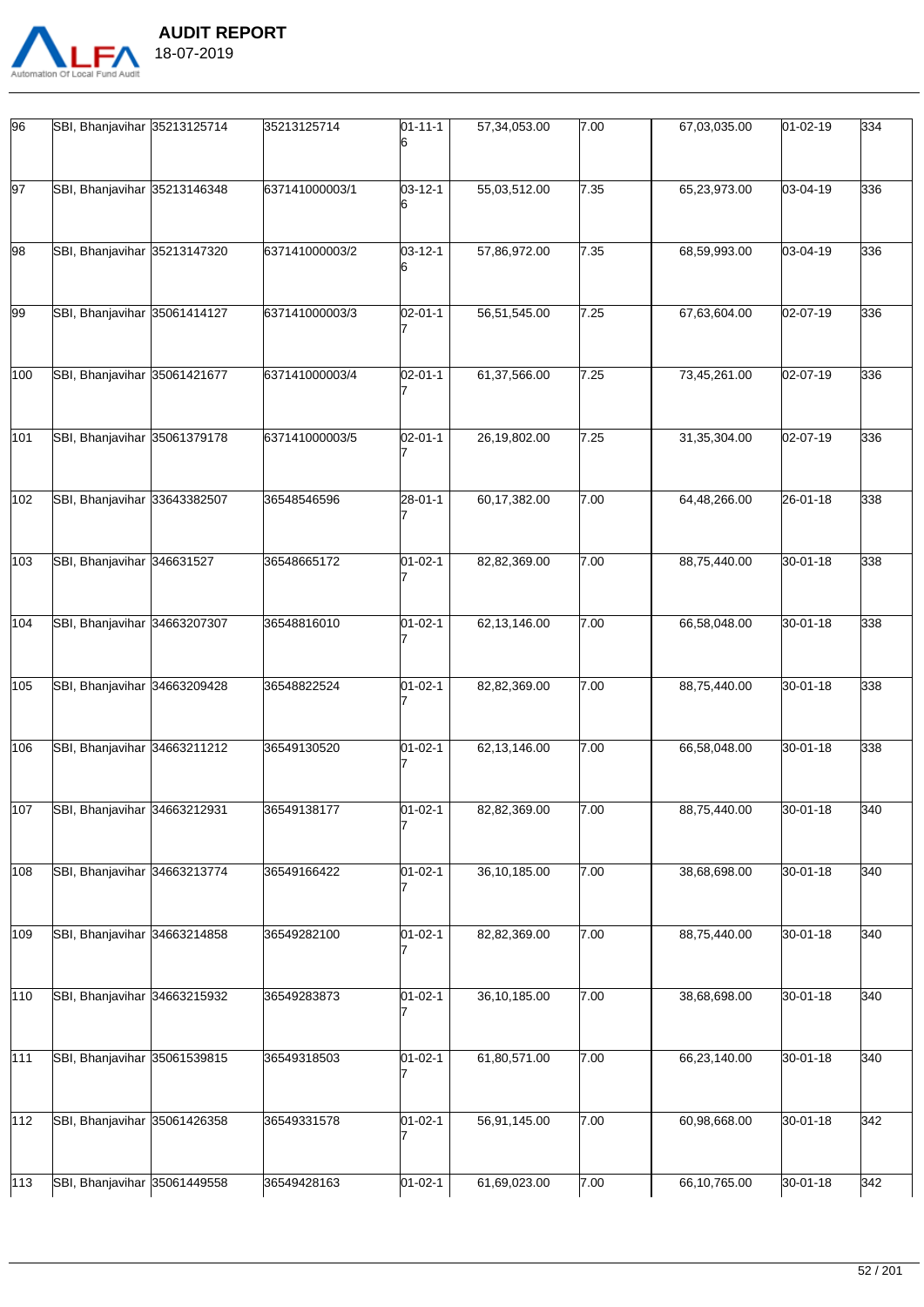

 SBI, Bhanjavihar 35213125714 35213125714 01-11-1 57,34,053.00 7.00 67,03,035.00 01-02-19 334 SBI, Bhanjavihar 35213146348 637141000003/1 03-12-1 55,03,512.00 7.35 65,23,973.00 03-04-19 336 SBI, Bhanjavihar 35213147320 637141000003/2 03-12-1 57,86,972.00 7.35 68,59,993.00 03-04-19 336 SBI, Bhanjavihar 35061414127 637141000003/3 02-01-1 56,51,545.00 7.25 67,63,604.00 02-07-19 336 SBI, Bhanjavihar 35061421677 637141000003/4 02-01-1 61,37,566.00 7.25 73,45,261.00 02-07-19 336 SBI, Bhanjavihar 35061379178 637141000003/5 02-01-1 26,19,802.00 7.25 31,35,304.00 02-07-19 336 SBI, Bhanjavihar 33643382507 36548546596 28-01-1 60,17,382.00 7.00 64,48,266.00 26-01-18 338 SBI, Bhanjavihar 346631527 36548665172 01-02-1 82,82,369.00 7.00 88,75,440.00 30-01-18 338 SBI, Bhanjavihar 34663207307 36548816010 01-02-1 62,13,146.00 7.00 66,58,048.00 30-01-18 338 SBI, Bhanjavihar 34663209428 36548822524 01-02-1 82,82,369.00 7.00 88,75,440.00 30-01-18 338 SBI, Bhanjavihar 34663211212 36549130520 01-02-1 62,13,146.00 7.00 66,58,048.00 30-01-18 338 SBI, Bhanjavihar 34663212931 36549138177 01-02-1 82,82,369.00 7.00 88,75,440.00 30-01-18 340 SBI, Bhanjavihar 34663213774 36549166422 01-02-1 36,10,185.00 7.00 38,68,698.00 30-01-18 340 SBI, Bhanjavihar 34663214858 36549282100 01-02-1 82,82,369.00 7.00 88,75,440.00 30-01-18 340 SBI, Bhanjavihar 34663215932 36549283873 01-02-1 36,10,185.00 7.00 38,68,698.00 30-01-18 340

SBI, Bhanjavihar 35061449558 36549428163 01-02-1 61,69,023.00 7.00 66,10,765.00 30-01-18 342

SBI, Bhanjavihar 35061539815 36549318503 01-02-1

SBI, Bhanjavihar 35061426358 36549331578 01-02-1

61,80,571.00 7.00 66,23,140.00 30-01-18 340

56,91,145.00 7.00 60,98,668.00 30-01-18 342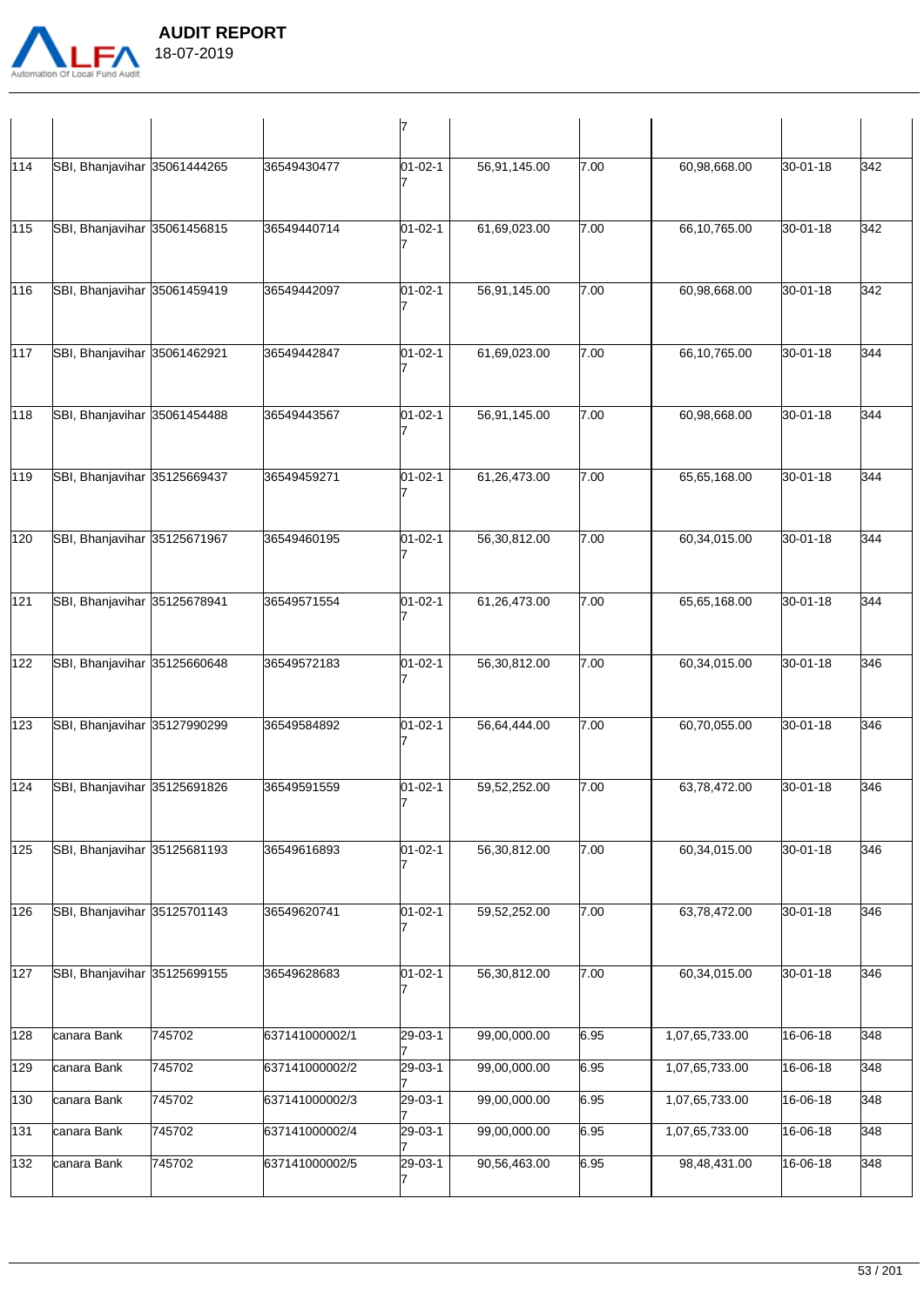

| 114 | SBI, Bhanjavihar 35061444265 |        | 36549430477    | $01 - 02 - 1$ | 56,91,145.00 | 7.00 | 60,98,668.00   | 30-01-18       | 342              |
|-----|------------------------------|--------|----------------|---------------|--------------|------|----------------|----------------|------------------|
| 115 | SBI, Bhanjavihar 35061456815 |        | 36549440714    | $01 - 02 - 1$ | 61,69,023.00 | 7.00 | 66,10,765.00   | 30-01-18       | 342              |
| 116 | SBI, Bhanjavihar 35061459419 |        | 36549442097    | $01 - 02 - 1$ | 56,91,145.00 | 7.00 | 60,98,668.00   | $30 - 01 - 18$ | 342              |
| 117 | SBI, Bhanjavihar 35061462921 |        | 36549442847    | $01 - 02 - 1$ | 61,69,023.00 | 7.00 | 66,10,765.00   | 30-01-18       | 344              |
| 118 | SBI, Bhanjavihar 35061454488 |        | 36549443567    | $01 - 02 - 1$ | 56,91,145.00 | 7.00 | 60,98,668.00   | 30-01-18       | 344              |
| 119 | SBI, Bhanjavihar 35125669437 |        | 36549459271    | $01 - 02 - 1$ | 61,26,473.00 | 7.00 | 65,65,168.00   | 30-01-18       | 344              |
| 120 | SBI, Bhanjavihar 35125671967 |        | 36549460195    | $01 - 02 - 1$ | 56,30,812.00 | 7.00 | 60,34,015.00   | 30-01-18       | 344              |
| 121 | SBI, Bhanjavihar 35125678941 |        | 36549571554    | $01 - 02 - 1$ | 61,26,473.00 | 7.00 | 65,65,168.00   | 30-01-18       | 344              |
| 122 | SBI, Bhanjavihar 35125660648 |        | 36549572183    | $01 - 02 - 1$ | 56,30,812.00 | 7.00 | 60,34,015.00   | 30-01-18       | 346              |
| 123 | SBI, Bhanjavihar 35127990299 |        | 36549584892    | $01 - 02 - 1$ | 56,64,444.00 | 7.00 | 60,70,055.00   | 30-01-18       | 346              |
| 124 | SBI, Bhanjavihar 35125691826 |        | 36549591559    | $01 - 02 - 1$ | 59,52,252.00 | 7.00 | 63,78,472.00   | 30-01-18       | 346              |
| 125 | SBI, Bhanjavihar 35125681193 |        | 36549616893    | $01 - 02 - 1$ | 56,30,812.00 | 7.00 | 60,34,015.00   | 30-01-18       | 346              |
| 126 | SBI, Bhanjavihar 35125701143 |        | 36549620741    | $01 - 02 - 1$ | 59,52,252.00 | 7.00 | 63,78,472.00   | $30 - 01 - 18$ | 346              |
| 127 | SBI, Bhanjavihar 35125699155 |        | 36549628683    | $01 - 02 - 1$ | 56,30,812.00 | 7.00 | 60,34,015.00   | 30-01-18       | 346              |
| 128 | canara Bank                  | 745702 | 637141000002/1 | 29-03-1       | 99,00,000.00 | 6.95 | 1,07,65,733.00 | 16-06-18       | 348              |
| 129 | canara Bank                  | 745702 | 637141000002/2 | 29-03-1       | 99,00,000.00 | 6.95 | 1,07,65,733.00 | 16-06-18       | 348              |
| 130 | canara Bank                  | 745702 | 637141000002/3 | 29-03-1       | 99,00,000.00 | 6.95 | 1,07,65,733.00 | 16-06-18       | 348              |
| 131 | canara Bank                  | 745702 | 637141000002/4 | 29-03-1       | 99,00,000.00 | 6.95 | 1,07,65,733.00 | 16-06-18       | 348              |
| 132 | canara Bank                  | 745702 | 637141000002/5 | $29 - 03 - 1$ | 90,56,463.00 | 6.95 | 98,48,431.00   | 16-06-18       | $\overline{348}$ |
|     |                              |        |                |               |              |      |                |                |                  |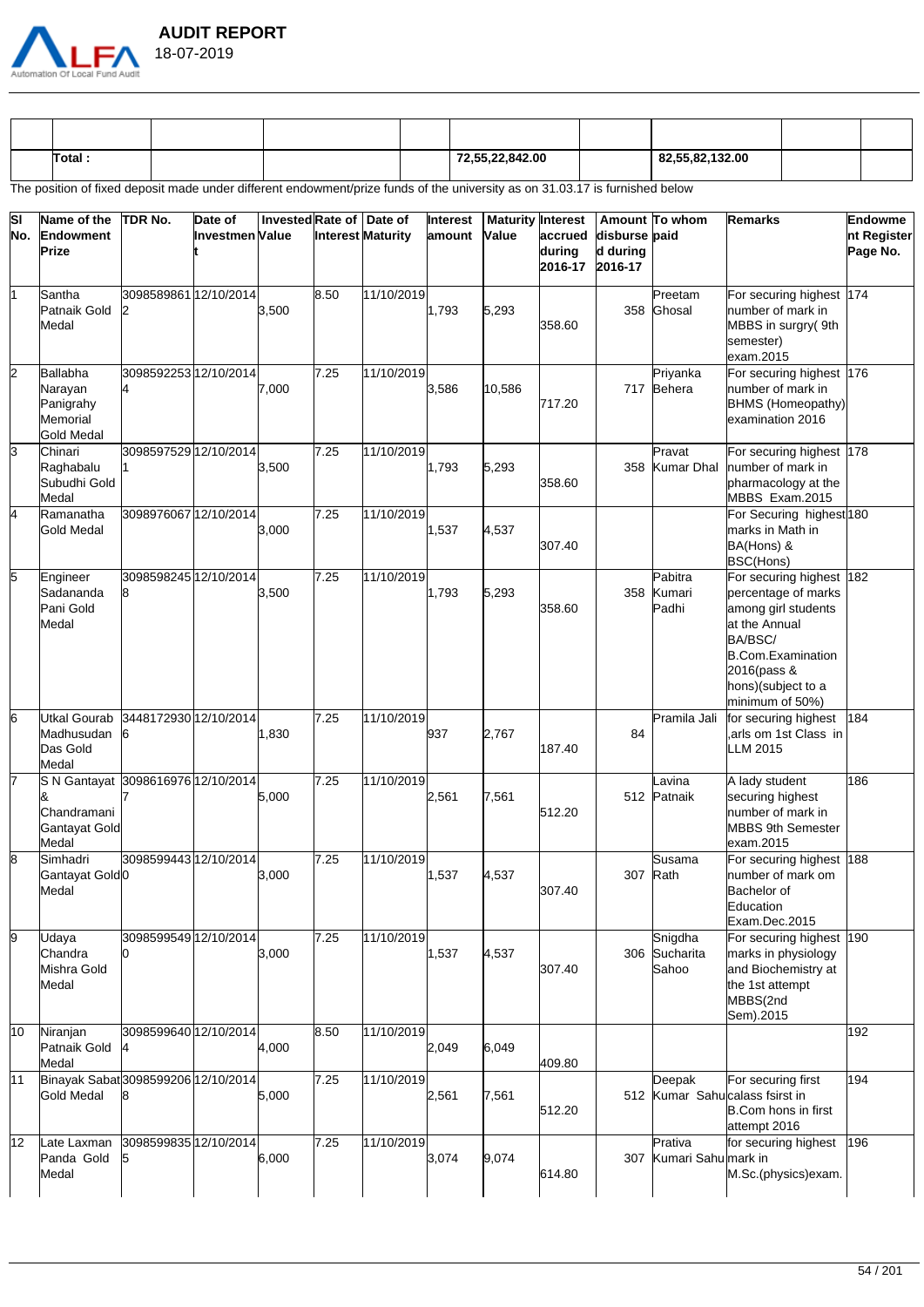

 **AUDIT REPORT** 

18-07-2019

| Total: |  | 72,55,22,842.00 | 82,55,82,132.00 |  |
|--------|--|-----------------|-----------------|--|

The position of fixed deposit made under different endowment/prize funds of the university as on 31.03.17 is furnished below

| SI<br>No.       | Name of the<br>Endowment<br>Prize                                                 | ITDR No.                     | Date of<br>Investmen Value | Invested Rate of Date of |      | <b>Interest Maturity</b> | Interest<br>amount | <b>Maturity Interest</b><br>Value | accrued<br>during<br>2016-17 | disburse paid<br>d during<br>2016-17 | <b>Amount To whom</b>          | <b>Remarks</b>                                                                                                                                                                         | Endowme<br>nt Register<br>Page No. |
|-----------------|-----------------------------------------------------------------------------------|------------------------------|----------------------------|--------------------------|------|--------------------------|--------------------|-----------------------------------|------------------------------|--------------------------------------|--------------------------------|----------------------------------------------------------------------------------------------------------------------------------------------------------------------------------------|------------------------------------|
| l1              | lSantha<br>Patnaik Gold<br>Medal                                                  | 3098589861 12/10/2014<br>I2  |                            | 3,500                    | 8.50 | 11/10/2019               | 1,793              | 5,293                             | 358.60                       | 358                                  | Preetam<br>Ghosal              | For securing highest 174<br>number of mark in<br>MBBS in surgry(9th<br>semester)<br>exam.2015                                                                                          |                                    |
| 2               | Ballabha<br>Narayan<br>Panigrahy<br>Memorial<br>Gold Medal                        | 3098592253 12/10/2014        |                            | 7,000                    | 7.25 | 11/10/2019               | 3,586              | 10,586                            | 717.20                       |                                      | Priyanka<br>717 Behera         | For securing highest 176<br>number of mark in<br><b>BHMS (Homeopathy)</b><br>examination 2016                                                                                          |                                    |
| ß               | Chinari<br>Raghabalu<br>Subudhi Gold<br>Medal                                     | 3098597529 12/10/2014        |                            | 3,500                    | 7.25 | 11/10/2019               | 1,793              | 5,293                             | 358.60                       | 358                                  | Pravat<br><b>Kumar Dhal</b>    | For securing highest 178<br>number of mark in<br>pharmacology at the<br>MBBS Exam.2015                                                                                                 |                                    |
| l4              | Ramanatha<br>Gold Medal                                                           | 3098976067 12/10/2014        |                            | 3,000                    | 7.25 | 11/10/2019               | 1,537              | 4,537                             | 307.40                       |                                      |                                | For Securing highest <sup>180</sup><br>marks in Math in<br>BA(Hons) &<br>BSC(Hons)                                                                                                     |                                    |
| 5               | Engineer<br><b>S</b> adananda<br>Pani Gold<br>Medal                               | 3098598245 12/10/2014        |                            | 3,500                    | 7.25 | 11/10/2019               | 1,793              | 5,293                             | 358.60                       | 358                                  | Pabitra<br>Kumari<br>Padhi     | For securing highest 182<br>percentage of marks<br>among girl students<br>at the Annual<br>BA/BSC/<br><b>B.Com.Examination</b><br>2016(pass &<br>hons)(subject to a<br>minimum of 50%) |                                    |
| 6               | Utkal Gourab<br>Madhusudan<br>Das Gold<br>Medal                                   | 3448172930 12/10/2014<br>16  |                            | 1,830                    | 7.25 | 11/10/2019               | 937                | 2,767                             | 187.40                       | 84                                   | Pramila Jali                   | for securing highest<br>arls om 1st Class in<br>LLM 2015                                                                                                                               | 184                                |
| 7               | S N Gantayat 3098616976 12/10/2014<br>1&<br>Chandramani<br>Gantayat Gold<br>Medal |                              |                            | 5,000                    | 7.25 | 11/10/2019               | 2,561              | 7,561                             | 512.20                       | 512                                  | avina.<br>Patnaik              | A lady student<br>securing highest<br>number of mark in<br><b>MBBS 9th Semester</b><br>exam.2015                                                                                       | 186                                |
| l8              | Simhadri<br>Gantayat Gold <sup>o</sup><br>Medal                                   | 309859944312/10/2014         |                            | 3,000                    | 7.25 | 11/10/2019               | 1,537              | 4,537                             | 307.40                       | 307                                  | Susama<br>Rath                 | For securing highest 188<br>number of mark om<br>Bachelor of<br>Education<br>Exam.Dec.2015                                                                                             |                                    |
| 9               | Udaya<br>Chandra<br>Mishra Gold<br>Medal                                          | 3098599549 12/10/2014<br>Ю   |                            | 3,000                    | 7.25 | 11/10/2019               | 1,537              | 4,537                             | 307.40                       | 306                                  | Snigdha<br>Sucharita<br>Sahoo  | For securing highest<br>marks in physiology<br>and Biochemistry at<br>the 1st attempt<br>MBBS(2nd<br>Sem).2015                                                                         | 190                                |
| 10              | Niranjan<br>Patnaik Gold<br>Medal                                                 | 3098599640 12/10/2014<br>4   |                            | 4,000                    | 8.50 | 11/10/2019               | 2,049              | 6,049                             | 409.80                       |                                      |                                |                                                                                                                                                                                        | 192                                |
| $\overline{11}$ | Binayak Sabat 3098599206 12/10/2014<br>Gold Medal                                 |                              |                            | 5,000                    | 7.25 | 11/10/2019               | 2,561              | 7,561                             | 512.20                       |                                      | Deepak                         | For securing first<br>512 Kumar Sahucalass fsirst in<br><b>B.Com hons in first</b><br>attempt 2016                                                                                     | 194                                |
| 12              | Late Laxman<br>Panda Gold<br>Medal                                                | 3098599835 12/10/2014 <br>15 |                            | 6,000                    | 7.25 | 11/10/2019               | 3,074              | 9,074                             | 614.80                       | 307                                  | Prativa<br>Kumari Sahu mark in | for securing highest<br>M.Sc.(physics)exam.                                                                                                                                            | 196                                |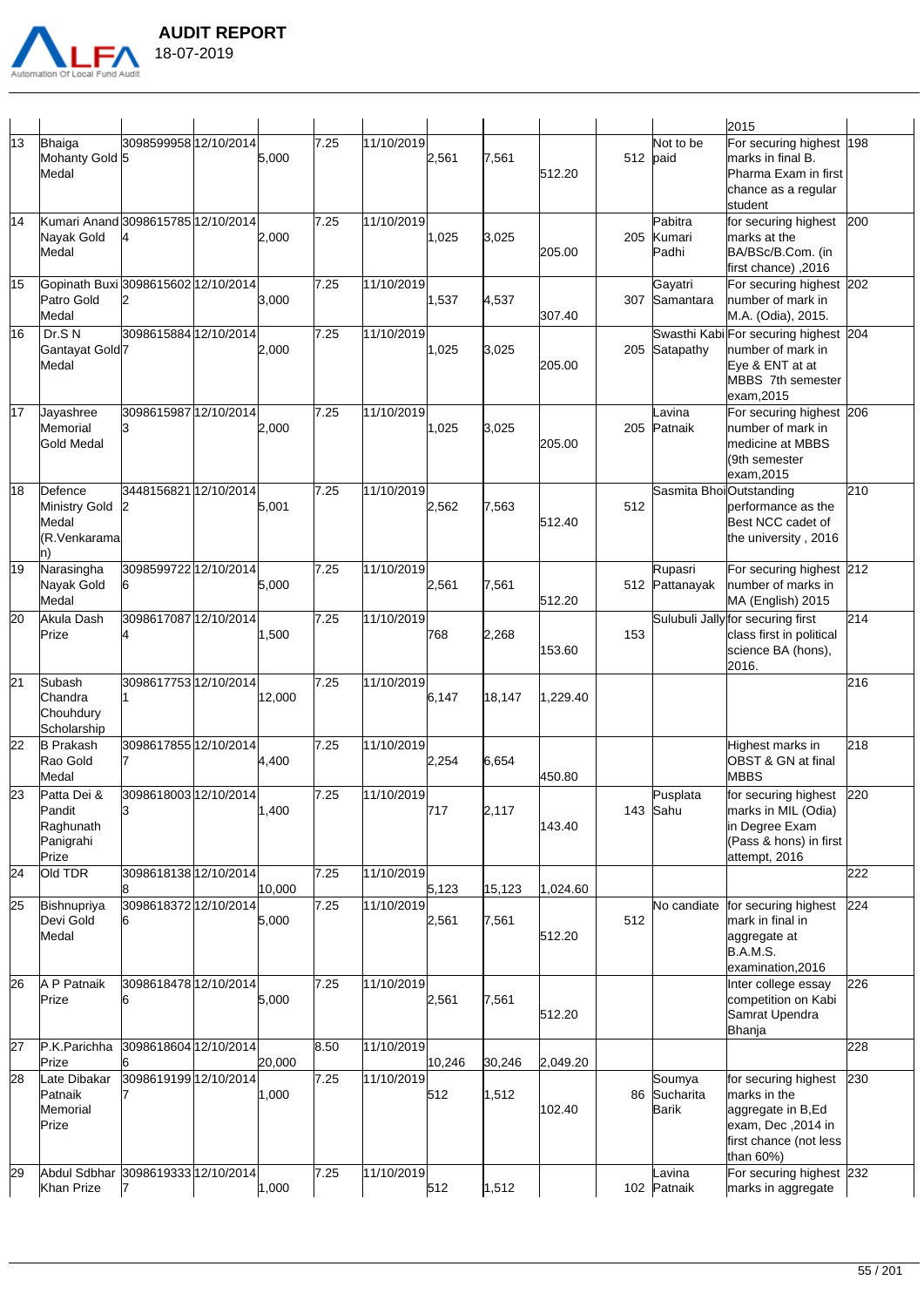

|                 |                                                            |                             |        |               |            |        |        |          |          |                                 | 2015                                                                                                                   |     |
|-----------------|------------------------------------------------------------|-----------------------------|--------|---------------|------------|--------|--------|----------|----------|---------------------------------|------------------------------------------------------------------------------------------------------------------------|-----|
| 13              | Bhaiga<br>Mohanty Gold 5<br>Medal                          | 3098599958 12/10/2014       | 5,000  | 7.25          | 11/10/2019 | 2,561  | 7,561  | 512.20   | 512 paid | Not to be                       | For securing highest 198<br>marks in final B.<br>Pharma Exam in first<br>chance as a regular<br>student                |     |
| $\overline{14}$ | Kumari Anand 3098615785 12/10/2014<br>Nayak Gold<br>Medal  | 4                           | 2,000  | 7.25          | 11/10/2019 | 1,025  | 3,025  | 205.00   |          | Pabitra<br>205 Kumari<br>Padhi  | for securing highest<br>marks at the<br>BA/BSc/B.Com. (in<br>first chance), 2016                                       | 200 |
| 15              | Gopinath Buxi 3098615602 12/10/2014<br>Patro Gold<br>Medal | 2                           | 3,000  | 7.25          | 11/10/2019 | 1,537  | 4,537  | 307.40   | 307      | Gayatri<br>Samantara            | For securing highest 202<br>number of mark in<br>M.A. (Odia), 2015.                                                    |     |
| 16              | Dr.S N<br>Gantayat Gold <sub>7</sub><br>Medal              | 3098615884 12/10/2014       | 2,000  | 7.25          | 11/10/2019 | 1,025  | 3,025  | 205.00   |          | 205 Satapathy                   | Swasthi Kabi For securing highest 204<br>number of mark in<br>Eye & ENT at at<br>MBBS 7th semester<br>exam, 2015       |     |
| 17              | Uayashree<br>Memorial<br><b>Gold Medal</b>                 | 3098615987 12/10/2014<br>3  | 2,000  | 7.25          | 11/10/2019 | 1,025  | 3,025  | 205.00   | 205      | _avina<br>Patnaik               | For securing highest 206<br>number of mark in<br>medicine at MBBS<br>(9th semester<br>exam, 2015                       |     |
| $\overline{18}$ | Defence<br>Ministry Gold<br>Medal<br>(R.Venkarama<br>ln)   | 3448156821 12/10/2014       | 5,001  | 7.25          | 11/10/2019 | 2,562  | 7,563  | 512.40   | 512      | Sasmita BhoiOutstanding         | performance as the<br>Best NCC cadet of<br>the university, 2016                                                        | 210 |
| 19              | Narasingha<br>Nayak Gold<br>Medal                          | 309859972212/10/2014<br>16  | 5,000  | $\sqrt{7.25}$ | 11/10/2019 | 2,561  | 7,561  | 512.20   |          | Rupasri<br>512 Pattanayak       | For securing highest 212<br>number of marks in<br>MA (English) 2015                                                    |     |
| $\overline{20}$ | Akula Dash<br>Prize                                        | 3098617087 12/10/2014       | 500. ا | 7.25          | 11/10/2019 | 768    | 2,268  | 153.60   | 153      |                                 | Sulubuli Jally for securing first<br>class first in political<br>science BA (hons),<br>2016.                           | 214 |
| $\overline{21}$ | Subash<br>Chandra<br>Chouhdury<br>Scholarship              | 309861775312/10/2014        | 12,000 | 7.25          | 11/10/2019 | 6,147  | 18,147 | 1,229.40 |          |                                 |                                                                                                                        | 216 |
| $\overline{22}$ | <b>B</b> Prakash<br>Rao Gold<br>Medal                      | 3098617855 12/10/2014       | 4,400  | 7.25          | 11/10/2019 | 2,254  | 6,654  | 450.80   |          |                                 | Highest marks in<br>OBST & GN at final<br><b>MBBS</b>                                                                  | 218 |
| 23              | Patta Dei &<br>Pandit<br>Raghunath<br>Panigrahi<br>Prize   | 3098618003 12/10/2014       | 1,400  | 7.25          | 11/10/2019 | 717    | 2,117  | 143.40   |          | Pusplata<br>143 Sahu            | for securing highest<br>marks in MIL (Odia)<br>in Degree Exam<br>(Pass & hons) in first<br>attempt, 2016               | 220 |
| $\overline{24}$ | Old TDR                                                    | 3098618138 12/10/2014       | 10,000 | 7.25          | 11/10/2019 | 5,123  | 15,123 | 1.024.60 |          |                                 |                                                                                                                        | 222 |
| $\overline{25}$ | Bishnupriya<br>Devi Gold<br>Medal                          | 3098618372 12/10/2014<br>6  | 5,000  | 7.25          | 11/10/2019 | 2,561  | 7,561  | 512.20   | 512      | No candiate                     | for securing highest<br>mark in final in<br>aggregate at<br>B.A.M.S.<br>examination, 2016                              | 224 |
| 26              | A P Patnaik<br>Prize                                       | 3098618478 12/10/2014<br>16 | 5,000  | 7.25          | 11/10/2019 | 2,561  | 7,561  | 512.20   |          |                                 | Inter college essay<br>competition on Kabi<br>Samrat Upendra<br>Bhanja                                                 | 226 |
| $\overline{27}$ | P.K.Parichha<br>Prize                                      | 3098618604 12/10/2014<br>6  | 20,000 | 8.50          | 11/10/2019 | 10,246 | 30,246 | 2,049.20 |          |                                 |                                                                                                                        | 228 |
| 28              | Late Dibakar<br>Patnaik<br>Memorial<br>Prize               | 3098619199 12/10/2014       | 1,000  | 7.25          | 11/10/2019 | 512    | 1,512  | 102.40   |          | Soumya<br>86 Sucharita<br>Barik | for securing highest<br>marks in the<br>aggregate in B,Ed<br>exam, Dec, 2014 in<br>first chance (not less<br>than 60%) | 230 |
| 29              | Abdul Sdbhar 3098619333 12/10/2014<br>Khan Prize           | 17                          | 1,000  | 7.25          | 11/10/2019 | 512    | 1,512  |          |          | avina<br>102 Patnaik            | For securing highest 232<br>marks in aggregate                                                                         |     |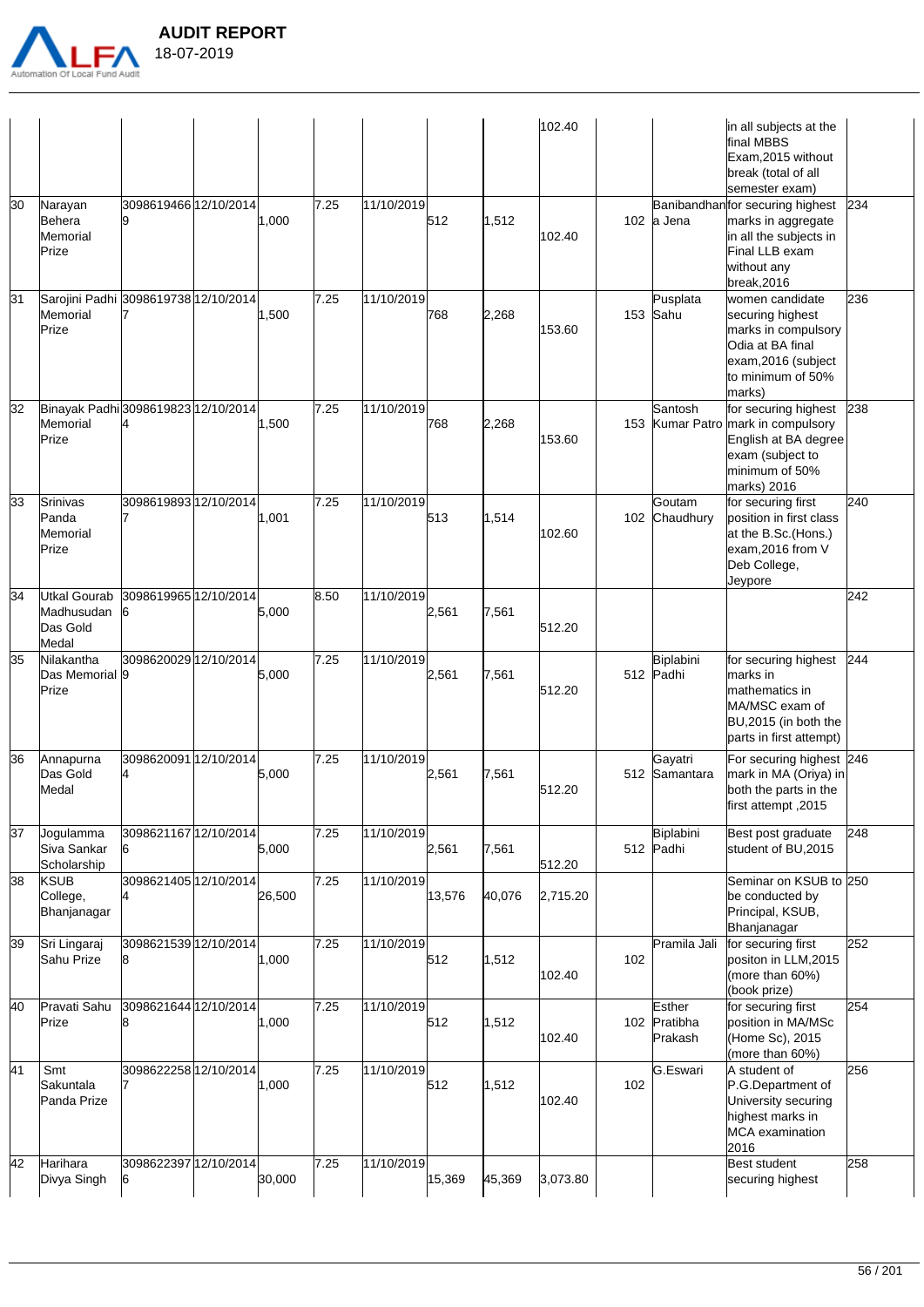

| 18-07-2019 |    | <b>AUDIT REPORT</b> |  |
|------------|----|---------------------|--|
| Fund Audit | FΛ |                     |  |

|                 |                                      |                       |        |      |            |        |        | 102.40   |     |               | in all subjects at the                   |     |
|-----------------|--------------------------------------|-----------------------|--------|------|------------|--------|--------|----------|-----|---------------|------------------------------------------|-----|
|                 |                                      |                       |        |      |            |        |        |          |     |               | final MBBS                               |     |
|                 |                                      |                       |        |      |            |        |        |          |     |               | Exam, 2015 without                       |     |
|                 |                                      |                       |        |      |            |        |        |          |     |               | break (total of all                      |     |
|                 |                                      |                       |        |      |            |        |        |          |     |               | semester exam)                           |     |
| 30              | Narayan                              | 3098619466 12/10/2014 |        | 7.25 | 11/10/2019 |        |        |          |     |               | Banibandhanfor securing highest          | 234 |
|                 | Behera                               |                       | 1,000  |      |            | 512    | 1,512  |          |     | 102 a Jena    | marks in aggregate                       |     |
|                 | Memorial<br>Prize                    |                       |        |      |            |        |        | 102.40   |     |               | in all the subjects in<br>Final LLB exam |     |
|                 |                                      |                       |        |      |            |        |        |          |     |               | without any                              |     |
|                 |                                      |                       |        |      |            |        |        |          |     |               | break, 2016                              |     |
| 31              | Sarojini Padhi 3098619738 12/10/2014 |                       |        | 7.25 | 11/10/2019 |        |        |          |     | Pusplata      | women candidate                          | 236 |
|                 | Memorial                             |                       | 1,500  |      |            | 768    | 2,268  |          |     | 153 Sahu      | securing highest                         |     |
|                 | Prize                                |                       |        |      |            |        |        | 153.60   |     |               | marks in compulsory                      |     |
|                 |                                      |                       |        |      |            |        |        |          |     |               | Odia at BA final                         |     |
|                 |                                      |                       |        |      |            |        |        |          |     |               | exam, 2016 (subject                      |     |
|                 |                                      |                       |        |      |            |        |        |          |     |               | to minimum of 50%                        |     |
|                 |                                      |                       |        |      |            |        |        |          |     |               | marks)                                   |     |
| 32              | Binayak Padhi 3098619823 12/10/2014  |                       |        | 7.25 | 11/10/2019 |        |        |          |     | Santosh       | for securing highest                     | 238 |
|                 | Memorial                             |                       | 1,500  |      |            | 768    | 2,268  |          | 153 |               | Kumar Patro mark in compulsory           |     |
|                 | Prize                                |                       |        |      |            |        |        | 153.60   |     |               | English at BA degree<br>exam (subject to |     |
|                 |                                      |                       |        |      |            |        |        |          |     |               | minimum of 50%                           |     |
|                 |                                      |                       |        |      |            |        |        |          |     |               | marks) 2016                              |     |
| 33              | Srinivas                             | 309861989312/10/2014  |        | 7.25 | 11/10/2019 |        |        |          |     | Goutam        | for securing first                       | 240 |
|                 | Panda                                |                       | 1.001  |      |            | 513    | 1,514  |          |     | 102 Chaudhury | position in first class                  |     |
|                 | Memorial                             |                       |        |      |            |        |        | 102.60   |     |               | at the B.Sc. (Hons.)                     |     |
|                 | Prize                                |                       |        |      |            |        |        |          |     |               | exam, 2016 from V                        |     |
|                 |                                      |                       |        |      |            |        |        |          |     |               | Deb College,                             |     |
|                 |                                      |                       |        |      |            |        |        |          |     |               | Jeypore                                  |     |
| 34              | Utkal Gourab                         | 3098619965 12/10/2014 |        | 8.50 | 11/10/2019 |        |        |          |     |               |                                          | 242 |
|                 | Madhusudan<br>Das Gold               | 16                    | 5,000  |      |            | 2,561  | 7,561  | 512.20   |     |               |                                          |     |
|                 | Medal                                |                       |        |      |            |        |        |          |     |               |                                          |     |
| 35              | Nilakantha                           | 3098620029 12/10/2014 |        | 7.25 | 11/10/2019 |        |        |          |     | Biplabini     | for securing highest                     | 244 |
|                 | Das Memorial 9                       |                       | 5,000  |      |            | 2,561  | 7,561  |          |     | 512 Padhi     | marks in                                 |     |
|                 | Prize                                |                       |        |      |            |        |        | 512.20   |     |               | mathematics in                           |     |
|                 |                                      |                       |        |      |            |        |        |          |     |               | MA/MSC exam of                           |     |
|                 |                                      |                       |        |      |            |        |        |          |     |               | BU,2015 (in both the                     |     |
|                 |                                      |                       |        |      |            |        |        |          |     |               | parts in first attempt)                  |     |
| 36              | Annapurna                            | 3098620091 12/10/2014 |        | 7.25 | 11/10/2019 |        |        |          |     | Gayatri       | For securing highest 246                 |     |
|                 | Das Gold                             |                       | 5,000  |      |            | 2,561  | 7,561  |          |     | 512 Samantara | mark in MA (Oriya) in                    |     |
|                 | Medal                                |                       |        |      |            |        |        | 512.20   |     |               | both the parts in the                    |     |
|                 |                                      |                       |        |      |            |        |        |          |     |               | first attempt, 2015                      |     |
| $\overline{37}$ | Jogulamma                            | 3098621167 12/10/2014 |        | 7.25 | 11/10/2019 |        |        |          |     | Biplabini     | Best post graduate                       | 248 |
|                 | Siva Sankar                          |                       | 5,000  |      |            | 2,561  | 7,561  |          |     | 512 Padhi     | student of BU,2015                       |     |
|                 | Scholarship                          |                       |        |      |            |        |        | 512.20   |     |               |                                          |     |
| 38              | <b>KSUB</b>                          | 3098621405 12/10/2014 |        | 7.25 | 11/10/2019 |        |        |          |     |               | Seminar on KSUB to 250                   |     |
|                 | College,                             |                       | 26,500 |      |            | 13,576 | 40,076 | 2,715.20 |     |               | be conducted by                          |     |
|                 | Bhanjanagar                          |                       |        |      |            |        |        |          |     |               | Principal, KSUB,                         |     |
|                 |                                      |                       |        |      |            |        |        |          |     |               | Bhanjanagar                              |     |
| 39              | Sri Lingaraj                         | 3098621539 12/10/2014 |        | 7.25 | 11/10/2019 |        |        |          |     | Pramila Jali  | for securing first                       | 252 |
|                 | Sahu Prize                           |                       | 1,000  |      |            | 512    | 1,512  | 102.40   | 102 |               | positon in LLM, 2015                     |     |
|                 |                                      |                       |        |      |            |        |        |          |     |               | (more than 60%)<br>(book prize)          |     |
| 40              | Pravati Sahu                         | 3098621644 12/10/2014 |        | 7.25 | 11/10/2019 |        |        |          |     | <b>Esther</b> | for securing first                       | 254 |
|                 | Prize                                |                       | 1,000  |      |            | 512    | 1,512  |          |     | 102 Pratibha  | position in MA/MSc                       |     |
|                 |                                      |                       |        |      |            |        |        | 102.40   |     | Prakash       | (Home Sc), 2015                          |     |
|                 |                                      |                       |        |      |            |        |        |          |     |               | (more than 60%)                          |     |
| 41              | Smt                                  | 3098622258 12/10/2014 |        | 7.25 | 11/10/2019 |        |        |          |     | G.Eswari      | A student of                             | 256 |
|                 | Sakuntala                            |                       | 1,000  |      |            | 512    | 1,512  |          | 102 |               | P.G.Department of                        |     |
|                 | Panda Prize                          |                       |        |      |            |        |        | 102.40   |     |               | University securing                      |     |
|                 |                                      |                       |        |      |            |        |        |          |     |               | highest marks in                         |     |
|                 |                                      |                       |        |      |            |        |        |          |     |               | MCA examination                          |     |
| 42              | Harihara                             | 3098622397 12/10/2014 |        | 7.25 | 11/10/2019 |        |        |          |     |               | 2016<br><b>Best student</b>              | 258 |
|                 | Divya Singh                          | 16                    | 30,000 |      |            | 15,369 | 45,369 | 3,073.80 |     |               | securing highest                         |     |
|                 |                                      |                       |        |      |            |        |        |          |     |               |                                          |     |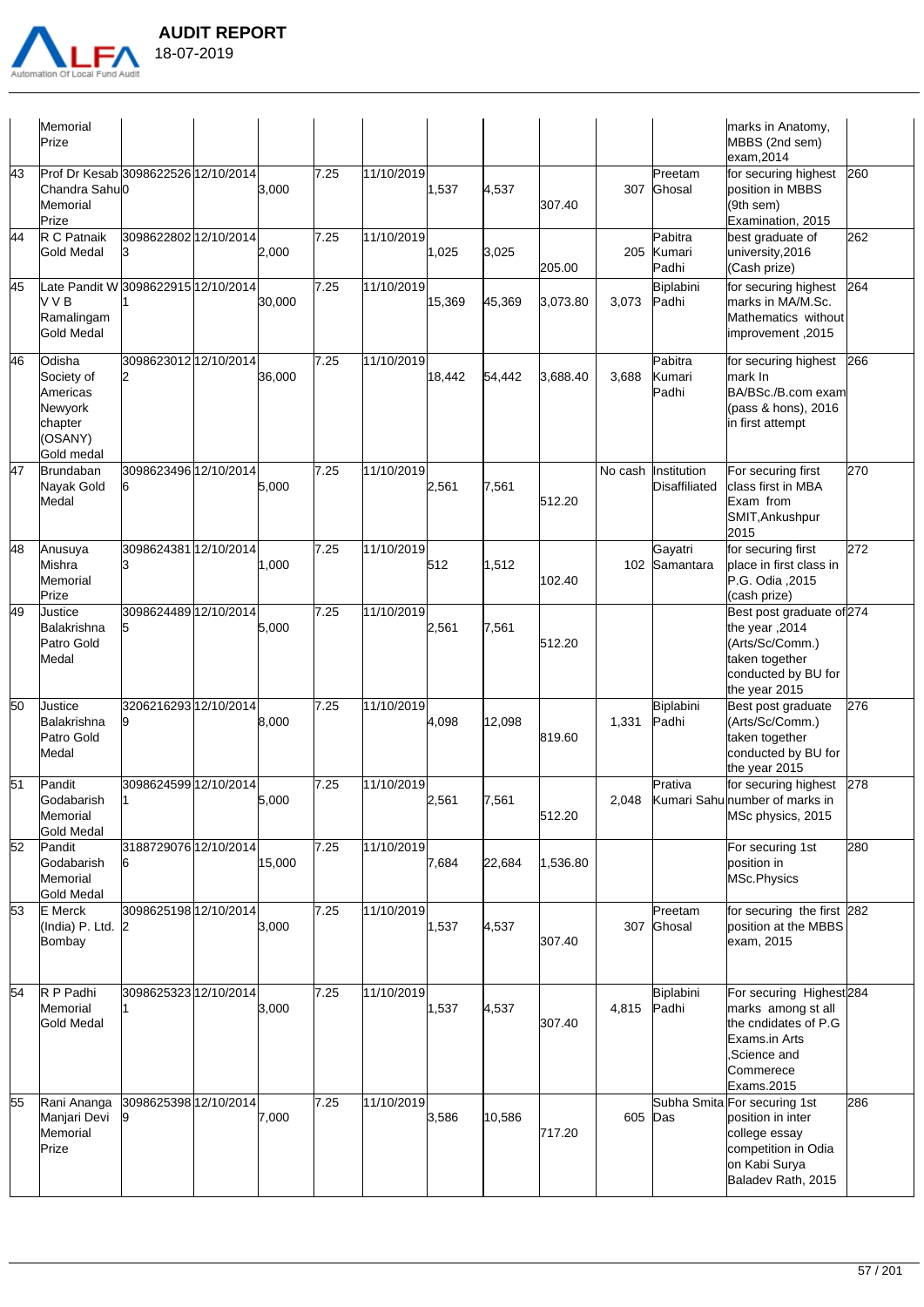

|                 | Memorial<br>Prize                                                                      |                             |        |      |            |        |        |          |         |                              | marks in Anatomy,<br>MBBS (2nd sem)<br>exam, 2014                                                                                 |     |
|-----------------|----------------------------------------------------------------------------------------|-----------------------------|--------|------|------------|--------|--------|----------|---------|------------------------------|-----------------------------------------------------------------------------------------------------------------------------------|-----|
| 43              | Prof Dr Kesab 3098622526 12/10/2014<br>Chandra Sahul0<br>Memorial<br>Prize             |                             | 3.000  | 7.25 | 11/10/2019 | ,537   | 4,537  | 307.40   | 307     | Preetam<br>Ghosal            | for securing highest<br>position in MBBS<br>(9th sem)<br>Examination, 2015                                                        | 260 |
| 44              | R C Patnaik<br>Gold Medal                                                              | 3098622802 12/10/2014<br>IЗ | 2,000  | 7.25 | 11/10/2019 | 1,025  | 3,025  | 205.00   | 205     | Pabitra<br>Kumari<br>Padhi   | best graduate of<br>university, 2016<br>(Cash prize)                                                                              | 262 |
| $\overline{45}$ | ate Pandit W 3098622915 12/10/2014<br>МVв<br>Ramalingam<br><b>Gold Medal</b>           |                             | 30.000 | 7.25 | 11/10/2019 | 15,369 | 45,369 | 3,073.80 | 3,073   | Biplabini<br>Padhi           | for securing highest<br>marks in MA/M.Sc.<br>Mathematics without<br>improvement, 2015                                             | 264 |
| 46              | Odisha<br>Society of<br><b>Americas</b><br>Newyork<br>chapter<br>(OSANY)<br>Gold medal | 3098623012 12/10/2014       | 36,000 | 7.25 | 11/10/2019 | 18,442 | 54,442 | 3,688.40 | 3,688   | Pabitra<br>Kumari<br>Padhi   | for securing highest<br>mark In<br>BA/BSc./B.com exam<br>(pass & hons), 2016<br>in first attempt                                  | 266 |
| 47              | Brundaban<br>Nayak Gold<br>Medal                                                       | 3098623496 12/10/2014<br>16 | 5,000  | 7.25 | 11/10/2019 | 2,561  | 7,561  | 512.20   | No cash | Institution<br>Disaffiliated | For securing first<br>class first in MBA<br>Exam from<br>SMIT, Ankushpur<br>2015                                                  | 270 |
| 48              | Anusuya<br>Mishra<br>Memorial<br>Prize                                                 | 3098624381 12/10/2014<br>IЗ | 000,1  | 7.25 | 11/10/2019 | 512    | 1,512  | 102.40   | 102     | Gayatri<br>Samantara         | for securing first<br>place in first class in<br>P.G. Odia , 2015<br>(cash prize)                                                 | 272 |
| 49              | Justice<br>Balakrishna<br>Patro Gold<br>Medal                                          | 3098624489 12/10/2014<br>15 | 5.000  | 7.25 | 11/10/2019 | 2,561  | 7,561  | 512.20   |         |                              | Best post graduate of 274<br>the year, 2014<br>(Arts/Sc/Comm.)<br>taken together<br>conducted by BU for<br>the year 2015          |     |
| $\overline{50}$ | Justice<br>Balakrishna<br>Patro Gold<br>Medal                                          | 3206216293 12/10/2014<br>19 | 8.000  | 7.25 | 11/10/2019 | 4,098  | 12,098 | 819.60   | 1,331   | Biplabini<br>Padhi           | Best post graduate<br>(Arts/Sc/Comm.)<br>taken together<br>conducted by BU for<br>the year 2015                                   | 276 |
| $\overline{51}$ | Pandit<br>Godabarish<br>Memorial<br>Gold Medal                                         | 3098624599 12/10/2014       | 5,000  | 7.25 | 11/10/2019 | 2,561  | 7,561  | 512.20   | 2,048   | Prativa                      | for securing highest<br>Kumari Sahu number of marks in<br>MSc physics, 2015                                                       | 278 |
| $\overline{52}$ | Pandit<br>Godabarish<br>Memorial<br>Gold Medal                                         | 3188729076 12/10/2014<br>16 | 15,000 | 7.25 | 11/10/2019 | 7,684  | 22,684 | 1,536.80 |         |                              | For securing 1st<br>position in<br>MSc.Physics                                                                                    | 280 |
| 53              | E Merck<br>(India) P. Ltd. 2<br>Bombay                                                 | 3098625198 12/10/2014       | 3,000  | 7.25 | 11/10/2019 | 1,537  | 4,537  | 307.40   | 307     | Preetam<br>Ghosal            | for securing the first 282<br>position at the MBBS<br>exam, 2015                                                                  |     |
| 54              | R P Padhi<br>Memorial<br>Gold Medal                                                    | 3098625323 12/10/2014       | 3.000  | 7.25 | 11/10/2019 | 1,537  | 4,537  | 307.40   | 4,815   | Biplabini<br>Padhi           | For securing Highest 284<br>marks among st all<br>the cndidates of P.G<br>Exams.in Arts<br>Science and<br>Commerece<br>Exams.2015 |     |
| 55              | Rani Ananga<br>Manjari Devi<br>Memorial<br>Prize                                       | 3098625398 12/10/2014<br>19 | 7,000  | 7.25 | 11/10/2019 | 3,586  | 10,586 | 717.20   | 605     | Das                          | Subha Smita For securing 1st<br>position in inter<br>college essay<br>competition in Odia<br>on Kabi Surya<br>Baladev Rath, 2015  | 286 |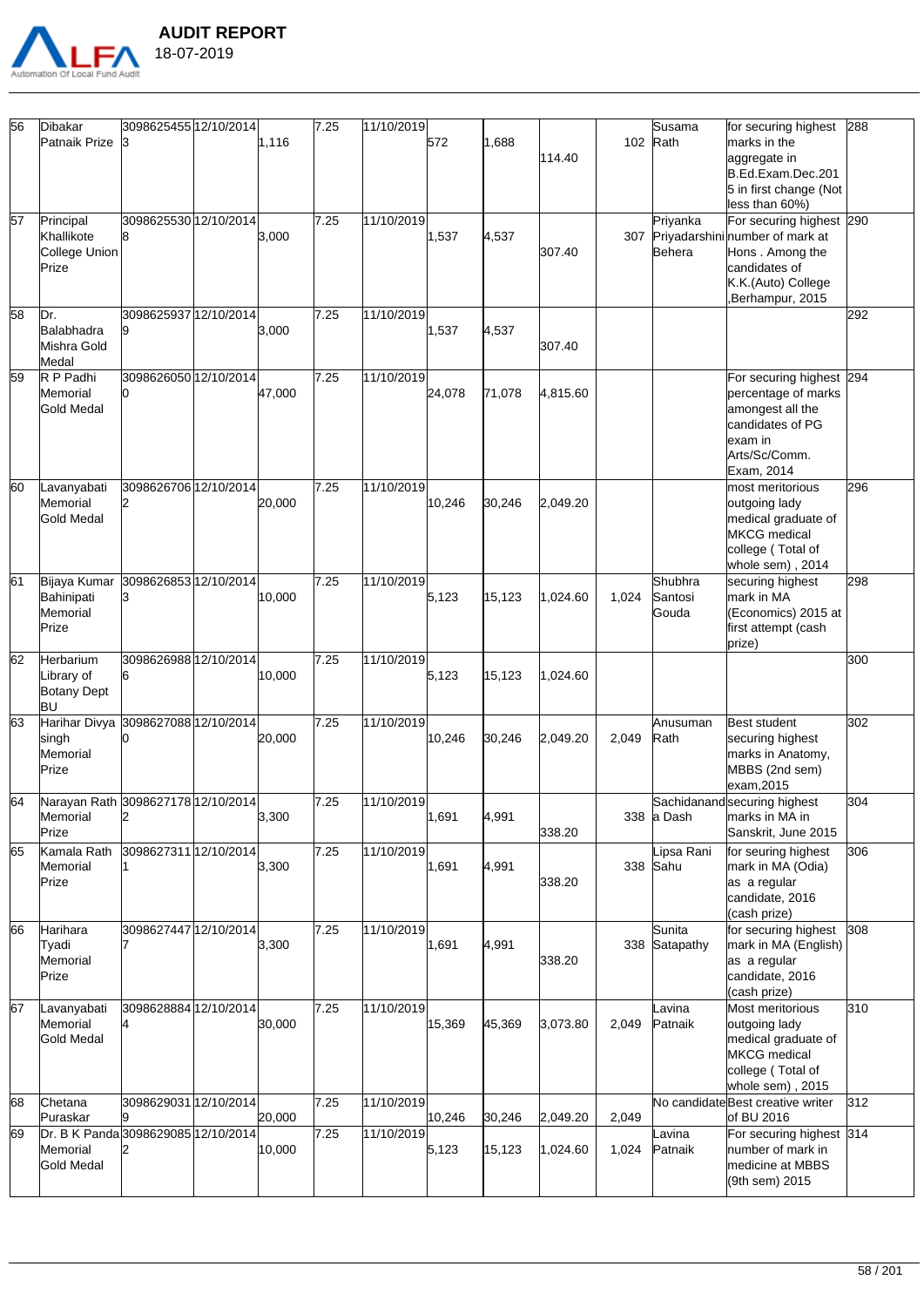

| <b>AUDIT REPORT</b> |  |
|---------------------|--|
| 18-07-2019          |  |

| 56 | Dibakar<br>Patnaik Prize                                      | 3098625455 12/10/2014<br>IЗ | 1,116  | 7.25 | 11/10/2019 | 572    | 1,688  | 114.40   | 102 Rath | Susama                      | for securing highest<br>marks in the<br>aggregate in<br>B.Ed.Exam.Dec.201<br>5 in first change (Not<br>less than 60%)                        | 288 |
|----|---------------------------------------------------------------|-----------------------------|--------|------|------------|--------|--------|----------|----------|-----------------------------|----------------------------------------------------------------------------------------------------------------------------------------------|-----|
| 57 | Principal<br>Khallikote<br>College Union<br>Prize             | 3098625530 12/10/2014<br>18 | 3.000  | 7.25 | 11/10/2019 | 1,537  | 4,537  | 307.40   |          | Priyanka<br><b>Behera</b>   | For securing highest 290<br>307 Priyadarshini number of mark at<br>Hons. Among the<br>candidates of<br>K.K.(Auto) College<br>Berhampur, 2015 |     |
| 58 | Dr.<br><b>Balabhadra</b><br>Mishra Gold<br>Medal              | 3098625937112/10/2014<br>19 | 3.000  | 7.25 | 11/10/2019 | 1,537  | 4,537  | 307.40   |          |                             |                                                                                                                                              | 292 |
| 59 | IR P Padhi<br>Memorial<br>Gold Medal                          | 3098626050 12/10/2014<br>Ю  | 47,000 | 7.25 | 11/10/2019 | 24,078 | 71,078 | 4,815.60 |          |                             | For securing highest 294<br>percentage of marks<br>amongest all the<br>candidates of PG<br>exam in<br>Arts/Sc/Comm.<br>Exam, 2014            |     |
| 60 | Lavanyabati<br>Memorial<br>Gold Medal                         | 3098626706 12/10/2014<br>12 | 20,000 | 7.25 | 11/10/2019 | 10,246 | 30,246 | 2,049.20 |          |                             | most meritorious<br>outgoing lady<br>medical graduate of<br><b>MKCG</b> medical<br>college (Total of<br>whole sem), 2014                     | 296 |
| 61 | Bijaya Kumar<br>Bahinipati<br>Memorial<br>Prize               | 3098626853 12/10/2014<br>3  | 10,000 | 7.25 | 11/10/2019 | 5,123  | 15,123 | 1,024.60 | 1,024    | Shubhra<br>Santosi<br>Gouda | securing highest<br>mark in MA<br>(Economics) 2015 at<br>first attempt (cash<br>prize)                                                       | 298 |
| 62 | Herbarium<br>Library of<br>Botany Dept<br>ΒU                  | 3098626988 12/10/2014<br>6  | 10,000 | 7.25 | 11/10/2019 | 5,123  | 15,123 | 1,024.60 |          |                             |                                                                                                                                              | 300 |
| 63 | Harihar Divya<br>singh<br>Memorial<br>Prize                   | 3098627088 12/10/2014       | 20,000 | 7.25 | 11/10/2019 | 10,246 | 30,246 | 2,049.20 | 2,049    | Anusuman<br>Rath            | <b>Best student</b><br>securing highest<br>marks in Anatomy,<br>MBBS (2nd sem)<br>exam, 2015                                                 | 302 |
| 64 | Narayan Rath 3098627178 12/10/2014<br>Memorial<br>Prize       | $\overline{2}$              | 3,300  | 7.25 | 11/10/2019 | 1,691  | 4,991  | 338.20   |          | 338 a Dash                  | Sachidanand securing highest<br>marks in MA in<br>Sanskrit, June 2015                                                                        | 304 |
| 65 | Kamala Rath<br>Memorial<br>Prize                              | 3098627311 12/10/2014       | 3,300  | 7.25 | 11/10/2019 | 1,691  | 4,991  | 338.20   |          | ipsa Rani<br>338 Sahu       | for seuring highest<br>mark in MA (Odia)<br>as a regular<br>candidate, 2016<br>(cash prize)                                                  | 306 |
| 66 | Harihara<br>Tyadi<br>Memorial<br>Prize                        | 3098627447 12/10/2014       | 3,300  | 7.25 | 11/10/2019 | 1,691  | 4,991  | 338.20   | 338      | Sunita<br>Satapathy         | for securing highest<br>mark in MA (English)<br>as a regular<br>candidate, 2016<br>(cash prize)                                              | 308 |
| 67 | Lavanyabati<br>Memorial<br>Gold Medal                         | 3098628884 12/10/2014       | 30,000 | 7.25 | 11/10/2019 | 15,369 | 45,369 | 3,073.80 | 2,049    | Lavina<br>Patnaik           | Most meritorious<br>outgoing lady<br>medical graduate of<br><b>MKCG</b> medical<br>college (Total of<br>whole sem), 2015                     | 310 |
| 68 | Chetana<br>Puraskar                                           | 3098629031 12/10/2014       | 20,000 | 7.25 | 11/10/2019 | 10,246 | 30,246 | 2,049.20 | 2,049    |                             | No candidate Best creative writer<br>of BU 2016                                                                                              | 312 |
| 69 | Dr. B K Panda 3098629085 12/10/2014<br>Memorial<br>Gold Medal | l2                          | 10,000 | 7.25 | 11/10/2019 | 5,123  | 15,123 | 1,024.60 | 1,024    | avina<br>Patnaik            | For securing highest 314<br>number of mark in<br>medicine at MBBS<br>(9th sem) 2015                                                          |     |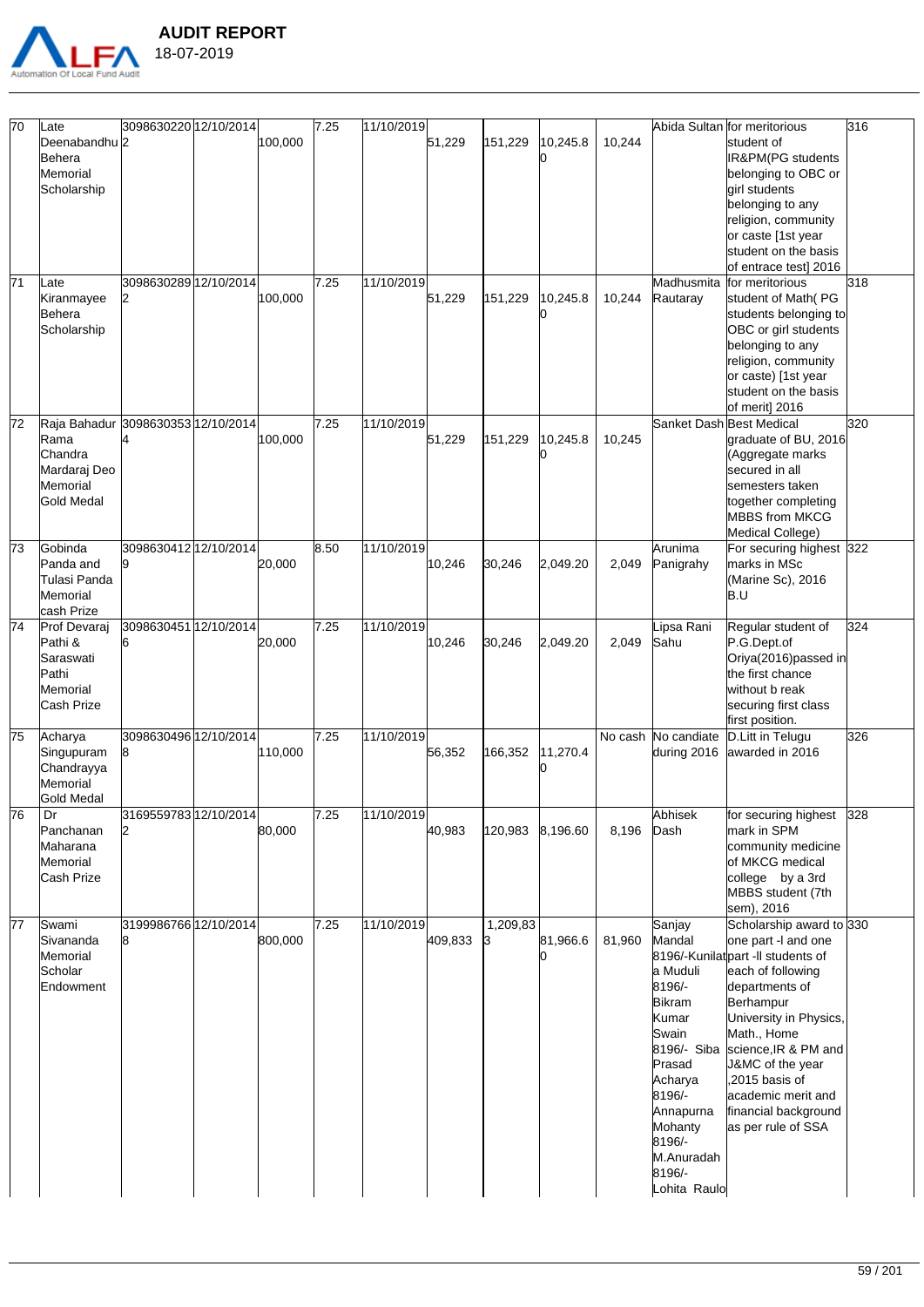

| 70<br>$\overline{71}$ | Late<br>Deenabandhu 2<br>Behera<br>Memorial<br>Scholarship<br>Late                              | 309863022012/10/2014<br>3098630289 12/10/2014 | 100,000 | 7.25<br>7.25 | 11/10/2019<br>11/10/2019 | 51,229  | 151,229          | 10,245.8 | 10,244  | Madhusmita                                                                                                                                                                         | Abida Sultan for meritorious<br>student of<br>IR&PM(PG students<br>belonging to OBC or<br>girl students<br>belonging to any<br>religion, community<br>or caste [1st year<br>student on the basis<br>of entrace test] 2016<br>for meritorious                                                                                    | 316<br>318 |
|-----------------------|-------------------------------------------------------------------------------------------------|-----------------------------------------------|---------|--------------|--------------------------|---------|------------------|----------|---------|------------------------------------------------------------------------------------------------------------------------------------------------------------------------------------|---------------------------------------------------------------------------------------------------------------------------------------------------------------------------------------------------------------------------------------------------------------------------------------------------------------------------------|------------|
|                       | Kiranmayee<br>Behera<br>Scholarship                                                             | l2                                            | 100,000 |              |                          | 51,229  | 151,229          | 10,245.8 | 10,244  | Rautaray                                                                                                                                                                           | student of Math(PG<br>students belonging to<br>OBC or girl students<br>belonging to any<br>religion, community<br>or caste) [1st year<br>student on the basis<br>of merit] 2016                                                                                                                                                 |            |
| 72                    | Raja Bahadur 3098630353 12/10/2014<br>Rama<br>Chandra<br>Mardaraj Deo<br>Memorial<br>Gold Medal |                                               | 100,000 | 7.25         | 11/10/2019               | 51,229  | 151,229          | 10,245.8 | 10,245  |                                                                                                                                                                                    | Sanket Dash Best Medical<br>graduate of BU, 2016<br>(Aggregate marks<br>secured in all<br>semesters taken<br>together completing<br><b>MBBS from MKCG</b><br>Medical College)                                                                                                                                                   | 320        |
| 73                    | Gobinda<br>Panda and<br>Tulasi Panda<br>Memorial<br>cash Prize                                  | 3098630412 12/10/2014<br>19                   | 20,000  | 8.50         | 11/10/2019               | 10,246  | 30,246           | 2,049.20 | 2,049   | Arunima<br>Panigrahy                                                                                                                                                               | For securing highest 322<br>marks in MSc<br>(Marine Sc), 2016<br>B.U                                                                                                                                                                                                                                                            |            |
| $\overline{74}$       | Prof Devaraj<br>Pathi &<br>Saraswati<br>Pathi<br>Memorial<br>Cash Prize                         | 3098630451 12/10/2014<br>6                    | 20,000  | 7.25         | 11/10/2019               | 10,246  | 30,246           | 2,049.20 | 2,049   | ipsa Rani<br>Sahu                                                                                                                                                                  | Regular student of<br>P.G.Dept.of<br>Oriya(2016)passed in<br>the first chance<br>without b reak<br>securing first class<br>first position.                                                                                                                                                                                      | 324        |
| 75                    | Acharya<br>Singupuram<br>Chandrayya<br>Memorial<br>Gold Medal                                   | 3098630496 12/10/2014<br>18                   | 110,000 | 7.25         | 11/10/2019               | 56,352  | 166,352          | 11,270.4 | No cash | No candiate<br>during 2016                                                                                                                                                         | D.Litt in Telugu<br>awarded in 2016                                                                                                                                                                                                                                                                                             | 326        |
| $\overline{76}$       | Dr  <br>Panchanan<br>Maharana<br>Memorial<br>Cash Prize                                         | 3169559783 12/10/2014<br>2                    | 80,000  | 7.25         | 11/10/2019               | 40,983  | 120,983 8,196.60 |          | 8,196   | Abhisek<br>Dash                                                                                                                                                                    | for securing highest<br>mark in SPM<br>community medicine<br>of MKCG medical<br>college by a 3rd<br>MBBS student (7th<br>sem), 2016                                                                                                                                                                                             | 328        |
| $\overline{77}$       | Swami<br><b>ISivananda</b><br>Memorial<br>Scholar<br>Endowment                                  | 3199986766 12/10/2014<br>18                   | 800,000 | 7.25         | 11/10/2019               | 409,833 | 1,209,83         | 81,966.6 | 81,960  | Sanjay<br>Mandal<br>a Muduli<br>8196/-<br><b>Bikram</b><br>Kumar<br>Swain<br>Prasad<br>Acharya<br>8196/-<br>Annapurna<br>Mohanty<br>8196/-<br>M.Anuradah<br>8196/-<br>Lohita Raulo | Scholarship award to 330<br>one part -I and one<br>8196/-Kunilatpart -Il students of<br>each of following<br>departments of<br>Berhampur<br>University in Physics,<br>Math., Home<br>8196/- Siba science, IR & PM and<br>J&MC of the year<br>,2015 basis of<br>academic merit and<br>financial background<br>as per rule of SSA |            |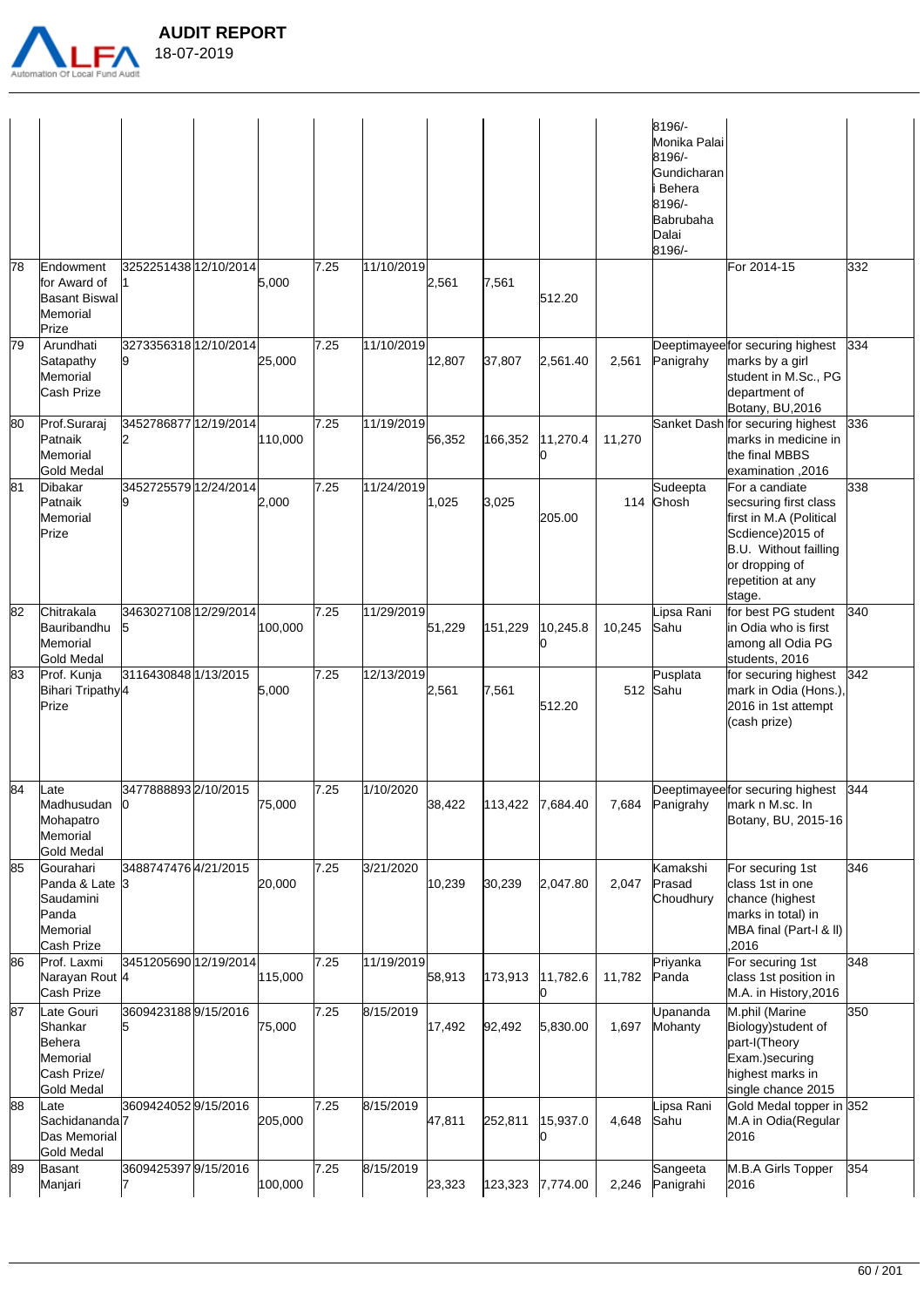

|    |                                                                             |                             |         |      |            |        |                  |               |        | 8196/-<br>Monika Palai<br>8196/-<br>Gundicharan<br>Behera<br>8196/-<br>Babrubaha<br>Dalai<br>8196/- |                                                                                                                                                                   |     |
|----|-----------------------------------------------------------------------------|-----------------------------|---------|------|------------|--------|------------------|---------------|--------|-----------------------------------------------------------------------------------------------------|-------------------------------------------------------------------------------------------------------------------------------------------------------------------|-----|
| 78 | Endowment<br>for Award of<br><b>Basant Biswal</b><br>Memorial<br>Prize      | 3252251438 12/10/2014       | 5.000   | 7.25 | 11/10/2019 | 2,561  | 7,561            | 512.20        |        |                                                                                                     | For 2014-15                                                                                                                                                       | 332 |
| 79 | Arundhati<br>Satapathy<br>Memorial<br>Cash Prize                            | 3273356318 12/10/2014       | 25,000  | 7.25 | 11/10/2019 | 12,807 | 37,807           | 2,561.40      | 2,561  | Panigrahy                                                                                           | Deeptimayee for securing highest<br>marks by a girl<br>student in M.Sc., PG<br>department of<br>Botany, BU, 2016                                                  | 334 |
| 80 | Prof.Suraraj<br>Patnaik<br>Memorial<br>Gold Medal                           | 3452786877 12/19/2014<br>12 | 110,000 | 7.25 | 11/19/2019 | 56,352 | 166,352          | 11,270.4<br>0 | 11,270 |                                                                                                     | Sanket Dash for securing highest<br>marks in medicine in<br>the final MBBS<br>2016, examination                                                                   | 336 |
| 81 | Dibakar<br>Patnaik<br>Memorial<br>Prize                                     | 3452725579 12/24/2014<br>19 | 2,000   | 7.25 | 11/24/2019 | 1,025  | 3,025            | 205.00        | 114    | Sudeepta<br>Ghosh                                                                                   | For a candiate<br>secsuring first class<br>first in M.A (Political<br>Scdience) 2015 of<br>B.U. Without failling<br>or dropping of<br>repetition at any<br>stage. | 338 |
| 82 | lChitrakala<br>Bauribandhu<br>Memorial<br>Gold Medal                        | 3463027108 12/29/2014       | 100,000 | 7.25 | 11/29/2019 | 51,229 | 151,229          | 10,245.8      | 10,245 | Lipsa Rani<br>Sahu                                                                                  | for best PG student<br>in Odia who is first<br>among all Odia PG<br>students, 2016                                                                                | 340 |
| 83 | Prof. Kunja<br>Bihari Tripathy <sup>[4]</sup><br>Prize                      | 3116430848 1/13/2015        | 5,000   | 7.25 | 12/13/2019 | 2,561  | 7,561            | 512.20        |        | Pusplata<br>512 Sahu                                                                                | for securing highest<br>mark in Odia (Hons.),<br>2016 in 1st attempt<br>(cash prize)                                                                              | 342 |
| 84 | Late<br>Madhusudan<br>Mohapatro<br>Memorial<br>Gold Medal                   | 34778888932/10/2015<br>l0   | 75,000  | 7.25 | 1/10/2020  | 38,422 | 113,422 7,684.40 |               | 7,684  |                                                                                                     | Deeptimayee for securing highest<br>Panigrahy mark n M.sc. In<br>Botany, BU, 2015-16                                                                              | 344 |
| 85 | Gourahari<br>Panda & Late 3<br>Saudamini<br>Panda<br>Memorial<br>Cash Prize | 34887474764/21/2015         | 20,000  | 7.25 | 3/21/2020  | 10,239 | 30,239           | 2.047.80      | 2,047  | Kamakshi<br>Prasad<br>Choudhury                                                                     | For securing 1st<br>class 1st in one<br>chance (highest<br>marks in total) in<br>MBA final (Part-I & II)<br>,2016                                                 | 346 |
| 86 | Prof. Laxmi<br>Narayan Rout 4<br>Cash Prize                                 | 3451205690 12/19/2014       | 115,000 | 7.25 | 11/19/2019 | 58,913 | 173,913          | 11,782.6      | 11,782 | Priyanka<br>Panda                                                                                   | For securing 1st<br>class 1st position in<br>M.A. in History, 2016                                                                                                | 348 |
| 87 | Late Gouri<br>lShankar<br>Behera<br>Memorial<br>Cash Prize/<br>Gold Medal   | 36094231889/15/2016<br>15   | 75,000  | 7.25 | 8/15/2019  | 17,492 | 92,492           | 5,830.00      | 1,697  | Upananda<br>Mohanty                                                                                 | M.phil (Marine<br>Biology) student of<br>part-I(Theory<br>Exam.)securing<br>highest marks in<br>single chance 2015                                                | 350 |
| 88 | Late<br>Sachidananda <sub>7</sub><br>Das Memorial<br><b>Gold Medal</b>      | 36094240529/15/2016         | 205,000 | 7.25 | 8/15/2019  | 47,811 | 252,811          | 15,937.0      | 4,648  | ipsa Rani<br>Sahu                                                                                   | Gold Medal topper in 352<br>M.A in Odia(Regular<br>2016                                                                                                           |     |
| 89 | Basant<br>Manjari                                                           | 3609425397 9/15/2016<br>17  | 100,000 | 7.25 | 8/15/2019  | 23,323 | 123,323          | 7,774.00      | 2,246  | Sangeeta<br>Panigrahi                                                                               | M.B.A Girls Topper<br>2016                                                                                                                                        | 354 |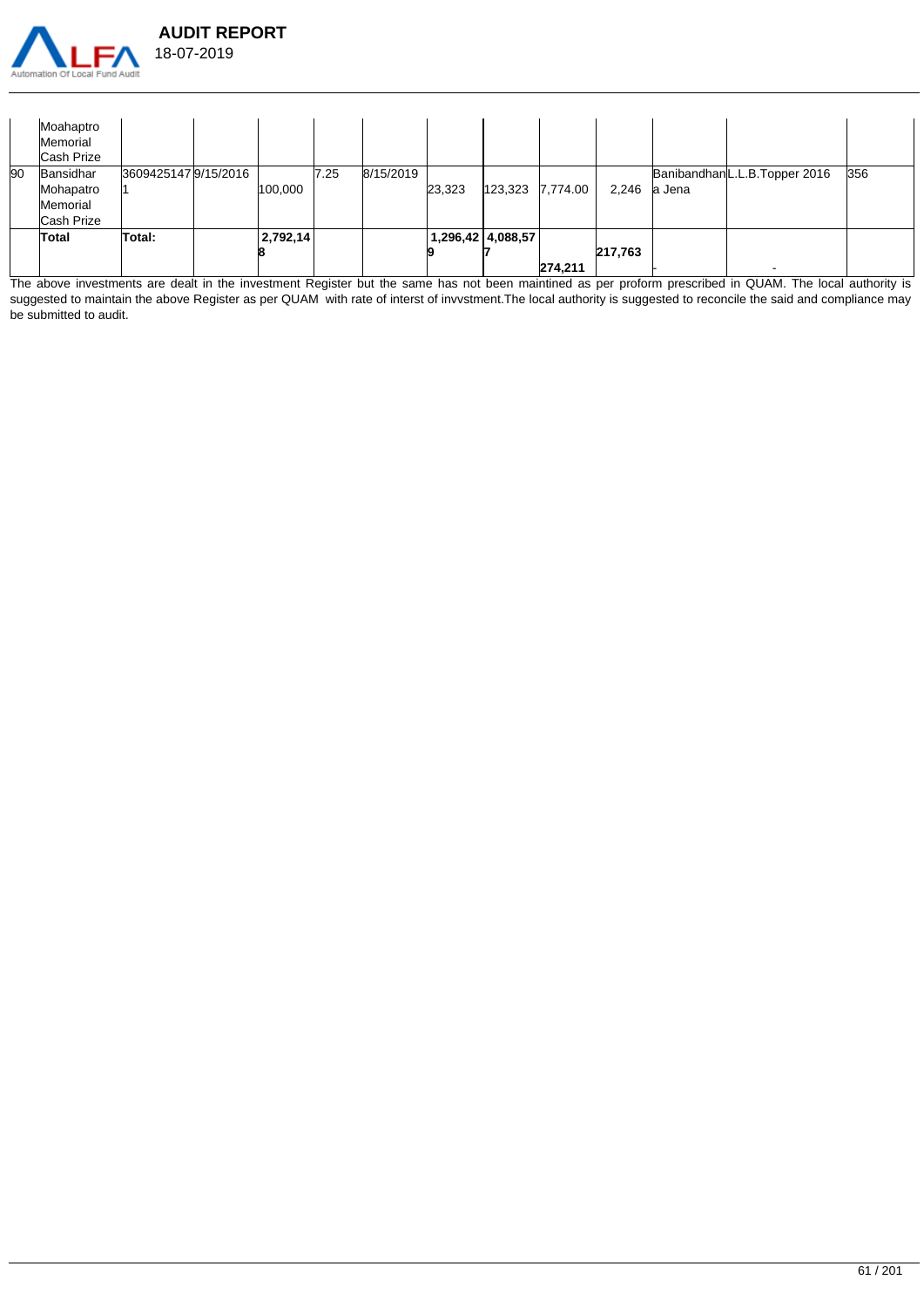

|    | Moahaptro<br>Memorial<br><b>Cash Prize</b> |                      |          |       |           |        |                     |          |         |         |                              |     |
|----|--------------------------------------------|----------------------|----------|-------|-----------|--------|---------------------|----------|---------|---------|------------------------------|-----|
| 90 | Bansidhar                                  | 3609425147 9/15/2016 |          | 17.25 | 8/15/2019 |        |                     |          |         |         | BanibandhanL.L.B.Topper 2016 | 356 |
|    | Mohapatro                                  |                      | 100,000  |       |           | 23,323 | 123,323             | 7,774.00 | 2,246   | la Jena |                              |     |
|    | Memorial                                   |                      |          |       |           |        |                     |          |         |         |                              |     |
|    | Cash Prize                                 |                      |          |       |           |        |                     |          |         |         |                              |     |
|    | Total                                      | Total:               | 2,792,14 |       |           |        | 1,296,42   4,088,57 |          |         |         |                              |     |
|    |                                            |                      |          |       |           |        |                     |          | 217,763 |         |                              |     |
|    |                                            |                      |          |       |           |        |                     | 274,211  |         |         |                              |     |

The above investments are dealt in the investment Register but the same has not been maintined as per proform prescribed in QUAM. The local authority is suggested to maintain the above Register as per QUAM with rate of interst of invvstment.The local authority is suggested to reconcile the said and compliance may be submitted to audit.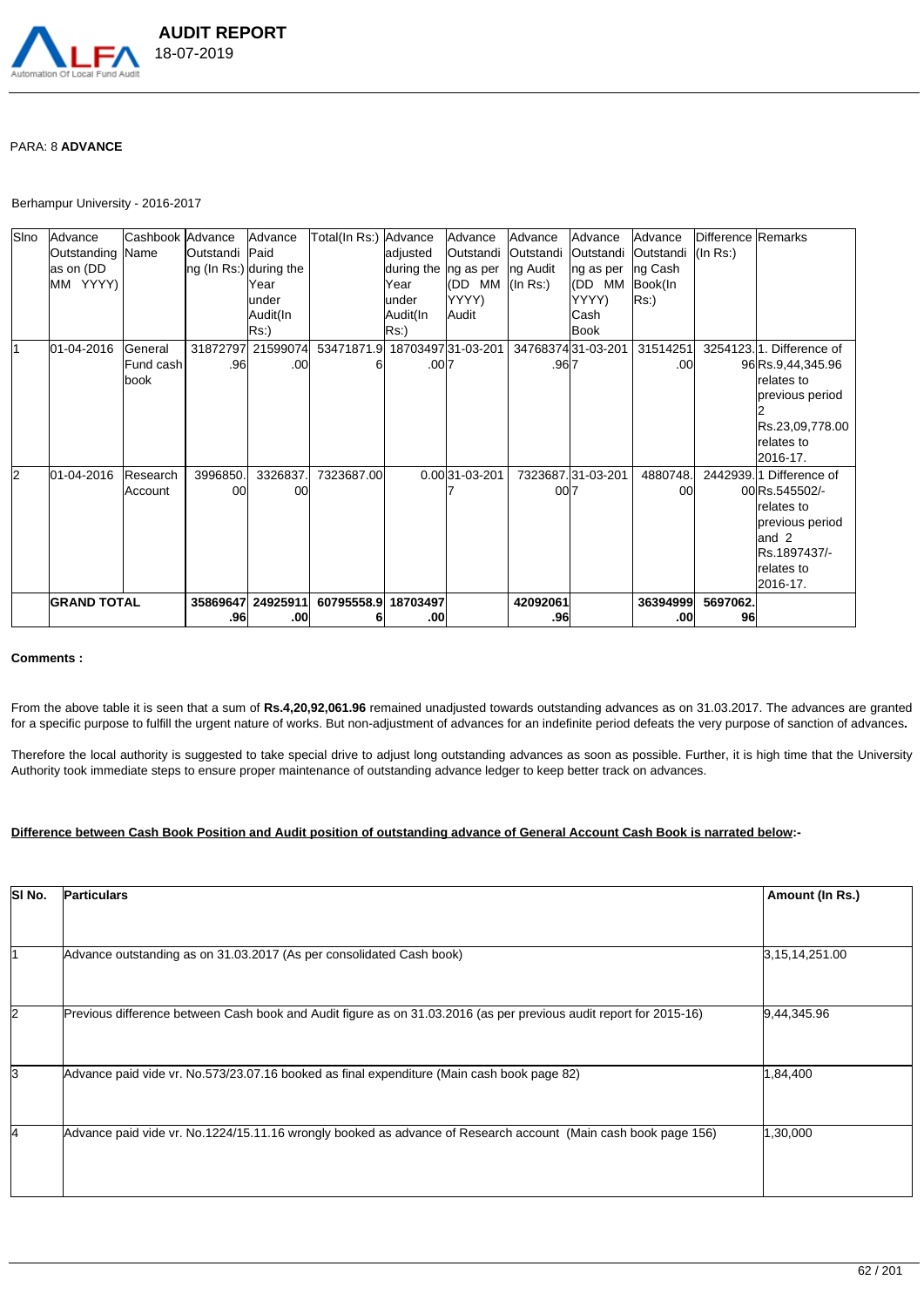

## PARA: 8 **ADVANCE**

### Berhampur University - 2016-2017

| Sino | Advance            | Cashbook Advance    |                        | Advance        | Total(In Rs:) | Advance    | Advance           | Advance   | Advance           | Advance        | Difference Remarks |                                           |
|------|--------------------|---------------------|------------------------|----------------|---------------|------------|-------------------|-----------|-------------------|----------------|--------------------|-------------------------------------------|
|      | Outstanding        | Name                | Outstandi              | <b>IPaid</b>   |               | adjusted   | Outstandi         | Outstandi | <b>Outstandi</b>  | Outstandi      | $(\ln \text{Rs.})$ |                                           |
|      | as on (DD          |                     | ng (In Rs:) during the |                |               | during the | ng as per         | ng Audit  | Ing as per        | ng Cash        |                    |                                           |
|      | MM YYYY)           |                     |                        | lYear          |               | Year       | (DD MM            | (ln Rs.)  | (DD MM            | Book(In        |                    |                                           |
|      |                    |                     |                        | lunder         |               | lunder     | YYYY)             |           | YYYY)             | RS:            |                    |                                           |
|      |                    |                     |                        | Audit(In       |               | Audit(In   | Audit             |           | lCash             |                |                    |                                           |
|      |                    |                     |                        | Rs:)           |               | Rs:)       |                   |           | lBook             |                |                    |                                           |
|      | 01-04-2016         | General             | 31872797               | 21599074       | 53471871.9    |            | 1870349731-03-201 |           | 3476837431-03-201 | 31514251       |                    | 3254123.1. Difference of                  |
|      |                    | Fund cash           | .96                    | .00            | 6             | .007       |                   | .96 7     |                   | .00            |                    | 96 Rs.9,44,345.96                         |
|      |                    | book                |                        |                |               |            |                   |           |                   |                |                    | relates to                                |
|      |                    |                     |                        |                |               |            |                   |           |                   |                |                    | previous period                           |
|      |                    |                     |                        |                |               |            |                   |           |                   |                |                    |                                           |
|      |                    |                     |                        |                |               |            |                   |           |                   |                |                    | Rs.23,09,778.00<br>Irelates to            |
|      |                    |                     |                        |                |               |            |                   |           |                   |                |                    | l2016-17.                                 |
|      | 01-04-2016         |                     |                        |                |               |            |                   |           |                   |                |                    |                                           |
| l2   |                    | Research<br>Account | 3996850.<br>00         | 3326837.<br>00 | 7323687.00    |            | $0.00$ 31-03-201  | 00 7      | 7323687.31-03-201 | 4880748.<br>00 |                    | 2442939.1 Difference of<br>00 Rs.545502/- |
|      |                    |                     |                        |                |               |            |                   |           |                   |                |                    | relates to                                |
|      |                    |                     |                        |                |               |            |                   |           |                   |                |                    | previous period                           |
|      |                    |                     |                        |                |               |            |                   |           |                   |                |                    | land 2                                    |
|      |                    |                     |                        |                |               |            |                   |           |                   |                |                    | Rs.1897437/-                              |
|      |                    |                     |                        |                |               |            |                   |           |                   |                |                    | lrelates to                               |
|      |                    |                     |                        |                |               |            |                   |           |                   |                |                    | 2016-17.                                  |
|      | <b>GRAND TOTAL</b> |                     | 35869647               | 24925911       | 60795558.9    | 18703497   |                   | 42092061  |                   | 36394999       | 5697062.           |                                           |
|      |                    |                     | .96                    | .00            |               | .00        |                   | .96       |                   | .00            | 96                 |                                           |

### **Comments :**

From the above table it is seen that a sum of **Rs.4,20,92,061.96** remained unadjusted towards outstanding advances as on 31.03.2017. The advances are granted for a specific purpose to fulfill the urgent nature of works. But non-adjustment of advances for an indefinite period defeats the very purpose of sanction of advances**.** 

Therefore the local authority is suggested to take special drive to adjust long outstanding advances as soon as possible. Further, it is high time that the University Authority took immediate steps to ensure proper maintenance of outstanding advance ledger to keep better track on advances.

## **Difference between Cash Book Position and Audit position of outstanding advance of General Account Cash Book is narrated below:-**

| SI No. | <b>Particulars</b>                                                                                                 | Amount (In Rs.) |
|--------|--------------------------------------------------------------------------------------------------------------------|-----------------|
|        | Advance outstanding as on 31.03.2017 (As per consolidated Cash book)                                               | 3,15,14,251.00  |
| 12     | Previous difference between Cash book and Audit figure as on 31.03.2016 (as per previous audit report for 2015-16) | 9,44,345.96     |
| 3      | Advance paid vide vr. No.573/23.07.16 booked as final expenditure (Main cash book page 82)                         | 1,84,400        |
| 14     | Advance paid vide vr. No.1224/15.11.16 wrongly booked as advance of Research account (Main cash book page 156)     | 1,30,000        |
|        |                                                                                                                    |                 |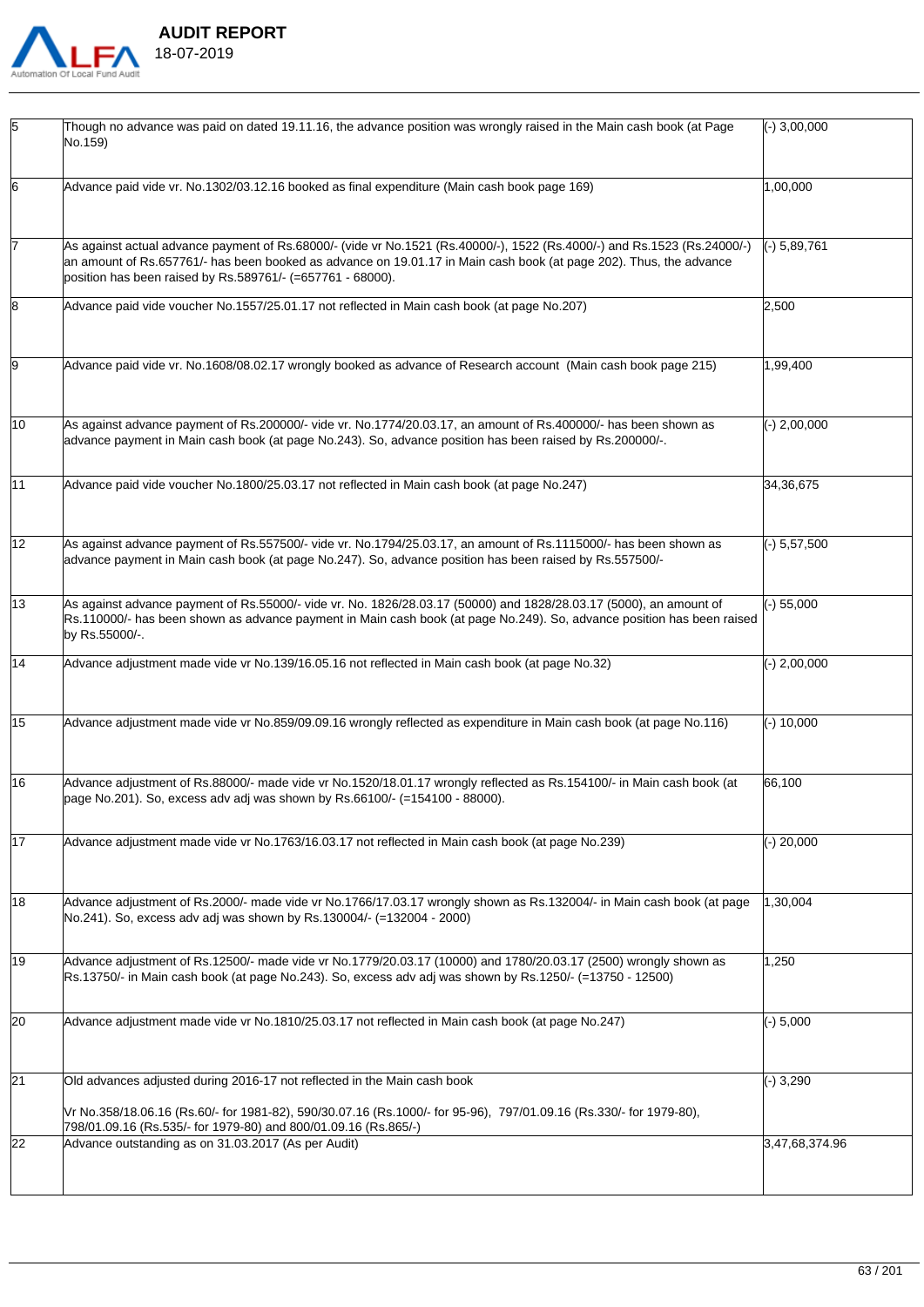

 **AUDIT REPORT** 

| 5               | Though no advance was paid on dated 19.11.16, the advance position was wrongly raised in the Main cash book (at Page<br>No.159)                                                                                                                                                                              | $(-)$ 3,00,000 |
|-----------------|--------------------------------------------------------------------------------------------------------------------------------------------------------------------------------------------------------------------------------------------------------------------------------------------------------------|----------------|
| $\overline{6}$  | Advance paid vide vr. No.1302/03.12.16 booked as final expenditure (Main cash book page 169)                                                                                                                                                                                                                 | 1,00,000       |
| 17              | As against actual advance payment of Rs.68000/- (vide vr No.1521 (Rs.40000/-), 1522 (Rs.4000/-) and Rs.1523 (Rs.24000/-)<br>an amount of Rs.657761/- has been booked as advance on 19.01.17 in Main cash book (at page 202). Thus, the advance<br>position has been raised by Rs.589761/- (=657761 - 68000). | $(-)$ 5,89,761 |
| $\overline{8}$  | Advance paid vide voucher No.1557/25.01.17 not reflected in Main cash book (at page No.207)                                                                                                                                                                                                                  | 2,500          |
| 9               | Advance paid vide vr. No.1608/08.02.17 wrongly booked as advance of Research account (Main cash book page 215)                                                                                                                                                                                               | 1,99,400       |
| $\overline{10}$ | As against advance payment of Rs.200000/- vide vr. No.1774/20.03.17, an amount of Rs.400000/- has been shown as<br>advance payment in Main cash book (at page No.243). So, advance position has been raised by Rs.200000/-.                                                                                  | $(-) 2,00,000$ |
| 11              | Advance paid vide voucher No.1800/25.03.17 not reflected in Main cash book (at page No.247)                                                                                                                                                                                                                  | 34,36,675      |
| 12              | As against advance payment of Rs.557500/- vide vr. No.1794/25.03.17, an amount of Rs.1115000/- has been shown as<br>advance payment in Main cash book (at page No.247). So, advance position has been raised by Rs.557500/-                                                                                  | $(-)$ 5,57,500 |
| 13              | As against advance payment of Rs.55000/- vide vr. No. 1826/28.03.17 (50000) and 1828/28.03.17 (5000), an amount of<br>Rs.110000/- has been shown as advance payment in Main cash book (at page No.249). So, advance position has been raised<br>by Rs.55000/-.                                               | $(-) 55,000$   |
| 14              | Advance adjustment made vide vr No.139/16.05.16 not reflected in Main cash book (at page No.32)                                                                                                                                                                                                              | $(-) 2,00,000$ |
| $\overline{15}$ | Advance adjustment made vide vr No.859/09.09.16 wrongly reflected as expenditure in Main cash book (at page No.116)                                                                                                                                                                                          | $(-) 10,000$   |
| 16              | Advance adjustment of Rs.88000/- made vide vr No.1520/18.01.17 wrongly reflected as Rs.154100/- in Main cash book (at<br>page No.201). So, excess adv adj was shown by Rs.66100/- (=154100 - 88000).                                                                                                         | 66,100         |
| 17              | Advance adjustment made vide vr No.1763/16.03.17 not reflected in Main cash book (at page No.239)                                                                                                                                                                                                            | $(-) 20,000$   |
| 18              | Advance adjustment of Rs.2000/- made vide vr No.1766/17.03.17 wrongly shown as Rs.132004/- in Main cash book (at page<br>No.241). So, excess adv adj was shown by Rs.130004/- (=132004 - 2000)                                                                                                               | 1,30,004       |
| 19              | Advance adjustment of Rs.12500/- made vide vr No.1779/20.03.17 (10000) and 1780/20.03.17 (2500) wrongly shown as<br>Rs.13750/- in Main cash book (at page No.243). So, excess adv adj was shown by Rs.1250/- (=13750 - 12500)                                                                                | 1,250          |
| 20              | Advance adjustment made vide vr No.1810/25.03.17 not reflected in Main cash book (at page No.247)                                                                                                                                                                                                            | $(-) 5,000$    |
| 21              | Old advances adjusted during 2016-17 not reflected in the Main cash book                                                                                                                                                                                                                                     | $(-) 3,290$    |
|                 | Vr No.358/18.06.16 (Rs.60/- for 1981-82), 590/30.07.16 (Rs.1000/- for 95-96), 797/01.09.16 (Rs.330/- for 1979-80),<br>798/01.09.16 (Rs.535/- for 1979-80) and 800/01.09.16 (Rs.865/-)                                                                                                                        |                |
| 22              | Advance outstanding as on 31.03.2017 (As per Audit)                                                                                                                                                                                                                                                          | 3,47,68,374.96 |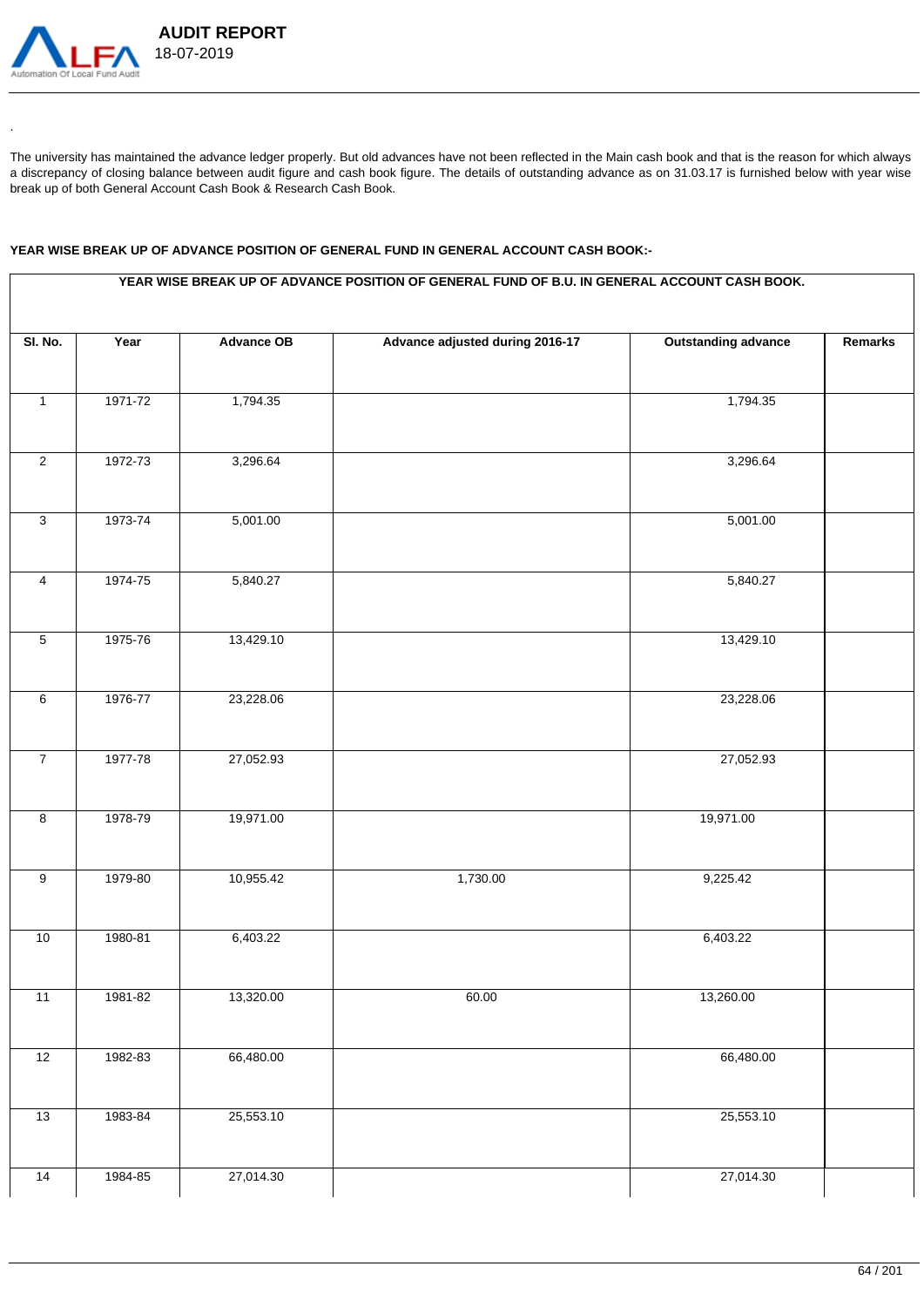

.

 $\sqrt{ }$ 

 **AUDIT REPORT**  18-07-2019

The university has maintained the advance ledger properly. But old advances have not been reflected in the Main cash book and that is the reason for which always a discrepancy of closing balance between audit figure and cash book figure. The details of outstanding advance as on 31.03.17 is furnished below with year wise break up of both General Account Cash Book & Research Cash Book.

## **YEAR WISE BREAK UP OF ADVANCE POSITION OF GENERAL FUND IN GENERAL ACCOUNT CASH BOOK:-**

|                         |         |                   | YEAR WISE BREAK UP OF ADVANCE POSITION OF GENERAL FUND OF B.U. IN GENERAL ACCOUNT CASH BOOK. |                            |         |
|-------------------------|---------|-------------------|----------------------------------------------------------------------------------------------|----------------------------|---------|
| <b>SI. No.</b>          | Year    | <b>Advance OB</b> | Advance adjusted during 2016-17                                                              | <b>Outstanding advance</b> | Remarks |
| $\overline{1}$          | 1971-72 | 1,794.35          |                                                                                              | 1,794.35                   |         |
| $\overline{2}$          | 1972-73 | 3,296.64          |                                                                                              | 3,296.64                   |         |
| $\overline{\mathbf{3}}$ | 1973-74 | 5,001.00          |                                                                                              | 5,001.00                   |         |
| $\overline{4}$          | 1974-75 | 5,840.27          |                                                                                              | 5,840.27                   |         |
| $\overline{5}$          | 1975-76 | 13,429.10         |                                                                                              | 13,429.10                  |         |
| $\,6\,$                 | 1976-77 | 23,228.06         |                                                                                              | 23,228.06                  |         |
| $\overline{7}$          | 1977-78 | 27,052.93         |                                                                                              | 27,052.93                  |         |
| $\overline{8}$          | 1978-79 | 19,971.00         |                                                                                              | 19,971.00                  |         |
| $9\,$                   | 1979-80 | 10,955.42         | 1,730.00                                                                                     | 9,225.42                   |         |
| 10                      | 1980-81 | 6,403.22          |                                                                                              | 6,403.22                   |         |
| 11                      | 1981-82 | 13,320.00         | 60.00                                                                                        | 13,260.00                  |         |
| $\overline{12}$         | 1982-83 | 66,480.00         |                                                                                              | 66,480.00                  |         |
| 13                      | 1983-84 | 25,553.10         |                                                                                              | 25,553.10                  |         |
| 14                      | 1984-85 | 27,014.30         |                                                                                              | 27,014.30                  |         |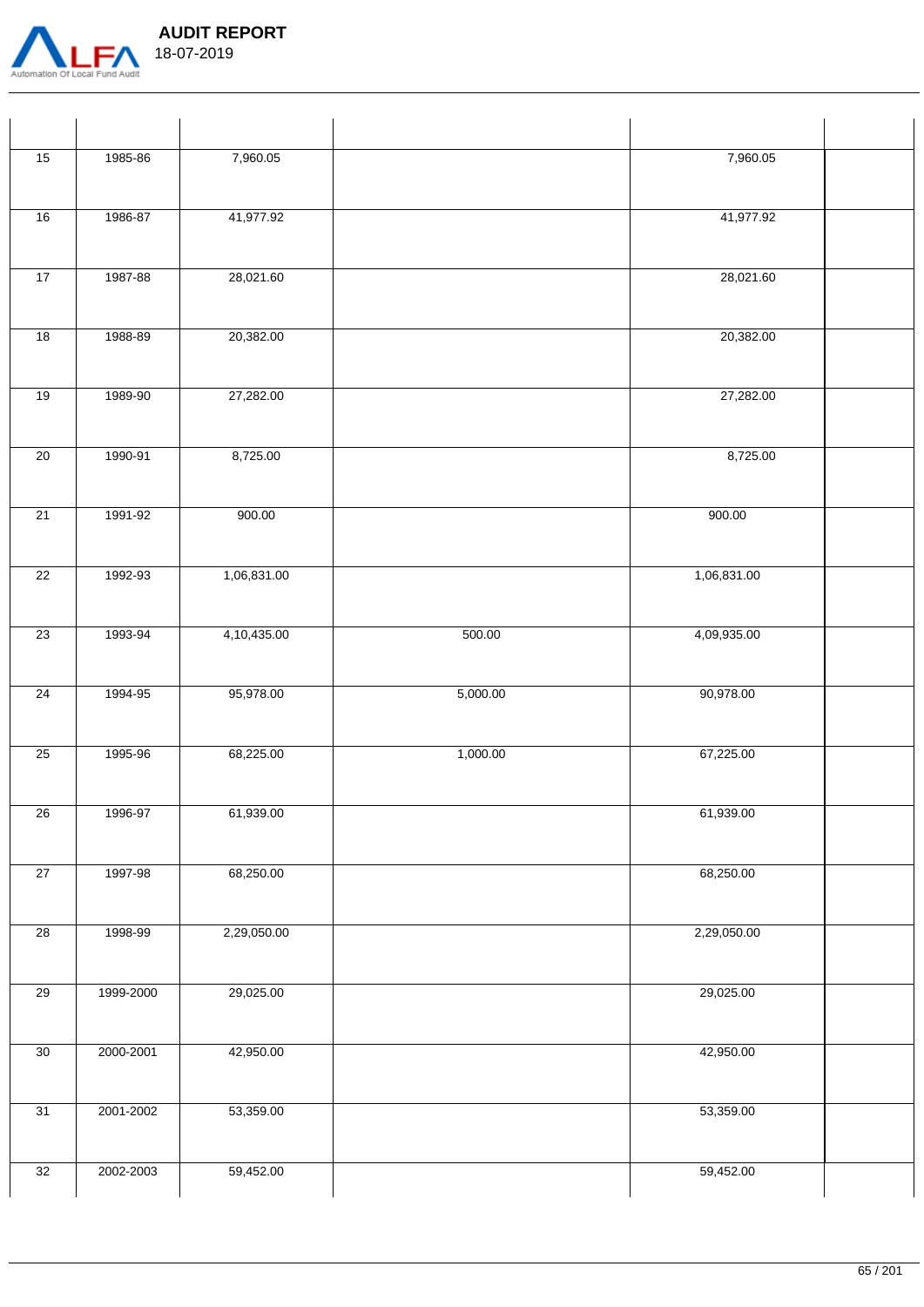

| 15              | 1985-86   | 7,960.05    |          | 7,960.05    |  |
|-----------------|-----------|-------------|----------|-------------|--|
| 16              | 1986-87   | 41,977.92   |          | 41,977.92   |  |
| 17              | 1987-88   | 28,021.60   |          | 28,021.60   |  |
| 18              | 1988-89   | 20,382.00   |          | 20,382.00   |  |
| 19              | 1989-90   | 27,282.00   |          | 27,282.00   |  |
| 20              | 1990-91   | 8,725.00    |          | 8,725.00    |  |
| $\overline{21}$ | 1991-92   | 900.00      |          | 900.00      |  |
| $\overline{22}$ | 1992-93   | 1,06,831.00 |          | 1,06,831.00 |  |
| $\overline{23}$ | 1993-94   | 4,10,435.00 | 500.00   | 4,09,935.00 |  |
| 24              | 1994-95   | 95,978.00   | 5,000.00 | 90,978.00   |  |
| 25              | 1995-96   | 68,225.00   | 1,000.00 | 67,225.00   |  |
| 26              | 1996-97   | 61,939.00   |          | 61,939.00   |  |
| $\overline{27}$ | 1997-98   | 68,250.00   |          | 68,250.00   |  |
| 28              | 1998-99   | 2,29,050.00 |          | 2,29,050.00 |  |
| 29              | 1999-2000 | 29,025.00   |          | 29,025.00   |  |
| 30              | 2000-2001 | 42,950.00   |          | 42,950.00   |  |
| 31              | 2001-2002 | 53,359.00   |          | 53,359.00   |  |
| 32              | 2002-2003 | 59,452.00   |          | 59,452.00   |  |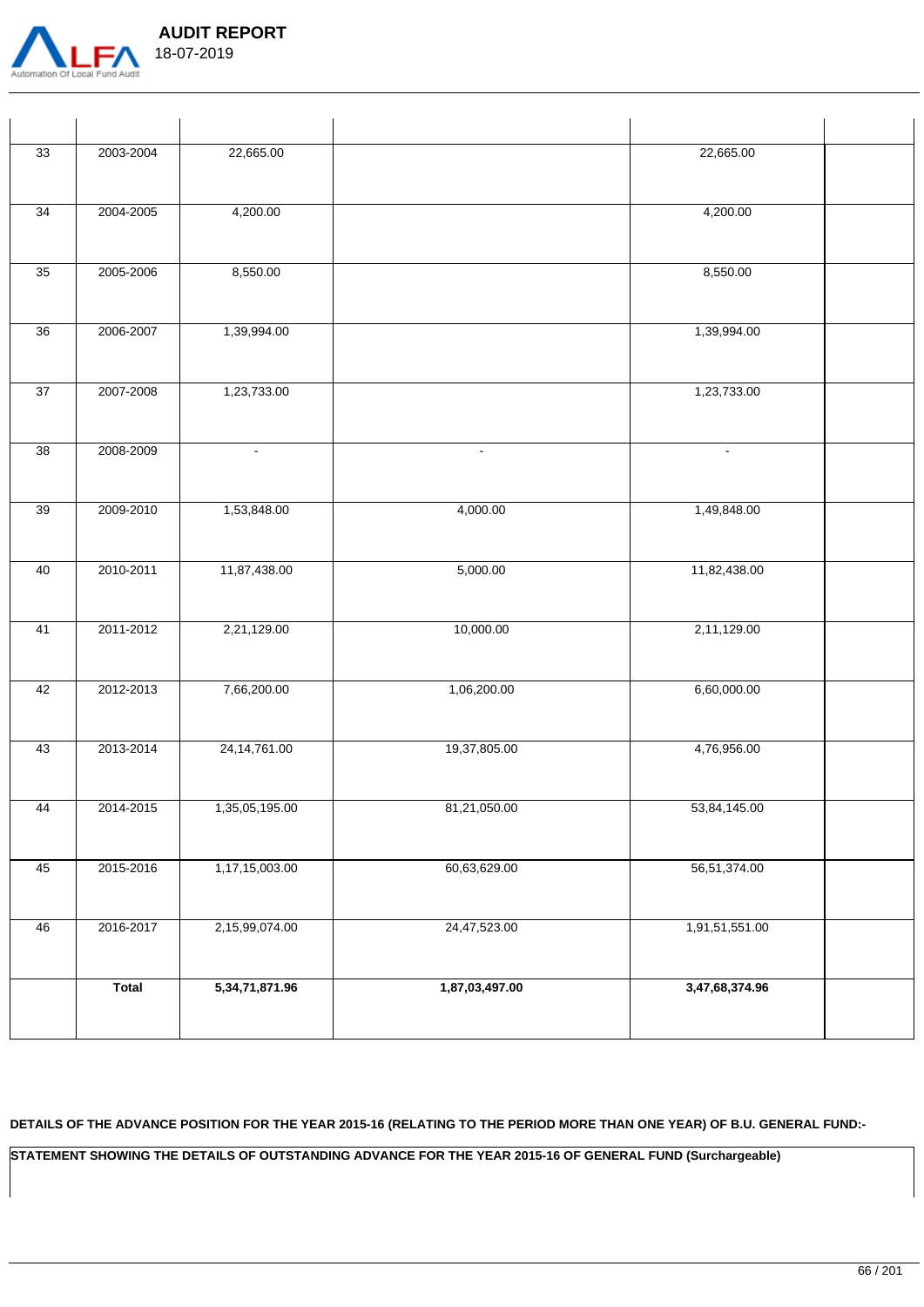

| 33 | 2003-2004    | 22,665.00      |                | 22,665.00      |  |
|----|--------------|----------------|----------------|----------------|--|
| 34 | 2004-2005    | 4,200.00       |                | 4,200.00       |  |
| 35 | 2005-2006    | 8,550.00       |                | 8,550.00       |  |
| 36 | 2006-2007    | 1,39,994.00    |                | 1,39,994.00    |  |
| 37 | 2007-2008    | 1,23,733.00    |                | 1,23,733.00    |  |
| 38 | 2008-2009    | $\blacksquare$ | $\blacksquare$ | $\mathbf{r}$   |  |
| 39 | 2009-2010    | 1,53,848.00    | 4,000.00       | 1,49,848.00    |  |
| 40 | 2010-2011    | 11,87,438.00   | 5,000.00       | 11,82,438.00   |  |
| 41 | 2011-2012    | 2,21,129.00    | 10,000.00      | 2,11,129.00    |  |
| 42 | 2012-2013    | 7,66,200.00    | 1,06,200.00    | 6,60,000.00    |  |
| 43 | 2013-2014    | 24, 14, 761.00 | 19,37,805.00   | 4,76,956.00    |  |
| 44 | 2014-2015    | 1,35,05,195.00 | 81,21,050.00   | 53,84,145.00   |  |
| 45 | 2015-2016    | 1,17,15,003.00 | 60,63,629.00   | 56,51,374.00   |  |
| 46 | 2016-2017    | 2,15,99,074.00 | 24,47,523.00   | 1,91,51,551.00 |  |
|    | <b>Total</b> | 5,34,71,871.96 | 1,87,03,497.00 | 3,47,68,374.96 |  |

**DETAILS OF THE ADVANCE POSITION FOR THE YEAR 2015-16 (RELATING TO THE PERIOD MORE THAN ONE YEAR) OF B.U. GENERAL FUND:-**

**STATEMENT SHOWING THE DETAILS OF OUTSTANDING ADVANCE FOR THE YEAR 2015-16 OF GENERAL FUND (Surchargeable)**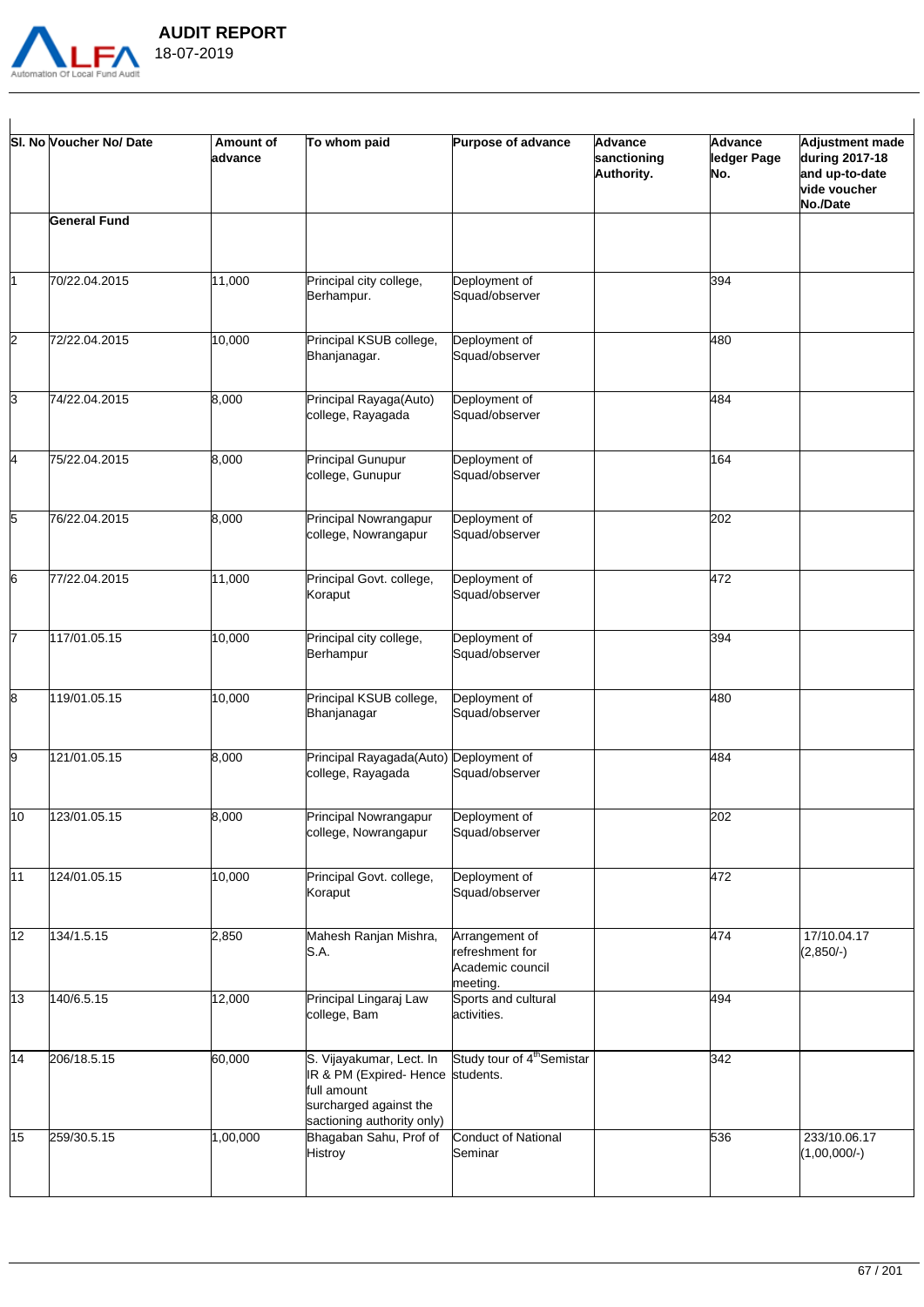

|                | SI. No Voucher No/ Date | Amount of<br>advance | To whom paid                                                                                                               | Purpose of advance                                                | Advance<br>sanctioning<br>Authority. | <b>Advance</b><br>ledger Page<br>No. | Adjustment made<br>during 2017-18<br>and up-to-date<br>vide voucher<br>No./Date |
|----------------|-------------------------|----------------------|----------------------------------------------------------------------------------------------------------------------------|-------------------------------------------------------------------|--------------------------------------|--------------------------------------|---------------------------------------------------------------------------------|
|                | <b>General Fund</b>     |                      |                                                                                                                            |                                                                   |                                      |                                      |                                                                                 |
|                | 70/22.04.2015           | 11,000               | Principal city college,<br>Berhampur.                                                                                      | Deployment of<br>Squad/observer                                   |                                      | 394                                  |                                                                                 |
| $\overline{2}$ | 72/22.04.2015           | 10,000               | Principal KSUB college,<br>Bhanjanagar.                                                                                    | Deployment of<br>Squad/observer                                   |                                      | 480                                  |                                                                                 |
| 3              | 74/22.04.2015           | 8,000                | Principal Rayaga(Auto)<br>college, Rayagada                                                                                | Deployment of<br>Squad/observer                                   |                                      | 484                                  |                                                                                 |
| 4              | 75/22.04.2015           | 8,000                | Principal Gunupur<br>college, Gunupur                                                                                      | Deployment of<br>Squad/observer                                   |                                      | 164                                  |                                                                                 |
| 5              | 76/22.04.2015           | 8,000                | Principal Nowrangapur<br>college, Nowrangapur                                                                              | Deployment of<br>Squad/observer                                   |                                      | 202                                  |                                                                                 |
| 6              | 77/22.04.2015           | 11,000               | Principal Govt. college,<br>Koraput                                                                                        | Deployment of<br>Squad/observer                                   |                                      | 472                                  |                                                                                 |
| 17             | 117/01.05.15            | 10,000               | Principal city college,<br>Berhampur                                                                                       | Deployment of<br>Squad/observer                                   |                                      | 394                                  |                                                                                 |
| 8              | 119/01.05.15            | 10,000               | Principal KSUB college,<br>Bhanjanagar                                                                                     | Deployment of<br>Squad/observer                                   |                                      | 480                                  |                                                                                 |
| 9              | 121/01.05.15            | 8,000                | Principal Rayagada(Auto)<br>college, Rayagada                                                                              | Deployment of<br>Squad/observer                                   |                                      | 484                                  |                                                                                 |
| 10             | 123/01.05.15            | 8,000                | Principal Nowrangapur<br>college, Nowrangapur                                                                              | Deployment of<br>Squad/observer                                   |                                      | 202                                  |                                                                                 |
| 11             | 124/01.05.15            | 10,000               | Principal Govt. college,<br>Koraput                                                                                        | Deployment of<br>Squad/observer                                   |                                      | 472                                  |                                                                                 |
| 12             | 134/1.5.15              | 2,850                | Mahesh Ranjan Mishra,<br>S.A.                                                                                              | Arrangement of<br>refreshment for<br>Academic council<br>meeting. |                                      | 474                                  | 17/10.04.17<br>$(2,850/-)$                                                      |
| 13             | 140/6.5.15              | 12,000               | Principal Lingaraj Law<br>college, Bam                                                                                     | Sports and cultural<br>activities.                                |                                      | 494                                  |                                                                                 |
| 14             | 206/18.5.15             | 60,000               | S. Vijayakumar, Lect. In<br>IR & PM (Expired- Hence<br>full amount<br>surcharged against the<br>sactioning authority only) | Study tour of 4 <sup>th</sup> Semistar<br>students.               |                                      | 342                                  |                                                                                 |
| 15             | 259/30.5.15             | 1,00,000             | Bhagaban Sahu, Prof of<br>Histroy                                                                                          | Conduct of National<br>Seminar                                    |                                      | 536                                  | 233/10.06.17<br>$(1,00,000/-)$                                                  |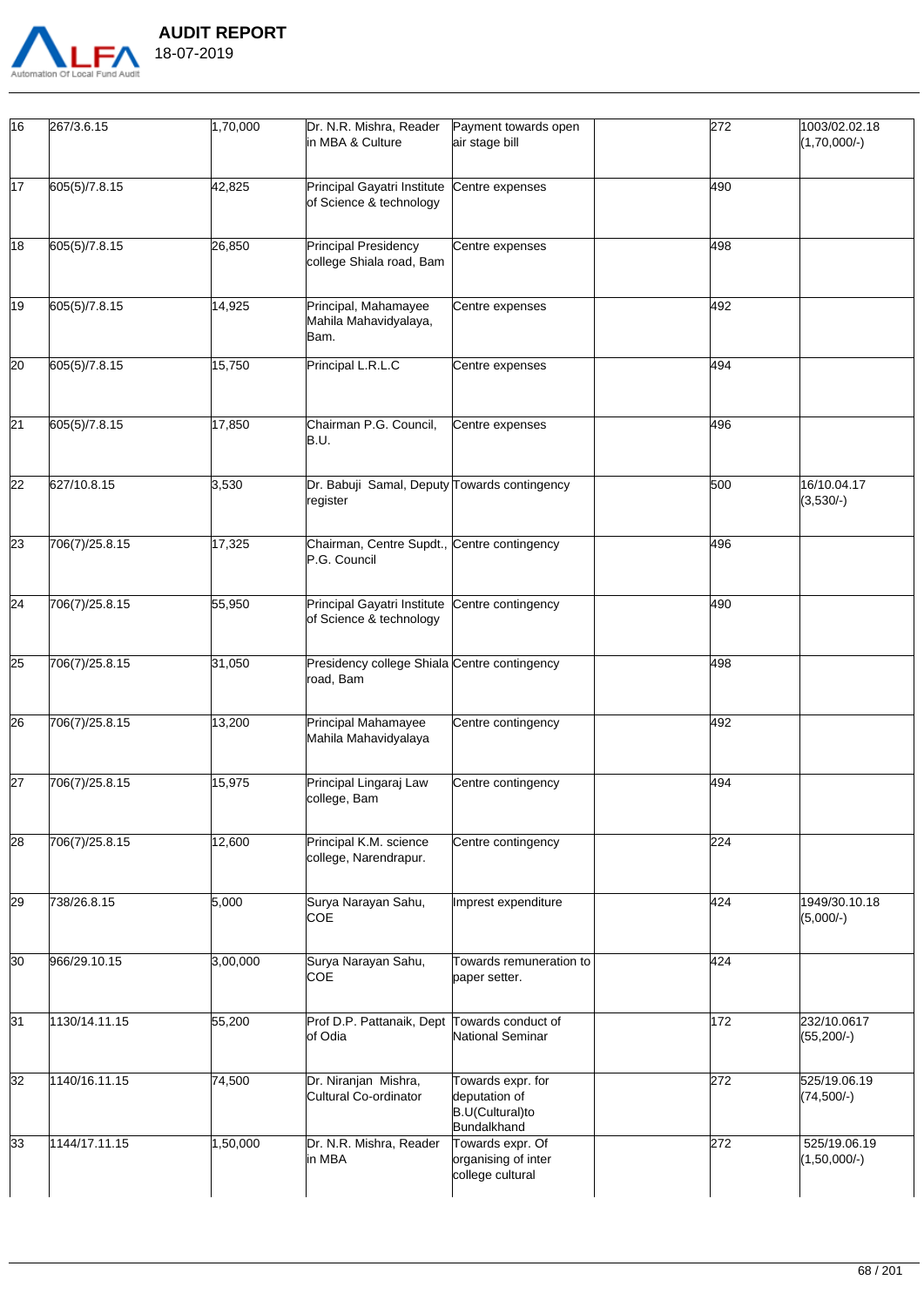

| <b>AUDIT REPORT</b> |  |
|---------------------|--|
| 18-07-2019          |  |

| 16              | 267/3.6.15     | 1,70,000 | Dr. N.R. Mishra, Reader<br>in MBA & Culture                 | Payment towards open<br>air stage bill                               | 272 | 1003/02.02.18<br>$(1,70,000/-)$ |
|-----------------|----------------|----------|-------------------------------------------------------------|----------------------------------------------------------------------|-----|---------------------------------|
| 17              | 605(5)/7.8.15  | 42,825   | Principal Gayatri Institute<br>of Science & technology      | Centre expenses                                                      | 490 |                                 |
| 18              | 605(5)/7.8.15  | 26,850   | Principal Presidency<br>college Shiala road, Bam            | Centre expenses                                                      | 498 |                                 |
| 19              | 605(5)/7.8.15  | 14,925   | Principal, Mahamayee<br>Mahila Mahavidyalaya,<br>Bam.       | Centre expenses                                                      | 492 |                                 |
| 20              | 605(5)/7.8.15  | 15,750   | Principal L.R.L.C                                           | Centre expenses                                                      | 494 |                                 |
| 21              | 605(5)/7.8.15  | 17,850   | Chairman P.G. Council,<br>B.U.                              | Centre expenses                                                      | 496 |                                 |
| $\overline{22}$ | 627/10.8.15    | 3,530    | Dr. Babuji Samal, Deputy Towards contingency<br>register    |                                                                      | 500 | 16/10.04.17<br>$(3,530/-)$      |
| 23              | 706(7)/25.8.15 | 17,325   | Chairman, Centre Supdt., Centre contingency<br>P.G. Council |                                                                      | 496 |                                 |
| $\overline{24}$ | 706(7)/25.8.15 | 55,950   | Principal Gayatri Institute<br>of Science & technology      | Centre contingency                                                   | 490 |                                 |
| $\overline{25}$ | 706(7)/25.8.15 | 31,050   | Presidency college Shiala Centre contingency<br>road, Bam   |                                                                      | 498 |                                 |
| 26              | 706(7)/25.8.15 | 13,200   | Principal Mahamayee<br>Mahila Mahavidyalaya                 | Centre contingency                                                   | 492 |                                 |
| 27              | 706(7)/25.8.15 | 15,975   | Principal Lingaraj Law<br>college, Bam                      | Centre contingency                                                   | 494 |                                 |
| 28              | 706(7)/25.8.15 | 12,600   | Principal K.M. science<br>college, Narendrapur.             | Centre contingency                                                   | 224 |                                 |
| 29              | 738/26.8.15    | 5,000    | Surya Narayan Sahu,<br><b>COE</b>                           | Imprest expenditure                                                  | 424 | 1949/30.10.18<br>$(5,000/-)$    |
| 30              | 966/29.10.15   | 3,00,000 | Surya Narayan Sahu,<br>COE.                                 | Towards remuneration to<br>paper setter.                             | 424 |                                 |
| 31              | 1130/14.11.15  | 55,200   | Prof D.P. Pattanaik, Dept Towards conduct of<br>of Odia     | National Seminar                                                     | 172 | 232/10.0617<br>$(55,200/-)$     |
| 32              | 1140/16.11.15  | 74,500   | Dr. Niranjan Mishra,<br>Cultural Co-ordinator               | Towards expr. for<br>deputation of<br>B.U(Cultural)to<br>Bundalkhand | 272 | 525/19.06.19<br>$(74,500/-)$    |
| 33              | 1144/17.11.15  | 1,50,000 | Dr. N.R. Mishra, Reader<br>in MBA                           | Towards expr. Of<br>organising of inter<br>college cultural          | 272 | 525/19.06.19<br>$(1,50,000/-)$  |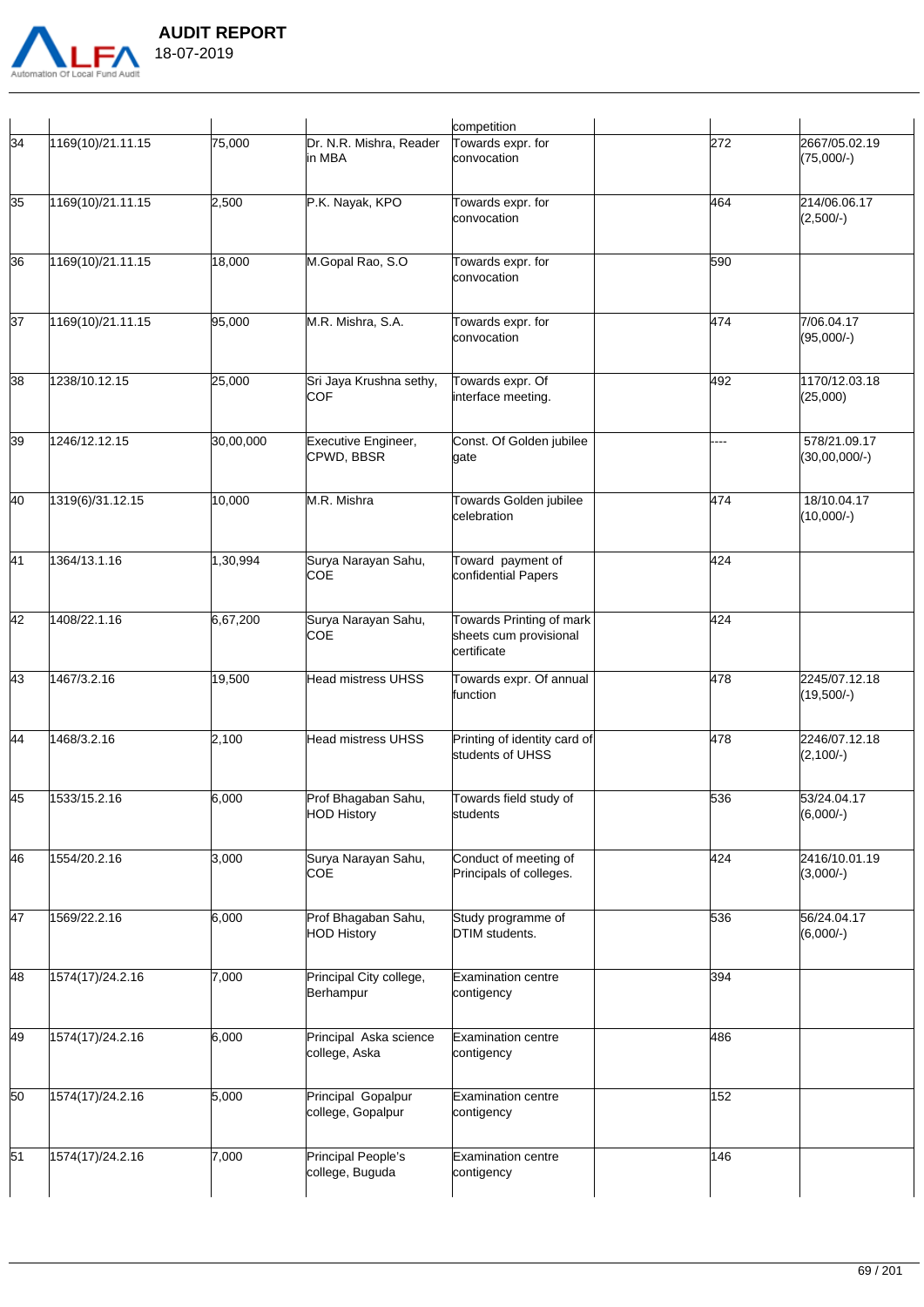

|            | <b>AUDIT REPORT</b> |
|------------|---------------------|
| 18-07-2019 |                     |

|    |                   |                     |                                           | competition                                                       |     |                                 |
|----|-------------------|---------------------|-------------------------------------------|-------------------------------------------------------------------|-----|---------------------------------|
| 34 | 1169(10)/21.11.15 | 75,000              | Dr. N.R. Mishra, Reader<br>in MBA         | Towards expr. for<br>convocation                                  | 272 | 2667/05.02.19<br>$(75,000/-)$   |
| 35 | 1169(10)/21.11.15 | 2,500               | P.K. Nayak, KPO                           | Towards expr. for<br>convocation                                  | 464 | 214/06.06.17<br>$(2,500/-)$     |
| 36 | 1169(10)/21.11.15 | 18,000              | M.Gopal Rao, S.O                          | Towards expr. for<br>convocation                                  | 590 |                                 |
| 37 | 1169(10)/21.11.15 | 95,000              | M.R. Mishra, S.A.                         | Towards expr. for<br>convocation                                  | 474 | 7/06.04.17<br>$(95,000/-)$      |
| 38 | 1238/10.12.15     | 25,000              | Sri Jaya Krushna sethy,<br><b>COF</b>     | Towards expr. Of<br>interface meeting.                            | 492 | 1170/12.03.18<br>(25,000)       |
| 39 | 1246/12.12.15     | 30,00,000           | Executive Engineer,<br>CPWD, BBSR         | Const. Of Golden jubilee<br>lgate                                 |     | 578/21.09.17<br>$(30,00,000/-)$ |
| 40 | 1319(6)/31.12.15  | 10,000              | M.R. Mishra                               | Towards Golden jubilee<br>celebration                             | 474 | 18/10.04.17<br>$(10,000/-)$     |
| 41 | 1364/13.1.16      | 1,30,994            | Surya Narayan Sahu,<br><b>COE</b>         | Toward payment of<br>confidential Papers                          | 424 |                                 |
| 42 | 1408/22.1.16      | 6,67,200            | Surya Narayan Sahu,<br><b>COE</b>         | Towards Printing of mark<br>sheets cum provisional<br>certificate | 424 |                                 |
| 43 | 1467/3.2.16       | 19,500              | <b>Head mistress UHSS</b>                 | Towards expr. Of annual<br>function                               | 478 | 2245/07.12.18<br>$(19,500/-)$   |
| 44 | 1468/3.2.16       | 2,100               | Head mistress UHSS                        | Printing of identity card of<br>students of UHSS                  | 478 | 2246/07.12.18<br>$(2,100/-)$    |
| 45 | 1533/15.2.16      | 6,000               | Prof Bhagaban Sahu,<br>HOD History        | Towards field study of<br>students                                | 536 | 53/24.04.17<br>$(6,000/-)$      |
| 46 | 1554/20.2.16      | 3,000               | Surya Narayan Sahu,<br><b>COE</b>         | Conduct of meeting of<br>Principals of colleges.                  | 424 | 2416/10.01.19<br>$(3,000/-)$    |
| 47 | 1569/22.2.16      | 6,000               | Prof Bhagaban Sahu,<br><b>HOD History</b> | Study programme of<br><b>DTIM</b> students.                       | 536 | 56/24.04.17<br>$(6,000/-)$      |
| 48 | 1574(17)/24.2.16  | 7,000               | Principal City college,<br>Berhampur      | Examination centre<br>contigency                                  | 394 |                                 |
| 49 | 1574(17)/24.2.16  | 6,000               | Principal Aska science<br>college, Aska   | Examination centre<br>contigency                                  | 486 |                                 |
| 50 | 1574(17)/24.2.16  | 5,000               | Principal Gopalpur<br>college, Gopalpur   | Examination centre<br>contigency                                  | 152 |                                 |
| 51 | 1574(17)/24.2.16  | $\overline{7}$ ,000 | Principal People's<br>college, Buguda     | Examination centre<br>contigency                                  | 146 |                                 |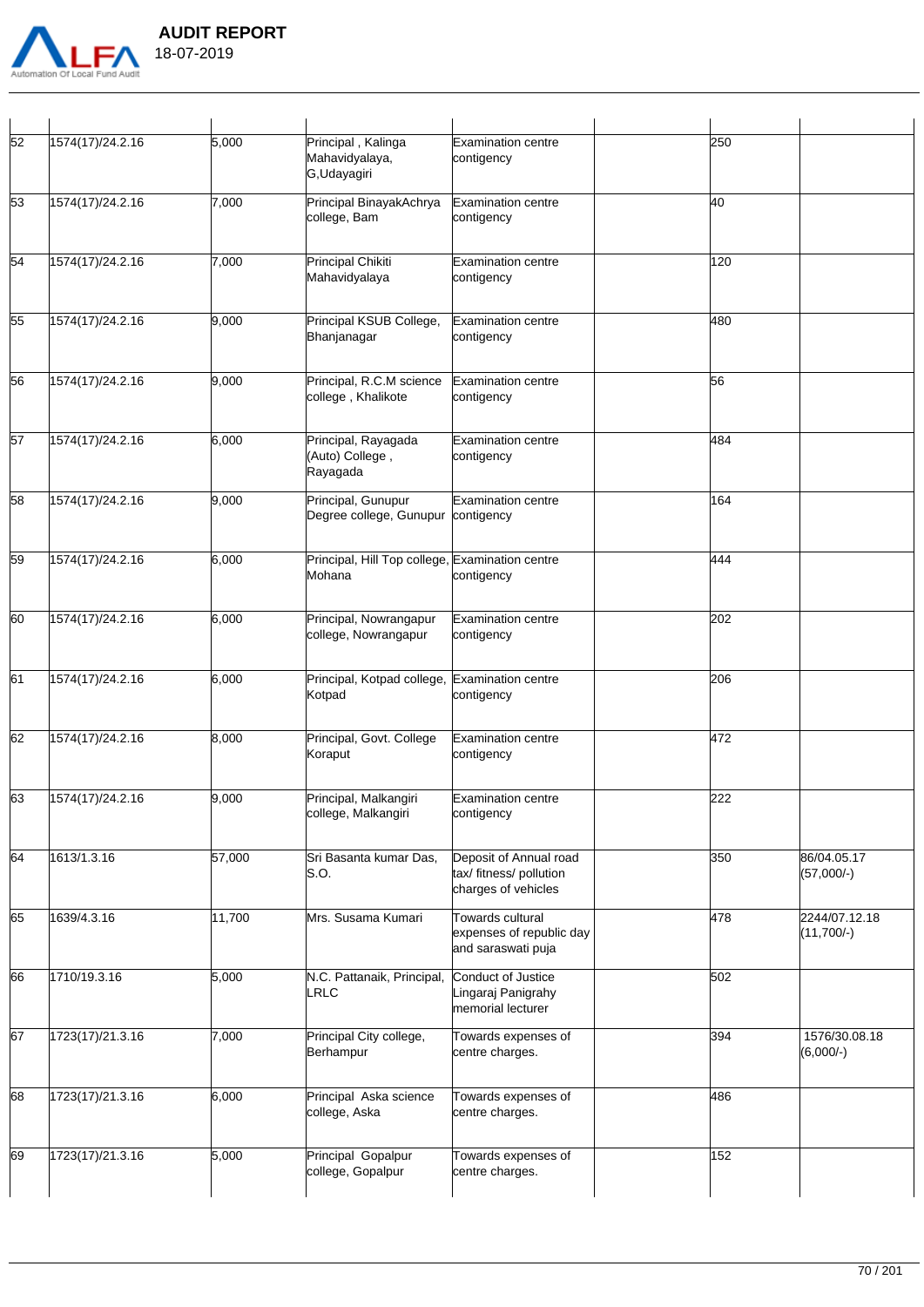

52 1574(17)/24.2.16 5,000 Principal , Kalinga

69 1723(17)/21.3.16 5,000 Principal Gopalpur

college, Gopalpur

Mahavidyalaya, G,Udayagiri contigency 53 1574(17)/24.2.16 7,000 Principal BinayakAchrya college, Bam Examination centre contigency 40 54 1574(17)/24.2.16 7,000 Principal Chikiti Mahavidyalaya Examination centre contigency 120 55 1574(17)/24.2.16 9,000 Principal KSUB College, Bhanjanagar Examination centre contigency 480 56 1574(17)/24.2.16 9,000 Principal, R.C.M science college , Khalikote Examination centre contigency 56 57 1574(17)/24.2.16 6,000 Principal, Rayagada (Auto) College , Rayagada Examination centre contigency 484 58 1574(17)/24.2.16 9,000 Principal, Gunupur Degree college, Gunupur Examination centre contigency 164 59 1574(17)/24.2.16 6,000 Principal, Hill Top college, Mohana Examination centre contigency 444 60 1574(17)/24.2.16 6,000 Principal, Nowrangapur college, Nowrangapur Examination centre contigency 202 61 1574(17)/24.2.16 6,000 Principal, Kotpad college, Kotpad Examination centre contigency 206 62 1574(17)/24.2.16 8,000 Principal, Govt. College Koraput Examination centre contigency 472 63 1574(17)/24.2.16 9,000 Principal, Malkangiri college, Malkangiri **Examination centre** contigency 222 64 1613/1.3.16 57,000 Sri Basanta kumar Das, ls  $\circ$ Deposit of Annual road tax/ fitness/ pollution charges of vehicles 350 86/04.05.17 (57,000/-) 65 1639/4.3.16 11,700 Mrs. Susama Kumari Towards cultural expenses of republic day and saraswati puja 478 2244/07.12.18 (11,700/-) 66 1710/19.3.16 5,000 N.C. Pattanaik, Principal, LRLC Conduct of Justice Lingaraj Panigrahy memorial lecturer 502 67 1723(17)/21.3.16 7,000 Principal City college, Berhampur Towards expenses of centre charges. 394 1576/30.08.18 (6,000/-) 68 1723(17)/21.3.16 6,000 Principal Aska science college, Aska Towards expenses of centre charges. 486

> Towards expenses of centre charges.

Examination centre

250

152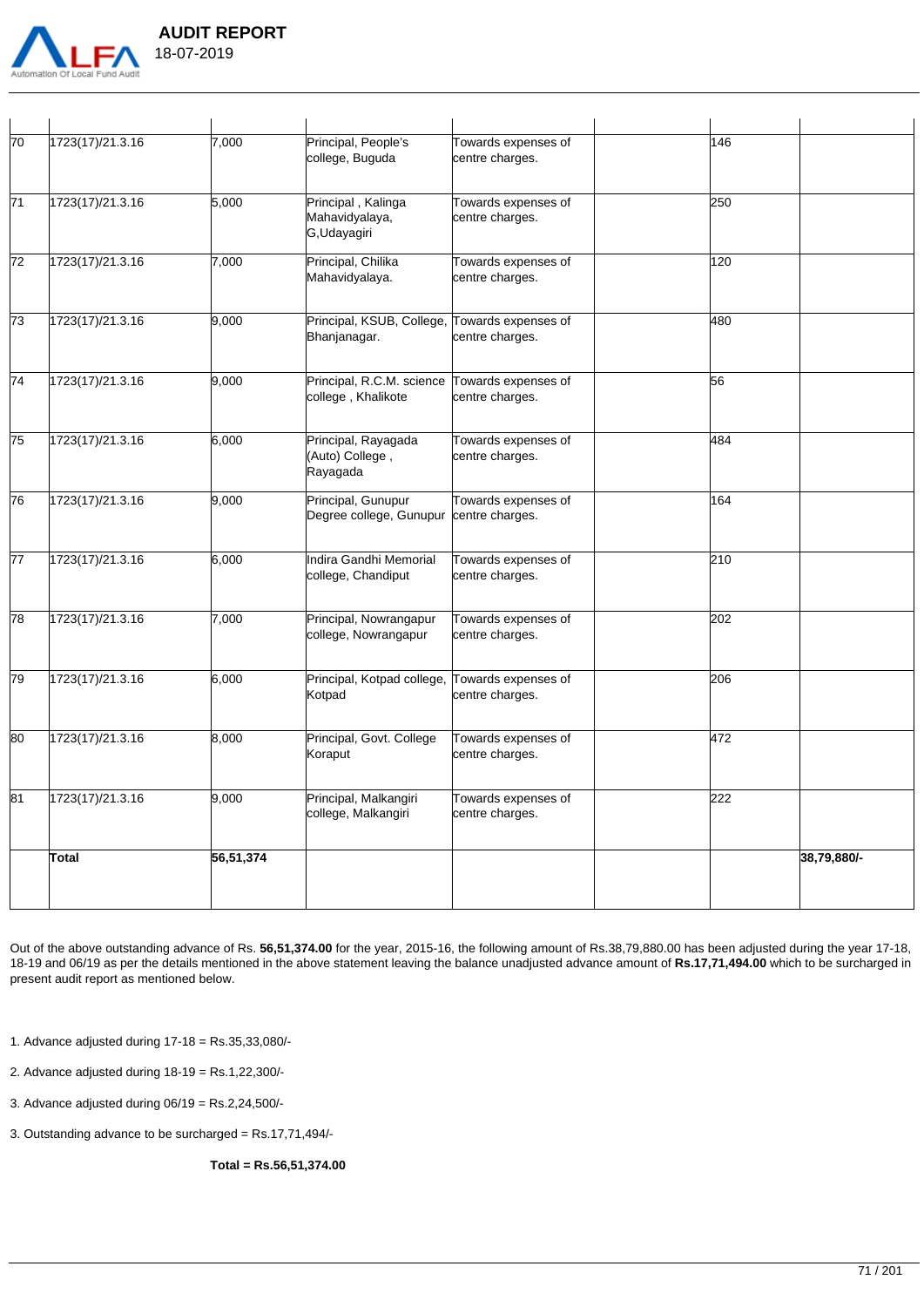

 **AUDIT REPORT** 

18-07-2019

| 70              | 1723(17)/21.3.16 | 7,000     | Principal, People's<br>college, Buguda              | Towards expenses of<br>centre charges. | 146 |             |
|-----------------|------------------|-----------|-----------------------------------------------------|----------------------------------------|-----|-------------|
| 71              | 1723(17)/21.3.16 | 5,000     | Principal, Kalinga<br>Mahavidyalaya,<br>G,Udayagiri | Towards expenses of<br>centre charges. | 250 |             |
| 72              | 1723(17)/21.3.16 | 7,000     | Principal, Chilika<br>Mahavidyalaya.                | Towards expenses of<br>centre charges. | 120 |             |
| $\overline{73}$ | 1723(17)/21.3.16 | 9,000     | Principal, KSUB, College,<br>Bhanjanagar.           | Towards expenses of<br>centre charges. | 480 |             |
| 74              | 1723(17)/21.3.16 | 9,000     | Principal, R.C.M. science<br>college, Khalikote     | Towards expenses of<br>centre charges. | 56  |             |
| 75              | 1723(17)/21.3.16 | 6,000     | Principal, Rayagada<br>(Auto) College,<br>Rayagada  | Towards expenses of<br>centre charges. | 484 |             |
| 76              | 1723(17)/21.3.16 | 9,000     | Principal, Gunupur<br>Degree college, Gunupur       | Towards expenses of<br>centre charges. | 164 |             |
| 77              | 1723(17)/21.3.16 | 6,000     | Indira Gandhi Memorial<br>college, Chandiput        | Towards expenses of<br>centre charges. | 210 |             |
| 78              | 1723(17)/21.3.16 | 7,000     | Principal, Nowrangapur<br>college, Nowrangapur      | Towards expenses of<br>centre charges. | 202 |             |
| 79              | 1723(17)/21.3.16 | 6,000     | Principal, Kotpad college,<br>Kotpad                | Towards expenses of<br>centre charges. | 206 |             |
| 80              | 1723(17)/21.3.16 | 8,000     | Principal, Govt. College<br>Koraput                 | Towards expenses of<br>centre charges. | 472 |             |
| 81              | 1723(17)/21.3.16 | 9,000     | Principal, Malkangiri<br>college, Malkangiri        | Towards expenses of<br>centre charges. | 222 |             |
|                 | Total            | 56,51,374 |                                                     |                                        |     | 38,79,880/- |
|                 |                  |           |                                                     |                                        |     |             |

Out of the above outstanding advance of Rs. **56,51,374.00** for the year, 2015-16, the following amount of Rs.38,79,880.00 has been adjusted during the year 17-18, 18-19 and 06/19 as per the details mentioned in the above statement leaving the balance unadjusted advance amount of **Rs.17,71,494.00** which to be surcharged in present audit report as mentioned below.

1. Advance adjusted during 17-18 = Rs.35,33,080/-

- 2. Advance adjusted during 18-19 = Rs.1,22,300/-
- 3. Advance adjusted during 06/19 = Rs.2,24,500/-

3. Outstanding advance to be surcharged = Rs.17,71,494/-

**Total = Rs.56,51,374.00**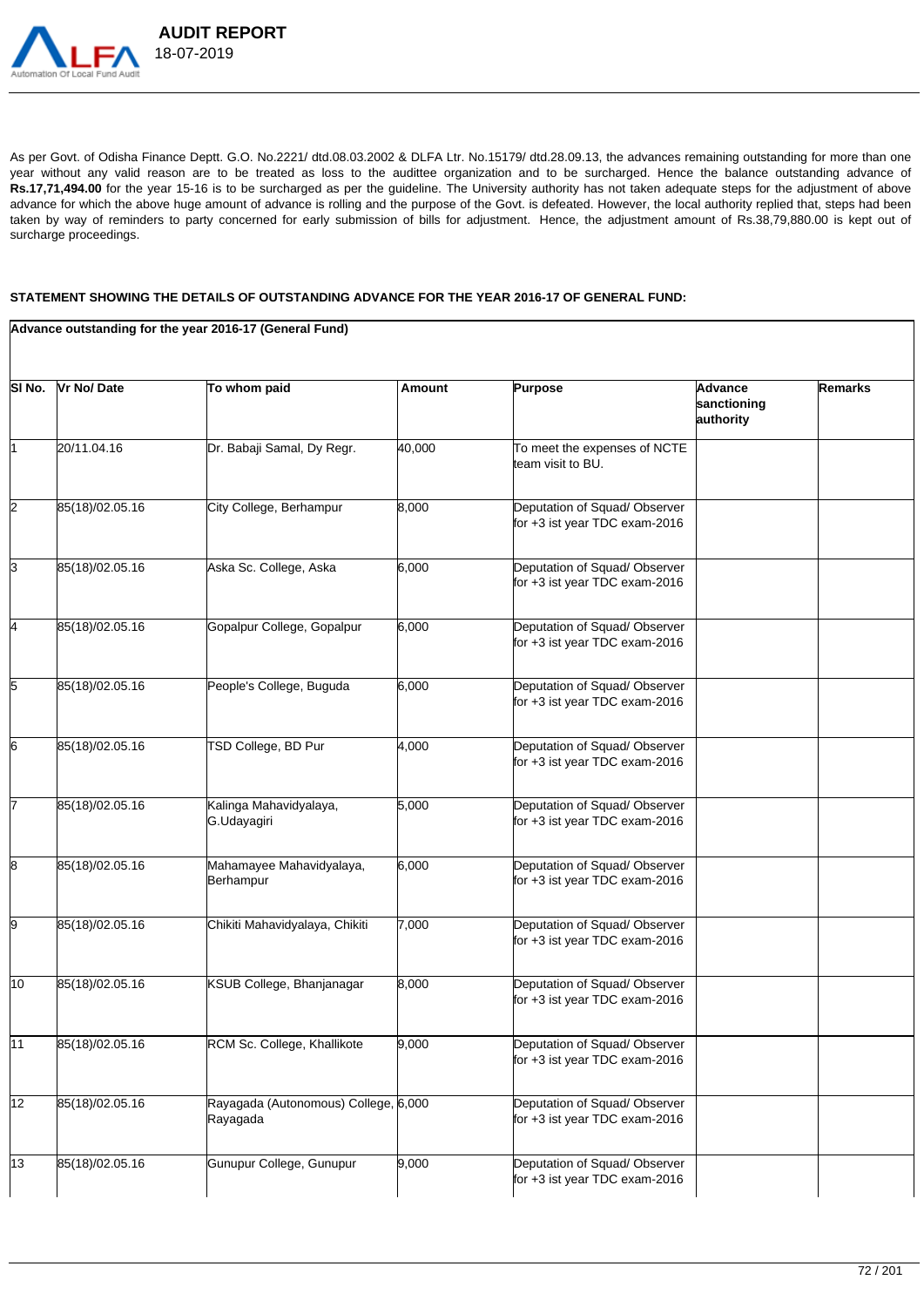

As per Govt. of Odisha Finance Deptt. G.O. No.2221/ dtd.08.03.2002 & DLFA Ltr. No.15179/ dtd.28.09.13, the advances remaining outstanding for more than one year without any valid reason are to be treated as loss to the audittee organization and to be surcharged. Hence the balance outstanding advance of **Rs.17,71,494.00** for the year 15-16 is to be surcharged as per the guideline. The University authority has not taken adequate steps for the adjustment of above advance for which the above huge amount of advance is rolling and the purpose of the Govt. is defeated. However, the local authority replied that, steps had been taken by way of reminders to party concerned for early submission of bills for adjustment. Hence, the adjustment amount of Rs.38,79,880.00 is kept out of surcharge proceedings.

## **STATEMENT SHOWING THE DETAILS OF OUTSTANDING ADVANCE FOR THE YEAR 2016-17 OF GENERAL FUND:**

**Advance outstanding for the year 2016-17 (General Fund)**

| SI No. | Vr No/ Date     | To whom paid                                     | Amount | <b>Purpose</b>                                                 | Advance<br>sanctioning<br>authority | Remarks |
|--------|-----------------|--------------------------------------------------|--------|----------------------------------------------------------------|-------------------------------------|---------|
| l1     | 20/11.04.16     | Dr. Babaji Samal, Dy Regr.                       | 40,000 | To meet the expenses of NCTE<br>team visit to BU.              |                                     |         |
| 2      | 85(18)/02.05.16 | City College, Berhampur                          | 8,000  | Deputation of Squad/ Observer<br>for +3 ist year TDC exam-2016 |                                     |         |
| 3      | 85(18)/02.05.16 | Aska Sc. College, Aska                           | 6,000  | Deputation of Squad/ Observer<br>for +3 ist year TDC exam-2016 |                                     |         |
| 4      | 85(18)/02.05.16 | Gopalpur College, Gopalpur                       | 6,000  | Deputation of Squad/ Observer<br>for +3 ist year TDC exam-2016 |                                     |         |
| 5      | 85(18)/02.05.16 | People's College, Buguda                         | 6,000  | Deputation of Squad/ Observer<br>for +3 ist year TDC exam-2016 |                                     |         |
| 6      | 85(18)/02.05.16 | TSD College, BD Pur                              | 4,000  | Deputation of Squad/ Observer<br>for +3 ist year TDC exam-2016 |                                     |         |
| 17     | 85(18)/02.05.16 | Kalinga Mahavidyalaya,<br>G.Udayagiri            | 5,000  | Deputation of Squad/ Observer<br>for +3 ist year TDC exam-2016 |                                     |         |
| 8      | 85(18)/02.05.16 | Mahamayee Mahavidyalaya,<br>Berhampur            | 6,000  | Deputation of Squad/ Observer<br>for +3 ist year TDC exam-2016 |                                     |         |
| 9      | 85(18)/02.05.16 | Chikiti Mahavidyalaya, Chikiti                   | 7,000  | Deputation of Squad/ Observer<br>for +3 ist year TDC exam-2016 |                                     |         |
| 10     | 85(18)/02.05.16 | KSUB College, Bhanjanagar                        | 8,000  | Deputation of Squad/ Observer<br>for +3 ist year TDC exam-2016 |                                     |         |
| 11     | 85(18)/02.05.16 | RCM Sc. College, Khallikote                      | 9,000  | Deputation of Squad/ Observer<br>for +3 ist year TDC exam-2016 |                                     |         |
| 12     | 85(18)/02.05.16 | Rayagada (Autonomous) College, 6,000<br>Rayagada |        | Deputation of Squad/ Observer<br>for +3 ist year TDC exam-2016 |                                     |         |
| 13     | 85(18)/02.05.16 | Gunupur College, Gunupur                         | 9,000  | Deputation of Squad/ Observer<br>for +3 ist year TDC exam-2016 |                                     |         |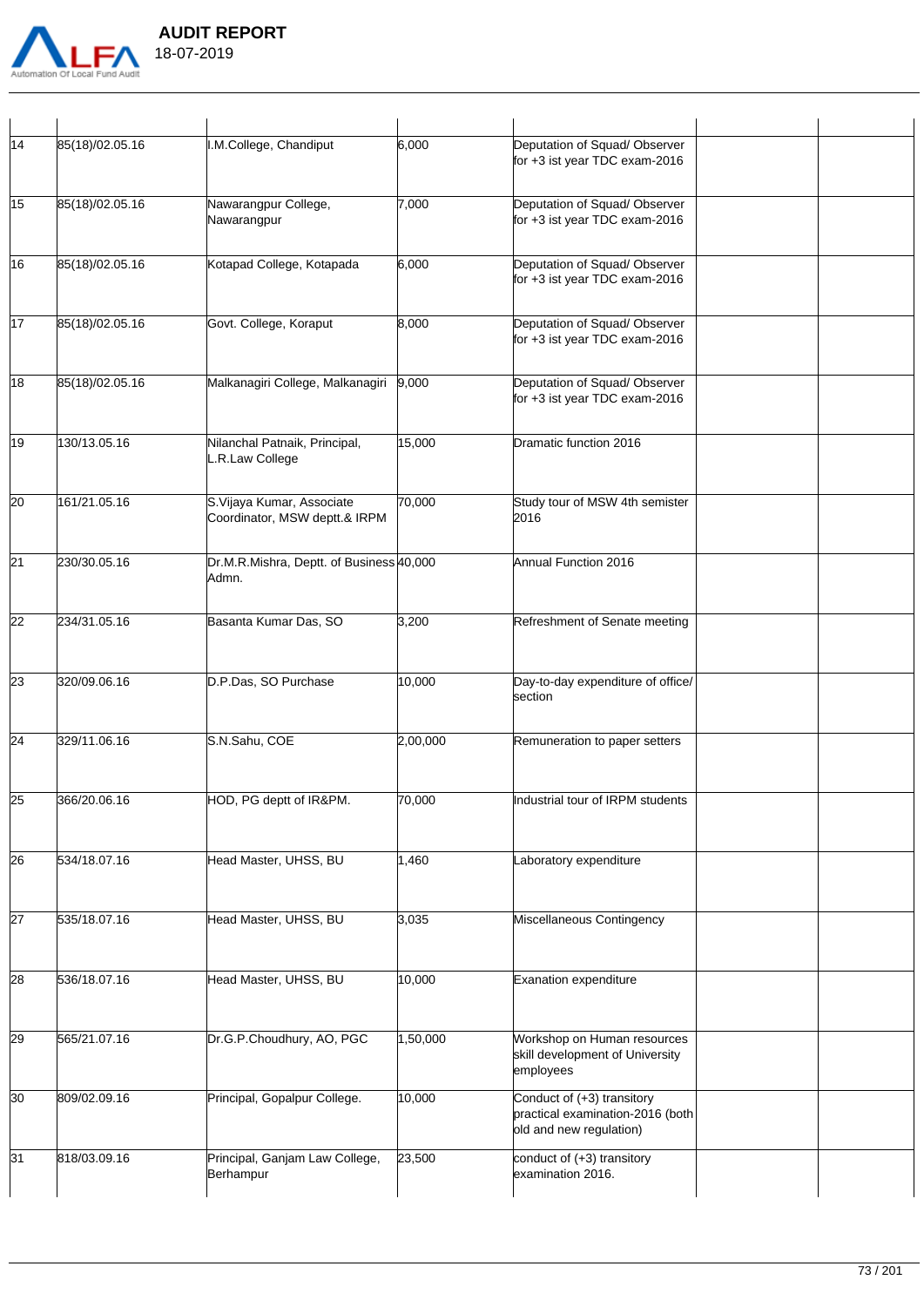

| $\overline{14}$ | 85(18)/02.05.16 | I.M.College, Chandiput                                      | 6,000    | Deputation of Squad/ Observer<br>for +3 ist year TDC exam-2016                            |  |
|-----------------|-----------------|-------------------------------------------------------------|----------|-------------------------------------------------------------------------------------------|--|
| 15              | 85(18)/02.05.16 | Nawarangpur College,<br>Nawarangpur                         | 7,000    | Deputation of Squad/ Observer<br>for +3 ist year TDC exam-2016                            |  |
| 16              | 85(18)/02.05.16 | Kotapad College, Kotapada                                   | 6,000    | Deputation of Squad/ Observer<br>for +3 ist year TDC exam-2016                            |  |
| 17              | 85(18)/02.05.16 | Govt. College, Koraput                                      | 8,000    | Deputation of Squad/ Observer<br>for +3 ist year TDC exam-2016                            |  |
| 18              | 85(18)/02.05.16 | Malkanagiri College, Malkanagiri                            | 9,000    | Deputation of Squad/ Observer<br>for +3 ist year TDC exam-2016                            |  |
| 19              | 130/13.05.16    | Nilanchal Patnaik, Principal,<br>L.R.Law College            | 15,000   | Dramatic function 2016                                                                    |  |
| 20              | 161/21.05.16    | S. Vijaya Kumar, Associate<br>Coordinator, MSW deptt.& IRPM | 70,000   | Study tour of MSW 4th semister<br>2016                                                    |  |
| 21              | 230/30.05.16    | Dr.M.R.Mishra, Deptt. of Business 40,000<br>Admn.           |          | Annual Function 2016                                                                      |  |
| 22              | 234/31.05.16    | Basanta Kumar Das, SO                                       | 3,200    | Refreshment of Senate meeting                                                             |  |
| 23              | 320/09.06.16    | D.P.Das, SO Purchase                                        | 10,000   | Day-to-day expenditure of office/<br>section                                              |  |
| 24              | 329/11.06.16    | S.N.Sahu, COE                                               | 2,00,000 | Remuneration to paper setters                                                             |  |
| 25              | 366/20.06.16    | HOD, PG deptt of IR&PM.                                     | 70,000   | Industrial tour of IRPM students                                                          |  |
| 26              | 534/18.07.16    | Head Master, UHSS, BU                                       | 1,460    | Laboratory expenditure                                                                    |  |
| $\overline{27}$ | 535/18.07.16    | Head Master, UHSS, BU                                       | 3,035    | Miscellaneous Contingency                                                                 |  |
| 28              | 536/18.07.16    | Head Master, UHSS, BU                                       | 10,000   | Exanation expenditure                                                                     |  |
| 29              | 565/21.07.16    | Dr.G.P.Choudhury, AO, PGC                                   | 1,50,000 | Workshop on Human resources<br>skill development of University<br>employees               |  |
| 30              | 809/02.09.16    | Principal, Gopalpur College.                                | 10,000   | Conduct of (+3) transitory<br>practical examination-2016 (both<br>old and new regulation) |  |
| 31              | 818/03.09.16    | Principal, Ganjam Law College,<br>Berhampur                 | 23,500   | conduct of (+3) transitory<br>examination 2016.                                           |  |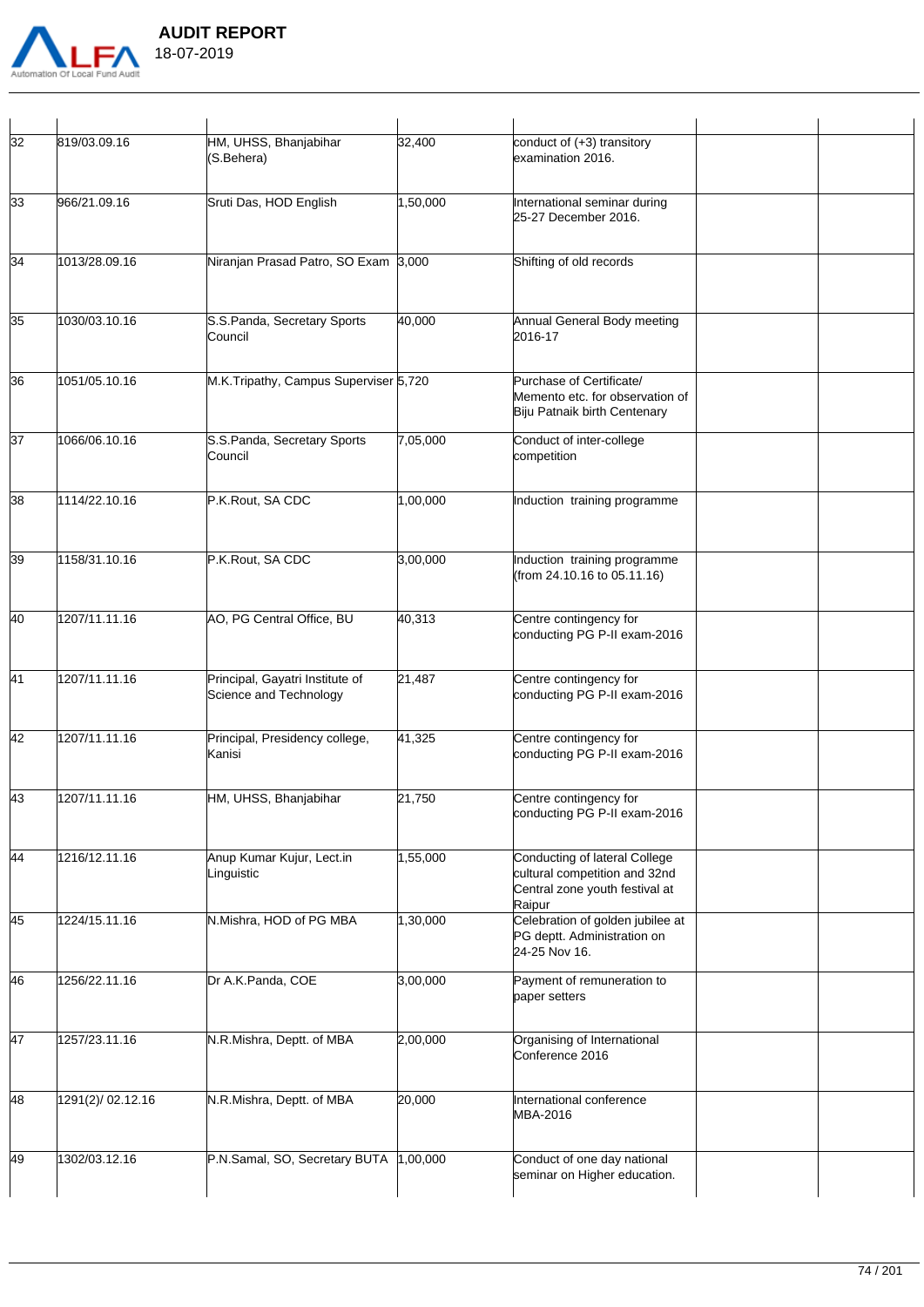

| 32 | 819/03.09.16     | HM, UHSS, Bhanjabihar<br>(S.Behera)                       | 32,400   | conduct of (+3) transitory<br>examination 2016.                                                            |  |
|----|------------------|-----------------------------------------------------------|----------|------------------------------------------------------------------------------------------------------------|--|
| 33 | 966/21.09.16     | Sruti Das, HOD English                                    | 1,50,000 | International seminar during<br>25-27 December 2016.                                                       |  |
| 34 | 1013/28.09.16    | Niranjan Prasad Patro, SO Exam 3,000                      |          | Shifting of old records                                                                                    |  |
| 35 | 1030/03.10.16    | S.S.Panda, Secretary Sports<br>Council                    | 40,000   | Annual General Body meeting<br>2016-17                                                                     |  |
| 36 | 1051/05.10.16    | M.K.Tripathy, Campus Superviser 5,720                     |          | Purchase of Certificate/<br>Memento etc. for observation of<br>Biju Patnaik birth Centenary                |  |
| 37 | 1066/06.10.16    | S.S.Panda, Secretary Sports<br>Council                    | 7,05,000 | Conduct of inter-college<br>competition                                                                    |  |
| 38 | 1114/22.10.16    | P.K.Rout, SA CDC                                          | 1,00,000 | Induction training programme                                                                               |  |
| 39 | 1158/31.10.16    | P.K.Rout, SA CDC                                          | 3,00,000 | Induction training programme<br>(from 24.10.16 to 05.11.16)                                                |  |
| 40 | 1207/11.11.16    | AO, PG Central Office, BU                                 | 40,313   | Centre contingency for<br>conducting PG P-II exam-2016                                                     |  |
| 41 | 1207/11.11.16    | Principal, Gayatri Institute of<br>Science and Technology | 21,487   | Centre contingency for<br>conducting PG P-II exam-2016                                                     |  |
| 42 | 1207/11.11.16    | Principal, Presidency college,<br>Kanisi                  | 41,325   | Centre contingency for<br>conducting PG P-II exam-2016                                                     |  |
| 43 | 1207/11.11.16    | HM, UHSS, Bhanjabihar                                     | 21,750   | Centre contingency for<br>conducting PG P-II exam-2016                                                     |  |
| 44 | 1216/12.11.16    | Anup Kumar Kujur, Lect.in<br>Linguistic                   | 1,55,000 | Conducting of lateral College<br>cultural competition and 32nd<br>Central zone youth festival at<br>Raipur |  |
| 45 | 1224/15.11.16    | N.Mishra, HOD of PG MBA                                   | 1,30,000 | Celebration of golden jubilee at<br>PG deptt. Administration on<br>24-25 Nov 16.                           |  |
| 46 | 1256/22.11.16    | Dr A.K.Panda, COE                                         | 3,00,000 | Payment of remuneration to<br>paper setters                                                                |  |
| 47 | 1257/23.11.16    | N.R.Mishra, Deptt. of MBA                                 | 2,00,000 | Organising of International<br>Conference 2016                                                             |  |
| 48 | 1291(2)/02.12.16 | N.R.Mishra, Deptt. of MBA                                 | 20,000   | International conference<br>MBA-2016                                                                       |  |
| 49 | 1302/03.12.16    | P.N.Samal, SO, Secretary BUTA                             | 1,00,000 | Conduct of one day national<br>seminar on Higher education.                                                |  |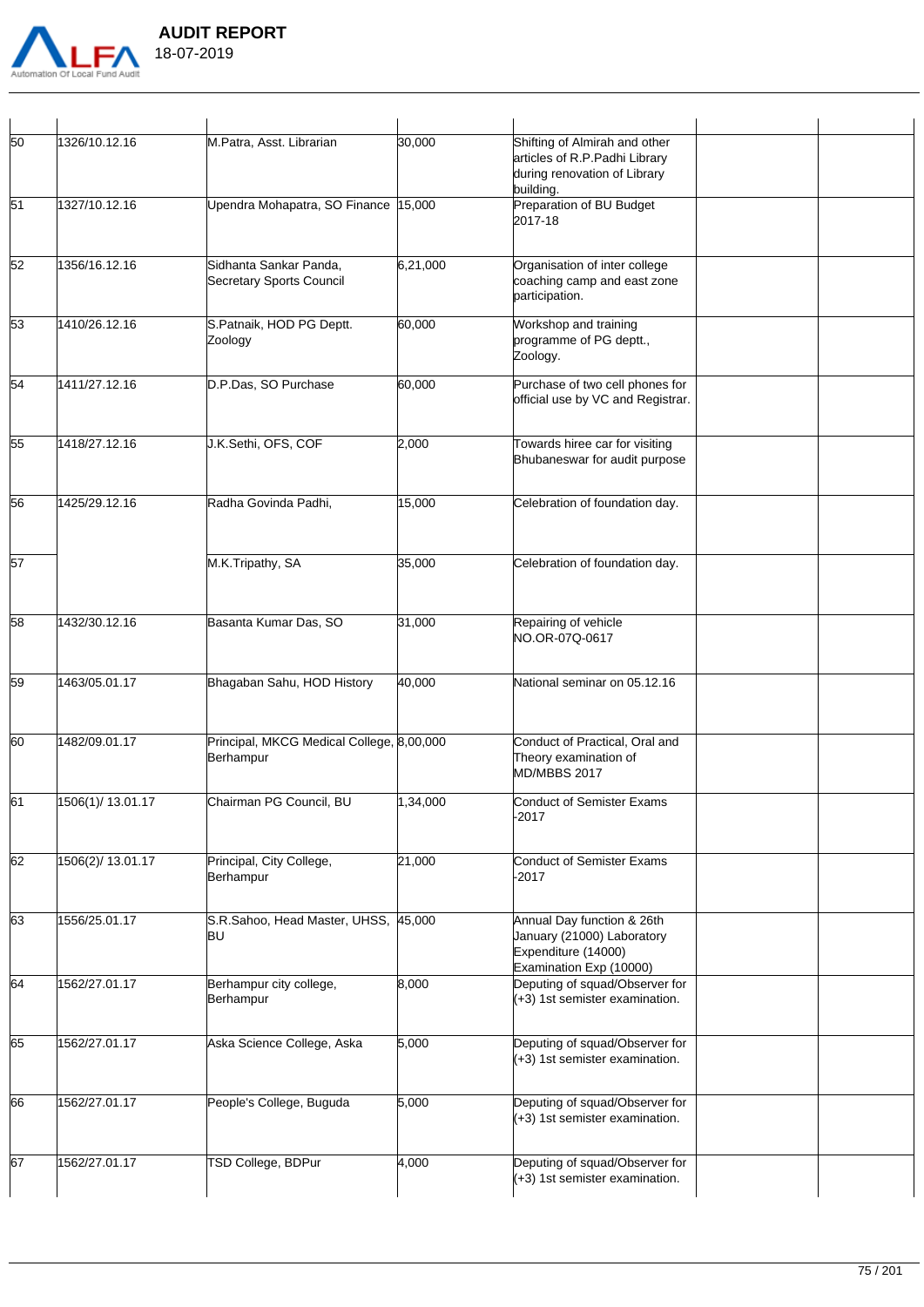

| 50 | 1326/10.12.16                        | M.Patra, Asst. Librarian                               | 30,000             | Shifting of Almirah and other<br>articles of R.P.Padhi Library<br>during renovation of Library<br>building. |  |
|----|--------------------------------------|--------------------------------------------------------|--------------------|-------------------------------------------------------------------------------------------------------------|--|
| 51 | 1327/10.12.16                        | Upendra Mohapatra, SO Finance 15,000                   |                    | Preparation of BU Budget<br>2017-18                                                                         |  |
| 52 | 1356/16.12.16                        | Sidhanta Sankar Panda,<br>Secretary Sports Council     | 6,21,000           | Organisation of inter college<br>coaching camp and east zone<br>participation.                              |  |
| 53 | 1410/26.12.16                        | S.Patnaik, HOD PG Deptt.<br>60,000<br>Zoology          |                    | Workshop and training<br>programme of PG deptt.,<br>Zoology.                                                |  |
| 54 | 1411/27.12.16                        | D.P.Das, SO Purchase<br>60,000                         |                    | Purchase of two cell phones for<br>official use by VC and Registrar.                                        |  |
| 55 | J.K.Sethi, OFS, COF<br>1418/27.12.16 |                                                        | 2,000              | Towards hiree car for visiting<br>Bhubaneswar for audit purpose                                             |  |
| 56 | 1425/29.12.16                        | Radha Govinda Padhi,                                   | 15,000             | Celebration of foundation day.                                                                              |  |
| 57 |                                      | M.K.Tripathy, SA                                       | 35,000             | Celebration of foundation day.                                                                              |  |
| 58 | 1432/30.12.16                        | Basanta Kumar Das, SO                                  | 31,000             | Repairing of vehicle<br>NO.OR-07Q-0617                                                                      |  |
| 59 | 1463/05.01.17                        | Bhagaban Sahu, HOD History                             |                    | National seminar on 05.12.16                                                                                |  |
| 60 | 1482/09.01.17                        | Principal, MKCG Medical College, 8,00,000<br>Berhampur |                    | Conduct of Practical, Oral and<br>Theory examination of<br>MD/MBBS 2017                                     |  |
| 61 | 1506(1)/ 13.01.17                    | Chairman PG Council, BU                                | 1,34,000           | <b>Conduct of Semister Exams</b><br>$-2017$                                                                 |  |
| 62 | 1506(2)/ 13.01.17                    | Principal, City College,<br>Berhampur                  | 21,000             | <b>Conduct of Semister Exams</b><br>-2017                                                                   |  |
| 63 | 1556/25.01.17                        | S.R.Sahoo, Head Master, UHSS, 45,000<br>ΒU             |                    | Annual Day function & 26th<br>January (21000) Laboratory<br>Expenditure (14000)<br>Examination Exp (10000)  |  |
| 64 | 1562/27.01.17                        | Berhampur city college,<br>Berhampur                   | 8,000              | Deputing of squad/Observer for<br>(+3) 1st semister examination.                                            |  |
| 65 | 1562/27.01.17                        | Aska Science College, Aska                             | $\overline{5,000}$ | Deputing of squad/Observer for<br>(+3) 1st semister examination.                                            |  |
| 66 | 1562/27.01.17                        | People's College, Buguda                               | 5,000              | Deputing of squad/Observer for<br>(+3) 1st semister examination.                                            |  |
| 67 | 1562/27.01.17                        | TSD College, BDPur                                     | 4,000              | Deputing of squad/Observer for<br>$(+3)$ 1st semister examination.                                          |  |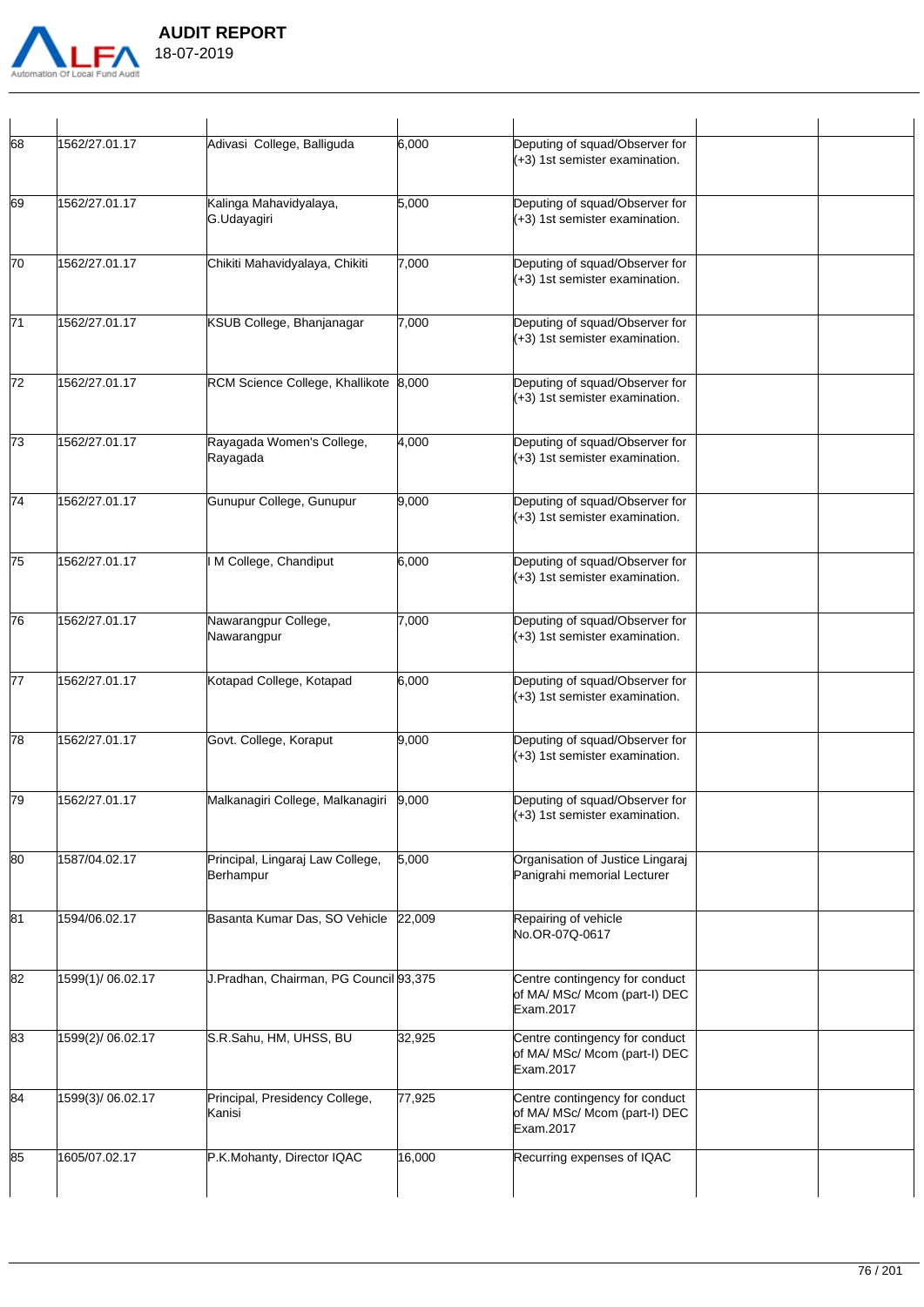

| 68              | 1562/27.01.17    | Adivasi College, Balliguda                    | 6,000  | Deputing of squad/Observer for<br>(+3) 1st semister examination.             |  |
|-----------------|------------------|-----------------------------------------------|--------|------------------------------------------------------------------------------|--|
| 69              | 1562/27.01.17    | Kalinga Mahavidyalaya,<br>G.Udayagiri         | 5,000  | Deputing of squad/Observer for<br>(+3) 1st semister examination.             |  |
| 70              | 1562/27.01.17    | Chikiti Mahavidyalaya, Chikiti                | 7,000  | Deputing of squad/Observer for<br>(+3) 1st semister examination.             |  |
| $\overline{71}$ | 1562/27.01.17    | KSUB College, Bhanjanagar                     | 7,000  | Deputing of squad/Observer for<br>(+3) 1st semister examination.             |  |
| 72              | 1562/27.01.17    | RCM Science College, Khallikote 8,000         |        | Deputing of squad/Observer for<br>(+3) 1st semister examination.             |  |
| 73              | 1562/27.01.17    | Rayagada Women's College,<br>Rayagada         | 4,000  | Deputing of squad/Observer for<br>(+3) 1st semister examination.             |  |
| $\overline{74}$ | 1562/27.01.17    | Gunupur College, Gunupur                      | 9,000  | Deputing of squad/Observer for<br>(+3) 1st semister examination.             |  |
| 75              | 1562/27.01.17    | M College, Chandiput                          | 6,000  | Deputing of squad/Observer for<br>(+3) 1st semister examination.             |  |
| 76              | 1562/27.01.17    | Nawarangpur College,<br>Nawarangpur           | 7,000  | Deputing of squad/Observer for<br>(+3) 1st semister examination.             |  |
| 77              | 1562/27.01.17    | Kotapad College, Kotapad                      | 6,000  | Deputing of squad/Observer for<br>(+3) 1st semister examination.             |  |
| 78              | 1562/27.01.17    | Govt. College, Koraput                        | 9,000  | Deputing of squad/Observer for<br>(+3) 1st semister examination.             |  |
| 79              | 1562/27.01.17    | Malkanagiri College, Malkanagiri              | 9,000  | Deputing of squad/Observer for<br>(+3) 1st semister examination.             |  |
| 80              | 1587/04.02.17    | Principal, Lingaraj Law College,<br>Berhampur | 5,000  | Organisation of Justice Lingaraj<br>Panigrahi memorial Lecturer              |  |
| 81              | 1594/06.02.17    | Basanta Kumar Das, SO Vehicle 22,009          |        | Repairing of vehicle<br>No.OR-07Q-0617                                       |  |
| 82              | 1599(1)/06.02.17 | J.Pradhan, Chairman, PG Council 93,375        |        | Centre contingency for conduct<br>of MA/ MSc/ Mcom (part-I) DEC<br>Exam.2017 |  |
| 83              | 1599(2)/06.02.17 | S.R.Sahu, HM, UHSS, BU                        | 32,925 | Centre contingency for conduct<br>of MA/ MSc/ Mcom (part-I) DEC<br>Exam.2017 |  |
| 84              | 1599(3)/06.02.17 | Principal, Presidency College,<br>Kanisi      | 77,925 | Centre contingency for conduct<br>of MA/ MSc/ Mcom (part-I) DEC<br>Exam.2017 |  |
| 85              | 1605/07.02.17    | P.K.Mohanty, Director IQAC                    | 16,000 | Recurring expenses of IQAC                                                   |  |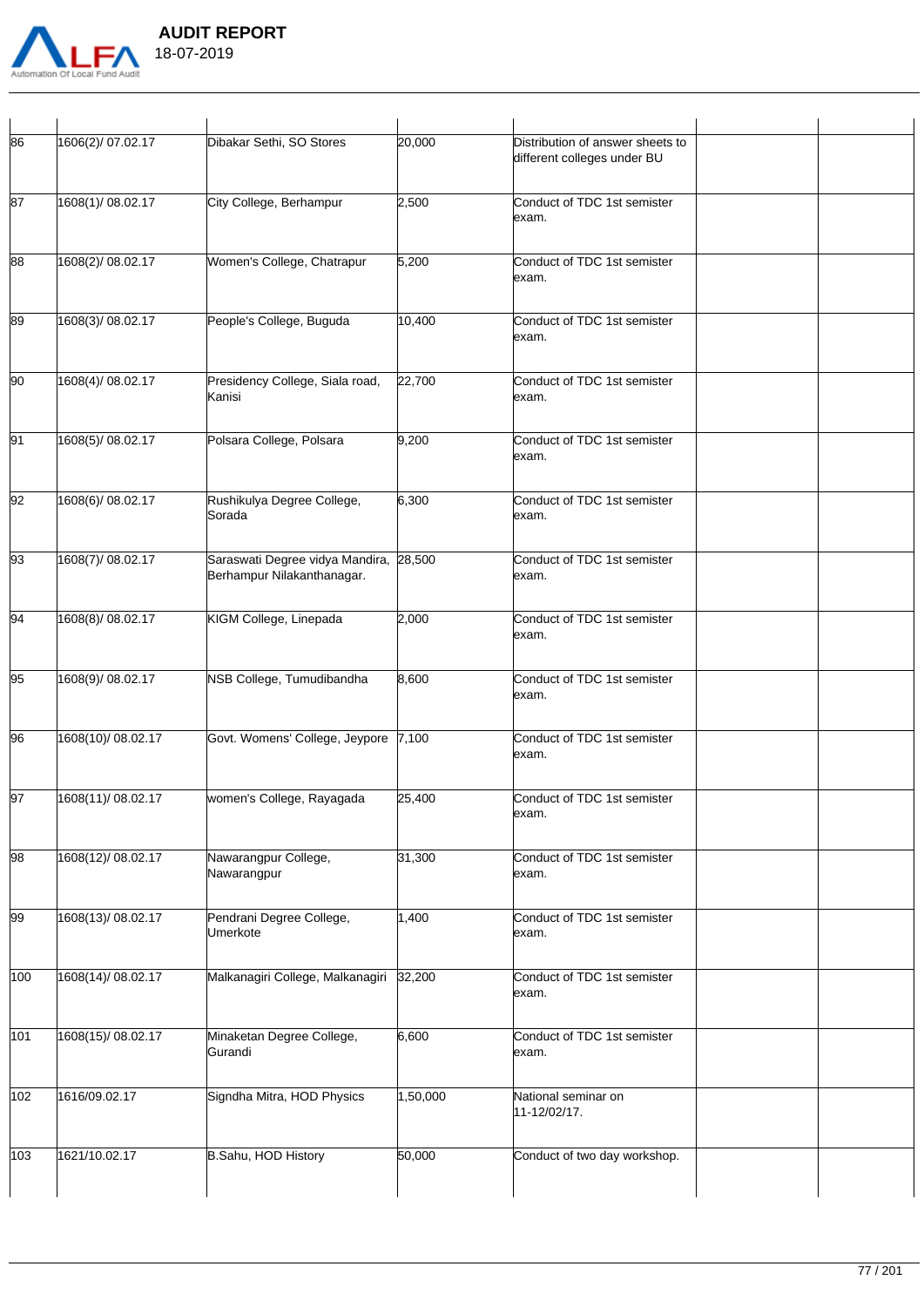

| 86  | 1606(2)/07.02.17   | Dibakar Sethi, SO Stores                                             | 20,000   | Distribution of answer sheets to<br>different colleges under BU |  |
|-----|--------------------|----------------------------------------------------------------------|----------|-----------------------------------------------------------------|--|
| 87  | 1608(1)/08.02.17   | City College, Berhampur                                              | 2,500    | Conduct of TDC 1st semister<br>exam.                            |  |
| 88  | 1608(2)/08.02.17   | Women's College, Chatrapur                                           | 5,200    | Conduct of TDC 1st semister<br>exam.                            |  |
| 89  | 1608(3)/ 08.02.17  | People's College, Buguda                                             | 10,400   | Conduct of TDC 1st semister<br>exam.                            |  |
| 90  | 1608(4)/08.02.17   | Presidency College, Siala road,<br>22,700<br>Kanisi                  |          | Conduct of TDC 1st semister<br>exam.                            |  |
| 91  | 1608(5)/08.02.17   | Polsara College, Polsara                                             | 9,200    | Conduct of TDC 1st semister<br>exam.                            |  |
| 92  | 1608(6)/08.02.17   | Rushikulya Degree College,<br>Sorada                                 | 6,300    | Conduct of TDC 1st semister<br>exam.                            |  |
| 93  | 1608(7)/08.02.17   | Saraswati Degree vidya Mandira, 28,500<br>Berhampur Nilakanthanagar. |          | Conduct of TDC 1st semister<br>exam.                            |  |
| 94  | 1608(8)/08.02.17   | KIGM College, Linepada                                               | 2,000    | Conduct of TDC 1st semister<br>exam.                            |  |
| 95  | 1608(9)/08.02.17   | NSB College, Tumudibandha                                            | 8,600    | Conduct of TDC 1st semister<br>exam.                            |  |
| 96  | 1608(10)/08.02.17  | Govt. Womens' College, Jeypore                                       | 7,100    | Conduct of TDC 1st semister<br>exam.                            |  |
| 97  | 1608(11)/ 08.02.17 | women's College, Rayagada                                            | 25,400   | Conduct of TDC 1st semister<br>exam.                            |  |
| 98  | 1608(12)/ 08.02.17 | Nawarangpur College,<br>Nawarangpur                                  | 31,300   | Conduct of TDC 1st semister<br>exam.                            |  |
| 99  | 1608(13)/08.02.17  | Pendrani Degree College,<br>Umerkote                                 | 1,400    | Conduct of TDC 1st semister<br>exam.                            |  |
| 100 | 1608(14)/08.02.17  | Malkanagiri College, Malkanagiri                                     | 32,200   | Conduct of TDC 1st semister<br>exam.                            |  |
| 101 | 1608(15)/08.02.17  | Minaketan Degree College,<br>Gurandi                                 | 6,600    | Conduct of TDC 1st semister<br>exam.                            |  |
| 102 | 1616/09.02.17      | Signdha Mitra, HOD Physics                                           | 1,50,000 | National seminar on<br>11-12/02/17.                             |  |
| 103 | 1621/10.02.17      | B.Sahu, HOD History                                                  | 50,000   | Conduct of two day workshop.                                    |  |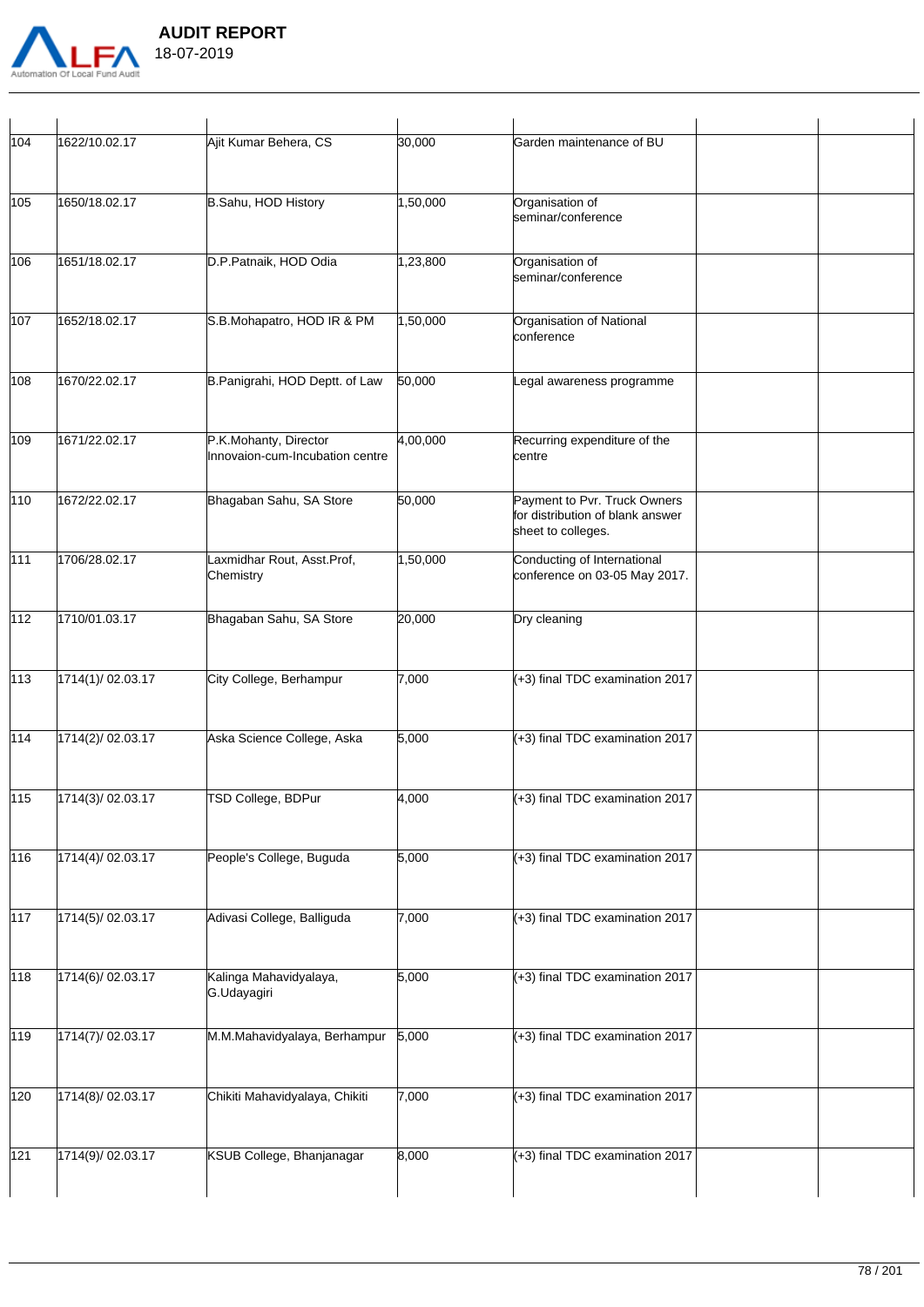

| 104 | 1622/10.02.17     | Ajit Kumar Behera, CS                                    | 30,000   | Garden maintenance of BU                                                               |  |
|-----|-------------------|----------------------------------------------------------|----------|----------------------------------------------------------------------------------------|--|
| 105 | 1650/18.02.17     | B.Sahu, HOD History                                      | 1,50,000 | Organisation of<br>seminar/conference                                                  |  |
| 106 | 1651/18.02.17     | D.P.Patnaik, HOD Odia                                    | 1,23,800 | Organisation of<br>seminar/conference                                                  |  |
| 107 | 1652/18.02.17     | S.B.Mohapatro, HOD IR & PM                               | 1,50,000 | Organisation of National<br>conference                                                 |  |
| 108 | 1670/22.02.17     | B.Panigrahi, HOD Deptt. of Law                           | 50,000   | Legal awareness programme                                                              |  |
| 109 | 1671/22.02.17     | P.K.Mohanty, Director<br>Innovaion-cum-Incubation centre | 4,00,000 | Recurring expenditure of the<br>centre                                                 |  |
| 110 | 1672/22.02.17     | Bhagaban Sahu, SA Store                                  | 50,000   | Payment to Pvr. Truck Owners<br>for distribution of blank answer<br>sheet to colleges. |  |
| 111 | 1706/28.02.17     | Laxmidhar Rout, Asst.Prof,<br>Chemistry                  | 1,50,000 | Conducting of International<br>conference on 03-05 May 2017.                           |  |
| 112 | 1710/01.03.17     | Bhagaban Sahu, SA Store                                  | 20,000   | Dry cleaning                                                                           |  |
| 113 | 1714(1)/02.03.17  | City College, Berhampur                                  | 7,000    | (+3) final TDC examination 2017                                                        |  |
| 114 | 1714(2)/ 02.03.17 | Aska Science College, Aska                               | 5,000    | (+3) final TDC examination 2017                                                        |  |
| 115 | 1714(3)/02.03.17  | TSD College, BDPur                                       | 4,000    | (+3) final TDC examination 2017                                                        |  |
| 116 | 1714(4)/ 02.03.17 | People's College, Buguda                                 | 5,000    | (+3) final TDC examination 2017                                                        |  |
| 117 | 1714(5)/02.03.17  | Adivasi College, Balliguda                               | 7,000    | (+3) final TDC examination 2017                                                        |  |
| 118 | 1714(6)/02.03.17  | Kalinga Mahavidyalaya,<br>G.Udayagiri                    | 5,000    | (+3) final TDC examination 2017                                                        |  |
| 119 | 1714(7)/ 02.03.17 | M.M.Mahavidyalaya, Berhampur                             | 5,000    | (+3) final TDC examination 2017                                                        |  |
| 120 | 1714(8)/ 02.03.17 | Chikiti Mahavidyalaya, Chikiti                           | 7,000    | (+3) final TDC examination 2017                                                        |  |
| 121 | 1714(9)/ 02.03.17 | KSUB College, Bhanjanagar                                | 8,000    | (+3) final TDC examination 2017                                                        |  |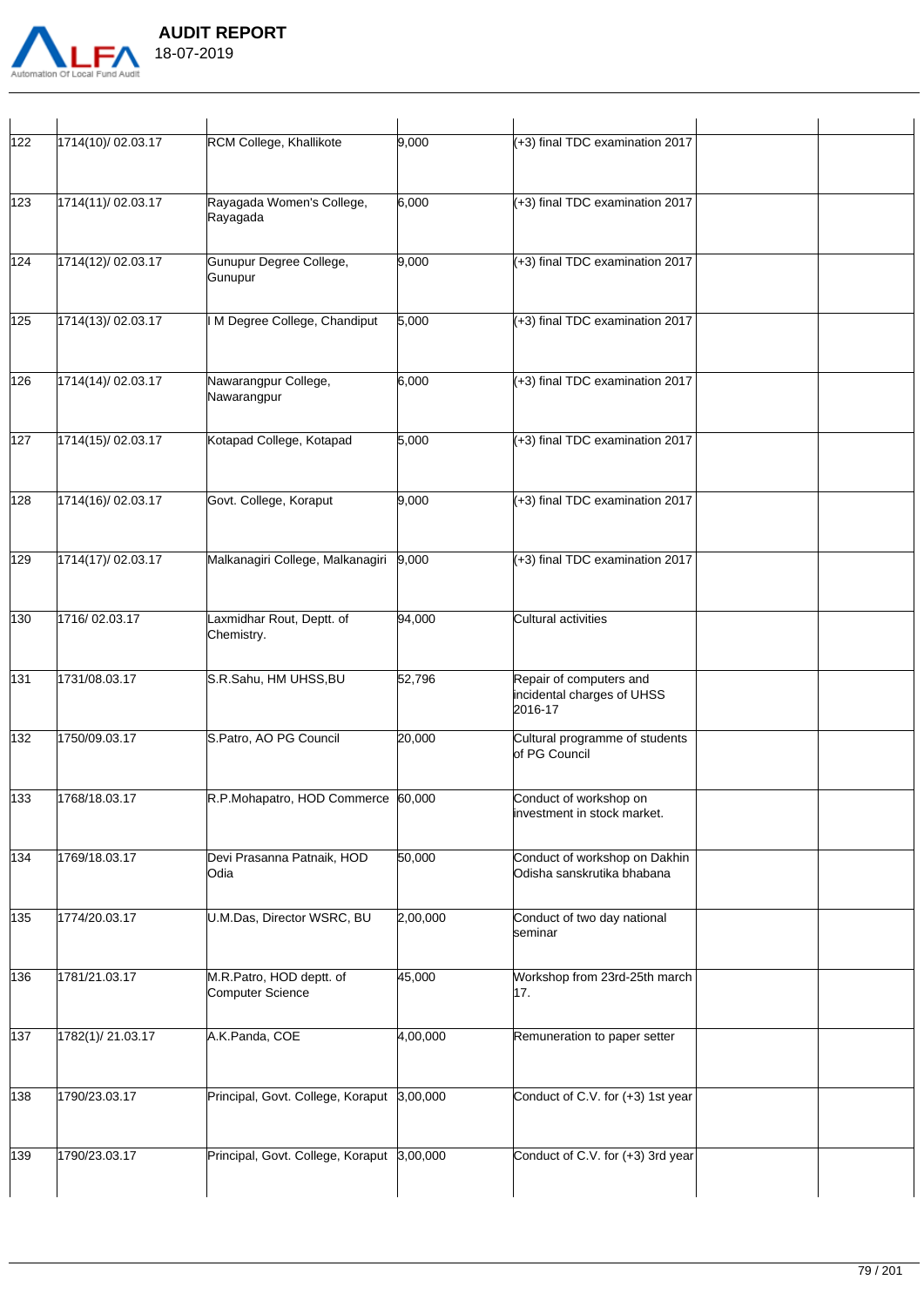

| $\overline{122}$ | 1714(10)/02.03.17  | RCM College, Khallikote                      | 9,000    | (+3) final TDC examination 2017                                  |  |
|------------------|--------------------|----------------------------------------------|----------|------------------------------------------------------------------|--|
| 123              | 1714(11)/ 02.03.17 | Rayagada Women's College,<br>Rayagada        | 6,000    | (+3) final TDC examination 2017                                  |  |
| 124              | 1714(12)/ 02.03.17 | Gunupur Degree College,<br>Gunupur           | 9,000    | (+3) final TDC examination 2017                                  |  |
| 125              | 1714(13)/ 02.03.17 | M Degree College, Chandiput                  | 5,000    | (+3) final TDC examination 2017                                  |  |
| 126              | 1714(14)/ 02.03.17 | Nawarangpur College,<br>Nawarangpur          | 6,000    | (+3) final TDC examination 2017                                  |  |
| 127              | 1714(15)/ 02.03.17 | Kotapad College, Kotapad                     | 5,000    | (+3) final TDC examination 2017                                  |  |
| 128              | 1714(16)/02.03.17  | Govt. College, Koraput                       | 9,000    | (+3) final TDC examination 2017                                  |  |
| 129              | 1714(17)/ 02.03.17 | Malkanagiri College, Malkanagiri             | 9,000    | (+3) final TDC examination 2017                                  |  |
| 130              | 1716/02.03.17      | axmidhar Rout, Deptt. of<br>Chemistry.       | 94,000   | <b>Cultural activities</b>                                       |  |
| 131              | 1731/08.03.17      | S.R.Sahu, HM UHSS, BU                        | 52,796   | Repair of computers and<br>incidental charges of UHSS<br>2016-17 |  |
| 132              | 1750/09.03.17      | S.Patro, AO PG Council                       | 20,000   | Cultural programme of students<br>of PG Council                  |  |
| 133              | 1768/18.03.17      | R.P.Mohapatro, HOD Commerce 60,000           |          | Conduct of workshop on<br>investment in stock market.            |  |
| 134              | 1769/18.03.17      | Devi Prasanna Patnaik, HOD<br>Odia           | 50,000   | Conduct of workshop on Dakhin<br>Odisha sanskrutika bhabana      |  |
| 135              | 1774/20.03.17      | U.M.Das, Director WSRC, BU                   | 2,00,000 | Conduct of two day national<br>seminar                           |  |
| 136              | 1781/21.03.17      | M.R.Patro, HOD deptt. of<br>Computer Science | 45,000   | Workshop from 23rd-25th march<br>17.                             |  |
| 137              | 1782(1)/21.03.17   | A.K.Panda, COE                               | 4,00,000 | Remuneration to paper setter                                     |  |
| 138              | 1790/23.03.17      | Principal, Govt. College, Koraput            | 3,00,000 | Conduct of C.V. for (+3) 1st year                                |  |
| 139              | 1790/23.03.17      | Principal, Govt. College, Koraput 3,00,000   |          | Conduct of C.V. for (+3) 3rd year                                |  |
|                  |                    |                                              |          |                                                                  |  |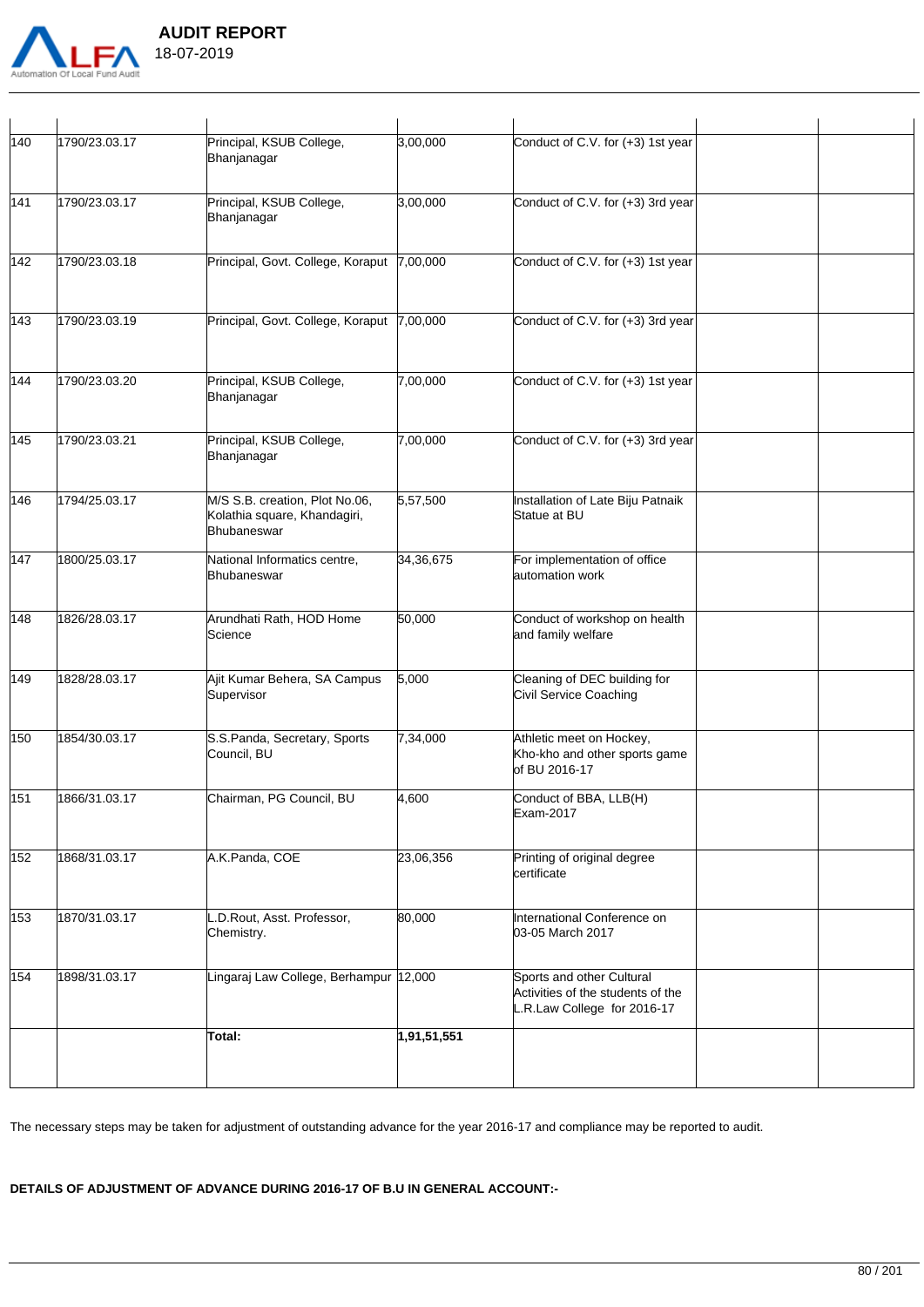

| 140 | 1790/23.03.17                                            | Principal, KSUB College,<br>Bhanjanagar                                       | 3,00,000    | Conduct of C.V. for (+3) 1st year                                                             |  |
|-----|----------------------------------------------------------|-------------------------------------------------------------------------------|-------------|-----------------------------------------------------------------------------------------------|--|
| 141 | 1790/23.03.17                                            | Principal, KSUB College,<br>Bhanjanagar                                       | 3,00,000    | Conduct of C.V. for (+3) 3rd year                                                             |  |
| 142 | 1790/23.03.18                                            | Principal, Govt. College, Koraput 7,00,000                                    |             | Conduct of C.V. for (+3) 1st year                                                             |  |
| 143 | 1790/23.03.19                                            | Principal, Govt. College, Koraput 7,00,000                                    |             | Conduct of C.V. for (+3) 3rd year                                                             |  |
| 144 | 1790/23.03.20                                            | Principal, KSUB College,<br>Bhanjanagar                                       | 7,00,000    | Conduct of C.V. for (+3) 1st year                                                             |  |
| 145 | 1790/23.03.21<br>Principal, KSUB College,<br>Bhanjanagar |                                                                               | 7,00,000    | Conduct of C.V. for (+3) 3rd year                                                             |  |
| 146 | 1794/25.03.17                                            | M/S S.B. creation, Plot No.06,<br>Kolathia square, Khandagiri,<br>Bhubaneswar | 5,57,500    | Installation of Late Biju Patnaik<br>Statue at BU                                             |  |
| 147 | 1800/25.03.17                                            | National Informatics centre,<br>Bhubaneswar                                   |             | For implementation of office<br>automation work                                               |  |
| 148 | 1826/28.03.17                                            | Arundhati Rath, HOD Home<br>Science                                           | 50,000      | Conduct of workshop on health<br>and family welfare                                           |  |
| 149 | 1828/28.03.17                                            | Ajit Kumar Behera, SA Campus<br>Supervisor                                    | 5,000       | Cleaning of DEC building for<br>Civil Service Coaching                                        |  |
| 150 | 1854/30.03.17                                            | S.S.Panda, Secretary, Sports<br>Council, BU                                   | 7,34,000    | Athletic meet on Hockey,<br>Kho-kho and other sports game<br>of BU 2016-17                    |  |
| 151 | 1866/31.03.17                                            | Chairman, PG Council, BU                                                      | 4,600       | Conduct of BBA, LLB(H)<br>Exam-2017                                                           |  |
| 152 | 1868/31.03.17                                            | A.K.Panda, COE                                                                | 23,06,356   | Printing of original degree<br>certificate                                                    |  |
| 153 | 1870/31.03.17                                            | .D.Rout, Asst. Professor,<br>Chemistry.                                       | 80,000      | International Conference on<br>03-05 March 2017                                               |  |
| 154 | 1898/31.03.17                                            | Lingaraj Law College, Berhampur 12,000                                        |             | Sports and other Cultural<br>Activities of the students of the<br>L.R.Law College for 2016-17 |  |
|     |                                                          | Total:                                                                        | 1,91,51,551 |                                                                                               |  |
|     |                                                          |                                                                               |             |                                                                                               |  |

The necessary steps may be taken for adjustment of outstanding advance for the year 2016-17 and compliance may be reported to audit.

**DETAILS OF ADJUSTMENT OF ADVANCE DURING 2016-17 OF B.U IN GENERAL ACCOUNT:-**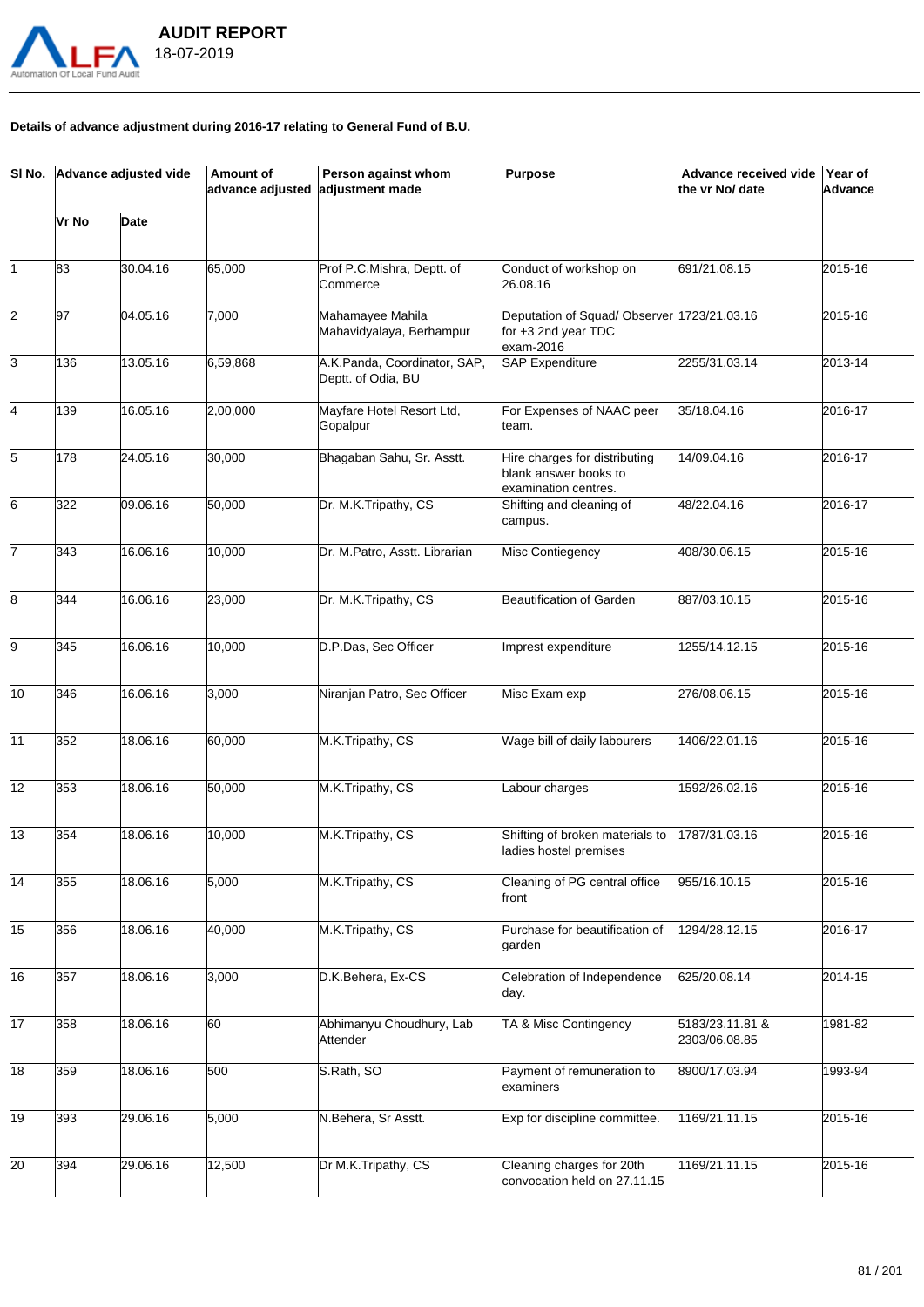

| Details of advance adjustment during 2016-17 relating to General Fund of B.U. |                       |          |                                      |                                                    |                                                                                 |                                          |                    |  |  |
|-------------------------------------------------------------------------------|-----------------------|----------|--------------------------------------|----------------------------------------------------|---------------------------------------------------------------------------------|------------------------------------------|--------------------|--|--|
| SI No.                                                                        | Advance adjusted vide |          | <b>Amount of</b><br>advance adjusted | Person against whom<br>adjustment made             | <b>Purpose</b>                                                                  | Advance received vide<br>the vr No/ date | Year of<br>Advance |  |  |
|                                                                               | Vr No                 | Date     |                                      |                                                    |                                                                                 |                                          |                    |  |  |
| 1                                                                             | 83                    | 30.04.16 | 65,000                               | Prof P.C.Mishra, Deptt. of<br>Commerce             | Conduct of workshop on<br>26.08.16                                              | 691/21.08.15                             | 2015-16            |  |  |
|                                                                               | 97                    | 04.05.16 | 7,000                                | Mahamayee Mahila<br>Mahavidyalaya, Berhampur       | Deputation of Squad/ Observer 1723/21.03.16<br>for +3 2nd year TDC<br>exam-2016 |                                          | 2015-16            |  |  |
|                                                                               | 136                   | 13.05.16 | 6,59,868                             | A.K.Panda, Coordinator, SAP,<br>Deptt. of Odia, BU | SAP Expenditure                                                                 | 2255/31.03.14                            | 2013-14            |  |  |
|                                                                               | 139                   | 16.05.16 | 2,00,000                             | Mayfare Hotel Resort Ltd,<br>Gopalpur              | For Expenses of NAAC peer<br>team.                                              | 35/18.04.16                              | 2016-17            |  |  |
|                                                                               | 178                   | 24.05.16 | 30,000                               | Bhagaban Sahu, Sr. Asstt.                          | Hire charges for distributing<br>blank answer books to<br>lexamination centres. | 14/09.04.16                              | 2016-17            |  |  |
|                                                                               | 322                   | 09.06.16 | 50,000                               | Dr. M.K.Tripathy, CS                               | Shifting and cleaning of<br>campus.                                             | 48/22.04.16                              | 2016-17            |  |  |
|                                                                               | 343                   | 16.06.16 | 10,000                               | Dr. M.Patro, Asstt. Librarian                      | Misc Contiegency                                                                | 408/30.06.15                             | 2015-16            |  |  |
|                                                                               | 344                   | 16.06.16 | 23,000                               | Dr. M.K.Tripathy, CS                               | Beautification of Garden                                                        | 887/03.10.15                             | 2015-16            |  |  |
|                                                                               | 345                   | 16.06.16 | 10,000                               | D.P.Das, Sec Officer                               | Imprest expenditure                                                             | 1255/14.12.15                            | 2015-16            |  |  |
| 10                                                                            | 346                   | 16.06.16 | 3,000                                | Niranjan Patro, Sec Officer                        | Misc Exam exp                                                                   | 276/08.06.15                             | 2015-16            |  |  |
| 11                                                                            | 352                   | 18.06.16 | 60,000                               | M.K.Tripathy, CS                                   | Wage bill of daily labourers                                                    | 1406/22.01.16                            | 2015-16            |  |  |
| 12                                                                            | 353                   | 18.06.16 | 50,000                               | M.K.Tripathy, CS                                   | Labour charges                                                                  | 1592/26.02.16                            | 2015-16            |  |  |
| $\overline{13}$                                                               | 354                   | 18.06.16 | 10,000                               | M.K.Tripathy, CS                                   | Shifting of broken materials to<br>ladies hostel premises                       | 1787/31.03.16                            | 2015-16            |  |  |
| 14                                                                            | 355                   | 18.06.16 | 5,000                                | M.K.Tripathy, CS                                   | Cleaning of PG central office<br>front                                          | 955/16.10.15                             | 2015-16            |  |  |
| 15                                                                            | 356                   | 18.06.16 | 40,000                               | M.K.Tripathy, CS                                   | Purchase for beautification of<br>lgarden                                       | 1294/28.12.15                            | 2016-17            |  |  |
| 16                                                                            | 357                   | 18.06.16 | 3,000                                | D.K.Behera, Ex-CS                                  | Celebration of Independence<br>day.                                             | 625/20.08.14                             | 2014-15            |  |  |
| 17                                                                            | 358                   | 18.06.16 | 60                                   | Abhimanyu Choudhury, Lab<br>Attender               | TA & Misc Contingency                                                           | 5183/23.11.81 &<br>2303/06.08.85         | 1981-82            |  |  |
| 18                                                                            | 359                   | 18.06.16 | 500                                  | S.Rath, SO                                         | Payment of remuneration to<br>lexaminers                                        | 8900/17.03.94                            | 1993-94            |  |  |
| 19                                                                            | 393                   | 29.06.16 | 5,000                                | N.Behera, Sr Asstt.                                | Exp for discipline committee.                                                   | 1169/21.11.15                            | 2015-16            |  |  |
| 20                                                                            | 394                   | 29.06.16 | 12,500                               | Dr M.K.Tripathy, CS                                | Cleaning charges for 20th<br>convocation held on 27.11.15                       | 1169/21.11.15                            | 2015-16            |  |  |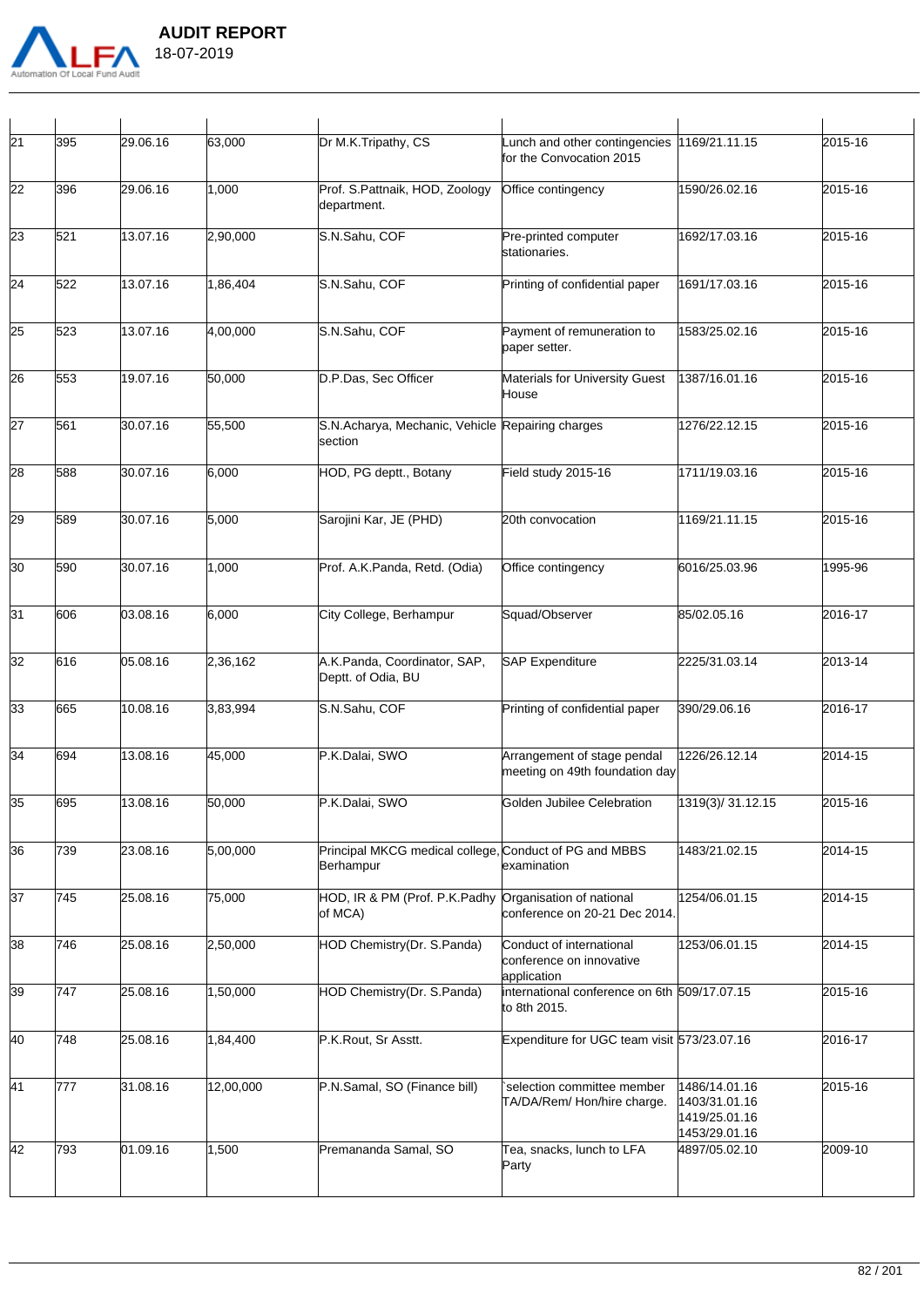

|            | <b>AUDIT REPORT</b> |
|------------|---------------------|
| 18-07-2019 |                     |

| $\overline{21}$ | 395 | 29.06.16 | 63,000    | Dr M.K.Tripathy, CS                                                 | Lunch and other contingencies<br>for the Convocation 2015           | 1169/21.11.15                                                    | 2015-16 |
|-----------------|-----|----------|-----------|---------------------------------------------------------------------|---------------------------------------------------------------------|------------------------------------------------------------------|---------|
| 22              | 396 | 29.06.16 | 1,000     | Prof. S.Pattnaik, HOD, Zoology<br>department.                       | Office contingency                                                  | 1590/26.02.16                                                    | 2015-16 |
| 23              | 521 | 13.07.16 | 2,90,000  | S.N.Sahu, COF                                                       | Pre-printed computer<br>stationaries.                               | 1692/17.03.16                                                    | 2015-16 |
| 24              | 522 | 13.07.16 | 1,86,404  | S.N.Sahu, COF                                                       | Printing of confidential paper                                      | 1691/17.03.16                                                    | 2015-16 |
| 25              | 523 | 13.07.16 | 4,00,000  | S.N.Sahu, COF                                                       | Payment of remuneration to<br>paper setter.                         | 1583/25.02.16                                                    | 2015-16 |
| 26              | 553 | 19.07.16 | 50,000    | D.P.Das, Sec Officer                                                | Materials for University Guest<br>House                             | 1387/16.01.16                                                    | 2015-16 |
| 27              | 561 | 30.07.16 | 55,500    | S.N.Acharya, Mechanic, Vehicle Repairing charges<br>section         |                                                                     | 1276/22.12.15                                                    | 2015-16 |
| 28              | 588 | 30.07.16 | 6,000     | HOD, PG deptt., Botany                                              | Field study 2015-16                                                 | 1711/19.03.16                                                    | 2015-16 |
| 29              | 589 | 30.07.16 | 5,000     | Sarojini Kar, JE (PHD)                                              | 20th convocation                                                    | 1169/21.11.15                                                    | 2015-16 |
| 30              | 590 | 30.07.16 | 1,000     | Prof. A.K.Panda, Retd. (Odia)                                       | Office contingency                                                  | 6016/25.03.96                                                    | 1995-96 |
| 31              | 606 | 03.08.16 | 6,000     | City College, Berhampur                                             | Squad/Observer                                                      | 85/02.05.16                                                      | 2016-17 |
| 32              | 616 | 05.08.16 | 2,36,162  | A.K.Panda, Coordinator, SAP,<br>Deptt. of Odia, BU                  | SAP Expenditure                                                     | 2225/31.03.14                                                    | 2013-14 |
| 33              | 665 | 10.08.16 | 3,83,994  | S.N.Sahu, COF                                                       | Printing of confidential paper                                      | 390/29.06.16                                                     | 2016-17 |
| 34              | 694 | 13.08.16 | 45,000    | P.K.Dalai, SWO                                                      | Arrangement of stage pendal<br>meeting on 49th foundation day       | 1226/26.12.14                                                    | 2014-15 |
| 35              | 695 | 13.08.16 | 50,000    | P.K.Dalai, SWO                                                      | Golden Jubilee Celebration                                          | 1319(3)/31.12.15                                                 | 2015-16 |
| 36              | 739 | 23.08.16 | 5,00,000  | Principal MKCG medical college, Conduct of PG and MBBS<br>Berhampur | examination                                                         | 1483/21.02.15                                                    | 2014-15 |
| 37              | 745 | 25.08.16 | 75,000    | HOD, IR & PM (Prof. P.K.Padhy<br>of MCA)                            | Organisation of national<br>conference on 20-21 Dec 2014.           | 1254/06.01.15                                                    | 2014-15 |
| 38              | 746 | 25.08.16 | 2,50,000  | HOD Chemistry(Dr. S.Panda)                                          | Conduct of international<br>conference on innovative<br>application | 1253/06.01.15                                                    | 2014-15 |
| 39              | 747 | 25.08.16 | 1,50,000  | HOD Chemistry(Dr. S.Panda)                                          | international conference on 6th 509/17.07.15<br>to 8th 2015.        |                                                                  | 2015-16 |
| 40              | 748 | 25.08.16 | 1,84,400  | P.K.Rout, Sr Asstt.                                                 | Expenditure for UGC team visit 573/23.07.16                         |                                                                  | 2016-17 |
| 41              | 777 | 31.08.16 | 12,00,000 | P.N.Samal, SO (Finance bill)                                        | selection committee member<br>TA/DA/Rem/ Hon/hire charge.           | 1486/14.01.16<br>1403/31.01.16<br>1419/25.01.16<br>1453/29.01.16 | 2015-16 |
| 42              | 793 | 01.09.16 | 1,500     | Premananda Samal, SO                                                | Tea, snacks, lunch to LFA<br>Party                                  | 4897/05.02.10                                                    | 2009-10 |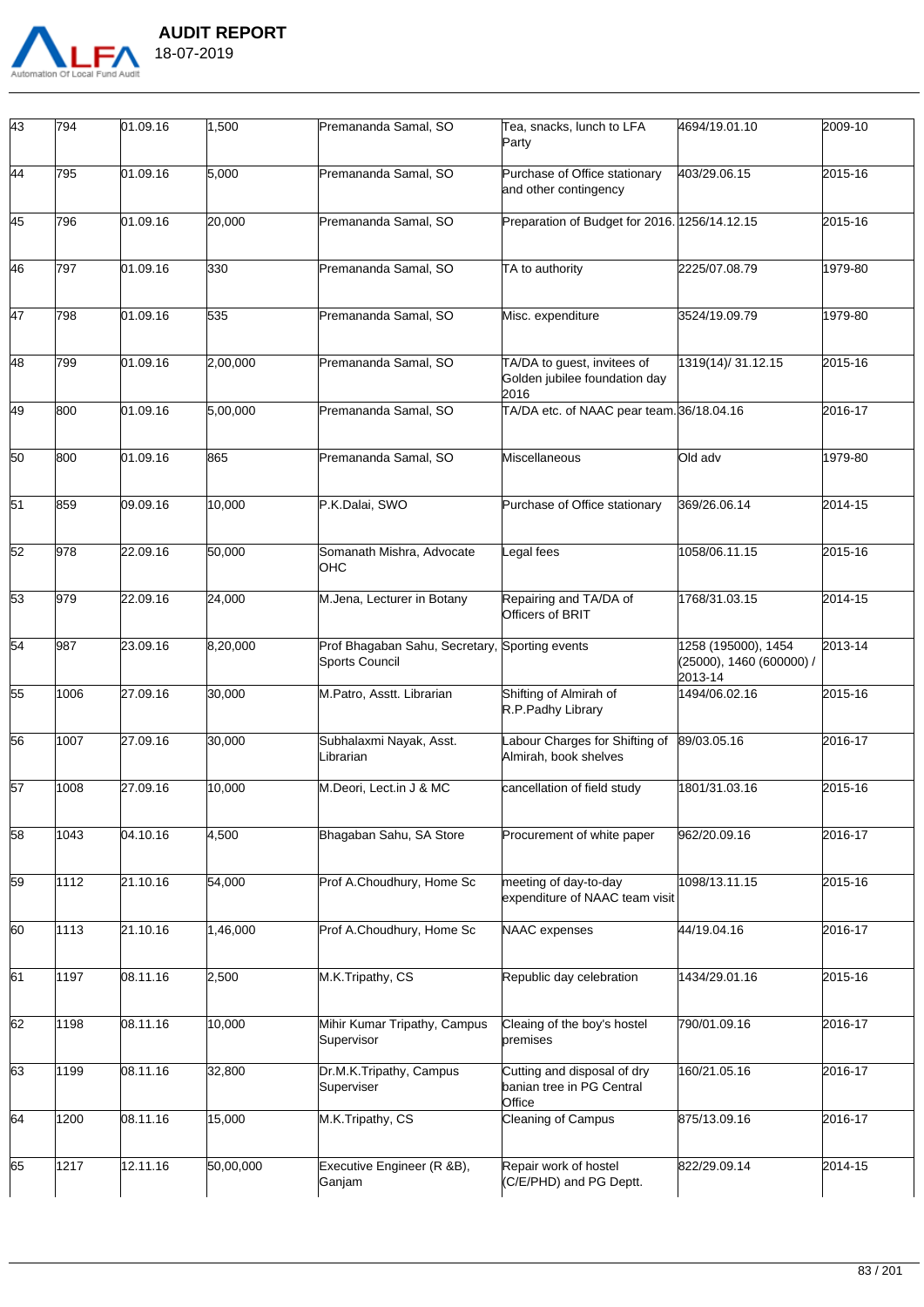

| 43 | 794  | 01.09.16 | 1,500     | Premananda Samal, SO                                                    | Tea, snacks, lunch to LFA<br>Party                                   | 4694/19.01.10                                              | 2009-10     |
|----|------|----------|-----------|-------------------------------------------------------------------------|----------------------------------------------------------------------|------------------------------------------------------------|-------------|
| 44 | 795  | 01.09.16 | 5,000     | Premananda Samal, SO                                                    | Purchase of Office stationary<br>and other contingency               | 403/29.06.15                                               | 2015-16     |
| 45 | 796  | 01.09.16 | 20,000    | Premananda Samal, SO                                                    | Preparation of Budget for 2016. 1256/14.12.15                        |                                                            | 2015-16     |
| 46 | 797  | 01.09.16 | 330       | Premananda Samal, SO                                                    | TA to authority                                                      | 2225/07.08.79                                              | 1979-80     |
| 47 | 798  | 01.09.16 | 535       | Premananda Samal, SO                                                    | Misc. expenditure                                                    | 3524/19.09.79                                              | 1979-80     |
| 48 | 799  | 01.09.16 | 2,00,000  | Premananda Samal, SO                                                    | TA/DA to guest, invitees of<br>Golden jubilee foundation day<br>2016 | 1319(14)/ 31.12.15                                         | 2015-16     |
| 49 | 800  | 01.09.16 | 5,00,000  | Premananda Samal, SO                                                    | TA/DA etc. of NAAC pear team.36/18.04.16                             |                                                            | 2016-17     |
| 50 | 800  | 01.09.16 | 865       | Premananda Samal, SO                                                    | Miscellaneous                                                        | Old adv                                                    | 1979-80     |
| 51 | 859  | 09.09.16 | 10,000    | P.K.Dalai, SWO                                                          | Purchase of Office stationary                                        | 369/26.06.14                                               | 2014-15     |
| 52 | 978  | 22.09.16 | 50,000    | Somanath Mishra, Advocate<br>ОНС                                        | Legal fees                                                           | 1058/06.11.15                                              | 2015-16     |
| 53 | 979  | 22.09.16 | 24,000    | M.Jena, Lecturer in Botany                                              | Repairing and TA/DA of<br>Officers of BRIT                           | 1768/31.03.15                                              | 2014-15     |
| 54 | 987  | 23.09.16 | 8,20,000  | Prof Bhagaban Sahu, Secretary, Sporting events<br><b>Sports Council</b> |                                                                      | 1258 (195000), 1454<br>(25000), 1460 (600000) /<br>2013-14 | 2013-14     |
| 55 | 1006 | 27.09.16 | 30,000    | M.Patro, Asstt. Librarian                                               | Shifting of Almirah of<br>R.P.Padhy Library                          | 1494/06.02.16                                              | 2015-16     |
| 56 | 1007 | 27.09.16 | 30,000    | Subhalaxmi Nayak, Asst.<br>Librarian                                    | Labour Charges for Shifting of<br>Almirah, book shelves              | 89/03.05.16                                                | 2016-17     |
| 57 | 1008 | 27.09.16 | 10,000    | M.Deori, Lect.in J & MC                                                 | cancellation of field study                                          | 1801/31.03.16                                              | 2015-16     |
| 58 | 1043 | 04.10.16 | 4,500     | Bhagaban Sahu, SA Store                                                 | Procurement of white paper                                           | 962/20.09.16                                               | 2016-17     |
| 59 | 1112 | 21.10.16 | 54,000    | Prof A.Choudhury, Home Sc                                               | meeting of day-to-day<br>expenditure of NAAC team visit              | 1098/13.11.15                                              | 2015-16     |
| 60 | 1113 | 21.10.16 | 1,46,000  | Prof A.Choudhury, Home Sc                                               | <b>NAAC</b> expenses                                                 | 44/19.04.16                                                | $2016 - 17$ |
| 61 | 1197 | 08.11.16 | 2,500     | M.K.Tripathy, CS                                                        | Republic day celebration                                             | 1434/29.01.16                                              | 2015-16     |
| 62 | 1198 | 08.11.16 | 10,000    | Mihir Kumar Tripathy, Campus<br>Supervisor                              | Cleaing of the boy's hostel<br>premises                              | 790/01.09.16                                               | 2016-17     |
| 63 | 1199 | 08.11.16 | 32,800    | Dr.M.K.Tripathy, Campus<br>Superviser                                   | Cutting and disposal of dry<br>banian tree in PG Central<br>Office   | 160/21.05.16                                               | 2016-17     |
| 64 | 1200 | 08.11.16 | 15,000    | M.K.Tripathy, CS                                                        | Cleaning of Campus                                                   | 875/13.09.16                                               | 2016-17     |
| 65 | 1217 | 12.11.16 | 50,00,000 | Executive Engineer (R &B),<br>Ganjam                                    | Repair work of hostel<br>(C/E/PHD) and PG Deptt.                     | 822/29.09.14                                               | 2014-15     |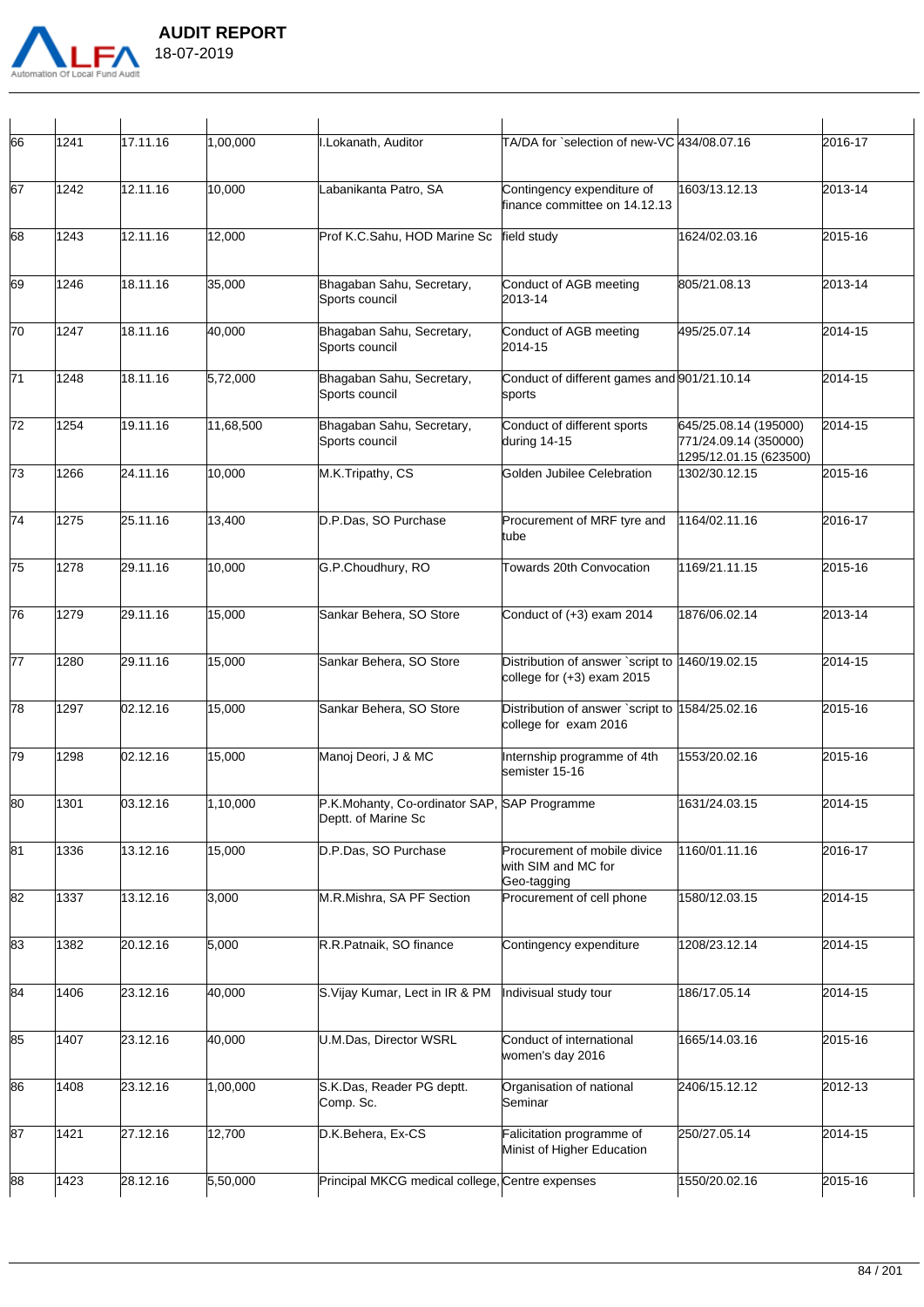

 **AUDIT REPORT** 

| 66              | 1241 | 17.11.16 | 1,00,000<br>I.Lokanath, Auditor<br>TA/DA for `selection of new-VC 434/08.07.16 |                                                                     |                                                                               | $2016 - 17$                                                              |             |
|-----------------|------|----------|--------------------------------------------------------------------------------|---------------------------------------------------------------------|-------------------------------------------------------------------------------|--------------------------------------------------------------------------|-------------|
| 67              | 1242 | 12.11.16 | 10,000                                                                         | Labanikanta Patro, SA                                               | Contingency expenditure of<br>finance committee on 14.12.13                   | 1603/13.12.13                                                            | 2013-14     |
| 68              | 1243 | 12.11.16 | 12,000                                                                         | Prof K.C.Sahu, HOD Marine Sc                                        | field study                                                                   | 1624/02.03.16                                                            | 2015-16     |
| 69              | 1246 | 18.11.16 | 35,000                                                                         | Bhagaban Sahu, Secretary,<br>Sports council                         | Conduct of AGB meeting<br>2013-14                                             | 805/21.08.13                                                             | 2013-14     |
| 70              | 1247 | 18.11.16 | 40,000                                                                         | Bhagaban Sahu, Secretary,<br>Sports council                         | Conduct of AGB meeting<br>2014-15                                             | 495/25.07.14                                                             | 2014-15     |
| $\overline{71}$ | 1248 | 18.11.16 | 5,72,000                                                                       | Bhagaban Sahu, Secretary,<br>Sports council                         | Conduct of different games and 901/21.10.14<br>sports                         |                                                                          | 2014-15     |
| 72              | 1254 | 19.11.16 | 11,68,500                                                                      | Bhagaban Sahu, Secretary,<br>Sports council                         | Conduct of different sports<br>during 14-15                                   | 645/25.08.14 (195000)<br>771/24.09.14 (350000)<br>1295/12.01.15 (623500) | 2014-15     |
| 73              | 1266 | 24.11.16 | 10,000                                                                         | M.K.Tripathy, CS                                                    | Golden Jubilee Celebration                                                    | 1302/30.12.15                                                            | 2015-16     |
| 74              | 1275 | 25.11.16 | 13,400                                                                         | D.P.Das, SO Purchase                                                | Procurement of MRF tyre and<br>tube                                           | 1164/02.11.16                                                            | 2016-17     |
| 75              | 1278 | 29.11.16 | 10,000                                                                         | G.P.Choudhury, RO                                                   | Towards 20th Convocation                                                      | 1169/21.11.15                                                            | 2015-16     |
| 76              | 1279 | 29.11.16 | 15,000                                                                         | Sankar Behera, SO Store                                             | Conduct of (+3) exam 2014                                                     | 1876/06.02.14                                                            | 2013-14     |
| 77              | 1280 | 29.11.16 | 15,000                                                                         | Sankar Behera, SO Store                                             | Distribution of answer `script to 1460/19.02.15<br>college for (+3) exam 2015 |                                                                          | 2014-15     |
| 78              | 1297 | 02.12.16 | 15,000                                                                         | Sankar Behera, SO Store                                             | Distribution of answer `script to  1584/25.02.16<br>college for exam 2016     |                                                                          | 2015-16     |
| 79              | 1298 | 02.12.16 | 15,000                                                                         | Manoj Deori, J & MC                                                 | Internship programme of 4th<br>semister 15-16                                 | 1553/20.02.16                                                            | 2015-16     |
| 80              | 1301 | 03.12.16 | 1, 10, 000                                                                     | P.K.Mohanty, Co-ordinator SAP, SAP Programme<br>Deptt. of Marine Sc |                                                                               | 1631/24.03.15                                                            | 2014-15     |
| 81              | 1336 | 13.12.16 | 15,000                                                                         | D.P.Das, SO Purchase                                                | Procurement of mobile divice<br>with SIM and MC for<br>Geo-tagging            | 1160/01.11.16                                                            | 2016-17     |
| 82              | 1337 | 13.12.16 | 3,000                                                                          | M.R.Mishra, SA PF Section                                           | Procurement of cell phone                                                     | 1580/12.03.15                                                            | 2014-15     |
| 83              | 1382 | 20.12.16 | 5,000                                                                          | R.R.Patnaik, SO finance                                             | Contingency expenditure                                                       | 1208/23.12.14                                                            | $2014 - 15$ |
| 84              | 1406 | 23.12.16 | 40,000                                                                         | S. Vijay Kumar, Lect in IR & PM                                     | Indivisual study tour                                                         | 186/17.05.14                                                             | 2014-15     |
|                 |      |          |                                                                                |                                                                     |                                                                               |                                                                          |             |

85 1407 23.12.16 40,000 U.M.Das, Director WSRL Conduct of international

87 1421 27.12.16 12,700 D.K.Behera, Ex-CS Falicitation programme of

Comp. Sc.

86 1408 23.12.16 1,00,000 S.K.Das, Reader PG deptt.

women's day 2016

Seminar

88 1423 28.12.16 5,50,000 Principal MKCG medical college, Centre expenses 1550/20.02.16 2015-16

Organisation of national

Minist of Higher Education

1665/14.03.16 2015-16

2406/15.12.12 2012-13

250/27.05.14 2014-15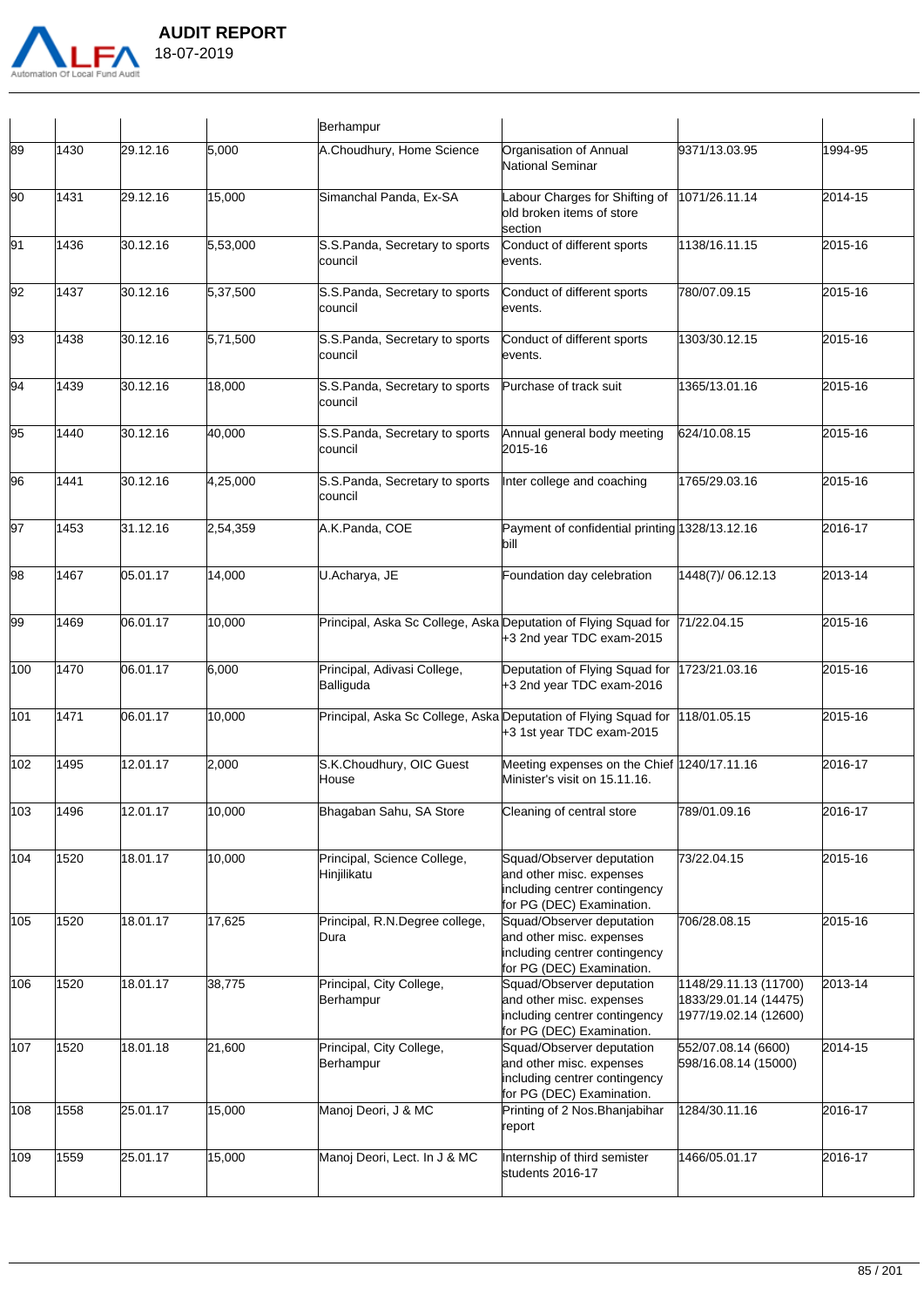

| <b>AUDIT REPORT</b> |
|---------------------|
| 18-07-2019          |

|     |      |          |                   | Berhampur                                                       |                                                                                                                     |                                                                         |         |
|-----|------|----------|-------------------|-----------------------------------------------------------------|---------------------------------------------------------------------------------------------------------------------|-------------------------------------------------------------------------|---------|
| 89  | 1430 | 29.12.16 | 5,000             | A.Choudhury, Home Science                                       | Organisation of Annual<br>National Seminar                                                                          | 9371/13.03.95                                                           | 1994-95 |
| 90  | 1431 | 29.12.16 | 15,000            | Simanchal Panda, Ex-SA                                          | Labour Charges for Shifting of<br>old broken items of store<br>lsection                                             | 1071/26.11.14                                                           | 2014-15 |
| 91  | 1436 | 30.12.16 | 5,53,000          | S.S.Panda, Secretary to sports<br>council                       | Conduct of different sports<br>events.                                                                              | 1138/16.11.15                                                           | 2015-16 |
| 92  | 1437 | 30.12.16 | 5,37,500          | S.S.Panda, Secretary to sports<br>council                       | Conduct of different sports<br>events.                                                                              | 780/07.09.15                                                            | 2015-16 |
| 93  | 1438 | 30.12.16 | $\sqrt{5,}71,500$ | S.S.Panda, Secretary to sports<br>council                       | Conduct of different sports<br>events.                                                                              | 1303/30.12.15                                                           | 2015-16 |
| 94  | 1439 | 30.12.16 | 18,000            | S.S.Panda, Secretary to sports<br>council                       | Purchase of track suit                                                                                              | 1365/13.01.16                                                           | 2015-16 |
| 95  | 1440 | 30.12.16 | 40,000            | S.S.Panda, Secretary to sports<br>council                       | Annual general body meeting<br>2015-16                                                                              | 624/10.08.15                                                            | 2015-16 |
| 96  | 1441 | 30.12.16 | 4,25,000          | S.S.Panda, Secretary to sports<br>council                       | Inter college and coaching                                                                                          | 1765/29.03.16                                                           | 2015-16 |
| 97  | 1453 | 31.12.16 | 2,54,359          | A.K.Panda, COE                                                  | Payment of confidential printing 1328/13.12.16<br>bill                                                              |                                                                         | 2016-17 |
| 98  | 1467 | 05.01.17 | 14,000            | U.Acharya, JE                                                   | Foundation day celebration                                                                                          | 1448(7)/06.12.13                                                        | 2013-14 |
| 99  | 1469 | 06.01.17 | 10,000            | Principal, Aska Sc College, Aska Deputation of Flying Squad for | +3 2nd year TDC exam-2015                                                                                           | $\sqrt{71}/22.04.15$                                                    | 2015-16 |
| 100 | 1470 | 06.01.17 | 6,000             | Principal, Adivasi College,<br>Balliguda                        | Deputation of Flying Squad for<br>+3 2nd year TDC exam-2016                                                         | 1723/21.03.16                                                           | 2015-16 |
| 101 | 1471 | 06.01.17 | 10,000            | Principal, Aska Sc College, Aska Deputation of Flying Squad for | +3 1st year TDC exam-2015                                                                                           | 118/01.05.15                                                            | 2015-16 |
| 102 | 1495 | 12.01.17 | 2,000             | S.K.Choudhury, OIC Guest<br>House                               | Meeting expenses on the Chief 1240/17.11.16<br>Minister's visit on 15.11.16.                                        |                                                                         | 2016-17 |
| 103 | 1496 | 12.01.17 | $\sqrt{10,000}$   | Bhagaban Sahu, SA Store                                         | Cleaning of central store                                                                                           | 789/01.09.16                                                            | 2016-17 |
| 104 | 1520 | 18.01.17 | 10,000            | Principal, Science College,<br>Hinjilikatu                      | Squad/Observer deputation<br>and other misc. expenses<br>including centrer contingency<br>for PG (DEC) Examination. | 73/22.04.15                                                             | 2015-16 |
| 105 | 1520 | 18.01.17 | 17,625            | Principal, R.N.Degree college,<br>Dura                          | Squad/Observer deputation<br>and other misc. expenses<br>including centrer contingency<br>for PG (DEC) Examination. | 706/28.08.15                                                            | 2015-16 |
| 106 | 1520 | 18.01.17 | 38,775            | Principal, City College,<br>Berhampur                           | Squad/Observer deputation<br>and other misc. expenses<br>including centrer contingency<br>for PG (DEC) Examination. | 1148/29.11.13 (11700)<br>1833/29.01.14 (14475)<br>1977/19.02.14 (12600) | 2013-14 |
| 107 | 1520 | 18.01.18 | 21,600            | Principal, City College,<br>Berhampur                           | Squad/Observer deputation<br>and other misc. expenses<br>including centrer contingency<br>for PG (DEC) Examination. | 552/07.08.14 (6600)<br>598/16.08.14 (15000)                             | 2014-15 |
| 108 | 1558 | 25.01.17 | 15,000            | Manoj Deori, J & MC                                             | Printing of 2 Nos. Bhanjabihar<br>report                                                                            | 1284/30.11.16                                                           | 2016-17 |
| 109 | 1559 | 25.01.17 | 15,000            | Manoj Deori, Lect. In J & MC                                    | Internship of third semister<br>students 2016-17                                                                    | 1466/05.01.17                                                           | 2016-17 |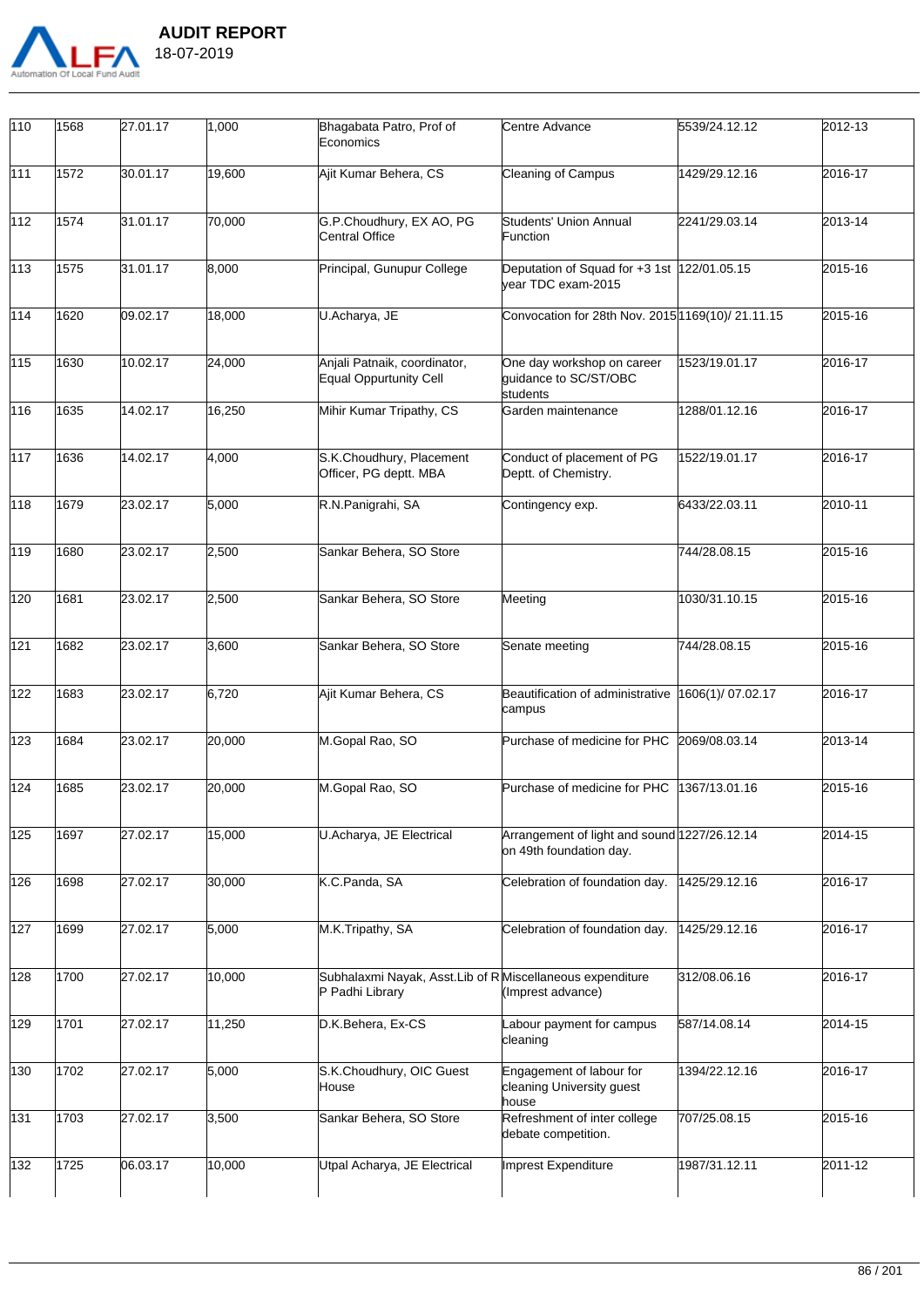

| 110 | 1568 | 27.01.17 | 1,000  | Bhagabata Patro, Prof of<br>Economics                                       | Centre Advance                                                          | 5539/24.12.12    | 2012-13 |
|-----|------|----------|--------|-----------------------------------------------------------------------------|-------------------------------------------------------------------------|------------------|---------|
| 111 | 1572 | 30.01.17 | 19,600 | Ajit Kumar Behera, CS                                                       | Cleaning of Campus                                                      | 1429/29.12.16    | 2016-17 |
| 112 | 1574 | 31.01.17 | 70,000 | G.P.Choudhury, EX AO, PG<br><b>Central Office</b>                           | Students' Union Annual<br>Function                                      | 2241/29.03.14    | 2013-14 |
| 113 | 1575 | 31.01.17 | 8,000  | Principal, Gunupur College                                                  | Deputation of Squad for $+3$ 1st $ 122/01.05.15$<br>vear TDC exam-2015  |                  | 2015-16 |
| 114 | 1620 | 09.02.17 | 18,000 | U.Acharya, JE                                                               | Convocation for 28th Nov. 2015 169(10)/ 21.11.15                        |                  | 2015-16 |
| 115 | 1630 | 10.02.17 | 24,000 | Anjali Patnaik, coordinator,<br>Equal Oppurtunity Cell                      | One day workshop on career<br>guidance to SC/ST/OBC<br>students         | 1523/19.01.17    | 2016-17 |
| 116 | 1635 | 14.02.17 | 16,250 | Mihir Kumar Tripathy, CS                                                    | Garden maintenance                                                      | 1288/01.12.16    | 2016-17 |
| 117 | 1636 | 14.02.17 | 4,000  | S.K.Choudhury, Placement<br>Officer, PG deptt. MBA                          | Conduct of placement of PG<br>Deptt. of Chemistry.                      | 1522/19.01.17    | 2016-17 |
| 118 | 1679 | 23.02.17 | 5,000  | R.N.Panigrahi, SA                                                           | Contingency exp.                                                        | 6433/22.03.11    | 2010-11 |
| 119 | 1680 | 23.02.17 | 2,500  | Sankar Behera, SO Store                                                     |                                                                         | 744/28.08.15     | 2015-16 |
| 120 | 1681 | 23.02.17 | 2,500  | Sankar Behera, SO Store                                                     | Meeting                                                                 | 1030/31.10.15    | 2015-16 |
| 121 | 1682 | 23.02.17 | 3,600  | Sankar Behera, SO Store                                                     | Senate meeting                                                          | 744/28.08.15     | 2015-16 |
| 122 | 1683 | 23.02.17 | 6,720  | Ajit Kumar Behera, CS                                                       | Beautification of administrative<br>campus                              | 1606(1)/07.02.17 | 2016-17 |
| 123 | 1684 | 23.02.17 | 20,000 | M.Gopal Rao, SO                                                             | Purchase of medicine for PHC                                            | 2069/08.03.14    | 2013-14 |
| 124 | 1685 | 23.02.17 | 20,000 | M.Gopal Rao, SO                                                             | Purchase of medicine for PHC                                            | 1367/13.01.16    | 2015-16 |
| 125 | 1697 | 27.02.17 | 15,000 | U.Acharya, JE Electrical                                                    | Arrangement of light and sound 1227/26.12.14<br>on 49th foundation day. |                  | 2014-15 |
| 126 | 1698 | 27.02.17 | 30,000 | K.C.Panda, SA                                                               | Celebration of foundation day.                                          | 1425/29.12.16    | 2016-17 |
| 127 | 1699 | 27.02.17 | 5,000  | M.K.Tripathy, SA                                                            | Celebration of foundation day.                                          | 1425/29.12.16    | 2016-17 |
| 128 | 1700 | 27.02.17 | 10,000 | Subhalaxmi Nayak, Asst.Lib of RMiscellaneous expenditure<br>P Padhi Library | (Imprest advance)                                                       | 312/08.06.16     | 2016-17 |
| 129 | 1701 | 27.02.17 | 11,250 | D.K.Behera, Ex-CS                                                           | Labour payment for campus<br>cleaning                                   | 587/14.08.14     | 2014-15 |
| 130 | 1702 | 27.02.17 | 5,000  | S.K.Choudhury, OIC Guest<br>House                                           | Engagement of labour for<br>cleaning University guest<br>house          | 1394/22.12.16    | 2016-17 |
| 131 | 1703 | 27.02.17 | 3,500  | Sankar Behera, SO Store                                                     | Refreshment of inter college<br>debate competition.                     | 707/25.08.15     | 2015-16 |
| 132 | 1725 | 06.03.17 | 10,000 | Utpal Acharya, JE Electrical                                                | Imprest Expenditure                                                     | 1987/31.12.11    | 2011-12 |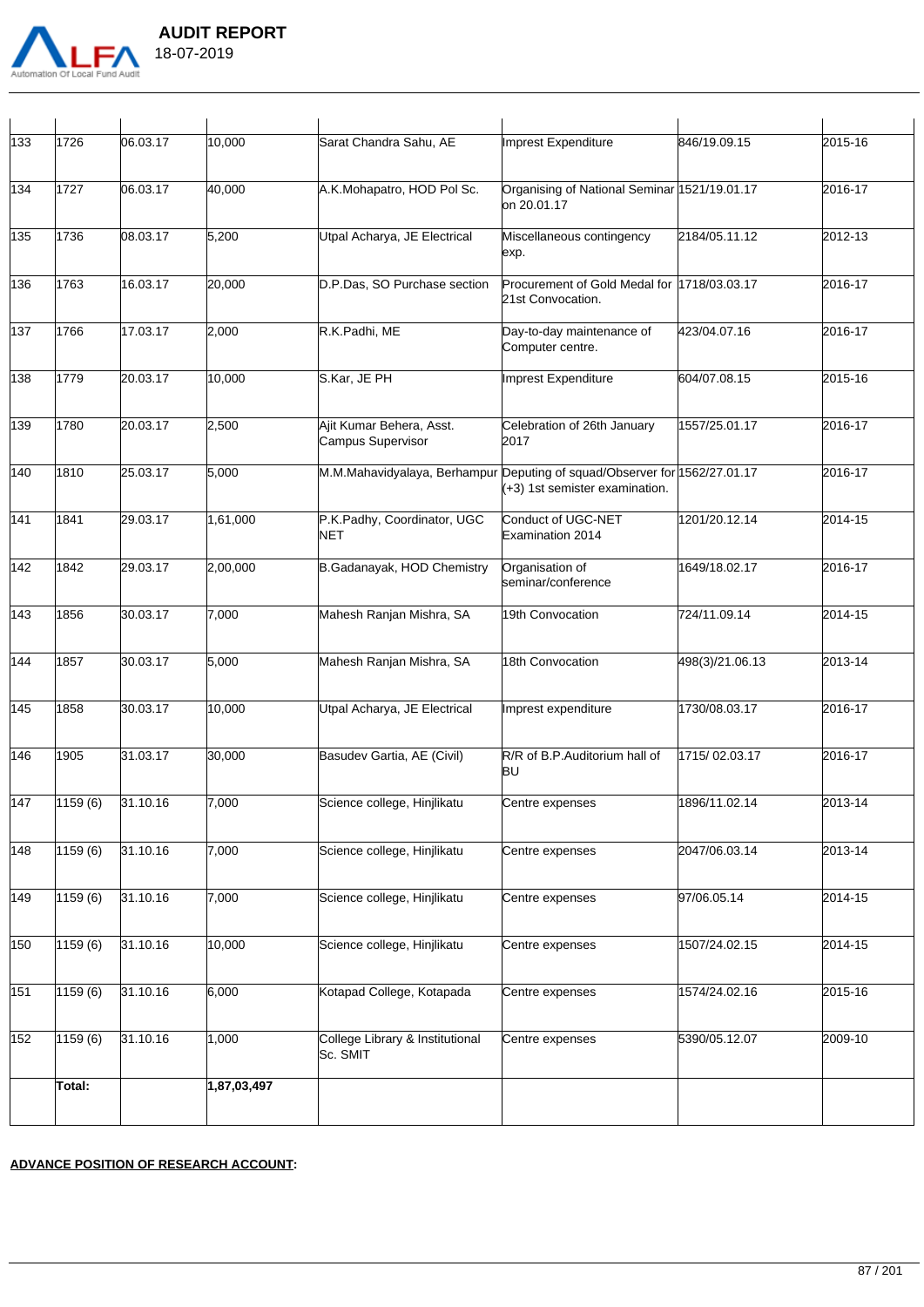

 **AUDIT REPORT** 

18-07-2019

| 133 | 1726    | 06.03.17 | 10,000                                                                                        | Sarat Chandra Sahu, AE             | Imprest Expenditure                                                            | 846/19.09.15    | 2015-16 |
|-----|---------|----------|-----------------------------------------------------------------------------------------------|------------------------------------|--------------------------------------------------------------------------------|-----------------|---------|
| 134 | 1727    | 06.03.17 | 40,000                                                                                        | A.K.Mohapatro, HOD Pol Sc.         | Organising of National Seminar 1521/19.01.17<br>on 20.01.17                    |                 | 2016-17 |
| 135 | 1736    | 08.03.17 | 5,200                                                                                         | Utpal Acharya, JE Electrical       | 2184/05.11.12<br>Miscellaneous contingency<br>exp.                             |                 | 2012-13 |
| 136 | 1763    | 16.03.17 | 20,000                                                                                        | D.P.Das, SO Purchase section       | Procurement of Gold Medal for<br>21st Convocation.                             | 1718/03.03.17   | 2016-17 |
| 137 | 1766    | 17.03.17 | 2,000                                                                                         | R.K.Padhi, ME                      | Day-to-day maintenance of<br>Computer centre.                                  | 423/04.07.16    | 2016-17 |
| 138 | 1779    | 20.03.17 | 10,000                                                                                        | S.Kar, JE PH                       | Imprest Expenditure                                                            | 604/07.08.15    | 2015-16 |
| 139 | 1780    | 20.03.17 | Ajit Kumar Behera, Asst.<br>2,500<br>Celebration of 26th January<br>Campus Supervisor<br>2017 |                                    |                                                                                | 1557/25.01.17   | 2016-17 |
| 140 | 1810    | 25.03.17 | $\overline{5,000}$                                                                            | M.M.Mahavidyalaya, Berhampur       | Deputing of squad/Observer for 1562/27.01.17<br>(+3) 1st semister examination. |                 | 2016-17 |
| 141 | 1841    | 29.03.17 | 1,61,000                                                                                      | P.K.Padhy, Coordinator, UGC<br>NET | Conduct of UGC-NET<br>Examination 2014                                         | 1201/20.12.14   | 2014-15 |
| 142 | 1842    | 29.03.17 | 2,00,000                                                                                      | B.Gadanayak, HOD Chemistry         | Organisation of<br>seminar/conference                                          | 1649/18.02.17   | 2016-17 |
| 143 | 1856    | 30.03.17 | 7,000                                                                                         | Mahesh Ranjan Mishra, SA           | 19th Convocation                                                               | 724/11.09.14    | 2014-15 |
| 144 | 1857    | 30.03.17 | 5,000                                                                                         | Mahesh Ranjan Mishra, SA           | 18th Convocation                                                               | 498(3)/21.06.13 | 2013-14 |
| 145 | 1858    | 30.03.17 | 10,000                                                                                        | Utpal Acharya, JE Electrical       | Imprest expenditure                                                            | 1730/08.03.17   | 2016-17 |
| 146 | 1905    | 31.03.17 | 30,000                                                                                        | Basudev Gartia, AE (Civil)         | R/R of B.P.Auditorium hall of<br>βU                                            | 1715/02.03.17   | 2016-17 |
| 147 | 1159(6) | 31.10.16 | 7,000                                                                                         | Science college, Hinjlikatu        | Centre expenses                                                                | 1896/11.02.14   | 2013-14 |
| 148 | 1159(6) | 31.10.16 | 7,000                                                                                         | Science college, Hinjlikatu        | Centre expenses                                                                | 2047/06.03.14   | 2013-14 |
| 149 | 1159(6) | 31.10.16 | 7,000                                                                                         | Science college, Hinjlikatu        | Centre expenses                                                                | 97/06.05.14     | 2014-15 |

150 1159 (6) 31.10.16 10,000 Science college, Hinjlikatu Centre expenses 1507/24.02.15 2014-15

151 1159 (6) 31.10.16 6,000 Kotapad College, Kotapada Centre expenses 1574/24.02.16 2015-16

## **ADVANCE POSITION OF RESEARCH ACCOUNT:**

**Total: 1,87,03,497**

152 1159 (6) 31.10.16 1,000 College Library & Institutional

Sc. SMIT

2016-17

2012-13

2016-17

2016-17

 $2016-17$ 

2016-17

 $2014 - 15$ 

2016-17

2016-17

Centre expenses 5390/05.12.07 2009-10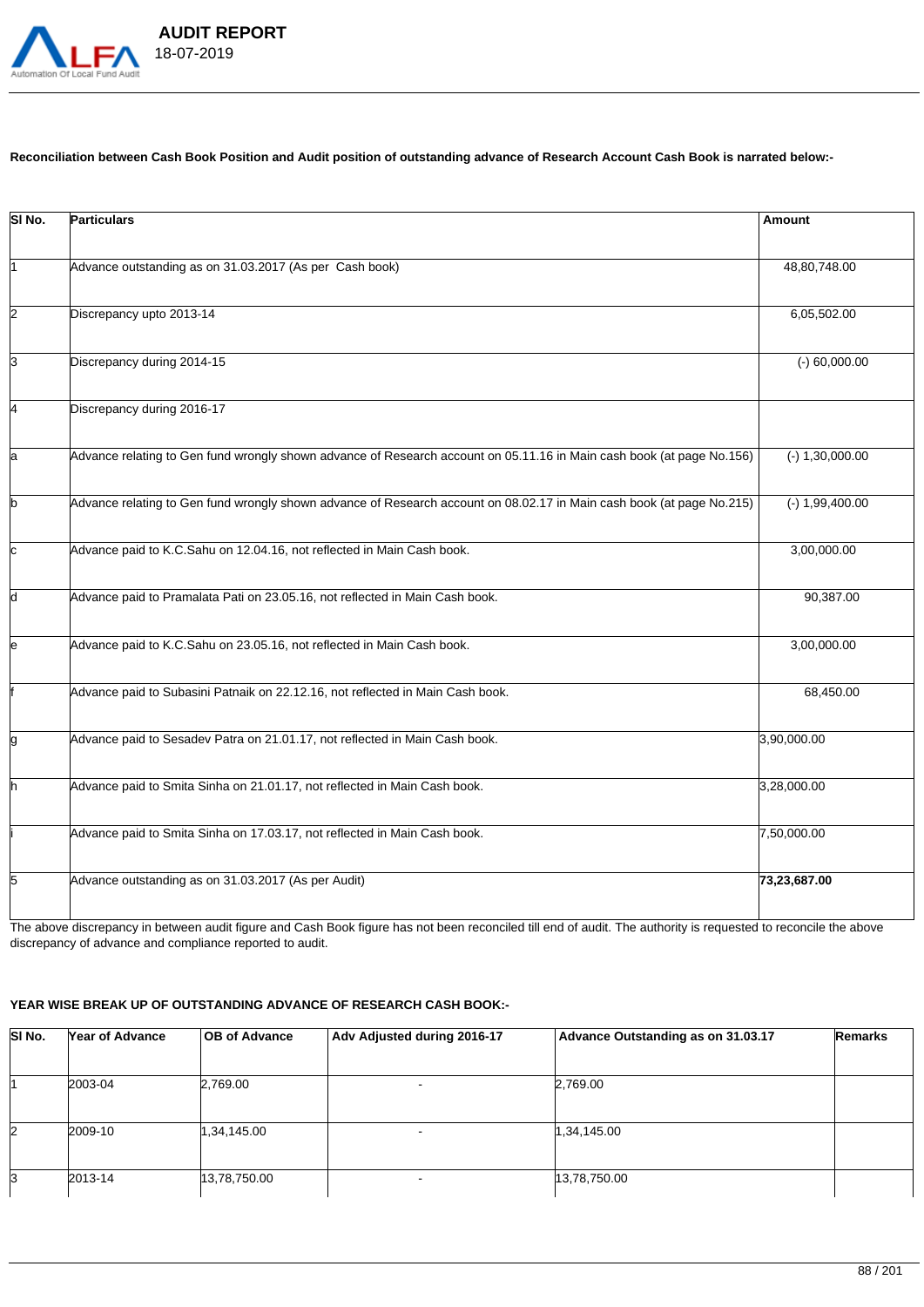

### **Reconciliation between Cash Book Position and Audit position of outstanding advance of Research Account Cash Book is narrated below:-**

| SI <sub>No.</sub>       | <b>Particulars</b>                                                                                                    | Amount            |
|-------------------------|-----------------------------------------------------------------------------------------------------------------------|-------------------|
|                         |                                                                                                                       |                   |
| 1                       | Advance outstanding as on 31.03.2017 (As per Cash book)                                                               | 48,80,748.00      |
| $\overline{2}$          | Discrepancy upto 2013-14                                                                                              | 6,05,502.00       |
| 3                       | Discrepancy during 2014-15                                                                                            | $(-)$ 60,000.00   |
| 4                       | Discrepancy during 2016-17                                                                                            |                   |
| $\overline{\mathsf{a}}$ | Advance relating to Gen fund wrongly shown advance of Research account on 05.11.16 in Main cash book (at page No.156) | $(-) 1,30,000.00$ |
| b                       | Advance relating to Gen fund wrongly shown advance of Research account on 08.02.17 in Main cash book (at page No.215) | $(-) 1,99,400.00$ |
| c                       | Advance paid to K.C.Sahu on 12.04.16, not reflected in Main Cash book.                                                | 3,00,000.00       |
| d                       | Advance paid to Pramalata Pati on 23.05.16, not reflected in Main Cash book.                                          | 90,387.00         |
| le                      | Advance paid to K.C.Sahu on 23.05.16, not reflected in Main Cash book.                                                | 3,00,000.00       |
|                         | Advance paid to Subasini Patnaik on 22.12.16, not reflected in Main Cash book.                                        | 68,450.00         |
| g                       | Advance paid to Sesadev Patra on 21.01.17, not reflected in Main Cash book.                                           | 3,90,000.00       |
| lh                      | Advance paid to Smita Sinha on 21.01.17, not reflected in Main Cash book.                                             | 3,28,000.00       |
|                         | Advance paid to Smita Sinha on 17.03.17, not reflected in Main Cash book.                                             | 7,50,000.00       |
| 5                       | Advance outstanding as on 31.03.2017 (As per Audit)                                                                   | 73,23,687.00      |

The above discrepancy in between audit figure and Cash Book figure has not been reconciled till end of audit. The authority is requested to reconcile the above discrepancy of advance and compliance reported to audit.

## **YEAR WISE BREAK UP OF OUTSTANDING ADVANCE OF RESEARCH CASH BOOK:-**

| SI No.        | <b>OB of Advance</b><br><b>Year of Advance</b> |              | Adv Adjusted during 2016-17 | Advance Outstanding as on 31.03.17 | <b>Remarks</b> |
|---------------|------------------------------------------------|--------------|-----------------------------|------------------------------------|----------------|
|               |                                                |              |                             |                                    |                |
|               | 2003-04                                        | 2,769.00     |                             | 2,769.00                           |                |
| $\mathsf{I}2$ | 2009-10                                        | 1,34,145.00  |                             | 1,34,145.00                        |                |
| IЗ            | 2013-14                                        | 13,78,750.00 |                             | 13,78,750.00                       |                |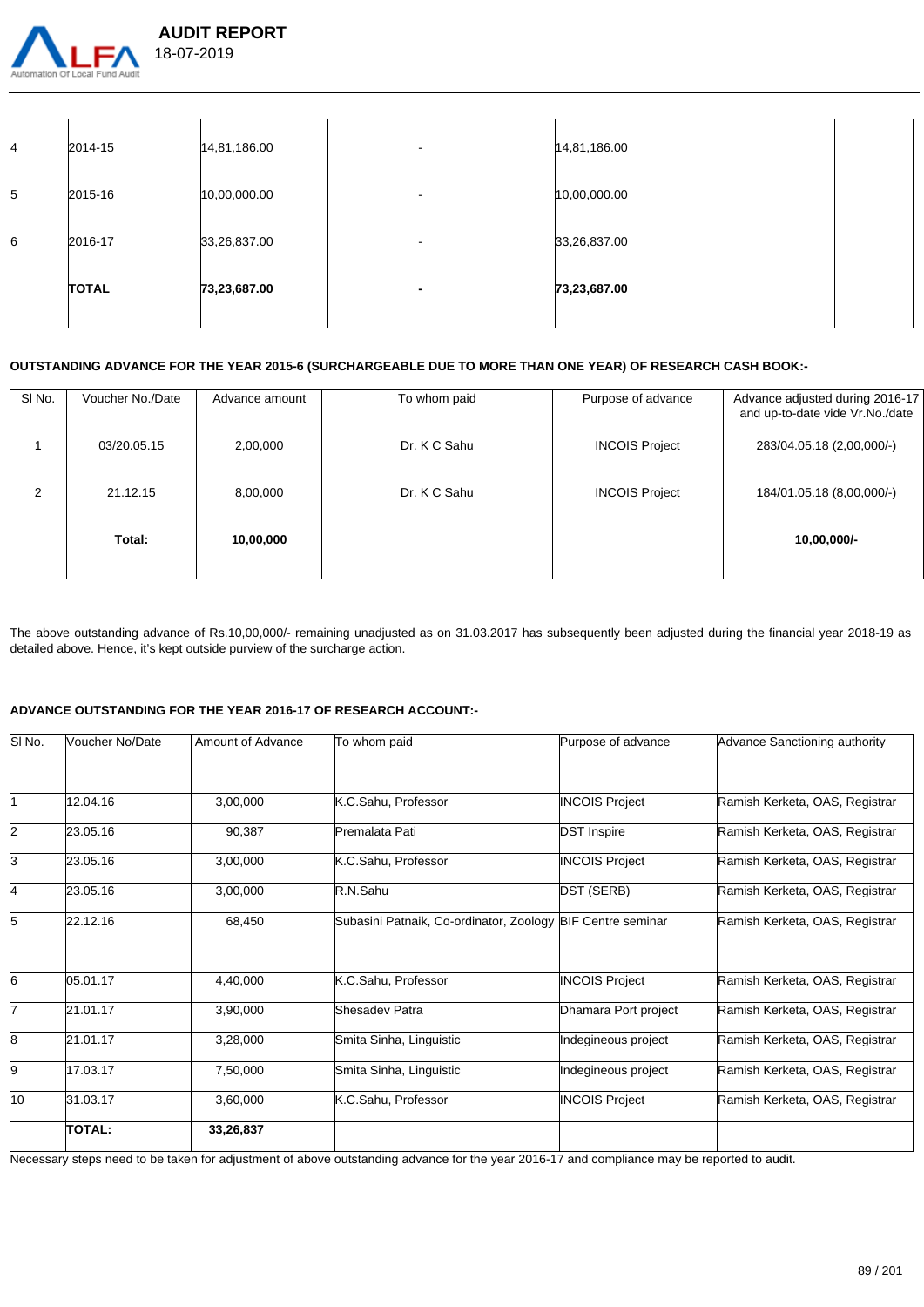

| 14 | 2014-15      | 14,81,186.00 | -                        | 14,81,186.00 |  |
|----|--------------|--------------|--------------------------|--------------|--|
| 5  | 2015-16      | 10,00,000.00 | $\overline{\phantom{a}}$ | 10,00,000.00 |  |
| 6  | 2016-17      | 33,26,837.00 | $\overline{\phantom{a}}$ | 33,26,837.00 |  |
|    | <b>TOTAL</b> | 73,23,687.00 |                          | 73,23,687.00 |  |

## **OUTSTANDING ADVANCE FOR THE YEAR 2015-6 (SURCHARGEABLE DUE TO MORE THAN ONE YEAR) OF RESEARCH CASH BOOK:-**

| SI <sub>No.</sub> | Voucher No./Date | Advance amount | To whom paid | Purpose of advance    | Advance adjusted during 2016-17<br>and up-to-date vide Vr.No./date |
|-------------------|------------------|----------------|--------------|-----------------------|--------------------------------------------------------------------|
|                   | 03/20.05.15      | 2,00,000       | Dr. K C Sahu | <b>INCOIS Project</b> | 283/04.05.18 (2,00,000/-)                                          |
|                   |                  |                |              |                       |                                                                    |
| 2                 | 21.12.15         | 8,00,000       | Dr. K C Sahu | <b>INCOIS Project</b> | 184/01.05.18 (8,00,000/-)                                          |
|                   |                  |                |              |                       |                                                                    |
|                   | Total:           | 10,00,000      |              |                       | 10,00,000/-                                                        |
|                   |                  |                |              |                       |                                                                    |

The above outstanding advance of Rs.10,00,000/- remaining unadjusted as on 31.03.2017 has subsequently been adjusted during the financial year 2018-19 as detailed above. Hence, it's kept outside purview of the surcharge action.

## **ADVANCE OUTSTANDING FOR THE YEAR 2016-17 OF RESEARCH ACCOUNT:-**

| SI No. | Voucher No/Date | Amount of Advance | To whom paid                            | Purpose of advance        | Advance Sanctioning authority  |
|--------|-----------------|-------------------|-----------------------------------------|---------------------------|--------------------------------|
|        |                 |                   |                                         |                           |                                |
|        | 12.04.16        | 3,00,000          | K.C.Sahu, Professor                     | <b>INCOIS Project</b>     | Ramish Kerketa, OAS, Registrar |
| I2     | 23.05.16        | 90,387            | Premalata Pati                          | <b>DST Inspire</b>        | Ramish Kerketa, OAS, Registrar |
| ß      | 23.05.16        | 3,00,000          | K.C.Sahu, Professor                     | <b>INCOIS Project</b>     | Ramish Kerketa, OAS, Registrar |
| l4     | 23.05.16        | 3,00,000          | R.N.Sahu                                | DST (SERB)                | Ramish Kerketa, OAS, Registrar |
| 15     | 22.12.16        | 68,450            | Subasini Patnaik, Co-ordinator, Zoology | <b>BIF Centre seminar</b> | Ramish Kerketa, OAS, Registrar |
|        |                 |                   |                                         |                           |                                |
| 6      | 05.01.17        | 4,40,000          | K.C.Sahu, Professor                     | <b>INCOIS Project</b>     | Ramish Kerketa, OAS, Registrar |
| 17     | 21.01.17        | 3,90,000          | Shesadev Patra                          | Dhamara Port project      | Ramish Kerketa, OAS, Registrar |
| 8      | 21.01.17        | 3,28,000          | Smita Sinha, Linguistic                 | Indegineous project       | Ramish Kerketa, OAS, Registrar |
| 9      | 17.03.17        | 7,50,000          | Smita Sinha, Linguistic                 | Indegineous project       | Ramish Kerketa, OAS, Registrar |
| 10     | 31.03.17        | 3,60,000          | K.C.Sahu, Professor                     | <b>INCOIS Project</b>     | Ramish Kerketa, OAS, Registrar |
|        | <b>TOTAL:</b>   | 33,26,837         |                                         |                           |                                |

Necessary steps need to be taken for adjustment of above outstanding advance for the year 2016-17 and compliance may be reported to audit.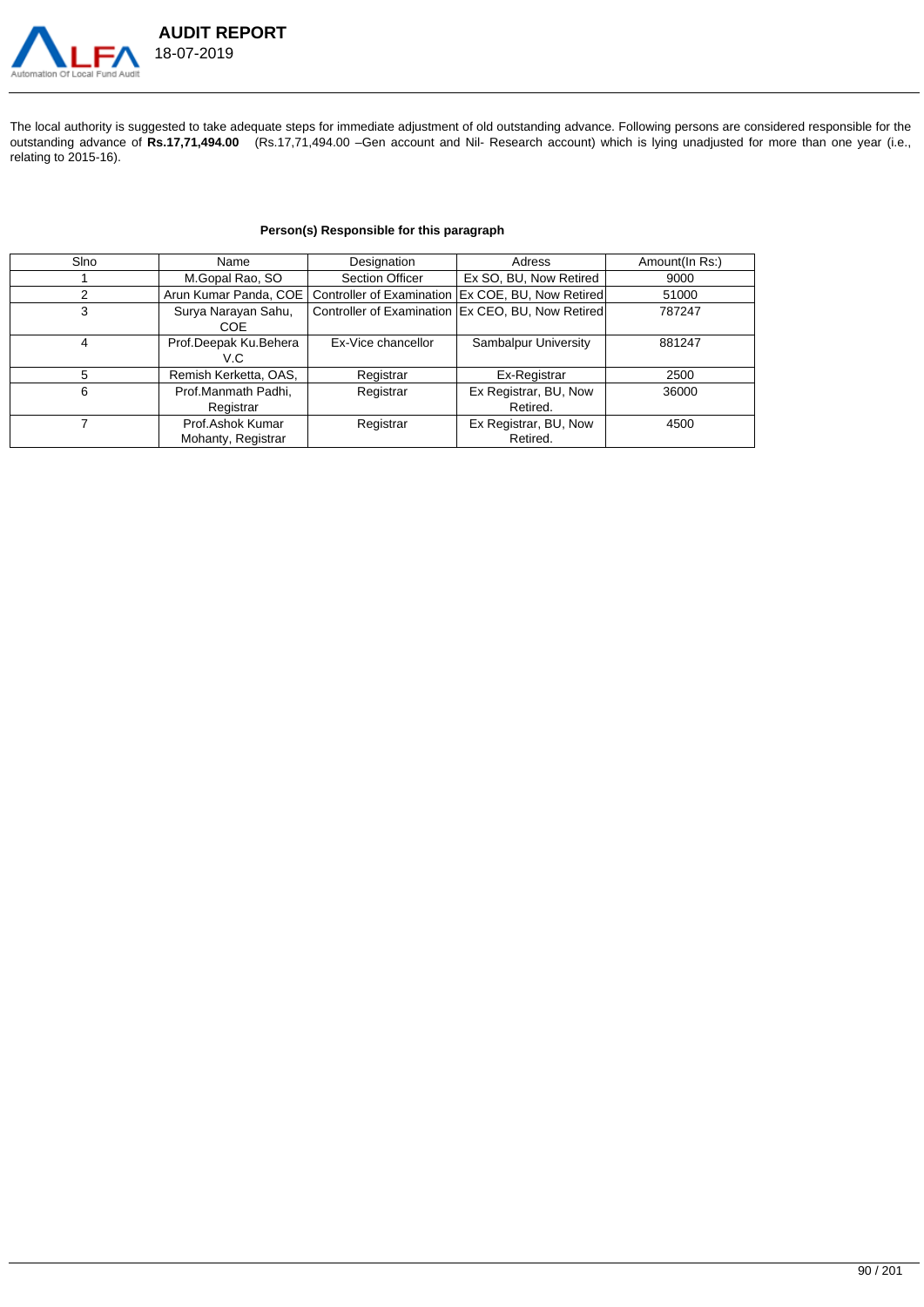

The local authority is suggested to take adequate steps for immediate adjustment of old outstanding advance. Following persons are considered responsible for the outstanding advance of **Rs.17,71,494.00** (Rs.17,71,494.00 –Gen account and Nil- Research account) which is lying unadjusted for more than one year (i.e., relating to 2015-16).

## **Person(s) Responsible for this paragraph**

| Sino | Name                  | Designation        | Adress                                              | Amount(In Rs:) |
|------|-----------------------|--------------------|-----------------------------------------------------|----------------|
|      | M.Gopal Rao, SO       | Section Officer    | Ex SO, BU, Now Retired                              | 9000           |
|      | Arun Kumar Panda, COE |                    | Controller of Examination (Ex COE, BU, Now Retired) | 51000          |
| 3    | Surya Narayan Sahu,   |                    | Controller of Examination (Ex CEO, BU, Now Retired) | 787247         |
|      | COE                   |                    |                                                     |                |
|      | Prof.Deepak Ku.Behera | Ex-Vice chancellor | Sambalpur University                                | 881247         |
|      | V.C                   |                    |                                                     |                |
| 5    | Remish Kerketta, OAS, | Registrar          | Ex-Registrar                                        | 2500           |
| 6    | Prof.Manmath Padhi,   | Registrar          | Ex Registrar, BU, Now                               | 36000          |
|      | Registrar             |                    | Retired.                                            |                |
|      | Prof.Ashok Kumar      | Registrar          | Ex Registrar, BU, Now                               | 4500           |
|      | Mohanty, Registrar    |                    | Retired.                                            |                |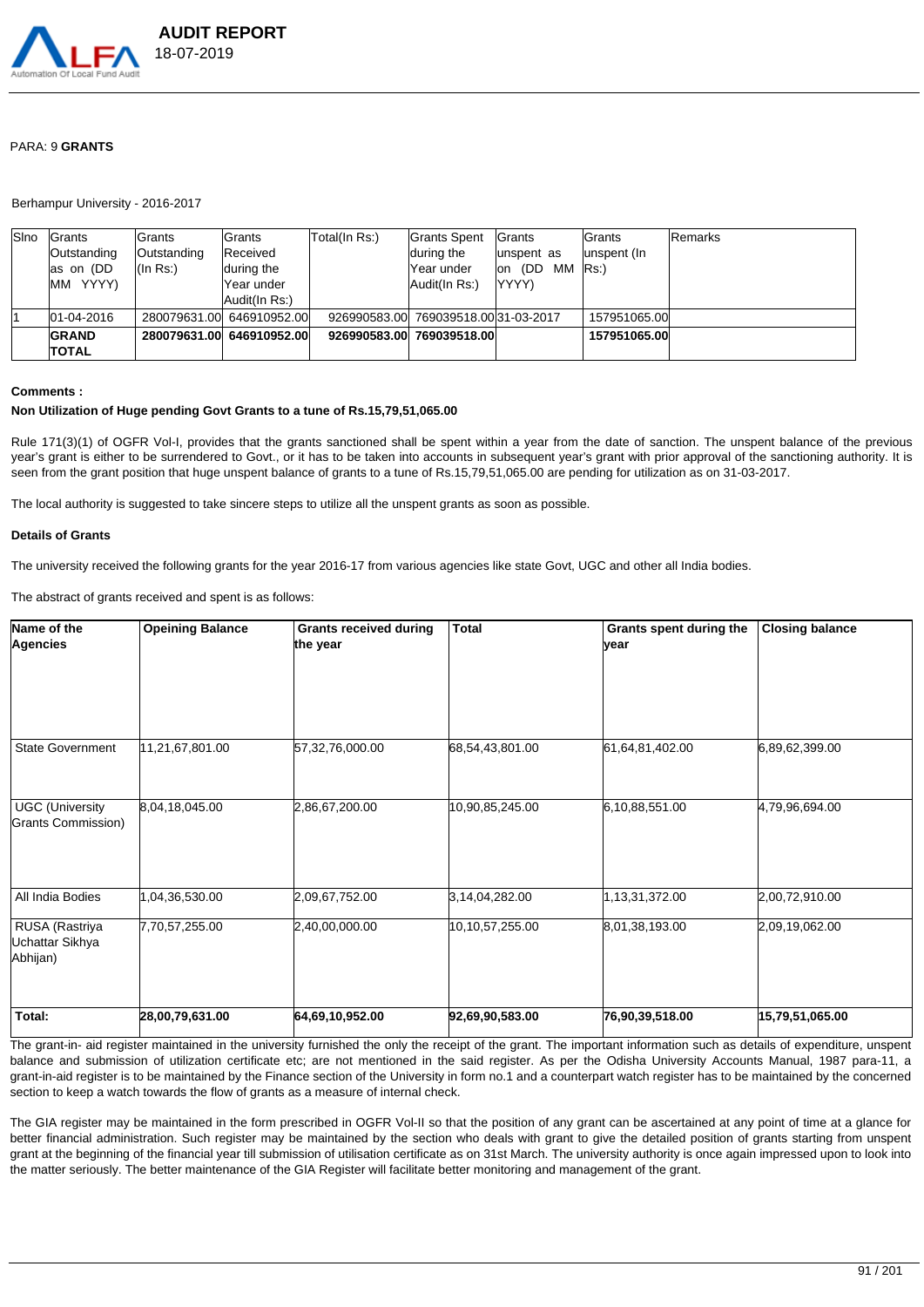

#### PARA: 9 **GRANTS**

Berhampur University - 2016-2017

| <b>S</b> lno | Grants<br>Outstanding<br>as on (DD<br>MM YYYY) | lGrants<br>Outstanding<br>$l$ (In Rs:) | Grants<br>Received<br>during the<br>Year under<br>Audit(In Rs:) | Total(In Rs:) | Grants Spent<br>during the<br>Year under<br>Audit(In Rs:) | <b>IGrants</b><br>lunspent as<br>МM<br>lon (DD<br>lYYYY) | Grants<br>unspent (In<br>Rs. | <b>Remarks</b> |
|--------------|------------------------------------------------|----------------------------------------|-----------------------------------------------------------------|---------------|-----------------------------------------------------------|----------------------------------------------------------|------------------------------|----------------|
|              | 01-04-2016                                     |                                        | 280079631.00 646910952.00                                       |               | 926990583.00 769039518.00 31-03-2017                      |                                                          | 157951065.00                 |                |
|              | <b>GRAND</b><br><b>TOTAL</b>                   |                                        | 280079631.00 646910952.00                                       |               | 926990583.00 769039518.00                                 |                                                          | 157951065.00                 |                |

#### **Comments :**

#### **Non Utilization of Huge pending Govt Grants to a tune of Rs.15,79,51,065.00**

Rule 171(3)(1) of OGFR Vol-I, provides that the grants sanctioned shall be spent within a year from the date of sanction. The unspent balance of the previous year's grant is either to be surrendered to Govt., or it has to be taken into accounts in subsequent year's grant with prior approval of the sanctioning authority. It is seen from the grant position that huge unspent balance of grants to a tune of Rs.15,79,51,065.00 are pending for utilization as on 31-03-2017.

The local authority is suggested to take sincere steps to utilize all the unspent grants as soon as possible.

#### **Details of Grants**

The university received the following grants for the year 2016-17 from various agencies like state Govt, UGC and other all India bodies.

The abstract of grants received and spent is as follows:

| Name of the<br>Agencies                       | <b>Opeining Balance</b> | <b>Grants received during</b><br>the year | <b>Total</b>    | Grants spent during the<br>vear | <b>Closing balance</b> |
|-----------------------------------------------|-------------------------|-------------------------------------------|-----------------|---------------------------------|------------------------|
| <b>State Government</b>                       | 11,21,67,801.00         | 57,32,76,000.00                           | 68,54,43,801.00 | 61,64,81,402.00                 | 6,89,62,399.00         |
| <b>UGC</b> (University<br>Grants Commission)  | 8,04,18,045.00          | 2,86,67,200.00                            | 10,90,85,245.00 | 6,10,88,551.00                  | 4,79,96,694.00         |
| All India Bodies                              | 1,04,36,530.00          | 2,09,67,752.00                            | 3,14,04,282.00  | 1,13,31,372.00                  | 2,00,72,910.00         |
| RUSA (Rastriya<br>Uchattar Sikhya<br>Abhijan) | 7,70,57,255.00          | 2,40,00,000.00                            | 10,10,57,255.00 | 8,01,38,193.00                  | 2,09,19,062.00         |
| Total:                                        | 28,00,79,631.00         | 64,69,10,952.00                           | 92,69,90,583.00 | 76,90,39,518.00                 | 15,79,51,065.00        |

The grant-in- aid register maintained in the university furnished the only the receipt of the grant. The important information such as details of expenditure, unspent balance and submission of utilization certificate etc; are not mentioned in the said register. As per the Odisha University Accounts Manual, 1987 para-11, a grant-in-aid register is to be maintained by the Finance section of the University in form no.1 and a counterpart watch register has to be maintained by the concerned section to keep a watch towards the flow of grants as a measure of internal check.

The GIA register may be maintained in the form prescribed in OGFR Vol-II so that the position of any grant can be ascertained at any point of time at a glance for better financial administration. Such register may be maintained by the section who deals with grant to give the detailed position of grants starting from unspent grant at the beginning of the financial year till submission of utilisation certificate as on 31st March. The university authority is once again impressed upon to look into the matter seriously. The better maintenance of the GIA Register will facilitate better monitoring and management of the grant.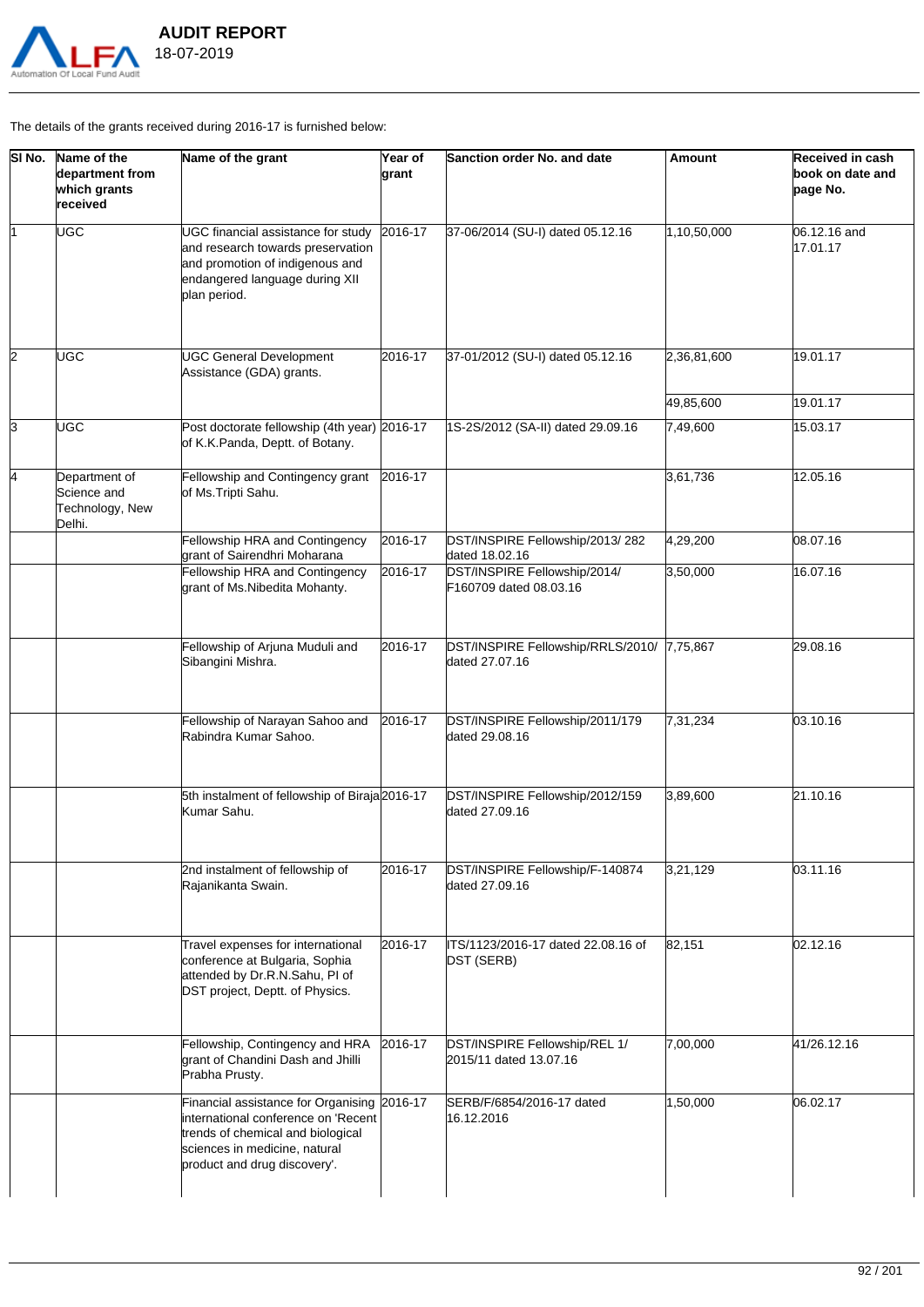

The details of the grants received during 2016-17 is furnished below:

| SI <sub>No.</sub> | Name of the<br>department from<br>which grants<br>received | Name of the grant                                                                                                                                                                | Year of<br>Sanction order No. and date<br>grant |                                                         | Amount      | Received in cash<br>book on date and<br>page No. |
|-------------------|------------------------------------------------------------|----------------------------------------------------------------------------------------------------------------------------------------------------------------------------------|-------------------------------------------------|---------------------------------------------------------|-------------|--------------------------------------------------|
|                   | lugc                                                       | UGC financial assistance for study<br>and research towards preservation<br>and promotion of indigenous and<br>endangered language during XII<br>plan period.                     | 2016-17                                         | 37-06/2014 (SU-I) dated 05.12.16                        | 1,10,50,000 | 06.12.16 and<br>17.01.17                         |
| 2                 | lugc                                                       | <b>JGC General Development</b><br>Assistance (GDA) grants.                                                                                                                       | 2016-17                                         | 37-01/2012 (SU-I) dated 05.12.16                        | 2,36,81,600 | 19.01.17                                         |
|                   |                                                            |                                                                                                                                                                                  |                                                 |                                                         | 49,85,600   | 19.01.17                                         |
| 3                 | l∪GC                                                       | Post doctorate fellowship (4th year) 2016-17<br>of K.K.Panda, Deptt. of Botany.                                                                                                  |                                                 | 1S-2S/2012 (SA-II) dated 29.09.16                       | 7,49,600    | 15.03.17                                         |
| 4                 | Department of<br>Science and<br>Technology, New<br>Delhi.  | Fellowship and Contingency grant<br>of Ms.Tripti Sahu.                                                                                                                           | 2016-17                                         |                                                         | 3,61,736    | 12.05.16                                         |
|                   |                                                            | Fellowship HRA and Contingency<br>grant of Sairendhri Moharana                                                                                                                   | 2016-17                                         | DST/INSPIRE Fellowship/2013/282<br>dated 18.02.16       | 4,29,200    | 08.07.16                                         |
|                   |                                                            | Fellowship HRA and Contingency<br>grant of Ms.Nibedita Mohanty.                                                                                                                  | 2016-17                                         | DST/INSPIRE Fellowship/2014/<br>F160709 dated 08.03.16  | 3,50,000    | 16.07.16                                         |
|                   |                                                            | Fellowship of Arjuna Muduli and<br>Sibangini Mishra.                                                                                                                             | 2016-17                                         | DST/INSPIRE Fellowship/RRLS/2010/<br>dated 27.07.16     | 7,75,867    | 29.08.16                                         |
|                   |                                                            | Fellowship of Narayan Sahoo and<br>Rabindra Kumar Sahoo.                                                                                                                         | 2016-17                                         | DST/INSPIRE Fellowship/2011/179<br>dated 29.08.16       | 7,31,234    | 03.10.16                                         |
|                   |                                                            | 5th instalment of fellowship of Biraja 2016-17<br>Kumar Sahu.                                                                                                                    |                                                 | DST/INSPIRE Fellowship/2012/159<br>dated 27.09.16       | 3,89,600    | 21.10.16                                         |
|                   |                                                            | 2nd instalment of fellowship of<br>Rajanikanta Swain.                                                                                                                            | 2016-17                                         | DST/INSPIRE Fellowship/F-140874<br>dated 27.09.16       | 3,21,129    | 03.11.16                                         |
|                   |                                                            | Travel expenses for international<br>conference at Bulgaria, Sophia<br>attended by Dr.R.N.Sahu, PI of<br>DST project, Deptt. of Physics.                                         | 2016-17                                         | ITS/1123/2016-17 dated 22.08.16 of<br><b>DST (SERB)</b> | 82,151      | 02.12.16                                         |
|                   |                                                            | Fellowship, Contingency and HRA<br>grant of Chandini Dash and Jhilli<br>Prabha Prusty.                                                                                           | 2016-17                                         | DST/INSPIRE Fellowship/REL 1/<br>2015/11 dated 13.07.16 | 7,00,000    | 41/26.12.16                                      |
|                   |                                                            | Financial assistance for Organising<br>international conference on 'Recent<br>trends of chemical and biological<br>sciences in medicine, natural<br>product and drug discovery'. | 2016-17                                         | SERB/F/6854/2016-17 dated<br>16.12.2016                 | 1,50,000    | 06.02.17                                         |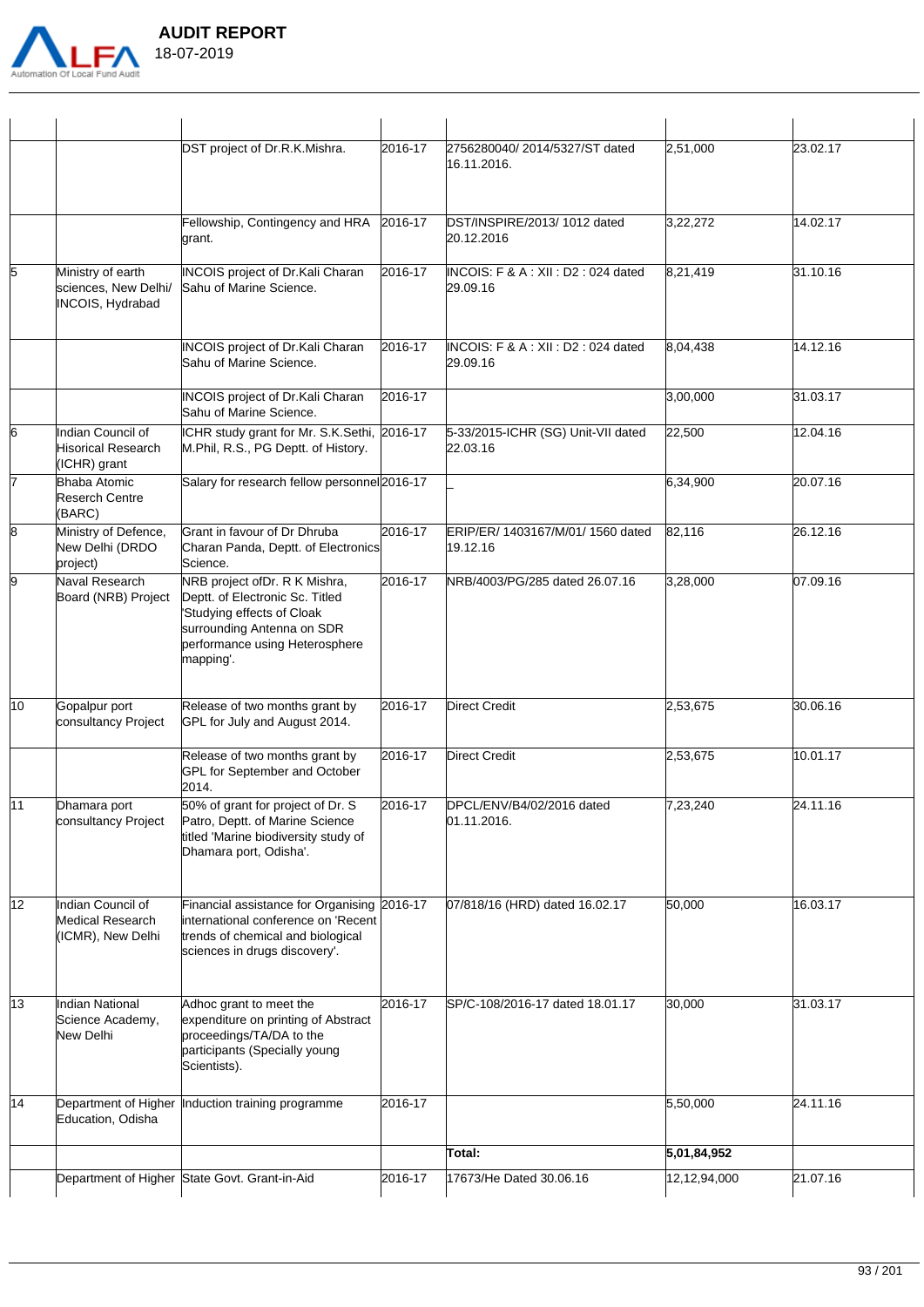

|    |                                                               | DST project of Dr.R.K.Mishra.                                                                                                                                               | 2016-17 | 2756280040/2014/5327/ST dated<br>16.11.2016.     | 2,51,000           | 23.02.17 |
|----|---------------------------------------------------------------|-----------------------------------------------------------------------------------------------------------------------------------------------------------------------------|---------|--------------------------------------------------|--------------------|----------|
|    |                                                               | Fellowship, Contingency and HRA<br>grant.                                                                                                                                   | 2016-17 | DST/INSPIRE/2013/1012 dated<br>20.12.2016        | 3,22,272           | 14.02.17 |
| 5  | Ministry of earth<br>sciences, New Delhi/<br>INCOIS, Hydrabad | <b>INCOIS project of Dr.Kali Charan</b><br>Sahu of Marine Science.                                                                                                          | 2016-17 | INCOIS: F & A : XII : D2 : 024 dated<br>29.09.16 | 8,21,419           | 31.10.16 |
|    |                                                               | <b>INCOIS project of Dr.Kali Charan</b><br>Sahu of Marine Science.                                                                                                          | 2016-17 | INCOIS: F & A : XII : D2 : 024 dated<br>29.09.16 | 8,04,438           | 14.12.16 |
|    |                                                               | <b>INCOIS project of Dr.Kali Charan</b><br>Sahu of Marine Science.                                                                                                          | 2016-17 |                                                  | 3,00,000           | 31.03.17 |
| 6  | Indian Council of<br>Hisorical Research<br>(ICHR) grant       | ICHR study grant for Mr. S.K.Sethi, 2016-17<br>M.Phil, R.S., PG Deptt. of History.                                                                                          |         | 5-33/2015-ICHR (SG) Unit-VII dated<br>22.03.16   | 22,500             | 12.04.16 |
|    | <b>Bhaba Atomic</b><br>Reserch Centre<br>(BARC)               | Salary for research fellow personnel 2016-17                                                                                                                                |         |                                                  | 6,34,900           | 20.07.16 |
| 8  | Ministry of Defence,<br>New Delhi (DRDO<br>project)           | Grant in favour of Dr Dhruba<br>Charan Panda, Deptt. of Electronics<br>Science.                                                                                             | 2016-17 | ERIP/ER/ 1403167/M/01/ 1560 dated<br>19.12.16    | 82,116             | 26.12.16 |
| 9  | Naval Research<br>Board (NRB) Project                         | NRB project ofDr. R K Mishra,<br>Deptt. of Electronic Sc. Titled<br>'Studying effects of Cloak<br>surrounding Antenna on SDR<br>performance using Heterosphere<br>mapping'. | 2016-17 | NRB/4003/PG/285 dated 26.07.16                   | 3,28,000           | 07.09.16 |
| 10 | Gopalpur port<br>consultancy Project                          | Release of two months grant by<br>GPL for July and August 2014.                                                                                                             | 2016-17 | <b>Direct Credit</b>                             | 2,53,675           | 30.06.16 |
|    |                                                               | Release of two months grant by<br><b>GPL for September and October</b><br>2014.                                                                                             | 2016-17 | <b>Direct Credit</b>                             | 2,53,675           | 10.01.17 |
| 11 | Dhamara port<br>consultancy Project                           | 50% of grant for project of Dr. S<br>Patro, Deptt. of Marine Science<br>titled 'Marine biodiversity study of<br>Dhamara port, Odisha'.                                      | 2016-17 | DPCI/FNV/B4/02/2016 dated<br>01.11.2016.         | $\sqrt{7}$ ,23,240 | 24.11.16 |
| 12 | Indian Council of<br>Medical Research<br>(ICMR), New Delhi    | Financial assistance for Organising<br>international conference on 'Recent<br>trends of chemical and biological<br>sciences in drugs discovery'.                            | 2016-17 | 07/818/16 (HRD) dated 16.02.17                   | 50,000             | 16.03.17 |
| 13 | Indian National<br>Science Academy,<br>New Delhi              | Adhoc grant to meet the<br>expenditure on printing of Abstract<br>proceedings/TA/DA to the<br>participants (Specially young<br>Scientists).                                 | 2016-17 | SP/C-108/2016-17 dated 18.01.17                  | 30,000             | 31.03.17 |
| 14 | Education, Odisha                                             | Department of Higher Induction training programme                                                                                                                           | 2016-17 |                                                  | 5,50,000           | 24.11.16 |
|    |                                                               |                                                                                                                                                                             |         | Total:                                           | 5,01,84,952        |          |
|    |                                                               | Department of Higher State Govt. Grant-in-Aid                                                                                                                               | 2016-17 | 17673/He Dated 30.06.16                          | 12,12,94,000       | 21.07.16 |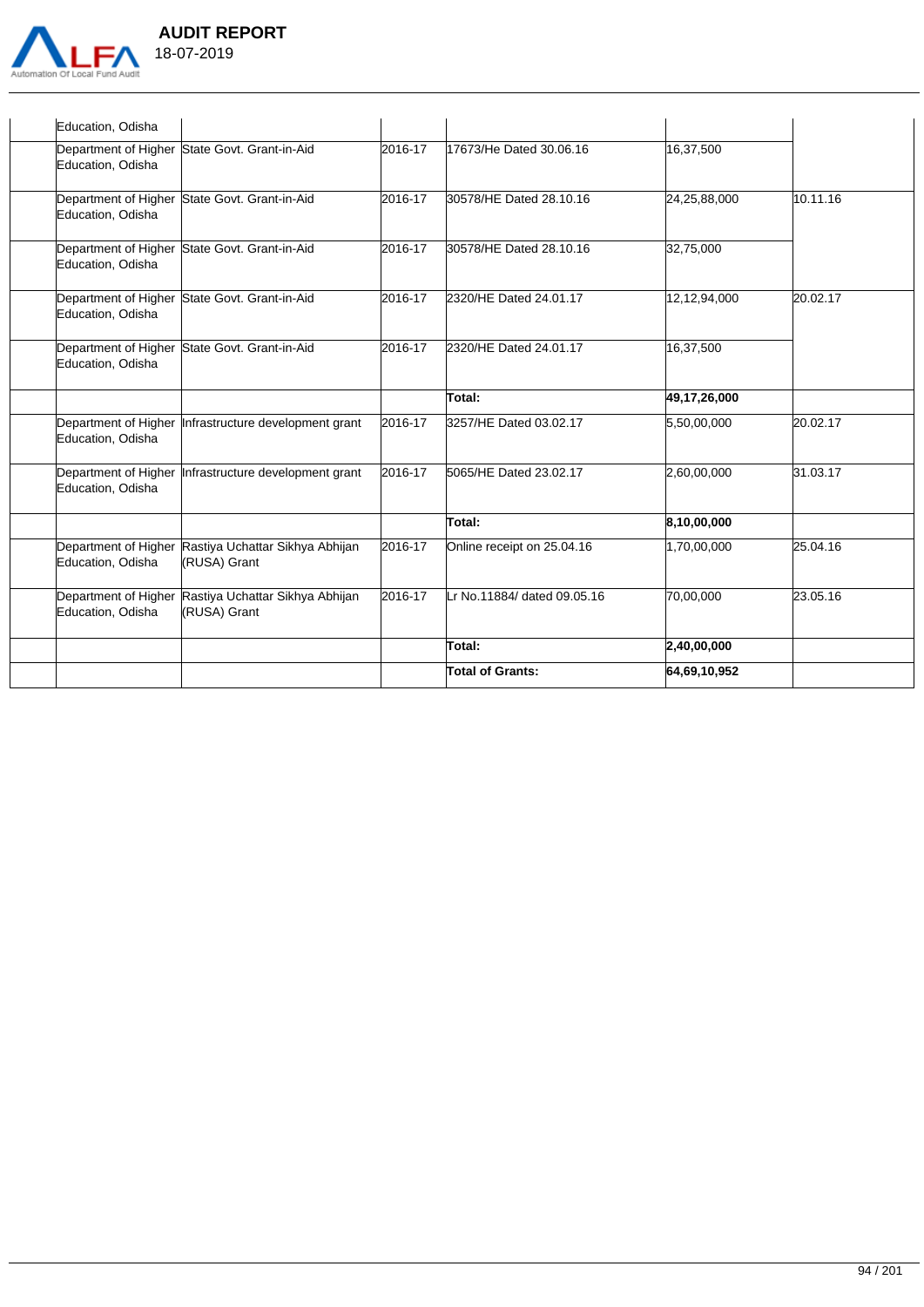

| <b>AUDIT REPORT</b> |
|---------------------|
| 18-07-2019          |

| Education, Odisha |                                                                      |         |                             |              |          |
|-------------------|----------------------------------------------------------------------|---------|-----------------------------|--------------|----------|
| Education, Odisha | Department of Higher State Govt. Grant-in-Aid                        | 2016-17 | 17673/He Dated 30.06.16     | 16,37,500    |          |
| Education, Odisha | Department of Higher State Govt. Grant-in-Aid                        | 2016-17 | 30578/HE Dated 28.10.16     | 24,25,88,000 | 10.11.16 |
| Education, Odisha | Department of Higher State Govt. Grant-in-Aid                        | 2016-17 | 30578/HE Dated 28.10.16     | 32,75,000    |          |
| Education, Odisha | Department of Higher State Govt. Grant-in-Aid                        | 2016-17 | 2320/HE Dated 24.01.17      | 12,12,94,000 | 20.02.17 |
| Education, Odisha | Department of Higher State Govt. Grant-in-Aid                        | 2016-17 | 2320/HE Dated 24.01.17      | 16,37,500    |          |
|                   |                                                                      |         | Total:                      | 49,17,26,000 |          |
| Education, Odisha | Department of Higher Infrastructure development grant                | 2016-17 | 3257/HE Dated 03.02.17      | 5,50,00,000  | 20.02.17 |
| Education, Odisha | Department of Higher Infrastructure development grant                | 2016-17 | 5065/HE Dated 23.02.17      | 2,60,00,000  | 31.03.17 |
|                   |                                                                      |         | Total:                      | 8,10,00,000  |          |
| Education, Odisha | Department of Higher Rastiya Uchattar Sikhya Abhijan<br>(RUSA) Grant | 2016-17 | Online receipt on 25.04.16  | 1,70,00,000  | 25.04.16 |
| Education, Odisha | Department of Higher Rastiya Uchattar Sikhya Abhijan<br>(RUSA) Grant | 2016-17 | Lr No.11884/ dated 09.05.16 | 70,00,000    | 23.05.16 |
|                   |                                                                      |         | Total:                      | 2,40,00,000  |          |
|                   |                                                                      |         | Total of Grants:            | 64,69,10,952 |          |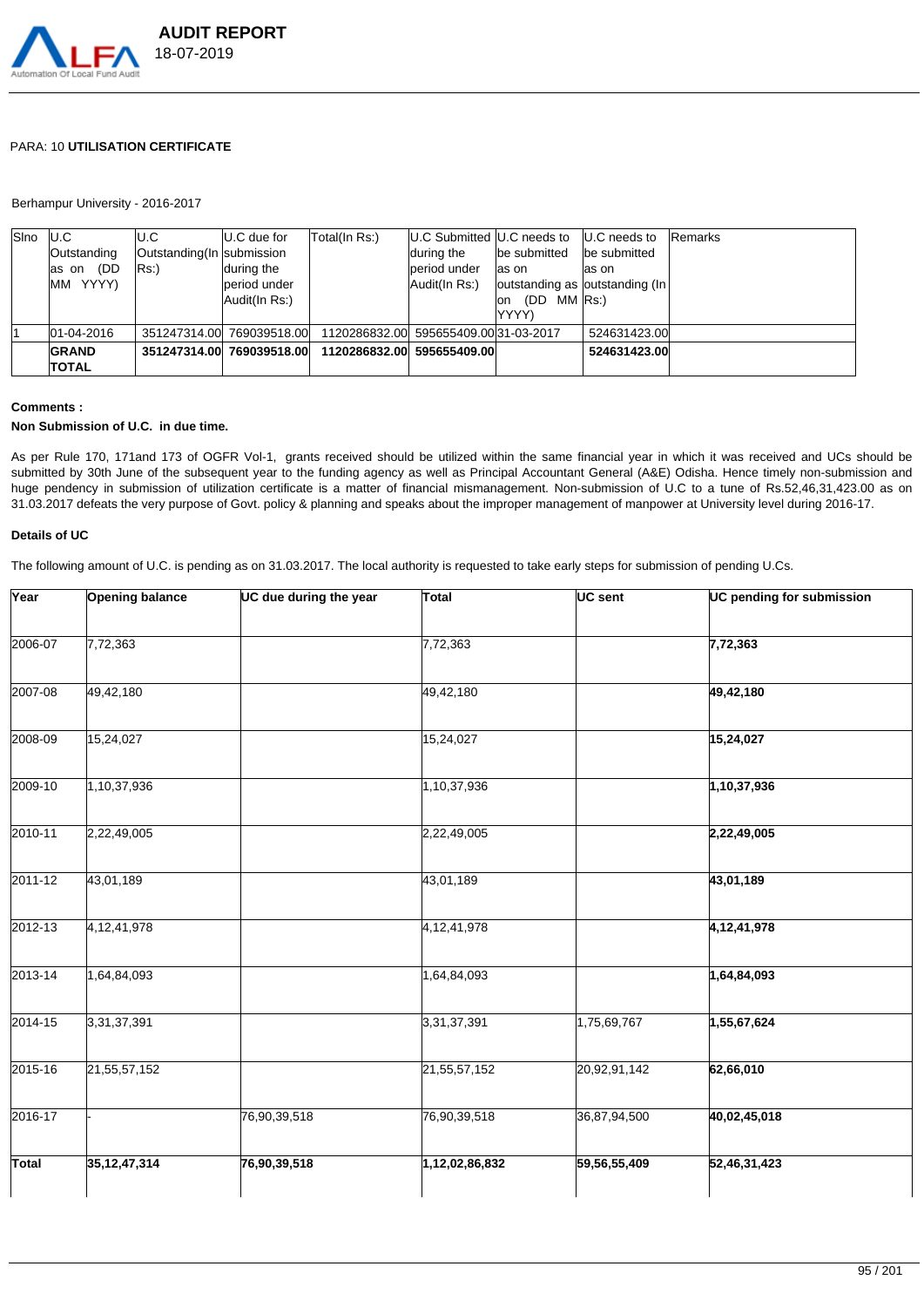

## PARA: 10 **UTILISATION CERTIFICATE**

Berhampur University - 2016-2017

| Sino | IU.C          | IU.C                       | U.C due for               | Total(In Rs:)                         | U.C Submitted U.C needs to |                                | U.C needs to | Remarks |
|------|---------------|----------------------------|---------------------------|---------------------------------------|----------------------------|--------------------------------|--------------|---------|
|      | Outstanding   | Outstanding (In submission |                           |                                       | during the                 | lbe submitted                  | be submitted |         |
|      | (DD<br>las on | IRs:)                      | during the                |                                       | beriod under               | las on                         | las on       |         |
|      | MM YYYY)      |                            | beriod under              |                                       | Audit(In Rs:)              | outstanding as outstanding (In |              |         |
|      |               |                            | Audit(In Rs:)             |                                       |                            | MM Rs:)<br>(DD)<br>lon         |              |         |
|      |               |                            |                           |                                       |                            | lYYYY)                         |              |         |
|      | 01-04-2016    |                            | 351247314.00 769039518.00 | 1120286832.00 595655409.00 31-03-2017 |                            |                                | 524631423.00 |         |
|      | <b>GRAND</b>  |                            | 351247314.00 769039518.00 | 1120286832.00 595655409.00            |                            |                                | 524631423.00 |         |
|      | <b>TOTAL</b>  |                            |                           |                                       |                            |                                |              |         |

**Comments :**

#### **Non Submission of U.C. in due time.**

As per Rule 170, 171and 173 of OGFR Vol-1, grants received should be utilized within the same financial year in which it was received and UCs should be submitted by 30th June of the subsequent year to the funding agency as well as Principal Accountant General (A&E) Odisha. Hence timely non-submission and huge pendency in submission of utilization certificate is a matter of financial mismanagement. Non-submission of U.C to a tune of Rs.52,46,31,423.00 as on 31.03.2017 defeats the very purpose of Govt. policy & planning and speaks about the improper management of manpower at University level during 2016-17.

#### **Details of UC**

The following amount of U.C. is pending as on 31.03.2017. The local authority is requested to take early steps for submission of pending U.Cs.

|                 |              | Total<br><b>UC</b> sent<br>UC due during the year |              | <b>UC</b> pending for submission |  |  |
|-----------------|--------------|---------------------------------------------------|--------------|----------------------------------|--|--|
| 7,72,363        |              | 7,72,363                                          |              | 7,72,363                         |  |  |
| 49,42,180       |              | 49,42,180                                         |              | 49,42,180                        |  |  |
| 15,24,027       |              | 15,24,027                                         |              | 15,24,027                        |  |  |
| 1,10,37,936     |              | 1,10,37,936                                       |              | 1,10,37,936                      |  |  |
| 2,22,49,005     |              | 2,22,49,005                                       |              | 2,22,49,005                      |  |  |
| 43,01,189       |              | 43,01,189                                         |              | 43,01,189                        |  |  |
| 4,12,41,978     |              | 4, 12, 41, 978                                    |              | 4, 12, 41, 978                   |  |  |
| 1,64,84,093     |              | 1,64,84,093                                       |              | 1,64,84,093                      |  |  |
| 3,31,37,391     |              | 3,31,37,391                                       | 1,75,69,767  | 1,55,67,624                      |  |  |
| 21,55,57,152    |              | 21, 55, 57, 152                                   | 20,92,91,142 | 62,66,010                        |  |  |
|                 | 76,90,39,518 | 76,90,39,518                                      | 36,87,94,500 | 40,02,45,018                     |  |  |
| 35, 12, 47, 314 | 76,90,39,518 | 1,12,02,86,832                                    | 59,56,55,409 | 52,46,31,423                     |  |  |
|                 |              |                                                   |              |                                  |  |  |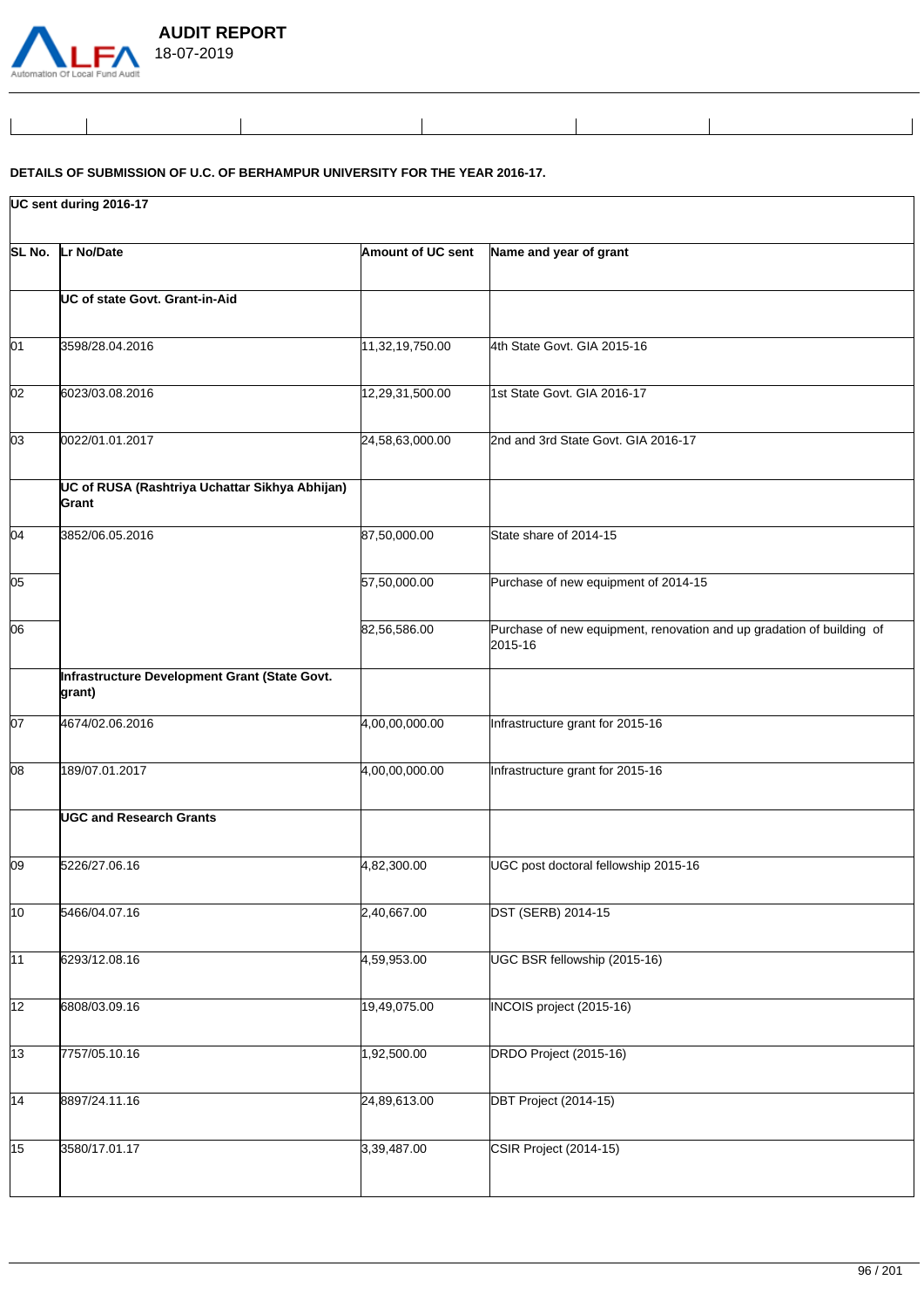

# **DETAILS OF SUBMISSION OF U.C. OF BERHAMPUR UNIVERSITY FOR THE YEAR 2016-17.**

|              | UC sent during 2016-17                                  |                   |                                                                                  |
|--------------|---------------------------------------------------------|-------------------|----------------------------------------------------------------------------------|
| SL No.       | Lr No/Date                                              | Amount of UC sent | Name and year of grant                                                           |
|              | UC of state Govt. Grant-in-Aid                          |                   |                                                                                  |
| 01           | 3598/28.04.2016                                         | 11,32,19,750.00   | 4th State Govt. GIA 2015-16                                                      |
| 02           | 6023/03.08.2016                                         | 12,29,31,500.00   | 1st State Govt. GIA 2016-17                                                      |
| 03           | 0022/01.01.2017                                         | 24,58,63,000.00   | 2nd and 3rd State Govt. GIA 2016-17                                              |
|              | UC of RUSA (Rashtriya Uchattar Sikhya Abhijan)<br>Grant |                   |                                                                                  |
| 04           | 3852/06.05.2016                                         | 87,50,000.00      | State share of 2014-15                                                           |
| 05           |                                                         | 57,50,000.00      | Purchase of new equipment of 2014-15                                             |
| 06           |                                                         | 82,56,586.00      | Purchase of new equipment, renovation and up gradation of building of<br>2015-16 |
|              | Infrastructure Development Grant (State Govt.<br>grant) |                   |                                                                                  |
| 07           | 4674/02.06.2016                                         | 4,00,00,000.00    | Infrastructure grant for 2015-16                                                 |
| 08           | 189/07.01.2017                                          | 4,00,00,000.00    | Infrastructure grant for 2015-16                                                 |
|              | <b>UGC and Research Grants</b>                          |                   |                                                                                  |
| 09           | 5226/27.06.16                                           | 4,82,300.00       | UGC post doctoral fellowship 2015-16                                             |
| 10           | 5466/04.07.16                                           | 2,40,667.00       | <b>DST (SERB) 2014-15</b>                                                        |
| 11           | 6293/12.08.16                                           | 4,59,953.00       | UGC BSR fellowship (2015-16)                                                     |
| 12           | 6808/03.09.16                                           | 19,49,075.00      | INCOIS project (2015-16)                                                         |
| $ 13\rangle$ | 7757/05.10.16                                           | 1,92,500.00       | DRDO Project (2015-16)                                                           |
| 14           | 8897/24.11.16                                           | 24,89,613.00      | DBT Project (2014-15)                                                            |
| 15           | 3580/17.01.17                                           | 3,39,487.00       | CSIR Project (2014-15)                                                           |
|              |                                                         |                   |                                                                                  |

 $\overline{\phantom{0}}$ 

 $\overline{\phantom{a}}$ 

 $\overline{\phantom{a}}$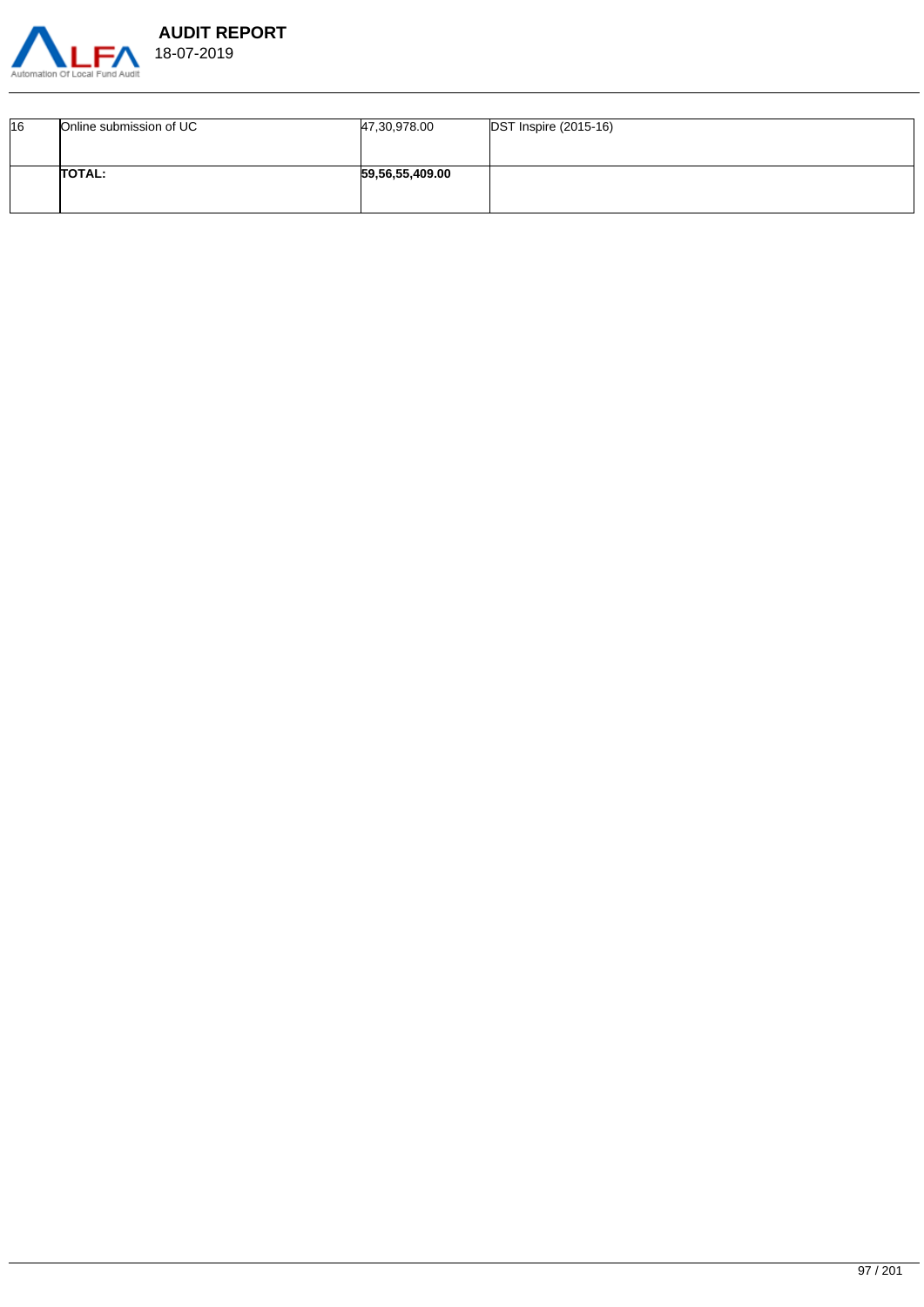

| 16 | Online submission of UC | 47,30,978.00    | <b>DST Inspire (2015-16)</b> |
|----|-------------------------|-----------------|------------------------------|
|    | <b>TOTAL:</b>           | 59,56,55,409.00 |                              |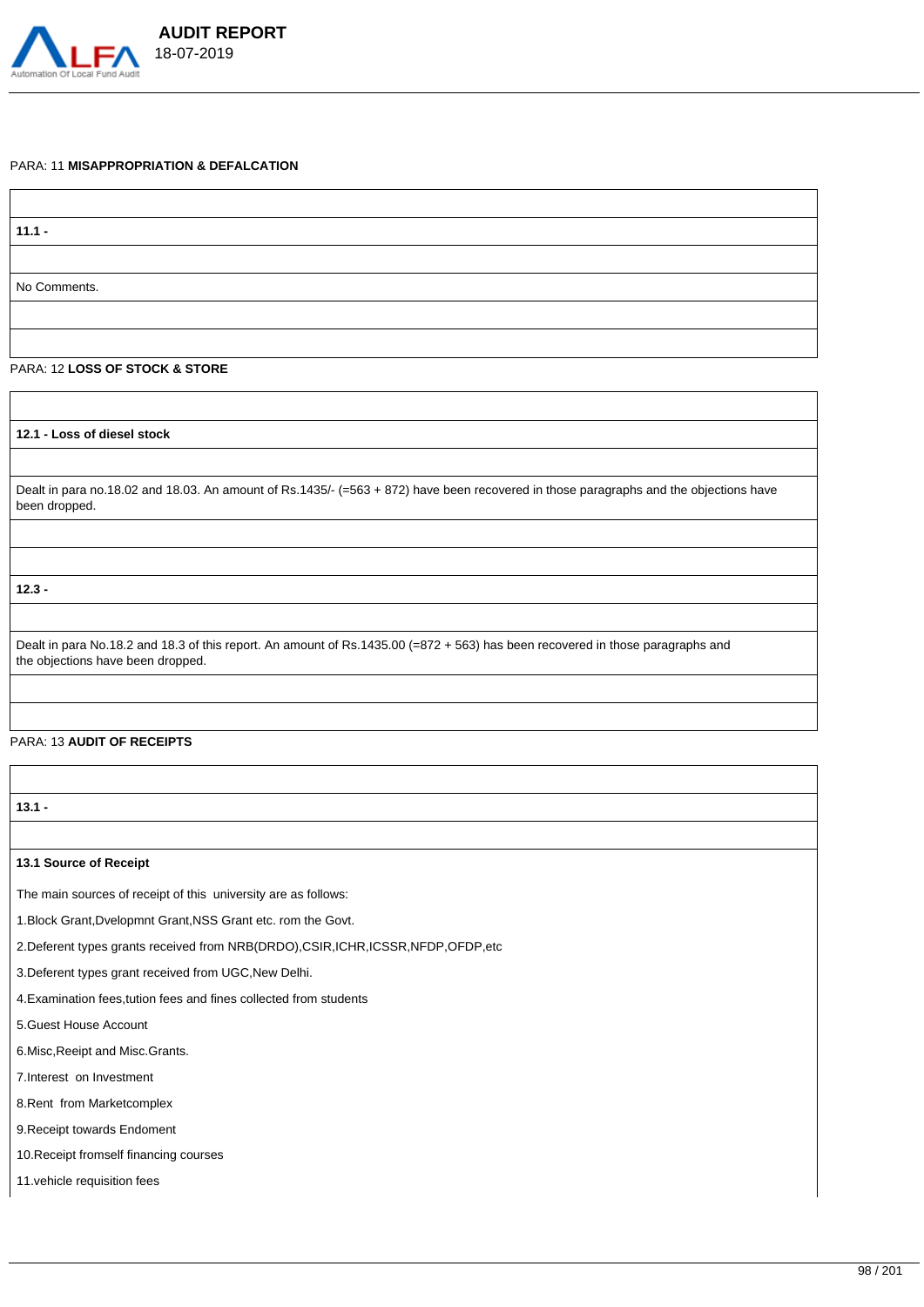

## PARA: 11 **MISAPPROPRIATION & DEFALCATION**

**11.1 -** 

No Comments.

#### PARA: 12 **LOSS OF STOCK & STORE**

**12.1 - Loss of diesel stock**

Dealt in para no.18.02 and 18.03. An amount of Rs.1435/- (=563 + 872) have been recovered in those paragraphs and the objections have been dropped.

**12.3 -** 

Dealt in para No.18.2 and 18.3 of this report. An amount of Rs.1435.00 (=872 + 563) has been recovered in those paragraphs and the objections have been dropped.

#### PARA: 13 **AUDIT OF RECEIPTS**

**13.1 -** 

**13.1 Source of Receipt**

The main sources of receipt of this university are as follows:

1.Block Grant,Dvelopmnt Grant,NSS Grant etc. rom the Govt.

2.Deferent types grants received from NRB(DRDO),CSIR,ICHR,ICSSR,NFDP,OFDP,etc

3.Deferent types grant received from UGC,New Delhi.

4.Examination fees,tution fees and fines collected from students

5.Guest House Account

6.Misc,Reeipt and Misc.Grants.

7.Interest on Investment

8.Rent from Marketcomplex

9.Receipt towards Endoment

10.Receipt fromself financing courses

11.vehicle requisition fees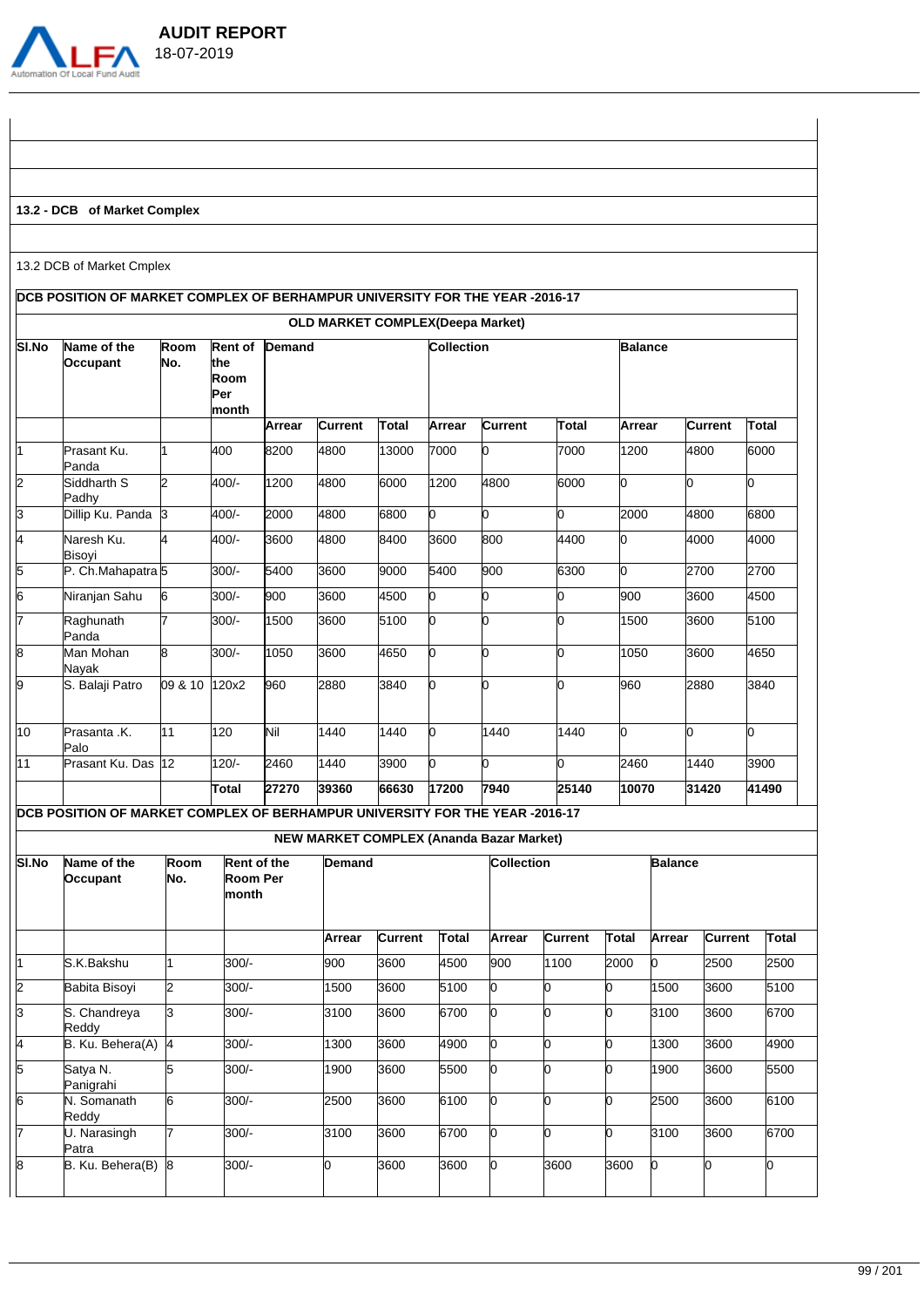

**13.2 - DCB of Market Complex**

13.2 DCB of Market Cmplex

# **DCB POSITION OF MARKET COMPLEX OF BERHAMPUR UNIVERSITY FOR THE YEAR -2016-17**

|                 |                         |              |                                               |        | <b>OLD MARKET COMPLEX(Deepa Market)</b> |       |                   |                |       |                |         |       |
|-----------------|-------------------------|--------------|-----------------------------------------------|--------|-----------------------------------------|-------|-------------------|----------------|-------|----------------|---------|-------|
| SI.No           | Name of the<br>Occupant | Room<br>No.  | <b>Rent of</b><br>the<br>Room<br>Per<br>month | Demand |                                         |       | <b>Collection</b> |                |       | <b>Balance</b> |         |       |
|                 |                         |              |                                               | Arrear | <b>Current</b>                          | Total | Arrear            | <b>Current</b> | Total | Arrear         | Current | Total |
| 1               | Prasant Ku.<br>Panda    |              | 400                                           | 8200   | 4800                                    | 13000 | 7000              | O              | 7000  | 1200           | 4800    | 6000  |
| 2               | Siddharth S<br>Padhy    | 2            | 400/-                                         | 1200   | 4800                                    | 6000  | 1200              | 4800           | 6000  | Ю              | b       | In.   |
| 3               | Dillip Ku. Panda        | $\mathsf{B}$ | 400/-                                         | 2000   | 4800                                    | 6800  | O                 | b              | O.    | 2000           | 4800    | 6800  |
| 4               | Naresh Ku.<br>Bisovi    | 4            | 400/-                                         | 3600   | 4800                                    | 8400  | 3600              | 800            | 4400  | O              | 4000    | 4000  |
| 5               | P. Ch.Mahapatra 5       |              | $300/-$                                       | 5400   | 3600                                    | 9000  | 5400              | 900            | 6300  | lo.            | 2700    | 2700  |
| 6               | Niranjan Sahu           | 6            | $300/-$                                       | 900    | 3600                                    | 4500  | n                 | Ю              |       | 900            | 3600    | 4500  |
| $\overline{7}$  | Raghunath<br>Panda      |              | $300/-$                                       | 1500   | 3600                                    | 5100  | h                 | h              |       | 1500           | 3600    | 5100  |
| 8               | Man Mohan<br>Nayak      | 8            | $300/-$                                       | 1050   | 3600                                    | 4650  | O                 | O              | 0     | 1050           | 3600    | 4650  |
| 9               | S. Balaji Patro         | 09 & 10      | 120x2                                         | 960    | 2880                                    | 3840  | h                 | l0             | h     | 960            | 2880    | 3840  |
| 10 <sup>1</sup> | Prasanta .K.<br>Palo    | 11           | 120                                           | Nil    | 1440                                    | 1440  | O                 | 1440           | 1440  | ю              | lo      | b     |
| 11              | Prasant Ku. Das         | 12           | $120/-$                                       | 2460   | 1440                                    | 3900  | O                 | l0             | n     | 2460           | 1440    | 3900  |
|                 |                         |              | Total                                         | 27270  | 39360                                   | 66630 | 17200             | 7940           | 25140 | 10070          | 31420   | 41490 |

# **DCB POSITION OF MARKET COMPLEX OF BERHAMPUR UNIVERSITY FOR THE YEAR -2016-17**

 **NEW MARKET COMPLEX (Ananda Bazar Market)**

| <b>SI.No</b> | Name of the<br>Occupant     | Room<br>No. | <b>Rent of the</b><br>Room Per<br>month | Demand |                |       | <b>Collection</b> |                |       | <b>Balance</b> |                |       |
|--------------|-----------------------------|-------------|-----------------------------------------|--------|----------------|-------|-------------------|----------------|-------|----------------|----------------|-------|
|              |                             |             |                                         | Arrear | <b>Current</b> | Total | Arrear            | <b>Current</b> | Total | Arrear         | <b>Current</b> | Total |
|              | lS.K.Bakshu                 |             | $300/-$                                 | 900    | 3600           | 4500  | 900               | 1100           | 2000  | Ю              | 2500           | 2500  |
| 2            | Babita Bisoyi               | I2          | $300/-$                                 | 1500   | 3600           | 5100  | n                 |                | n     | 1500           | 3600           | 5100  |
| l3           | S. Chandreya<br>Reddy       | b           | $300/-$                                 | 3100   | 3600           | 6700  |                   | n              |       | 3100           | 3600           | 6700  |
| l4           | B. Ku. Behera(A) 4          |             | $300/-$                                 | 1300   | 3600           | 4900  | n                 | n              |       | 1300           | 3600           | 4900  |
| 5            | Satya N.<br>Panigrahi       | 5           | $300/-$                                 | 1900   | 3600           | 5500  |                   | h              |       | 1900           | 3600           | 5500  |
| 16           | <b>N. Somanath</b><br>Reddy | 6           | $300/-$                                 | 2500   | 3600           | 6100  |                   | n              | n     | 2500           | 3600           | 6100  |
| 17           | U. Narasingh<br>Patra       | 7           | $300/-$                                 | 3100   | 3600           | 6700  |                   | h              |       | 3100           | 3600           | 6700  |
| 18           | B. Ku. Behera(B)            | 8           | $300/-$                                 |        | 3600           | 3600  | n                 | 3600           | 3600  | O              | 0              | Ю     |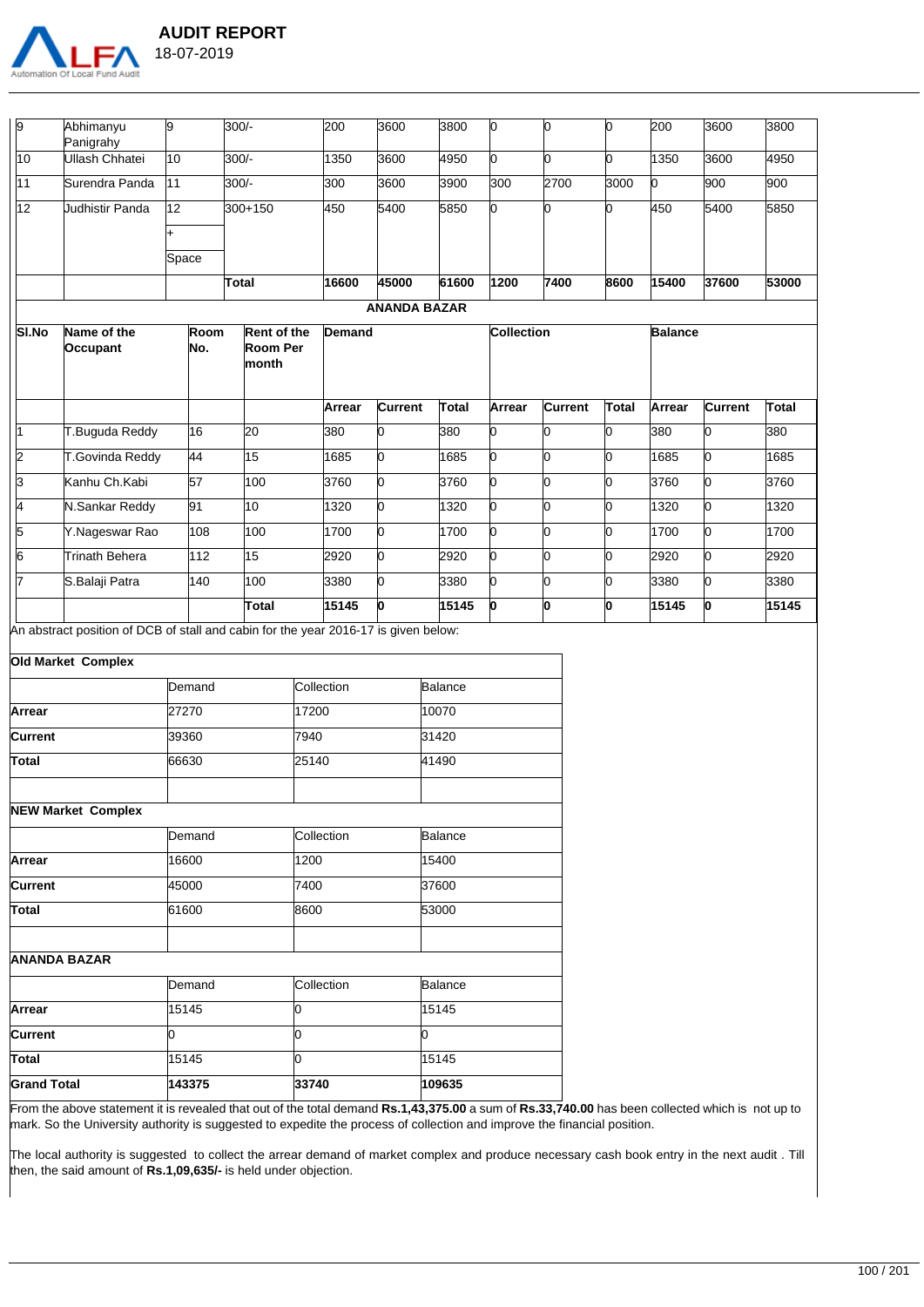

| <b>AUDIT REPORT</b> |
|---------------------|
| 18-07-2019          |

| $\overline{9}$     | Abhimanyu<br>Panigrahy                                                                                                                          | 9           | $300/-$                          |       | 200        | 3600                | 3800           | lo                | 0              | lo.   | 200            | 3600           | 3800  |
|--------------------|-------------------------------------------------------------------------------------------------------------------------------------------------|-------------|----------------------------------|-------|------------|---------------------|----------------|-------------------|----------------|-------|----------------|----------------|-------|
| 10                 | Ullash Chhatei                                                                                                                                  | 10          | $300/-$                          |       | 1350       | 3600                | 4950           | lo.               | 0              | lo.   | 1350           | 3600           | 4950  |
| $\overline{11}$    | Surendra Panda                                                                                                                                  | 11          | $300/-$                          |       | 300        | 3600                | 3900           | 300               | 2700           | 3000  | lo.            | 900            | 900   |
| 12                 | Judhistir Panda                                                                                                                                 | 12          | 300+150                          |       | 450        | 5400                | 5850           | lo.               | 0              | lo.   | 450            | 5400           | 5850  |
|                    |                                                                                                                                                 |             |                                  |       |            |                     |                |                   |                |       |                |                |       |
|                    |                                                                                                                                                 | Space       |                                  |       |            |                     |                |                   |                |       |                |                |       |
|                    |                                                                                                                                                 |             | Total                            |       | 16600      | 45000               | 61600          | 1200              | 7400           | 8600  | 15400          | 37600          | 53000 |
|                    |                                                                                                                                                 |             |                                  |       |            | <b>ANANDA BAZAR</b> |                |                   |                |       |                |                |       |
| SI.No              | Name of the<br>Occupant                                                                                                                         | Room<br>No. | Rent of the<br>Room Per<br>month |       | Demand     |                     |                | <b>Collection</b> |                |       | <b>Balance</b> |                |       |
|                    |                                                                                                                                                 |             |                                  |       | Arrear     | <b>Current</b>      | Total          | <b>Arrear</b>     | <b>Current</b> | Total | Arrear         | <b>Current</b> | Total |
| 1                  | T.Buguda Reddy                                                                                                                                  | 16          | 20                               |       | 380        | lo.                 | 380            | lo.               | O              | lo.   | 380            | lo.            | 380   |
| $\overline{2}$     | T.Govinda Reddy                                                                                                                                 | 44          | 15                               |       | 1685       | ю                   | 1685           | o                 | O              | lo.   | 1685           | lo.            | 1685  |
| 3                  | Kanhu Ch.Kabi                                                                                                                                   | 57          | 100                              |       | 3760       | lo.                 | 3760           | lo.               | O              | lo.   | 3760           | lo.            | 3760  |
| 4                  | N.Sankar Reddy                                                                                                                                  | 91          | 10                               |       | 1320       | lo.                 | 1320           | lo.               | O              | lo.   | 1320           | lo.            | 1320  |
| 5                  | Y.Nageswar Rao                                                                                                                                  | 108         | 100                              |       | 1700       | ю                   | 1700           | O                 | O              | lo.   | 1700           | lo.            | 1700  |
| 6                  | Trinath Behera                                                                                                                                  | 112         | 15                               |       | 2920       | b                   | 2920           | lo.               | O              | lo.   | 2920           | lo.            | 2920  |
| 7                  | S.Balaji Patra                                                                                                                                  | 140         | 100                              |       | 3380       | lo.                 | 3380           | lo.               | O              | lo.   | 3380           | lo.            | 3380  |
|                    |                                                                                                                                                 |             | Total                            |       | 15145      | o                   | 15145          | O                 | O              | lo.   | 15145          | O,             | 15145 |
|                    | An abstract position of DCB of stall and cabin for the year 2016-17 is given below:                                                             |             |                                  |       |            |                     |                |                   |                |       |                |                |       |
|                    | Old Market Complex                                                                                                                              |             |                                  |       |            |                     |                |                   |                |       |                |                |       |
|                    |                                                                                                                                                 | Demand      |                                  |       | Collection |                     | Balance        |                   |                |       |                |                |       |
| Arrear             |                                                                                                                                                 | 27270       |                                  | 17200 |            |                     | 10070          |                   |                |       |                |                |       |
| <b>Current</b>     |                                                                                                                                                 | 39360       |                                  | 7940  |            |                     | 31420          |                   |                |       |                |                |       |
| Total              |                                                                                                                                                 | 66630       |                                  | 25140 |            | 41490               |                |                   |                |       |                |                |       |
|                    |                                                                                                                                                 |             |                                  |       |            |                     |                |                   |                |       |                |                |       |
|                    | NEW Market Complex                                                                                                                              | Demand      |                                  |       | Collection |                     | Balance        |                   |                |       |                |                |       |
| Arrear             |                                                                                                                                                 | 16600       |                                  | 1200  |            |                     |                |                   |                |       |                |                |       |
| <b>Current</b>     |                                                                                                                                                 | 45000       |                                  | 7400  |            |                     | 15400<br>37600 |                   |                |       |                |                |       |
| Total              |                                                                                                                                                 | 61600       |                                  | 8600  |            |                     | 53000          |                   |                |       |                |                |       |
|                    |                                                                                                                                                 |             |                                  |       |            |                     |                |                   |                |       |                |                |       |
|                    | <b>ANANDA BAZAR</b>                                                                                                                             |             |                                  |       |            |                     |                |                   |                |       |                |                |       |
|                    |                                                                                                                                                 | Demand      |                                  |       | Collection |                     | Balance        |                   |                |       |                |                |       |
| Arrear             |                                                                                                                                                 | 15145       |                                  | 0     |            |                     | 15145          |                   |                |       |                |                |       |
| <b>Current</b>     |                                                                                                                                                 | Ю           |                                  | Ю     |            | Ю                   |                |                   |                |       |                |                |       |
| Total              |                                                                                                                                                 | 15145       |                                  | O     |            |                     | 15145          |                   |                |       |                |                |       |
| <b>Grand Total</b> |                                                                                                                                                 | 143375      |                                  | 33740 |            |                     | 109635         |                   |                |       |                |                |       |
|                    | From the above statement it is revealed that out of the total demand Rs.1,43,375.00 a sum of Rs.33,740.00 has been collected which is not up to |             |                                  |       |            |                     |                |                   |                |       |                |                |       |

mark. So the University authority is suggested to expedite the process of collection and improve the financial position.

The local authority is suggested to collect the arrear demand of market complex and produce necessary cash book entry in the next audit . Till then, the said amount of **Rs.1,09,635/-** is held under objection.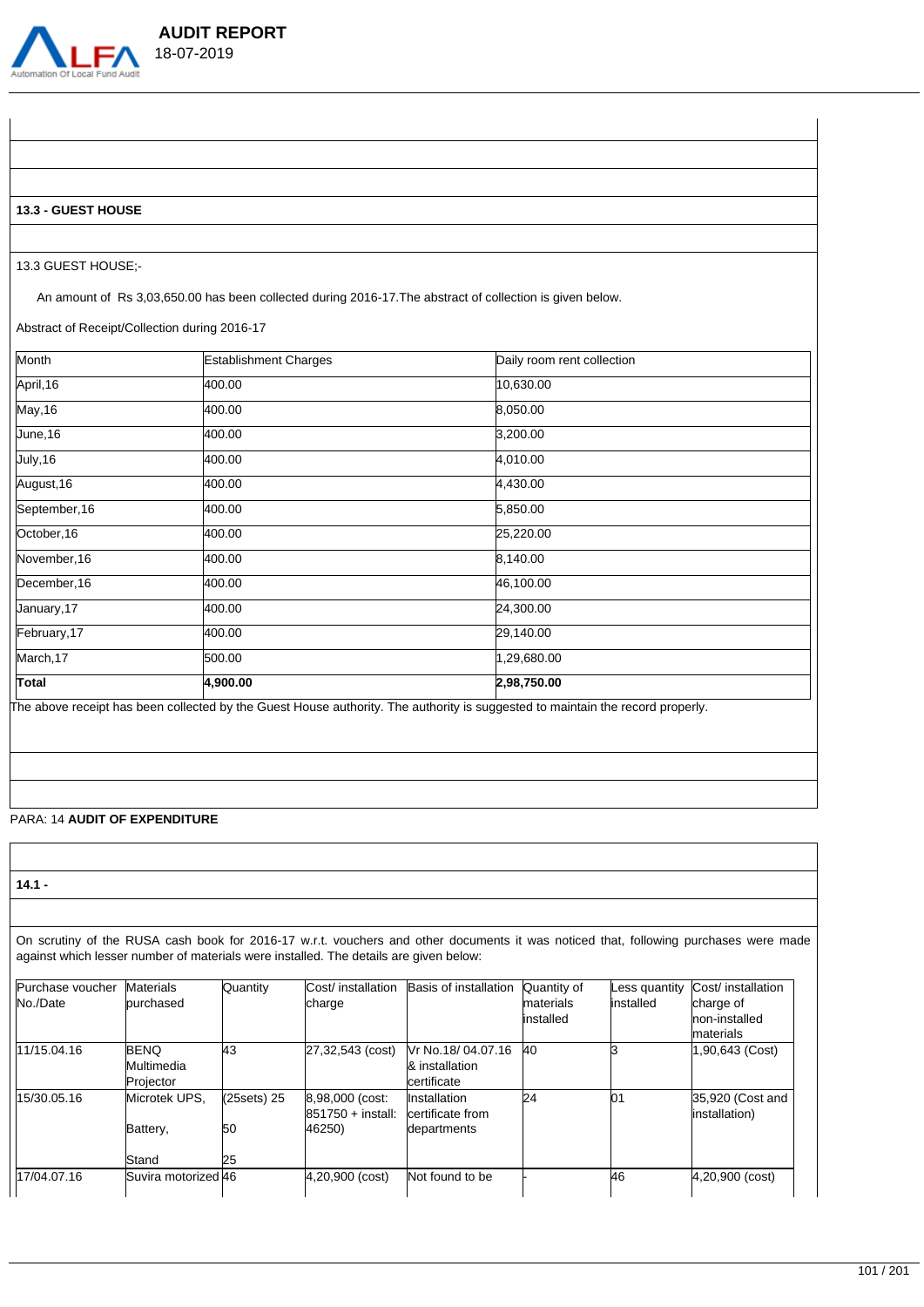

# **13.3 - GUEST HOUSE**

13.3 GUEST HOUSE;-

An amount of Rs 3,03,650.00 has been collected during 2016-17.The abstract of collection is given below.

Abstract of Receipt/Collection during 2016-17

| Month         | <b>Establishment Charges</b> | Daily room rent collection |  |
|---------------|------------------------------|----------------------------|--|
| April, 16     | 400.00                       | 10,630.00                  |  |
| May, 16       | 400.00                       | 8,050.00                   |  |
| June, 16      | 400.00                       | 3,200.00                   |  |
| July, 16      | 400.00                       | 4,010.00                   |  |
| August, 16    | 400.00                       | 4,430.00                   |  |
| September, 16 | 400.00                       | 5,850.00                   |  |
| October, 16   | 400.00                       | 25,220.00                  |  |
| November, 16  | 400.00                       | 8,140.00                   |  |
| December, 16  | 400.00                       | 46,100.00                  |  |
| January, 17   | 400.00                       | 24,300.00                  |  |
| February, 17  | 400.00                       | 29,140.00                  |  |
| March, 17     | 500.00                       | 1,29,680.00                |  |
| Total         | 4,900.00                     | 2,98,750.00                |  |

#### PARA: 14 **AUDIT OF EXPENDITURE**

**14.1 -** 

On scrutiny of the RUSA cash book for 2016-17 w.r.t. vouchers and other documents it was noticed that, following purchases were made against which lesser number of materials were installed. The details are given below:

| Purchase voucher<br>No./Date | <b>Materials</b><br>lpurchased                | Quantity          | Cost/ installation<br>charge                             | Basis of installation                                  | Quantity of<br>lmaterials<br>linstalled | Less quantity<br>installed | Cost/ installation<br>charge of<br>non-installed<br>materials |
|------------------------------|-----------------------------------------------|-------------------|----------------------------------------------------------|--------------------------------------------------------|-----------------------------------------|----------------------------|---------------------------------------------------------------|
| 11/15.04.16                  | <b>BENQ</b><br><b>Multimedia</b><br>Projector | 43                | 27,32,543 (cost)                                         | Vr No.18/04.07.16<br>& installation<br>certificate     | <b>40</b>                               |                            | 1,90,643 (Cost)                                               |
| 15/30.05.16                  | Microtek UPS.<br>Battery,                     | (25sets) 25<br>50 | 8,98,000 (cost:<br>$ 851750 + \text{install} $<br>46250) | <b>Installation</b><br>certificate from<br>departments | 24                                      | 01                         | 35,920 (Cost and<br>installation)                             |
| 17/04.07.16                  | Stand<br>Suvira motorized 46                  | 25                | $ 4,20,900$ (cost)                                       | Not found to be                                        |                                         | 46                         | 4,20,900 (cost)                                               |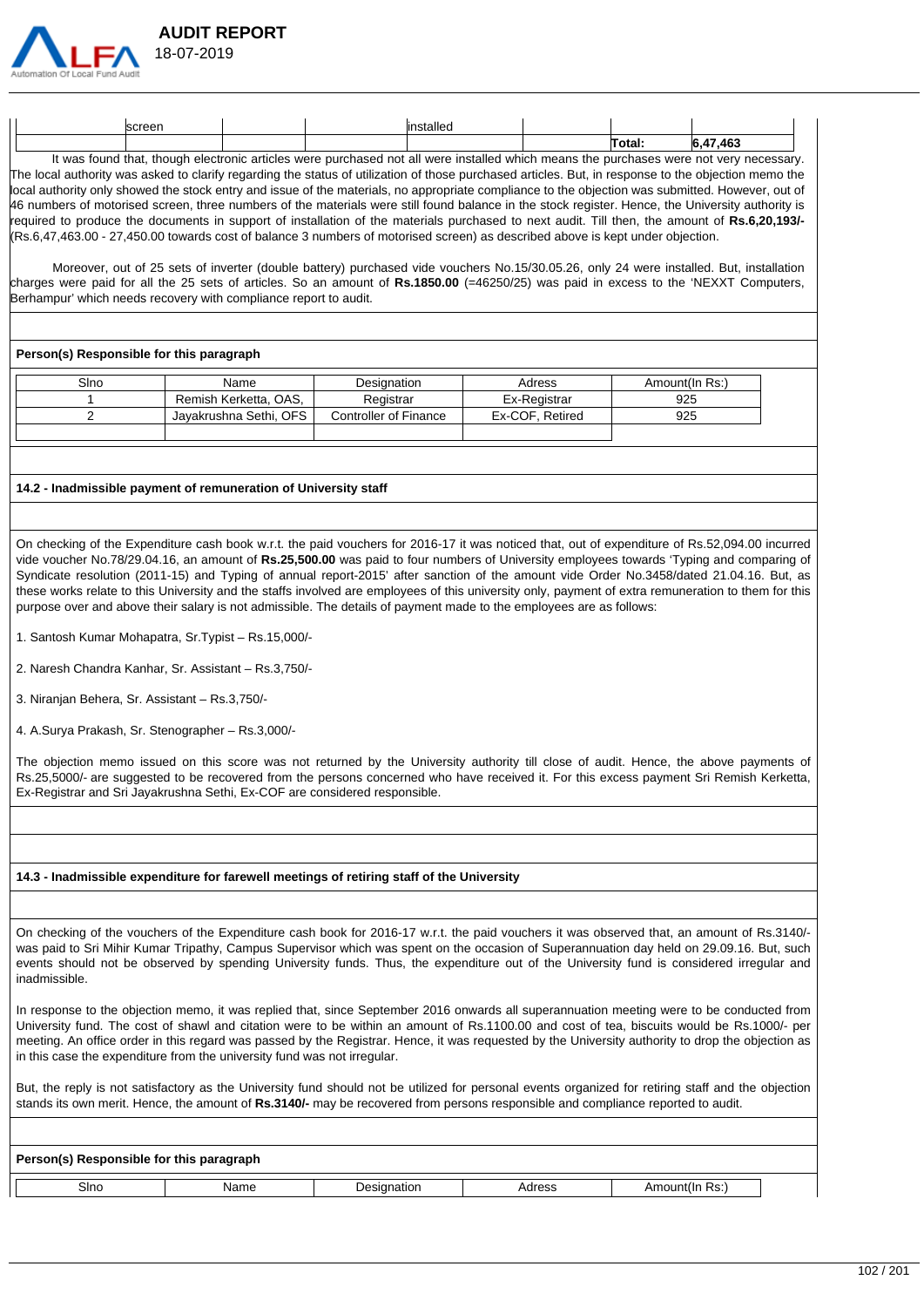

|  | <b>Iscreen</b> |  | installed                                                                                                                                            |        |          |  |
|--|----------------|--|------------------------------------------------------------------------------------------------------------------------------------------------------|--------|----------|--|
|  |                |  |                                                                                                                                                      | Total: | 6.47.463 |  |
|  |                |  | It was found that, though electronic articles were purchased not all were installed which means the purchases were not very necessary.               |        |          |  |
|  |                |  | The local authority was asked to clarify regarding the status of utilization of those purchased articles. But, in response to the objection memo the |        |          |  |
|  |                |  | local authority only showed the stock entry and issue of the materials, no appropriate compliance to the objection was submitted. However, out of    |        |          |  |
|  |                |  | 46 numbers of motorised screen, three numbers of the materials were still found balance in the stock register. Hence, the University authority is    |        |          |  |
|  |                |  | required to produce the documents in support of installation of the materials purchased to next audit. Till then, the amount of Rs.6,20,193/-        |        |          |  |

 Moreover, out of 25 sets of inverter (double battery) purchased vide vouchers No.15/30.05.26, only 24 were installed. But, installation charges were paid for all the 25 sets of articles. So an amount of **Rs.1850.00** (=46250/25) was paid in excess to the 'NEXXT Computers, Berhampur' which needs recovery with compliance report to audit.

(Rs.6,47,463.00 - 27,450.00 towards cost of balance 3 numbers of motorised screen) as described above is kept under objection.

#### **Person(s) Responsible for this paragraph**

| Slno | Name                   | Designation                  | Adress          | Amount(In Rs:) |
|------|------------------------|------------------------------|-----------------|----------------|
|      | Remish Kerketta, OAS,  | Registrar                    | Ex-Registrar    | 925            |
|      | Javakrushna Sethi, OFS | <b>Controller of Finance</b> | Ex-COF, Retired | 925            |
|      |                        |                              |                 |                |

#### **14.2 - Inadmissible payment of remuneration of University staff**

On checking of the Expenditure cash book w.r.t. the paid vouchers for 2016-17 it was noticed that, out of expenditure of Rs.52,094.00 incurred vide voucher No.78/29.04.16, an amount of **Rs.25,500.00** was paid to four numbers of University employees towards 'Typing and comparing of Syndicate resolution (2011-15) and Typing of annual report-2015' after sanction of the amount vide Order No.3458/dated 21.04.16. But, as these works relate to this University and the staffs involved are employees of this university only, payment of extra remuneration to them for this purpose over and above their salary is not admissible. The details of payment made to the employees are as follows:

- 1. Santosh Kumar Mohapatra, Sr.Typist Rs.15,000/-
- 2. Naresh Chandra Kanhar, Sr. Assistant Rs.3,750/-
- 3. Niranjan Behera, Sr. Assistant Rs.3,750/-

4. A.Surya Prakash, Sr. Stenographer – Rs.3,000/-

The objection memo issued on this score was not returned by the University authority till close of audit. Hence, the above payments of Rs.25,5000/- are suggested to be recovered from the persons concerned who have received it. For this excess payment Sri Remish Kerketta, Ex-Registrar and Sri Jayakrushna Sethi, Ex-COF are considered responsible.

#### **14.3 - Inadmissible expenditure for farewell meetings of retiring staff of the University**

On checking of the vouchers of the Expenditure cash book for 2016-17 w.r.t. the paid vouchers it was observed that, an amount of Rs.3140/ was paid to Sri Mihir Kumar Tripathy, Campus Supervisor which was spent on the occasion of Superannuation day held on 29.09.16. But, such events should not be observed by spending University funds. Thus, the expenditure out of the University fund is considered irregular and inadmissible.

In response to the objection memo, it was replied that, since September 2016 onwards all superannuation meeting were to be conducted from University fund. The cost of shawl and citation were to be within an amount of Rs.1100.00 and cost of tea, biscuits would be Rs.1000/- per meeting. An office order in this regard was passed by the Registrar. Hence, it was requested by the University authority to drop the objection as in this case the expenditure from the university fund was not irregular.

But, the reply is not satisfactory as the University fund should not be utilized for personal events organized for retiring staff and the objection stands its own merit. Hence, the amount of **Rs.3140/-** may be recovered from persons responsible and compliance reported to audit.

| Person(s) Responsible for this paragraph |      |      |             |               |               |  |  |
|------------------------------------------|------|------|-------------|---------------|---------------|--|--|
|                                          | Sino | Name | Designation | <b>\dress</b> | Amount(In Rs: |  |  |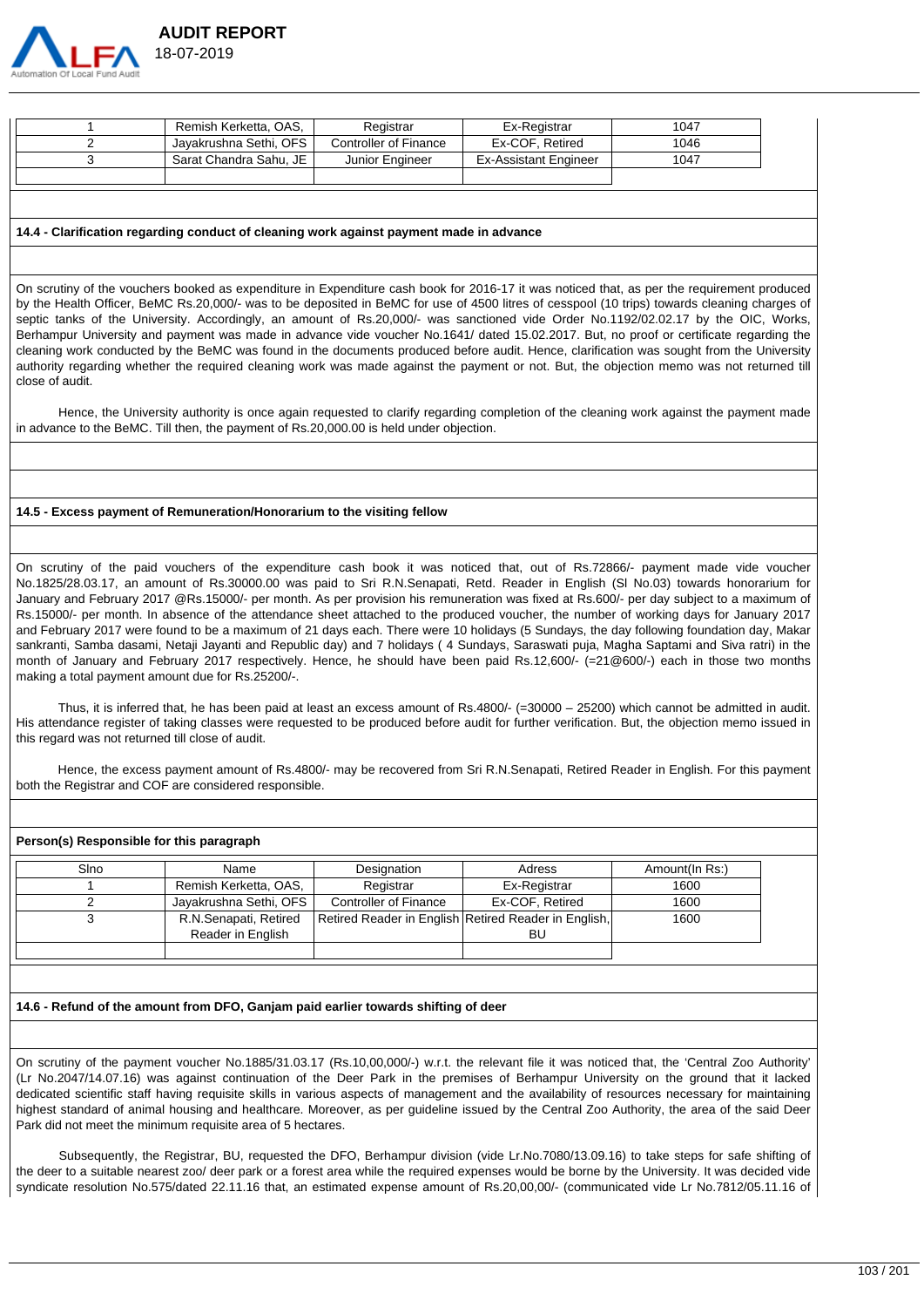

| Remish Kerketta, OAS.    | Registrar                    | Ex-Registrar          | 1047 |
|--------------------------|------------------------------|-----------------------|------|
| Jayakrushna Sethi, OFS I | <b>Controller of Finance</b> | Ex-COF, Retired       | 1046 |
| Sarat Chandra Sahu, JE   | Junior Engineer              | Ex-Assistant Engineer | 1047 |
|                          |                              |                       |      |

#### **14.4 - Clarification regarding conduct of cleaning work against payment made in advance**

 **AUDIT REPORT** 

On scrutiny of the vouchers booked as expenditure in Expenditure cash book for 2016-17 it was noticed that, as per the requirement produced by the Health Officer, BeMC Rs.20,000/- was to be deposited in BeMC for use of 4500 litres of cesspool (10 trips) towards cleaning charges of septic tanks of the University. Accordingly, an amount of Rs.20,000/- was sanctioned vide Order No.1192/02.02.17 by the OIC, Works, Berhampur University and payment was made in advance vide voucher No.1641/ dated 15.02.2017. But, no proof or certificate regarding the cleaning work conducted by the BeMC was found in the documents produced before audit. Hence, clarification was sought from the University authority regarding whether the required cleaning work was made against the payment or not. But, the objection memo was not returned till close of audit.

 Hence, the University authority is once again requested to clarify regarding completion of the cleaning work against the payment made in advance to the BeMC. Till then, the payment of Rs.20,000.00 is held under objection.

#### **14.5 - Excess payment of Remuneration/Honorarium to the visiting fellow**

On scrutiny of the paid vouchers of the expenditure cash book it was noticed that, out of Rs.72866/- payment made vide voucher No.1825/28.03.17, an amount of Rs.30000.00 was paid to Sri R.N.Senapati, Retd. Reader in English (Sl No.03) towards honorarium for January and February 2017 @Rs.15000/- per month. As per provision his remuneration was fixed at Rs.600/- per day subject to a maximum of Rs.15000/- per month. In absence of the attendance sheet attached to the produced voucher, the number of working days for January 2017 and February 2017 were found to be a maximum of 21 days each. There were 10 holidays (5 Sundays, the day following foundation day, Makar sankranti, Samba dasami, Netaji Jayanti and Republic day) and 7 holidays ( 4 Sundays, Saraswati puja, Magha Saptami and Siva ratri) in the month of January and February 2017 respectively. Hence, he should have been paid Rs.12,600/- (=21@600/-) each in those two months making a total payment amount due for Rs.25200/-.

 Thus, it is inferred that, he has been paid at least an excess amount of Rs.4800/- (=30000 – 25200) which cannot be admitted in audit. His attendance register of taking classes were requested to be produced before audit for further verification. But, the objection memo issued in this regard was not returned till close of audit.

 Hence, the excess payment amount of Rs.4800/- may be recovered from Sri R.N.Senapati, Retired Reader in English. For this payment both the Registrar and COF are considered responsible.

#### **Person(s) Responsible for this paragraph**

| Slno | Name                   | Designation                  | Adress                                               | Amount(In Rs:) |
|------|------------------------|------------------------------|------------------------------------------------------|----------------|
|      | Remish Kerketta, OAS,  | Registrar                    | Ex-Registrar                                         | 1600           |
|      | Jayakrushna Sethi, OFS | <b>Controller of Finance</b> | Ex-COF, Retired                                      | 1600           |
|      | R.N.Senapati, Retired  |                              | Retired Reader in English Retired Reader in English, | 1600           |
|      | Reader in English      |                              | BU                                                   |                |
|      |                        |                              |                                                      |                |

#### **14.6 - Refund of the amount from DFO, Ganjam paid earlier towards shifting of deer**

On scrutiny of the payment voucher No.1885/31.03.17 (Rs.10,00,000/-) w.r.t. the relevant file it was noticed that, the 'Central Zoo Authority' (Lr No.2047/14.07.16) was against continuation of the Deer Park in the premises of Berhampur University on the ground that it lacked dedicated scientific staff having requisite skills in various aspects of management and the availability of resources necessary for maintaining highest standard of animal housing and healthcare. Moreover, as per guideline issued by the Central Zoo Authority, the area of the said Deer Park did not meet the minimum requisite area of 5 hectares.

 Subsequently, the Registrar, BU, requested the DFO, Berhampur division (vide Lr.No.7080/13.09.16) to take steps for safe shifting of the deer to a suitable nearest zoo/ deer park or a forest area while the required expenses would be borne by the University. It was decided vide syndicate resolution No.575/dated 22.11.16 that, an estimated expense amount of Rs.20,00,00/- (communicated vide Lr No.7812/05.11.16 of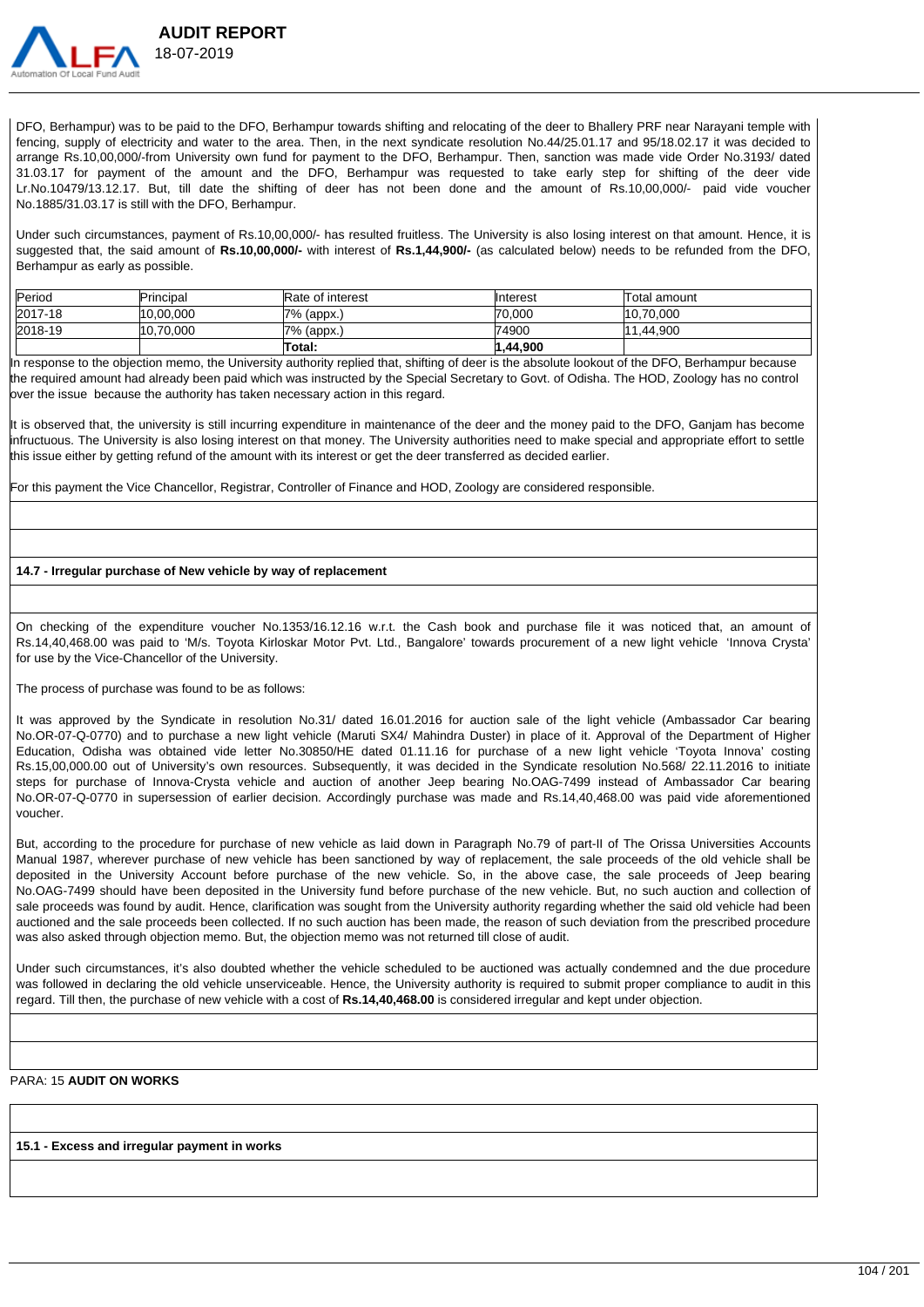

DFO, Berhampur) was to be paid to the DFO, Berhampur towards shifting and relocating of the deer to Bhallery PRF near Narayani temple with fencing, supply of electricity and water to the area. Then, in the next syndicate resolution No.44/25.01.17 and 95/18.02.17 it was decided to arrange Rs.10,00,000/-from University own fund for payment to the DFO, Berhampur. Then, sanction was made vide Order No.3193/ dated 31.03.17 for payment of the amount and the DFO, Berhampur was requested to take early step for shifting of the deer vide Lr.No.10479/13.12.17. But, till date the shifting of deer has not been done and the amount of Rs.10,00,000/- paid vide voucher No.1885/31.03.17 is still with the DFO, Berhampur.

Under such circumstances, payment of Rs.10,00,000/- has resulted fruitless. The University is also losing interest on that amount. Hence, it is suggested that, the said amount of **Rs.10,00,000/-** with interest of **Rs.1,44,900/-** (as calculated below) needs to be refunded from the DFO, Berhampur as early as possible.

| Period  | Principal | Rate of interest | <b>I</b> nterest | Total amount |
|---------|-----------|------------------|------------------|--------------|
| 2017-18 | 10,00,000 | $7\%$ (appx.)    | 70,000           | 10.70.000    |
| 2018-19 | 10.70.000 | $7\%$ (appx.)    | 74900            | 11.44.900    |
|         |           | Total:           | 1,44,900         |              |

In response to the objection memo, the University authority replied that, shifting of deer is the absolute lookout of the DFO, Berhampur because the required amount had already been paid which was instructed by the Special Secretary to Govt. of Odisha. The HOD, Zoology has no control over the issue because the authority has taken necessary action in this regard.

It is observed that, the university is still incurring expenditure in maintenance of the deer and the money paid to the DFO, Ganjam has become infructuous. The University is also losing interest on that money. The University authorities need to make special and appropriate effort to settle this issue either by getting refund of the amount with its interest or get the deer transferred as decided earlier.

For this payment the Vice Chancellor, Registrar, Controller of Finance and HOD, Zoology are considered responsible.

### **14.7 - Irregular purchase of New vehicle by way of replacement**

On checking of the expenditure voucher No.1353/16.12.16 w.r.t. the Cash book and purchase file it was noticed that, an amount of Rs.14,40,468.00 was paid to 'M/s. Toyota Kirloskar Motor Pvt. Ltd., Bangalore' towards procurement of a new light vehicle 'Innova Crysta' for use by the Vice-Chancellor of the University.

The process of purchase was found to be as follows:

It was approved by the Syndicate in resolution No.31/ dated 16.01.2016 for auction sale of the light vehicle (Ambassador Car bearing No.OR-07-Q-0770) and to purchase a new light vehicle (Maruti SX4/ Mahindra Duster) in place of it. Approval of the Department of Higher Education, Odisha was obtained vide letter No.30850/HE dated 01.11.16 for purchase of a new light vehicle 'Toyota Innova' costing Rs.15,00,000.00 out of University's own resources. Subsequently, it was decided in the Syndicate resolution No.568/ 22.11.2016 to initiate steps for purchase of Innova-Crysta vehicle and auction of another Jeep bearing No.OAG-7499 instead of Ambassador Car bearing No.OR-07-Q-0770 in supersession of earlier decision. Accordingly purchase was made and Rs.14,40,468.00 was paid vide aforementioned voucher.

But, according to the procedure for purchase of new vehicle as laid down in Paragraph No.79 of part-II of The Orissa Universities Accounts Manual 1987, wherever purchase of new vehicle has been sanctioned by way of replacement, the sale proceeds of the old vehicle shall be deposited in the University Account before purchase of the new vehicle. So, in the above case, the sale proceeds of Jeep bearing No.OAG-7499 should have been deposited in the University fund before purchase of the new vehicle. But, no such auction and collection of sale proceeds was found by audit. Hence, clarification was sought from the University authority regarding whether the said old vehicle had been auctioned and the sale proceeds been collected. If no such auction has been made, the reason of such deviation from the prescribed procedure was also asked through objection memo. But, the objection memo was not returned till close of audit.

Under such circumstances, it's also doubted whether the vehicle scheduled to be auctioned was actually condemned and the due procedure was followed in declaring the old vehicle unserviceable. Hence, the University authority is required to submit proper compliance to audit in this regard. Till then, the purchase of new vehicle with a cost of **Rs.14,40,468.00** is considered irregular and kept under objection.

## PARA: 15 **AUDIT ON WORKS**

**15.1 - Excess and irregular payment in works**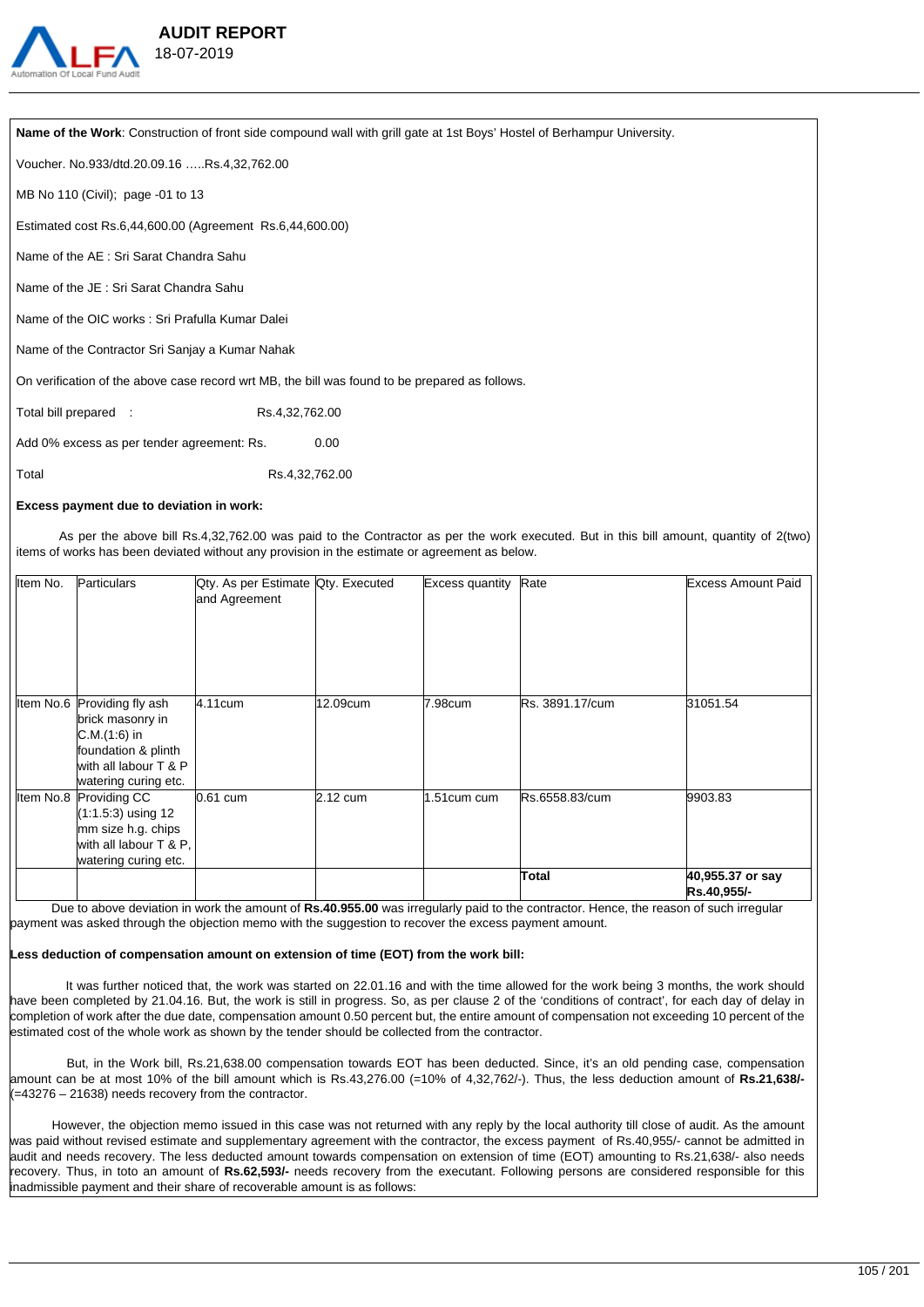

|  |  | Name of the Work: Construction of front side compound wall with grill gate at 1st Boys' Hostel of Berhampur University. |
|--|--|-------------------------------------------------------------------------------------------------------------------------|
|  |  |                                                                                                                         |
|  |  |                                                                                                                         |

Voucher. No.933/dtd.20.09.16 …..Rs.4,32,762.00

MB No 110 (Civil); page -01 to 13

Estimated cost Rs.6,44,600.00 (Agreement Rs.6,44,600.00)

Name of the AE : Sri Sarat Chandra Sahu

Name of the JE : Sri Sarat Chandra Sahu

Name of the OIC works : Sri Prafulla Kumar Dalei

Name of the Contractor Sri Sanjay a Kumar Nahak

On verification of the above case record wrt MB, the bill was found to be prepared as follows.

| Total bill prepared |                                            | Rs.4.32.762.00 |      |
|---------------------|--------------------------------------------|----------------|------|
|                     | Add 0% excess as per tender agreement: Rs. |                | 0.00 |

Total Rs.4,32,762.00

## **Excess payment due to deviation in work:**

 As per the above bill Rs.4,32,762.00 was paid to the Contractor as per the work executed. But in this bill amount, quantity of 2(two) items of works has been deviated without any provision in the estimate or agreement as below.

| Item No. | <b>Particulars</b>                                                                                                                        | Qty. As per Estimate Qty. Executed<br>and Agreement |          | <b>Excess quantity</b> | Rate                  | <b>Excess Amount Paid</b>       |
|----------|-------------------------------------------------------------------------------------------------------------------------------------------|-----------------------------------------------------|----------|------------------------|-----------------------|---------------------------------|
|          | Item No.6 Providing fly ash<br>brick masonry in<br>$C.M.(1:6)$ in<br>foundation & plinth<br>with all labour T & P<br>watering curing etc. | $4.11$ cum                                          | 12.09cum | 7.98cum                | Rs. 3891.17/cum       | 31051.54                        |
|          | Item No.8 Providing CC<br>(1:1.5:3) using 12<br>mm size h.g. chips<br>with all labour T & P,<br>watering curing etc.                      | $0.61$ cum                                          | 2.12 cum | 1.51cum cum            | <b>Rs.6558.83/cum</b> | 9903.83                         |
|          |                                                                                                                                           |                                                     |          |                        | Total                 | 40,955.37 or say<br>Rs.40,955/- |

 Due to above deviation in work the amount of **Rs.40.955.00** was irregularly paid to the contractor. Hence, the reason of such irregular payment was asked through the objection memo with the suggestion to recover the excess payment amount.

#### **Less deduction of compensation amount on extension of time (EOT) from the work bill:**

 It was further noticed that, the work was started on 22.01.16 and with the time allowed for the work being 3 months, the work should have been completed by 21.04.16. But, the work is still in progress. So, as per clause 2 of the 'conditions of contract', for each day of delay in completion of work after the due date, compensation amount 0.50 percent but, the entire amount of compensation not exceeding 10 percent of the estimated cost of the whole work as shown by the tender should be collected from the contractor.

 But, in the Work bill, Rs.21,638.00 compensation towards EOT has been deducted. Since, it's an old pending case, compensation amount can be at most 10% of the bill amount which is Rs.43,276.00 (=10% of 4,32,762/-). Thus, the less deduction amount of **Rs.21,638/-**  $\vert$  =43276 – 21638) needs recovery from the contractor.

 However, the objection memo issued in this case was not returned with any reply by the local authority till close of audit. As the amount was paid without revised estimate and supplementary agreement with the contractor, the excess payment of Rs.40,955/- cannot be admitted in audit and needs recovery. The less deducted amount towards compensation on extension of time (EOT) amounting to Rs.21,638/- also needs recovery. Thus, in toto an amount of **Rs.62,593/-** needs recovery from the executant. Following persons are considered responsible for this inadmissible payment and their share of recoverable amount is as follows: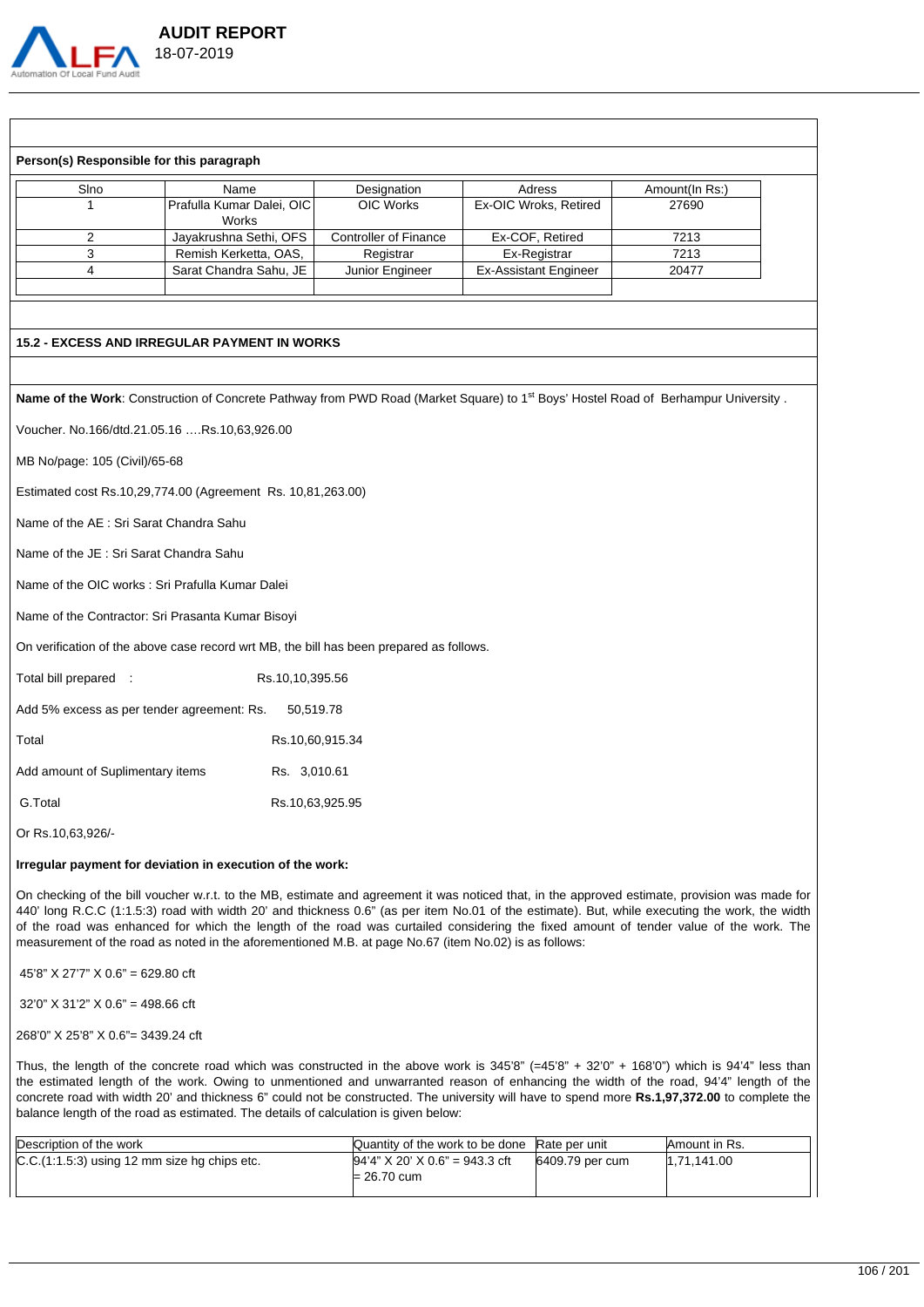

## **Person(s) Responsible for this paragraph**

 **AUDIT REPORT** 

18-07-2019

| Slno | Name                               | Designation                  | Adress                       | Amount(In Rs:) |
|------|------------------------------------|------------------------------|------------------------------|----------------|
|      | Prafulla Kumar Dalei, OIC<br>Works | OIC Works                    | Ex-OIC Wroks, Retired        | 27690          |
|      | Jayakrushna Sethi, OFS             | <b>Controller of Finance</b> | Ex-COF, Retired              | 7213           |
|      | Remish Kerketta, OAS,              | Registrar                    | Ex-Registrar                 | 7213           |
|      | Sarat Chandra Sahu, JE             | Junior Engineer              | <b>Ex-Assistant Engineer</b> | 20477          |

### **15.2 - EXCESS AND IRREGULAR PAYMENT IN WORKS**

Name of the Work: Construction of Concrete Pathway from PWD Road (Market Square) to 1<sup>st</sup> Boys' Hostel Road of Berhampur University .

Voucher. No.166/dtd.21.05.16 ….Rs.10,63,926.00

MB No/page: 105 (Civil)/65-68

Estimated cost Rs.10,29,774.00 (Agreement Rs. 10,81,263.00)

Name of the AE : Sri Sarat Chandra Sahu

Name of the JE : Sri Sarat Chandra Sahu

Name of the OIC works : Sri Prafulla Kumar Dalei

Name of the Contractor: Sri Prasanta Kumar Bisoyi

On verification of the above case record wrt MB, the bill has been prepared as follows.

| Total bill prepared :                      | Rs.10,10,395.56 |
|--------------------------------------------|-----------------|
| Add 5% excess as per tender agreement: Rs. | 50,519.78       |
| Total                                      | Rs.10,60,915.34 |
| Add amount of Suplimentary items           | Rs. 3.010.61    |
| G.Total                                    | Rs.10,63,925.95 |

Or Rs.10,63,926/-

### **Irregular payment for deviation in execution of the work:**

On checking of the bill voucher w.r.t. to the MB, estimate and agreement it was noticed that, in the approved estimate, provision was made for 440' long R.C.C (1:1.5:3) road with width 20' and thickness 0.6" (as per item No.01 of the estimate). But, while executing the work, the width of the road was enhanced for which the length of the road was curtailed considering the fixed amount of tender value of the work. The measurement of the road as noted in the aforementioned M.B. at page No.67 (item No.02) is as follows:

45'8" X 27'7" X 0.6" = 629.80 cft

32'0" X 31'2" X 0.6" = 498.66 cft

268'0" X 25'8" X 0.6"= 3439.24 cft

Thus, the length of the concrete road which was constructed in the above work is 345'8"  $(=45'8" + 32'0" + 168'0")$  which is 94'4" less than the estimated length of the work. Owing to unmentioned and unwarranted reason of enhancing the width of the road, 94'4" length of the concrete road with width 20' and thickness 6" could not be constructed. The university will have to spend more **Rs.1,97,372.00** to complete the balance length of the road as estimated. The details of calculation is given below:

| Description of the work                        | Quantity of the work to be done Rate per unit      |                 | Amount in Rs. |
|------------------------------------------------|----------------------------------------------------|-----------------|---------------|
| $C.C.(1:1.5:3)$ using 12 mm size hg chips etc. | $94'4''$ X 20' X 0.6" = 943.3 cft<br>$= 26.70$ cum | 6409.79 per cum | 1,71,141.00   |
|                                                |                                                    |                 |               |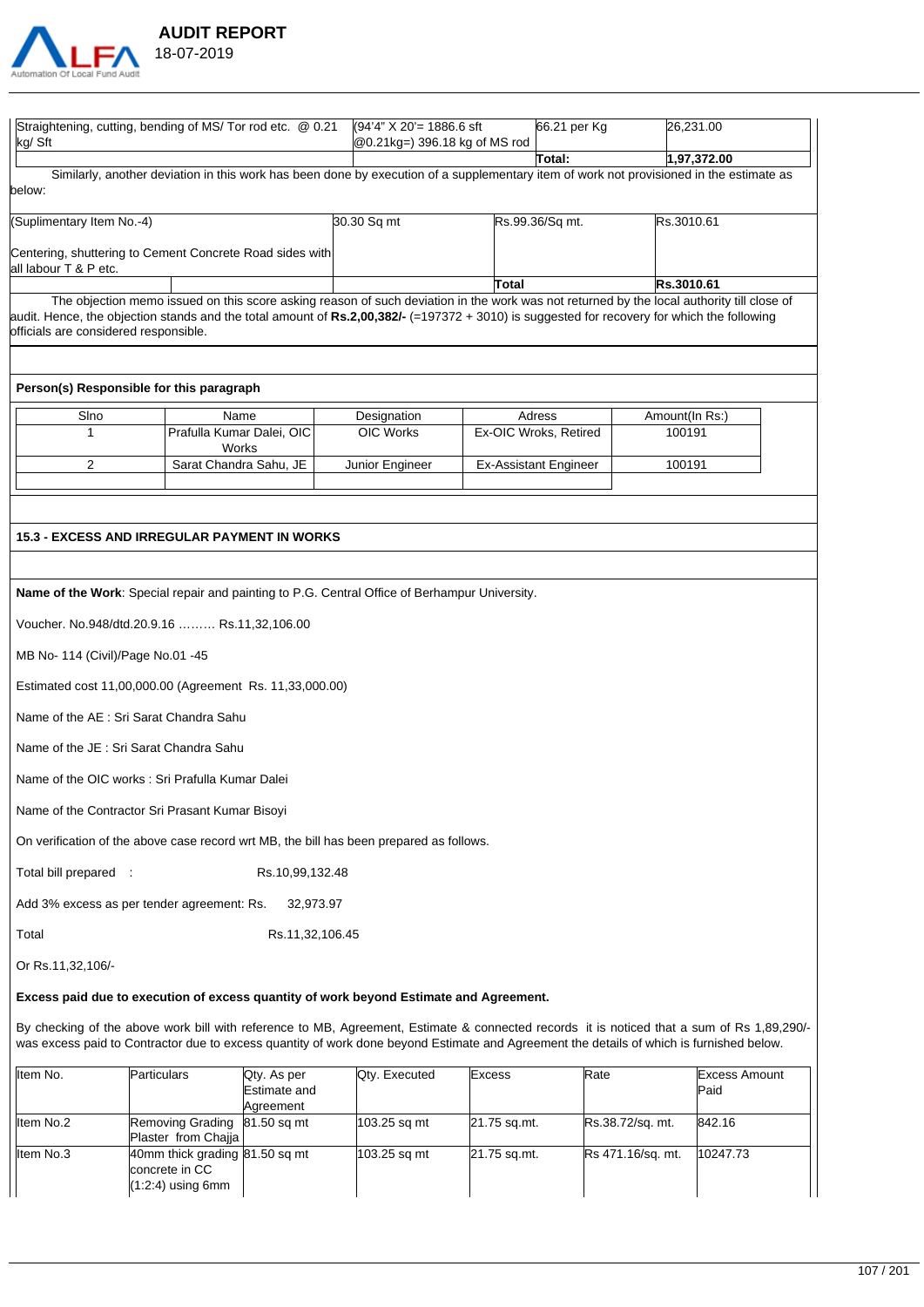

|                                                 | Straightening, cutting, bending of MS/ Tor rod etc. @ 0.21                                    | (94'4" X 20'= 1886.6 sft      | 66.21 per Kg                 | 26,231.00                                                                                                                                                                                                                                                                                |
|-------------------------------------------------|-----------------------------------------------------------------------------------------------|-------------------------------|------------------------------|------------------------------------------------------------------------------------------------------------------------------------------------------------------------------------------------------------------------------------------------------------------------------------------|
| kg/ Sft                                         |                                                                                               | @0.21kg=) 396.18 kg of MS rod | Total:                       | 1,97,372.00                                                                                                                                                                                                                                                                              |
| below:                                          |                                                                                               |                               |                              | Similarly, another deviation in this work has been done by execution of a supplementary item of work not provisioned in the estimate as                                                                                                                                                  |
| (Suplimentary Item No.-4)                       |                                                                                               | 30.30 Sq mt                   | Rs.99.36/Sq mt.              | Rs.3010.61                                                                                                                                                                                                                                                                               |
| all labour T & P etc.                           | Centering, shuttering to Cement Concrete Road sides with                                      |                               |                              |                                                                                                                                                                                                                                                                                          |
|                                                 |                                                                                               |                               | <b>Total</b>                 | Rs.3010.61                                                                                                                                                                                                                                                                               |
| officials are considered responsible.           |                                                                                               |                               |                              | The objection memo issued on this score asking reason of such deviation in the work was not returned by the local authority till close of<br>audit. Hence, the objection stands and the total amount of Rs.2,00,382/- (=197372 + 3010) is suggested for recovery for which the following |
| Person(s) Responsible for this paragraph        |                                                                                               |                               |                              |                                                                                                                                                                                                                                                                                          |
| Slno                                            | Name                                                                                          | Designation                   | Adress                       | Amount(In Rs:)                                                                                                                                                                                                                                                                           |
| $\mathbf{1}$                                    | Prafulla Kumar Dalei, OIC<br>Works                                                            | OIC Works                     | Ex-OIC Wroks, Retired        | 100191                                                                                                                                                                                                                                                                                   |
| $\overline{2}$                                  | Sarat Chandra Sahu, JE                                                                        | Junior Engineer               | <b>Ex-Assistant Engineer</b> | 100191                                                                                                                                                                                                                                                                                   |
|                                                 |                                                                                               |                               |                              |                                                                                                                                                                                                                                                                                          |
|                                                 | <b>15.3 - EXCESS AND IRREGULAR PAYMENT IN WORKS</b>                                           |                               |                              |                                                                                                                                                                                                                                                                                          |
|                                                 |                                                                                               |                               |                              |                                                                                                                                                                                                                                                                                          |
|                                                 | Name of the Work: Special repair and painting to P.G. Central Office of Berhampur University. |                               |                              |                                                                                                                                                                                                                                                                                          |
| Voucher. No.948/dtd.20.9.16  Rs.11,32,106.00    |                                                                                               |                               |                              |                                                                                                                                                                                                                                                                                          |
| MB No- 114 (Civil)/Page No.01 -45               |                                                                                               |                               |                              |                                                                                                                                                                                                                                                                                          |
|                                                 | Estimated cost 11,00,000.00 (Agreement Rs. 11,33,000.00)                                      |                               |                              |                                                                                                                                                                                                                                                                                          |
| Name of the AE: Sri Sarat Chandra Sahu          |                                                                                               |                               |                              |                                                                                                                                                                                                                                                                                          |
| Name of the JE: Sri Sarat Chandra Sahu          |                                                                                               |                               |                              |                                                                                                                                                                                                                                                                                          |
| Name of the OIC works: Sri Prafulla Kumar Dalei |                                                                                               |                               |                              |                                                                                                                                                                                                                                                                                          |
| Name of the Contractor Sri Prasant Kumar Bisoyi |                                                                                               |                               |                              |                                                                                                                                                                                                                                                                                          |
|                                                 | On verification of the above case record wrt MB, the bill has been prepared as follows.       |                               |                              |                                                                                                                                                                                                                                                                                          |
| Total bill prepared :                           | Rs.10,99,132.48                                                                               |                               |                              |                                                                                                                                                                                                                                                                                          |
| Add 3% excess as per tender agreement: Rs.      | 32,973.97                                                                                     |                               |                              |                                                                                                                                                                                                                                                                                          |
| Total                                           | Rs.11,32,106.45                                                                               |                               |                              |                                                                                                                                                                                                                                                                                          |
| Or Rs.11,32,106/-                               |                                                                                               |                               |                              |                                                                                                                                                                                                                                                                                          |
|                                                 | Excess paid due to execution of excess quantity of work beyond Estimate and Agreement.        |                               |                              |                                                                                                                                                                                                                                                                                          |
|                                                 |                                                                                               |                               |                              | By checking of the above work bill with reference to MB, Agreement, Estimate & connected records it is noticed that a sum of Rs 1,89,290/-<br>was excess paid to Contractor due to excess quantity of work done beyond Estimate and Agreement the details of which is furnished below.   |

| Item No.  | Particulars                                                             | Qty. As per<br>Estimate and<br>Agreement | Qty. Executed | Excess       | Rate              | <b>Excess Amount</b><br>Paid |
|-----------|-------------------------------------------------------------------------|------------------------------------------|---------------|--------------|-------------------|------------------------------|
| Item No.2 | Removing Grading 81.50 sq mt<br>Plaster from Chajja                     |                                          | 103.25 sq mt  | 21.75 sq.mt. | Rs.38.72/sq. mt.  | 842.16                       |
| Item No.3 | 40mm thick grading 81.50 sq mt<br>concrete in CC<br>$(1:2:4)$ using 6mm |                                          | 103.25 sq mt  | 21.75 sq.mt. | Rs 471.16/sq. mt. | 10247.73                     |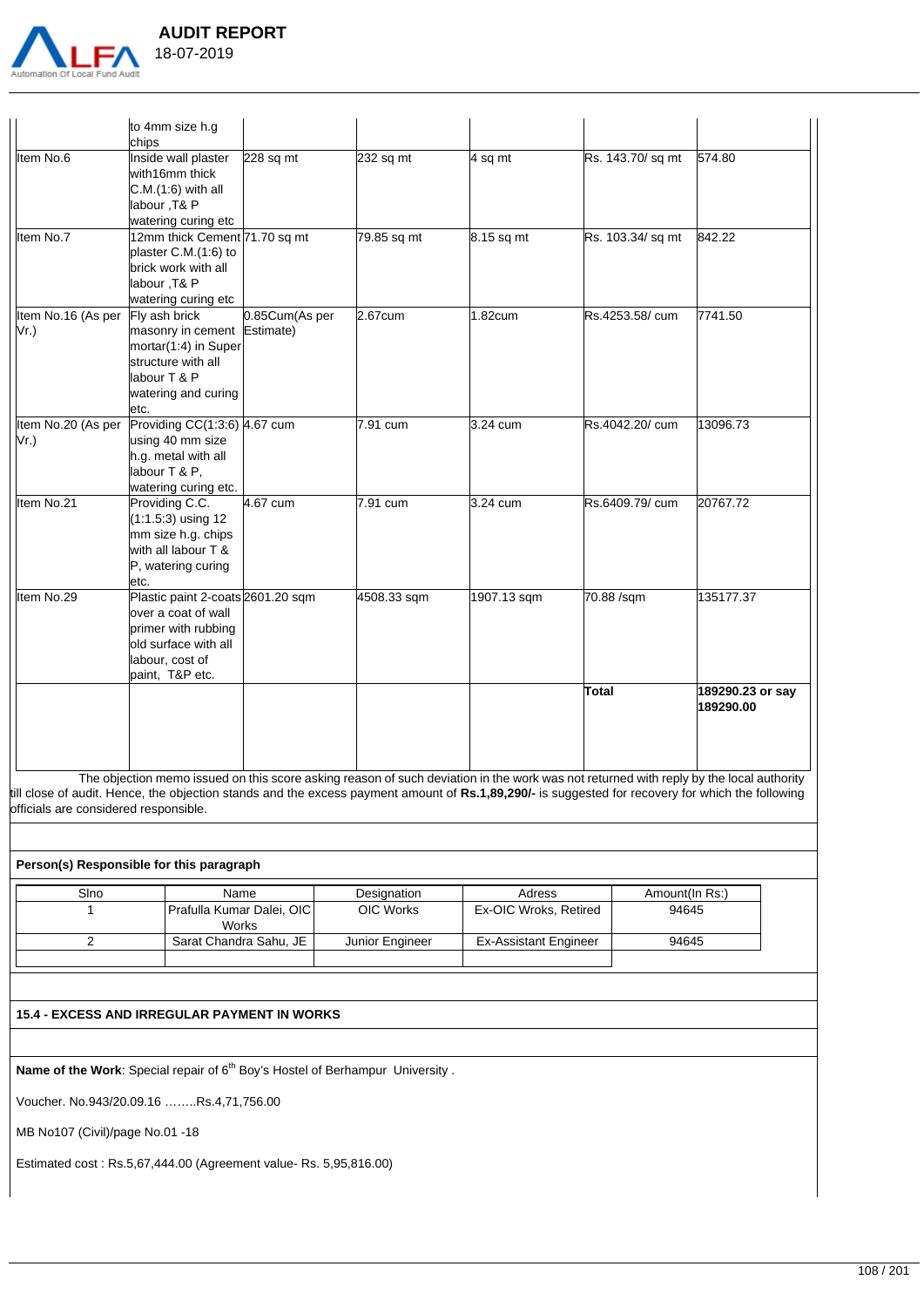

|                               | to 4mm size h.g<br>chips                                                                                                                      |                             |             |              |                   |                               |
|-------------------------------|-----------------------------------------------------------------------------------------------------------------------------------------------|-----------------------------|-------------|--------------|-------------------|-------------------------------|
| Item No.6                     | Inside wall plaster<br>with16mm thick<br>$C.M.(1.6)$ with all<br>labour ,T& P<br>watering curing etc                                          | 228 sq mt                   | 232 sq mt   | $4$ sq mt    | Rs. 143.70/sq mt  | 574.80                        |
| Item No.7                     | 12mm thick Cement 71.70 sq mt<br>plaster C.M.(1:6) to<br>brick work with all<br>labour ,T& P<br>watering curing etc                           |                             | 79.85 sq mt | $8.15$ sq mt | Rs. 103.34/ sq mt | 842.22                        |
| Item No.16 (As per<br>$Vr$ .) | Fly ash brick<br>masonry in cement<br>mortar(1:4) in Super<br>structure with all<br>labour T & P<br>watering and curing<br>etc.               | 0.85Cum(As per<br>Estimate) | 2.67cum     | 1.82cum      | Rs.4253.58/ cum   | 7741.50                       |
| $Vr$ .)                       | Item No.20 (As per Providing CC(1:3:6) 4.67 cum<br>using 40 mm size<br>h.g. metal with all<br>labour T & P,<br>watering curing etc.           |                             | 7.91 cum    | 3.24 cum     | Rs.4042.20/ cum   | 13096.73                      |
| Item No.21                    | Providing C.C.<br>$(1:1.5:3)$ using 12<br>mm size h.g. chips<br>with all labour T &<br>P, watering curing<br>etc.                             | 4.67 cum                    | 7.91 cum    | 3.24 cum     | Rs.6409.79/ cum   | 20767.72                      |
| Item No.29                    | Plastic paint 2-coats 2601.20 sqm<br>over a coat of wall<br>primer with rubbing<br>old surface with all<br>labour, cost of<br>paint, T&P etc. |                             | 4508.33 sqm | 1907.13 sqm  | 70.88 /sqm        | 135177.37                     |
|                               |                                                                                                                                               |                             |             |              | lTotal            | 189290.23 or say<br>189290.00 |

The objection memo issued on this score asking reason of such deviation in the work was not returned with reply by the local authority till close of audit. Hence, the objection stands and the excess payment amount of **Rs.1,89,290/-** is suggested for recovery for which the following officials are considered responsible.

## **Person(s) Responsible for this paragraph**

| Slno | Name                               | Designation     | Adress                       | Amount(In Rs:) |
|------|------------------------------------|-----------------|------------------------------|----------------|
|      | Prafulla Kumar Dalei, OIC<br>Works | OIC Works       | Ex-OIC Wroks, Retired        | 94645          |
|      | Sarat Chandra Sahu, JE             | Junior Engineer | <b>Ex-Assistant Engineer</b> | 94645          |
|      |                                    |                 |                              |                |

# **15.4 - EXCESS AND IRREGULAR PAYMENT IN WORKS**

Name of the Work: Special repair of 6<sup>th</sup> Boy's Hostel of Berhampur University .

Voucher. No.943/20.09.16 ……..Rs.4,71,756.00

MB No107 (Civil)/page No.01 -18

Estimated cost : Rs.5,67,444.00 (Agreement value- Rs. 5,95,816.00)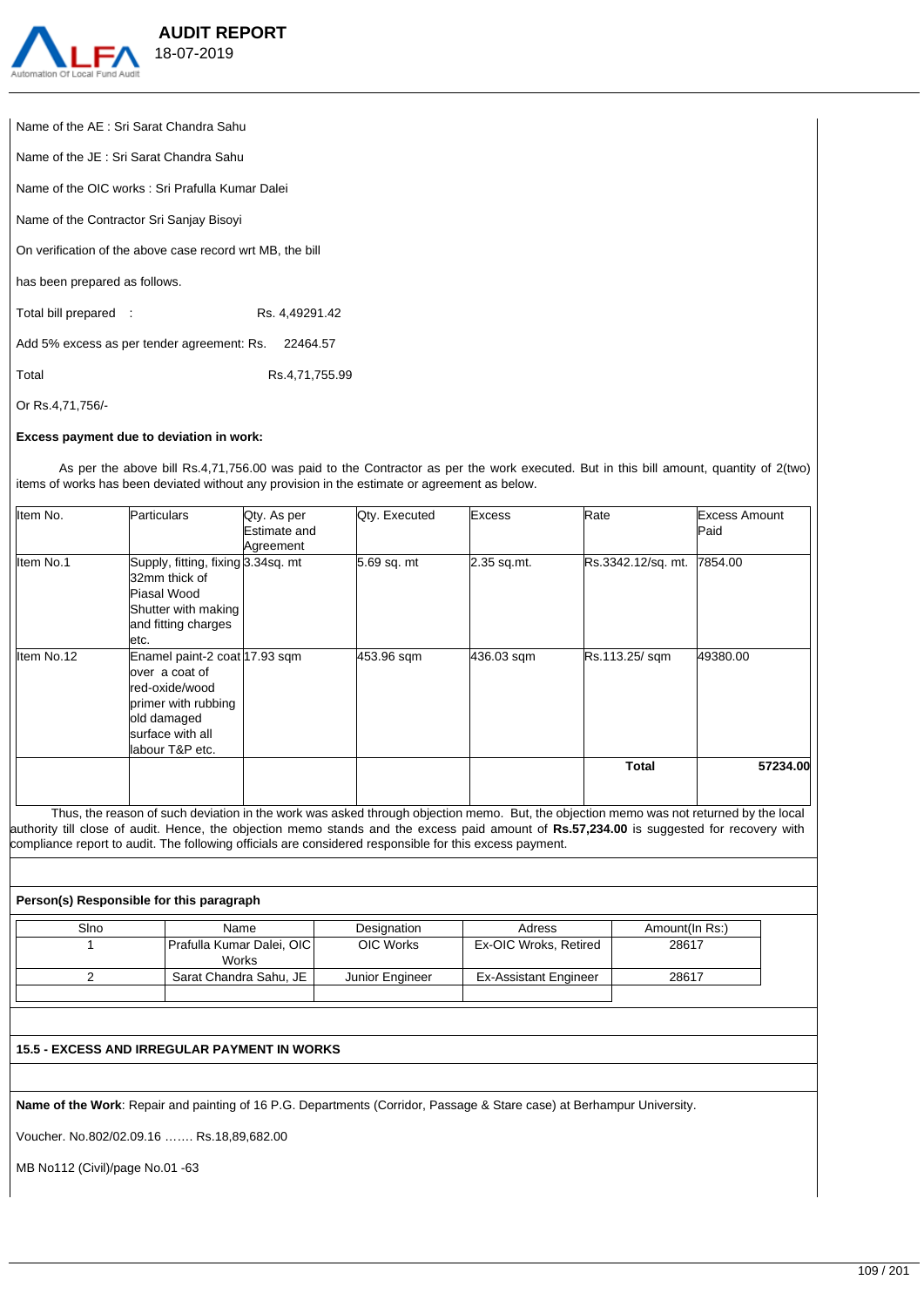

| Name of the AE : Sri Sarat Chandra Sahu                   |                |
|-----------------------------------------------------------|----------------|
| Name of the JE: Sri Sarat Chandra Sahu                    |                |
| Name of the OIC works: Sri Prafulla Kumar Dalei           |                |
| Name of the Contractor Sri Sanjay Bisovi                  |                |
| On verification of the above case record wrt MB, the bill |                |
| has been prepared as follows.                             |                |
| Total bill prepared :                                     | Rs. 4,49291.42 |
| Add 5% excess as per tender agreement: Rs.                | 22464.57       |
| Total                                                     | Rs.4.71.755.99 |

Or Rs.4,71,756/-

#### **Excess payment due to deviation in work:**

 As per the above bill Rs.4,71,756.00 was paid to the Contractor as per the work executed. But in this bill amount, quantity of 2(two) items of works has been deviated without any provision in the estimate or agreement as below.

| Item No.   | <b>Particulars</b>                                                                                                                             | Qty. As per<br>Estimate and<br>Agreement | Qty. Executed | Excess      | Rate               | Excess Amount<br>Paid |
|------------|------------------------------------------------------------------------------------------------------------------------------------------------|------------------------------------------|---------------|-------------|--------------------|-----------------------|
| Iltem No.1 | Supply, fitting, fixing 3.34sq. mt<br>32mm thick of<br>Piasal Wood<br>Shutter with making<br>and fitting charges<br>etc.                       |                                          | 5.69 sq. mt   | 2.35 sq.mt. | Rs.3342.12/sq. mt. | 7854.00               |
| Item No.12 | Enamel paint-2 coat 17.93 sqm<br>over a coat of<br>red-oxide/wood<br>primer with rubbing<br>old damaged<br>surface with all<br>labour T&P etc. |                                          | 453.96 sqm    | 436.03 sqm  | Rs.113.25/sqm      | 49380.00              |
|            |                                                                                                                                                |                                          |               |             | <b>Total</b>       | 57234.00              |

 Thus, the reason of such deviation in the work was asked through objection memo. But, the objection memo was not returned by the local authority till close of audit. Hence, the objection memo stands and the excess paid amount of **Rs.57,234.00** is suggested for recovery with compliance report to audit. The following officials are considered responsible for this excess payment.

#### **Person(s) Responsible for this paragraph**

| Slno | Name                               | Designation     | Adress                       | Amount(In Rs:) |
|------|------------------------------------|-----------------|------------------------------|----------------|
|      | Prafulla Kumar Dalei, OIC<br>Works | OIC Works       | Ex-OIC Wroks, Retired        | 28617          |
|      | Sarat Chandra Sahu, JE             | Junior Engineer | <b>Ex-Assistant Engineer</b> | 28617          |
|      |                                    |                 |                              |                |

#### **15.5 - EXCESS AND IRREGULAR PAYMENT IN WORKS**

**Name of the Work**: Repair and painting of 16 P.G. Departments (Corridor, Passage & Stare case) at Berhampur University.

Voucher. No.802/02.09.16 ……. Rs.18,89,682.00

MB No112 (Civil)/page No.01 -63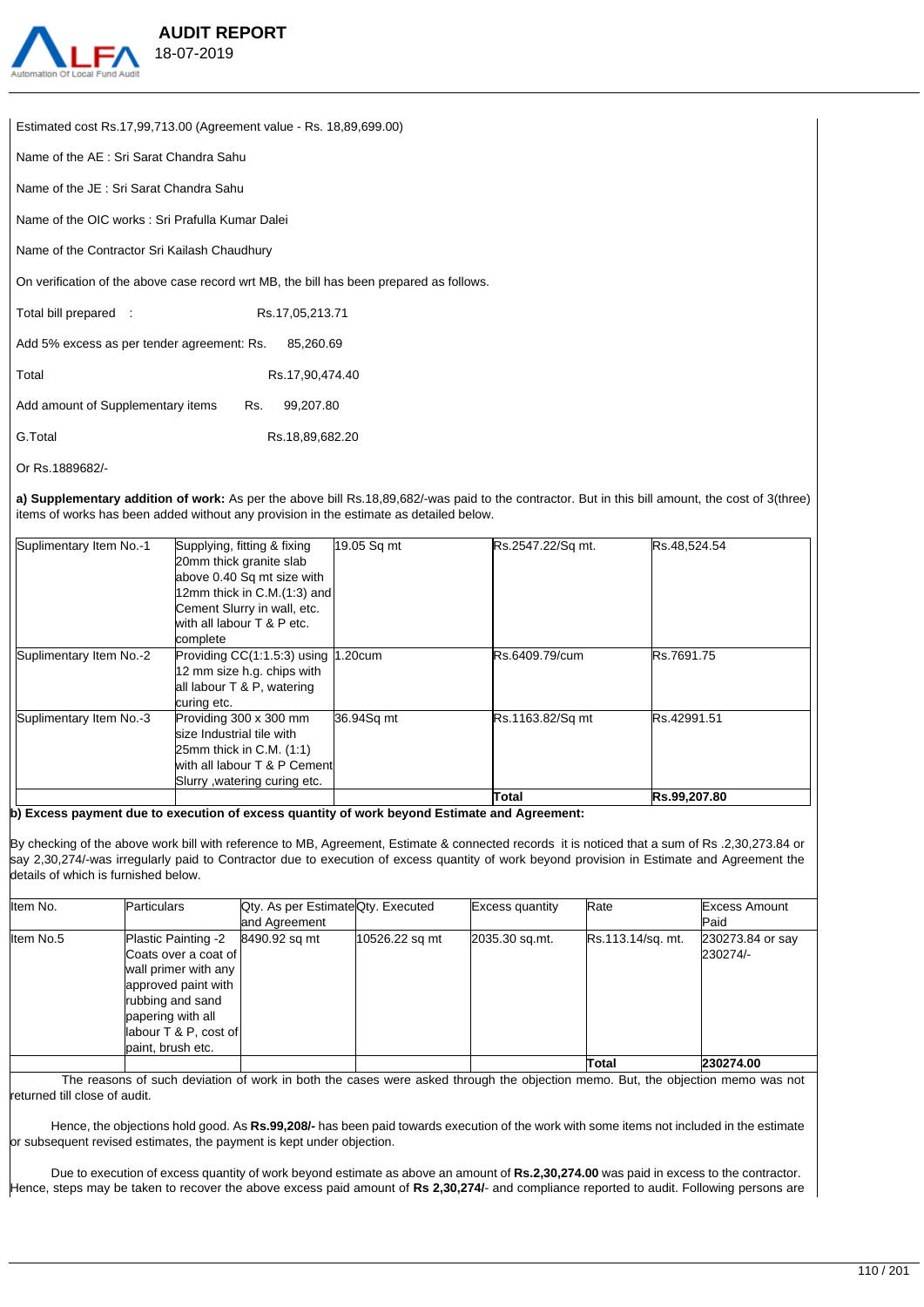

18-07-2019

 **AUDIT REPORT** 

Estimated cost Rs.17,99,713.00 (Agreement value - Rs. 18,89,699.00)

Name of the AE : Sri Sarat Chandra Sahu

Name of the JE : Sri Sarat Chandra Sahu

Name of the OIC works : Sri Prafulla Kumar Dalei

Name of the Contractor Sri Kailash Chaudhury

On verification of the above case record wrt MB, the bill has been prepared as follows.

| Total bill prepared :                      |     | Rs.17,05,213.71 |
|--------------------------------------------|-----|-----------------|
| Add 5% excess as per tender agreement: Rs. |     | 85,260.69       |
| Total                                      |     | Rs.17.90.474.40 |
| Add amount of Supplementary items          | Rs. | 99,207.80       |
| G.Total                                    |     | Rs.18,89,682.20 |

Or Rs.1889682/-

**a) Supplementary addition of work:** As per the above bill Rs.18,89,682/-was paid to the contractor. But in this bill amount, the cost of 3(three) items of works has been added without any provision in the estimate as detailed below.

| Suplimentary Item No.-1 | Supplying, fitting & fixing   | 19.05 Sq mt | Rs.2547.22/Sq mt.     | Rs.48,524.54 |
|-------------------------|-------------------------------|-------------|-----------------------|--------------|
|                         | 20mm thick granite slab       |             |                       |              |
|                         | above 0.40 Sq mt size with    |             |                       |              |
|                         | 12mm thick in $C.M.(1:3)$ and |             |                       |              |
|                         | Cement Slurry in wall, etc.   |             |                       |              |
|                         | with all labour T & P etc.    |             |                       |              |
|                         | complete                      |             |                       |              |
| Suplimentary Item No.-2 | Providing CC(1:1.5:3) using   | 1.20cum     | <b>Rs.6409.79/cum</b> | Rs.7691.75   |
|                         | 12 mm size h.g. chips with    |             |                       |              |
|                         | all labour T & P, watering    |             |                       |              |
|                         | curing etc.                   |             |                       |              |
| Suplimentary Item No.-3 | Providing 300 x 300 mm        | 36.94Sq mt  | Rs.1163.82/Sq mt      | Rs.42991.51  |
|                         | size Industrial tile with     |             |                       |              |
|                         | $25mm$ thick in C.M. $(1:1)$  |             |                       |              |
|                         | with all labour T & P Cement  |             |                       |              |
|                         | Slurry, watering curing etc.  |             |                       |              |
|                         |                               |             | Total                 | Rs.99,207.80 |

**b) Excess payment due to execution of excess quantity of work beyond Estimate and Agreement:**

By checking of the above work bill with reference to MB, Agreement, Estimate & connected records it is noticed that a sum of Rs .2,30,273.84 or say 2,30,274/-was irregularly paid to Contractor due to execution of excess quantity of work beyond provision in Estimate and Agreement the details of which is furnished below.

| Plastic Painting -2<br>Coats over a coat of I<br>wall primer with any<br>approved paint with<br>rubbing and sand<br>papering with all<br>labour T & P, cost of<br>paint, brush etc. |                                   |                        |                   | .                |
|-------------------------------------------------------------------------------------------------------------------------------------------------------------------------------------|-----------------------------------|------------------------|-------------------|------------------|
| Item No.5                                                                                                                                                                           |                                   |                        |                   |                  |
|                                                                                                                                                                                     |                                   |                        |                   |                  |
|                                                                                                                                                                                     |                                   |                        |                   |                  |
|                                                                                                                                                                                     |                                   |                        |                   |                  |
|                                                                                                                                                                                     |                                   |                        |                   | 230274/-         |
|                                                                                                                                                                                     | 8490.92 sq mt<br>10526.22 sq mt   | 2035.30 sq.mt.         | Rs.113.14/sq. mt. | 230273.84 or say |
|                                                                                                                                                                                     | and Agreement                     |                        |                   | Paid             |
| Item No.<br>Particulars                                                                                                                                                             | Qty. As per EstimateQty. Executed | <b>Excess quantity</b> | Rate              | Excess Amount    |

**Total 230274.00** The reasons of such deviation of work in both the cases were asked through the objection memo. But, the objection memo was not returned till close of audit.

 Hence, the objections hold good. As **Rs.99,208/-** has been paid towards execution of the work with some items not included in the estimate or subsequent revised estimates, the payment is kept under objection.

 Due to execution of excess quantity of work beyond estimate as above an amount of **Rs.2,30,274.00** was paid in excess to the contractor. Hence, steps may be taken to recover the above excess paid amount of **Rs 2,30,274/**- and compliance reported to audit. Following persons are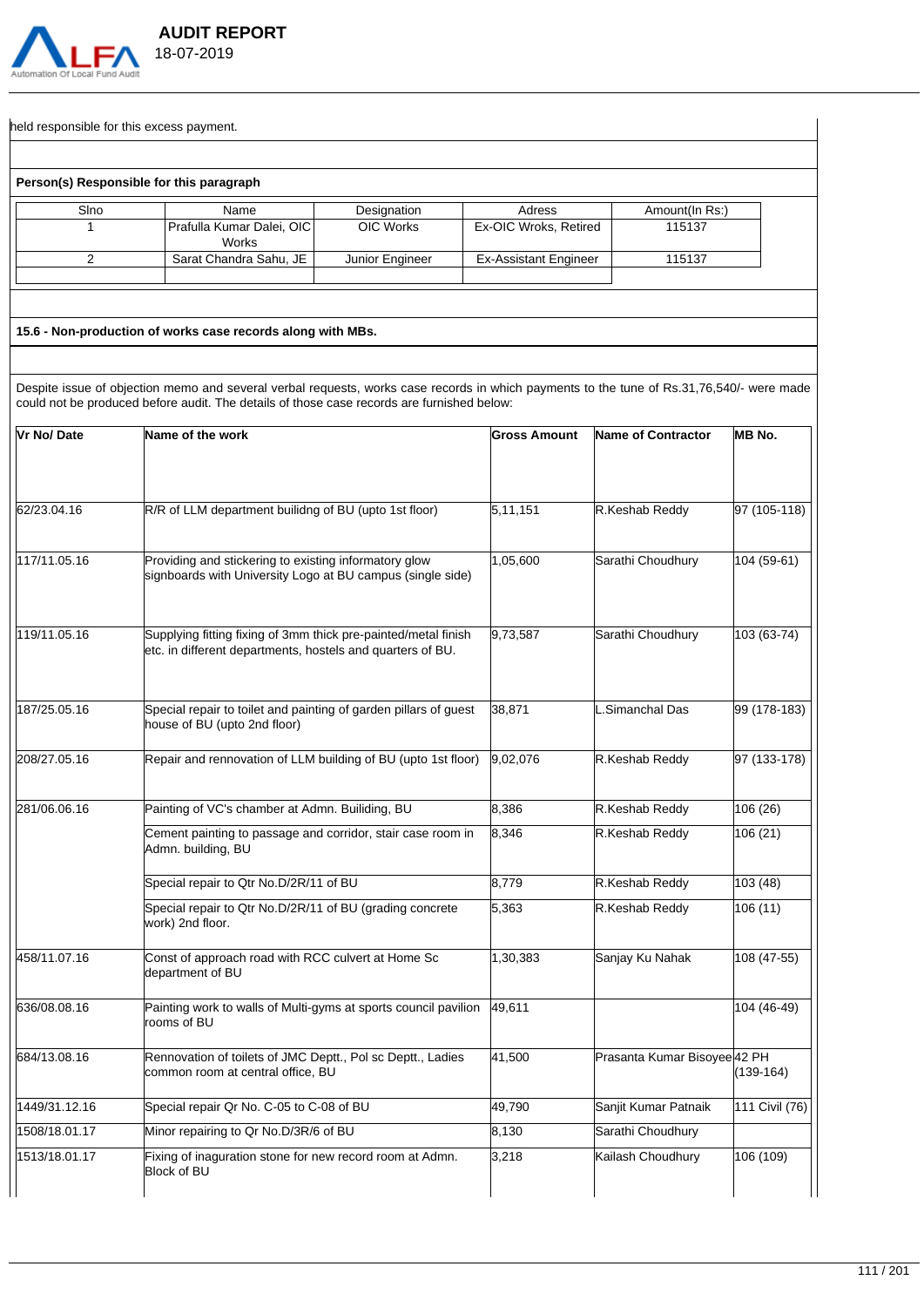

held responsible for this excess payment.

| Person(s) Responsible for this paragraph |                           |                 |                              |                |  |  |
|------------------------------------------|---------------------------|-----------------|------------------------------|----------------|--|--|
| Sino                                     | Name                      | Designation     | Adress                       | Amount(In Rs:) |  |  |
|                                          | Prafulla Kumar Dalei, OIC | OIC Works       | Ex-OIC Wroks, Retired        | 115137         |  |  |
|                                          | Works                     |                 |                              |                |  |  |
|                                          | Sarat Chandra Sahu, JE    | Junior Engineer | <b>Ex-Assistant Engineer</b> | 115137         |  |  |
|                                          |                           |                 |                              |                |  |  |

#### **15.6 - Non-production of works case records along with MBs.**

Despite issue of objection memo and several verbal requests, works case records in which payments to the tune of Rs.31,76,540/- were made could not be produced before audit. The details of those case records are furnished below:

| Vr No/ Date                                                                                                      | Name of the work                                                                                                             | <b>Gross Amount</b> | Name of Contractor           | MB No.         |
|------------------------------------------------------------------------------------------------------------------|------------------------------------------------------------------------------------------------------------------------------|---------------------|------------------------------|----------------|
|                                                                                                                  |                                                                                                                              |                     |                              |                |
| 62/23.04.16                                                                                                      | R/R of LLM department builidng of BU (upto 1st floor)                                                                        |                     | R.Keshab Reddy               | 97 (105-118)   |
| 117/11.05.16                                                                                                     | Providing and stickering to existing informatory glow<br>signboards with University Logo at BU campus (single side)          | 1,05,600            | Sarathi Choudhury            | $104(59-61)$   |
| 119/11.05.16                                                                                                     | Supplying fitting fixing of 3mm thick pre-painted/metal finish<br>etc. in different departments, hostels and quarters of BU. | 9,73,587            | Sarathi Choudhury            | $103(63-74)$   |
| 187/25.05.16<br>Special repair to toilet and painting of garden pillars of guest<br>house of BU (upto 2nd floor) |                                                                                                                              | 38,871              | L.Simanchal Das              | 99 (178-183)   |
| 208/27.05.16                                                                                                     | Repair and rennovation of LLM building of BU (upto 1st floor)                                                                | 9,02,076            | R.Keshab Reddy               | 97 (133-178)   |
| 281/06.06.16                                                                                                     | Painting of VC's chamber at Admn. Builiding, BU                                                                              | 8,386               | R.Keshab Reddy               | 106(26)        |
|                                                                                                                  | Cement painting to passage and corridor, stair case room in<br>Admn. building, BU                                            | 8,346               | R.Keshab Reddy               | 106 (21)       |
|                                                                                                                  | Special repair to Qtr No.D/2R/11 of BU                                                                                       | 8,779               | R.Keshab Reddy               | 103(48)        |
|                                                                                                                  | Special repair to Qtr No.D/2R/11 of BU (grading concrete<br>work) 2nd floor.                                                 | 5,363               | R.Keshab Reddy               | 106 (11)       |
| 458/11.07.16<br>Const of approach road with RCC culvert at Home Sc<br>department of BU                           |                                                                                                                              | 1,30,383            | Sanjay Ku Nahak              | $108(47-55)$   |
| 636/08.08.16                                                                                                     | Painting work to walls of Multi-gyms at sports council pavilion<br>rooms of BU                                               |                     |                              | 104 (46-49)    |
| 684/13.08.16                                                                                                     | Rennovation of toilets of JMC Deptt., Pol sc Deptt., Ladies<br>common room at central office, BU                             | 41,500              | Prasanta Kumar Bisoyee 42 PH | $(139-164)$    |
| 1449/31.12.16                                                                                                    | Special repair Qr No. C-05 to C-08 of BU                                                                                     | 49,790              | Sanjit Kumar Patnaik         | 111 Civil (76) |
| 1508/18.01.17                                                                                                    | Minor repairing to Qr No.D/3R/6 of BU                                                                                        | 8,130               | Sarathi Choudhury            |                |
| 1513/18.01.17                                                                                                    | Fixing of inaguration stone for new record room at Admn.<br><b>Block of BU</b>                                               | 3,218               | Kailash Choudhury            | 106 (109)      |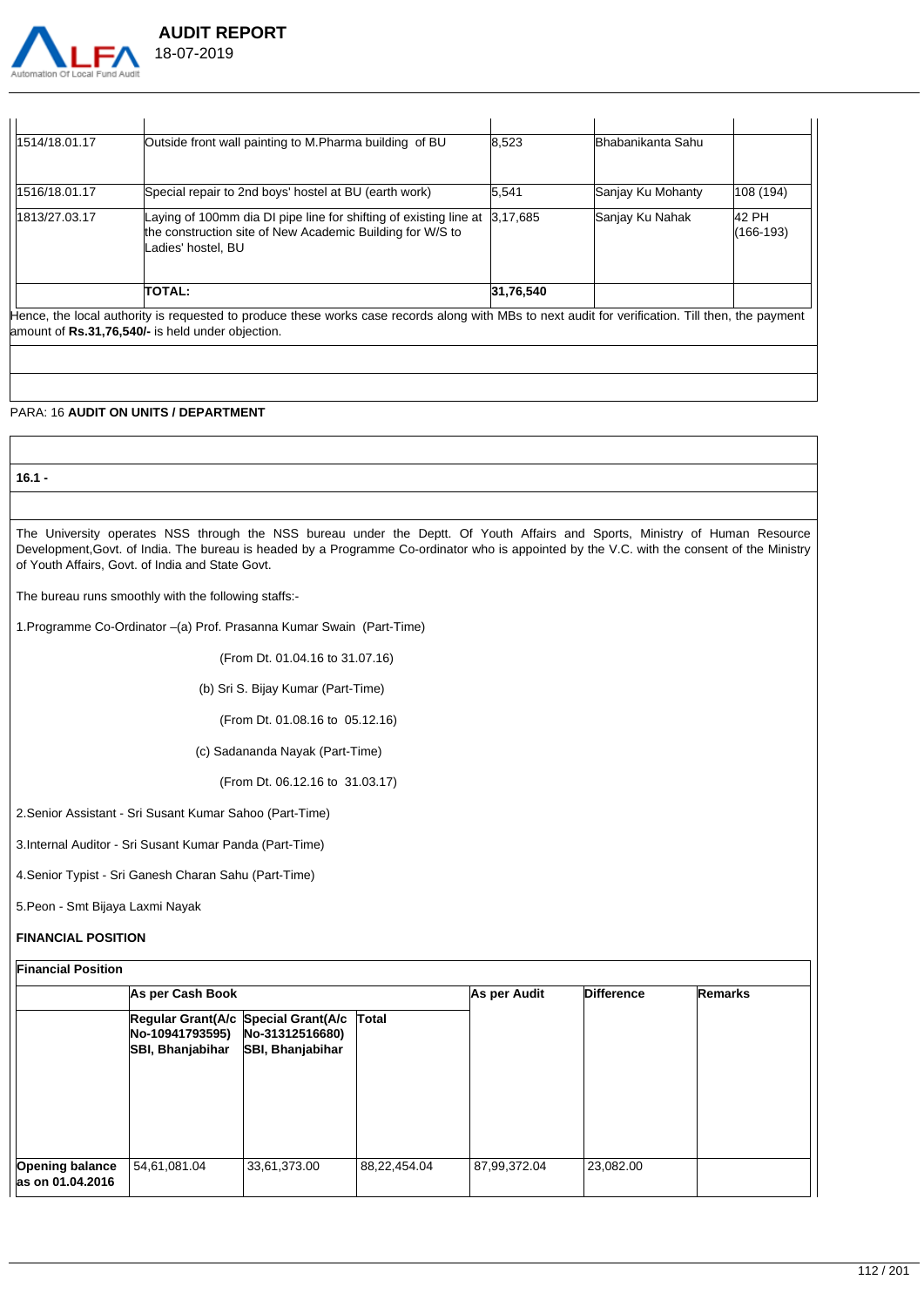

 **AUDIT REPORT** 

| 1514/18.01.17 | Outside front wall painting to M.Pharma building of BU                                                                                               | 8,523     | <b>Bhabanikanta Sahu</b> |                    |
|---------------|------------------------------------------------------------------------------------------------------------------------------------------------------|-----------|--------------------------|--------------------|
| 1516/18.01.17 | Special repair to 2nd boys' hostel at BU (earth work)                                                                                                | 5,541     | Sanjay Ku Mohanty        | 108 (194)          |
| 1813/27.03.17 | Laying of 100mm dia DI pipe line for shifting of existing line at<br>the construction site of New Academic Building for W/S to<br>Ladies' hostel. BU | 3,17,685  | Sanjay Ku Nahak          | 42 PH<br>(166-193) |
|               | TOTAL:                                                                                                                                               | 31,76,540 |                          |                    |

#### PARA: 16 **AUDIT ON UNITS / DEPARTMENT**

**16.1 -** 

The University operates NSS through the NSS bureau under the Deptt. Of Youth Affairs and Sports, Ministry of Human Resource Development,Govt. of India. The bureau is headed by a Programme Co-ordinator who is appointed by the V.C. with the consent of the Ministry of Youth Affairs, Govt. of India and State Govt.

The bureau runs smoothly with the following staffs:-

1.Programme Co-Ordinator –(a) Prof. Prasanna Kumar Swain (Part-Time)

(From Dt. 01.04.16 to 31.07.16)

(b) Sri S. Bijay Kumar (Part-Time)

(From Dt. 01.08.16 to 05.12.16)

(c) Sadananda Nayak (Part-Time)

(From Dt. 06.12.16 to 31.03.17)

2.Senior Assistant - Sri Susant Kumar Sahoo (Part-Time)

3.Internal Auditor - Sri Susant Kumar Panda (Part-Time)

4.Senior Typist - Sri Ganesh Charan Sahu (Part-Time)

5.Peon - Smt Bijaya Laxmi Nayak

#### **FINANCIAL POSITION**

**Financial Position** 

|                                            | As per Cash Book                                                           |                                     |              | As per Audit | <b>Difference</b> | <b>Remarks</b> |
|--------------------------------------------|----------------------------------------------------------------------------|-------------------------------------|--------------|--------------|-------------------|----------------|
|                                            | Regular Grant(A/c Special Grant(A/c<br>No-10941793595)<br>SBI, Bhanjabihar | No-31312516680)<br>SBI, Bhanjabihar | Total        |              |                   |                |
| <b>Opening balance</b><br>as on 01.04.2016 | 54,61,081.04                                                               | 33,61,373.00                        | 88,22,454.04 | 87,99,372.04 | 23,082.00         |                |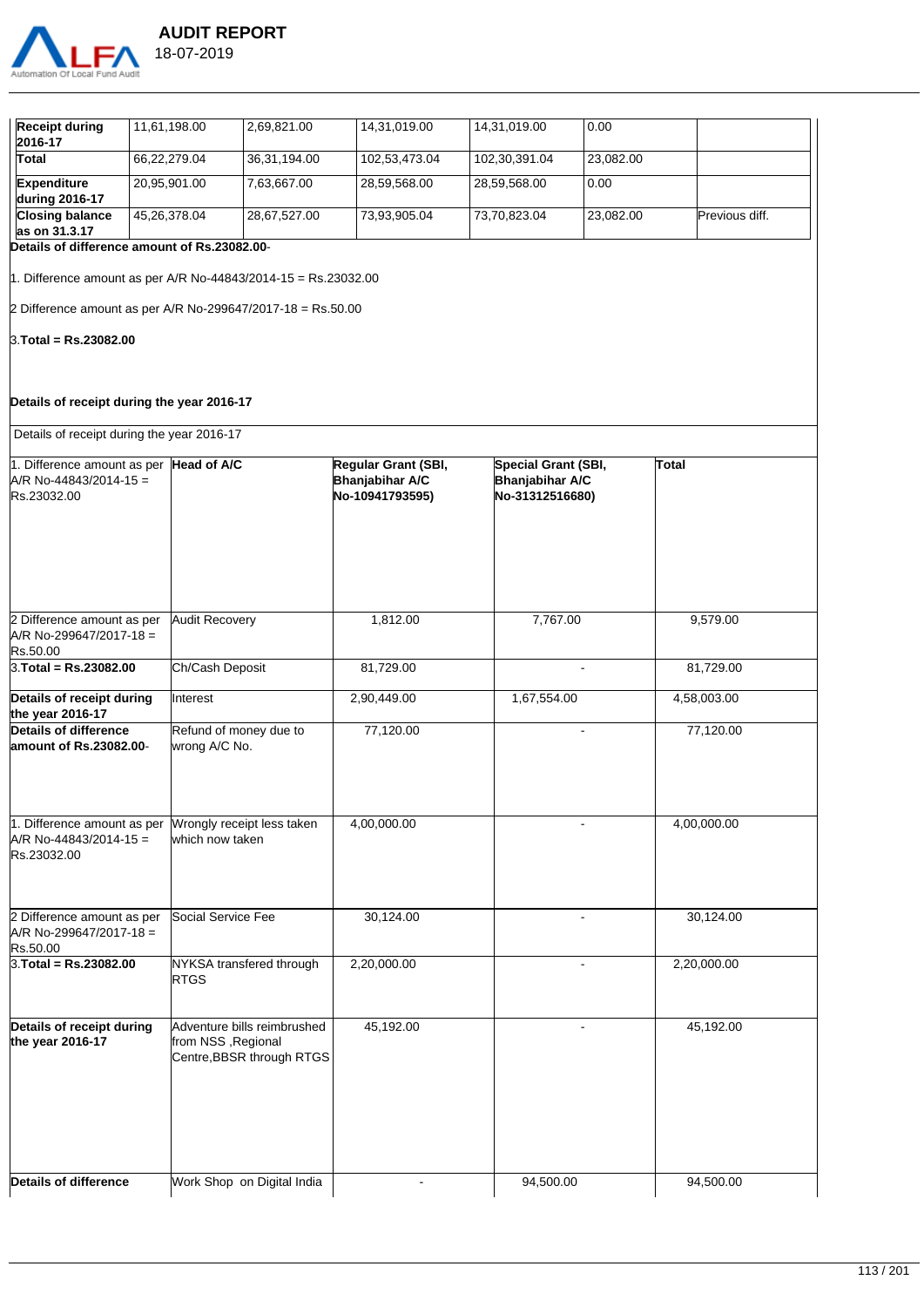

| <b>Receipt during</b><br>2016-17             | 11.61.198.00 | 2.69.821.00  | 14,31,019.00  | 14,31,019.00  | 10.00     |                |
|----------------------------------------------|--------------|--------------|---------------|---------------|-----------|----------------|
| Total                                        | 66,22,279.04 | 36,31,194.00 | 102,53,473.04 | 102,30,391.04 | 23,082.00 |                |
| <b>Expenditure</b><br>during 2016-17         | 20.95.901.00 | 7.63.667.00  | 28.59.568.00  | 28,59,568.00  | 10.00     |                |
| <b>Closing balance</b><br>las on 31.3.17<br> | 45.26.378.04 | 28.67.527.00 | 73,93,905.04  | 73,70,823.04  | 23.082.00 | Previous diff. |

**Details of difference amount of Rs.23082.00**-

1. Difference amount as per A/R No-44843/2014-15 = Rs.23032.00

2 Difference amount as per A/R No-299647/2017-18 = Rs.50.00

#### 3.**Total = Rs.23082.00**

### **Details of receipt during the year 2016-17**

Details of receipt during the year 2016-17

| 1. Difference amount as per Head of A/C<br>$A/R$ No-44843/2014-15 =<br>Rs.23032.00 |                                                                                | Regular Grant (SBI,<br><b>Bhanjabihar A/C</b><br>No-10941793595) | Special Grant (SBI,<br>Bhanjabihar A/C<br>No-31312516680) | Total       |
|------------------------------------------------------------------------------------|--------------------------------------------------------------------------------|------------------------------------------------------------------|-----------------------------------------------------------|-------------|
|                                                                                    |                                                                                |                                                                  |                                                           |             |
| 2 Difference amount as per<br>A/R No-299647/2017-18 =<br>Rs.50.00                  | <b>Audit Recovery</b>                                                          | 1,812.00                                                         | 7,767.00                                                  | 9,579.00    |
| $3.$ Total = Rs.23082.00                                                           | Ch/Cash Deposit                                                                | 81,729.00                                                        |                                                           | 81,729.00   |
| Details of receipt during<br>the year 2016-17                                      | Interest                                                                       | 2,90,449.00                                                      | 1,67,554.00                                               | 4,58,003.00 |
| Details of difference<br>amount of Rs.23082.00-                                    | Refund of money due to<br>wrong A/C No.                                        | 77,120.00                                                        | ÷,                                                        | 77,120.00   |
| 1. Difference amount as per<br>$A/R$ No-44843/2014-15 =<br>Rs.23032.00             | Wrongly receipt less taken<br>lwhich now taken                                 | 4,00,000.00                                                      | $\overline{a}$                                            | 4,00,000.00 |
| 2 Difference amount as per<br>$AYR$ No-299647/2017-18 =<br>Rs.50.00                | Social Service Fee                                                             | 30,124.00                                                        |                                                           | 30,124.00   |
| $3.$ Total = Rs.23082.00                                                           | NYKSA transfered through<br><b>RTGS</b>                                        | 2,20,000.00                                                      | $\blacksquare$                                            | 2,20,000.00 |
| Details of receipt during<br>the year 2016-17                                      | Adventure bills reimbrushed<br>from NSS, Regional<br>Centre, BBSR through RTGS | 45,192.00                                                        |                                                           | 45,192.00   |
| Details of difference                                                              | Work Shop on Digital India                                                     |                                                                  | 94,500.00                                                 | 94,500.00   |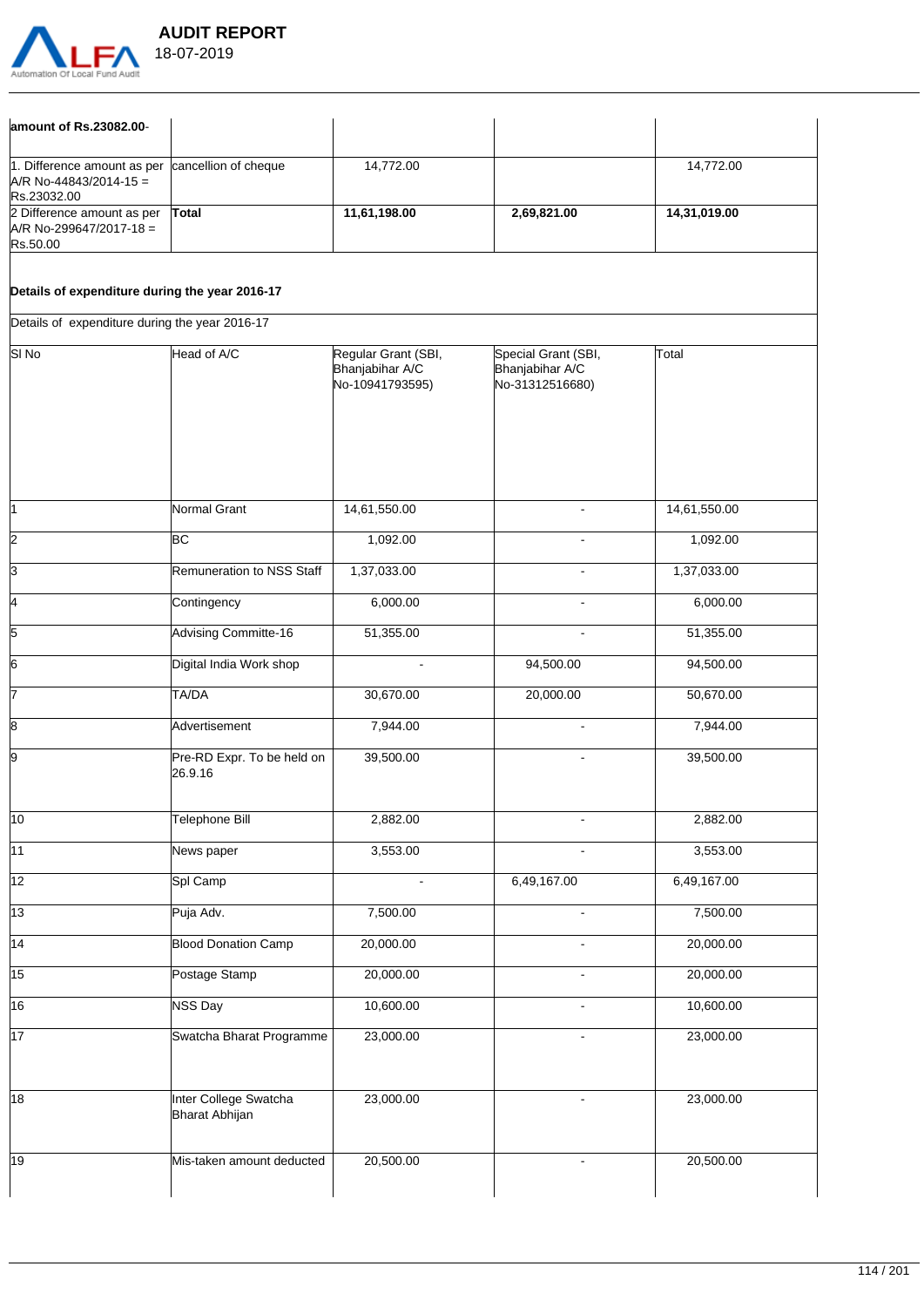

| <b>AUDIT REPORT</b> |
|---------------------|
| 18-07-2019          |

| 1. Difference amount as per<br>A/R No-44843/2014-15 =             | cancellion of cheque                    | 14,772.00                                                 |                                                           | 14,772.00    |
|-------------------------------------------------------------------|-----------------------------------------|-----------------------------------------------------------|-----------------------------------------------------------|--------------|
| Rs.23032.00                                                       |                                         |                                                           |                                                           |              |
| 2 Difference amount as per<br>A/R No-299647/2017-18 =<br>Rs.50.00 | Total                                   | 11,61,198.00                                              | 2,69,821.00                                               | 14,31,019.00 |
|                                                                   |                                         |                                                           |                                                           |              |
| Details of expenditure during the year 2016-17                    |                                         |                                                           |                                                           |              |
|                                                                   |                                         |                                                           |                                                           |              |
| Details of expenditure during the year 2016-17                    |                                         |                                                           |                                                           |              |
| SI <sub>No</sub>                                                  | Head of A/C                             | Regular Grant (SBI,<br>Bhanjabihar A/C<br>No-10941793595) | Special Grant (SBI,<br>Bhanjabihar A/C<br>No-31312516680) | Total        |
|                                                                   |                                         |                                                           |                                                           |              |
|                                                                   | Normal Grant                            | 14,61,550.00                                              | $\overline{a}$                                            | 14,61,550.00 |
| l2                                                                | BC                                      | 1,092.00                                                  |                                                           | 1,092.00     |
|                                                                   |                                         |                                                           |                                                           |              |
| 3                                                                 | Remuneration to NSS Staff               | 1,37,033.00                                               |                                                           | 1,37,033.00  |
| 4                                                                 | Contingency                             | 6,000.00                                                  |                                                           | 6,000.00     |
| 5                                                                 | Advising Committe-16                    | 51,355.00                                                 | $\sim$                                                    | 51,355.00    |
| 6                                                                 | Digital India Work shop                 |                                                           | 94,500.00                                                 | 94,500.00    |
|                                                                   | TA/DA                                   | 30,670.00                                                 | 20,000.00                                                 | 50,670.00    |
| 8                                                                 | Advertisement                           | 7,944.00                                                  | $\sim$                                                    | 7,944.00     |
| 9                                                                 | Pre-RD Expr. To be held on<br>26.9.16   | 39,500.00                                                 |                                                           | 39,500.00    |
| 10                                                                | Telephone Bill                          | 2,882.00                                                  |                                                           | 2,882.00     |
| 11                                                                | News paper                              | 3,553.00                                                  |                                                           | 3,553.00     |
| 12 <sub>2</sub>                                                   | Spl Camp                                | $\blacksquare$                                            | 6,49,167.00                                               | 6,49,167.00  |
| 13                                                                | Puja Adv.                               | 7,500.00                                                  |                                                           | 7,500.00     |
| $\overline{14}$                                                   | <b>Blood Donation Camp</b>              | 20,000.00                                                 |                                                           | 20,000.00    |
| 15                                                                | Postage Stamp                           | 20,000.00                                                 | $\blacksquare$                                            | 20,000.00    |
| 16                                                                | <b>NSS Day</b>                          | 10,600.00                                                 | $\blacksquare$                                            | 10,600.00    |
| 17                                                                | Swatcha Bharat Programme                | 23,000.00                                                 |                                                           | 23,000.00    |
| 18                                                                | Inter College Swatcha<br>Bharat Abhijan | 23,000.00                                                 | $\blacksquare$                                            | 23,000.00    |
|                                                                   |                                         |                                                           |                                                           |              |
| 19                                                                | Mis-taken amount deducted               | 20,500.00                                                 | $\blacksquare$                                            | 20,500.00    |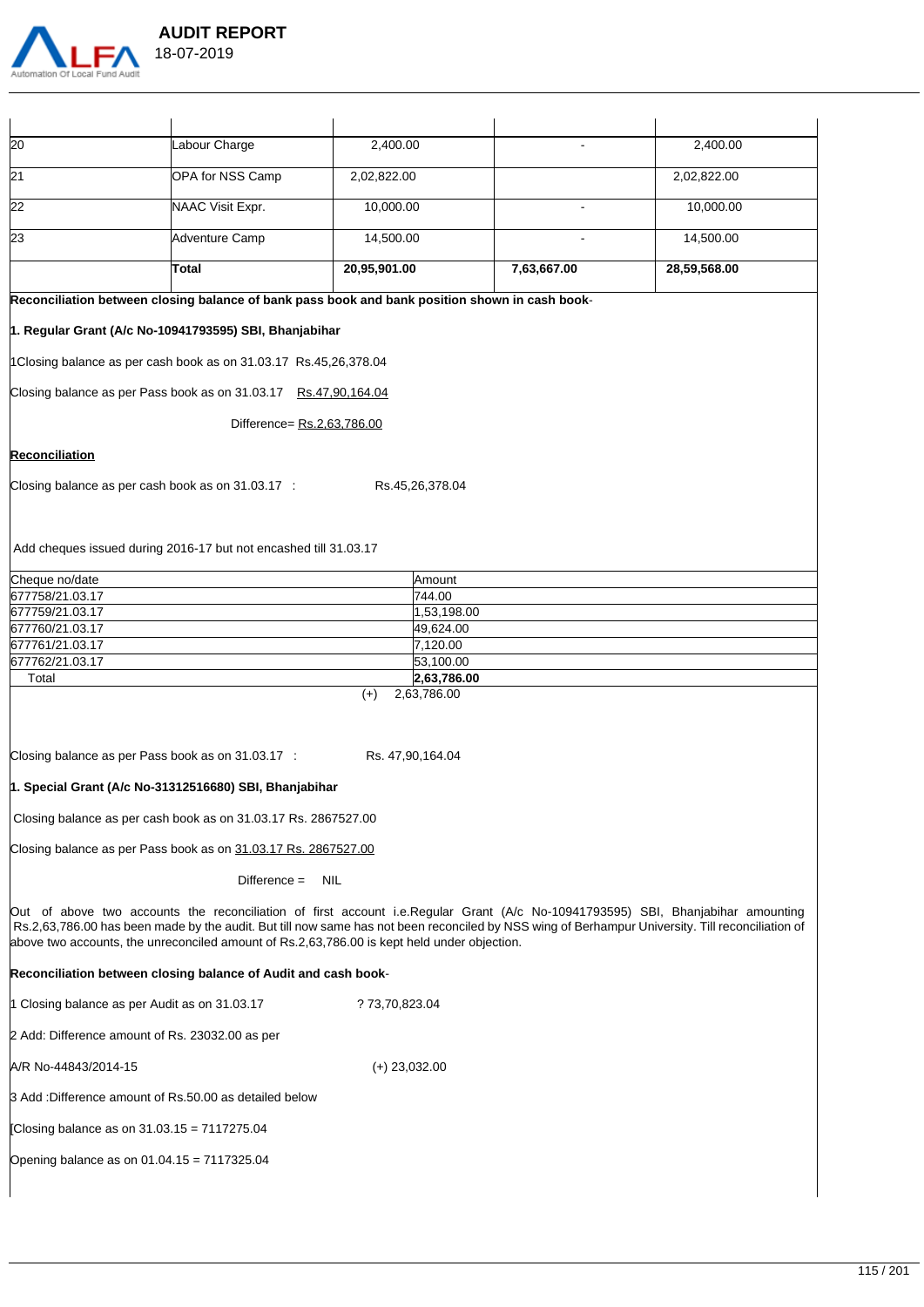

| $\overline{20}$       | Labour Charge                                                                                                                                                                                 | 2,400.00        |                          | 2,400.00     |
|-----------------------|-----------------------------------------------------------------------------------------------------------------------------------------------------------------------------------------------|-----------------|--------------------------|--------------|
| 21                    | OPA for NSS Camp                                                                                                                                                                              | 2,02,822.00     |                          | 2,02,822.00  |
| $\overline{22}$       | NAAC Visit Expr.                                                                                                                                                                              | 10,000.00       | $\overline{\phantom{a}}$ | 10,000.00    |
| 23                    | Adventure Camp                                                                                                                                                                                | 14,500.00       |                          | 14,500.00    |
|                       | Total                                                                                                                                                                                         | 20,95,901.00    | 7,63,667.00              | 28,59,568.00 |
|                       | Reconciliation between closing balance of bank pass book and bank position shown in cash book-                                                                                                |                 |                          |              |
|                       | 1. Regular Grant (A/c No-10941793595) SBI, Bhanjabihar<br>1Closing balance as per cash book as on 31.03.17 Rs.45,26,378.04<br>Closing balance as per Pass book as on 31.03.17 Rs.47,90,164.04 |                 |                          |              |
|                       | Difference= Rs.2,63,786.00                                                                                                                                                                    |                 |                          |              |
| <b>Reconciliation</b> |                                                                                                                                                                                               |                 |                          |              |
|                       | Closing balance as per cash book as on 31.03.17 :                                                                                                                                             | Rs.45,26,378.04 |                          |              |
|                       | Add cheques issued during 2016-17 but not encashed till 31.03.17                                                                                                                              |                 |                          |              |
| Cheque no/date        |                                                                                                                                                                                               | Amount          |                          |              |
| 677758/21 03 17       |                                                                                                                                                                                               | 744 00          |                          |              |

| onogao no/aato  | .           |
|-----------------|-------------|
| 677758/21.03.17 | 744.00      |
| 677759/21.03.17 | 1,53,198.00 |
| 677760/21.03.17 | 49,624.00   |
| 677761/21.03.17 | 7.120.00    |
| 677762/21.03.17 | 53,100.00   |
| Total           | 2,63,786.00 |
| $^{(+)}$        | 2,63,786.00 |

Closing balance as per Pass book as on 31.03.17 : Rs. 47,90,164.04

#### **1. Special Grant (A/c No-31312516680) SBI, Bhanjabihar**

Closing balance as per cash book as on 31.03.17 Rs. 2867527.00

Closing balance as per Pass book as on 31.03.17 Rs. 2867527.00

Difference = NIL

Out of above two accounts the reconciliation of first account i.e.Regular Grant (A/c No-10941793595) SBI, Bhanjabihar amounting Rs.2,63,786.00 has been made by the audit. But till now same has not been reconciled by NSS wing of Berhampur University. Till reconciliation of above two accounts, the unreconciled amount of Rs.2,63,786.00 is kept held under objection.

#### **Reconciliation between closing balance of Audit and cash book**-

| 1 Closing balance as per Audit as on 31.03.17           | ? 73,70,823.04  |
|---------------------------------------------------------|-----------------|
| 2 Add: Difference amount of Rs. 23032.00 as per         |                 |
| A/R No-44843/2014-15                                    | $(+)$ 23,032.00 |
| 3 Add : Difference amount of Rs.50.00 as detailed below |                 |
| Closing balance as on $31.03.15 = 7117275.04$           |                 |
| Opening balance as on $01.04.15 = 7117325.04$           |                 |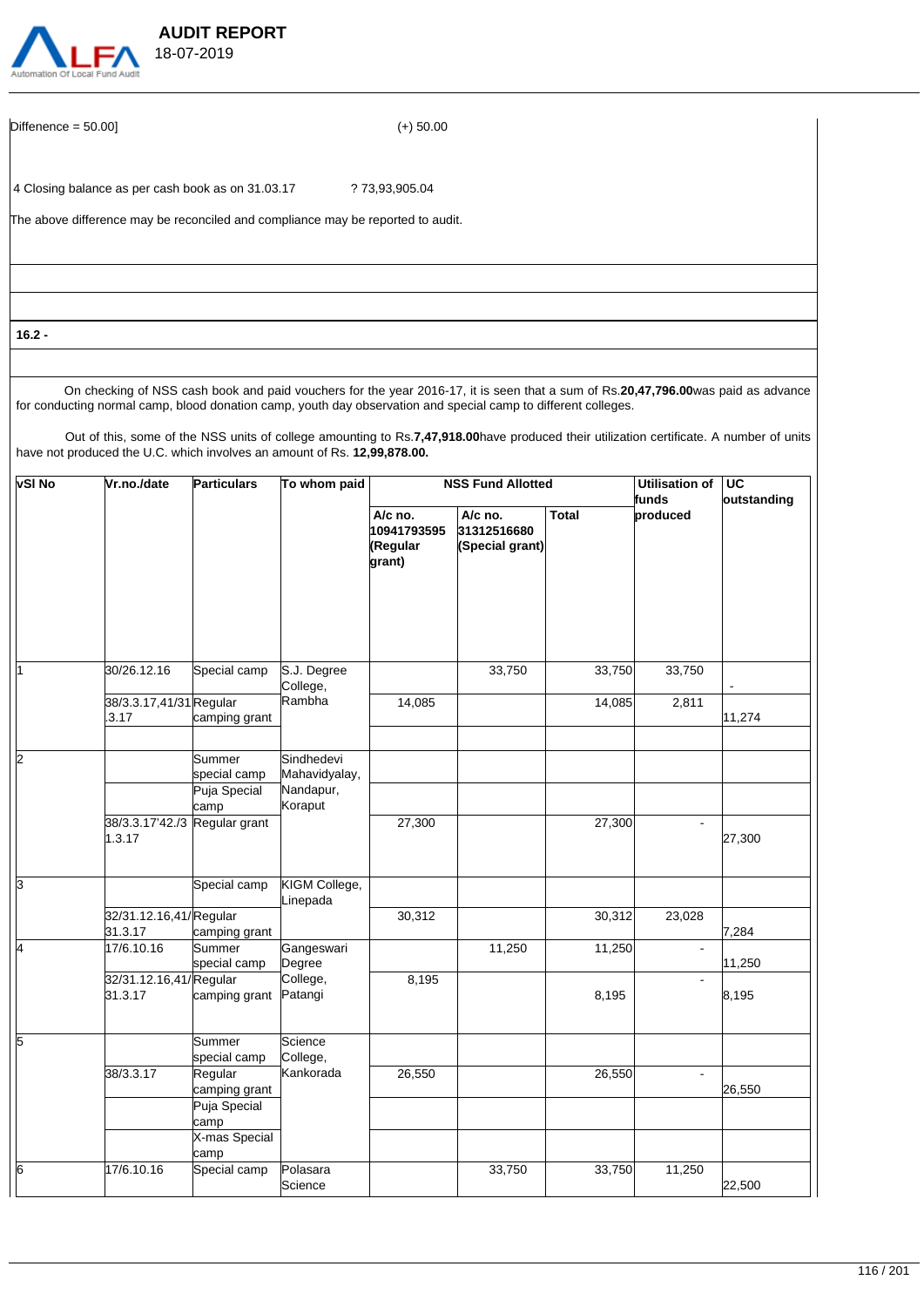

Diffenence = 50.00] (+) 50.00

4 Closing balance as per cash book as on 31.03.17 ? 73,93,905.04

The above difference may be reconciled and compliance may be reported to audit.

**16.2 -** 

 On checking of NSS cash book and paid vouchers for the year 2016-17, it is seen that a sum of Rs.**20,47,796.00**was paid as advance for conducting normal camp, blood donation camp, youth day observation and special camp to different colleges.

 Out of this, some of the NSS units of college amounting to Rs.**7,47,918.00**have produced their utilization certificate. A number of units have not produced the U.C. which involves an amount of Rs. **12,99,878.00.**

| vSI No                  | Vr.no./date                       | <b>Particulars</b><br>To whom paid       |                                                     |                                           | <b>NSS Fund Allotted</b> | <b>Utilisation of</b> | <b>UC</b>      |        |
|-------------------------|-----------------------------------|------------------------------------------|-----------------------------------------------------|-------------------------------------------|--------------------------|-----------------------|----------------|--------|
|                         |                                   |                                          | A/c no.<br>10941793595<br>(Regular<br>grant)        | A/c no.<br>31312516680<br>(Special grant) | Total                    | lfunds<br>produced    | outstanding    |        |
| 1                       | 30/26.12.16                       | Special camp                             | S.J. Degree<br>College,                             |                                           | 33,750                   | 33,750                | 33,750         |        |
|                         | 38/3.3.17,41/31 Regular<br>.3.17  | camping grant                            | Rambha                                              | 14,085                                    |                          | 14,085                | 2,811          | 11,274 |
| 2                       |                                   | lSummer<br>special camp<br>Puja Special  | Sindhedevi<br>Mahavidyalay,<br>Nandapur,<br>Koraput |                                           |                          |                       |                |        |
|                         | 38/3.3.17'42./3<br>1.3.17         | camp<br>Regular grant                    |                                                     | 27,300                                    |                          | 27,300                |                | 27,300 |
| $\overline{\mathbf{3}}$ |                                   | Special camp                             | KIGM College,<br>Linepada                           |                                           |                          |                       |                |        |
|                         | 32/31.12.16,41/Regular<br>31.3.17 | camping grant                            |                                                     | 30,312                                    |                          | 30,312                | 23,028         | 7,284  |
| 4                       | 17/6.10.16                        | Summer<br>special camp                   | Gangeswari<br>Degree                                |                                           | 11,250                   | 11,250                |                | 11,250 |
|                         | 32/31.12.16,41/Regular<br>31.3.17 | camping grant                            | College,<br>Patangi                                 | 8,195                                     |                          | 8,195                 | $\blacksquare$ | 8,195  |
| 5                       |                                   | lSummer<br>special camp                  | Science<br>College,                                 |                                           |                          |                       |                |        |
|                         | 38/3.3.17                         | Regular<br>camping grant<br>Puja Special | Kankorada                                           | 26,550                                    |                          | 26,550                | $\blacksquare$ | 26,550 |
|                         |                                   | camp<br>X-mas Special<br>camp            |                                                     |                                           |                          |                       |                |        |
| 6                       | 17/6.10.16                        | Special camp                             | Polasara<br>Science                                 |                                           | 33,750                   | 33,750                | 11,250         | 22,500 |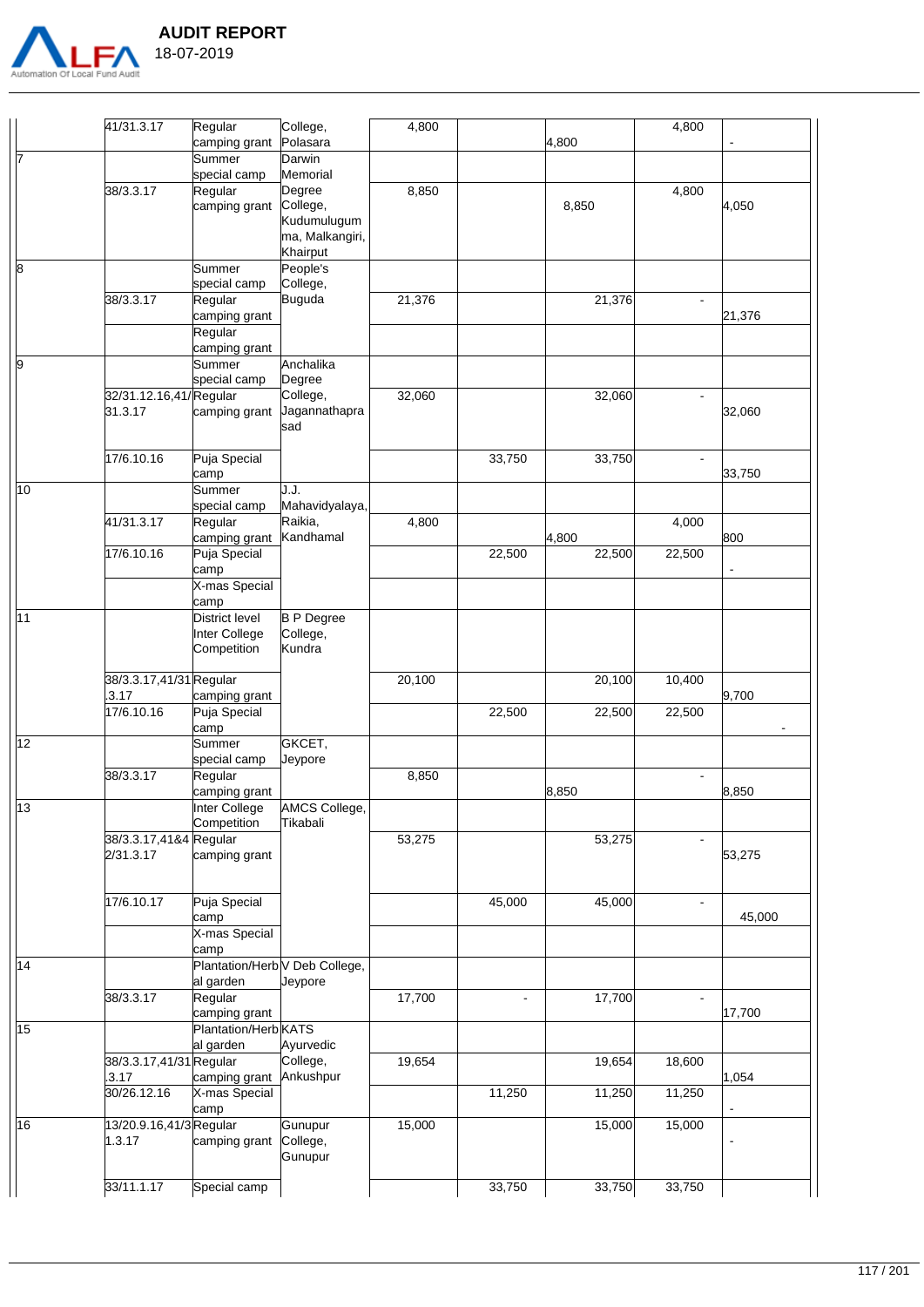

|                 | 41/31.3.17              | Regular                        | College,                | 4,800  |        |        | 4,800          |                |
|-----------------|-------------------------|--------------------------------|-------------------------|--------|--------|--------|----------------|----------------|
|                 |                         | camping grant                  | Polasara                |        |        | 4,800  |                |                |
| 17              |                         | Summer                         | Darwin                  |        |        |        |                |                |
|                 |                         | special camp                   | Memorial                |        |        |        |                |                |
|                 | 38/3.3.17               | Regular                        | Degree                  | 8,850  |        |        | 4,800          |                |
|                 |                         | camping grant                  | College,<br>Kudumulugum |        |        | 8,850  |                | 4,050          |
|                 |                         |                                | ma, Malkangiri,         |        |        |        |                |                |
|                 |                         |                                | Khairput                |        |        |        |                |                |
| $\overline{8}$  |                         | Summer                         | People's                |        |        |        |                |                |
|                 |                         | special camp                   | College,                |        |        |        |                |                |
|                 | 38/3.3.17               | Regular                        | Buguda                  | 21,376 |        | 21,376 |                |                |
|                 |                         | camping grant                  |                         |        |        |        |                | 21,376         |
|                 |                         | Regular                        |                         |        |        |        |                |                |
|                 |                         | camping grant                  |                         |        |        |        |                |                |
| 9               |                         | Summer<br>special camp         | Anchalika<br>Degree     |        |        |        |                |                |
|                 | 32/31.12.16,41/Regular  |                                | College,                | 32,060 |        | 32,060 | $\blacksquare$ |                |
|                 | 31.3.17                 | camping grant                  | Jagannathapra           |        |        |        |                | 32,060         |
|                 |                         |                                | sad                     |        |        |        |                |                |
|                 |                         |                                |                         |        |        |        |                |                |
|                 | 17/6.10.16              | Puja Special                   |                         |        | 33,750 | 33,750 |                |                |
|                 |                         | camp                           |                         |        |        |        |                | 33,750         |
| 10              |                         | Summer                         | J.J.                    |        |        |        |                |                |
|                 |                         | special camp                   | Mahavidyalaya,          |        |        |        |                |                |
|                 | 41/31.3.17              | Regular                        | Raikia,                 | 4,800  |        |        | 4,000          |                |
|                 |                         | camping grant                  | Kandhamal               |        |        | 4,800  |                | 800            |
|                 | 17/6.10.16              | Puja Special<br>camp           |                         |        | 22,500 | 22,500 | 22,500         |                |
|                 |                         | X-mas Special                  |                         |        |        |        |                |                |
|                 |                         | camp                           |                         |        |        |        |                |                |
| 11              |                         | District level                 | <b>B</b> P Degree       |        |        |        |                |                |
|                 |                         | Inter College                  | College,                |        |        |        |                |                |
|                 |                         | Competition                    | Kundra                  |        |        |        |                |                |
|                 |                         |                                |                         |        |        |        |                |                |
|                 | 38/3.3.17,41/31 Regular |                                |                         | 20,100 |        | 20,100 | 10,400         |                |
|                 | .3.17                   | camping grant                  |                         |        |        |        |                | 9,700          |
|                 | 17/6.10.16              | Puja Special                   |                         |        | 22,500 | 22,500 | 22,500         |                |
| 12              |                         | camp<br>Summer                 | GKCET,                  |        |        |        |                |                |
|                 |                         | special camp                   | Jeypore                 |        |        |        |                |                |
|                 | 38/3.3.17               | Regular                        |                         | 8,850  |        |        |                |                |
|                 |                         | camping grant                  |                         |        |        | 8,850  |                | 8,850          |
| 13              |                         | Inter College                  | AMCS College,           |        |        |        |                |                |
|                 |                         | Competition                    | Tikabali                |        |        |        |                |                |
|                 | 38/3.3.17,41&4 Regular  |                                |                         | 53,275 |        | 53,275 |                |                |
|                 | 2/31.3.17               | camping grant                  |                         |        |        |        |                | 53,275         |
|                 |                         |                                |                         |        |        |        |                |                |
|                 |                         |                                |                         |        |        |        |                |                |
|                 | 17/6.10.17              | Puja Special<br> camp          |                         |        | 45,000 | 45,000 | $\blacksquare$ | 45,000         |
|                 |                         | X-mas Special                  |                         |        |        |        |                |                |
|                 |                         | camp                           |                         |        |        |        |                |                |
| $\overline{14}$ |                         | Plantation/Herb V Deb College, |                         |        |        |        |                |                |
|                 |                         | al garden                      | Jeypore                 |        |        |        |                |                |
|                 | 38/3.3.17               | Regular                        |                         | 17,700 |        | 17,700 |                |                |
|                 |                         | camping grant                  |                         |        |        |        |                | 17,700         |
| 15              |                         | Plantation/Herb KATS           |                         |        |        |        |                |                |
|                 |                         | al garden                      | Ayurvedic               |        |        |        |                |                |
|                 | 38/3.3.17,41/31 Regular |                                | College,                | 19,654 |        | 19,654 | 18,600         |                |
|                 | .3.17                   | camping grant                  | Ankushpur               |        |        |        |                | 1,054          |
|                 | 30/26.12.16             | X-mas Special                  |                         |        | 11,250 | 11,250 | 11,250         |                |
| 16              | 13/20.9.16,41/3Regular  | camp                           | Gunupur                 | 15,000 |        | 15,000 | 15,000         |                |
|                 | 1.3.17                  | camping grant                  | College,                |        |        |        |                | $\blacksquare$ |
|                 |                         |                                | Gunupur                 |        |        |        |                |                |
|                 |                         |                                |                         |        |        |        |                |                |
|                 | 33/11.1.17              | Special camp                   |                         |        | 33,750 | 33,750 | 33,750         |                |
|                 |                         |                                |                         |        |        |        |                |                |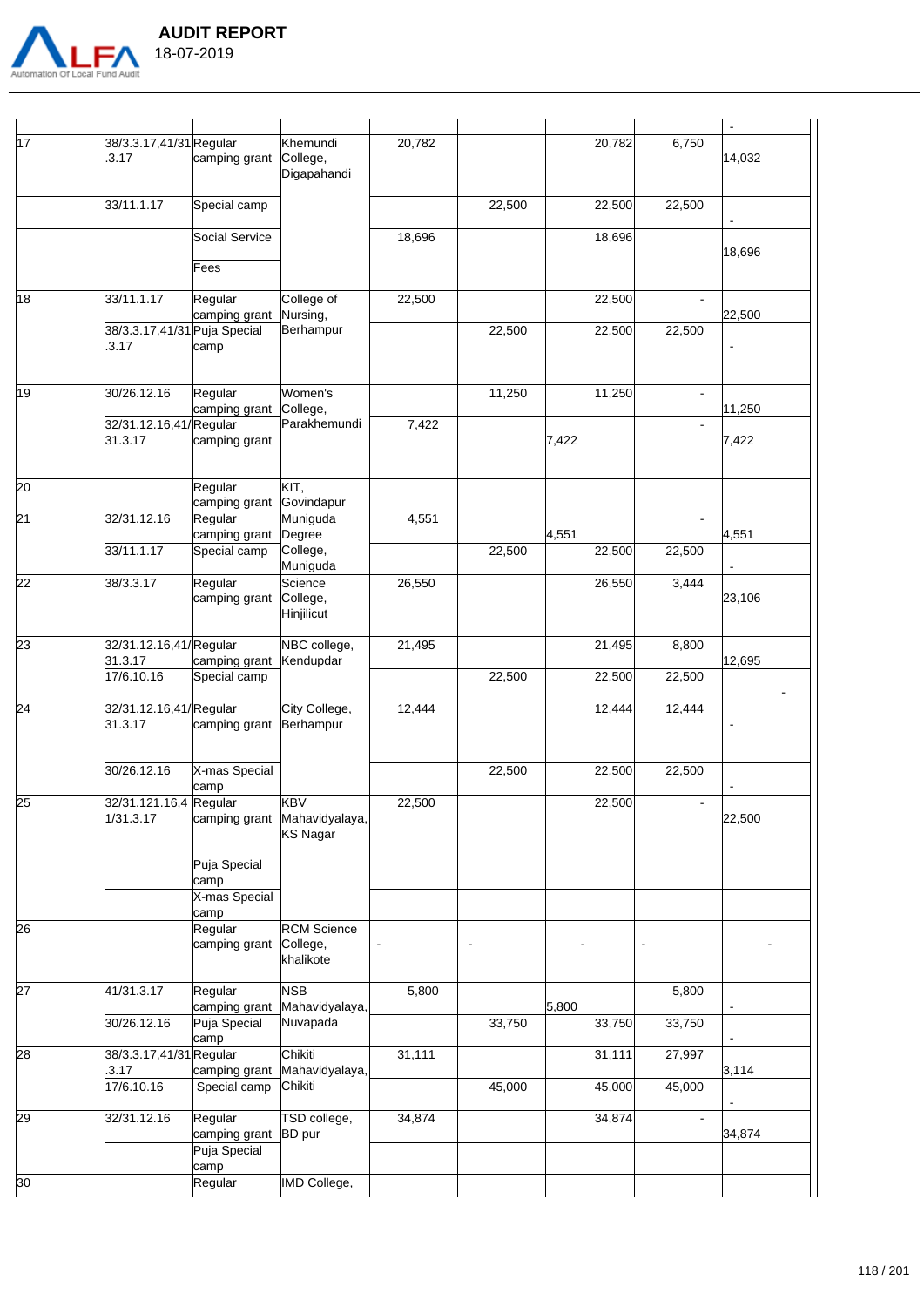

17 38/3.3.17,41/31

Regular

Khemundi

|                 | .3.17                                 | camping grant College,                          | Digapahandi                                     |                    |        |                 |                | 14,032         |
|-----------------|---------------------------------------|-------------------------------------------------|-------------------------------------------------|--------------------|--------|-----------------|----------------|----------------|
|                 | 33/11.1.17                            | Special camp                                    |                                                 |                    | 22,500 | 22,500          | 22,500         | $\blacksquare$ |
|                 |                                       | Social Service                                  |                                                 | 18,696             |        | 18,696          |                | 18,696         |
|                 |                                       | Fees                                            |                                                 |                    |        |                 |                |                |
| 18              | 33/11.1.17                            | Regular<br>camping grant                        | College of<br>Nursing,                          | 22,500             |        | 22,500          | $\blacksquare$ | 22,500         |
|                 | 38/3.3.17,41/31 Puja Special<br>.3.17 | camp                                            | Berhampur                                       |                    | 22,500 | 22,500          | 22,500         |                |
| 19              | 30/26.12.16                           | Regular<br>camping grant                        | Women's<br>College,                             |                    | 11,250 | 11,250          | $\blacksquare$ | 11,250         |
|                 | 32/31.12.16,41/Regular<br>31.3.17     | camping grant                                   | Parakhemundi                                    | 7,422              |        | 7,422           |                | 7,422          |
| 20              |                                       | Regular<br>camping grant                        | KIT,<br>Govindapur                              |                    |        |                 |                |                |
| 21              | 32/31.12.16                           | Regular<br>camping grant Degree                 | Muniguda                                        | 4,551              |        | 4,551           |                | 4,551          |
|                 | 33/11.1.17                            | Special camp                                    | College,<br>Muniguda                            |                    | 22,500 | 22,500          | 22,500         | $\blacksquare$ |
| $\overline{22}$ | 38/3.3.17                             | Regular<br>camping grant College,               | Science<br>Hinjilicut                           | 26,550             |        | 26,550          | 3,444          | 23,106         |
| 23              | 32/31.12.16,41/Regular<br>31.3.17     | camping grant                                   | NBC college,<br>Kendupdar                       | 21,495             |        | 21,495          | 8,800          | 12,695         |
|                 | 17/6.10.16                            | Special camp                                    |                                                 |                    | 22,500 | 22,500          | 22,500         |                |
| $\overline{24}$ | 32/31.12.16,41/Regular<br>31.3.17     | camping grant                                   | City College,<br>Berhampur                      | 12,444             |        | 12,444          | 12,444         | $\blacksquare$ |
|                 | 30/26.12.16                           | X-mas Special<br>camp                           |                                                 |                    | 22,500 | 22,500          | 22,500         |                |
| $\overline{25}$ | 32/31.121.16,4 Regular<br>1/31.3.17   | camping grant                                   | <b>KBV</b><br>Mahavidyalaya,<br><b>KS Nagar</b> | 22,500             |        | 22,500          | $\blacksquare$ | 22,500         |
|                 |                                       | Puja Special<br>camp<br>X-mas Special           |                                                 |                    |        |                 |                |                |
| 26              |                                       | camp<br>Regular<br>camping grant                | <b>RCM</b> Science<br>College,<br>khalikote     |                    |        |                 |                |                |
| 27              | 41/31.3.17                            | Regular                                         | <b>NSB</b>                                      | $\overline{5,800}$ |        |                 | 5,800          |                |
|                 | 30/26.12.16                           | camping grant<br>Puja Special                   | Mahavidyalaya,<br>Nuvapada                      |                    | 33,750 | 5,800<br>33,750 | 33,750         |                |
| 28              | 38/3.3.17,41/31 Regular<br>.3.17      | camp<br>camping grant                           | Chikiti<br>Mahavidyalaya,                       | 31,111             |        | 31,111          | 27,997         | 3,114          |
|                 | 17/6.10.16                            | Special camp                                    | Chikiti                                         |                    | 45,000 | 45,000          | 45,000         |                |
| 29              | 32/31.12.16                           | Regular<br>camping grant BD pur<br>Puja Special | TSD college,                                    | 34,874             |        | 34,874          | $\Box$         | 34,874         |
|                 |                                       | camp<br>Regular                                 |                                                 |                    |        |                 |                |                |

-

 $20,782$   $\qquad$   $20,782$  6,750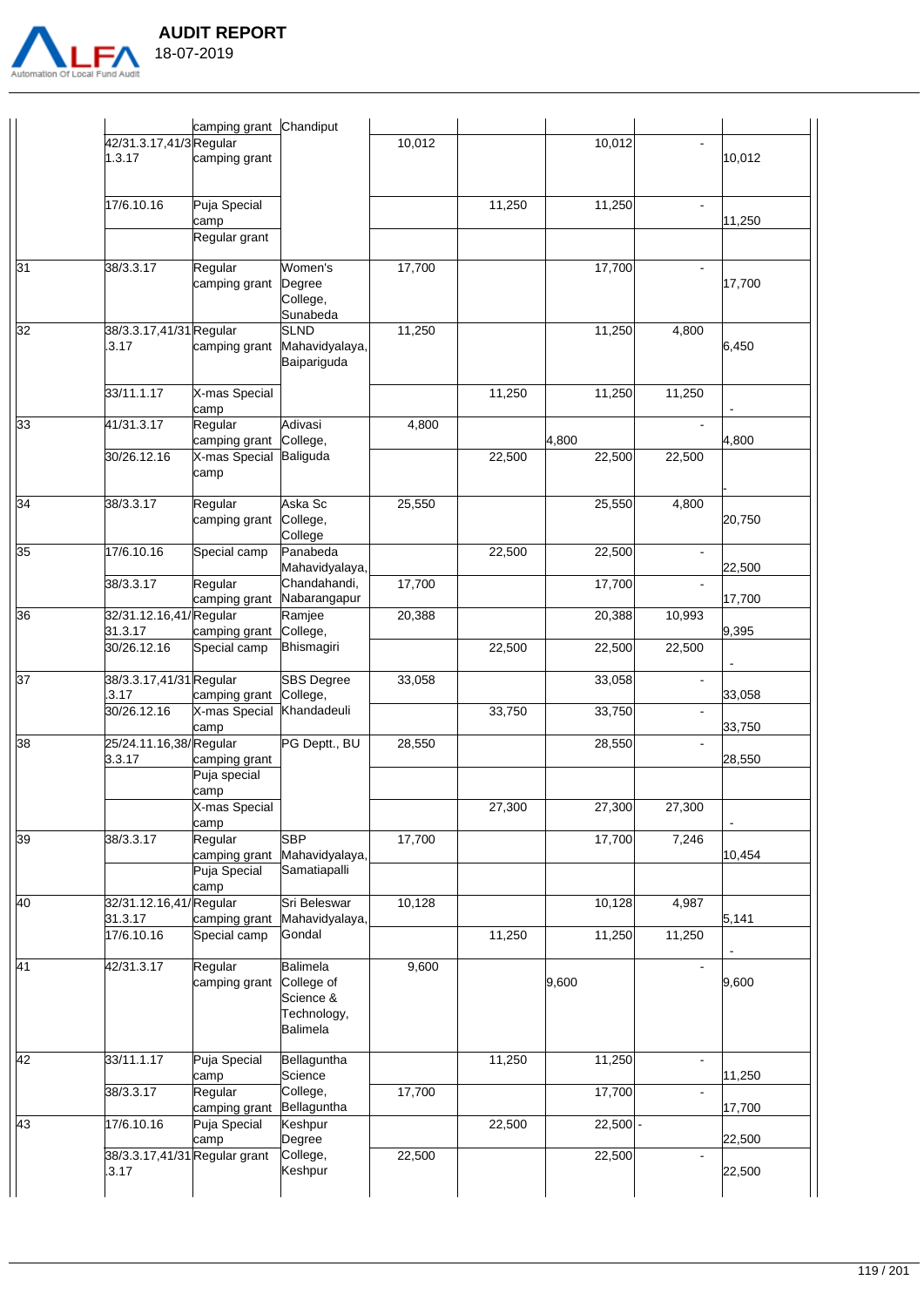

|    |                                        | camping grant Chandiput                  |                                                                |        |        |                 |                |        |
|----|----------------------------------------|------------------------------------------|----------------------------------------------------------------|--------|--------|-----------------|----------------|--------|
|    | 42/31.3.17,41/3Regular<br>1.3.17       | camping grant                            |                                                                | 10,012 |        | 10,012          |                | 10,012 |
|    | 17/6.10.16                             | Puja Special<br>camp<br>Regular grant    |                                                                |        | 11,250 | 11,250          |                | 11,250 |
|    |                                        |                                          |                                                                |        |        |                 |                |        |
| 31 | 38/3.3.17                              | Regular<br>camping grant                 | Women's<br>Degree<br>College,<br>Sunabeda                      | 17,700 |        | 17,700          | $\blacksquare$ | 17,700 |
| 32 | 38/3.3.17,41/31 Regular<br>3.17        | camping grant                            | SLND<br>Mahavidyalaya,<br>Baipariguda                          | 11,250 |        | 11,250          | 4,800          | 6,450  |
|    | 33/11.1.17                             | X-mas Special<br>camp                    |                                                                |        | 11,250 | 11,250          | 11,250         |        |
| 33 | 41/31.3.17                             | Regular                                  | Adivasi                                                        | 4,800  |        |                 |                |        |
|    | 30/26.12.16                            | camping grant<br>X-mas Special<br> camp  | College,<br>Baliguda                                           |        | 22,500 | 4,800<br>22,500 | 22,500         | 4,800  |
| 34 | 38/3.3.17                              | Regular<br>camping grant                 | Aska Sc<br>College,<br>College                                 | 25,550 |        | 25,550          | 4,800          | 20,750 |
| 35 | 17/6.10.16                             | Special camp                             | Panabeda<br>Mahavidyalaya,                                     |        | 22,500 | 22,500          | $\blacksquare$ | 22,500 |
|    | 38/3.3.17                              | Regular<br>camping grant                 | Chandahandi,<br>Nabarangapur                                   | 17,700 |        | 17,700          | $\blacksquare$ | 17,700 |
| 36 | 32/31.12.16,41/Regular<br>31.3.17      | camping grant                            | Ramjee<br>College,                                             | 20,388 |        | 20,388          | 10,993         | 9,395  |
|    | 30/26.12.16                            | Special camp                             | Bhismagiri                                                     |        | 22,500 | 22,500          | 22,500         |        |
| 37 | 38/3.3.17,41/31 Regular<br>.3.17       | camping grant                            | <b>SBS Degree</b><br>College,                                  | 33,058 |        | 33,058          |                | 33,058 |
|    | 30/26.12.16                            | X-mas Special<br>camp                    | Khandadeuli                                                    |        | 33,750 | 33,750          | $\blacksquare$ | 33,750 |
| 38 | 25/24.11.16,38/Regular<br>3.3.17       | camping grant<br>Puja special<br>camp    | PG Deptt., BU                                                  | 28,550 |        | 28,550          | $\mathbf{u}$   | 28,550 |
|    |                                        | X-mas Special<br>camp                    |                                                                |        | 27,300 | 27,300          | 27,300         |        |
| 39 | 38/3.3.17                              | Regular<br>camping grant<br>Puja Special | <b>SBP</b><br>Mahavidyalaya,<br>Samatiapalli                   | 17,700 |        | 17,700          | 7,246          | 10,454 |
|    |                                        | camp                                     |                                                                |        |        |                 |                |        |
| 40 | 32/31.12.16,41/Regular<br>31.3.17      | camping grant                            | Sri Beleswar<br>Mahavidyalaya,                                 | 10,128 |        | 10,128          | 4,987          | 5,141  |
|    | 17/6.10.16                             | Special camp                             | Gondal                                                         |        | 11,250 | 11,250          | 11,250         |        |
| 41 | 42/31.3.17                             | Regular<br>camping grant                 | Balimela<br>College of<br>Science &<br>Technology,<br>Balimela | 9,600  |        | 9,600           | $\overline{a}$ | 9,600  |
| 42 | 33/11.1.17                             | Puja Special<br>camp                     | Bellaguntha<br>Science                                         |        | 11,250 | 11,250          | $\blacksquare$ | 11,250 |
|    | 38/3.3.17                              | Regular<br>camping grant                 | College,<br>Bellaguntha                                        | 17,700 |        | 17,700          | $\blacksquare$ | 17,700 |
| 43 | 17/6.10.16                             | Puja Special<br>camp                     | Keshpur<br>Degree                                              |        | 22,500 | $22,500$ -      |                | 22,500 |
|    | 38/3.3.17,41/31 Regular grant<br>.3.17 |                                          | College,<br>Keshpur                                            | 22,500 |        | 22,500          |                | 22,500 |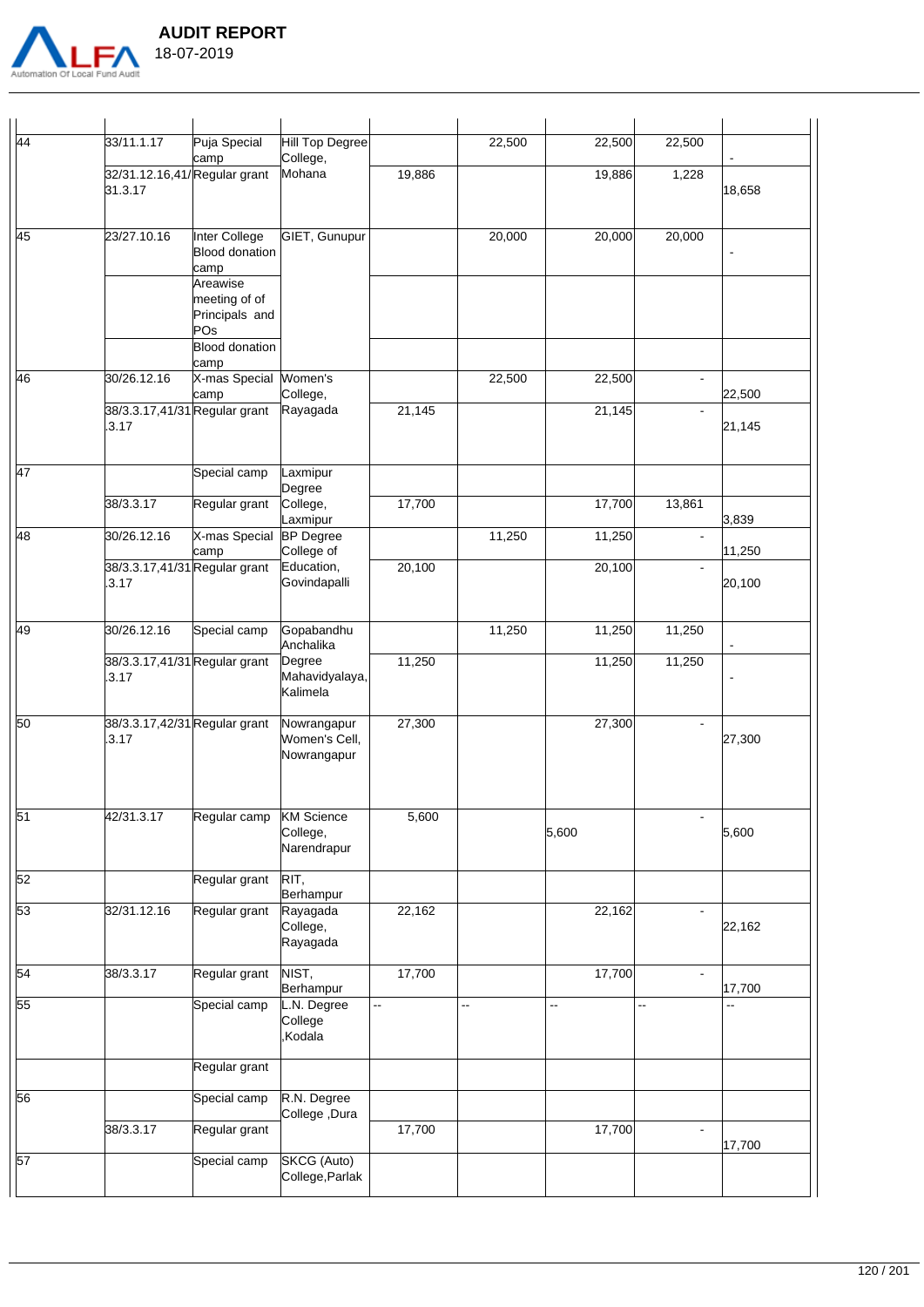

| 44 | 33/11.1.17                              | Puja Special<br> camp                              | Hill Top Degree<br>College,                  |        | 22,500 | 22,500                   | 22,500                   | ÷,                       |
|----|-----------------------------------------|----------------------------------------------------|----------------------------------------------|--------|--------|--------------------------|--------------------------|--------------------------|
|    | 32/31.12.16,41/Regular grant<br>31.3.17 |                                                    | Mohana                                       | 19,886 |        | 19,886                   | 1,228                    | 18,658                   |
| 45 | 23/27.10.16                             | Inter College<br>Blood donation<br>camp            | GIET, Gunupur                                |        | 20,000 | 20,000                   | 20,000                   | $\blacksquare$           |
|    |                                         | Areawise<br>meeting of of<br>Principals and<br>POS |                                              |        |        |                          |                          |                          |
|    |                                         | Blood donation<br>camp                             |                                              |        |        |                          |                          |                          |
| 46 | 30/26.12.16                             | X-mas Special<br>camp                              | Women's<br>College,                          |        | 22,500 | 22,500                   | $\blacksquare$           | 22,500                   |
|    | 38/3.3.17,41/31 Regular grant<br>.3.17  |                                                    | Rayagada                                     | 21,145 |        | 21,145                   | $\overline{\phantom{a}}$ | 21,145                   |
| 47 |                                         | Special camp                                       | Laxmipur<br>Degree                           |        |        |                          |                          |                          |
|    | 38/3.3.17                               | Regular grant                                      | College,<br>Laxmipur                         | 17,700 |        | 17,700                   | 13,861                   | 3,839                    |
| 48 | 30/26.12.16                             | X-mas Special<br>camp                              | <b>BP</b> Degree<br>College of               |        | 11,250 | 11,250                   |                          | 11,250                   |
|    | 38/3.3.17,41/31 Regular grant<br>.3.17  |                                                    | Education,<br>Govindapalli                   | 20,100 |        | 20,100                   |                          | 20,100                   |
| 49 | 30/26.12.16                             | Special camp                                       | Gopabandhu<br>Anchalika                      |        | 11,250 | 11,250                   | 11,250                   | $\overline{\phantom{a}}$ |
|    | 38/3.3.17,41/31 Regular grant<br>.3.17  |                                                    | Degree<br>Mahavidyalaya,<br>Kalimela         | 11,250 |        | 11,250                   | 11,250                   | $\blacksquare$           |
| 50 | 38/3.3.17,42/31 Regular grant<br>.3.17  |                                                    | Nowrangapur<br>Women's Cell,<br>Nowrangapur  | 27,300 |        | 27,300                   | $\blacksquare$           | 27,300                   |
| 51 | 42/31.3.17                              | Regular camp                                       | <b>KM Science</b><br>College,<br>Narendrapur | 5,600  |        | 5,600                    |                          | 5,600                    |
| 52 |                                         | Regular grant                                      | RIT,<br>Berhampur                            |        |        |                          |                          |                          |
| 53 | 32/31.12.16                             | Regular grant                                      | Rayagada<br>College,<br>Rayagada             | 22,162 |        | 22,162                   | $\blacksquare$           | 22,162                   |
| 54 | 38/3.3.17                               | Regular grant                                      | NIST,<br>Berhampur                           | 17,700 |        | 17,700                   | $\blacksquare$           | 17,700                   |
| 55 |                                         | Special camp                                       | L.N. Degree<br>College<br>,Kodala            | --     | Щ.     | $\overline{\phantom{a}}$ | --                       |                          |
|    |                                         | Regular grant                                      |                                              |        |        |                          |                          |                          |
| 56 |                                         | Special camp                                       | R.N. Degree<br>College, Dura                 |        |        |                          |                          |                          |
|    | 38/3.3.17                               | Regular grant                                      |                                              | 17,700 |        | 17,700                   | $\blacksquare$           | 17,700                   |
| 57 |                                         | Special camp                                       | SKCG (Auto)<br>College, Parlak               |        |        |                          |                          |                          |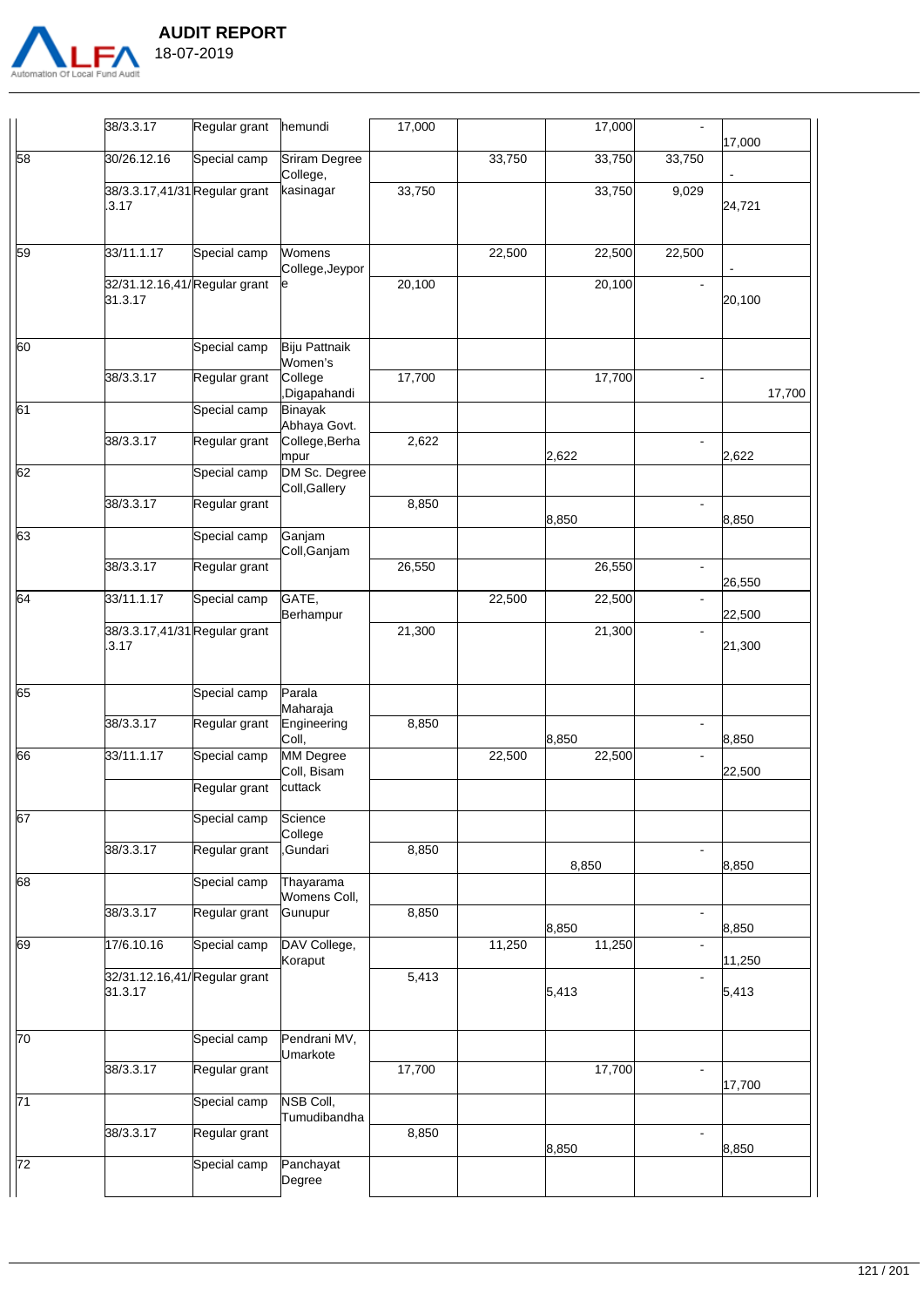

|            | <b>AUDIT REPORT</b> |
|------------|---------------------|
| 18-07-2019 |                     |

|                 | 38/3.3.17                               | Regular grant                 | hemundi                              | 17,000 |        | 17,000          |                | 17,000 |
|-----------------|-----------------------------------------|-------------------------------|--------------------------------------|--------|--------|-----------------|----------------|--------|
| 58              | 30/26.12.16                             | Special camp                  | Sriram Degree<br>College,            |        | 33,750 | 33,750          | 33,750         |        |
|                 | 38/3.3.17,41/31 Regular grant<br>.3.17  |                               | kasinagar                            | 33,750 |        | 33,750          | 9,029          | 24,721 |
| 59              | 33/11.1.17                              | Special camp                  | Womens<br>College, Jeypor            |        | 22,500 | 22,500          | 22,500         |        |
|                 | 32/31.12.16,41/Regular grant<br>31.3.17 |                               |                                      | 20,100 |        | 20,100          | $\blacksquare$ | 20,100 |
| 60              |                                         | Special camp                  | <b>Biju Pattnaik</b><br>Women's      |        |        |                 |                |        |
|                 | 38/3.3.17                               | Regular grant                 | College<br>Digapahandi,              | 17,700 |        | 17,700          | $\blacksquare$ | 17,700 |
| 61              |                                         | Special camp                  | Binayak<br>Abhaya Govt.              |        |        |                 |                |        |
|                 | 38/3.3.17                               | Regular grant                 | College, Berha<br>mpur               | 2,622  |        | 2,622           | $\blacksquare$ | 2,622  |
| 62              |                                         | Special camp                  | DM Sc. Degree<br>Coll, Gallery       |        |        |                 |                |        |
|                 | 38/3.3.17                               | Regular grant                 |                                      | 8,850  |        | 8,850           | $\blacksquare$ | 8,850  |
| 63              | 38/3.3.17                               | Special camp<br>Regular grant | Ganjam<br>Coll, Ganjam               | 26,550 |        | 26,550          | $\blacksquare$ |        |
| 64              | 33/11.1.17                              | Special camp                  | GATE,                                |        | 22,500 | 22,500          | $\blacksquare$ | 26,550 |
|                 | 38/3.3.17,41/31 Regular grant           |                               | Berhampur                            | 21,300 |        | 21,300          | $\blacksquare$ | 22,500 |
|                 | .3.17                                   |                               |                                      |        |        |                 |                | 21,300 |
| 65              |                                         | Special camp                  | Parala<br>Maharaja                   |        |        |                 |                |        |
|                 | 38/3.3.17                               | Regular grant                 | Engineering<br>Coll,                 | 8,850  |        | 8,850           | $\blacksquare$ | 8,850  |
| 66              | 33/11.1.17                              | Special camp                  | MM Degree<br>Coll, Bisam             |        | 22,500 | 22,500          | $\blacksquare$ | 22,500 |
|                 |                                         | Regular grant                 | cuttack                              |        |        |                 |                |        |
| 67              |                                         | Special camp                  | Science<br>College                   |        |        |                 |                |        |
|                 | 38/3.3.17                               | Regular grant                 | ,Gundari                             | 8,850  |        | 8,850           | $\blacksquare$ | 8,850  |
| 68              | 38/3.3.17                               | Special camp<br>Regular grant | Thayarama<br>Womens Coll,<br>Gunupur | 8,850  |        |                 | $\blacksquare$ |        |
| 69              | 17/6.10.16                              | Special camp                  | DAV College,                         |        | 11,250 | 8,850<br>11,250 | $\blacksquare$ | 8,850  |
|                 | 32/31.12.16,41/Regular grant            |                               | Koraput                              | 5,413  |        |                 | $\blacksquare$ | 11,250 |
|                 | 31.3.17                                 |                               |                                      |        |        | 5,413           |                | 5,413  |
| 70              |                                         | Special camp                  | Pendrani MV,<br>Umarkote             |        |        |                 |                |        |
|                 | 38/3.3.17                               | Regular grant                 |                                      | 17,700 |        | 17,700          | $\blacksquare$ | 17,700 |
| $\overline{71}$ |                                         | Special camp                  | NSB Coll,<br>Tumudibandha            |        |        |                 |                |        |
|                 | 38/3.3.17                               | Regular grant                 |                                      | 8,850  |        | 8,850           |                | 8,850  |
| $\overline{72}$ |                                         | Special camp                  | Panchayat<br>Degree                  |        |        |                 |                |        |
|                 |                                         |                               |                                      |        |        |                 |                |        |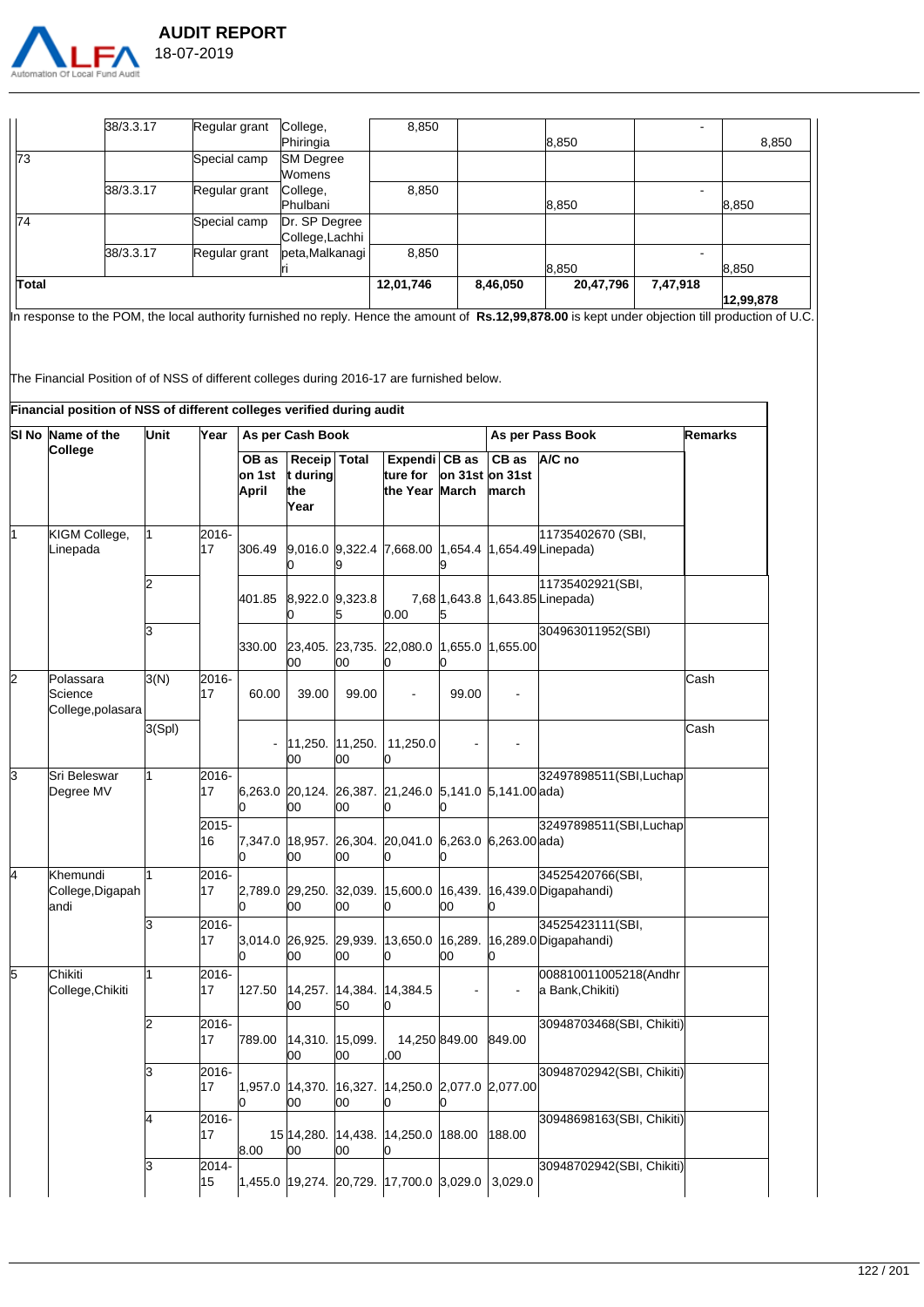

|                 | 38/3.3.17                                                                                                                                                           |        | Regular grant  |                          | College,<br>Phiringia             |                | 8,850                                                       |                   |                                   | 8,850                                                                                                                                                            |          |                | 8,850     |
|-----------------|---------------------------------------------------------------------------------------------------------------------------------------------------------------------|--------|----------------|--------------------------|-----------------------------------|----------------|-------------------------------------------------------------|-------------------|-----------------------------------|------------------------------------------------------------------------------------------------------------------------------------------------------------------|----------|----------------|-----------|
| $\overline{73}$ |                                                                                                                                                                     |        | Special camp   |                          | <b>SM Degree</b><br>Womens        |                |                                                             |                   |                                   |                                                                                                                                                                  |          |                |           |
|                 | 38/3.3.17                                                                                                                                                           |        | Regular grant  |                          | College,<br>Phulbani              |                | 8,850                                                       |                   |                                   | 8,850                                                                                                                                                            |          | $\blacksquare$ | 8,850     |
| 74              |                                                                                                                                                                     |        | Special camp   |                          | Dr. SP Degree<br>College, Lachhi  |                |                                                             |                   |                                   |                                                                                                                                                                  |          |                |           |
|                 | 38/3.3.17                                                                                                                                                           |        | Regular grant  |                          | peta, Malkanagi<br>ri             |                | 8,850                                                       |                   |                                   | 8,850                                                                                                                                                            |          |                | 8,850     |
| Total           |                                                                                                                                                                     |        |                |                          |                                   |                | 12,01,746                                                   |                   | 8,46,050                          | 20,47,796<br>In response to the POM, the local authority furnished no reply. Hence the amount of Rs.12,99,878.00 is kept under objection till production of U.C. | 7,47,918 |                | 12,99,878 |
|                 | The Financial Position of of NSS of different colleges during 2016-17 are furnished below.<br>Financial position of NSS of different colleges verified during audit |        |                |                          |                                   |                |                                                             |                   |                                   |                                                                                                                                                                  |          |                |           |
|                 | SI No Name of the                                                                                                                                                   | Unit   | Year           |                          | As per Cash Book                  |                |                                                             |                   |                                   | As per Pass Book                                                                                                                                                 |          | <b>Remarks</b> |           |
|                 | College                                                                                                                                                             |        |                | OB as<br>on 1st<br>April | Receip<br>t during<br>the<br>Year | <b>Total</b>   | Expendi CB as<br>ture for<br>the Year                       | March             | CB as<br>on 31st on 31st<br>march | A/C no                                                                                                                                                           |          |                |           |
|                 | KIGM College,<br>Linepada                                                                                                                                           |        | 2016-<br>17    | 306.49                   |                                   | 19             | $9,016.0$ 9,322.4 7,668.00 1,654.4 1,654.49 Linepada)       |                   |                                   | 11735402670 (SBI,                                                                                                                                                |          |                |           |
|                 |                                                                                                                                                                     | 2      |                | 401.85                   | 8,922.0 9,323.8                   |                | 0.00                                                        | 7,68 1,643.8<br>5 |                                   | 11735402921(SBI,<br>$1,643.85$ Linepada)                                                                                                                         |          |                |           |
|                 |                                                                                                                                                                     | 3      |                | 330.00                   | 00                                | 100            | 23,405. 23,735. 22,080.0 1,655.0 1,655.00                   |                   |                                   | 304963011952(SBI)                                                                                                                                                |          |                |           |
|                 | Polassara<br>Science<br>College, polasara                                                                                                                           | 3(N)   | 2016-<br>17    | 60.00                    | 39.00                             | 99.00          |                                                             | 99.00             |                                   |                                                                                                                                                                  |          | Cash           |           |
|                 |                                                                                                                                                                     | 3(Spl) |                |                          | 11,250.<br>00                     | 11,250.<br>100 | 11,250.0<br>10                                              |                   |                                   |                                                                                                                                                                  |          | Cash           |           |
|                 | Sri Beleswar<br>Degree MV                                                                                                                                           |        | 2016-<br>17    | n.                       | 00                                | 00             | 6,263.0 20,124. 26,387. 21,246.0 5,141.0 5,141.00 ada)<br>Ю |                   |                                   | 32497898511(SBI,Luchap                                                                                                                                           |          |                |           |
|                 |                                                                                                                                                                     |        | $2015 -$<br>16 | n                        | 00                                | 00             | 7,347.0 18,957. 26,304. 20,041.0 6,263.0 6,263.00 ada)      |                   |                                   | 32497898511(SBI,Luchap                                                                                                                                           |          |                |           |
|                 | Khemundi<br>College,Digapah<br>andi                                                                                                                                 |        | 2016-<br>17    | Ю                        | 2,789.0 29,250. 32,039.<br>00     | 00             | 15,600.0<br>10                                              | 16,439.<br>100    |                                   | 34525420766(SBI,<br>16,439.0 Digapahandi)                                                                                                                        |          |                |           |
|                 |                                                                                                                                                                     | 3      | 2016-<br>17    |                          | 00                                | loo            | 3,014.0 26,925. 29,939. 13,650.0<br>Ю                       | 00                |                                   | 34525423111(SBI,<br>16,289. 16,289.0 Digapahandi)                                                                                                                |          |                |           |
|                 | Chikiti<br>College, Chikiti                                                                                                                                         |        | 2016-<br>17    | 127.50                   | 14,257. 14,384.<br>00             | 50             | 14,384.5<br>n                                               |                   | ä,                                | 008810011005218(Andhr<br>a Bank, Chikiti)                                                                                                                        |          |                |           |
|                 |                                                                                                                                                                     | 2      | 2016-<br>17    | 789.00                   | 14,310.<br>00                     | 15,099.<br>100 | .00                                                         | 14,250 849.00     | 849.00                            | 30948703468(SBI, Chikiti)                                                                                                                                        |          |                |           |
|                 |                                                                                                                                                                     | З      | 2016-<br>17    | 0                        | 1,957.0 14,370.<br>00             | 16,327.<br>00  | 14,250.0 2,077.0 2,077.00<br>Ю                              | Ю                 |                                   | 30948702942(SBI, Chikiti)                                                                                                                                        |          |                |           |
|                 |                                                                                                                                                                     | 4      | 2016-<br>17    | 8.00                     | 00                                | 00             | 15 14,280. 14,438. 14,250.0 188.00<br>10                    |                   | 188.00                            | 30948698163(SBI, Chikiti)                                                                                                                                        |          |                |           |
|                 |                                                                                                                                                                     | 3      | 2014-<br>15    |                          |                                   |                | 1,455.0 19,274. 20,729. 17,700.0 3,029.0                    |                   | 3,029.0                           | 30948702942(SBI, Chikiti)                                                                                                                                        |          |                |           |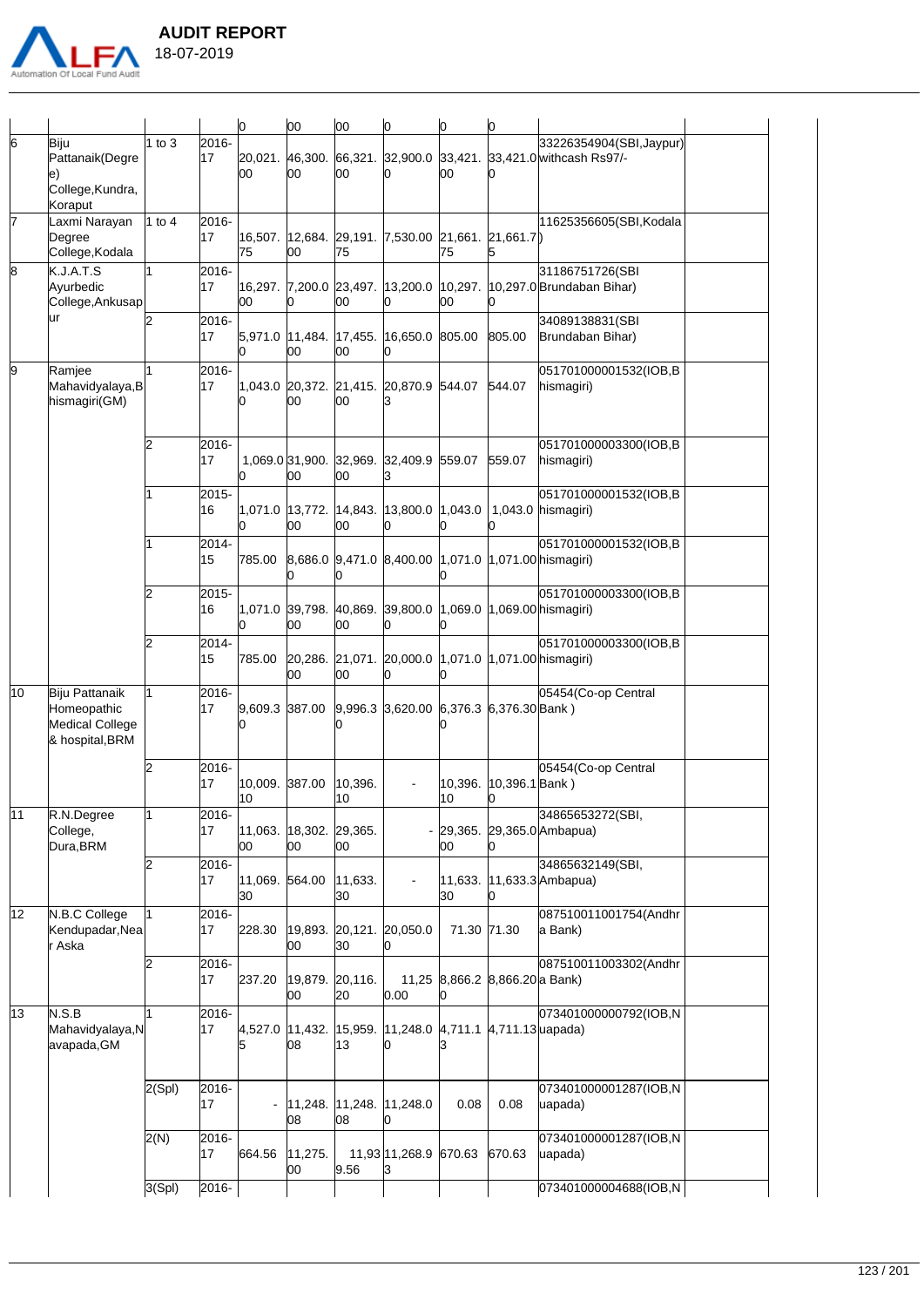

|                 |                                                                    |          |                | 0                    | 00                            | loo           | Ю                                                   | O             | O                              |                                                                               |
|-----------------|--------------------------------------------------------------------|----------|----------------|----------------------|-------------------------------|---------------|-----------------------------------------------------|---------------|--------------------------------|-------------------------------------------------------------------------------|
| 16              | Biju<br>Pattanaik(Degre<br>College, Kundra,                        | 1 to $3$ | 2016-<br>17    | 20,021.<br>00        | 46,300.<br>00                 | 00            |                                                     | 00            |                                | 33226354904(SBI, Jaypur)<br>66,321. 32,900.0 33,421. 33,421.0 withcash Rs97/- |
|                 | Koraput<br>axmi Narayan<br>Degree<br>College, Kodala               | 1 to $4$ | 2016-<br>17    | 75                   | 00                            | 75            | 16,507. 12,684. 29,191. 7,530.00 21,661. 21,661.7)  | 75            |                                | 11625356605(SBI, Kodala                                                       |
|                 | K.J.A.T.S<br>Ayurbedic<br>College, Ankusap                         |          | 2016-<br>17    | 00                   | 16,297. 7,200.0 23,497.       | 00            | $13,200.0$ 10,297.                                  | 00            |                                | 31186751726(SBI<br>10,297.0 Brundaban Bihar)                                  |
|                 | ur                                                                 | 2        | 2016-<br>17    | 5,971.0 11,484.      | 00                            | 17,455.<br>00 | 16,650.0 805.00<br>Ю                                |               | 805.00                         | 34089138831(SBI<br>Brundaban Bihar)                                           |
|                 | Ramjee<br>Mahavidyalaya, B<br>hismagiri(GM)                        |          | 2016-<br>17    | 1,043.0              | ЮO                            | 00            | 20,372. 21,415. 20,870.9 544.07                     |               | 544.07                         | 051701000001532(IOB,B<br>hismagiri)                                           |
|                 |                                                                    | 2        | 2016-<br>17    |                      | 00                            | 00            | 1,069.0 31,900. 32,969. 32,409.9 559.07             |               | 559.07                         | 051701000003300(IOB,B<br>hismagiri)                                           |
|                 |                                                                    |          | 2015-<br>16    |                      | 1,071.0 13,772. 14,843.<br>00 | 00            | $13,800.0$ 1,043.0                                  |               | 1,043.0                        | 051701000001532(IOB,B<br>hismagiri)                                           |
|                 |                                                                    |          | 2014-<br>15    | 785.00               |                               |               |                                                     |               |                                | 051701000001532(IOB,B<br>8,686.0 9,471.0 8,400.00 1,071.0 1,071.00 hismagiri) |
|                 |                                                                    | 2        | $2015 -$<br>16 | 1,071.0              | ЮO                            | 00            |                                                     | Ю             |                                | 051701000003300(IOB,B<br>39,798. 40,869. 39,800.0 1,069.0 1,069.00 hismagiri) |
|                 |                                                                    | 2        | 2014-<br>15    | 785.00               | 00                            | loo           |                                                     |               |                                | 051701000003300(IOB,B<br>20,286. 21,071. 20,000.0 1,071.0 1,071.00 hismagiri) |
| 10              | Biju Pattanaik<br>Homeopathic<br>Medical College<br>& hospital,BRM |          | 2016-<br>17    | 9,609.3 387.00       |                               |               | $9,996.3$ 3,620.00 6,376.3 6,376.30 Bank)           |               |                                | 05454(Co-op Central                                                           |
|                 |                                                                    | 2        | 2016-<br>17    | 10,009. 387.00<br>10 |                               | 10,396.<br>10 |                                                     | 10,396.<br>10 | 10,396.1 Bank)                 | 05454(Co-op Central                                                           |
| 11              | R.N.Degree<br>College,<br>Dura, BRM                                | h        | 2016-<br>17    | 11,063.<br>00        | 18,302. 29,365.<br>00         | 100           |                                                     | 00            |                                | 34865653272(SBI,<br>- 29,365. 29,365.0 Ambapua)                               |
|                 |                                                                    | 2        | 2016-<br>17    | 11,069. 564.00<br>30 |                               | 11,633.<br>30 |                                                     | 30            |                                | 34865632149(SBI,<br>11,633. 11,633.3 Ambapua)                                 |
| 12 <sub>2</sub> | N.B.C College<br>Kendupadar,Nea<br>Aska                            |          | 2016-<br>17    | 228.30               | 00                            | 30            | 19,893. 20,121. 20,050.0                            | 71.30 71.30   |                                | 087510011001754(Andhr<br>a Bank)                                              |
|                 |                                                                    | 2        | 2016-<br>17    | 237.20               | 19,879. 20,116.<br>00         | 20            | 0.00                                                |               | 11,25 8,866.2 8,866.20 a Bank) | 087510011003302(Andhr                                                         |
| $\overline{13}$ | N.S.B<br>Mahavidyalaya, N<br>avapada,GM                            |          | 2016-<br>17    | 4,527.0              | 08                            | 13            | $11,432.$ 15,959. 11,248.0 4,711.1 4,711.13 uapada) |               |                                | 073401000000792(IOB,N                                                         |
|                 |                                                                    | 2(Spl)   | 2016-<br>17    |                      | 08                            | 08            | 11,248. 11,248. 11,248.0<br>n                       | 0.08          | 0.08                           | 073401000001287(IOB,N<br>uapada)                                              |
|                 |                                                                    | 2(N)     | 2016-<br>17    | 664.56               | 11,275.<br>00                 | 9.56          | 11,93 11,268.9 670.63                               |               | 670.63                         | 073401000001287(IOB,N<br>uapada)                                              |
|                 |                                                                    | 3(Spl)   | 2016-          |                      |                               |               |                                                     |               |                                | 073401000004688(IOB,N                                                         |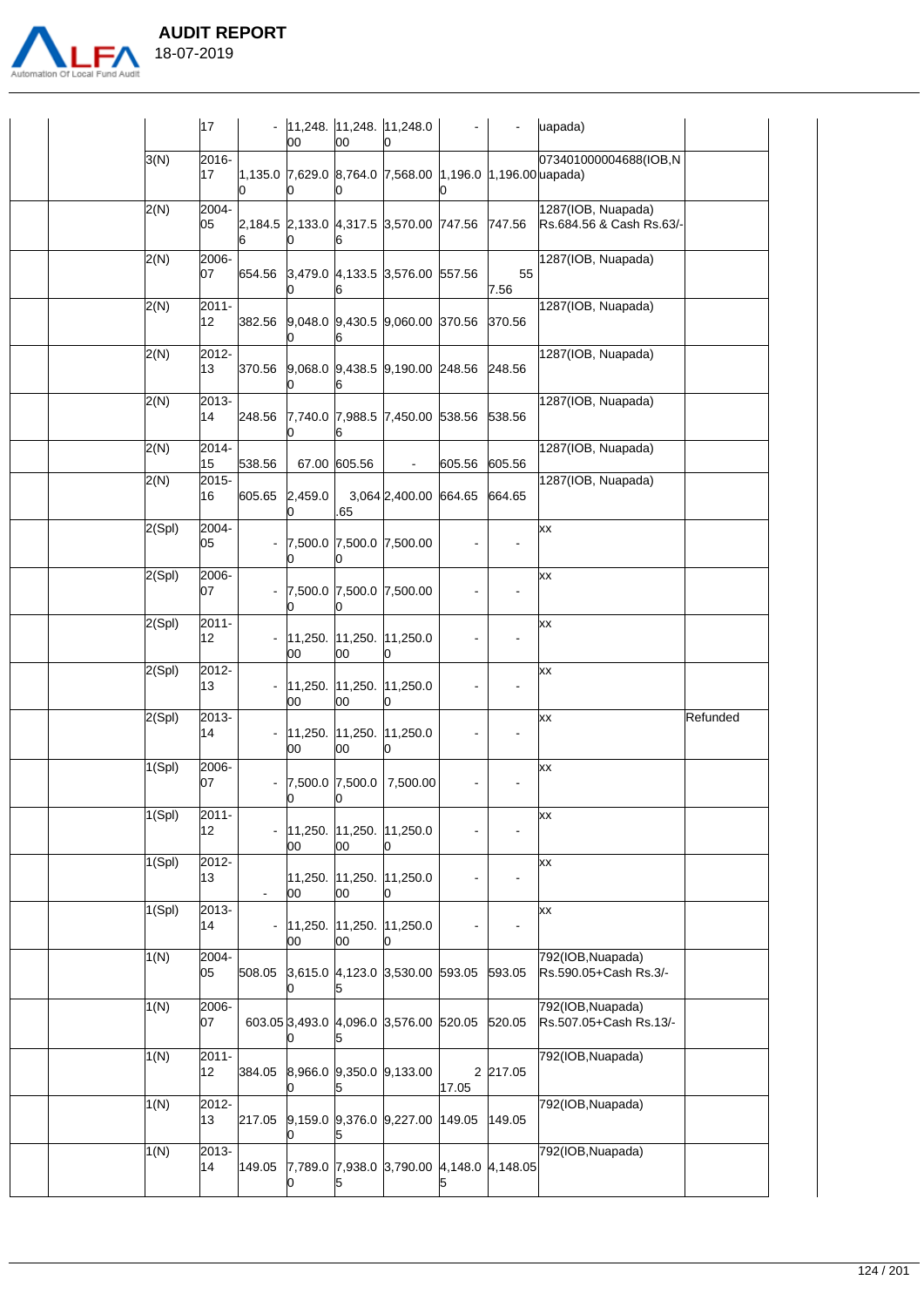

| <b>AUDIT REPORT</b> |  |
|---------------------|--|
| 18-07-2019          |  |

|        | 17             |                | ЮO                      | 00           | $-$ 11,248. 11,248. 11,248.0                              | $\omega_{\rm{eff}}$ | $\blacksquare$           | uapada)                                        |          |
|--------|----------------|----------------|-------------------------|--------------|-----------------------------------------------------------|---------------------|--------------------------|------------------------------------------------|----------|
| 3(N)   | 2016-<br>17    |                | Ю                       |              | 1,135.0 7,629.0 8,764.0 7,568.00 1,196.0 1,196.00 uapada) |                     |                          | 073401000004688(IOB,N                          |          |
| 2(N)   | 2004-<br>05    |                |                         |              | 2,184.5 2,133.0 4,317.5 3,570.00 747.56                   |                     | 747.56                   | 1287(IOB, Nuapada)<br>Rs.684.56 & Cash Rs.63/- |          |
| 2(N)   | 2006-<br>07    | 654.56         |                         |              | 3,479.0 4,133.5 3,576.00 557.56                           |                     | 55<br>7.56               | 1287(IOB, Nuapada)                             |          |
| 2(N)   | $2011 -$<br>12 | 382.56         |                         |              | $9,048.0$ 9,430.5 9,060.00 370.56                         |                     | 370.56                   | 1287(IOB, Nuapada)                             |          |
| 2(N)   | $2012 -$<br>13 |                |                         |              | 370.56 9,068.0 9,438.5 9,190.00 248.56                    |                     | 248.56                   | 1287(IOB, Nuapada)                             |          |
| 2(N)   | $2013 -$<br>14 | 248.56         |                         |              | 7,740.0 7,988.5 7,450.00 538.56                           |                     | 538.56                   | 1287(IOB, Nuapada)                             |          |
| 2(N)   | $2014 -$<br>15 | 538.56         |                         | 67.00 605.56 | $\blacksquare$                                            | 605.56              | 605.56                   | 1287(IOB, Nuapada)                             |          |
| 2(N)   | $2015 -$<br>16 |                | 605.65 2,459.0<br>n     | .65          | 3,064 2,400.00 664.65                                     |                     | 664.65                   | 1287(IOB, Nuapada)                             |          |
| 2(Spl) | 2004-<br>05    |                |                         |              | $-$ 7,500.0 7,500.0 7,500.00                              |                     |                          | xx                                             |          |
| 2(Spl) | 2006-<br>07    |                |                         |              | - 7,500.0 7,500.0 7,500.00                                | ÷.                  |                          | xx                                             |          |
| 2(Spl) | $2011 -$<br>12 |                | 00                      | 100          | $-$ 11,250. 11,250. 11,250.0                              | ä,                  | ä,                       | ×х                                             |          |
| 2(Spl) | 2012-<br>13    |                | 00                      | 00           | $-$ 11,250. 11,250. 11,250.0                              |                     |                          | kx                                             |          |
| 2(Spl) | 2013-<br>14    |                | 00                      | 00           | $-$ 11,250. 11,250. 11,250.0<br>10                        | ä,                  | $\overline{a}$           | kx                                             | Refunded |
| 1(Spl) | 2006-<br>07    |                | Ю                       |              | $-$ 7,500.0 7,500.0 7,500.00                              | $\blacksquare$      | $\overline{\phantom{a}}$ | xx                                             |          |
| 1(Spl) | $2011 -$<br>12 |                | 00                      | loo          | 11,250. 11,250. 11,250.0<br>n                             | ٠                   |                          | xх                                             |          |
| 1(Spl) | 2012-<br>13    |                |                         |              | 11,250. 11,250. 11,250.0                                  |                     |                          | xx                                             |          |
|        |                | $\blacksquare$ | 00                      | loo          | Ю                                                         |                     |                          |                                                |          |
| 1(Spl) | $2013 -$<br>14 |                | $11,250.$ 11,250.<br>00 | loo          | 11,250.0                                                  |                     | $\blacksquare$           | xx                                             |          |
| 1(N)   | 2004-<br>05    | 508.05         |                         |              | 3,615.0 4,123.0 3,530.00 593.05                           |                     | 593.05                   | 792(IOB, Nuapada)<br>Rs.590.05+Cash Rs.3/-     |          |
| 1(N)   | 2006-<br>07    |                | Ю                       | 5            | 603.05 3,493.0 4,096.0 3,576.00 520.05                    |                     | 520.05                   | 792(IOB, Nuapada)<br>Rs.507.05+Cash Rs.13/-    |          |
| 1(N)   | 2011-<br>12    | 384.05         |                         |              | 8,966.0 9,350.0 9,133.00                                  |                     | 2 217.05                 | 792(IOB, Nuapada)                              |          |
| 1(N)   | 2012-<br>13    | 217.05         | Ю                       |              | 9,159.0 9,376.0 9,227.00                                  | 17.05<br>149.05     | 149.05                   | 792(IOB, Nuapada)                              |          |
| 1(N)   | 2013-<br>14    | 149.05         |                         |              | 7,789.0 7,938.0 3,790.00 4,148.0 4,148.05                 |                     |                          | 792(IOB, Nuapada)                              |          |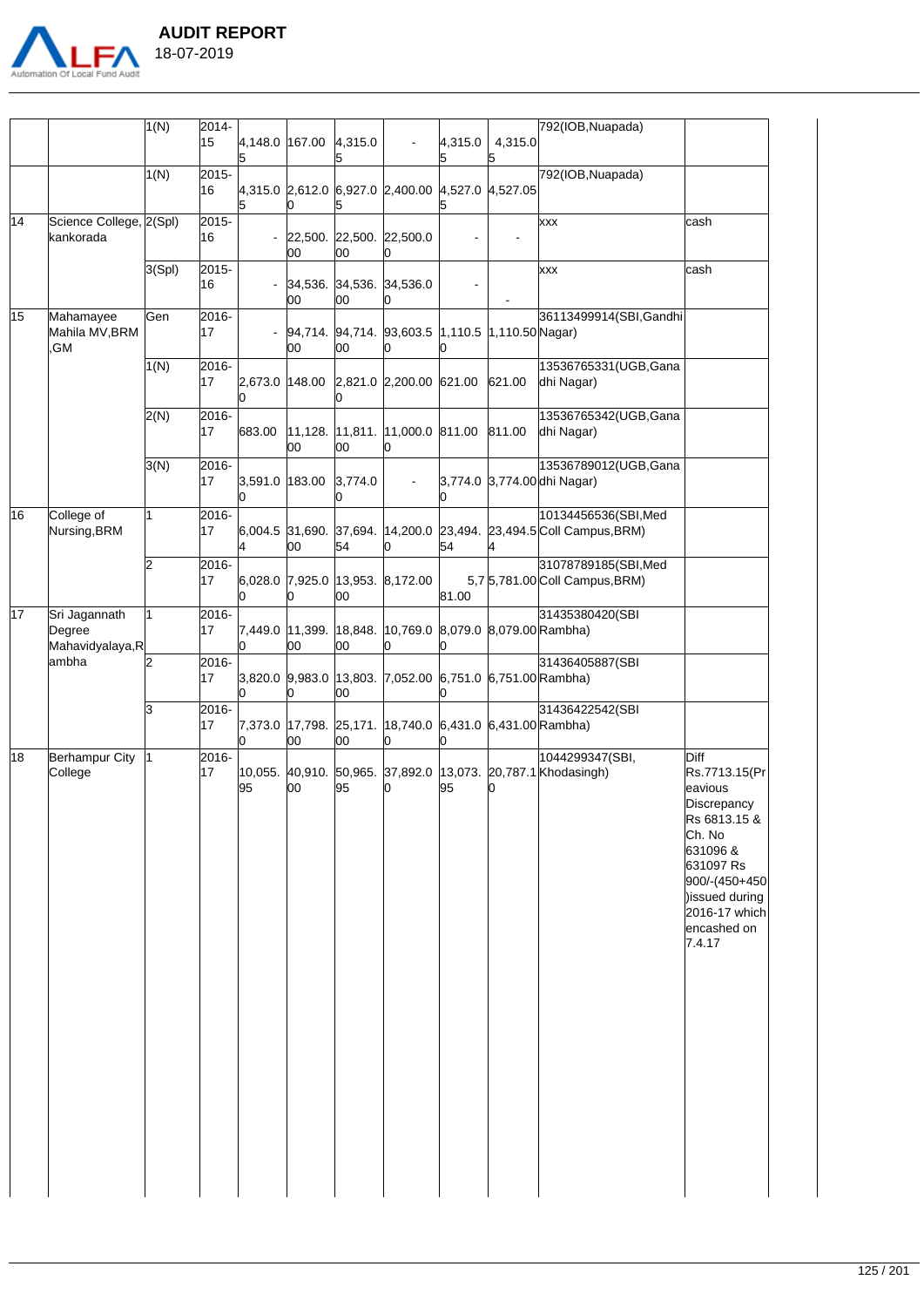

| <b>AUDIT REPORT</b> |
|---------------------|
| 18-07-2019          |

|    |                                             | 1(N)   | 2014-          |                |        |         |                                                                |         |              | 792(IOB, Nuapada)                                                                          |                                                                                                                                                                                 |
|----|---------------------------------------------|--------|----------------|----------------|--------|---------|----------------------------------------------------------------|---------|--------------|--------------------------------------------------------------------------------------------|---------------------------------------------------------------------------------------------------------------------------------------------------------------------------------|
|    |                                             |        | 15             | 4,148.0 167.00 |        | 4,315.0 | $\blacksquare$                                                 | 4,315.0 | 4,315.0<br>5 |                                                                                            |                                                                                                                                                                                 |
|    |                                             | 1(N)   | 2015-<br>16    |                |        |         | 4,315.0 2,612.0 6,927.0 2,400.00 4,527.0 4,527.05              |         |              | 792(IOB, Nuapada)                                                                          |                                                                                                                                                                                 |
| 14 | Science College, 2(Spl)<br>kankorada        |        | 2015-<br>16    |                | 00     | 100     | 22,500. 22,500. 22,500.0<br>Ю                                  |         |              | xxx                                                                                        | cash                                                                                                                                                                            |
|    |                                             | 3(Spl) | 2015-<br>16    |                | 00     | 100     | 34,536. 34,536. 34,536.0                                       | ä,      |              | xxx                                                                                        | cash                                                                                                                                                                            |
| 15 | Mahamayee<br>Mahila MV,BRM<br>GM,           | Gen    | 2016-<br>17    |                | 00     | 100     | 94,714. 94,714. 93,603.5 1,110.5 1,110.50 Nagar)               |         |              | 36113499914(SBI, Gandhi                                                                    |                                                                                                                                                                                 |
|    |                                             | 1(N)   | $2016 -$<br>17 | 2,673.0        | 148.00 |         | 2,821.0 2,200.00 621.00                                        |         | 621.00       | 13536765331(UGB, Gana<br>dhi Nagar)                                                        |                                                                                                                                                                                 |
|    |                                             | 2(N)   | 2016-<br>17    | 683.00         | 00     | 00      | 11,128. 11,811. 11,000.0 811.00<br>Ю                           |         | 811.00       | 13536765342(UGB,Gana<br>dhi Nagar)                                                         |                                                                                                                                                                                 |
|    |                                             | 3(N)   | 2016-<br>17    | 3,591.0 183.00 |        | 3,774.0 |                                                                |         |              | 13536789012(UGB, Gana<br>3,774.0 3,774.00 dhi Nagar)                                       |                                                                                                                                                                                 |
| 16 | College of<br>Nursing, BRM                  |        | 2016-<br>17    |                | 00     | 54      | Ю                                                              | 54      |              | 10134456536(SBI,Med<br>6,004.5 31,690. 37,694. 14,200.0 23,494. 23,494.5 Coll Campus, BRM) |                                                                                                                                                                                 |
|    |                                             | 2      | 2016-<br>17    |                | Ю      | 100     | 6,028.0 7,925.0 13,953. 8,172.00                               | 81.00   |              | 31078789185(SBI, Med<br>5,7 5,781.00 Coll Campus, BRM)                                     |                                                                                                                                                                                 |
| 17 | Sri Jagannath<br>Degree<br>Mahavidyalaya, R |        | 2016-<br>17    |                | 00     | 00      | 7,449.0 11,399. 18,848. 10,769.0 8,079.0 8,079.00 Rambha)<br>n |         |              | 31435380420(SBI                                                                            |                                                                                                                                                                                 |
|    | lambha                                      | 2      | 2016-<br>17    |                |        | 00      | 3,820.0 9,983.0 13,803. 7,052.00 6,751.0 6,751.00 Rambha)      |         |              | 31436405887(SBI                                                                            |                                                                                                                                                                                 |
|    |                                             | IЗ     | 2016-<br>17    |                | 00     | 00      | 7,373.0 17,798. 25,171. 18,740.0 6,431.0 6,431.00 Rambha)      |         |              | 31436422542(SBI                                                                            |                                                                                                                                                                                 |
| 18 | Berhampur City<br>College                   |        | 2016-<br>17    | 10,055.<br>95  | 00     | 95      | Ю                                                              | 95      |              | 1044299347(SBI,<br>40,910. 50,965. 37,892.0 13,073. 20,787.1 Khodasingh)                   | Diff<br>Rs.7713.15(Pr<br>eavious<br>Discrepancy<br>Rs 6813.15 &<br>Ch. No<br>631096 &<br>631097 Rs<br>900/-(450+450<br>)issued during<br>2016-17 which<br>encashed on<br>7.4.17 |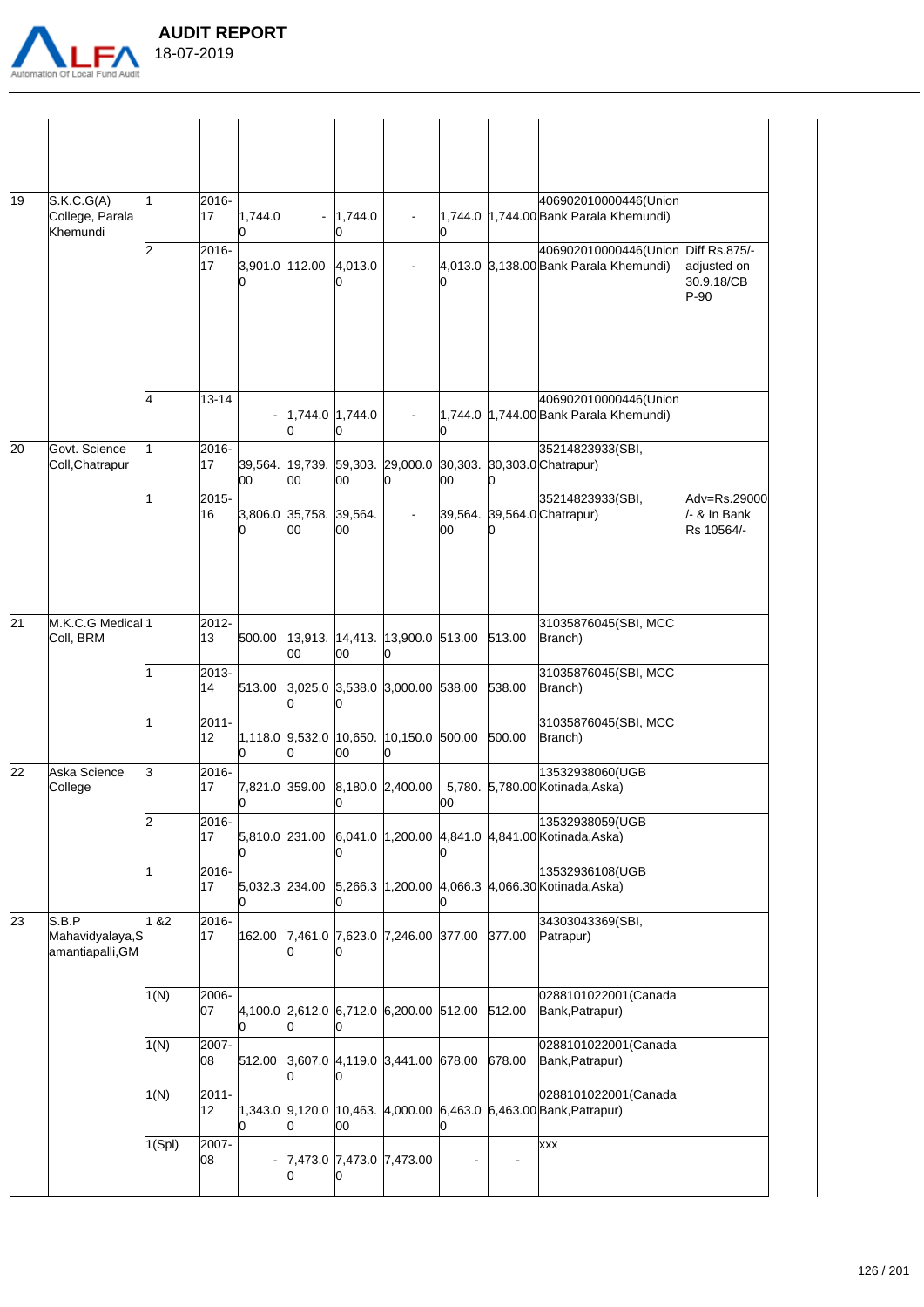

| 19 | S.K.C.G(A)                                    | 1      | 2016-<br>17    | 1.744.0               | $\blacksquare$  | 1,744.0       |                                         |        |        | 406902010000446(Union<br>1,744.0 1,744.00 Bank Parala Khemundi)           |                                            |
|----|-----------------------------------------------|--------|----------------|-----------------------|-----------------|---------------|-----------------------------------------|--------|--------|---------------------------------------------------------------------------|--------------------------------------------|
|    | College, Parala<br><b>K</b> hemundi           | 2      | 2016-<br>17    | 3,901.0 112.00        |                 | Ю<br>4,013.0  | $\blacksquare$                          |        |        | 406902010000446(Union<br>4,013.0 3,138.00 Bank Parala Khemundi)           | Diff Rs.875/-<br>adjusted on               |
|    |                                               |        |                |                       |                 |               |                                         |        |        |                                                                           | 30.9.18/CB<br>P-90                         |
|    |                                               |        |                |                       |                 |               |                                         |        |        |                                                                           |                                            |
|    |                                               | 4      | $13 - 14$      | L,                    | 1,744.0 1,744.0 | Ю             |                                         |        |        | 406902010000446(Union<br>1,744.0 1,744.00 Bank Parala Khemundi)           |                                            |
| 20 | Govt. Science<br>Coll, Chatrapur              |        | 2016-<br>17    | 39,564. 19,739.<br>00 | 00              | 100           | 59,303. 29,000.0                        | 00     |        | 35214823933(SBI,<br>30,303. 30,303.0 Chatrapur)                           |                                            |
|    |                                               |        | 2015-<br>16    | 3,806.0 35,758.       | 00              | 39,564.<br>ЮO |                                         | 00     |        | 35214823933(SBI,<br>39,564. 39,564.0 Chatrapur)                           | Adv=Rs.29000<br>/- & In Bank<br>Rs 10564/- |
|    |                                               |        |                |                       |                 |               |                                         |        |        |                                                                           |                                            |
| 21 | M.K.C.G Medical <sup>1</sup><br>Coll, BRM     |        | 2012-<br>13    | 500.00                | 00              | loo           | 13,913. 14,413. 13,900.0 513.00<br>Ю    |        | 513.00 | 31035876045(SBI, MCC<br>Branch)                                           |                                            |
|    |                                               |        | 2013-<br>14    | 513.00                |                 |               | $3,025.0$ 3,538.0 3,000.00              | 538.00 | 538.00 | 31035876045(SBI, MCC<br>Branch)                                           |                                            |
|    |                                               |        | $2011 -$<br>12 | 1,118.0 9,532.0       |                 | 10,650.<br>00 | 10,150.0<br>Ю                           | 500.00 | 500.00 | 31035876045(SBI, MCC<br>Branch)                                           |                                            |
| 22 | Aska Science<br>College                       | 3      | 2016-<br>17    | 7,821.0 359.00        |                 |               | 8,180.0 2,400.00                        | 00     |        | 13532938060(UGB<br>5,780. 5,780.00 Kotinada, Aska)                        |                                            |
|    |                                               | 2      | 2016-<br>17    | 5,810.0 231.00        |                 |               |                                         |        |        | 13532938059(UGB<br>6,041.0 1,200.00 4,841.0 4,841.00 Kotinada, Aska)      |                                            |
|    |                                               |        | 2016-<br>17    | 5,032.3 234.00        |                 | 5,266.3       |                                         |        |        | 13532936108(UGB<br>1,200.00 4,066.3 4,066.30 Kotinada, Aska)              |                                            |
| 23 | S.B.P<br>Mahavidyalaya, S<br>amantiapalli, GM | 1 & 2  | 2016-<br>17    | 162.00                |                 |               | 7,461.0 7,623.0 7,246.00 377.00         |        | 377.00 | 34303043369(SBI,<br>Patrapur)                                             |                                            |
|    |                                               | 1(N)   | 2006-<br>07    |                       |                 |               | 4,100.0 2,612.0 6,712.0 6,200.00 512.00 |        | 512.00 | 0288101022001(Canada<br>Bank, Patrapur)                                   |                                            |
|    |                                               | 1(N)   | 2007-<br>08    | 512.00                |                 |               | 3,607.0 4,119.0 3,441.00 678.00         |        | 678.00 | 0288101022001(Canada<br>Bank, Patrapur)                                   |                                            |
|    |                                               | 1(N)   | $2011 -$<br>12 | 1,343.0 9,120.0       |                 | 100           |                                         |        |        | 0288101022001(Canada<br>10,463. 4,000.00 6,463.0 6,463.00 Bank, Patrapur) |                                            |
|    |                                               | 1(Spl) | 2007-<br>08    | $\blacksquare$        |                 |               | 7,473.0 7,473.0 7,473.00                |        |        | <b>xxx</b>                                                                |                                            |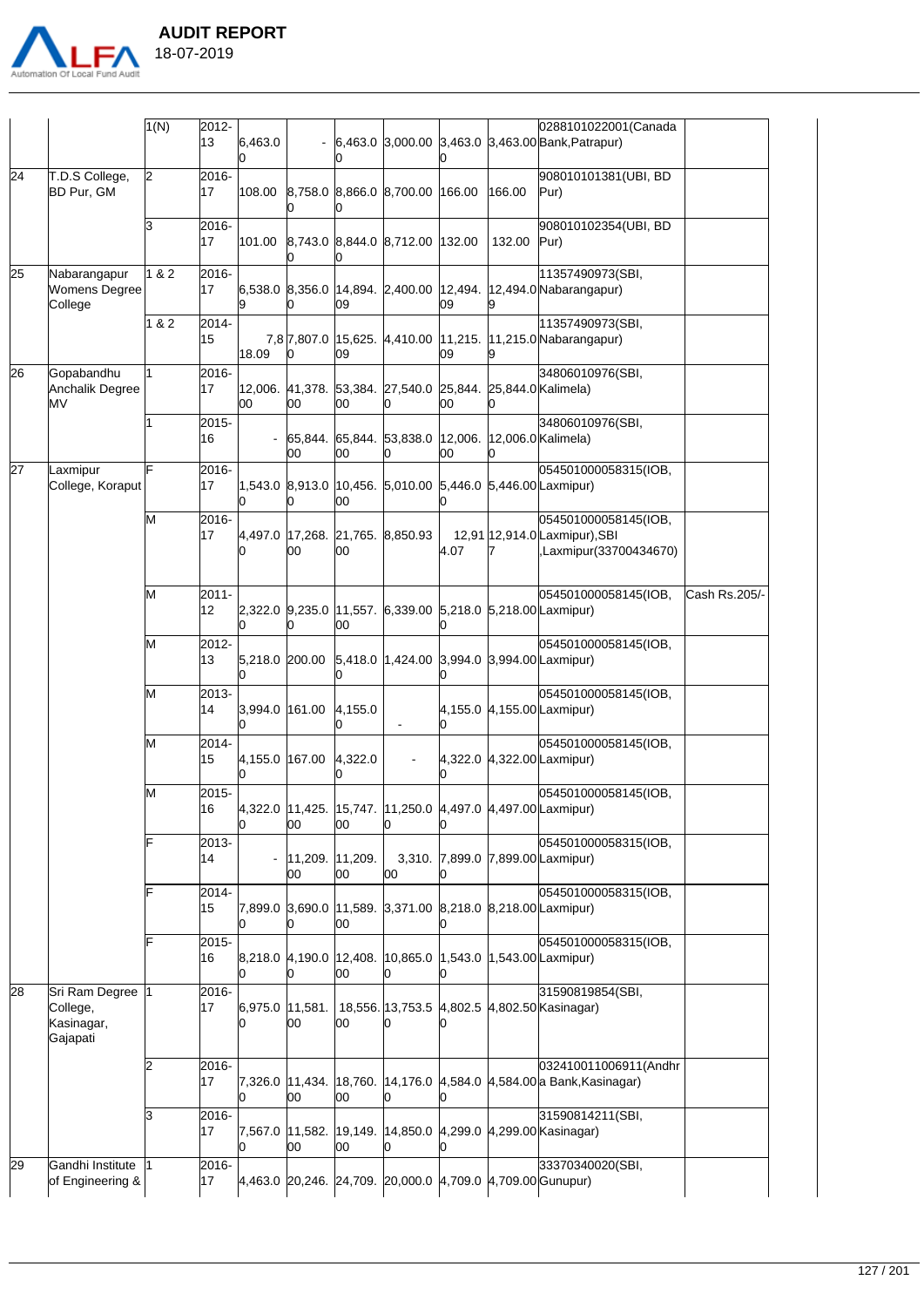

| ocal Fund Audit |      | <b>AUDIT REPORT</b><br>18-07-2019 |         |                  |  |
|-----------------|------|-----------------------------------|---------|------------------|--|
|                 | 1(N) | 2012-<br>13                       | 6,463.0 | $6,463.0$ $3,00$ |  |
| S College,      |      | 2016-                             |         |                  |  |

|    |                  | 1(N)  | 2012-       |                |                 |         |                                                             |      |        | 0288101022001(Canada                                                                              |               |
|----|------------------|-------|-------------|----------------|-----------------|---------|-------------------------------------------------------------|------|--------|---------------------------------------------------------------------------------------------------|---------------|
|    |                  |       | 13          | 6,463.0        | $\blacksquare$  |         |                                                             |      |        | 6,463.0 3,000.00 3,463.0 3,463.00 Bank, Patrapur)                                                 |               |
|    |                  |       |             |                |                 |         |                                                             |      |        |                                                                                                   |               |
| 24 | T.D.S College,   | 2     | 2016-       |                |                 |         |                                                             |      |        | 908010101381(UBI, BD                                                                              |               |
|    | BD Pur, GM       |       | 17          | 108.00         |                 |         | 8,758.0 8,866.0 8,700.00 166.00                             |      | 166.00 | Pur                                                                                               |               |
|    |                  |       |             |                |                 |         |                                                             |      |        |                                                                                                   |               |
|    |                  | 3     | 2016-<br>17 |                |                 |         |                                                             |      | 132.00 | 908010102354(UBI, BD<br>Pur                                                                       |               |
|    |                  |       |             | 101.00         |                 |         | 8,743.0 8,844.0 8,712.00 132.00                             |      |        |                                                                                                   |               |
| 25 | Nabarangapur     | 1 & 2 | 2016-       |                |                 |         |                                                             |      |        | 11357490973(SBI,                                                                                  |               |
|    | Womens Degree    |       | 17          |                |                 |         |                                                             |      |        | 6,538.0 8,356.0 14,894. 2,400.00 12,494. 12,494.0 Nabarangapur)                                   |               |
|    | College          |       |             |                |                 | 09      |                                                             | 09   |        |                                                                                                   |               |
|    |                  | & 2   | 2014-       |                |                 |         |                                                             |      |        | 11357490973(SBI,                                                                                  |               |
|    |                  |       | 15          |                | 7,87,807.0      |         | $15,625.$ 4,410.00 11,215.                                  |      |        | 11,215.0 Nabarangapur)                                                                            |               |
|    |                  |       |             | 18.09          | Ю               | 109     |                                                             | 09   |        |                                                                                                   |               |
| 26 | Gopabandhu       |       | 2016-       |                |                 |         |                                                             |      |        | 34806010976(SBI,                                                                                  |               |
|    | Anchalik Degree  |       | 17          |                |                 |         | 12,006. 41,378. 53,384. 27,540.0 25,844. 25,844.0 Kalimela) |      |        |                                                                                                   |               |
|    | lM∨              |       |             | 00             | 00              | ЮO      | n                                                           | 00   | n      |                                                                                                   |               |
|    |                  |       | 2015-       |                |                 |         |                                                             |      |        | 34806010976(SBI,                                                                                  |               |
|    |                  |       | 16          |                |                 |         | $-$ 65,844. 65,844. 53,838.0 12,006. 12,006.0 Kalimela)     |      |        |                                                                                                   |               |
|    |                  |       |             |                | 00              | 00      |                                                             | 00   |        |                                                                                                   |               |
| 27 | Laxmipur         |       | 2016-       |                |                 |         |                                                             |      |        | 054501000058315(IOB,                                                                              |               |
|    | College, Koraput |       | 17          |                |                 |         |                                                             |      |        | 1,543.0 8,913.0 10,456. 5,010.00 5,446.0 5,446.00 Laxmipur)                                       |               |
|    |                  |       |             |                |                 | 100     |                                                             |      |        |                                                                                                   |               |
|    |                  | M     | 2016-       |                |                 |         |                                                             |      |        | 054501000058145(IOB,                                                                              |               |
|    |                  |       | 17          |                |                 |         | 4,497.0 17,268. 21,765. 8,850.93                            |      |        | 12,91 12,914.0 Laxmipur), SBI                                                                     |               |
|    |                  |       |             |                | 00              | 100     |                                                             | 4.07 |        | Laxmipur(33700434670)                                                                             |               |
|    |                  |       |             |                |                 |         |                                                             |      |        |                                                                                                   |               |
|    |                  | M     | 2011-       |                |                 |         |                                                             |      |        | 054501000058145(IOB,                                                                              | Cash Rs.205/- |
|    |                  |       | 12          |                |                 |         |                                                             |      |        | 2,322.0 9,235.0 11,557. 6,339.00 5,218.0 5,218.00 Laxmipur)                                       |               |
|    |                  |       |             |                | n               | 100     |                                                             |      |        |                                                                                                   |               |
|    |                  | M     | 2012-       |                |                 |         |                                                             |      |        | 054501000058145(IOB,                                                                              |               |
|    |                  |       | 13          | 5,218.0 200.00 |                 |         |                                                             |      |        | 5,418.0 1,424.00 3,994.0 3,994.00 Laxmipur)                                                       |               |
|    |                  |       |             |                |                 |         |                                                             |      |        |                                                                                                   |               |
|    |                  | M     | 2013-       |                |                 |         |                                                             |      |        | 054501000058145(IOB,                                                                              |               |
|    |                  |       | 14          | 3,994.0 161.00 |                 | 4,155.0 |                                                             |      |        | 4,155.0 4,155.00 Laxmipur)                                                                        |               |
|    |                  |       |             |                |                 |         |                                                             |      |        |                                                                                                   |               |
|    |                  | М     | 2014-       |                |                 |         |                                                             |      |        | 054501000058145(IOB,                                                                              |               |
|    |                  |       | 15          | 4,155.0 167.00 |                 | 4,322.0 |                                                             |      |        | 4,322.0 4,322.00 Laxmipur)                                                                        |               |
|    |                  |       |             |                |                 |         |                                                             |      |        |                                                                                                   |               |
|    |                  | M     | 2015-       |                |                 |         |                                                             |      |        | 054501000058145(IOB,                                                                              |               |
|    |                  |       | 16          |                | 00              | ЮO      |                                                             |      |        | 4,322.0 11,425. 15,747. 11,250.0 4,497.0 4,497.00 Laxmipur)                                       |               |
|    |                  |       |             |                |                 |         |                                                             |      |        |                                                                                                   |               |
|    |                  |       | 2013-<br>14 |                | 11,209.         | 11,209. |                                                             |      |        | 054501000058315(IOB,<br>3,310. 7,899.0 7,899.00 Laxmipur)                                         |               |
|    |                  |       |             |                | 00              | loo     | ЮO                                                          |      |        |                                                                                                   |               |
|    |                  |       | 2014-       |                |                 |         |                                                             |      |        | 054501000058315(IOB,                                                                              |               |
|    |                  |       | 15          |                | 7,899.0 3,690.0 |         |                                                             |      |        | $11,589.$ 3,371.00 8,218.0 8,218.00 Laxmipur)                                                     |               |
|    |                  |       |             |                |                 | 100     |                                                             |      |        |                                                                                                   |               |
|    |                  |       | 2015-       |                |                 |         |                                                             |      |        | 054501000058315(IOB,                                                                              |               |
|    |                  |       | 16          |                |                 |         |                                                             |      |        | 8,218.0 4,190.0 12,408. 10,865.0 1,543.0 1,543.00 Laxmipur)                                       |               |
|    |                  |       |             |                |                 | 100     |                                                             |      |        |                                                                                                   |               |
| 28 | Sri Ram Degree   |       | 2016-       |                |                 |         |                                                             |      |        | 31590819854(SBI,                                                                                  |               |
|    | College,         |       | 17          |                | 6,975.0 11,581. |         |                                                             |      |        | 18,556. 13,753.5 4,802.5 4,802.50 Kasinagar)                                                      |               |
|    | Kasinagar,       |       |             |                | 00              | 00      |                                                             |      |        |                                                                                                   |               |
|    | Gajapati         |       |             |                |                 |         |                                                             |      |        |                                                                                                   |               |
|    |                  | 2     | 2016-       |                |                 |         |                                                             |      |        |                                                                                                   |               |
|    |                  |       | 17          |                |                 |         |                                                             |      |        | 032410011006911(Andhr<br>7,326.0  11,434.  18,760.  14,176.0  4,584.0  4,584.00 a Bank,Kasinagar) |               |
|    |                  |       |             | Ю              | 00              | 00      | 10                                                          |      |        |                                                                                                   |               |
|    |                  | lЗ    | 2016-       |                |                 |         |                                                             |      |        | 31590814211(SBI,                                                                                  |               |
|    |                  |       | 17          |                | 7,567.0 11,582. |         |                                                             |      |        | 19,149. 14,850.0 4,299.0 4,299.00 Kasinagar)                                                      |               |
|    |                  |       |             |                | 00              | loo     | Ю                                                           |      |        |                                                                                                   |               |
| 29 | Gandhi Institute |       | 2016-       |                |                 |         |                                                             |      |        | 33370340020(SBI,                                                                                  |               |
|    | of Engineering & |       | 17          |                |                 |         | 4,463.0 20,246. 24,709. 20,000.0 4,709.0 4,709.00 Gunupur)  |      |        |                                                                                                   |               |
|    |                  |       |             |                |                 |         |                                                             |      |        |                                                                                                   |               |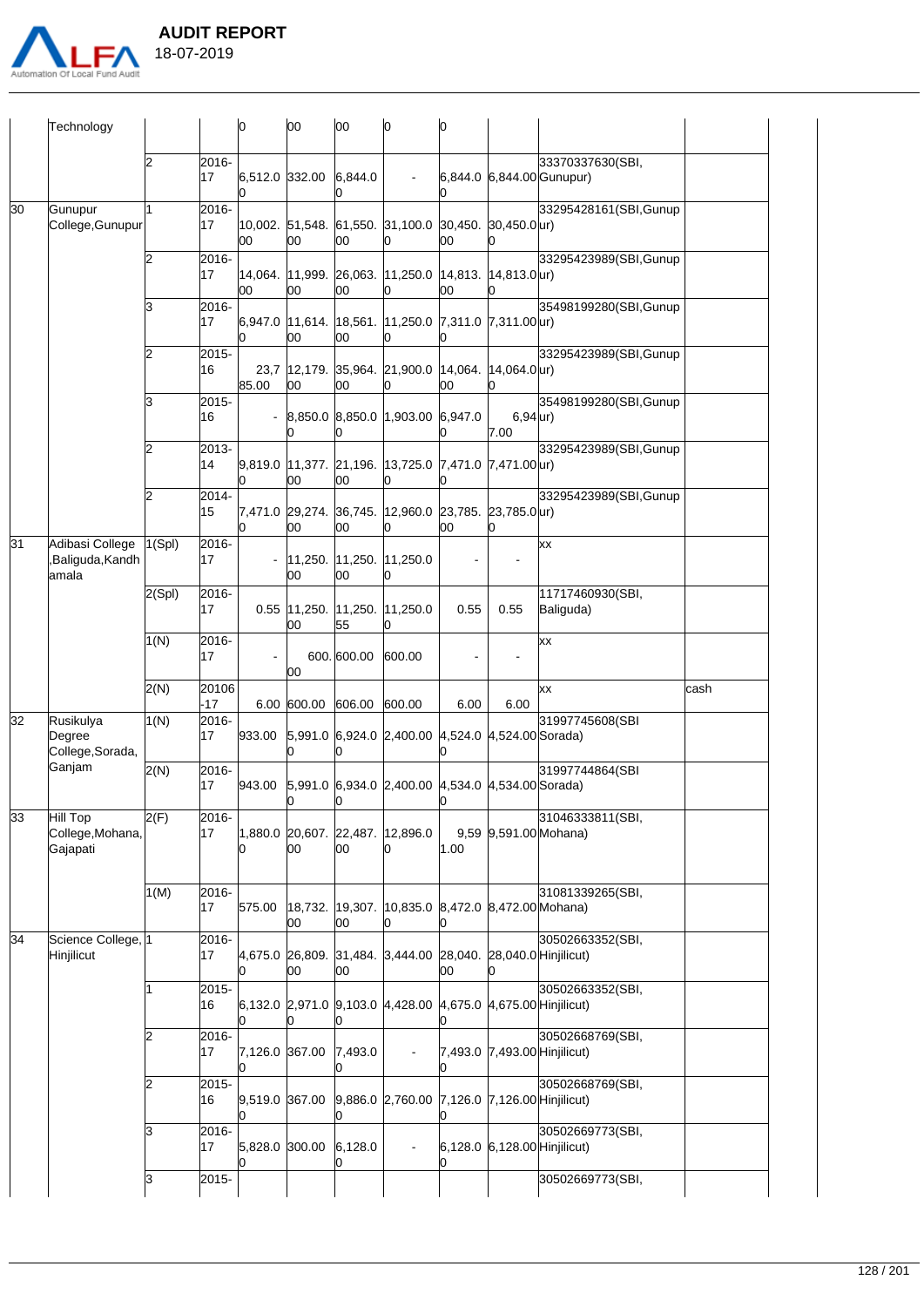

|    | Technology                                   |                     |                |                       | 00            | loo                   | Ю                                                             | ю    |                                |                                               |      |
|----|----------------------------------------------|---------------------|----------------|-----------------------|---------------|-----------------------|---------------------------------------------------------------|------|--------------------------------|-----------------------------------------------|------|
|    |                                              | 2                   | 2016-<br>17    | 6,512.0 332.00        |               | 6,844.0               |                                                               |      |                                | 33370337630(SBI,<br>6,844.0 6,844.00 Gunupur) |      |
| 30 | Gunupur<br>College, Gunupur                  |                     | 2016-<br>17    | 10,002. 51,548.<br>00 | 00            | 100                   | $61,550.$ 31,100.0 30,450. 30,450.0 ur)                       | 100  | n                              | 33295428161(SBI, Gunup                        |      |
|    |                                              | 2                   | 2016-<br>17    | 00                    | 00            | 100                   | 14,064. 11,999. 26,063. 11,250.0 14,813. 14,813.0ur)<br>n.    | 100  | O                              | 33295423989(SBI, Gunup                        |      |
|    |                                              | 3                   | 2016-<br>17    |                       | 00            | 00                    | 6,947.0 11,614. 18,561. 11,250.0 7,311.0 7,311.00 ur)         |      |                                | 35498199280(SBI, Gunup                        |      |
|    |                                              | 2                   | $2015 -$<br>16 | 85.00                 | 00            | 00                    | 23,7 12,179. 35,964. 21,900.0 14,064. 14,064.0 ur)            | 00   |                                | 33295423989(SBI, Gunup                        |      |
|    |                                              | ß                   | 2015-<br>16    |                       |               |                       | 8,850.0 8,850.0 1,903.00 6,947.0                              |      | $6,94 \text{  ur}$<br>7.00     | 35498199280(SBI, Gunup                        |      |
|    |                                              | 2                   | 2013-<br>14    |                       | 00            | 00                    | $9,819.0$ 11,377. 21,196. 13,725.0 7,471.0 7,471.00 ur)       |      |                                | 33295423989(SBI,Gunup                         |      |
|    |                                              | 2                   | 2014-<br>15    |                       | 00            | 00                    | 7,471.0 29,274. 36,745. 12,960.0 23,785. 23,785.0ur)<br>Ю     | 100  |                                | 33295423989(SBI, Gunup                        |      |
| 31 | Adibasi College<br>Baliguda, Kandh<br>lamala | $\overline{1(Spl)}$ | 2016-<br>17    |                       | 11,250.<br>00 | 11,250.<br>100        | 11,250.0                                                      |      |                                | lхх                                           |      |
|    |                                              | 2(Spl)              | 2016-<br>17    |                       | 00            | 55                    | $0.55$ 11,250. 11,250. 11,250.0<br>Ю                          | 0.55 | 0.55                           | 11717460930(SBI,<br>Baliguda)                 |      |
|    |                                              | 1(N)                | 2016-<br>17    |                       | 00            | 600. 600.00           | 600.00                                                        |      |                                | lхх                                           |      |
|    |                                              | 2(N)                | 20106<br>$-17$ |                       | 6.00 600.00   | 606.00                | 600.00                                                        | 6.00 | 6.00                           | kx                                            | cash |
| 32 | Rusikulya<br>Degree<br>College, Sorada,      | 1(N)                | 2016-<br>17    | 933.00                | 0             |                       | 5,991.0 6,924.0 2,400.00 4,524.0 4,524.00 Sorada)             |      |                                | 31997745608(SBI                               |      |
|    | Ganjam                                       | 2(N)                | 2016-<br>17    | 943.00                |               |                       | 5,991.0 6,934.0 2,400.00 4,534.0 4,534.00 Sorada)             |      |                                | 31997744864(SBI                               |      |
| 33 | Hill Top<br>College, Mohana,<br>Gajapati     | 2(F)                | 2016-<br>17    |                       | 00            | 00                    | 1,880.0 20,607. 22,487. 12,896.0                              | 1.00 | 9,59 9,591.00 Mohana)          | 31046333811(SBI,                              |      |
|    |                                              | 1(M)                | 2016-<br>17    | 575.00                | 00            | 18,732. 19,307.<br>00 | 10,835.0 8,472.0 8,472.00 Mohana)<br>Ю                        |      |                                | 31081339265(SBI,                              |      |
| 34 | Science College, 1<br>Hinjilicut             |                     | 2016-<br>17    |                       | 00            | 100                   | 4,675.0 26,809. 31,484. 3,444.00 28,040. 28,040.0 Hinjilicut) | 100  |                                | 30502663352(SBI,                              |      |
|    |                                              |                     | 2015-<br>16    |                       |               |                       | 6,132.0 2,971.0 9,103.0 4,428.00 4,675.0 4,675.00 Hinjilicut) |      |                                | 30502663352(SBI,                              |      |
|    |                                              | 2                   | 2016-<br>17    | 7,126.0 367.00        |               | 7,493.0               |                                                               |      | 7,493.0 7,493.00 Hinjilicut)   | 30502668769(SBI,                              |      |
|    |                                              | 2                   | 2015-<br>16    | 9,519.0 367.00        |               |                       | 9,886.0 2,760.00 7,126.0 7,126.00 Hinjilicut)                 |      |                                | 30502668769(SBI,                              |      |
|    |                                              | 3                   | 2016-<br>17    | 5,828.0 300.00        |               | 6,128.0               |                                                               |      | $6,128.0$ 6,128.00 Hinjilicut) | 30502669773(SBI,                              |      |
|    |                                              | β                   | 2015-          |                       |               |                       |                                                               |      |                                |                                               |      |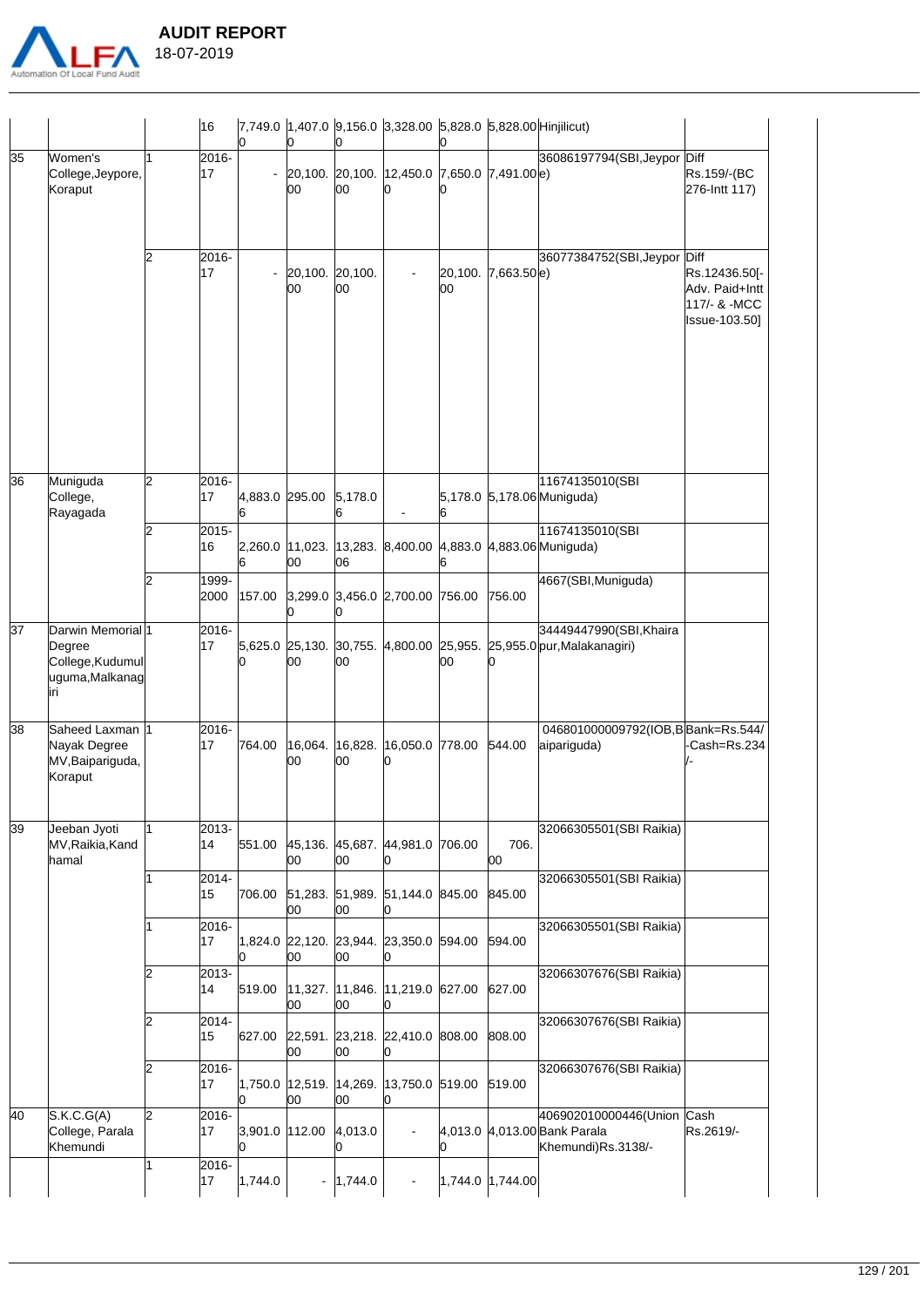

|    |                                                                          |   | 16             |                |                               |                    | 7,749.0 1,407.0 9,156.0 3,328.00 5,828.0 5,828.00 Hinjilicut) |        |                    |                                                                                         |                                                                  |
|----|--------------------------------------------------------------------------|---|----------------|----------------|-------------------------------|--------------------|---------------------------------------------------------------|--------|--------------------|-----------------------------------------------------------------------------------------|------------------------------------------------------------------|
| 35 | Women's<br>College, Jeypore,<br>Koraput                                  |   | $2016 -$<br>17 | L,             | 20,100. 20,100.<br>00         | loo                | $12,450.0$ 7,650.0 7,491.00 e)<br>Ю                           |        |                    | 36086197794(SBI, Jeypor                                                                 | Diff<br>Rs.159/-(BC<br>276-Intt 117)                             |
|    |                                                                          | 2 | 2016-<br>17    | $\blacksquare$ | 20,100. 20,100.<br>00         | loo                |                                                               | lоо    | 20,100. 7,663.50e) | 36077384752(SBI,Jeypor Diff                                                             | Rs.12436.50[-<br>Adv. Paid+Intt<br>117/- & -MCC<br>Issue-103.50] |
| 36 | Muniguda<br>College,                                                     | 2 | 2016-<br>17    | 4,883.0 295.00 |                               | 5,178.0            |                                                               |        |                    | 11674135010(SBI<br>5,178.0 5,178.06 Muniguda)                                           |                                                                  |
|    | Rayagada                                                                 | 2 | $2015 -$       |                |                               |                    |                                                               |        |                    | 11674135010(SBI                                                                         |                                                                  |
|    |                                                                          |   | 16             | 2,260.0<br>6   | 11,023.<br>00                 | 106                |                                                               |        |                    | 13,283. 8,400.00 4,883.0 4,883.06 Muniguda)                                             |                                                                  |
|    |                                                                          | 2 | 1999-<br>2000  | 157.00         |                               |                    | 3,299.0 3,456.0 2,700.00 756.00                               |        | 756.00             | 4667(SBI,Muniguda)                                                                      |                                                                  |
| 37 | Darwin Memorial 1<br>Degree<br>College, Kudumul<br>uguma,Malkanag<br>iri |   | 2016-<br>17    | 5,625.0        | 00                            | loo                |                                                               | 00     |                    | 34449447990(SBI, Khaira<br>25,130. 30,755. 4,800.00 25,955. 25,955.0 pur, Malakanagiri) |                                                                  |
| 38 | <b>Saheed Laxman I1</b><br>Nayak Degree<br>MV, Baipariguda,<br>Koraput   |   | 2016-<br>17    | 764.00         | 16,064.<br>00                 | 16,828.<br>loo     | 16,050.0 778.00<br>h                                          |        | 544.00             | 046801000009792(IOB, BBank=Rs.544/<br>aipariguda)                                       | Cash=Rs.234                                                      |
| 39 | Jeeban Jyoti<br>MV, Raikia, Kand                                         |   | 2013-<br>14    | 551.00         | 45,136.                       | 45,687.            | 44,981.0                                                      | 706.00 | 706.               | 32066305501(SBI Raikia)                                                                 |                                                                  |
|    | hamal                                                                    |   |                |                | 00                            | 00                 | 0                                                             |        | 00                 |                                                                                         |                                                                  |
|    |                                                                          |   | 2014-<br>15    | 706.00         | 00                            | 00                 | 51,283. 51,989. 51,144.0 845.00<br>Ю                          |        | 845.00             | 32066305501(SBI Raikia)                                                                 |                                                                  |
|    |                                                                          |   | 2016-<br>17    | 1,824.0        | 22,120. 23,944.<br>00         | 00                 | 23,350.0 594.00                                               |        | 594.00             | 32066305501(SBI Raikia)                                                                 |                                                                  |
|    |                                                                          | 2 | 2013-<br>14    | 519.00         | 00                            | 00                 | 11,327. 11,846. 11,219.0 627.00<br>Ю                          |        | 627.00             | 32066307676(SBI Raikia)                                                                 |                                                                  |
|    |                                                                          | 2 | 2014-<br>15    | 627.00         | 00                            | 00                 | 22,591. 23,218. 22,410.0 808.00<br>0                          |        | 808.00             | 32066307676(SBI Raikia)                                                                 |                                                                  |
|    |                                                                          | 2 | 2016-<br>17    |                | 1,750.0 12,519. 14,269.<br>00 |                    | 13,750.0 519.00                                               |        | 519.00             | 32066307676(SBI Raikia)                                                                 |                                                                  |
| 40 | S.K.C.G(A)<br>College, Parala<br>Khemundi                                | 2 | 2016-<br>17    | 3,901.0<br>Ю   | 112.00                        | 00<br>4,013.0<br>Ю |                                                               | 0      |                    | 406902010000446(Union Cash<br>4,013.0 4,013.00 Bank Parala<br>Khemundi)Rs.3138/-        | Rs.2619/-                                                        |
|    |                                                                          |   | 2016-<br>17    | 1,744.0        |                               | 1,744.0            |                                                               |        | 1,744.0 1,744.00   |                                                                                         |                                                                  |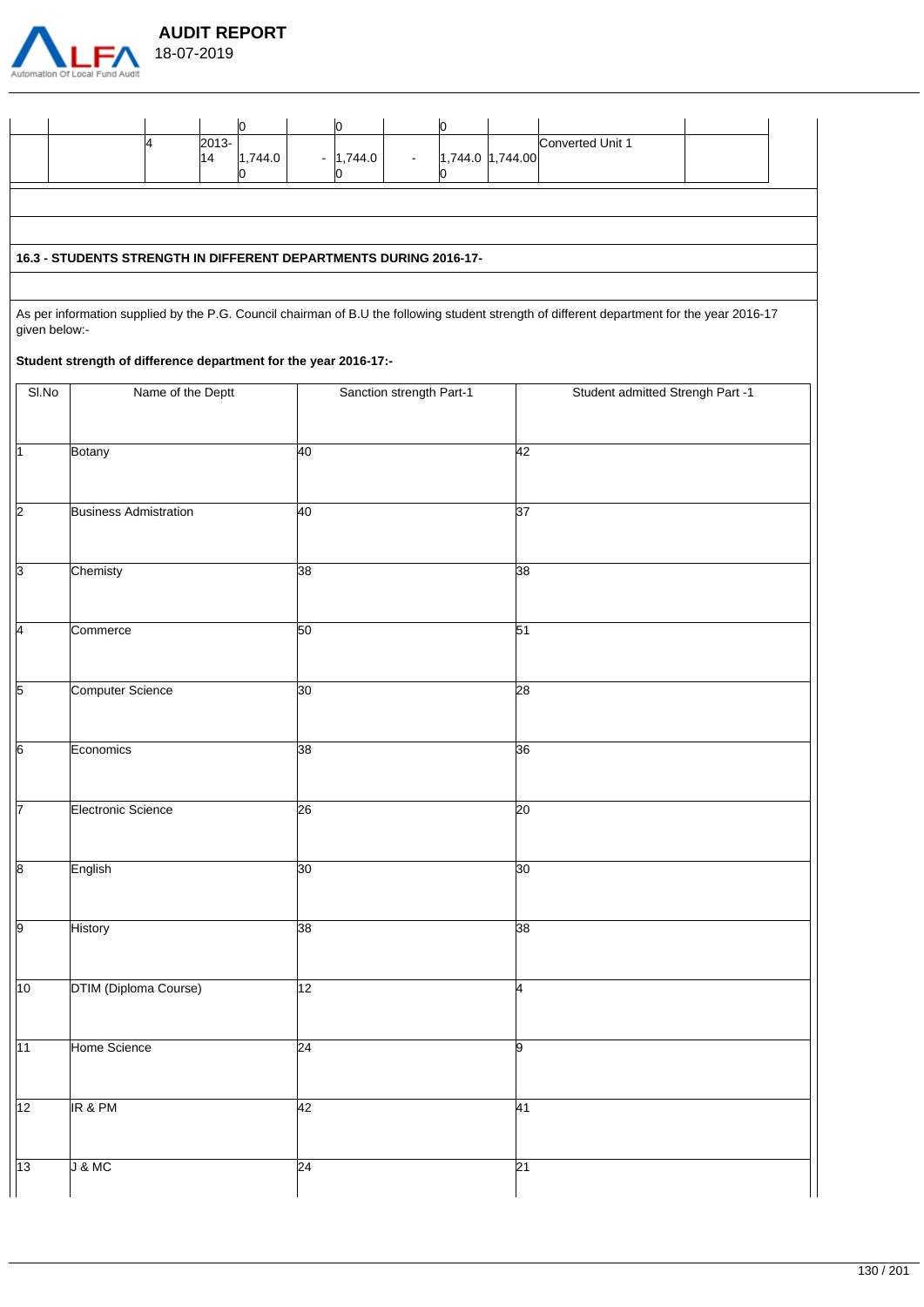

|                 | 0                                                                | Ю<br>lo.                                                          |                                                                                                                                             |
|-----------------|------------------------------------------------------------------|-------------------------------------------------------------------|---------------------------------------------------------------------------------------------------------------------------------------------|
|                 |                                                                  |                                                                   |                                                                                                                                             |
|                 |                                                                  | 16.3 - STUDENTS STRENGTH IN DIFFERENT DEPARTMENTS DURING 2016-17- |                                                                                                                                             |
|                 |                                                                  |                                                                   |                                                                                                                                             |
|                 |                                                                  |                                                                   | As per information supplied by the P.G. Council chairman of B.U the following student strength of different department for the year 2016-17 |
| given below:-   |                                                                  |                                                                   |                                                                                                                                             |
|                 | Student strength of difference department for the year 2016-17:- |                                                                   |                                                                                                                                             |
| SI.No           | Name of the Deptt                                                | Sanction strength Part-1                                          | Student admitted Strengh Part -1                                                                                                            |
|                 |                                                                  |                                                                   |                                                                                                                                             |
| 1               | <b>Botany</b>                                                    | 40                                                                | 42                                                                                                                                          |
|                 |                                                                  |                                                                   |                                                                                                                                             |
| 2               | <b>Business Admistration</b>                                     | 40                                                                | $\overline{37}$                                                                                                                             |
|                 |                                                                  |                                                                   |                                                                                                                                             |
| 3               | Chemisty                                                         | 38                                                                | 38                                                                                                                                          |
|                 |                                                                  |                                                                   |                                                                                                                                             |
| 4               | Commerce                                                         | 50                                                                | $\overline{51}$                                                                                                                             |
|                 |                                                                  |                                                                   |                                                                                                                                             |
| 5               | Computer Science                                                 | 30                                                                | 28                                                                                                                                          |
|                 |                                                                  |                                                                   |                                                                                                                                             |
| 6               | Economics                                                        | 38                                                                | $\overline{36}$                                                                                                                             |
|                 |                                                                  |                                                                   |                                                                                                                                             |
|                 | Electronic Science                                               | 26                                                                | 20                                                                                                                                          |
|                 |                                                                  |                                                                   |                                                                                                                                             |
| 8               | English                                                          | 30                                                                | 30                                                                                                                                          |
|                 |                                                                  |                                                                   |                                                                                                                                             |
| 9               | <b>History</b>                                                   | 38                                                                | 38                                                                                                                                          |
|                 |                                                                  |                                                                   |                                                                                                                                             |
| $\overline{10}$ | DTIM (Diploma Course)                                            | $\overline{12}$                                                   | 14                                                                                                                                          |
|                 |                                                                  |                                                                   |                                                                                                                                             |
| $\overline{11}$ | Home Science                                                     | $\overline{24}$                                                   | ļ9                                                                                                                                          |
|                 |                                                                  |                                                                   |                                                                                                                                             |
| $\overline{12}$ | IR & PM                                                          | 42                                                                | 41                                                                                                                                          |
|                 |                                                                  |                                                                   |                                                                                                                                             |
| $\overline{13}$ |                                                                  |                                                                   |                                                                                                                                             |
|                 | J & MC                                                           | $\overline{24}$                                                   | $\overline{21}$                                                                                                                             |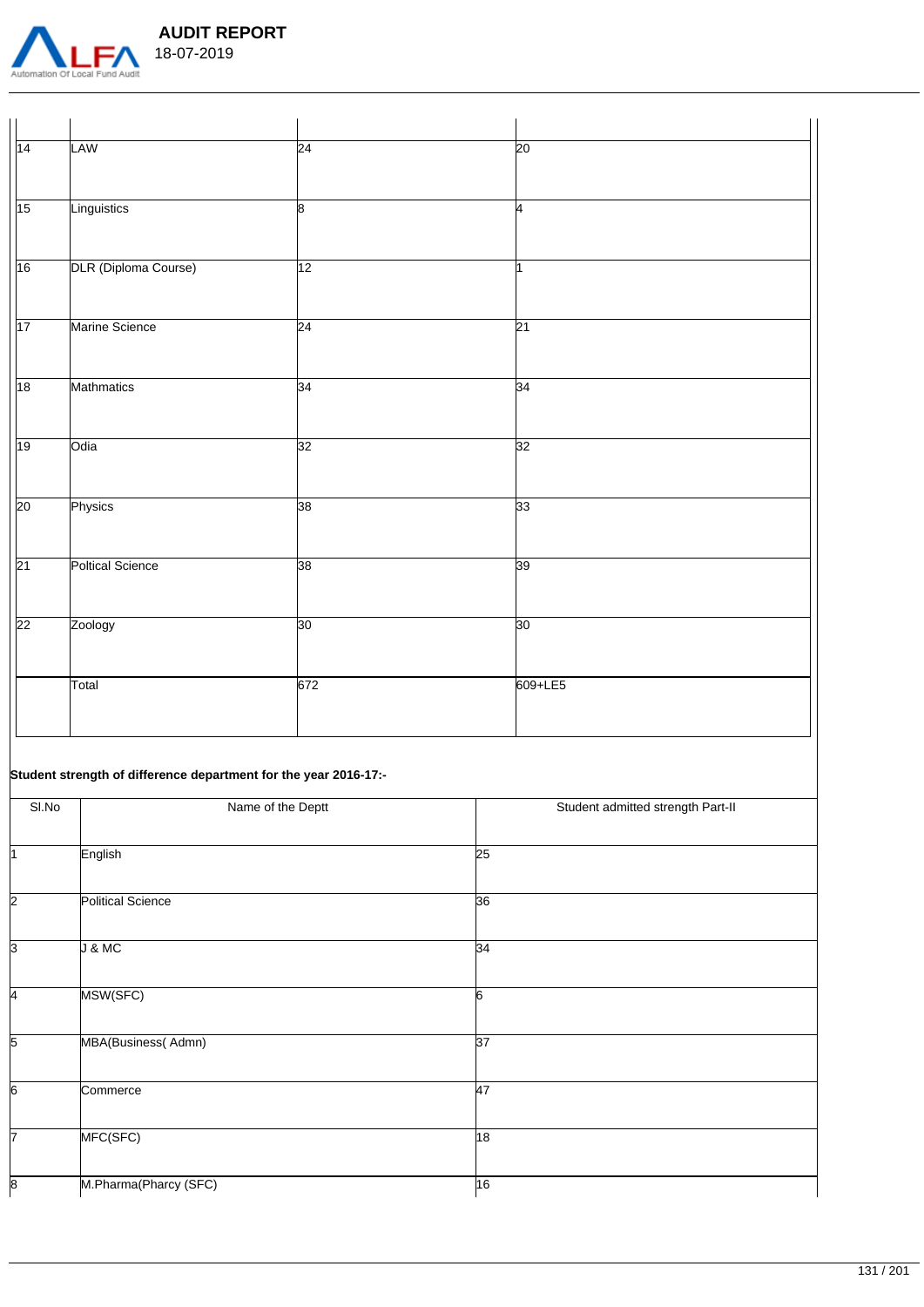

| $\overline{14}$ | LAW                  | $\overline{24}$ | $\overline{20}$ |  |
|-----------------|----------------------|-----------------|-----------------|--|
| $\overline{15}$ | Linguistics          | 8               | l4              |  |
| 16              | DLR (Diploma Course) | $\overline{12}$ | ł1              |  |
| 17              | Marine Science       | $\overline{24}$ | $\overline{21}$ |  |
| $\overline{18}$ | <b>Mathmatics</b>    | 34              | 34              |  |
| $\overline{19}$ | Odia                 | $\overline{32}$ | $\overline{32}$ |  |
| 20              | Physics              | 38              | 33              |  |
| $\overline{21}$ | Poltical Science     | 38              | $\overline{39}$ |  |
| $\overline{22}$ | Zoology              | 30              | 30              |  |
|                 | Total                | 672             | 609+LE5         |  |
|                 |                      |                 |                 |  |

# **Student strength of difference department for the year 2016-17:-**

| SI.No          | Name of the Deptt        | Student admitted strength Part-II |
|----------------|--------------------------|-----------------------------------|
|                | English                  | 25                                |
| $\overline{2}$ | <b>Political Science</b> | 36                                |
| 3              | J & MC                   | 34                                |
| 4              | MSW(SFC)                 | 6                                 |
| 5              | MBA(Business(Admn)       | 37                                |
| 6              | Commerce                 | 47                                |
| 7              | MFC(SFC)                 | 18                                |
| 8              | M.Pharma(Pharcy (SFC)    | 16                                |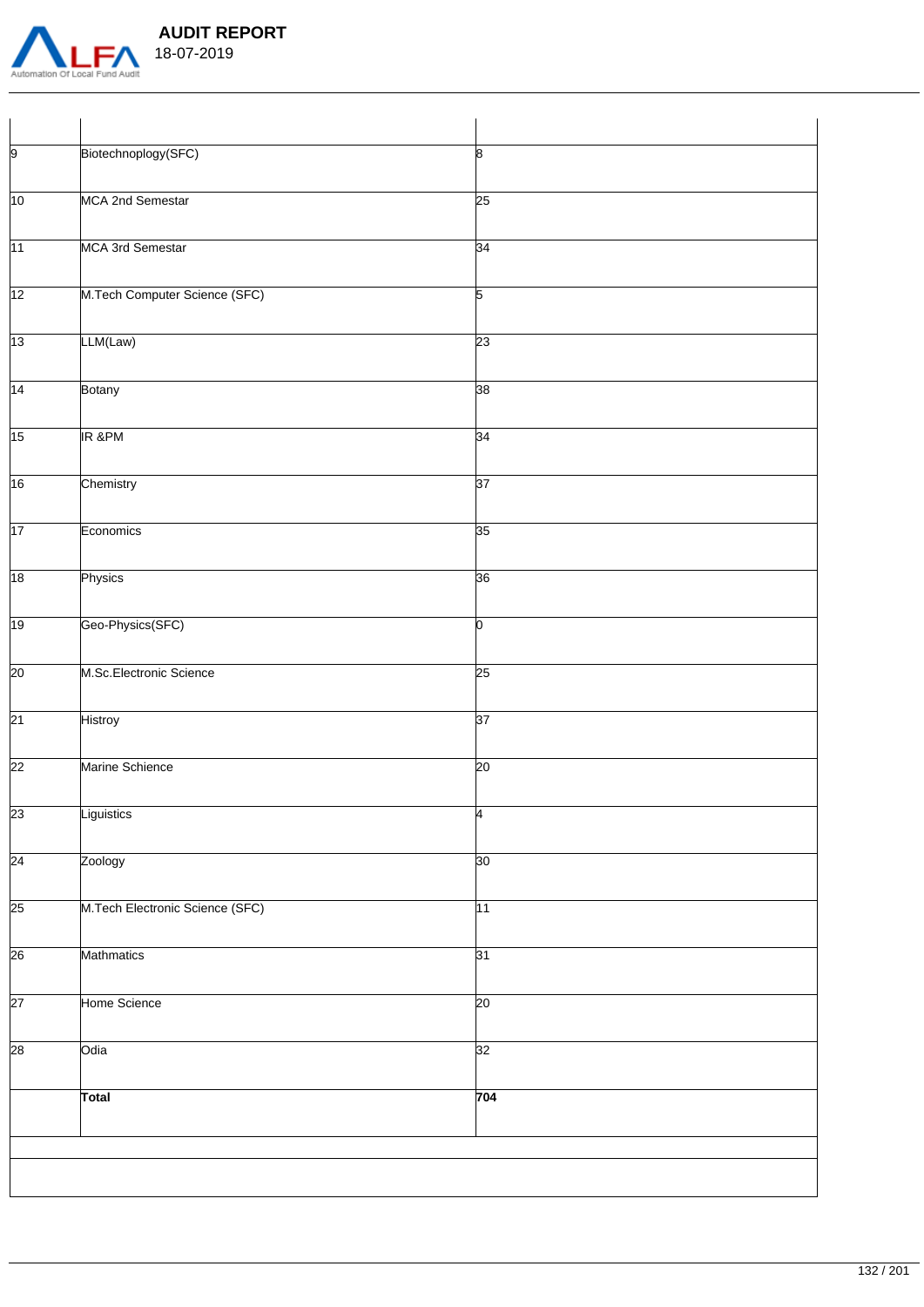

| $\overline{9}$  | Biotechnoplogy(SFC)             | 8               |
|-----------------|---------------------------------|-----------------|
| 10              | MCA 2nd Semestar                | 25              |
|                 |                                 |                 |
| 11              | MCA 3rd Semestar                | 34              |
| $\overline{12}$ | M.Tech Computer Science (SFC)   | $\overline{5}$  |
|                 |                                 |                 |
| 13              | LLM(Law)                        | 23              |
| 14              | Botany                          | $\overline{38}$ |
|                 |                                 |                 |
| $\overline{15}$ | IR &PM                          | $\overline{34}$ |
| 16              | Chemistry                       | $\overline{37}$ |
|                 |                                 |                 |
| $\overline{17}$ | Economics                       | $\overline{35}$ |
| 18              | Physics                         | $\overline{36}$ |
|                 |                                 |                 |
| 19              | Geo-Physics(SFC)                | lo              |
| 20              | M.Sc.Electronic Science         | 25              |
|                 |                                 |                 |
| 21              | Histroy                         | 37              |
| 22              | Marine Schience                 | 20              |
|                 |                                 |                 |
| 23              | Liguistics                      | 4               |
| $\overline{24}$ | Zoology                         | 30              |
|                 |                                 |                 |
| $\overline{25}$ | M.Tech Electronic Science (SFC) | $\overline{11}$ |
| $\overline{26}$ | Mathmatics                      | 31              |
|                 |                                 |                 |
| $\overline{27}$ | Home Science                    | $\overline{20}$ |
| $\overline{28}$ | Odia                            | $\overline{32}$ |
|                 |                                 |                 |
|                 | Total                           | 704             |
|                 |                                 |                 |
|                 |                                 |                 |
|                 |                                 |                 |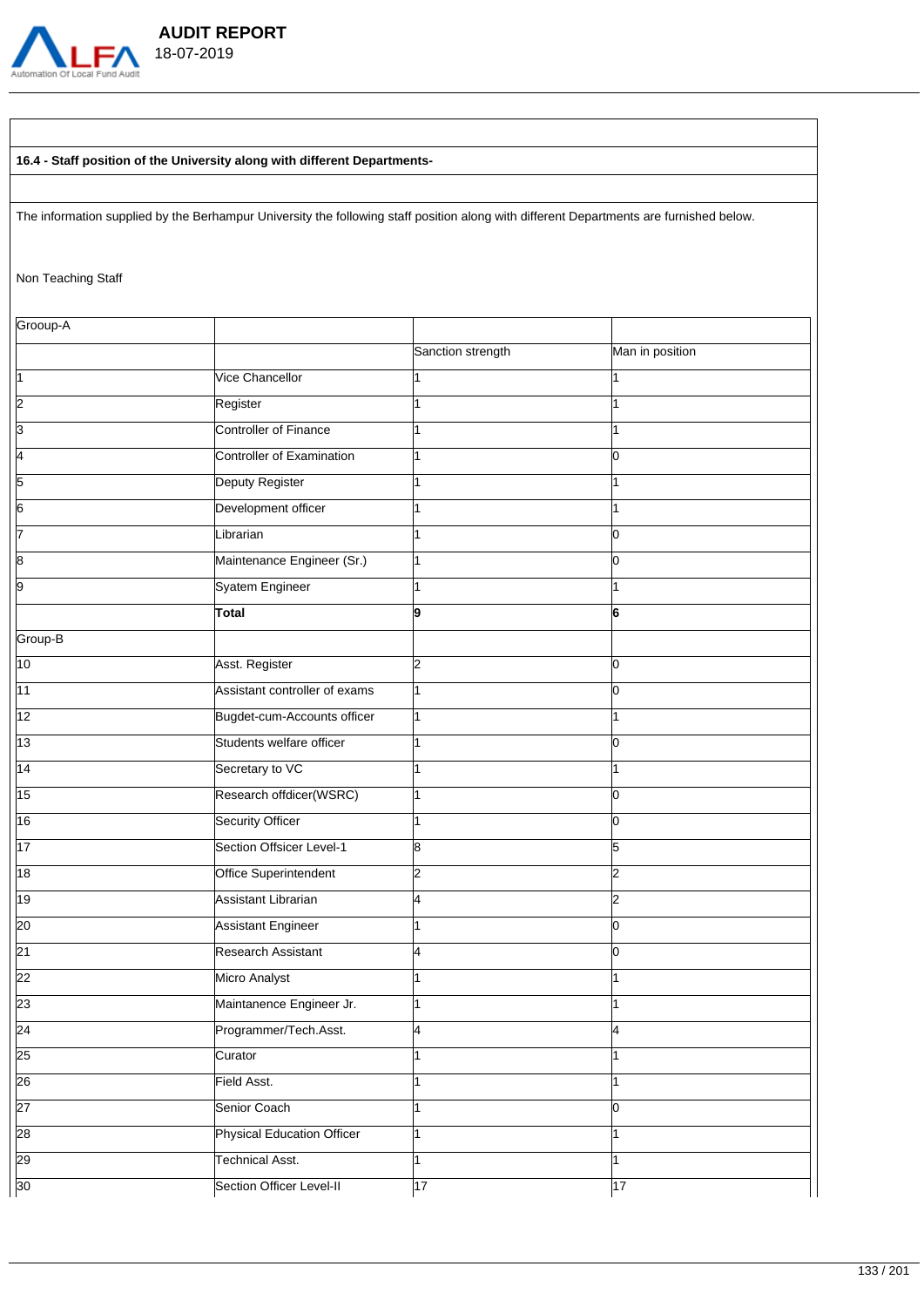

#### **16.4 - Staff position of the University along with different Departments-**

The information supplied by the Berhampur University the following staff position along with different Departments are furnished below.

#### Non Teaching Staff

| Grooup-A                |                               |                   |                 |
|-------------------------|-------------------------------|-------------------|-----------------|
|                         |                               | Sanction strength | Man in position |
| ł1                      | Vice Chancellor               | 1                 |                 |
| 2                       | Register                      |                   |                 |
| 3                       | Controller of Finance         | 1                 | 1               |
| l4                      | Controller of Examination     | 1                 | Ю               |
| 5                       | Deputy Register               | 1                 |                 |
| 6                       | Development officer           | 1                 |                 |
| 17                      | Librarian                     |                   | 0               |
| $\overline{\mathsf{8}}$ | Maintenance Engineer (Sr.)    | 1                 | lo              |
| 9                       | Syatem Engineer               | 1                 |                 |
|                         | Total                         | 9                 | 6               |
| Group-B                 |                               |                   |                 |
| $\overline{10}$         | Asst. Register                | 2                 | Ю               |
| $\overline{11}$         | Assistant controller of exams | 1                 | lo              |
| 12                      | Bugdet-cum-Accounts officer   | 1                 |                 |
| $\overline{13}$         | Students welfare officer      | 1                 | lо              |
| 14                      | Secretary to VC               |                   |                 |
| 15                      | Research offdicer(WSRC)       | 1                 | Ю               |
| $\overline{16}$         | Security Officer              | 1                 | lо              |
| 17                      | Section Offsicer Level-1      | 8                 | 15              |
| $\overline{18}$         | Office Superintendent         | 2                 | l2              |
| 19                      | Assistant Librarian           | 4                 | l2              |
| 20                      | Assistant Engineer            |                   | 0               |
| $\overline{21}$         | Research Assistant            | 4                 | Ю               |
| 22                      | Micro Analyst                 |                   |                 |
| 23                      | Maintanence Engineer Jr.      | 1                 | l1              |
| $\overline{24}$         | Programmer/Tech.Asst.         | 4                 | 4               |
| $\overline{25}$         | Curator                       | 1                 | 1               |
| $\overline{26}$         | Field Asst.                   | 1                 |                 |
| 27                      | Senior Coach                  | 1                 | Ю               |
| 28                      | Physical Education Officer    | 1                 | 1               |
| 29                      | Technical Asst.               | 1                 |                 |
| 30                      | Section Officer Level-II      | $\overline{17}$   | $\overline{17}$ |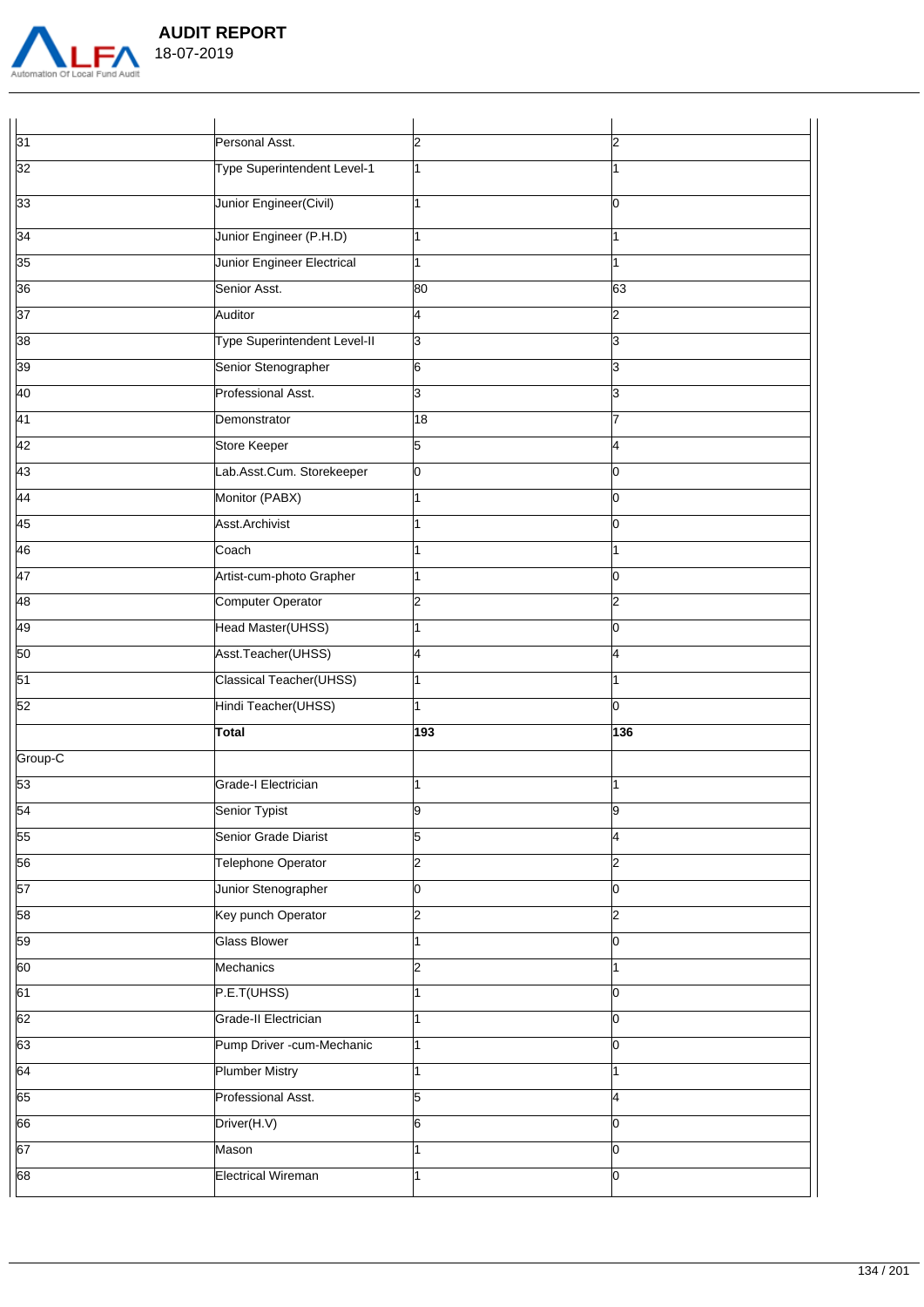

| 31              | Personal Asst.               | 2   | l2  |
|-----------------|------------------------------|-----|-----|
| $\overline{32}$ | Type Superintendent Level-1  |     |     |
| 33              | Junior Engineer(Civil)       |     | n   |
| 34              | Junior Engineer (P.H.D)      |     |     |
| 35              | Junior Engineer Electrical   |     |     |
| 36              | Senior Asst.                 | 80  | 63  |
| 37              | Auditor                      | 4   | 2   |
| 38              | Type Superintendent Level-II | lЗ  | lЗ  |
| 39              | Senior Stenographer          | 6   | lЗ  |
| 40              | Professional Asst.           | lЗ  | lЗ  |
| 41              | Demonstrator                 | 18  |     |
| $\overline{42}$ | Store Keeper                 | 5   | 4   |
| $\overline{43}$ | Lab.Asst.Cum. Storekeeper    | b   | lo. |
| 44              | Monitor (PABX)               |     | Ю   |
| 45              | Asst.Archivist               |     | Ю   |
| 46              | Coach                        |     |     |
| 47              | Artist-cum-photo Grapher     |     | 0   |
| 48              | Computer Operator            | り   | l2  |
| 49              | Head Master(UHSS)            |     | Ю   |
| 50              | Asst.Teacher(UHSS)           | 4   | 4   |
| 51              | Classical Teacher(UHSS)      |     |     |
| 52              | Hindi Teacher(UHSS)          |     | C   |
|                 | Total                        | 193 | 136 |
| Group-C         |                              |     |     |
| 53              | Grade-I Electrician          |     |     |
| 54              | Senior Typist                | 9   | la  |
| 55              | Senior Grade Diarist         | 5   | 4   |
| 56              | Telephone Operator           | b.  | 2   |
| $\overline{57}$ | Junior Stenographer          | O   | Ю   |
| $\overline{58}$ | Key punch Operator           | 2   | l2  |
| 59              | Glass Blower                 |     | Ю   |
| 60              | Mechanics                    | 2   |     |
| 61              | P.E.T(UHSS)                  |     | lo. |
| 62              | Grade-II Electrician         |     | Ю   |
| $\overline{63}$ | Pump Driver - cum-Mechanic   |     | Ю   |
| 64              | Plumber Mistry               |     |     |
|                 |                              |     |     |
| 65              | Professional Asst.           | 5   | 4   |
| 66              | Driver(H.V)                  | 6   | lo. |
| 67              | Mason                        |     | lo. |
| 68              | <b>Electrical Wireman</b>    |     | Ю   |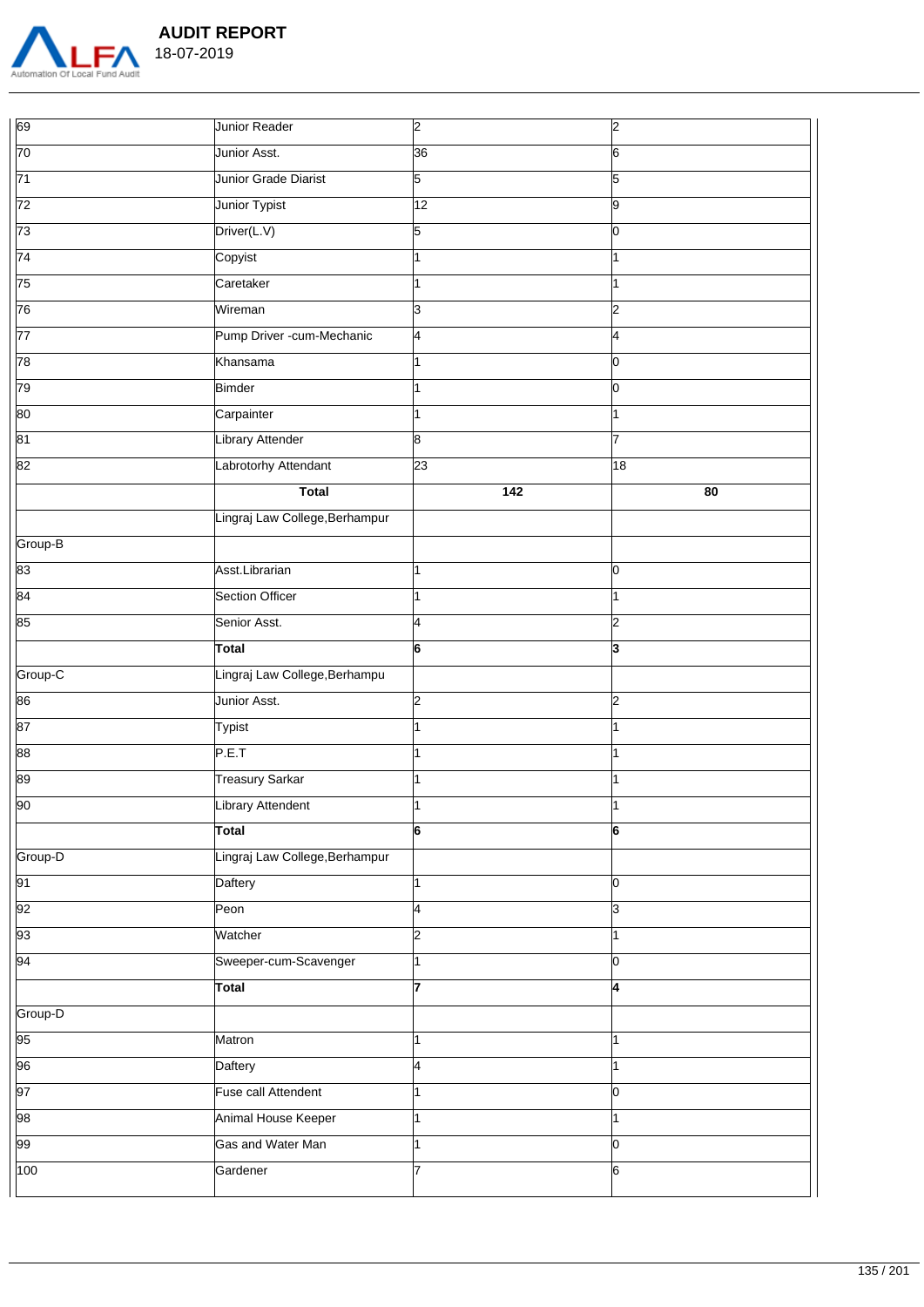

| 69              | <b>Junior Reader</b>           | 2                | 2               |
|-----------------|--------------------------------|------------------|-----------------|
| $\overline{70}$ | Junior Asst.                   | 36               | 6               |
| $\overline{71}$ | Junior Grade Diarist           | 5                | 5               |
| $\overline{72}$ | Junior Typist                  | 12               | 19              |
| $\overline{73}$ | Driver(L.V)                    | 5                | 0               |
| $\overline{74}$ | Copyist                        |                  |                 |
| $\overline{75}$ | Caretaker                      |                  |                 |
| 76              | Wireman                        | З                | 2               |
| $\overline{77}$ | Pump Driver - cum-Mechanic     | 4                | 4               |
| 78              | Khansama                       |                  | 0               |
| 79              | Bimder                         |                  | 0               |
| 80              | Carpainter                     |                  |                 |
| 81              | Library Attender               | 8                |                 |
| 82              | Labrotorhy Attendant           | 23               | $\overline{18}$ |
|                 | <b>Total</b>                   | $\overline{142}$ | $\overline{80}$ |
|                 | Lingraj Law College, Berhampur |                  |                 |
| Group-B         |                                |                  |                 |
| 83              | Asst.Librarian                 |                  | 0               |
| 84              | Section Officer                |                  |                 |
| 85              | Senior Asst.                   | Δ                | l2              |
|                 | Total                          | 6                | l3              |
| Group-C         | Lingraj Law College, Berhampu  |                  |                 |
| 86              | Junior Asst.                   | 2                | 2               |
| 87              | Typist                         |                  |                 |
| 88              | P.E.T                          |                  |                 |
| 89              | Treasury Sarkar                |                  | 1               |
| $\overline{90}$ | Library Attendent              |                  | 1               |
|                 | Total                          | 6                | 6               |
| Group-D         | Lingraj Law College, Berhampur |                  |                 |
| 91              | Daftery                        |                  | 0               |
| 92              | Peon                           | 4                | l3              |
| 93              | Watcher                        | 2                |                 |
| 94              | Sweeper-cum-Scavenger          |                  | lo.             |
|                 | Total                          | 7                | 4               |
| Group-D         |                                |                  |                 |
| 95              | Matron                         |                  | 1               |
| 96              | Daftery                        | 4                |                 |
| 97              | Fuse call Attendent            |                  | lo.             |
| 98              | Animal House Keeper            |                  |                 |
| 99              | Gas and Water Man              |                  | 0               |
| 100             | Gardener                       |                  | 6               |
|                 |                                |                  |                 |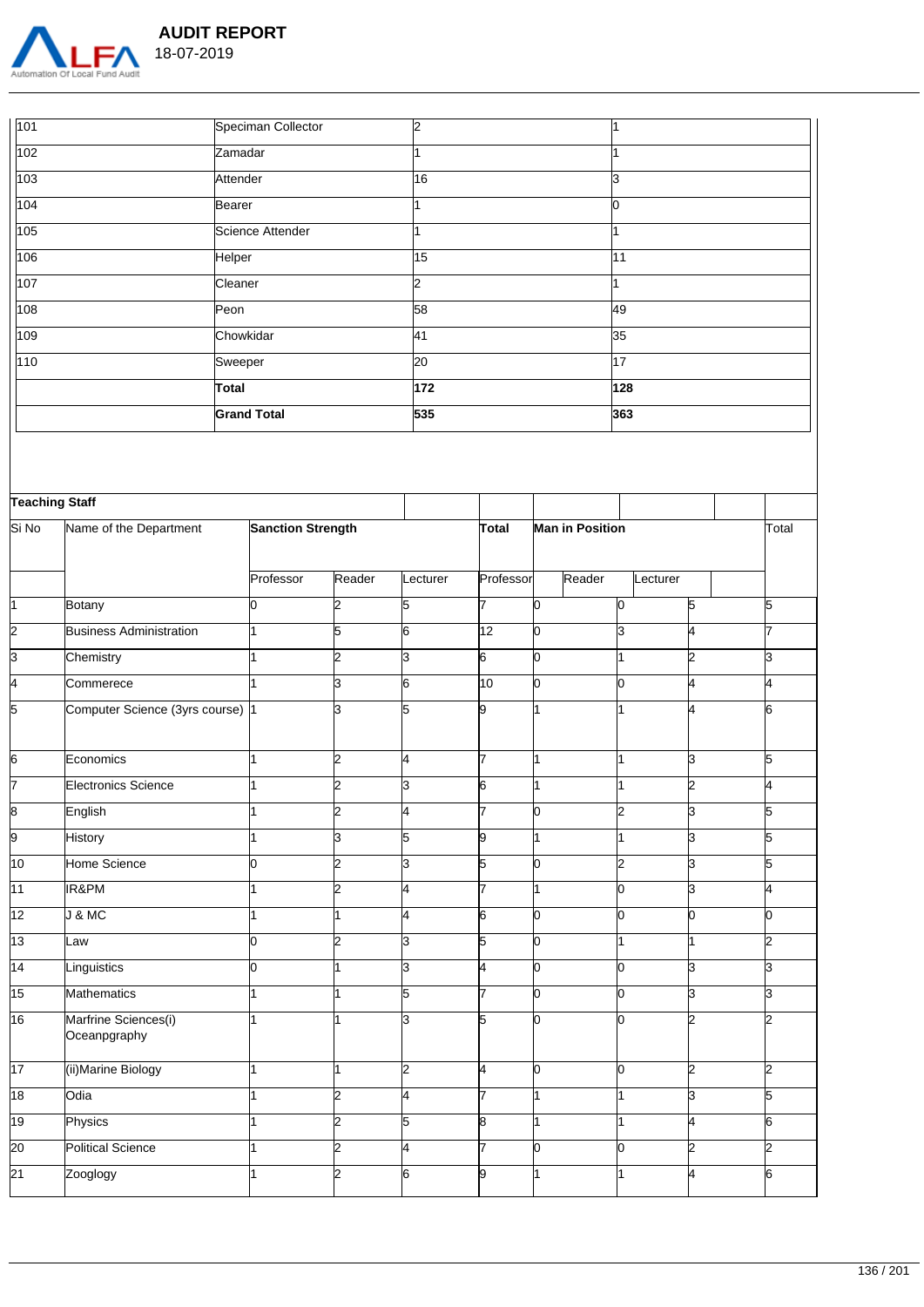

 **AUDIT REPORT** 

18-07-2019

|     | Total              | 172 | 128 |
|-----|--------------------|-----|-----|
| 110 | Sweeper            | 20  | 17  |
| 109 | Chowkidar          | 41  | 35  |
| 108 | Peon               | 58  | 49  |
| 107 | Cleaner            | 2   |     |
| 106 | Helper             | 15  | 11  |
| 105 | Science Attender   |     |     |
| 104 | Bearer             |     | ი   |
| 103 | Attender           | 16  | 3   |
| 102 | Zamadar            |     |     |
| 101 | Speciman Collector | 2   |     |

**Community Grand Total 535 363** 

|       | <b>Teaching Staff</b>                |                          |                |          |                  |                        |          |    |                |
|-------|--------------------------------------|--------------------------|----------------|----------|------------------|------------------------|----------|----|----------------|
| Si No | Name of the Department               | <b>Sanction Strength</b> |                |          | Total            | <b>Man in Position</b> |          |    | Total          |
|       |                                      | Professor                | Reader         | Lecturer | <b>Professor</b> | Reader                 | Lecturer |    |                |
| l1    | Botany                               | n                        | 2              | 5        |                  | l0                     | 0        | 5  | 5              |
| l2    | <b>Business Administration</b>       |                          | 5              | l6       | $\overline{12}$  | h                      | lз       | 4  | 7              |
| lЗ    | Chemistry                            |                          | 2              | l3       | 6                | h                      | 1        | 2  | l3             |
| l4    | Commerece                            |                          | lз             | l6       | 10               | b                      | lо       | 4  | l4             |
| 5     | Computer Science (3yrs course) 1     |                          | 3              | 15       | ļ9               |                        |          | 4  | 6              |
| 6     | Economics                            |                          | l2             | l4       | 7                | 11                     | 1        | ß  | 5              |
| 17    | Electronics Science                  |                          | l2             | l3       | 6                | 1                      | 1        | 2  | l4             |
| 8     | English                              |                          | 2              | l4       | 17               | b                      | l2       | lз | 5              |
| 9     | History                              |                          | З              | 5        | l9               |                        | 1        | IЗ | 5              |
| 10    | Home Science                         | lо                       | $\overline{2}$ | lз       | 5                | b                      | 2        | 3  | 5              |
| 11    | <b>IR&amp;PM</b>                     |                          | b.             | l4       | 17               |                        | ю        | IЗ | l4             |
| 12    | J & MC                               |                          | 1              | l4       | 6                | b                      | ю        | 0  | lo.            |
| 13    | Law                                  | h                        | l2             | l3       | 5                | b                      | 1        | 1  | $\overline{2}$ |
| 14    | Linguistics                          | h                        |                | l3       | l4               | h                      | lo       | lЗ | 3              |
| 15    | Mathematics                          |                          |                | 5        |                  | h                      | ю        | 3  | 3              |
| 16    | Marfrine Sciences(i)<br>Oceanpgraphy |                          |                | l3       | 5                | O                      | l0       | 2  | l2             |
| 17    | (ii) Marine Biology                  |                          |                | I2       | l4               | b                      | Ю        | 2  | 2              |
| 18    | Odia                                 |                          | 2              | l4       |                  |                        | 1        | l3 | 5              |
| 19    | Physics                              |                          | 2              | 5        | 8                |                        |          | 4  | 6              |
| 20    | <b>Political Science</b>             |                          | 2              | l4       |                  | h                      | lo       | 2  | l2             |
| 21    | Zooglogy                             |                          | l2             | 16       | 19               |                        |          | 4  | 6              |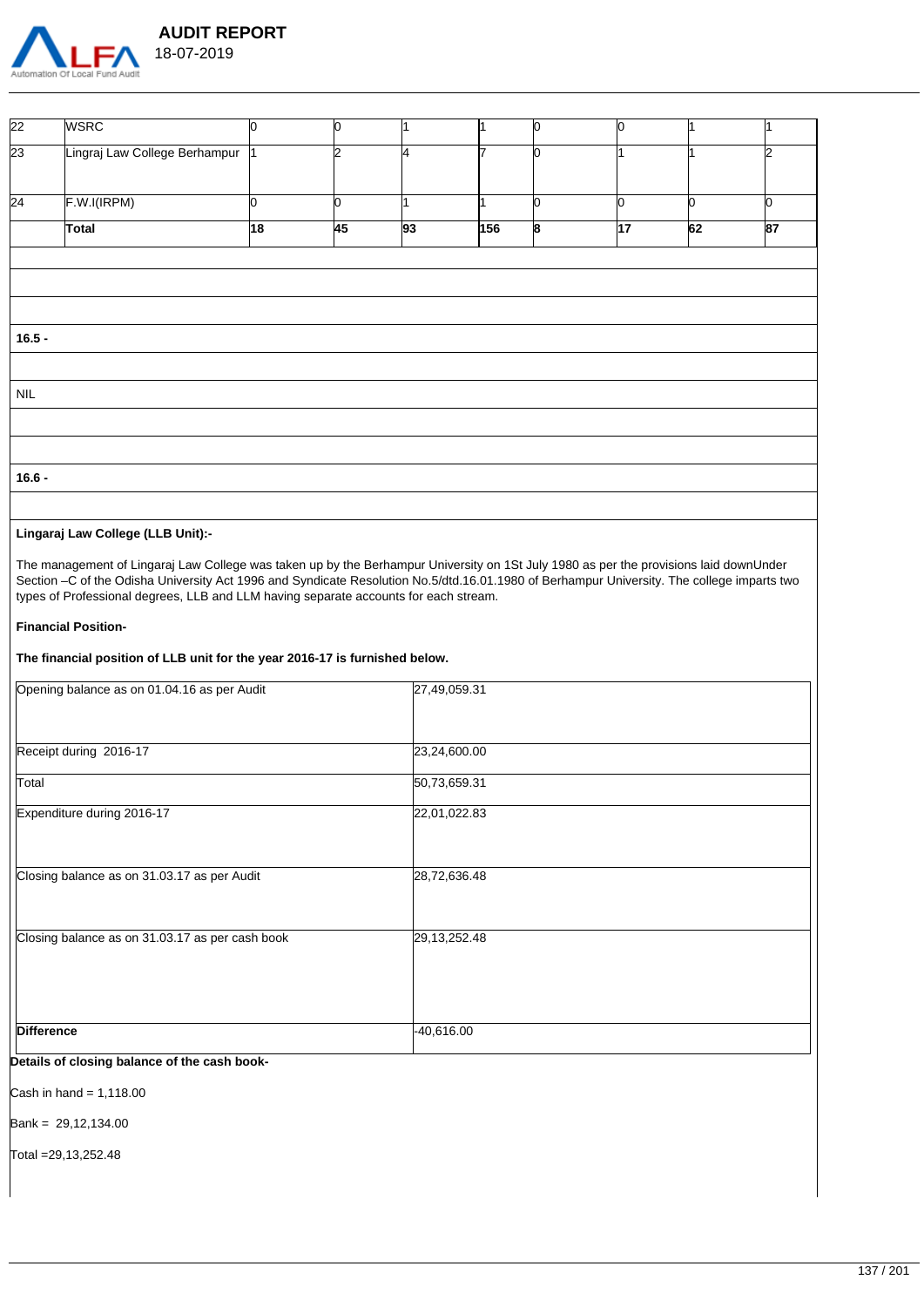

| $\overline{22}$             | <b>WSRC</b>                   | Ю  | Ю  |    |     | O              | $\mathsf{I}^{\mathsf{O}}$ |    |     |
|-----------------------------|-------------------------------|----|----|----|-----|----------------|---------------------------|----|-----|
| 23                          | Lingraj Law College Berhampur | ł1 | b. | l4 | 17  | Ю              |                           |    | b.  |
| $\overline{24}$             | F.W.I(IRPM)                   | Iо | Ю  |    |     | l0             | O                         | Ю  | lo. |
|                             | Total                         | 18 | 45 | 93 | 156 | $\overline{8}$ | $\overline{17}$           | 62 | 87  |
|                             |                               |    |    |    |     |                |                           |    |     |
|                             |                               |    |    |    |     |                |                           |    |     |
|                             |                               |    |    |    |     |                |                           |    |     |
| $16.5 -$                    |                               |    |    |    |     |                |                           |    |     |
|                             |                               |    |    |    |     |                |                           |    |     |
| $\ensuremath{\mathsf{NIL}}$ |                               |    |    |    |     |                |                           |    |     |
|                             |                               |    |    |    |     |                |                           |    |     |
|                             |                               |    |    |    |     |                |                           |    |     |
|                             |                               |    |    |    |     |                |                           |    |     |
| $16.6 -$                    |                               |    |    |    |     |                |                           |    |     |

### **Lingaraj Law College (LLB Unit):-**

The management of Lingaraj Law College was taken up by the Berhampur University on 1St July 1980 as per the provisions laid downUnder Section –C of the Odisha University Act 1996 and Syndicate Resolution No.5/dtd.16.01.1980 of Berhampur University. The college imparts two types of Professional degrees, LLB and LLM having separate accounts for each stream.

#### **Financial Position-**

#### **The financial position of LLB unit for the year 2016-17 is furnished below.**

| Opening balance as on 01.04.16 as per Audit                                                                                         | 27,49,059.31 |
|-------------------------------------------------------------------------------------------------------------------------------------|--------------|
| Receipt during 2016-17                                                                                                              | 23,24,600.00 |
| Total                                                                                                                               | 50,73,659.31 |
| Expenditure during 2016-17                                                                                                          | 22,01,022.83 |
| Closing balance as on 31.03.17 as per Audit                                                                                         | 28,72,636.48 |
| Closing balance as on 31.03.17 as per cash book                                                                                     | 29,13,252.48 |
| <b>Difference</b><br>Brandella in de la familia de la familia de la familia de la familia de la familia de la familia de la familia | -40,616.00   |

#### **Details of closing balance of the cash book-**

Cash in hand  $= 1,118.00$ 

Bank = 29,12,134.00

Total =29,13,252.48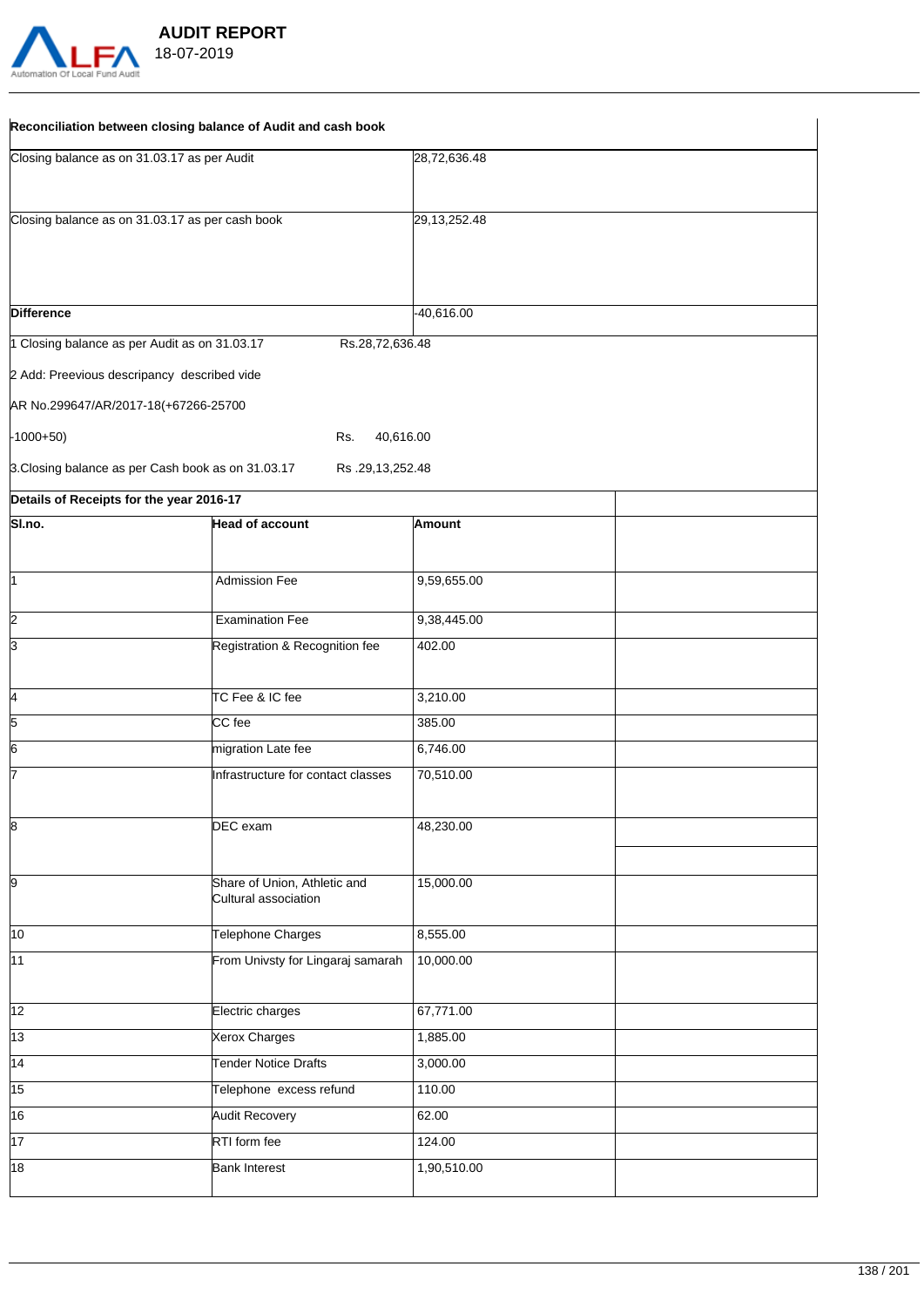

| Reconciliation between closing balance of Audit and cash book |                                    |              |  |  |  |  |
|---------------------------------------------------------------|------------------------------------|--------------|--|--|--|--|
| Closing balance as on 31.03.17 as per Audit                   |                                    | 28,72,636.48 |  |  |  |  |
|                                                               |                                    |              |  |  |  |  |
| Closing balance as on 31.03.17 as per cash book               |                                    | 29,13,252.48 |  |  |  |  |
|                                                               |                                    |              |  |  |  |  |
|                                                               |                                    |              |  |  |  |  |
| <b>Difference</b>                                             |                                    | $-40,616.00$ |  |  |  |  |
| 1 Closing balance as per Audit as on 31.03.17                 | Rs.28,72,636.48                    |              |  |  |  |  |
|                                                               |                                    |              |  |  |  |  |
| 2 Add: Preevious descripancy described vide                   |                                    |              |  |  |  |  |
| AR No.299647/AR/2017-18(+67266-25700                          |                                    |              |  |  |  |  |
| $+1000+50$                                                    | 40,616.00<br>Rs.                   |              |  |  |  |  |
| 3. Closing balance as per Cash book as on 31.03.17            | Rs.29,13,252.48                    |              |  |  |  |  |
| Details of Receipts for the year 2016-17                      |                                    |              |  |  |  |  |
| SI.no.                                                        | <b>Head of account</b>             | Amount       |  |  |  |  |
|                                                               |                                    |              |  |  |  |  |
| 1                                                             | Admission Fee                      | 9,59,655.00  |  |  |  |  |
|                                                               |                                    |              |  |  |  |  |
| 2                                                             | <b>Examination Fee</b>             | 9,38,445.00  |  |  |  |  |
| 3                                                             | Registration & Recognition fee     | 402.00       |  |  |  |  |
| 4                                                             | TC Fee & IC fee                    | 3,210.00     |  |  |  |  |
| 5                                                             | CC fee                             | 385.00       |  |  |  |  |
| 6                                                             | migration Late fee                 | 6,746.00     |  |  |  |  |
|                                                               | Infrastructure for contact classes | 70,510.00    |  |  |  |  |
|                                                               |                                    |              |  |  |  |  |
| 8                                                             | DEC exam                           | 48,230.00    |  |  |  |  |
|                                                               |                                    |              |  |  |  |  |
| 9                                                             | Share of Union, Athletic and       | 15,000.00    |  |  |  |  |
|                                                               | Cultural association               |              |  |  |  |  |
| 10                                                            | Telephone Charges                  | 8,555.00     |  |  |  |  |
| 11                                                            | From Univsty for Lingaraj samarah  | 10,000.00    |  |  |  |  |
|                                                               |                                    |              |  |  |  |  |
| 12                                                            | Electric charges                   | 67,771.00    |  |  |  |  |
| $\overline{13}$                                               | <b>Xerox Charges</b>               | 1,885.00     |  |  |  |  |
| 14                                                            | <b>Tender Notice Drafts</b>        | 3,000.00     |  |  |  |  |
| 15                                                            | Telephone excess refund            | 110.00       |  |  |  |  |
| 16                                                            | <b>Audit Recovery</b>              | 62.00        |  |  |  |  |
| 17                                                            | RTI form fee                       | 124.00       |  |  |  |  |
| 18                                                            | <b>Bank Interest</b>               | 1,90,510.00  |  |  |  |  |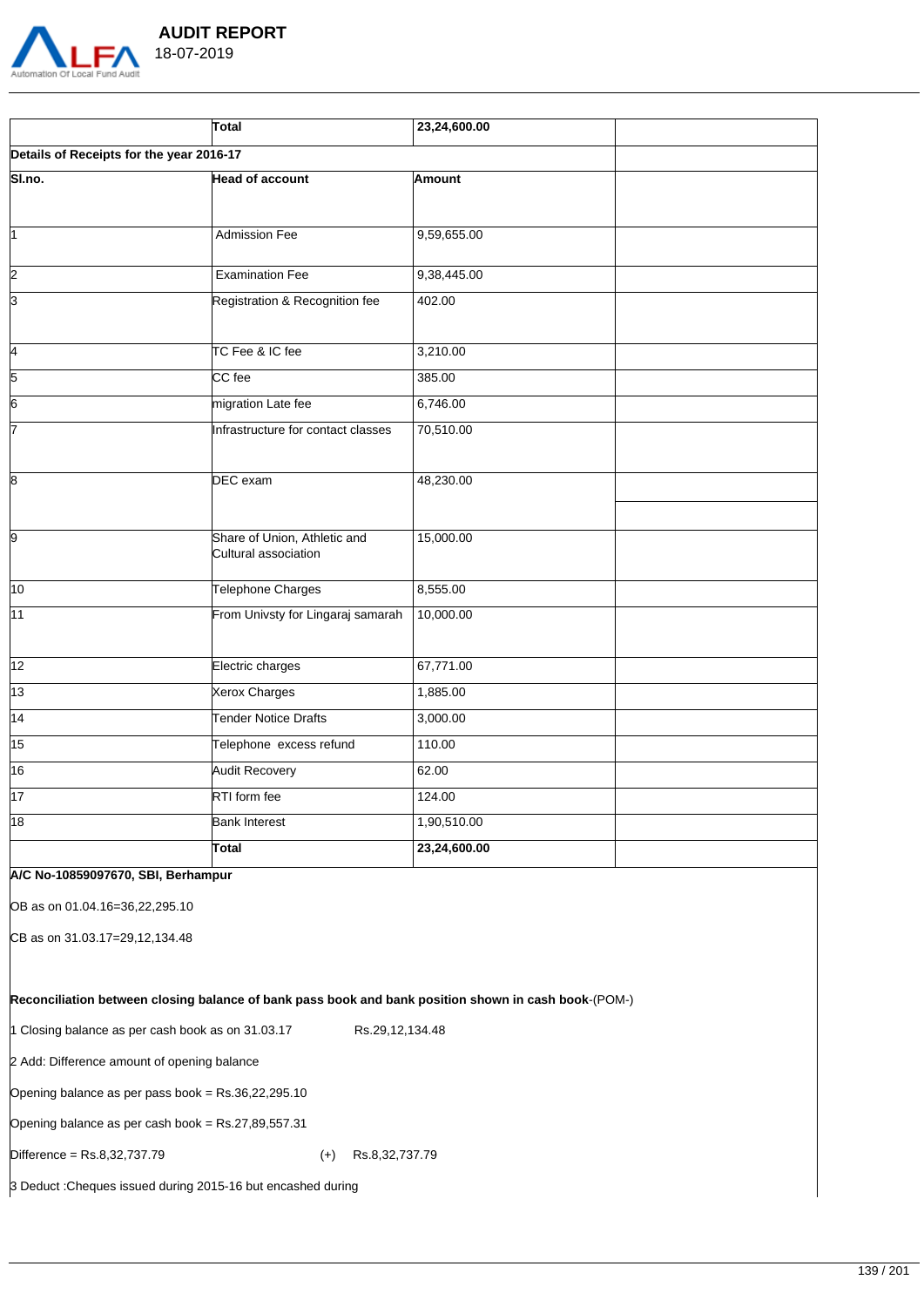

|                                          | Total                              | 23,24,600.00  |  |
|------------------------------------------|------------------------------------|---------------|--|
| Details of Receipts for the year 2016-17 |                                    |               |  |
| SI.no.                                   | <b>Head of account</b>             | <b>Amount</b> |  |
| $\overline{1}$                           | <b>Admission Fee</b>               | 9,59,655.00   |  |
|                                          |                                    |               |  |
| $\overline{2}$                           | <b>Examination Fee</b>             | 9,38,445.00   |  |
| 3                                        | Registration & Recognition fee     | 402.00        |  |
| $\overline{4}$                           | TC Fee & IC fee                    | 3,210.00      |  |
| $\overline{5}$                           | CC fee                             | 385.00        |  |
| $\overline{6}$                           | migration Late fee                 | 6,746.00      |  |
| 7                                        | Infrastructure for contact classes | 70,510.00     |  |
| $\overline{8}$                           | DEC exam                           | 48,230.00     |  |
| 9                                        | Share of Union, Athletic and       | 15,000.00     |  |
|                                          | Cultural association               |               |  |
| 10                                       | Telephone Charges                  | 8,555.00      |  |
| $\overline{11}$                          | From Univsty for Lingaraj samarah  | 10,000.00     |  |
| $\overline{12}$                          | Electric charges                   | 67,771.00     |  |
| $\overline{13}$                          | <b>Xerox Charges</b>               | 1,885.00      |  |
| 14                                       | <b>Tender Notice Drafts</b>        | 3,000.00      |  |
| 15                                       | Telephone excess refund            | 110.00        |  |
| 16                                       | <b>Audit Recovery</b>              | 62.00         |  |
| $\overline{17}$                          | RTI form fee                       | 124.00        |  |
| 18                                       | <b>Bank Interest</b>               | 1,90,510.00   |  |
|                                          | Total                              | 23,24,600.00  |  |

## **A/C No-10859097670, SBI, Berhampur**

OB as on 01.04.16=36,22,295.10

CB as on 31.03.17=29,12,134.48

**Reconciliation between closing balance of bank pass book and bank position shown in cash book**-(POM-)

1 Closing balance as per cash book as on 31.03.17 Rs.29,12,134.48

2 Add: Difference amount of opening balance

Opening balance as per pass book = Rs.36,22,295.10

Opening balance as per cash book = Rs.27,89,557.31

Difference = Rs.8,32,737.79 (+) Rs.8,32,737.79

3 Deduct :Cheques issued during 2015-16 but encashed during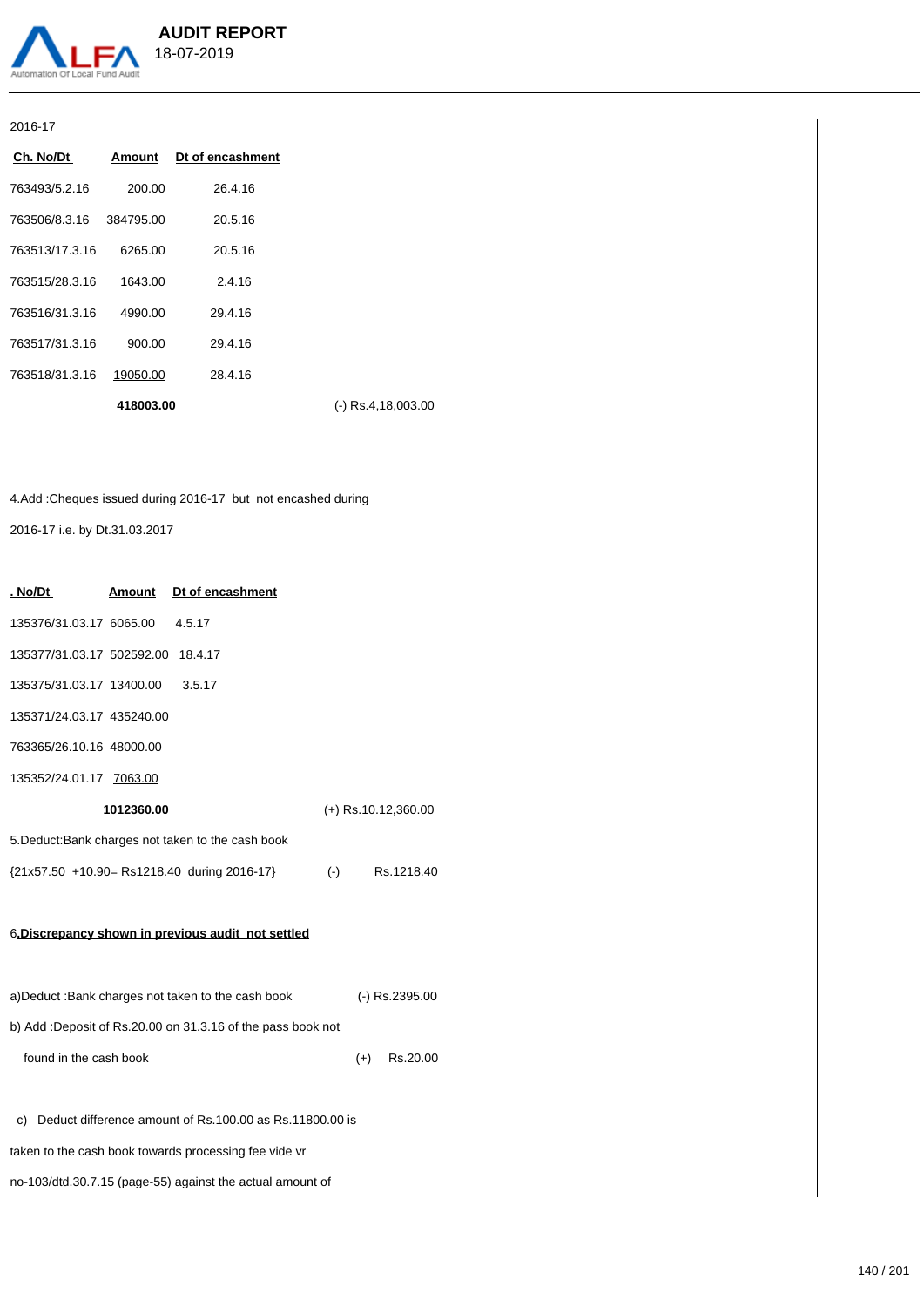

# 2016-17

| Ch. No/Dt      | Amount    | Dt of encashment |                      |
|----------------|-----------|------------------|----------------------|
| 763493/5.2.16  | 200.00    | 26.4.16          |                      |
| 763506/8.3.16  | 384795.00 | 20.5.16          |                      |
| 763513/17.3.16 | 6265.00   | 20.5.16          |                      |
| 763515/28.3.16 | 1643.00   | 2.4.16           |                      |
| 763516/31.3.16 | 4990.00   | 29.4.16          |                      |
| 763517/31.3.16 | 900.00    | 29.4.16          |                      |
| 763518/31.3.16 | 19050.00  | 28.4.16          |                      |
|                | 418003.00 |                  | $(-)$ Rs.4,18,003.00 |

4.Add :Cheques issued during 2016-17 but not encashed during

2016-17 i.e. by Dt.31.03.2017

| No/Dt                     | Amount     | Dt of encashment                                            |       |       |                       |
|---------------------------|------------|-------------------------------------------------------------|-------|-------|-----------------------|
| 135376/31.03.17 6065.00   |            | 4.5.17                                                      |       |       |                       |
| 135377/31.03.17 502592.00 |            | 18.4.17                                                     |       |       |                       |
| 135375/31.03.17 13400.00  |            | 3.5.17                                                      |       |       |                       |
| 135371/24.03.17 435240.00 |            |                                                             |       |       |                       |
| 763365/26.10.16 48000.00  |            |                                                             |       |       |                       |
| 135352/24.01.17 7063.00   |            |                                                             |       |       |                       |
|                           | 1012360.00 |                                                             |       |       | $(+)$ Rs.10.12,360.00 |
|                           |            | 5. Deduct: Bank charges not taken to the cash book          |       |       |                       |
|                           |            | $[21x57.50 +10.90 = Rs1218.40$ during 2016-17               | $(-)$ |       | Rs.1218.40            |
|                           |            |                                                             |       |       |                       |
|                           |            | 6. Discrepancy shown in previous audit not settled          |       |       |                       |
|                           |            |                                                             |       |       |                       |
|                           |            | a)Deduct: Bank charges not taken to the cash book           |       |       | (-) Rs.2395.00        |
|                           |            | b) Add :Deposit of Rs.20.00 on 31.3.16 of the pass book not |       |       |                       |
| found in the cash book    |            |                                                             |       | $(+)$ | Rs.20.00              |
|                           |            |                                                             |       |       |                       |
| C)                        |            | Deduct difference amount of Rs.100.00 as Rs.11800.00 is     |       |       |                       |
|                           |            | taken to the cash book towards processing fee vide vr       |       |       |                       |
|                           |            | ho-103/dtd.30.7.15 (page-55) against the actual amount of   |       |       |                       |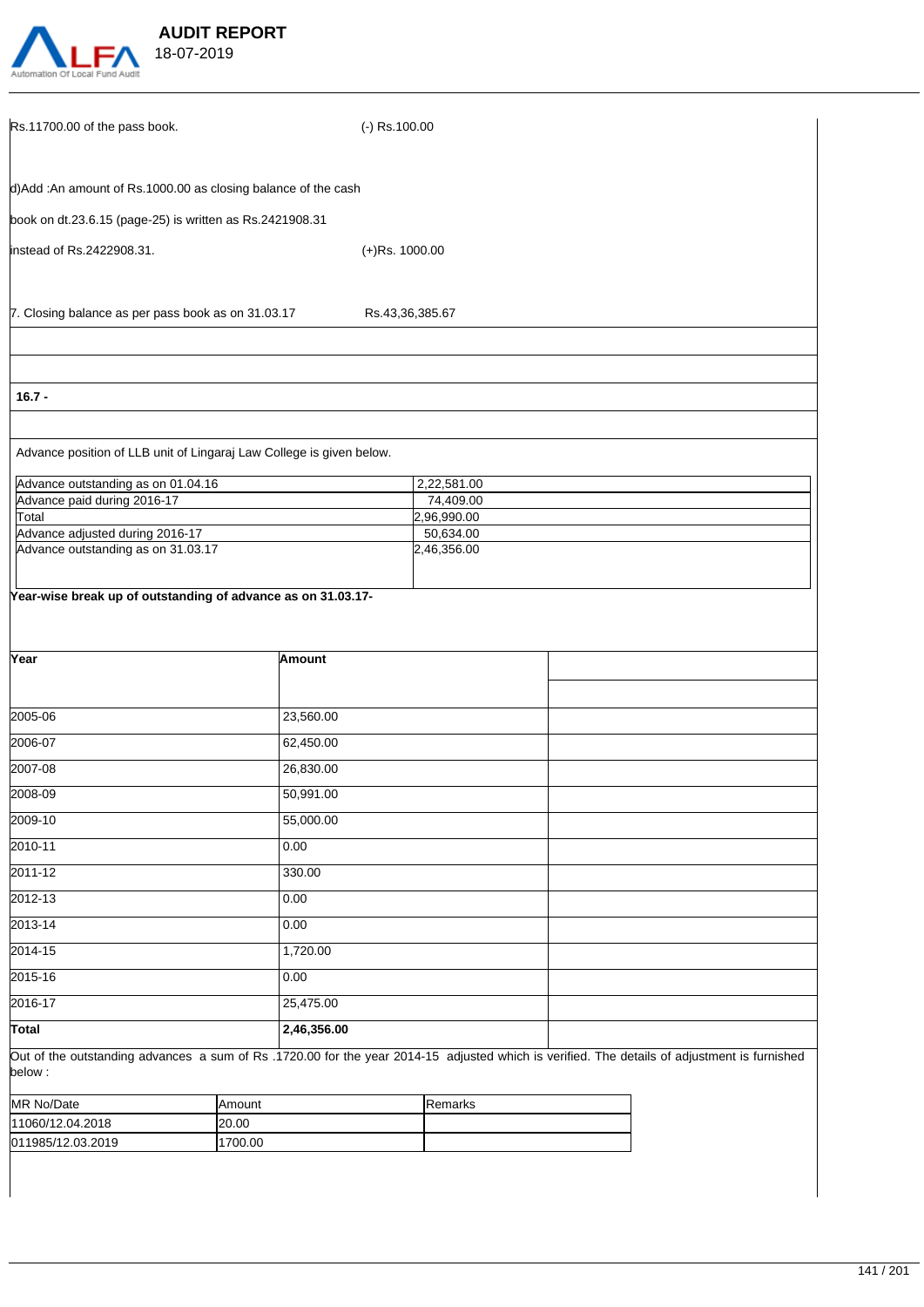|                                | <b>AUDIT RE</b> |
|--------------------------------|-----------------|
|                                | 18-07-2019      |
| Automation Of Local Fund Audit |                 |

 **AUDIT REPORT** 

| Rs.11700.00 of the pass book.                                        |         | (-) Rs.100.00 |                   |                          |                                                                                                                                              |
|----------------------------------------------------------------------|---------|---------------|-------------------|--------------------------|----------------------------------------------------------------------------------------------------------------------------------------------|
| d)Add: An amount of Rs.1000.00 as closing balance of the cash        |         |               |                   |                          |                                                                                                                                              |
| book on dt.23.6.15 (page-25) is written as Rs.2421908.31             |         |               |                   |                          |                                                                                                                                              |
|                                                                      |         |               |                   |                          |                                                                                                                                              |
| instead of Rs.2422908.31.                                            |         |               | $(+)$ Rs. 1000.00 |                          |                                                                                                                                              |
| 7. Closing balance as per pass book as on 31.03.17                   |         |               | Rs.43,36,385.67   |                          |                                                                                                                                              |
|                                                                      |         |               |                   |                          |                                                                                                                                              |
| $16.7 -$                                                             |         |               |                   |                          |                                                                                                                                              |
| Advance position of LLB unit of Lingaraj Law College is given below. |         |               |                   |                          |                                                                                                                                              |
|                                                                      |         |               |                   |                          |                                                                                                                                              |
| Advance outstanding as on 01.04.16                                   |         |               |                   | 2,22,581.00              |                                                                                                                                              |
| Advance paid during 2016-17<br>Total                                 |         |               |                   | 74,409.00<br>2,96,990.00 |                                                                                                                                              |
| Advance adjusted during 2016-17                                      |         |               |                   | 50,634.00                |                                                                                                                                              |
| Advance outstanding as on 31.03.17                                   |         |               |                   | 2,46,356.00              |                                                                                                                                              |
| Year                                                                 |         | Amount        |                   |                          |                                                                                                                                              |
| 2005-06                                                              |         | 23,560.00     |                   |                          |                                                                                                                                              |
| 2006-07                                                              |         | 62,450.00     |                   |                          |                                                                                                                                              |
| 2007-08                                                              |         | 26,830.00     |                   |                          |                                                                                                                                              |
| 2008-09                                                              |         | 50,991.00     |                   |                          |                                                                                                                                              |
| 2009-10                                                              |         | 55,000.00     |                   |                          |                                                                                                                                              |
| 2010-11                                                              |         | 0.00          |                   |                          |                                                                                                                                              |
| 2011-12                                                              |         | 330.00        |                   |                          |                                                                                                                                              |
| 2012-13                                                              |         | 0.00          |                   |                          |                                                                                                                                              |
| 2013-14                                                              |         | 0.00          |                   |                          |                                                                                                                                              |
| 2014-15                                                              |         | 1,720.00      |                   |                          |                                                                                                                                              |
| 2015-16                                                              |         | 0.00          |                   |                          |                                                                                                                                              |
| 2016-17                                                              |         | 25,475.00     |                   |                          |                                                                                                                                              |
| <b>Total</b>                                                         |         | 2,46,356.00   |                   |                          |                                                                                                                                              |
| below:                                                               |         |               |                   |                          | Out of the outstanding advances a sum of Rs .1720.00 for the year 2014-15 adjusted which is verified. The details of adjustment is furnished |
| MR No/Date                                                           | Amount  |               |                   | Remarks                  |                                                                                                                                              |
| 11060/12.04.2018                                                     | 20.00   |               |                   |                          |                                                                                                                                              |
| 011985/12.03.2019                                                    | 1700.00 |               |                   |                          |                                                                                                                                              |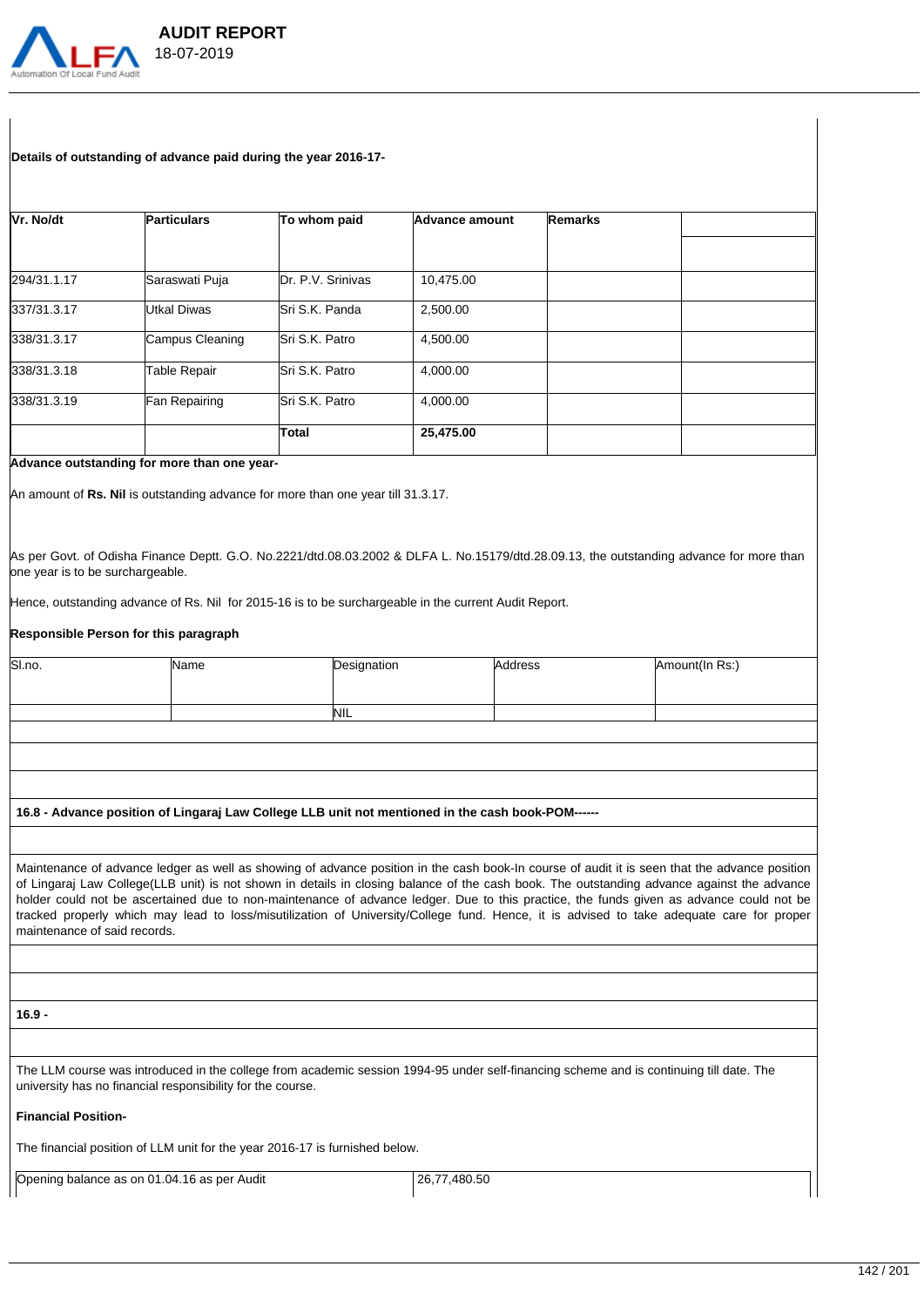

**Details of outstanding of advance paid during the year 2016-17-**

18-07-2019

 **AUDIT REPORT** 

| Vr. No/dt   | <b>Particulars</b> | To whom paid      | Advance amount | <b>Remarks</b> |  |
|-------------|--------------------|-------------------|----------------|----------------|--|
|             |                    |                   |                |                |  |
| 294/31.1.17 | Saraswati Puja     | Dr. P.V. Srinivas | 10,475.00      |                |  |
| 337/31.3.17 | <b>Utkal Diwas</b> | Sri S.K. Panda    | 2,500.00       |                |  |
| 338/31.3.17 | Campus Cleaning    | Sri S.K. Patro    | 4,500.00       |                |  |
| 338/31.3.18 | Table Repair       | Sri S.K. Patro    | 4,000.00       |                |  |
| 338/31.3.19 | Fan Repairing      | Sri S.K. Patro    | 4,000.00       |                |  |
|             |                    | Total             | 25,475.00      |                |  |

**Advance outstanding for more than one year-**

An amount of **Rs. Nil** is outstanding advance for more than one year till 31.3.17.

As per Govt. of Odisha Finance Deptt. G.O. No.2221/dtd.08.03.2002 & DLFA L. No.15179/dtd.28.09.13, the outstanding advance for more than one year is to be surchargeable.

Hence, outstanding advance of Rs. Nil for 2015-16 is to be surchargeable in the current Audit Report.

#### **Responsible Person for this paragraph**

| SI.no. | Name | Designation | Address | Amount(In Rs:) |
|--------|------|-------------|---------|----------------|
|        |      |             |         |                |
|        |      |             |         |                |
|        |      |             |         |                |
|        |      | <b>NIL</b>  |         |                |
|        |      |             |         |                |
|        |      |             |         |                |

**16.8 - Advance position of Lingaraj Law College LLB unit not mentioned in the cash book-POM------**

Maintenance of advance ledger as well as showing of advance position in the cash book-In course of audit it is seen that the advance position of Lingaraj Law College(LLB unit) is not shown in details in closing balance of the cash book. The outstanding advance against the advance holder could not be ascertained due to non-maintenance of advance ledger. Due to this practice, the funds given as advance could not be tracked properly which may lead to loss/misutilization of University/College fund. Hence, it is advised to take adequate care for proper maintenance of said records.

**16.9 -** 

The LLM course was introduced in the college from academic session 1994-95 under self-financing scheme and is continuing till date. The university has no financial responsibility for the course.

#### **Financial Position-**

The financial position of LLM unit for the year 2016-17 is furnished below.

Opening balance as on 01.04.16 as per Audit 26,77,480.50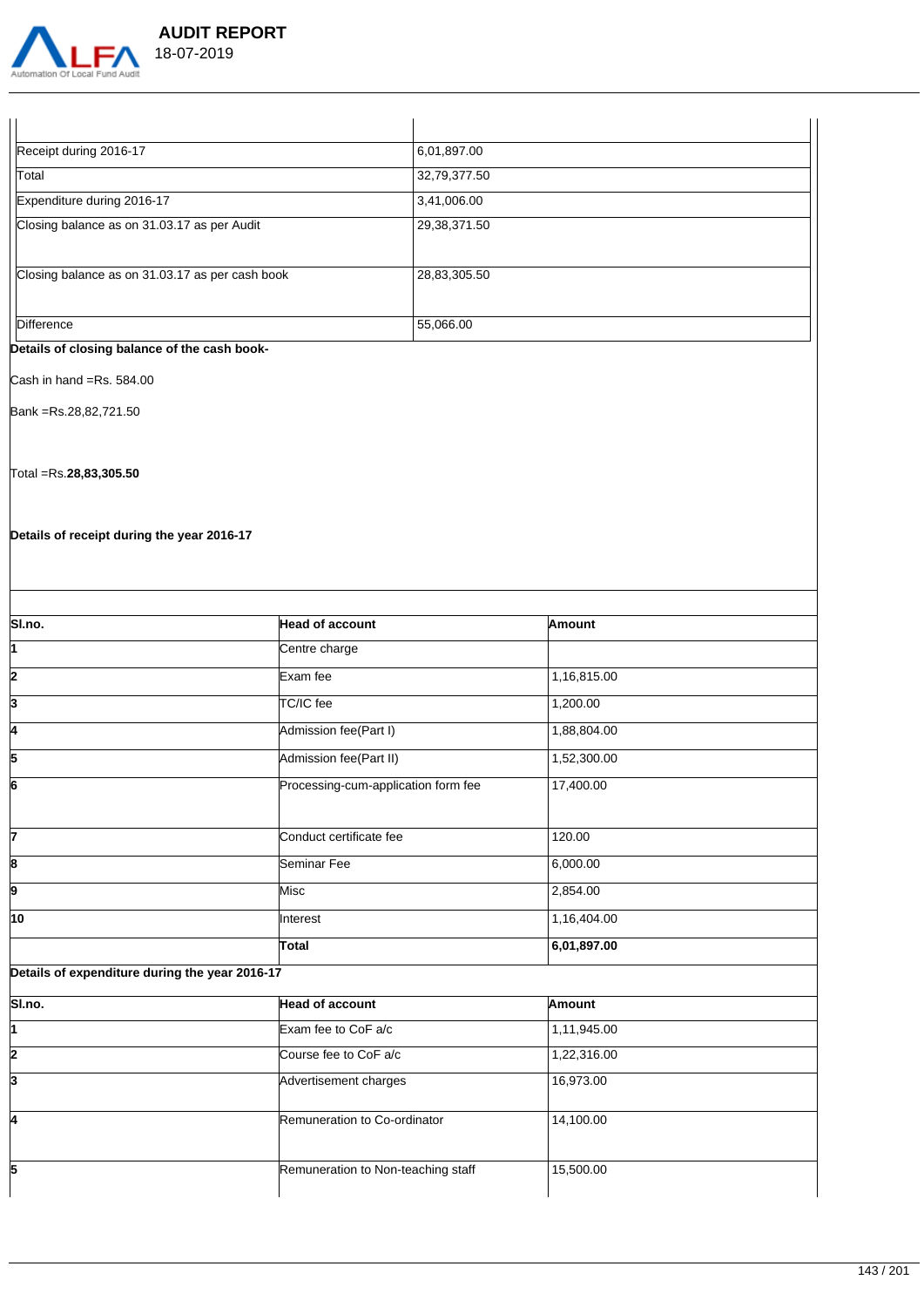

Receipt during 2016-17 6,01,897.00 Total 32,79,377.50 Expenditure during 2016-17 3,41,006.00 Closing balance as on 31.03.17 as per Audit 29,38,371.50 Closing balance as on 31.03.17 as per cash book 28,83,305.50 Difference 55,066.00

**Details of closing balance of the cash book-**

Cash in hand =Rs. 584.00

Bank =Rs.28,82,721.50

Total =Rs.**28,83,305.50**

**Details of receipt during the year 2016-17**

| SI.no.                                         | <b>Head of account</b>              | Amount        |
|------------------------------------------------|-------------------------------------|---------------|
| ł1.                                            | Centre charge                       |               |
| 2                                              | Exam fee                            | 1,16,815.00   |
| 3                                              | TC/IC fee                           | 1,200.00      |
| 4                                              | Admission fee(Part I)               | 1,88,804.00   |
| 5                                              | Admission fee(Part II)              | 1,52,300.00   |
| 6                                              | Processing-cum-application form fee | 17,400.00     |
| 17                                             | Conduct certificate fee             | 120.00        |
| 8                                              | Seminar Fee                         | 6,000.00      |
| 9                                              | Misc                                | 2,854.00      |
| 10                                             | <b>Interest</b>                     | 1,16,404.00   |
|                                                | Total                               | 6,01,897.00   |
| Details of expenditure during the year 2016-17 |                                     |               |
| SI.no.                                         | Head of account                     | <b>Amount</b> |
| ł1                                             | Exam fee to CoF a/c                 | 1,11,945.00   |
| $\overline{2}$                                 | Course fee to CoF a/c               | 1,22,316.00   |
| 3                                              | Advertisement charges               | 16,973.00     |
| 4                                              | Remuneration to Co-ordinator        | 14,100.00     |
| 5                                              | Remuneration to Non-teaching staff  | 15,500.00     |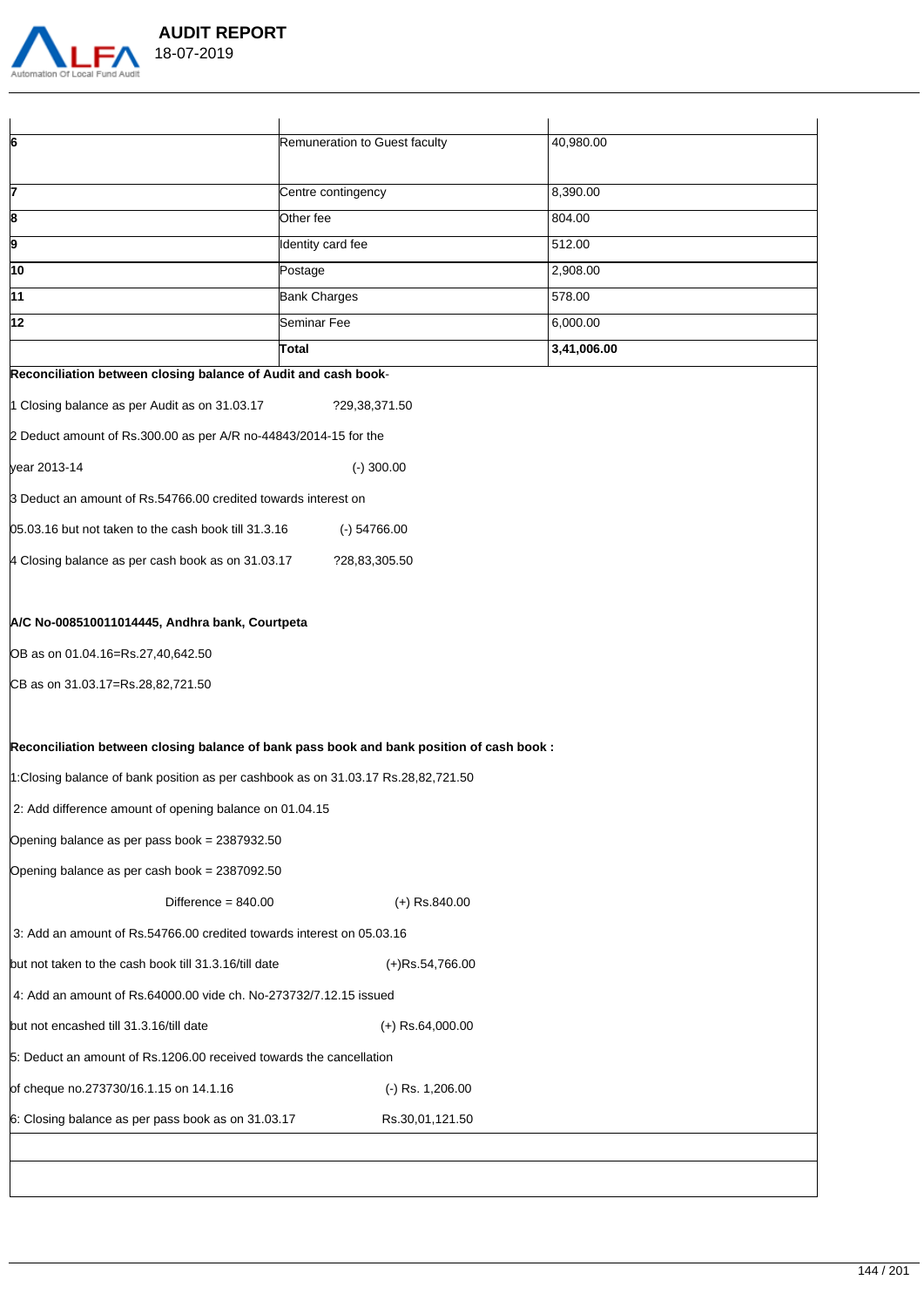

 **AUDIT REPORT** 

| 6                                                                                                                                                                                                                                            | Remuneration to Guest faculty | 40,980.00   |  |
|----------------------------------------------------------------------------------------------------------------------------------------------------------------------------------------------------------------------------------------------|-------------------------------|-------------|--|
| 7                                                                                                                                                                                                                                            | Centre contingency            | 8,390.00    |  |
| 8                                                                                                                                                                                                                                            | Other fee                     | 804.00      |  |
| 9                                                                                                                                                                                                                                            | Identity card fee             | 512.00      |  |
| 10                                                                                                                                                                                                                                           | Postage                       | 2,908.00    |  |
| 11                                                                                                                                                                                                                                           | Bank Charges                  | 578.00      |  |
| 12 <sub>2</sub>                                                                                                                                                                                                                              | Seminar Fee                   | 6,000.00    |  |
|                                                                                                                                                                                                                                              | Total                         | 3,41,006.00 |  |
| Reconciliation between closing balance of Audit and cash book-                                                                                                                                                                               |                               |             |  |
| 1 Closing balance as per Audit as on 31.03.17                                                                                                                                                                                                | ?29,38,371.50                 |             |  |
| 2 Deduct amount of Rs.300.00 as per A/R no-44843/2014-15 for the                                                                                                                                                                             |                               |             |  |
| year 2013-14                                                                                                                                                                                                                                 | $(-)$ 300.00                  |             |  |
| 3 Deduct an amount of Rs.54766.00 credited towards interest on                                                                                                                                                                               |                               |             |  |
| 05.03.16 but not taken to the cash book till 31.3.16                                                                                                                                                                                         | $(-) 54766.00$                |             |  |
| 4 Closing balance as per cash book as on 31.03.17                                                                                                                                                                                            | ?28,83,305.50                 |             |  |
|                                                                                                                                                                                                                                              |                               |             |  |
| A/C No-008510011014445, Andhra bank, Courtpeta                                                                                                                                                                                               |                               |             |  |
| OB as on 01.04.16=Rs.27,40,642.50                                                                                                                                                                                                            |                               |             |  |
| CB as on 31.03.17=Rs.28,82,721.50                                                                                                                                                                                                            |                               |             |  |
|                                                                                                                                                                                                                                              |                               |             |  |
| Reconciliation between closing balance of bank pass book and bank position of cash book :                                                                                                                                                    |                               |             |  |
| 1: Closing balance of bank position as per cashbook as on 31.03.17 Rs.28,82,721.50                                                                                                                                                           |                               |             |  |
| 2: Add difference amount of opening balance on 01.04.15                                                                                                                                                                                      |                               |             |  |
| Opening balance as per pass book = 2387932.50                                                                                                                                                                                                |                               |             |  |
| Opening balance as per cash book = 2387092.50                                                                                                                                                                                                |                               |             |  |
| Difference = $840.00$                                                                                                                                                                                                                        | $(+)$ Rs.840.00               |             |  |
| 3: Add an amount of Rs.54766.00 credited towards interest on 05.03.16                                                                                                                                                                        |                               |             |  |
|                                                                                                                                                                                                                                              |                               |             |  |
|                                                                                                                                                                                                                                              | $(+)$ Rs.54,766.00            |             |  |
|                                                                                                                                                                                                                                              |                               |             |  |
|                                                                                                                                                                                                                                              | $(+)$ Rs.64,000.00            |             |  |
| but not taken to the cash book till 31.3.16/till date<br>4: Add an amount of Rs.64000.00 vide ch. No-273732/7.12.15 issued<br>but not encashed till 31.3.16/till date<br>5: Deduct an amount of Rs.1206.00 received towards the cancellation |                               |             |  |
|                                                                                                                                                                                                                                              | $(-)$ Rs. 1,206.00            |             |  |
| of cheque no.273730/16.1.15 on 14.1.16<br>6: Closing balance as per pass book as on 31.03.17                                                                                                                                                 | Rs.30,01,121.50               |             |  |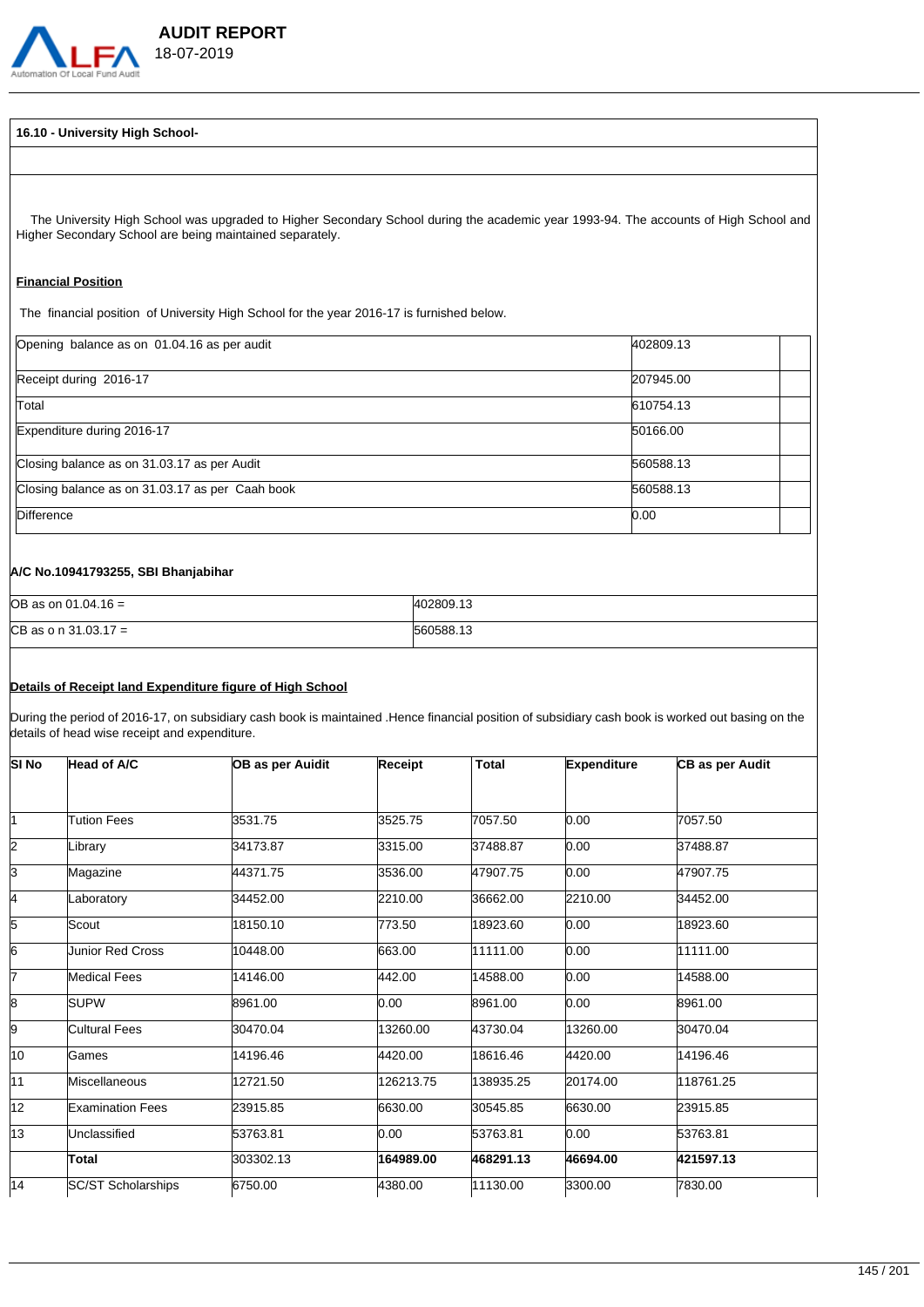

# **16.10 - University High School-**

 The University High School was upgraded to Higher Secondary School during the academic year 1993-94. The accounts of High School and Higher Secondary School are being maintained separately.

## **Financial Position**

The financial position of University High School for the year 2016-17 is furnished below.

| Opening balance as on 01.04.16 as per audit     | 402809.13 |
|-------------------------------------------------|-----------|
| Receipt during 2016-17                          | 207945.00 |
| Total                                           | 610754.13 |
| Expenditure during 2016-17                      | 50166.00  |
| Closing balance as on 31.03.17 as per Audit     | 560588.13 |
| Closing balance as on 31.03.17 as per Caah book | 560588.13 |
| Difference                                      | 0.00      |

# **A/C No.10941793255, SBI Bhanjabihar**

| OB as on 01.04.16 =    | 402809.13 |
|------------------------|-----------|
| $CB$ as o n 31.03.17 = | 560588.13 |

# **Details of Receipt land Expenditure figure of High School**

During the period of 2016-17, on subsidiary cash book is maintained .Hence financial position of subsidiary cash book is worked out basing on the details of head wise receipt and expenditure.

| SI <sub>No</sub> | Head of A/C               | OB as per Auidit | <b>Receipt</b> | <b>Total</b> | <b>Expenditure</b> | CB as per Audit |
|------------------|---------------------------|------------------|----------------|--------------|--------------------|-----------------|
|                  |                           |                  |                |              |                    |                 |
|                  | <b>Tution Fees</b>        | 3531.75          | 3525.75        | 7057.50      | 0.00               | 7057.50         |
| 2                | Library                   | 34173.87         | 3315.00        | 37488.87     | 0.00               | 37488.87        |
| 3                | Magazine                  | 44371.75         | 3536.00        | 47907.75     | 0.00               | 47907.75        |
| 4                | Laboratory                | 34452.00         | 2210.00        | 36662.00     | 2210.00            | 34452.00        |
| 5                | Scout                     | 18150.10         | 773.50         | 18923.60     | 0.00               | 18923.60        |
| 6                | Junior Red Cross          | 10448.00         | 663.00         | 11111.00     | 0.00               | 11111.00        |
| 17               | Medical Fees              | 14146.00         | 442.00         | 14588.00     | 0.00               | 14588.00        |
| 8                | lsupw                     | 8961.00          | 0.00           | 8961.00      | 0.00               | 8961.00         |
| l9               | <b>Cultural Fees</b>      | 30470.04         | 13260.00       | 43730.04     | 13260.00           | 30470.04        |
| 10               | Games                     | 14196.46         | 4420.00        | 18616.46     | 4420.00            | 14196.46        |
| 11               | Miscellaneous             | 12721.50         | 126213.75      | 138935.25    | 20174.00           | 118761.25       |
| 12               | <b>Examination Fees</b>   | 23915.85         | 6630.00        | 30545.85     | 6630.00            | 23915.85        |
| 13               | Unclassified              | 53763.81         | 0.00           | 53763.81     | 0.00               | 53763.81        |
|                  | Total                     | 303302.13        | 164989.00      | 468291.13    | 46694.00           | 421597.13       |
| 14               | <b>SC/ST Scholarships</b> | 6750.00          | 4380.00        | 11130.00     | 3300.00            | 7830.00         |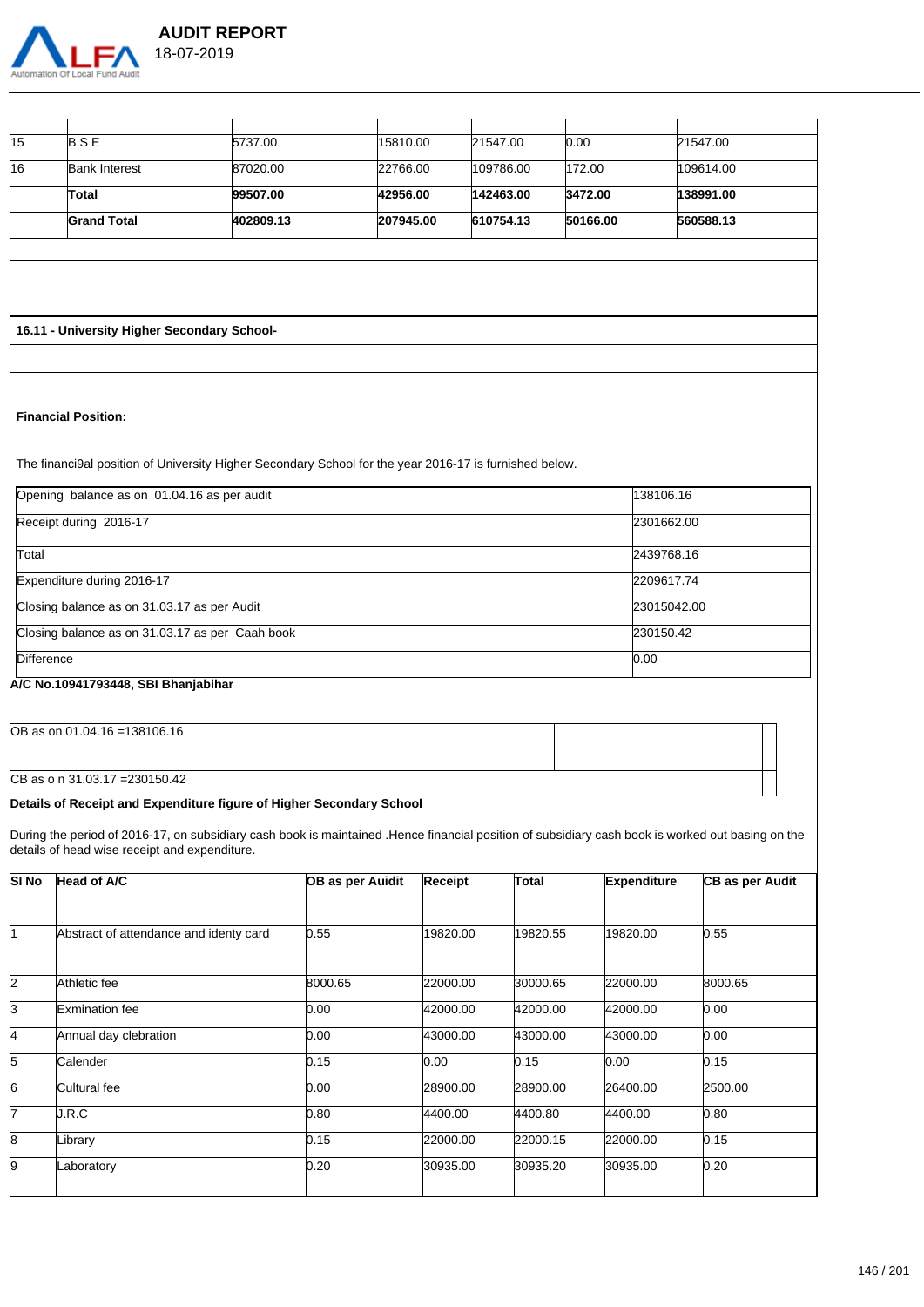

|            | <b>BSE</b>                                      | 5737.00   | 15810.00                                                                                               | 21547.00  | 0.00     | 21547.00    |
|------------|-------------------------------------------------|-----------|--------------------------------------------------------------------------------------------------------|-----------|----------|-------------|
| 16         | <b>Bank Interest</b>                            | 87020.00  | 22766.00                                                                                               | 109786.00 | 172.00   | 109614.00   |
|            | Total                                           | 99507.00  | 42956.00                                                                                               | 142463.00 | 3472.00  | 138991.00   |
|            |                                                 |           |                                                                                                        |           |          |             |
|            | <b>Grand Total</b>                              | 402809.13 | 207945.00                                                                                              | 610754.13 | 50166.00 | 560588.13   |
|            |                                                 |           |                                                                                                        |           |          |             |
|            | 16.11 - University Higher Secondary School-     |           |                                                                                                        |           |          |             |
|            |                                                 |           |                                                                                                        |           |          |             |
|            |                                                 |           |                                                                                                        |           |          |             |
|            |                                                 |           |                                                                                                        |           |          |             |
|            | <b>Financial Position:</b>                      |           |                                                                                                        |           |          |             |
|            |                                                 |           |                                                                                                        |           |          |             |
|            |                                                 |           |                                                                                                        |           |          |             |
|            |                                                 |           |                                                                                                        |           |          |             |
|            |                                                 |           | The financi9al position of University Higher Secondary School for the year 2016-17 is furnished below. |           |          |             |
|            | Opening balance as on 01.04.16 as per audit     |           |                                                                                                        |           |          | 138106.16   |
|            |                                                 |           |                                                                                                        |           |          |             |
|            | Receipt during 2016-17                          |           |                                                                                                        |           |          | 2301662.00  |
|            |                                                 |           |                                                                                                        |           |          | 2439768.16  |
| Total      | Expenditure during 2016-17                      |           |                                                                                                        |           |          | 2209617.74  |
|            | Closing balance as on 31.03.17 as per Audit     |           |                                                                                                        |           |          | 23015042.00 |
|            | Closing balance as on 31.03.17 as per Caah book |           |                                                                                                        |           |          | 230150.42   |
| Difference |                                                 |           |                                                                                                        |           | 0.00     |             |
|            |                                                 |           |                                                                                                        |           |          |             |
|            | A/C No.10941793448, SBI Bhanjabihar             |           |                                                                                                        |           |          |             |
|            | OB as on 01.04.16 =138106.16                    |           |                                                                                                        |           |          |             |
|            |                                                 |           |                                                                                                        |           |          |             |
|            | CB as o n 31.03.17 = 230150.42                  |           |                                                                                                        |           |          |             |

# **Details of Receipt and Expenditure figure of Higher Secondary School**

During the period of 2016-17, on subsidiary cash book is maintained .Hence financial position of subsidiary cash book is worked out basing on the details of head wise receipt and expenditure.

| <b>SI No</b> | Head of A/C                            | OB as per Auidit | Receipt  | Total    | <b>Expenditure</b> | CB as per Audit |
|--------------|----------------------------------------|------------------|----------|----------|--------------------|-----------------|
|              |                                        |                  |          |          |                    |                 |
| I1           | Abstract of attendance and identy card | 0.55             | 19820.00 | 19820.55 | 19820.00           | 0.55            |
| 2            | Athletic fee                           | 8000.65          | 22000.00 | 30000.65 | 22000.00           | 8000.65         |
| Iз           | <b>Exmination fee</b>                  | 0.00             | 42000.00 | 42000.00 | 42000.00           | 0.00            |
| 4            | Annual day clebration                  | 0.00             | 43000.00 | 43000.00 | 43000.00           | 0.00            |
| 5            | Calender                               | 0.15             | 0.00     | 0.15     | 0.00               | 0.15            |
| 6            | Cultural fee                           | 0.00             | 28900.00 | 28900.00 | 26400.00           | 2500.00         |
| 7            | J.R.C                                  | 0.80             | 4400.00  | 4400.80  | 4400.00            | 0.80            |
| 8            | Library                                | 0.15             | 22000.00 | 22000.15 | 22000.00           | 0.15            |
| 9            | Laboratory                             | 0.20             | 30935.00 | 30935.20 | 30935.00           | 0.20            |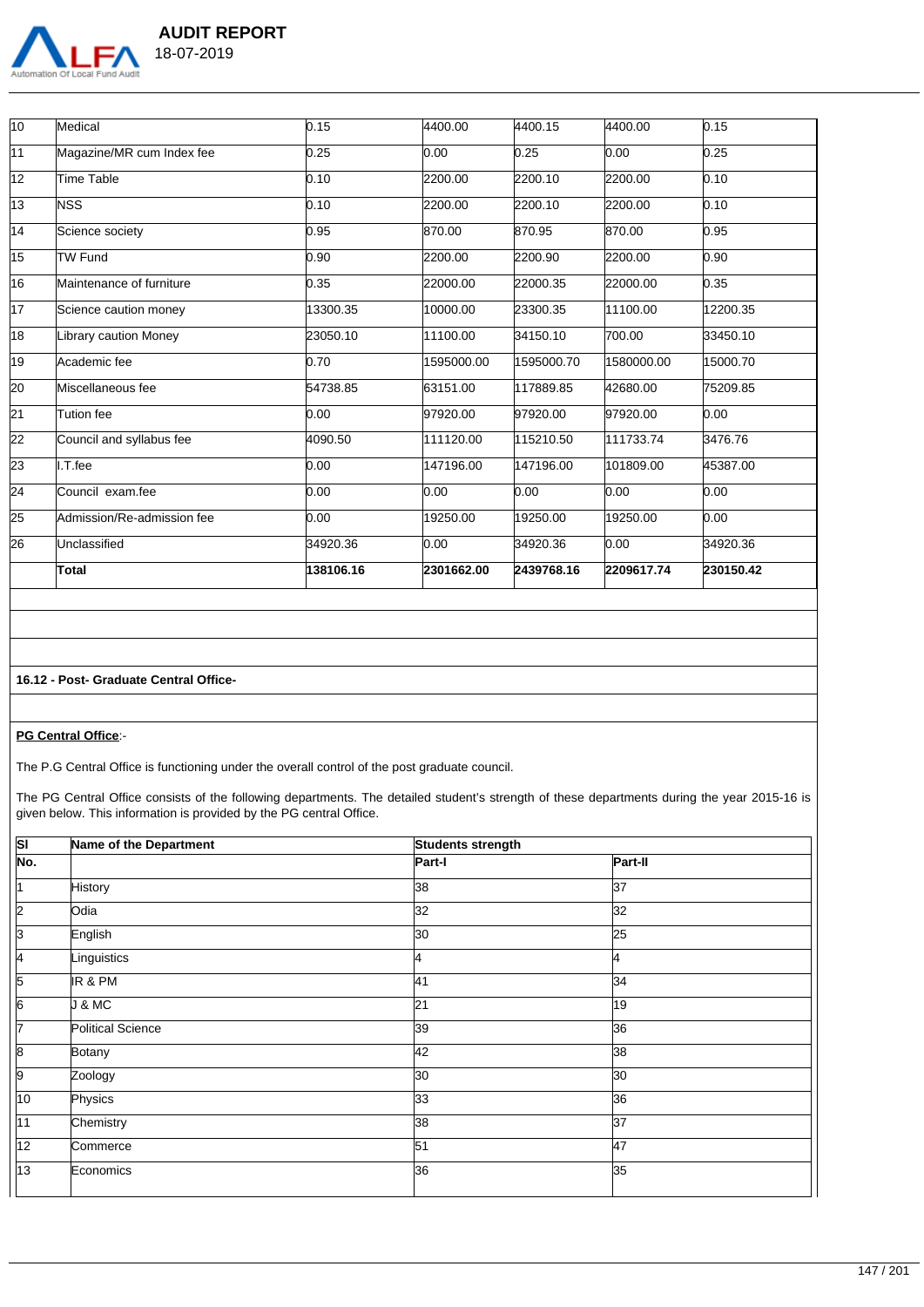

 Medical 0.15 4400.00 4400.15 4400.00 0.15 Magazine/MR cum Index fee 0.25 0.00 0.25 0.00 0.25 Time Table 0.10 2200.00 2200.10 2200.00 0.10 NSS 0.10 2200.00 2200.10 2200.00 0.10 Science society 0.95 870.00 870.95 870.00 0.95 TW Fund 0.90 2200.00 2200.90 2200.00 0.90 Maintenance of furniture 0.35 22000.00 22000.35 22000.00 0.35 Science caution money 13300.35 10000.00 23300.35 11100.00 12200.35 Library caution Money 23050.10 11100.00 34150.10 700.00 33450.10 Academic fee 0.70 1595000.00 1595000.70 1580000.00 15000.70 Miscellaneous fee 54738.85 63151.00 117889.85 42680.00 75209.85 Tution fee 0.00 97920.00 97920.00 97920.00 0.00 Council and syllabus fee 4090.50 111120.00 115210.50 111733.74 3476.76 I.T.fee 0.00 147196.00 147196.00 101809.00 45387.00 Council exam.fee 0.00 0.00 0.00 0.00 0.00 Admission/Re-admission fee 0.00 19250.00 19250.00 19250.00 0.00 Unclassified 34920.36 0.00 34920.36 0.00 34920.36 **Total 138106.16 2301662.00 2439768.16 2209617.74 230150.42**

#### **16.12 - Post- Graduate Central Office-**

#### **PG Central Office**:-

The P.G Central Office is functioning under the overall control of the post graduate council.

The PG Central Office consists of the following departments. The detailed student's strength of these departments during the year 2015-16 is given below. This information is provided by the PG central Office.

| $\overline{\mathsf{SI}}$ | Name of the Department | Students strength |         |
|--------------------------|------------------------|-------------------|---------|
| No.                      |                        | Part-I            | Part-II |
| $\vert$ 1                | History                | 38                | 37      |
| $\overline{2}$           | Odia                   | 32                | 32      |
| 3                        | English                | 30 <sub>o</sub>   | 25      |
| 4                        | Linguistics            | l4                | l4      |
| $\overline{5}$           | IR & PM                | 41                | 34      |
| $\overline{6}$           | J & MC                 | 21                | 19      |
| 7                        | Political Science      | 39                | 36      |
| $\overline{8}$           | Botany                 | 42                | 38      |
| 9                        | Zoology                | 30                | 30      |
| $\overline{10}$          | Physics                | 33                | 36      |
| $\overline{11}$          | Chemistry              | 38                | 37      |
| 12                       | Commerce               | 51                | 47      |
| 13                       | Economics              | 36                | 35      |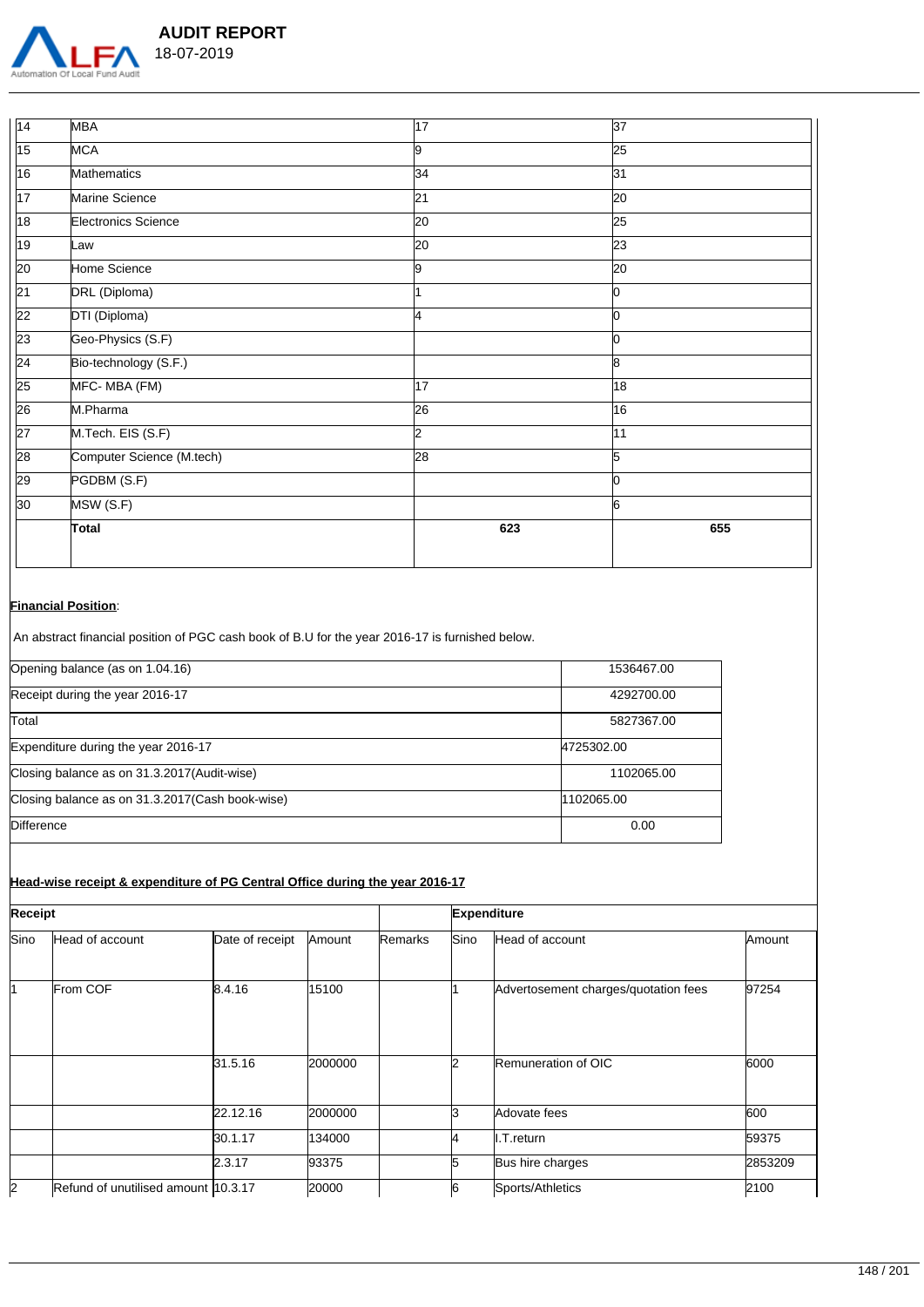

| $\overline{14}$ | <b>MBA</b>                | l17             | 37  |
|-----------------|---------------------------|-----------------|-----|
| 15              | <b>MCA</b>                | 19              | 25  |
| 16              | Mathematics               | 34              | 31  |
| 17              | Marine Science            | 21              | 20  |
| $\overline{18}$ | Electronics Science       | $\overline{20}$ | 25  |
| 19              | Law                       | 20              | 23  |
| $\overline{20}$ | Home Science              | 9               | 20  |
| $\overline{21}$ | DRL (Diploma)             |                 | Ю   |
| $\overline{22}$ | DTI (Diploma)             | l4              | In  |
| 23              | Geo-Physics (S.F)         |                 | Ю   |
| $\overline{24}$ | Bio-technology (S.F.)     |                 | 18  |
| 25              | MFC-MBA (FM)              | 17              | 18  |
| $\overline{26}$ | M.Pharma                  | 26              | 16  |
| $\overline{27}$ | M.Tech. EIS (S.F)         | I2              | 11  |
| $\overline{28}$ | Computer Science (M.tech) | 28              | 5   |
| $\overline{29}$ | PGDBM (S.F)               |                 | ln  |
| 30              | MSW (S.F)                 |                 | 16  |
|                 | Total                     | 623             | 655 |
|                 |                           |                 |     |

# **Financial Position**:

An abstract financial position of PGC cash book of B.U for the year 2016-17 is furnished below.

| Opening balance (as on 1.04.16)                  | 1536467.00 |
|--------------------------------------------------|------------|
| Receipt during the year 2016-17                  | 4292700.00 |
| Total                                            | 5827367.00 |
| Expenditure during the year 2016-17              | 4725302.00 |
| Closing balance as on 31.3.2017 (Audit-wise)     | 1102065.00 |
| Closing balance as on 31.3.2017 (Cash book-wise) | 1102065.00 |
| Difference                                       | 0.00       |

# **Head-wise receipt & expenditure of PG Central Office during the year 2016-17**

| Receipt        |                                     |                 |         |                | Expenditure |                                      |         |  |
|----------------|-------------------------------------|-----------------|---------|----------------|-------------|--------------------------------------|---------|--|
| Sino           | Head of account                     | Date of receipt | Amount  | <b>Remarks</b> | Sino        | Head of account                      | Amount  |  |
| 11.            | From COF                            | 8.4.16          | 15100   |                |             | Advertosement charges/quotation fees | 97254   |  |
|                |                                     | 31.5.16         | 2000000 |                |             | Remuneration of OIC                  | 6000    |  |
|                |                                     | 22.12.16        | 2000000 |                |             | Adovate fees                         | 600     |  |
|                |                                     | 30.1.17         | 134000  |                |             | II.T.return                          | 59375   |  |
|                |                                     | 2.3.17          | 93375   |                |             | Bus hire charges                     | 2853209 |  |
| $\overline{2}$ | Refund of unutilised amount 10.3.17 |                 | 20000   |                |             | Sports/Athletics                     | 2100    |  |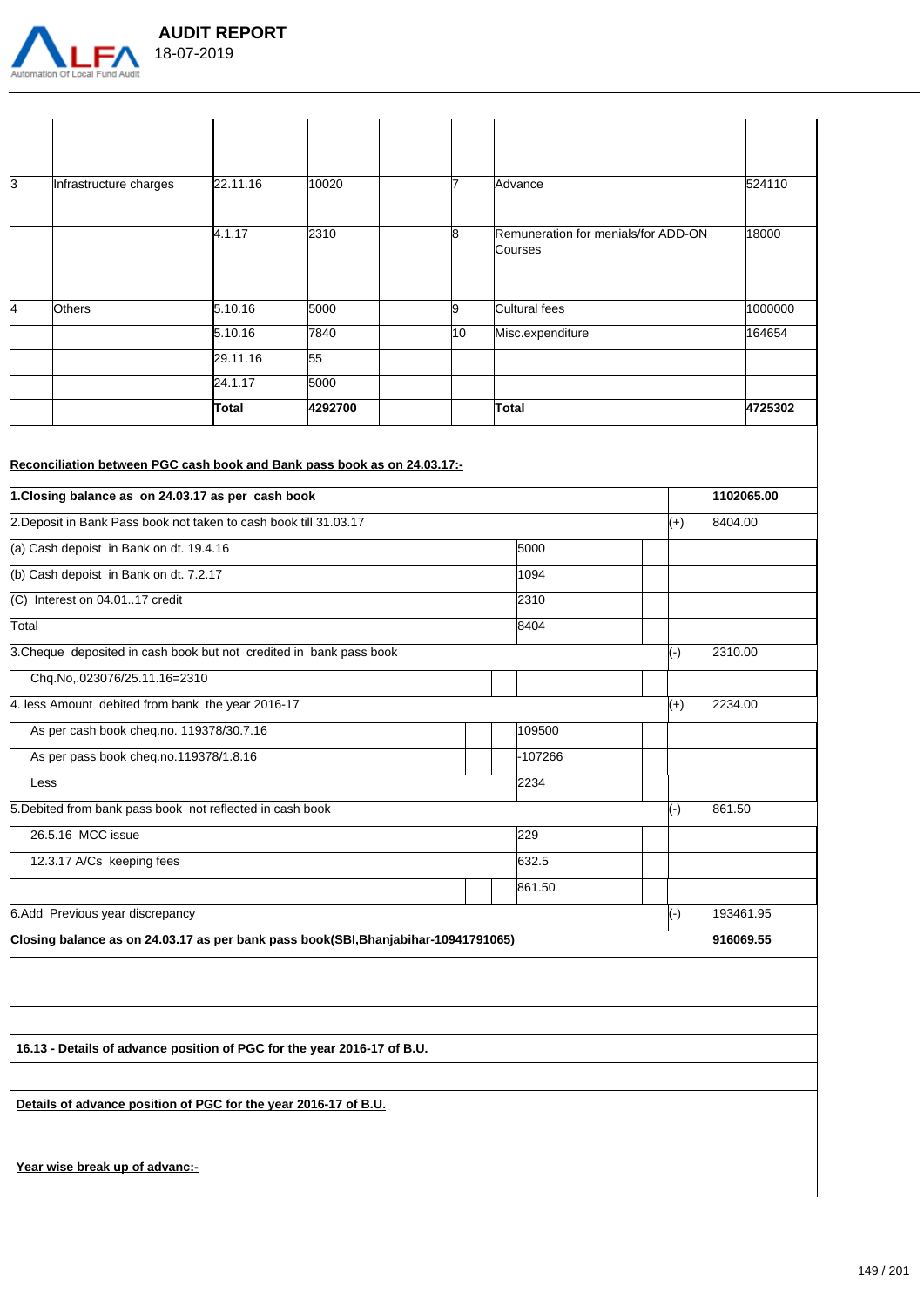

| 22.11.16<br>$\sqrt{4.1.17}$<br>5.10.16<br>5.10.16<br>29.11.16<br>24.1.17<br>Total<br>1. Closing balance as on 24.03.17 as per cash book<br>(a) Cash depoist in Bank on dt. 19.4.16<br>(b) Cash depoist in Bank on dt. 7.2.17<br>Chq.No,.023076/25.11.16=2310<br>4. less Amount debited from bank the year 2016-17 | 10020<br>2310<br>5000<br>7840<br>55<br>5000<br>4292700<br>Reconciliation between PGC cash book and Bank pass book as on 24.03.17:-<br>2. Deposit in Bank Pass book not taken to cash book till 31.03.17<br>3. Cheque deposited in cash book but not credited in bank pass book | 7<br>l8<br>ļ9<br>10                                             | Advance<br>Remuneration for menials/for ADD-ON<br>Courses<br>Cultural fees<br>Misc.expenditure<br>Total<br>5000<br>1094<br>2310<br>8404 |  | $(+)$<br>$(\cdot)$ | 524110<br>18000<br>1000000<br>164654<br>4725302<br>1102065.00<br>8404.00<br>2310.00 |
|-------------------------------------------------------------------------------------------------------------------------------------------------------------------------------------------------------------------------------------------------------------------------------------------------------------------|--------------------------------------------------------------------------------------------------------------------------------------------------------------------------------------------------------------------------------------------------------------------------------|-----------------------------------------------------------------|-----------------------------------------------------------------------------------------------------------------------------------------|--|--------------------|-------------------------------------------------------------------------------------|
|                                                                                                                                                                                                                                                                                                                   |                                                                                                                                                                                                                                                                                |                                                                 |                                                                                                                                         |  |                    |                                                                                     |
|                                                                                                                                                                                                                                                                                                                   |                                                                                                                                                                                                                                                                                |                                                                 |                                                                                                                                         |  |                    |                                                                                     |
|                                                                                                                                                                                                                                                                                                                   |                                                                                                                                                                                                                                                                                |                                                                 |                                                                                                                                         |  |                    |                                                                                     |
|                                                                                                                                                                                                                                                                                                                   |                                                                                                                                                                                                                                                                                |                                                                 |                                                                                                                                         |  |                    |                                                                                     |
|                                                                                                                                                                                                                                                                                                                   |                                                                                                                                                                                                                                                                                |                                                                 |                                                                                                                                         |  |                    |                                                                                     |
|                                                                                                                                                                                                                                                                                                                   |                                                                                                                                                                                                                                                                                |                                                                 |                                                                                                                                         |  |                    |                                                                                     |
|                                                                                                                                                                                                                                                                                                                   |                                                                                                                                                                                                                                                                                |                                                                 |                                                                                                                                         |  |                    |                                                                                     |
|                                                                                                                                                                                                                                                                                                                   |                                                                                                                                                                                                                                                                                |                                                                 |                                                                                                                                         |  |                    |                                                                                     |
|                                                                                                                                                                                                                                                                                                                   |                                                                                                                                                                                                                                                                                |                                                                 |                                                                                                                                         |  |                    |                                                                                     |
|                                                                                                                                                                                                                                                                                                                   |                                                                                                                                                                                                                                                                                |                                                                 |                                                                                                                                         |  |                    |                                                                                     |
|                                                                                                                                                                                                                                                                                                                   |                                                                                                                                                                                                                                                                                |                                                                 |                                                                                                                                         |  |                    |                                                                                     |
|                                                                                                                                                                                                                                                                                                                   |                                                                                                                                                                                                                                                                                |                                                                 |                                                                                                                                         |  |                    |                                                                                     |
|                                                                                                                                                                                                                                                                                                                   |                                                                                                                                                                                                                                                                                |                                                                 |                                                                                                                                         |  |                    |                                                                                     |
|                                                                                                                                                                                                                                                                                                                   |                                                                                                                                                                                                                                                                                |                                                                 |                                                                                                                                         |  |                    |                                                                                     |
|                                                                                                                                                                                                                                                                                                                   |                                                                                                                                                                                                                                                                                |                                                                 |                                                                                                                                         |  |                    |                                                                                     |
|                                                                                                                                                                                                                                                                                                                   |                                                                                                                                                                                                                                                                                |                                                                 |                                                                                                                                         |  |                    |                                                                                     |
|                                                                                                                                                                                                                                                                                                                   |                                                                                                                                                                                                                                                                                |                                                                 |                                                                                                                                         |  |                    |                                                                                     |
|                                                                                                                                                                                                                                                                                                                   |                                                                                                                                                                                                                                                                                |                                                                 |                                                                                                                                         |  | $(+)$              | 2234.00                                                                             |
| As per cash book cheq.no. 119378/30.7.16                                                                                                                                                                                                                                                                          |                                                                                                                                                                                                                                                                                |                                                                 | 109500                                                                                                                                  |  |                    |                                                                                     |
| As per pass book cheq.no.119378/1.8.16                                                                                                                                                                                                                                                                            |                                                                                                                                                                                                                                                                                |                                                                 | -107266                                                                                                                                 |  |                    |                                                                                     |
|                                                                                                                                                                                                                                                                                                                   |                                                                                                                                                                                                                                                                                |                                                                 | 2234                                                                                                                                    |  |                    |                                                                                     |
| 5. Debited from bank pass book not reflected in cash book                                                                                                                                                                                                                                                         |                                                                                                                                                                                                                                                                                |                                                                 |                                                                                                                                         |  | $(\cdot)$          | 861.50                                                                              |
|                                                                                                                                                                                                                                                                                                                   |                                                                                                                                                                                                                                                                                |                                                                 | 229                                                                                                                                     |  |                    |                                                                                     |
|                                                                                                                                                                                                                                                                                                                   |                                                                                                                                                                                                                                                                                |                                                                 | 632.5                                                                                                                                   |  |                    |                                                                                     |
|                                                                                                                                                                                                                                                                                                                   |                                                                                                                                                                                                                                                                                |                                                                 | 861.50                                                                                                                                  |  |                    |                                                                                     |
| 6.Add Previous year discrepancy<br>$(\cdot)$                                                                                                                                                                                                                                                                      |                                                                                                                                                                                                                                                                                |                                                                 |                                                                                                                                         |  |                    |                                                                                     |
| Closing balance as on 24.03.17 as per bank pass book(SBI,Bhanjabihar-10941791065)<br>916069.55                                                                                                                                                                                                                    |                                                                                                                                                                                                                                                                                |                                                                 |                                                                                                                                         |  |                    |                                                                                     |
|                                                                                                                                                                                                                                                                                                                   |                                                                                                                                                                                                                                                                                |                                                                 |                                                                                                                                         |  |                    |                                                                                     |
|                                                                                                                                                                                                                                                                                                                   |                                                                                                                                                                                                                                                                                |                                                                 |                                                                                                                                         |  |                    |                                                                                     |
|                                                                                                                                                                                                                                                                                                                   |                                                                                                                                                                                                                                                                                |                                                                 |                                                                                                                                         |  |                    |                                                                                     |
|                                                                                                                                                                                                                                                                                                                   |                                                                                                                                                                                                                                                                                |                                                                 |                                                                                                                                         |  |                    |                                                                                     |
|                                                                                                                                                                                                                                                                                                                   |                                                                                                                                                                                                                                                                                |                                                                 |                                                                                                                                         |  |                    |                                                                                     |
|                                                                                                                                                                                                                                                                                                                   |                                                                                                                                                                                                                                                                                |                                                                 |                                                                                                                                         |  |                    |                                                                                     |
|                                                                                                                                                                                                                                                                                                                   |                                                                                                                                                                                                                                                                                |                                                                 |                                                                                                                                         |  |                    |                                                                                     |
|                                                                                                                                                                                                                                                                                                                   |                                                                                                                                                                                                                                                                                |                                                                 |                                                                                                                                         |  |                    |                                                                                     |
|                                                                                                                                                                                                                                                                                                                   |                                                                                                                                                                                                                                                                                |                                                                 |                                                                                                                                         |  |                    |                                                                                     |
|                                                                                                                                                                                                                                                                                                                   |                                                                                                                                                                                                                                                                                | Details of advance position of PGC for the year 2016-17 of B.U. | 16.13 - Details of advance position of PGC for the year 2016-17 of B.U.                                                                 |  |                    |                                                                                     |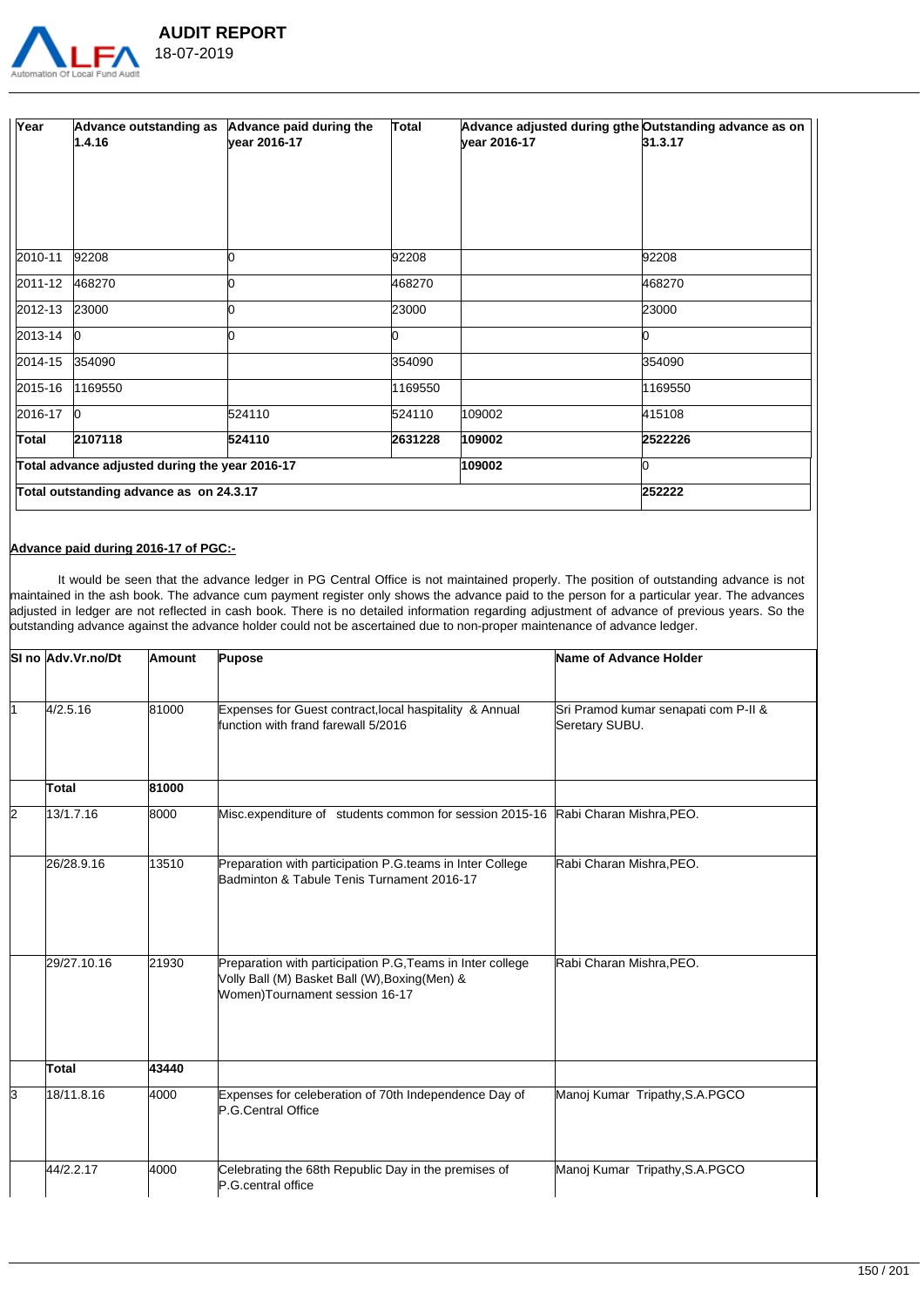

| Year    | Advance outstanding as<br>1.4.16               | Advance paid during the<br>vear 2016-17 | Total   | Advance adjusted during gthe Outstanding advance as on<br>vear 2016-17 | 31.3.17 |
|---------|------------------------------------------------|-----------------------------------------|---------|------------------------------------------------------------------------|---------|
| 2010-11 | 92208                                          |                                         | 92208   |                                                                        | 92208   |
| 2011-12 | 468270                                         |                                         | 468270  |                                                                        | 468270  |
| 2012-13 | 23000                                          |                                         | 23000   |                                                                        | 23000   |
| 2013-14 | $\mathsf{I}^{\mathsf{O}}$                      |                                         | ი       |                                                                        |         |
| 2014-15 | 354090                                         |                                         | 354090  |                                                                        | 354090  |
| 2015-16 | 1169550                                        |                                         | 1169550 |                                                                        | 1169550 |
| 2016-17 | $\mathbf{0}$                                   | 524110                                  | 524110  | 109002                                                                 | 415108  |
| Total   | 2107118                                        | 524110                                  | 2631228 | 109002                                                                 | 2522226 |
|         | Total advance adjusted during the year 2016-17 |                                         |         | 109002                                                                 |         |
|         | Total outstanding advance as on 24.3.17        |                                         | 252222  |                                                                        |         |

#### **Advance paid during 2016-17 of PGC:-**

 It would be seen that the advance ledger in PG Central Office is not maintained properly. The position of outstanding advance is not maintained in the ash book. The advance cum payment register only shows the advance paid to the person for a particular year. The advances adjusted in ledger are not reflected in cash book. There is no detailed information regarding adjustment of advance of previous years. So the outstanding advance against the advance holder could not be ascertained due to non-proper maintenance of advance ledger.

|    | <b>SI no Adv.Vr.no/Dt</b> | Amount | Pupose                                                                                                                                         | Name of Advance Holder                                 |
|----|---------------------------|--------|------------------------------------------------------------------------------------------------------------------------------------------------|--------------------------------------------------------|
| I1 | 4/2.5.16                  | 81000  | Expenses for Guest contract, local haspitality & Annual<br>function with frand farewall 5/2016                                                 | Sri Pramod kumar senapati com P-II &<br>Seretary SUBU. |
|    | Total                     | 81000  |                                                                                                                                                |                                                        |
| l2 | 13/1.7.16                 | 8000   | Misc.expenditure of students common for session 2015-16 Rabi Charan Mishra, PEO.                                                               |                                                        |
|    | 26/28.9.16                | 13510  | Preparation with participation P.G.teams in Inter College<br>Badminton & Tabule Tenis Turnament 2016-17                                        | Rabi Charan Mishra, PEO.                               |
|    | 29/27.10.16               | 21930  | Preparation with participation P.G, Teams in Inter college<br>Volly Ball (M) Basket Ball (W), Boxing (Men) &<br>Women)Tournament session 16-17 | Rabi Charan Mishra, PEO.                               |
|    | Total                     | 43440  |                                                                                                                                                |                                                        |
| lЗ | 18/11.8.16                | 4000   | Expenses for celeberation of 70th Independence Day of<br>P.G.Central Office                                                                    | Manoj Kumar Tripathy, S.A. PGCO                        |
|    | 44/2.2.17                 | 4000   | Celebrating the 68th Republic Day in the premises of<br>P.G.central office                                                                     | Manoj Kumar Tripathy, S.A.PGCO                         |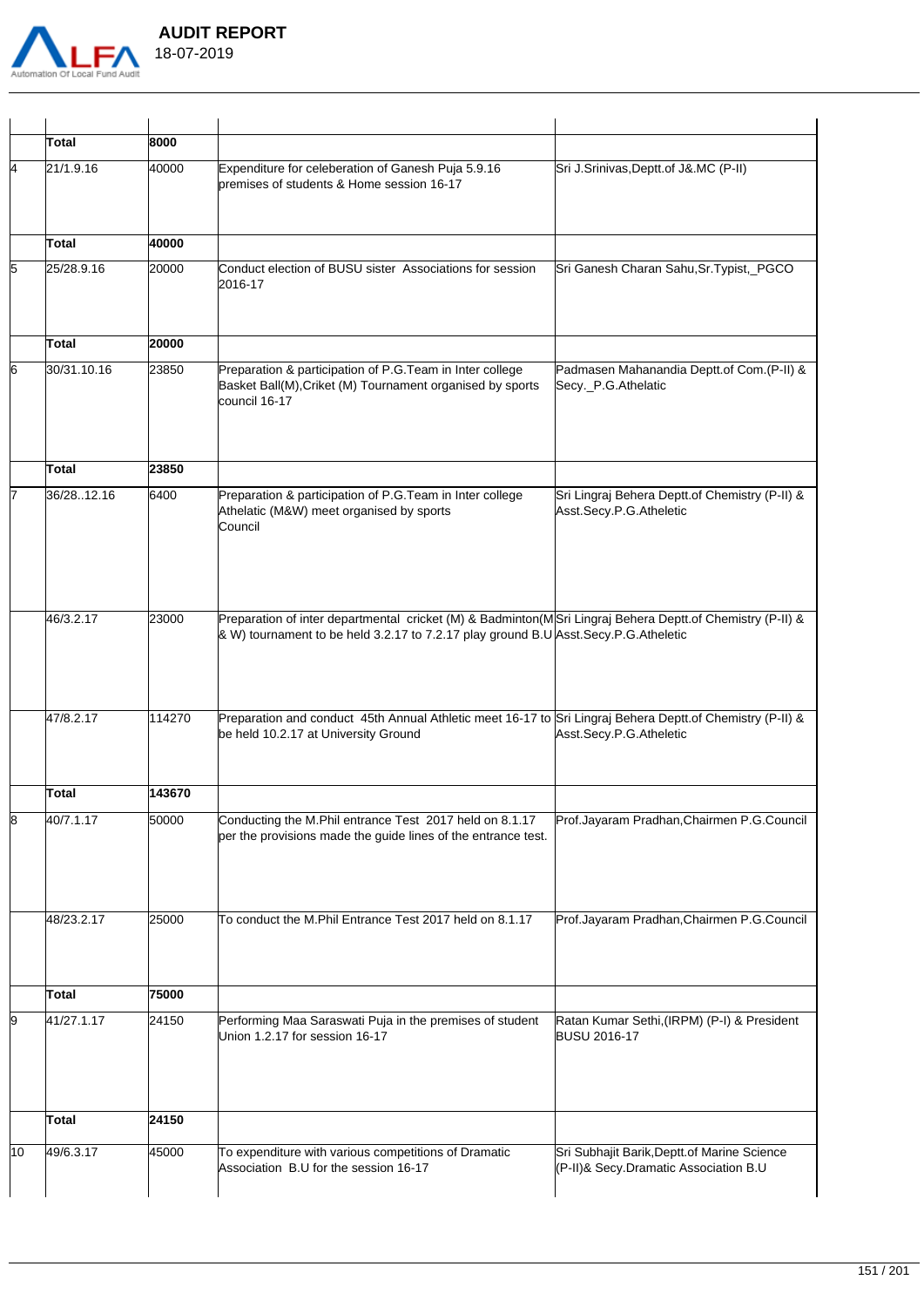

|    | Total        | 8000   |                                                                                                                                                                                                  |                                                                                       |
|----|--------------|--------|--------------------------------------------------------------------------------------------------------------------------------------------------------------------------------------------------|---------------------------------------------------------------------------------------|
| 4  | 21/1.9.16    | 40000  | Expenditure for celeberation of Ganesh Puja 5.9.16<br>premises of students & Home session 16-17                                                                                                  | Sri J.Srinivas, Deptt.of J&.MC (P-II)                                                 |
|    | Total        | 40000  |                                                                                                                                                                                                  |                                                                                       |
| 5  | 25/28.9.16   | 20000  | Conduct election of BUSU sister Associations for session<br>2016-17                                                                                                                              | Sri Ganesh Charan Sahu, Sr. Typist, PGCO                                              |
|    | Total        | 20000  |                                                                                                                                                                                                  |                                                                                       |
| 6  | 30/31.10.16  | 23850  | Preparation & participation of P.G.Team in Inter college<br>Basket Ball(M), Criket (M) Tournament organised by sports<br>council 16-17                                                           | Padmasen Mahanandia Deptt.of Com.(P-II) &<br>Secy._P.G.Athelatic                      |
|    | Total        | 23850  |                                                                                                                                                                                                  |                                                                                       |
|    | 36/2812.16   | 6400   | Preparation & participation of P.G. Team in Inter college<br>Athelatic (M&W) meet organised by sports<br>Council                                                                                 | Sri Lingraj Behera Deptt.of Chemistry (P-II) &<br>Asst.Secy.P.G.Atheletic             |
|    | 46/3.2.17    | 23000  | Preparation of inter departmental cricket (M) & Badminton(MSri Lingraj Behera Deptt.of Chemistry (P-II) &<br>& W) tournament to be held 3.2.17 to 7.2.17 play ground B.U Asst.Secy.P.G.Atheletic |                                                                                       |
|    | 47/8.2.17    | 114270 | Preparation and conduct 45th Annual Athletic meet 16-17 to Sri Lingraj Behera Deptt.of Chemistry (P-II) &<br>be held 10.2.17 at University Ground                                                | Asst.Secy.P.G.Atheletic                                                               |
|    | Total        | 143670 |                                                                                                                                                                                                  |                                                                                       |
| 8  | 40/7.1.17    | 50000  | Conducting the M.Phil entrance Test 2017 held on 8.1.17<br>per the provisions made the guide lines of the entrance test.                                                                         | Prof.Jayaram Pradhan, Chairmen P.G.Council                                            |
|    | 48/23.2.17   | 25000  | To conduct the M.Phil Entrance Test 2017 held on 8.1.17                                                                                                                                          | Prof.Jayaram Pradhan, Chairmen P.G.Council                                            |
|    | <b>Total</b> | 75000  |                                                                                                                                                                                                  |                                                                                       |
| 9  | 41/27.1.17   | 24150  | Performing Maa Saraswati Puja in the premises of student<br>Union 1.2.17 for session 16-17                                                                                                       | Ratan Kumar Sethi, (IRPM) (P-I) & President<br><b>BUSU 2016-17</b>                    |
|    | Total        | 24150  |                                                                                                                                                                                                  |                                                                                       |
| 10 | 49/6.3.17    | 45000  | To expenditure with various competitions of Dramatic<br>Association B.U for the session 16-17                                                                                                    | Sri Subhajit Barik, Deptt. of Marine Science<br>(P-II)& Secy.Dramatic Association B.U |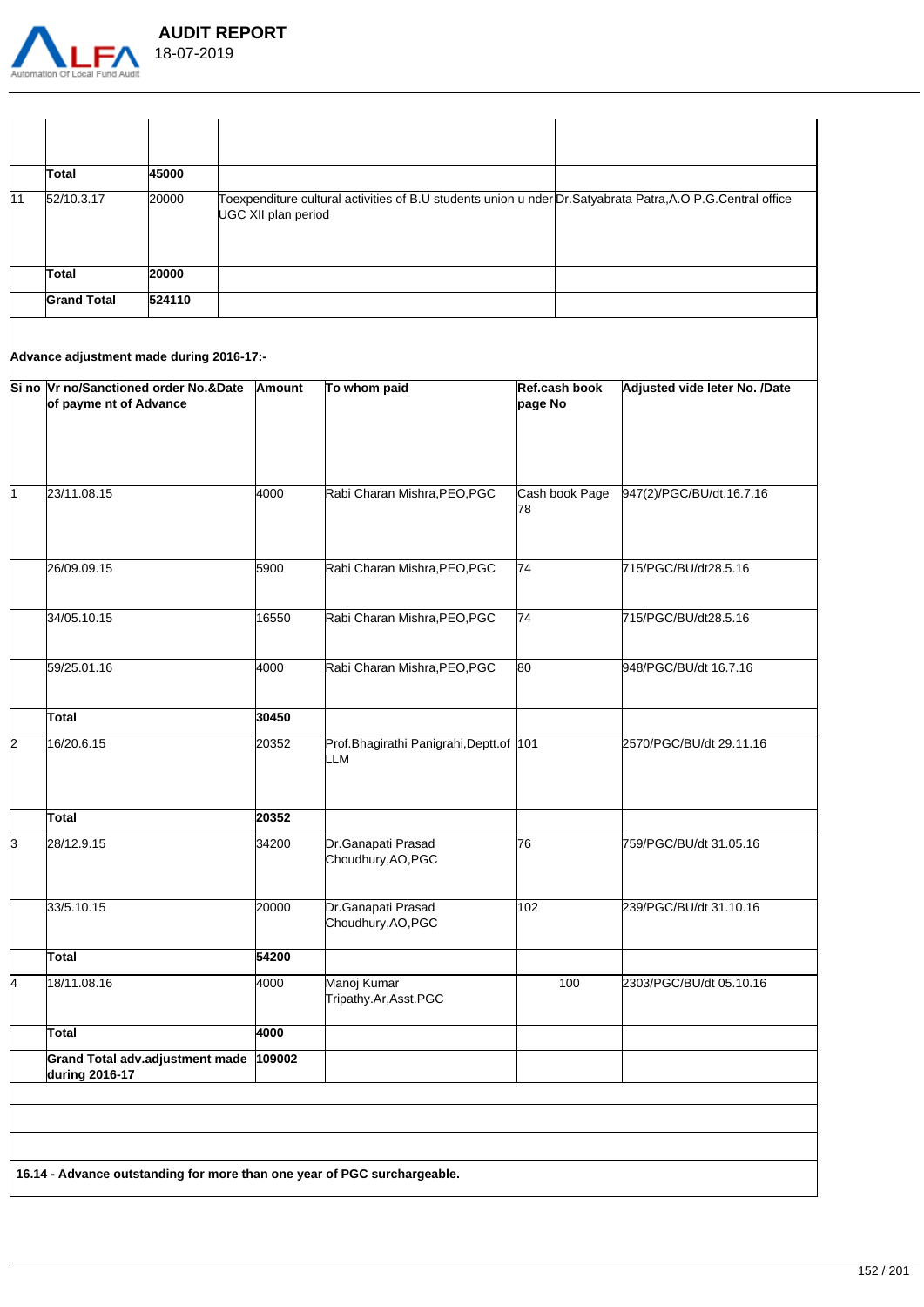

|            | Total              | 45000  |                                                                                                                                     |  |
|------------|--------------------|--------|-------------------------------------------------------------------------------------------------------------------------------------|--|
| <b>111</b> | 52/10.3.17         | 20000  | Toexpenditure cultural activities of B.U students union u nder Dr. Satyabrata Patra, A.O P.G. Central office<br>UGC XII plan period |  |
|            | Total              | 20000  |                                                                                                                                     |  |
|            | <b>Grand Total</b> | 524110 |                                                                                                                                     |  |

# **Advance adjustment made during 2016-17:-**

|   | Si no Vr no/Sanctioned order No.&Date<br>of payme nt of Advance          | Amount | To whom paid                                  | Ref.cash book<br>page No | Adjusted vide leter No. /Date |
|---|--------------------------------------------------------------------------|--------|-----------------------------------------------|--------------------------|-------------------------------|
|   | 23/11.08.15                                                              | 4000   | Rabi Charan Mishra, PEO, PGC                  | Cash book Page<br>78     | 947(2)/PGC/BU/dt.16.7.16      |
|   | 26/09.09.15                                                              | 5900   | Rabi Charan Mishra, PEO, PGC                  | $\overline{74}$          | 715/PGC/BU/dt28.5.16          |
|   | 34/05.10.15                                                              | 16550  | Rabi Charan Mishra, PEO, PGC                  | 74                       | 715/PGC/BU/dt28.5.16          |
|   | 59/25.01.16                                                              | 4000   | Rabi Charan Mishra, PEO, PGC                  | 80                       | 948/PGC/BU/dt 16.7.16         |
|   | Total                                                                    | 30450  |                                               |                          |                               |
| 2 | 16/20.6.15                                                               | 20352  | Prof.Bhagirathi Panigrahi,Deptt.of 101<br>LLM |                          | 2570/PGC/BU/dt 29.11.16       |
|   | Total                                                                    | 20352  |                                               |                          |                               |
| ß | 28/12.9.15                                                               | 34200  | Dr.Ganapati Prasad<br>Choudhury, AO, PGC      | 76                       | 759/PGC/BU/dt 31.05.16        |
|   | 33/5.10.15                                                               | 20000  | Dr.Ganapati Prasad<br>Choudhury, AO, PGC      | 102                      | 239/PGC/BU/dt 31.10.16        |
|   | Total                                                                    | 54200  |                                               |                          |                               |
| 4 | 18/11.08.16                                                              | 4000   | Manoj Kumar<br>Tripathy.Ar,Asst.PGC           | 100                      | 2303/PGC/BU/dt 05.10.16       |
|   | Total                                                                    | 4000   |                                               |                          |                               |
|   | <b>Grand Total adv.adjustment made</b><br>during 2016-17                 | 109002 |                                               |                          |                               |
|   |                                                                          |        |                                               |                          |                               |
|   |                                                                          |        |                                               |                          |                               |
|   | 16.14 - Advance outstanding for more than one year of PGC surchargeable. |        |                                               |                          |                               |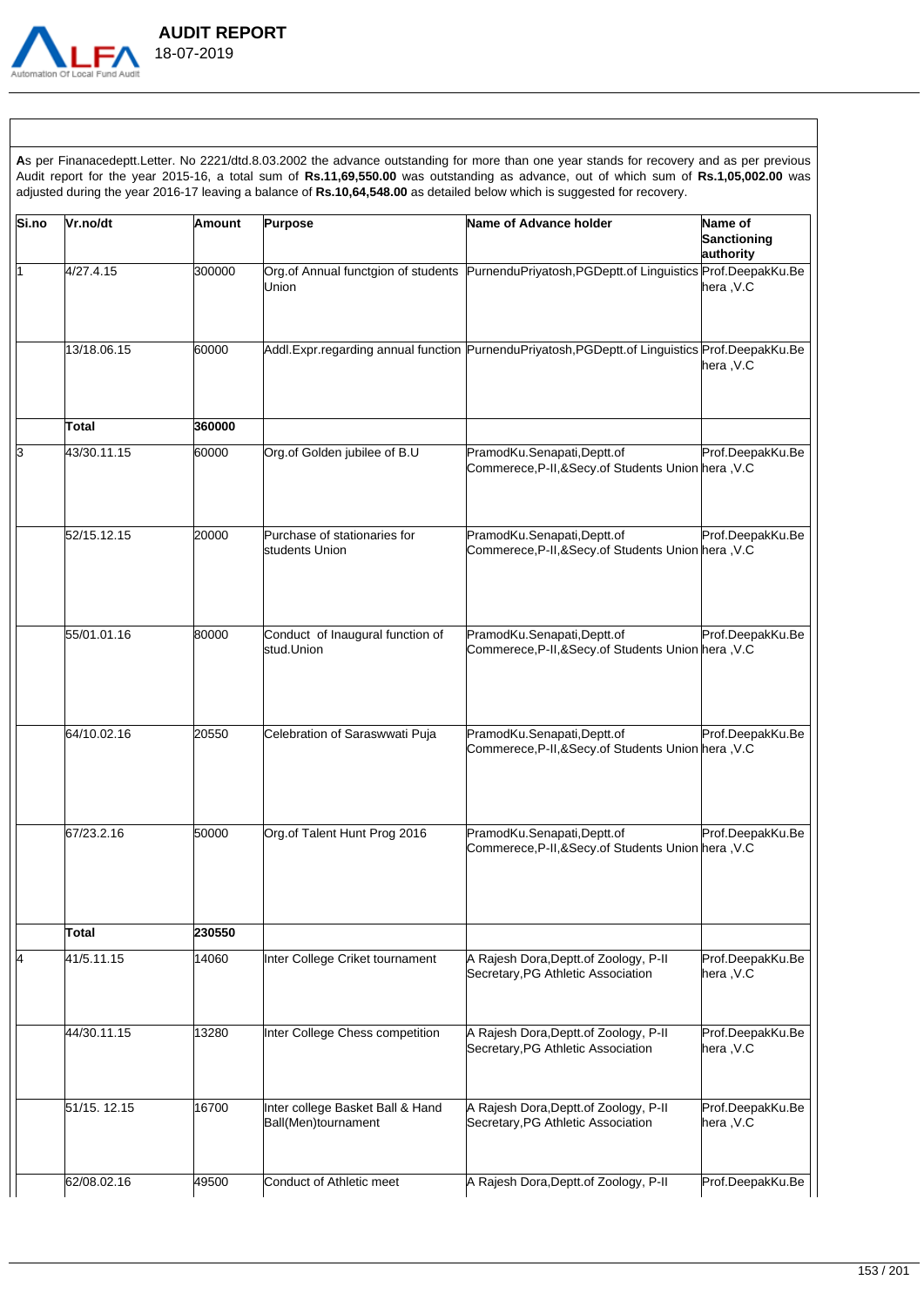

 **AUDIT REPORT** 

18-07-2019

**A**s per Finanacedeptt.Letter. No 2221/dtd.8.03.2002 the advance outstanding for more than one year stands for recovery and as per previous Audit report for the year 2015-16, a total sum of **Rs.11,69,550.00** was outstanding as advance, out of which sum of **Rs.1,05,002.00** was adjusted during the year 2016-17 leaving a balance of **Rs.10,64,548.00** as detailed below which is suggested for recovery.

| Si.no | Vr.no/dt    | <b>Amount</b> | <b>Purpose</b>                                          | Name of Advance holder                                                                         | Name of<br>Sanctioning<br>authority |
|-------|-------------|---------------|---------------------------------------------------------|------------------------------------------------------------------------------------------------|-------------------------------------|
|       | 4/27.4.15   | 300000        | Union                                                   | Org.of Annual functgion of students PurnenduPriyatosh, PGDeptt.of Linguistics Prof.DeepakKu.Be | hera, V.C                           |
|       | 13/18.06.15 | 60000         |                                                         | Addl.Expr.regarding annual function PurnenduPriyatosh,PGDeptt.of Linguistics Prof.DeepakKu.Be  | hera, V.C                           |
|       | Total       | 360000        |                                                         |                                                                                                |                                     |
| 3     | 43/30.11.15 | 60000         | Org.of Golden jubilee of B.U                            | PramodKu.Senapati,Deptt.of<br>Commerece, P-II, & Secy.of Students Union hera, V.C              | Prof.DeepakKu.Be                    |
|       | 52/15.12.15 | 20000         | Purchase of stationaries for<br>students Union          | PramodKu.Senapati,Deptt.of<br>Commerece, P-II, & Secy.of Students Union hera, V.C              | Prof.DeepakKu.Be                    |
|       | 55/01.01.16 | 80000         | Conduct of Inaugural function of<br>stud.Union          | PramodKu.Senapati,Deptt.of<br>Commerece, P-II, & Secy.of Students Union hera, V.C              | Prof.DeepakKu.Be                    |
|       | 64/10.02.16 | 20550         | Celebration of Saraswwati Puja                          | PramodKu.Senapati,Deptt.of<br>Commerece, P-II, & Secy.of Students Union hera, V.C              | Prof.DeepakKu.Be                    |
|       | 67/23.2.16  | 50000         | Org. of Talent Hunt Prog 2016                           | PramodKu.Senapati,Deptt.of<br>Commerece, P-II, & Secy.of Students Union hera, V.C              | Prof.DeepakKu.Be                    |
|       | Total       | 230550        |                                                         |                                                                                                |                                     |
| 4     | 41/5.11.15  | 14060         | Inter College Criket tournament                         | A Rajesh Dora, Deptt. of Zoology, P-II<br>Secretary, PG Athletic Association                   | Prof.DeepakKu.Be<br>hera, V.C       |
|       | 44/30.11.15 | 13280         | Inter College Chess competition                         | A Rajesh Dora, Deptt. of Zoology, P-II<br>Secretary, PG Athletic Association                   | Prof.DeepakKu.Be<br>hera, V.C       |
|       | 51/15.12.15 | 16700         | Inter college Basket Ball & Hand<br>Ball(Men)tournament | A Rajesh Dora, Deptt. of Zoology, P-II<br>Secretary, PG Athletic Association                   | Prof.DeepakKu.Be<br>hera, V.C       |
|       | 62/08.02.16 | 49500         | Conduct of Athletic meet                                | A Rajesh Dora, Deptt. of Zoology, P-II                                                         | Prof.DeepakKu.Be                    |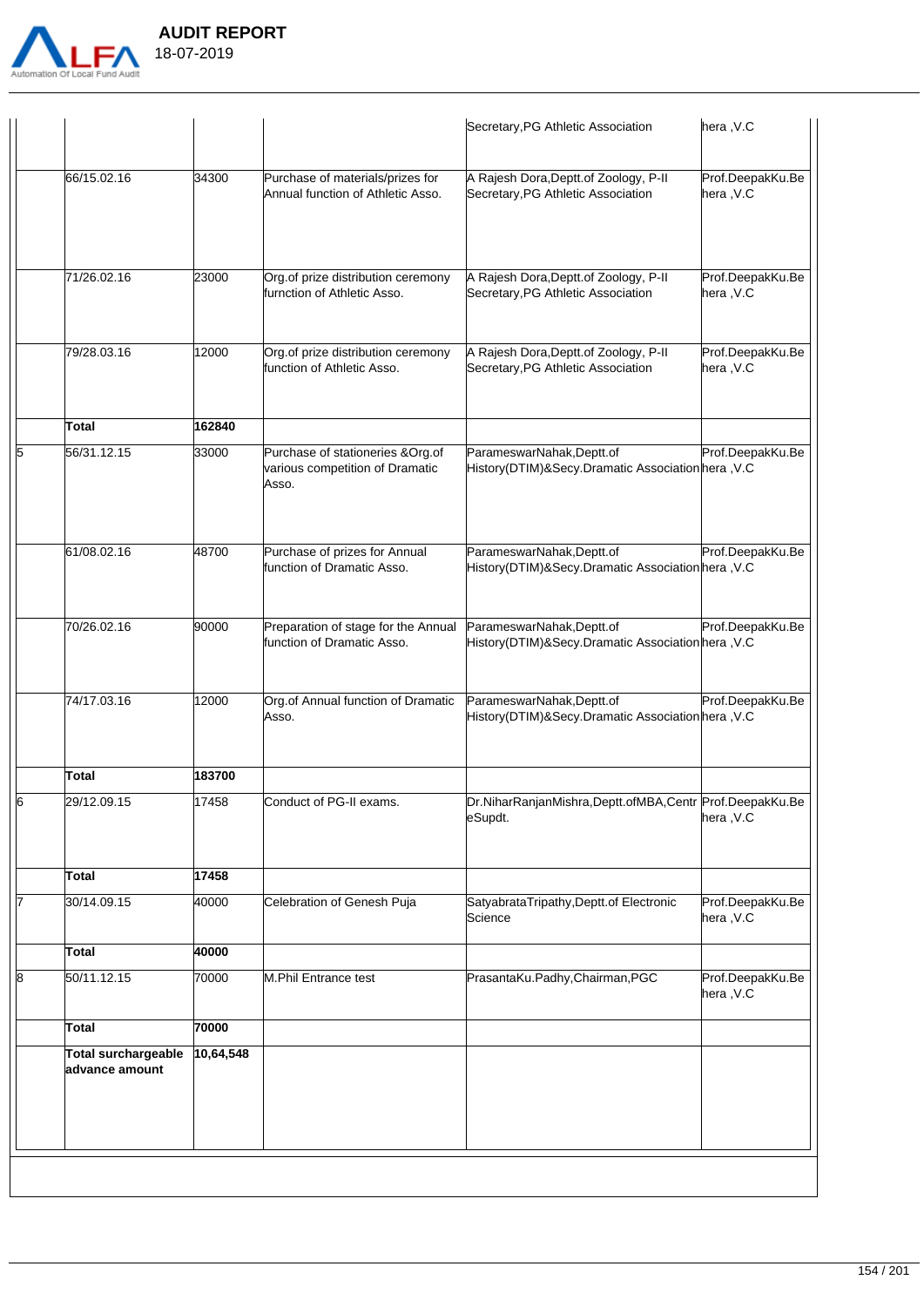

 **AUDIT REPORT**  18-07-2019

|                                              |             |                                                                               | Secretary, PG Athletic Association                                           | hera, V.C                                                                                                                                                                                                                                                                                                             |
|----------------------------------------------|-------------|-------------------------------------------------------------------------------|------------------------------------------------------------------------------|-----------------------------------------------------------------------------------------------------------------------------------------------------------------------------------------------------------------------------------------------------------------------------------------------------------------------|
| 66/15.02.16                                  | 34300       | Purchase of materials/prizes for<br>Annual function of Athletic Asso.         | A Rajesh Dora, Deptt.of Zoology, P-II<br>Secretary, PG Athletic Association  | Prof.DeepakKu.Be<br>hera, V.C                                                                                                                                                                                                                                                                                         |
| 71/26.02.16                                  | 23000       | Org. of prize distribution ceremony<br>furnction of Athletic Asso.            | A Rajesh Dora, Deptt. of Zoology, P-II<br>Secretary, PG Athletic Association | Prof.DeepakKu.Be<br>hera, V.C                                                                                                                                                                                                                                                                                         |
|                                              |             |                                                                               |                                                                              |                                                                                                                                                                                                                                                                                                                       |
|                                              |             | function of Athletic Asso.                                                    | Secretary, PG Athletic Association                                           | Prof.DeepakKu.Be<br>hera, V.C                                                                                                                                                                                                                                                                                         |
| Total                                        | 162840      |                                                                               |                                                                              |                                                                                                                                                                                                                                                                                                                       |
| 56/31.12.15                                  | 33000       | Purchase of stationeries & Org.of<br>various competition of Dramatic<br>Asso. | ParameswarNahak, Deptt.of                                                    | Prof.DeepakKu.Be                                                                                                                                                                                                                                                                                                      |
| 61/08.02.16                                  | 48700       | Purchase of prizes for Annual<br>function of Dramatic Asso.                   | ParameswarNahak, Deptt.of                                                    | Prof.DeepakKu.Be                                                                                                                                                                                                                                                                                                      |
| 70/26.02.16                                  | 90000       | Preparation of stage for the Annual<br>function of Dramatic Asso.             | ParameswarNahak, Deptt.of                                                    | Prof.DeepakKu.Be                                                                                                                                                                                                                                                                                                      |
| 74/17.03.16                                  | 12000       | Org. of Annual function of Dramatic<br>Asso.                                  | ParameswarNahak, Deptt.of                                                    | Prof.DeepakKu.Be                                                                                                                                                                                                                                                                                                      |
| Total                                        | 183700      |                                                                               |                                                                              |                                                                                                                                                                                                                                                                                                                       |
| 29/12.09.15                                  | 17458       | Conduct of PG-II exams.                                                       | eSupdt.                                                                      | hera, V.C                                                                                                                                                                                                                                                                                                             |
| Total                                        | 17458       |                                                                               |                                                                              |                                                                                                                                                                                                                                                                                                                       |
| 30/14.09.15                                  | 40000       | Celebration of Genesh Puja                                                    | SatyabrataTripathy,Deptt.of Electronic<br>Science                            | Prof.DeepakKu.Be<br>hera, V.C                                                                                                                                                                                                                                                                                         |
| Total                                        | 40000       |                                                                               |                                                                              |                                                                                                                                                                                                                                                                                                                       |
| 50/11.12.15                                  | 70000       | M.Phil Entrance test                                                          | PrasantaKu.Padhy,Chairman,PGC                                                | Prof.DeepakKu.Be<br>hera, V.C                                                                                                                                                                                                                                                                                         |
| Total                                        | 70000       |                                                                               |                                                                              |                                                                                                                                                                                                                                                                                                                       |
| <b>Total surchargeable</b><br>advance amount | 10,64,548   |                                                                               |                                                                              |                                                                                                                                                                                                                                                                                                                       |
|                                              | 79/28.03.16 | 12000                                                                         | Org. of prize distribution ceremony                                          | A Rajesh Dora, Deptt. of Zoology, P-II<br>History(DTIM)&Secy.Dramatic Association hera, V.C<br>History(DTIM)&Secy.Dramatic Association hera, V.C<br>History(DTIM)&Secy.Dramatic Association hera, V.C<br>History(DTIM)&Secy.Dramatic Association hera, V.C<br>Dr.NiharRanjanMishra,Deptt.ofMBA,Centr Prof.DeepakKu.Be |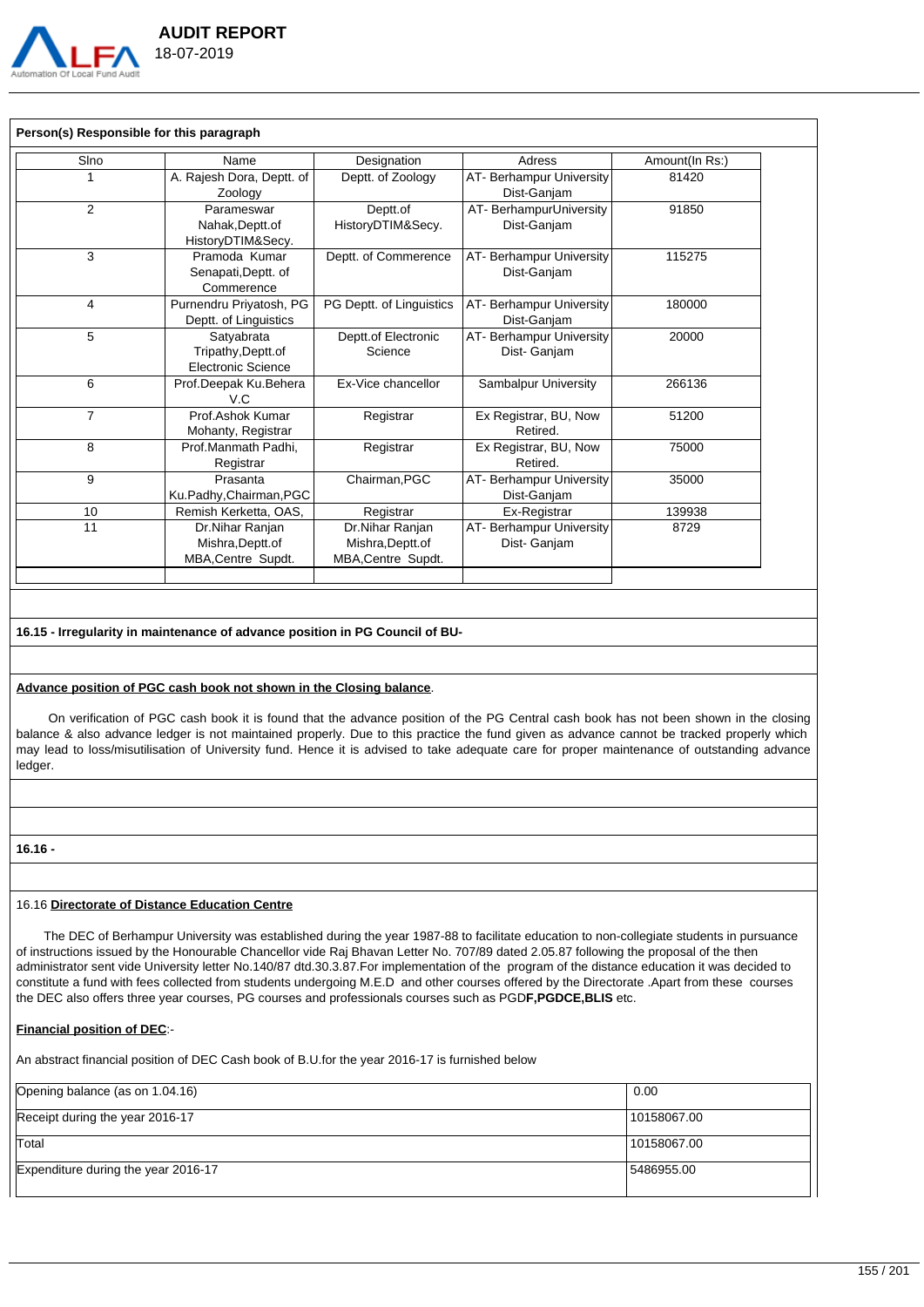

|                  | Person(s) Responsible for this paragraph                  |                                                           |                                         |                |
|------------------|-----------------------------------------------------------|-----------------------------------------------------------|-----------------------------------------|----------------|
| Sino             | Name                                                      | Designation                                               | Adress                                  | Amount(In Rs:) |
|                  | A. Rajesh Dora, Deptt. of<br>Zoology                      | Deptt. of Zoology                                         | AT- Berhampur University<br>Dist-Ganjam | 81420          |
| 2                | Parameswar<br>Nahak, Deptt.of<br>HistoryDTIM&Secy.        | Deptt.of<br>HistoryDTIM&Secy.                             | AT-BerhampurUniversity<br>Dist-Ganjam   | 91850          |
| 3                | Pramoda Kumar<br>Senapati, Deptt. of<br>Commerence        | Deptt. of Commerence                                      | AT- Berhampur University<br>Dist-Ganjam | 115275         |
| 4                | Purnendru Priyatosh, PG<br>Deptt. of Linguistics          | PG Deptt. of Linguistics                                  | AT- Berhampur University<br>Dist-Ganjam | 180000         |
| 5                | Satyabrata<br>Tripathy, Deptt.of<br>Electronic Science    | Deptt.of Electronic<br>Science                            | AT- Berhampur University<br>Dist-Ganjam | 20000          |
| 6                | Prof.Deepak Ku.Behera<br>V.C                              | Ex-Vice chancellor                                        | Sambalpur University                    | 266136         |
| $\overline{7}$   | Prof.Ashok Kumar<br>Mohanty, Registrar                    | Registrar                                                 | Ex Registrar, BU, Now<br>Retired.       | 51200          |
| 8                | Prof.Manmath Padhi,<br>Registrar                          | Registrar                                                 | Ex Registrar, BU, Now<br>Retired.       | 75000          |
| 9                | Prasanta<br>Ku.Padhy,Chairman,PGC                         | Chairman.PGC                                              | AT- Berhampur University<br>Dist-Ganjam | 35000          |
| 10 <sup>10</sup> | Remish Kerketta, OAS,                                     | Registrar                                                 | Ex-Registrar                            | 139938         |
| 11               | Dr.Nihar Ranjan<br>Mishra, Deptt.of<br>MBA, Centre Supdt. | Dr.Nihar Ranjan<br>Mishra, Deptt.of<br>MBA, Centre Supdt. | AT- Berhampur University<br>Dist-Ganjam | 8729           |
|                  |                                                           |                                                           |                                         |                |

# **16.15 - Irregularity in maintenance of advance position in PG Council of BU-**

#### **Advance position of PGC cash book not shown in the Closing balance**.

 On verification of PGC cash book it is found that the advance position of the PG Central cash book has not been shown in the closing balance & also advance ledger is not maintained properly. Due to this practice the fund given as advance cannot be tracked properly which may lead to loss/misutilisation of University fund. Hence it is advised to take adequate care for proper maintenance of outstanding advance ledger.

**16.16 -** 

#### 16.16 **Directorate of Distance Education Centre**

 The DEC of Berhampur University was established during the year 1987-88 to facilitate education to non-collegiate students in pursuance of instructions issued by the Honourable Chancellor vide Raj Bhavan Letter No. 707/89 dated 2.05.87 following the proposal of the then administrator sent vide University letter No.140/87 dtd.30.3.87.For implementation of the program of the distance education it was decided to constitute a fund with fees collected from students undergoing M.E.D and other courses offered by the Directorate .Apart from these courses the DEC also offers three year courses, PG courses and professionals courses such as PGD**F,PGDCE,BLIS** etc.

#### **Financial position of DEC**:-

An abstract financial position of DEC Cash book of B.U.for the year 2016-17 is furnished below

| Opening balance (as on 1.04.16)     | 0.00        |
|-------------------------------------|-------------|
| Receipt during the year 2016-17     | 10158067.00 |
| Total                               | 10158067.00 |
| Expenditure during the year 2016-17 | 5486955.00  |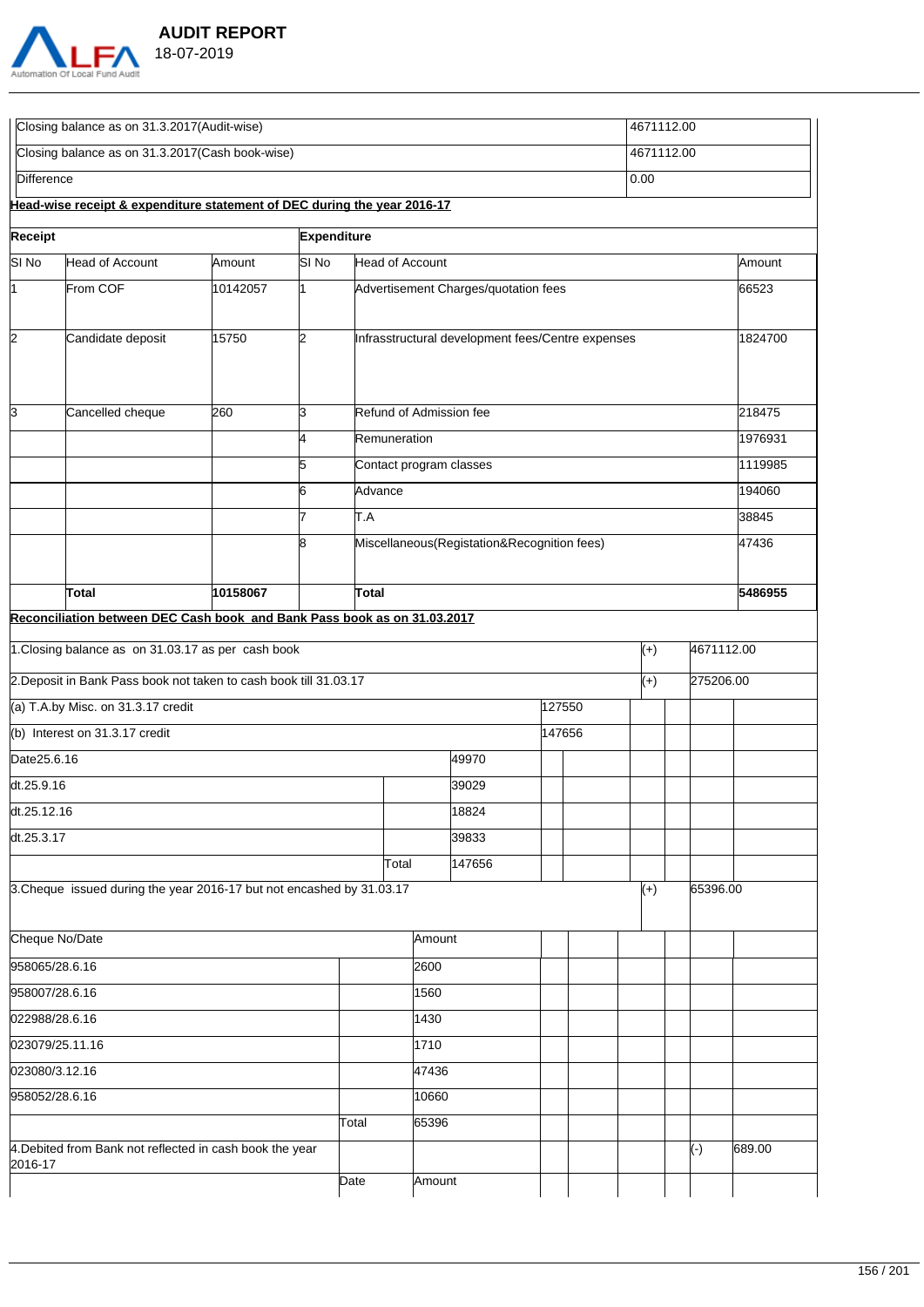

 **AUDIT REPORT** 

18-07-2019

| Closing balance as on 31.3.2017(Audit-wise) |                                                                          |          |                           |         |                         |                                                   |        |  | 4671112.00 |            |         |  |  |
|---------------------------------------------|--------------------------------------------------------------------------|----------|---------------------------|---------|-------------------------|---------------------------------------------------|--------|--|------------|------------|---------|--|--|
|                                             | Closing balance as on 31.3.2017(Cash book-wise)                          |          |                           |         |                         |                                                   |        |  |            | 4671112.00 |         |  |  |
| Difference                                  |                                                                          |          |                           |         |                         |                                                   |        |  | 0.00       |            |         |  |  |
|                                             | Head-wise receipt & expenditure statement of DEC during the year 2016-17 |          |                           |         |                         |                                                   |        |  |            |            |         |  |  |
| Receipt                                     |                                                                          |          | Expenditure               |         |                         |                                                   |        |  |            |            |         |  |  |
| SI <sub>No</sub>                            | Head of Account                                                          | Amount   | $\overline{\text{SI No}}$ |         | Head of Account         |                                                   |        |  |            |            | Amount  |  |  |
|                                             | From COF                                                                 | 10142057 | I1                        |         |                         | Advertisement Charges/quotation fees              |        |  |            |            | 66523   |  |  |
| $\overline{a}$                              | Candidate deposit                                                        | 15750    | 2                         |         |                         | Infrasstructural development fees/Centre expenses |        |  |            |            | 1824700 |  |  |
| 3                                           | Cancelled cheque                                                         | 260      | ß                         |         | Refund of Admission fee |                                                   |        |  |            |            | 218475  |  |  |
|                                             |                                                                          |          | 4                         |         | Remuneration            |                                                   |        |  |            |            | 1976931 |  |  |
|                                             |                                                                          |          | 5                         |         | Contact program classes |                                                   |        |  |            |            | 1119985 |  |  |
|                                             |                                                                          |          | 6                         | Advance |                         |                                                   |        |  |            |            | 194060  |  |  |
|                                             |                                                                          |          | 7                         | T.A     |                         |                                                   |        |  |            |            | 38845   |  |  |
|                                             |                                                                          |          | 8                         |         |                         | Miscellaneous(Registation&Recognition fees)       |        |  |            |            | 47436   |  |  |
|                                             | Total                                                                    | 10158067 |                           | Total   |                         |                                                   |        |  |            |            | 5486955 |  |  |
|                                             | Reconciliation between DEC Cash book and Bank Pass book as on 31.03.2017 |          |                           |         |                         |                                                   |        |  |            |            |         |  |  |
|                                             | 1. Closing balance as on 31.03.17 as per cash book                       |          |                           |         |                         |                                                   |        |  | $(+)$      | 4671112.00 |         |  |  |
|                                             | 2. Deposit in Bank Pass book not taken to cash book till 31.03.17        |          |                           |         |                         |                                                   |        |  | $(+)$      | 275206.00  |         |  |  |
|                                             | (a) T.A.by Misc. on 31.3.17 credit                                       |          |                           |         |                         |                                                   | 127550 |  |            |            |         |  |  |
|                                             | (b) Interest on 31.3.17 credit                                           |          |                           |         |                         |                                                   | 147656 |  |            |            |         |  |  |
| Date25.6.16                                 |                                                                          |          |                           |         |                         | 49970                                             |        |  |            |            |         |  |  |
| dt.25.9.16                                  |                                                                          |          |                           |         |                         | 39029                                             |        |  |            |            |         |  |  |
| dt.25.12.16                                 |                                                                          |          |                           |         |                         | 18824                                             |        |  |            |            |         |  |  |
| $\overline{dt.25.3.17}$                     |                                                                          |          |                           |         |                         | 39833                                             |        |  |            |            |         |  |  |
|                                             |                                                                          |          |                           |         | Total                   | 147656                                            |        |  |            |            |         |  |  |
|                                             | 3. Cheque issued during the year 2016-17 but not encashed by 31.03.17    |          |                           |         |                         |                                                   |        |  | $(+)$      | 65396.00   |         |  |  |
|                                             | Cheque No/Date                                                           |          |                           |         | Amount                  |                                                   |        |  |            |            |         |  |  |
| 958065/28.6.16                              |                                                                          |          |                           |         | 2600                    |                                                   |        |  |            |            |         |  |  |
| 958007/28.6.16                              |                                                                          |          |                           |         | 1560                    |                                                   |        |  |            |            |         |  |  |
| 022988/28.6.16                              |                                                                          |          |                           |         | 1430                    |                                                   |        |  |            |            |         |  |  |
|                                             | 023079/25.11.16                                                          |          |                           |         | 1710                    |                                                   |        |  |            |            |         |  |  |
| 023080/3.12.16                              |                                                                          |          |                           |         | 47436                   |                                                   |        |  |            |            |         |  |  |
| 958052/28.6.16                              |                                                                          |          |                           | 10660   |                         |                                                   |        |  |            |            |         |  |  |

Total 65396

Date Amount

4.Debited from Bank not reflected in cash book the year

2016-17

 $\sqrt{(1)}$  689.00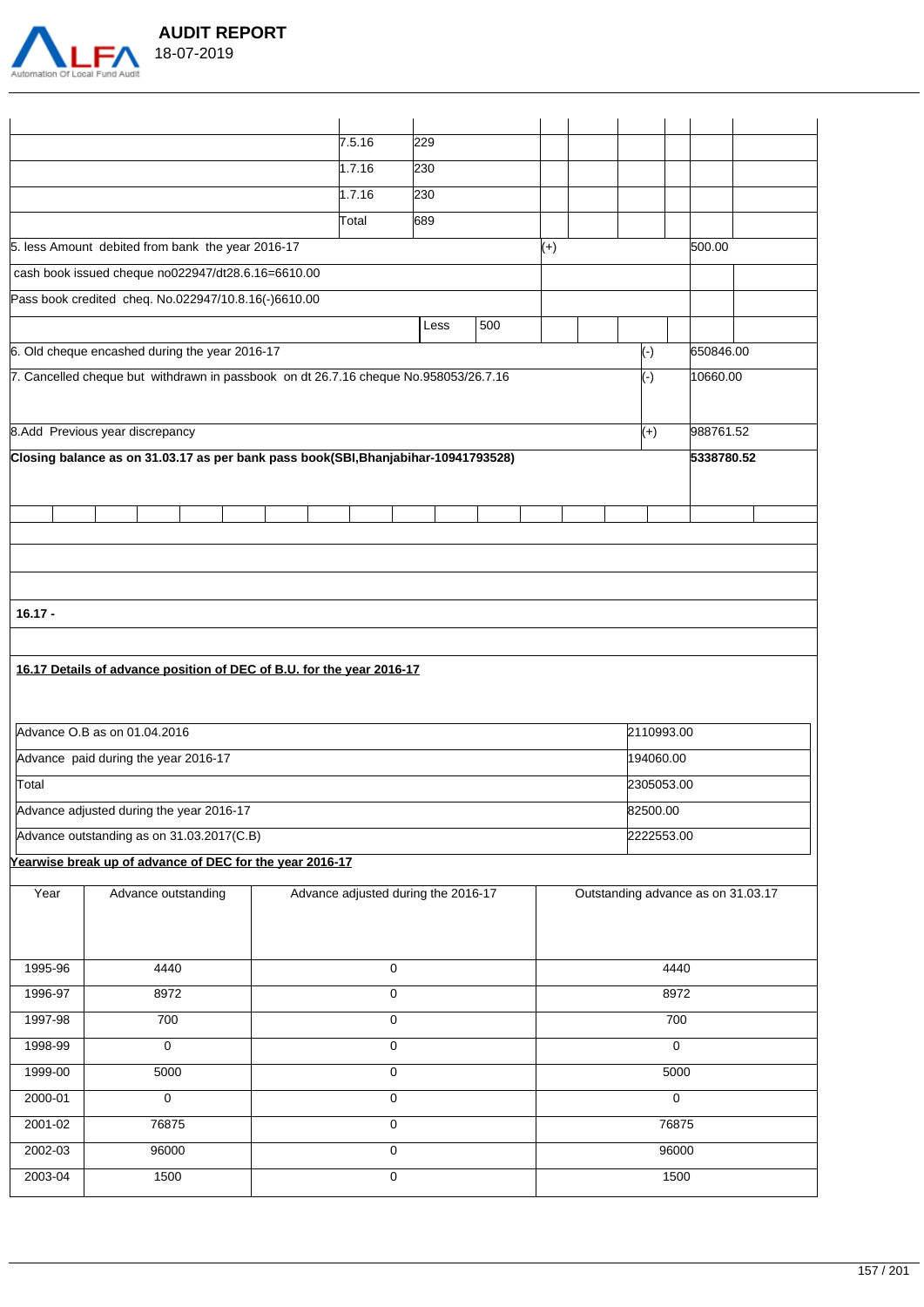

|           |                                                                                      | 7.5.16                              | 229  |     |       |            |                                    |            |  |
|-----------|--------------------------------------------------------------------------------------|-------------------------------------|------|-----|-------|------------|------------------------------------|------------|--|
|           |                                                                                      | 1.7.16                              | 230  |     |       |            |                                    |            |  |
|           |                                                                                      | 1.7.16                              | 230  |     |       |            |                                    |            |  |
|           |                                                                                      | Total                               | 689  |     |       |            |                                    |            |  |
|           | 5. less Amount debited from bank the year 2016-17                                    |                                     |      |     | $(+)$ |            | 500.00                             |            |  |
|           | cash book issued cheque no022947/dt28.6.16=6610.00                                   |                                     |      |     |       |            |                                    |            |  |
|           | Pass book credited cheq. No.022947/10.8.16(-)6610.00                                 |                                     |      |     |       |            |                                    |            |  |
|           |                                                                                      |                                     | Less | 500 |       |            |                                    |            |  |
|           | 6. Old cheque encashed during the year 2016-17                                       |                                     |      |     |       | $(\cdot)$  |                                    | 650846.00  |  |
|           | 7. Cancelled cheque but withdrawn in passbook on dt 26.7.16 cheque No.958053/26.7.16 |                                     |      |     |       | $(-)$      | 10660.00                           |            |  |
|           | 8.Add Previous year discrepancy                                                      |                                     |      |     |       | $(+)$      |                                    | 988761.52  |  |
|           | Closing balance as on 31.03.17 as per bank pass book(SBI,Bhanjabihar-10941793528)    |                                     |      |     |       |            |                                    | 5338780.52 |  |
|           |                                                                                      |                                     |      |     |       |            |                                    |            |  |
|           |                                                                                      |                                     |      |     |       |            |                                    |            |  |
|           |                                                                                      |                                     |      |     |       |            |                                    |            |  |
|           |                                                                                      |                                     |      |     |       |            |                                    |            |  |
|           |                                                                                      |                                     |      |     |       |            |                                    |            |  |
| $16.17 -$ |                                                                                      |                                     |      |     |       |            |                                    |            |  |
|           |                                                                                      |                                     |      |     |       |            |                                    |            |  |
|           | 16.17 Details of advance position of DEC of B.U. for the year 2016-17                |                                     |      |     |       |            |                                    |            |  |
|           |                                                                                      |                                     |      |     |       |            |                                    |            |  |
|           | Advance O.B as on 01.04.2016                                                         |                                     |      |     |       | 2110993.00 |                                    |            |  |
|           | Advance paid during the year 2016-17                                                 |                                     |      |     |       | 194060.00  |                                    |            |  |
| Total     |                                                                                      |                                     |      |     |       | 2305053.00 |                                    |            |  |
|           | Advance adjusted during the year 2016-17                                             |                                     |      |     |       | 82500.00   |                                    |            |  |
|           | Advance outstanding as on 31.03.2017(C.B)                                            |                                     |      |     |       | 2222553.00 |                                    |            |  |
|           | Yearwise break up of advance of DEC for the year 2016-17                             |                                     |      |     |       |            |                                    |            |  |
|           |                                                                                      |                                     |      |     |       |            |                                    |            |  |
| Year      | Advance outstanding                                                                  | Advance adjusted during the 2016-17 |      |     |       |            | Outstanding advance as on 31.03.17 |            |  |
|           |                                                                                      |                                     |      |     |       |            |                                    |            |  |
| 1995-96   | 4440                                                                                 | $\mathbf 0$                         |      |     |       |            | 4440                               |            |  |
| 1996-97   |                                                                                      |                                     |      |     |       |            |                                    |            |  |
|           | 8972                                                                                 | 0                                   |      |     |       |            | 8972                               |            |  |
| 1997-98   | 700                                                                                  | $\pmb{0}$                           |      |     |       |            | 700                                |            |  |
| 1998-99   | $\mathbf 0$                                                                          | $\mathbf 0$                         |      |     |       |            | $\mathsf{O}\xspace$                |            |  |
| 1999-00   | 5000                                                                                 | 0                                   |      |     |       |            | 5000                               |            |  |
| 2000-01   | 0                                                                                    | $\mathbf 0$                         |      |     |       |            | $\pmb{0}$                          |            |  |
| 2001-02   | 76875                                                                                | 0                                   |      |     |       |            | 76875                              |            |  |
| 2002-03   | 96000                                                                                | $\pmb{0}$                           |      |     |       |            | 96000                              |            |  |
| 2003-04   | 1500                                                                                 | $\pmb{0}$                           |      |     |       |            | 1500                               |            |  |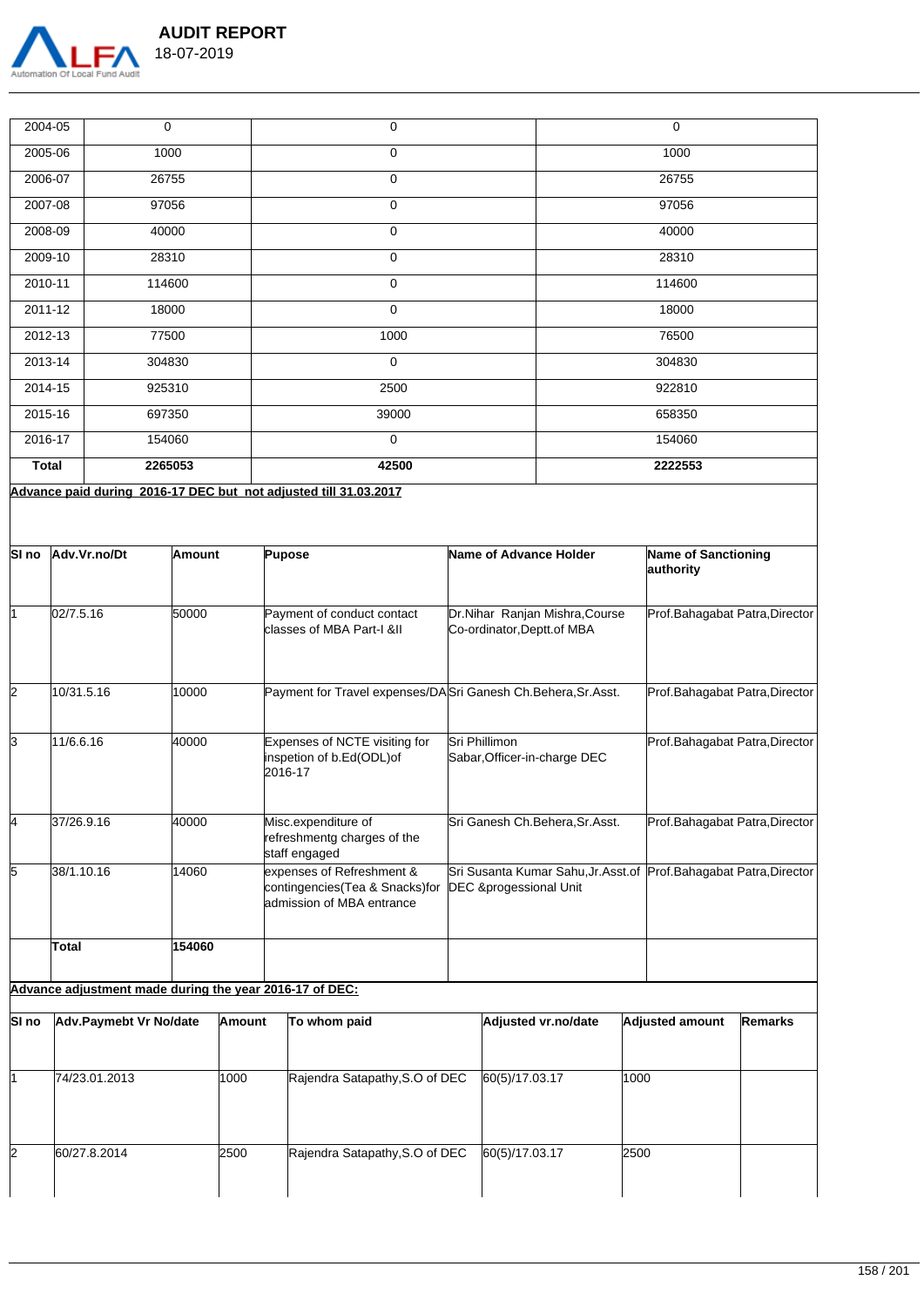

| 2004-05      |              | 0             | 0                                                                    |                                                              | 0                                       |  |  |
|--------------|--------------|---------------|----------------------------------------------------------------------|--------------------------------------------------------------|-----------------------------------------|--|--|
| 2005-06      |              | 1000          | $\mathbf 0$                                                          |                                                              | 1000                                    |  |  |
| 2006-07      |              | 26755         | $\mathbf 0$                                                          |                                                              | 26755                                   |  |  |
| 2007-08      |              | 97056         | $\mathbf 0$                                                          |                                                              | 97056                                   |  |  |
| 2008-09      |              | 40000         | $\mathbf 0$                                                          |                                                              | 40000                                   |  |  |
| 2009-10      |              | 28310         | $\mathbf 0$                                                          |                                                              | 28310                                   |  |  |
| 2010-11      |              | 114600        | $\Omega$                                                             |                                                              | 114600                                  |  |  |
| $2011 - 12$  |              | 18000         | $\mathbf 0$                                                          |                                                              | 18000                                   |  |  |
| 2012-13      |              | 77500         | 1000                                                                 |                                                              | 76500                                   |  |  |
| 2013-14      |              | 304830        | $\Omega$                                                             |                                                              | 304830                                  |  |  |
| 2014-15      |              | 925310        | 2500                                                                 |                                                              | 922810                                  |  |  |
| 2015-16      |              | 697350        | 39000                                                                |                                                              | 658350                                  |  |  |
| 2016-17      |              | 154060        | $\Omega$                                                             |                                                              | 154060                                  |  |  |
| <b>Total</b> |              | 2265053       | 42500                                                                |                                                              | 2222553                                 |  |  |
|              |              |               | Advance paid during 2016-17 DEC but not adjusted till 31.03.2017     |                                                              |                                         |  |  |
| SI no        | Adv.Vr.no/Dt | <b>Amount</b> | <b>Pupose</b>                                                        | Name of Advance Holder                                       | <b>Name of Sanctioning</b><br>authority |  |  |
| 1            | 02/7.5.16    | 50000         | Payment of conduct contact<br>classes of MBA Part-I &II              | Dr.Nihar Ranjan Mishra, Course<br>Co-ordinator, Deptt.of MBA | Prof.Bahagabat Patra, Director          |  |  |
| 2            | 10/31.5.16   | 10000         | Payment for Travel expenses/DASri Ganesh Ch.Behera, Sr.Asst.         |                                                              | Prof.Bahagabat Patra, Director          |  |  |
| lз           | 11/6.6.16    | 40000         | Expenses of NCTE visiting for<br>inspetion of b.Ed(ODL)of<br>2016-17 | Sri Phillimon<br>Sabar, Officer-in-charge DEC                | Prof.Bahagabat Patra, Director          |  |  |
|              | 37/26.9.16   | 40000         | Misc.expenditure of                                                  | Sri Ganesh Ch.Behera, Sr.Asst.                               | Prof.Bahagabat Patra, Director          |  |  |

|       | Advance adjustment made during the year 2016-17 of DEC: |               |                                |                     |                        |                |
|-------|---------------------------------------------------------|---------------|--------------------------------|---------------------|------------------------|----------------|
| SI no | Adv.Paymebt Vr No/date                                  | <b>Amount</b> | To whom paid                   | Adjusted vr.no/date | <b>Adjusted amount</b> | <b>Remarks</b> |
|       | 74/23.01.2013                                           | 1000          | Rajendra Satapathy, S.O of DEC | 60(5)/17.03.17      | 1000                   |                |
| 2     | 60/27.8.2014                                            | 2500          | Rajendra Satapathy, S.O of DEC | 60(5)/17.03.17      | 2500                   |                |

Sri Susanta Kumar Sahu,Jr.Asst.of

Prof.Bahagabat Patra,Director

DEC &progessional Unit

staff engaged

contingencies(Tea & Snacks)for admission of MBA entrance

5 38/1.10.16 14060 expenses of Refreshment &

**Total 154060**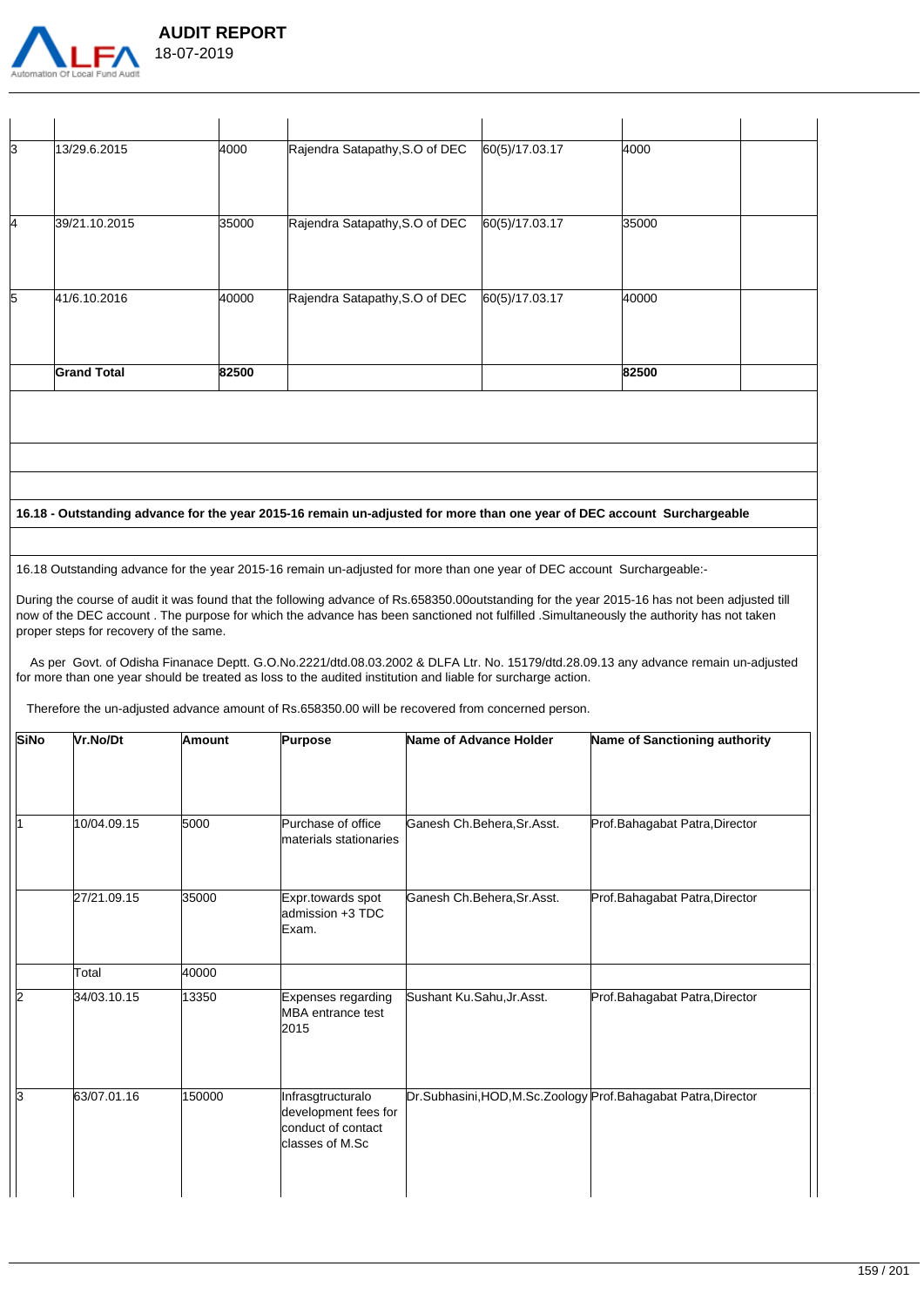

| lЗ | 13/29.6.2015       | 4000  | Rajendra Satapathy, S.O of DEC | 60(5)/17.03.17 | 4000  |  |
|----|--------------------|-------|--------------------------------|----------------|-------|--|
| 14 | 39/21.10.2015      | 35000 | Rajendra Satapathy, S.O of DEC | 60(5)/17.03.17 | 35000 |  |
| 15 | 41/6.10.2016       | 40000 | Rajendra Satapathy, S.O of DEC | 60(5)/17.03.17 | 40000 |  |
|    | <b>Grand Total</b> | 82500 |                                |                | 82500 |  |

#### **16.18 - Outstanding advance for the year 2015-16 remain un-adjusted for more than one year of DEC account Surchargeable**

16.18 Outstanding advance for the year 2015-16 remain un-adjusted for more than one year of DEC account Surchargeable:-

During the course of audit it was found that the following advance of Rs.658350.00outstanding for the year 2015-16 has not been adjusted till now of the DEC account . The purpose for which the advance has been sanctioned not fulfilled .Simultaneously the authority has not taken proper steps for recovery of the same.

 As per Govt. of Odisha Finanace Deptt. G.O.No.2221/dtd.08.03.2002 & DLFA Ltr. No. 15179/dtd.28.09.13 any advance remain un-adjusted for more than one year should be treated as loss to the audited institution and liable for surcharge action.

Therefore the un-adjusted advance amount of Rs.658350.00 will be recovered from concerned person.

| <b>SiNo</b> | Vr.No/Dt    | Amount | Purpose                                                                            | Name of Advance Holder                                         | Name of Sanctioning authority  |
|-------------|-------------|--------|------------------------------------------------------------------------------------|----------------------------------------------------------------|--------------------------------|
|             |             |        |                                                                                    |                                                                |                                |
|             | 10/04.09.15 | 5000   | Purchase of office<br>materials stationaries                                       | Ganesh Ch.Behera, Sr.Asst.                                     | Prof.Bahagabat Patra, Director |
|             | 27/21.09.15 | 35000  | Expr.towards spot<br>ladmission +3 TDC<br>Exam.                                    | Ganesh Ch.Behera, Sr.Asst.                                     | Prof.Bahagabat Patra, Director |
|             | Total       | 40000  |                                                                                    |                                                                |                                |
| l2          | 34/03.10.15 | 13350  | Expenses regarding<br><b>MBA</b> entrance test<br>2015                             | Sushant Ku.Sahu, Jr.Asst.                                      | Prof.Bahagabat Patra, Director |
| lЗ          | 63/07.01.16 | 150000 | Infrasgtructuralo<br>development fees for<br>conduct of contact<br>classes of M.Sc | Dr.Subhasini, HOD, M.Sc.Zoology Prof.Bahagabat Patra, Director |                                |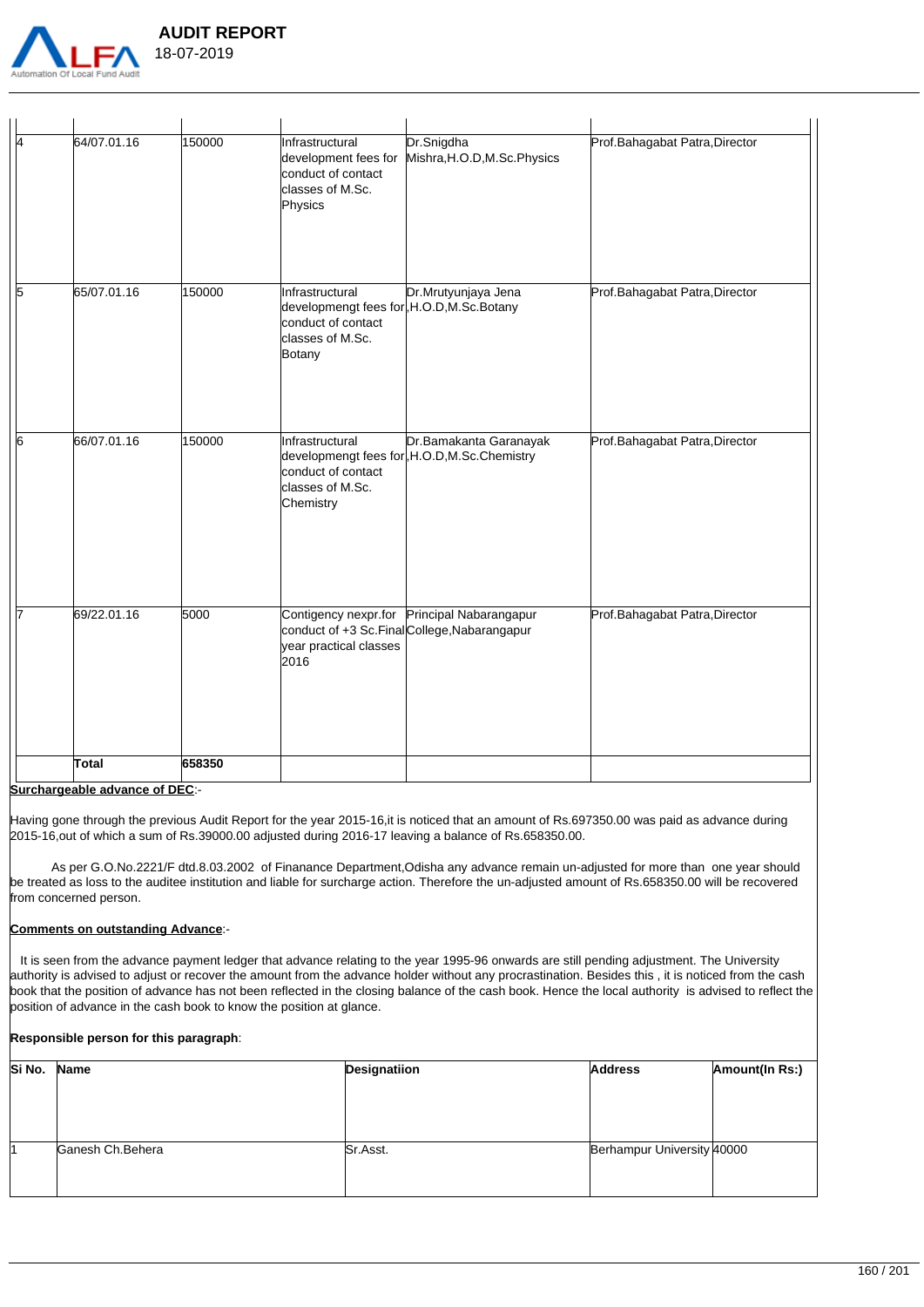

| $\overline{4}$ | 64/07.01.16  | 150000 | Infrastructural<br>development fees for<br>conduct of contact<br>lclasses of M.Sc.<br>Physics                     | Dr.Snigdha<br>Mishra, H.O.D, M.Sc. Physics                              | Prof.Bahagabat Patra, Director |
|----------------|--------------|--------|-------------------------------------------------------------------------------------------------------------------|-------------------------------------------------------------------------|--------------------------------|
| $\overline{5}$ | 65/07.01.16  | 150000 | Infrastructural<br>developmengt fees for, H.O.D, M.Sc. Botany<br>conduct of contact<br>classes of M.Sc.<br>Botany | Dr.Mrutyunjaya Jena                                                     | Prof.Bahagabat Patra, Director |
| $\overline{6}$ | 66/07.01.16  | 150000 | Infrastructural<br>conduct of contact<br>classes of M.Sc.<br>Chemistry                                            | Dr.Bamakanta Garanayak<br>developmengt fees for , H.O.D, M.Sc.Chemistry | Prof.Bahagabat Patra, Director |
| 17             | 69/22.01.16  | 5000   | Contigency nexpr.for<br>year practical classes<br>2016                                                            | Principal Nabarangapur<br>conduct of +3 Sc.FinalCollege, Nabarangapur   | Prof.Bahagabat Patra, Director |
|                | <b>Total</b> | 658350 |                                                                                                                   |                                                                         |                                |

#### **Surchargeable advance of DEC**:-

Having gone through the previous Audit Report for the year 2015-16,it is noticed that an amount of Rs.697350.00 was paid as advance during 2015-16,out of which a sum of Rs.39000.00 adjusted during 2016-17 leaving a balance of Rs.658350.00.

 As per G.O.No.2221/F dtd.8.03.2002 of Finanance Department,Odisha any advance remain un-adjusted for more than one year should be treated as loss to the auditee institution and liable for surcharge action. Therefore the un-adjusted amount of Rs.658350.00 will be recovered from concerned person.

#### **Comments on outstanding Advance**:-

 It is seen from the advance payment ledger that advance relating to the year 1995-96 onwards are still pending adjustment. The University authority is advised to adjust or recover the amount from the advance holder without any procrastination. Besides this , it is noticed from the cash book that the position of advance has not been reflected in the closing balance of the cash book. Hence the local authority is advised to reflect the position of advance in the cash book to know the position at glance.

#### **Responsible person for this paragraph**:

| Si No. Name |                  | <b>Designatiion</b> | <b>Address</b>             | Amount(In Rs:) |
|-------------|------------------|---------------------|----------------------------|----------------|
|             | Ganesh Ch.Behera | Sr.Asst.            | Berhampur University 40000 |                |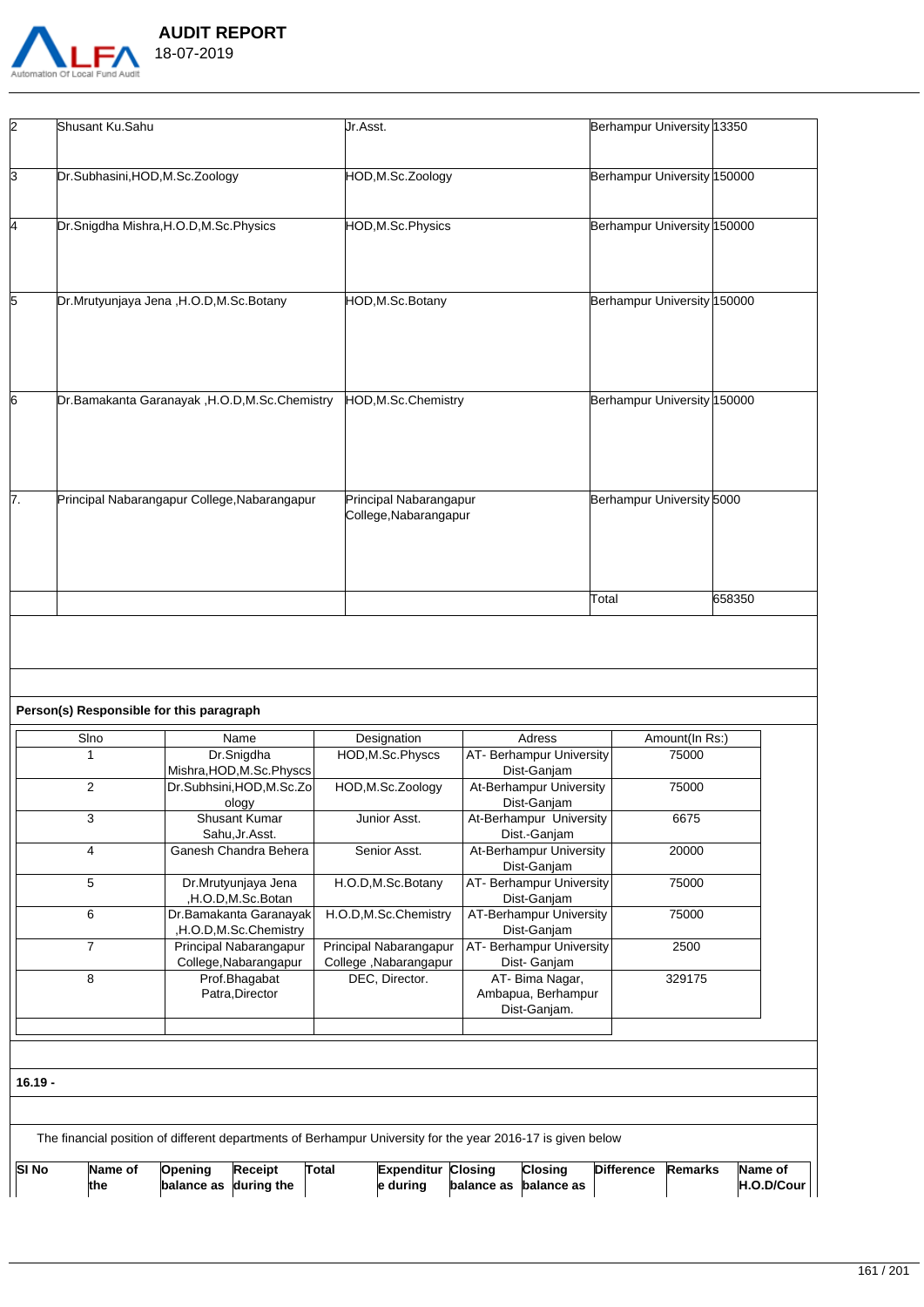

| 2         | Shusant Ku.Sahu                          |                                                 | Jr.Asst.                                        |                                                       | Berhampur University 13350  |        |
|-----------|------------------------------------------|-------------------------------------------------|-------------------------------------------------|-------------------------------------------------------|-----------------------------|--------|
|           |                                          |                                                 |                                                 |                                                       |                             |        |
| 3         | Dr.Subhasini,HOD,M.Sc.Zoology            |                                                 | HOD, M.Sc. Zoology                              |                                                       | Berhampur University 150000 |        |
| 4         |                                          | Dr.Snigdha Mishra, H.O.D, M.Sc.Physics          | HOD, M.Sc. Physics                              |                                                       | Berhampur University 150000 |        |
| 5         |                                          | Dr.Mrutyunjaya Jena ,H.O.D,M.Sc.Botany          | HOD, M.Sc. Botany                               |                                                       | Berhampur University 150000 |        |
|           |                                          |                                                 |                                                 |                                                       |                             |        |
| 6         |                                          | Dr.Bamakanta Garanayak , H.O.D, M.Sc.Chemistry  | HOD, M.Sc. Chemistry                            |                                                       | Berhampur University 150000 |        |
| 7.        |                                          | Principal Nabarangapur College, Nabarangapur    | Principal Nabarangapur<br>College, Nabarangapur |                                                       | Berhampur University 5000   |        |
|           |                                          |                                                 |                                                 |                                                       | Total                       | 658350 |
|           | Person(s) Responsible for this paragraph |                                                 |                                                 |                                                       |                             |        |
|           | Sino                                     | Name                                            | Designation                                     | Adress                                                | Amount(In Rs:)              |        |
|           | 1                                        | Dr.Snigdha<br>Mishra, HOD, M.Sc. Physcs         | HOD, M.Sc. Physcs                               | AT- Berhampur University<br>Dist-Ganjam               | 75000                       |        |
|           | $\overline{2}$                           | Dr.Subhsini,HOD,M.Sc.Zo<br>ology                | HOD, M.Sc. Zoology                              | At-Berhampur University<br>Dist-Ganjam                | 75000                       |        |
|           | 3                                        | Shusant Kumar<br>Sahu, Jr. Asst.                | Junior Asst.                                    | At-Berhampur University<br>Dist.-Ganjam               | 6675                        |        |
|           | 4                                        | Ganesh Chandra Behera                           | Senior Asst.                                    | At-Berhampur University<br>Dist-Ganjam                | 20000                       |        |
|           | 5                                        | Dr.Mrutyunjaya Jena<br>,H.O.D,M.Sc.Botan        | H.O.D,M.Sc.Botany                               | AT- Berhampur University<br>Dist-Ganjam               | 75000                       |        |
|           | 6                                        | Dr.Bamakanta Garanayak<br>,H.O.D,M.Sc.Chemistry | H.O.D,M.Sc.Chemistry                            | AT-Berhampur University<br>Dist-Ganjam                | 75000                       |        |
|           | $\overline{7}$                           | Principal Nabarangapur<br>College, Nabarangapur | Principal Nabarangapur<br>College, Nabarangapur | AT- Berhampur University<br>Dist- Ganjam              | 2500                        |        |
|           | 8                                        | Prof.Bhagabat<br>Patra, Director                | DEC, Director.                                  | AT- Bima Nagar,<br>Ambapua, Berhampur<br>Dist-Ganjam. | 329175                      |        |
|           |                                          |                                                 |                                                 |                                                       |                             |        |
| $16.19 -$ |                                          |                                                 |                                                 |                                                       |                             |        |
|           |                                          |                                                 |                                                 |                                                       |                             |        |

The financial position of different departments of Berhampur University for the year 2016-17 is given below

| <b>SI No</b> | Name of | <b>Opening</b>        | Receipt | Total | Expenditur Closing | <b>Closing</b>        | <b>Difference</b> | Remarks | Name of    |
|--------------|---------|-----------------------|---------|-------|--------------------|-----------------------|-------------------|---------|------------|
|              | the     | balance as during the |         |       | le durina          | balance as balance as |                   |         | H.O.D/Cour |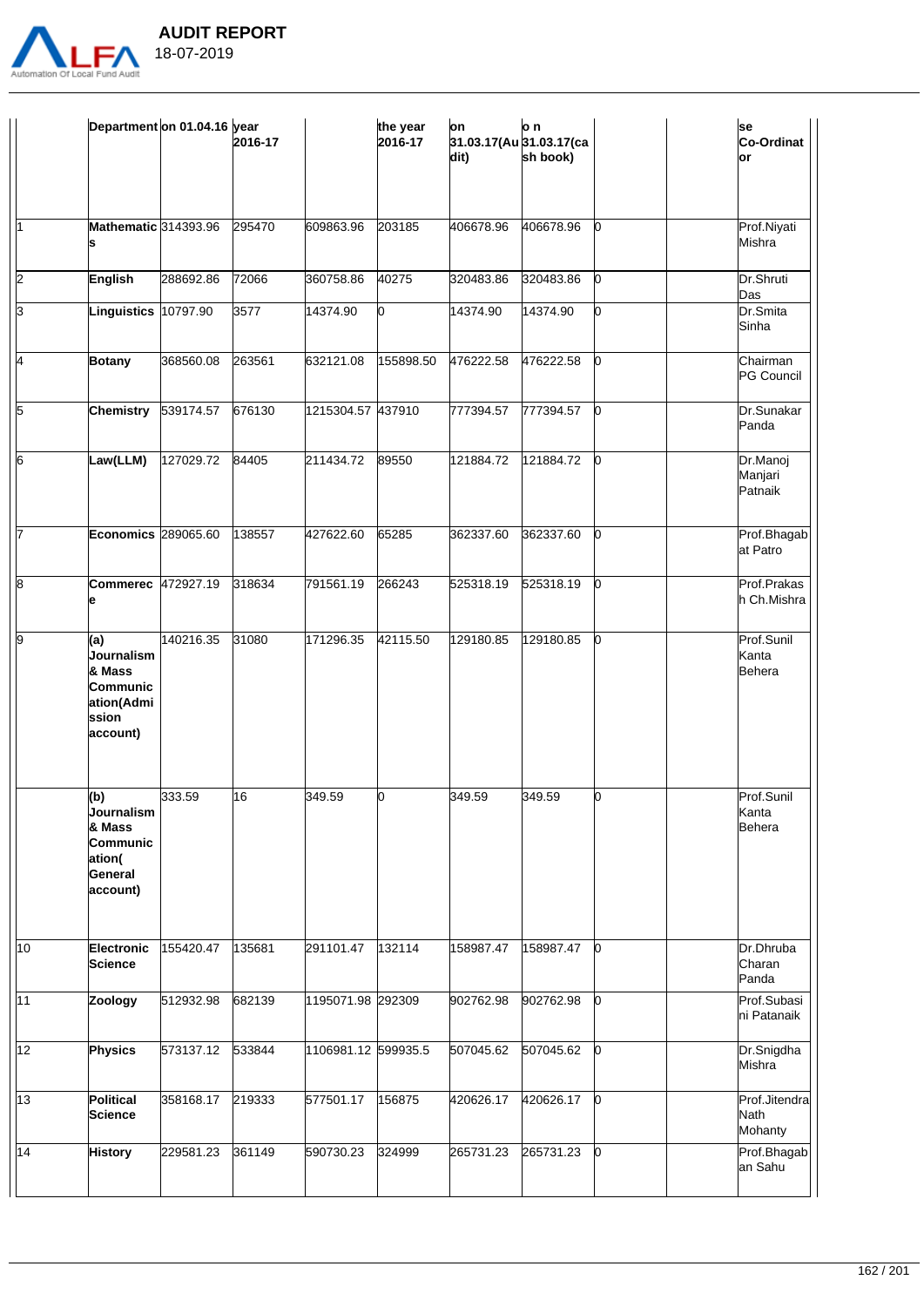

|    | Department on 01.04.16 year                                                |           | 2016-17 |                     | the year<br>2016-17 | on<br>31.03.17(Au 31.03.17(ca<br>dit) | o n<br>sh book) |     | lse<br>Co-Ordinat<br>lor         |
|----|----------------------------------------------------------------------------|-----------|---------|---------------------|---------------------|---------------------------------------|-----------------|-----|----------------------------------|
| l1 | Mathematic 314393.96<br>s                                                  |           | 295470  | 609863.96           | 203185              | 406678.96                             | 406678.96       | Ю   | Prof.Niyati<br>Mishra            |
| 2  | English                                                                    | 288692.86 | 72066   | 360758.86           | 40275               | 320483.86                             | 320483.86       | Ю   | Dr.Shruti<br>Das                 |
| β  | Linguistics 10797.90                                                       |           | 3577    | 14374.90            | 0                   | 14374.90                              | 14374.90        | Ю   | Dr.Smita<br>Sinha                |
| 4  | <b>Botany</b>                                                              | 368560.08 | 263561  | 632121.08           | 155898.50           | 476222.58                             | 476222.58       | Ю   | Chairman<br>PG Council           |
| 5  | <b>Chemistry</b>                                                           | 539174.57 | 676130  | 1215304.57 437910   |                     | 777394.57                             | 777394.57       | Ю   | Dr.Sunakar<br>Panda              |
| 6  | Law(LLM)                                                                   | 127029.72 | 84405   | 211434.72           | 89550               | 121884.72                             | 121884.72       | Ю   | Dr.Manoj<br>Manjari<br>Patnaik   |
| 17 | <b>Economics 289065.60</b>                                                 |           | 138557  | 427622.60           | 65285               | 362337.60                             | 362337.60       | Ю   | Prof.Bhagab<br>at Patro          |
| 8  | <b>Commerec</b><br>ė                                                       | 472927.19 | 318634  | 791561.19           | 266243              | 525318.19                             | 525318.19       | lо  | Prof.Prakas<br>h Ch.Mishra       |
| 9  | (a)<br>Journalism<br>& Mass<br>Communic<br>ation(Admi<br>ssion<br>account) | 140216.35 | 31080   | 171296.35           | 42115.50            | 129180.85                             | 129180.85       | ю   | Prof.Sunil<br>Kanta<br>Behera    |
|    | (b)<br>Journalism<br>& Mass<br>Communic<br>ation(<br>General<br>account)   | 333.59    | 16      | 349.59              | 0                   | 349.59                                | 349.59          | lo  | Prof.Sunil<br>lKanta<br>Behera   |
| 10 | <b>Electronic</b><br><b>Science</b>                                        | 155420.47 | 135681  | 291101.47           | 132114              | 158987.47                             | 158987.47       | l0  | Dr.Dhruba<br>Charan<br>Panda     |
| 11 | Zoology                                                                    | 512932.98 | 682139  | 1195071.98 292309   |                     | 902762.98                             | 902762.98       | lo. | Prof.Subasi<br>ni Patanaik       |
| 12 | Physics                                                                    | 573137.12 | 533844  | 1106981.12 599935.5 |                     | 507045.62                             | 507045.62       | Ю   | Dr.Snigdha<br>Mishra             |
| 13 | <b>Political</b><br><b>Science</b>                                         | 358168.17 | 219333  | 577501.17           | 156875              | 420626.17                             | 420626.17       | ю   | Prof.Jitendra<br>Nath<br>Mohanty |
| 14 | <b>History</b>                                                             | 229581.23 | 361149  | 590730.23           | 324999              | 265731.23                             | 265731.23       | ю   | Prof.Bhagab<br>an Sahu           |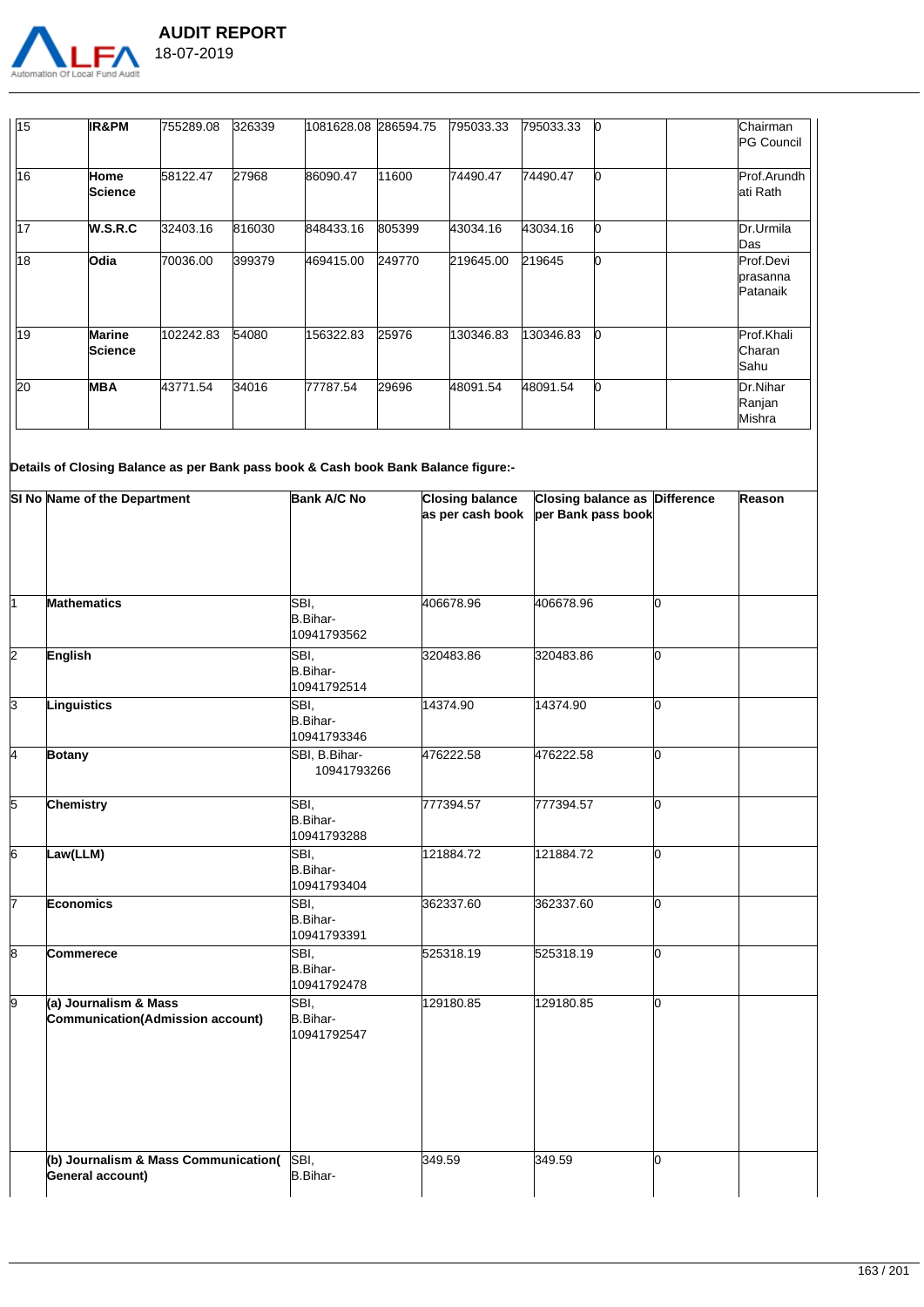

| 15 | <b>IR&amp;PM</b>                | 755289.08 | 326339 | 1081628.08 286594.75 |        | 795033.33 | 795033.33 | ю | Chairman<br><b>IPG Council</b>    |
|----|---------------------------------|-----------|--------|----------------------|--------|-----------|-----------|---|-----------------------------------|
| 16 | Home<br><b>Science</b>          | 58122.47  | 27968  | 86090.47             | 11600  | 74490.47  | 74490.47  | Ю | Prof.Arundh<br>lati Rath          |
| 17 | W.S.R.C                         | 32403.16  | 816030 | 848433.16            | 805399 | 43034.16  | 43034.16  | Ю | Dr.Urmila<br>lDas                 |
| 18 | Odia                            | 70036.00  | 399379 | 469415.00            | 249770 | 219645.00 | 219645    | ю | Prof.Devi<br>prasanna<br>Patanaik |
| 19 | <b>Marine</b><br><b>Science</b> | 102242.83 | 54080  | 156322.83            | 25976  | 130346.83 | 130346.83 | Ю | Prof.Khali<br>Charan<br>lSahu     |
| 20 | <b>MBA</b>                      | 43771.54  | 34016  | 77787.54             | 29696  | 48091.54  | 48091.54  | ю | Dr.Nihar<br>Ranjan<br>Mishra      |

**Details of Closing Balance as per Bank pass book & Cash book Bank Balance figure:-**

|                | SI No Name of the Department                              | Bank A/C No                     | <b>Closing balance</b><br>as per cash book | Closing balance as Difference<br>per Bank pass book |     | Reason |
|----------------|-----------------------------------------------------------|---------------------------------|--------------------------------------------|-----------------------------------------------------|-----|--------|
| l1.            | Mathematics                                               | SBI,<br>B.Bihar-<br>10941793562 | 406678.96                                  | 406678.96                                           | l0  |        |
| $\overline{2}$ | English                                                   | SBI,<br>B.Bihar-<br>10941792514 | 320483.86                                  | 320483.86                                           | lo  |        |
| ß              | Linguistics                                               | SBI,<br>B.Bihar-<br>10941793346 | 14374.90                                   | 14374.90                                            | b   |        |
| l4             | <b>Botany</b>                                             | SBI, B.Bihar-<br>10941793266    | 476222.58                                  | 476222.58                                           | lo. |        |
| 5              | Chemistry                                                 | SBI,<br>B.Bihar-<br>10941793288 | 777394.57                                  | 777394.57                                           | lo. |        |
| 6              | Law(LLM)                                                  | SBI,<br>B.Bihar-<br>10941793404 | 121884.72                                  | 121884.72                                           | b   |        |
| 17             | Economics                                                 | SBI,<br>B.Bihar-<br>10941793391 | 362337.60                                  | 362337.60                                           | lo. |        |
| 8              | <b>Commerece</b>                                          | SBI,<br>B.Bihar-<br>10941792478 | 525318.19                                  | 525318.19                                           | lo. |        |
| g              | (a) Journalism & Mass<br>Communication(Admission account) | SBI,<br>B.Bihar-<br>10941792547 | 129180.85                                  | 129180.85                                           | b   |        |
|                | (b) Journalism & Mass Communication(<br>General account)  | SBI,<br>B.Bihar-                | 349.59                                     | 349.59                                              | h   |        |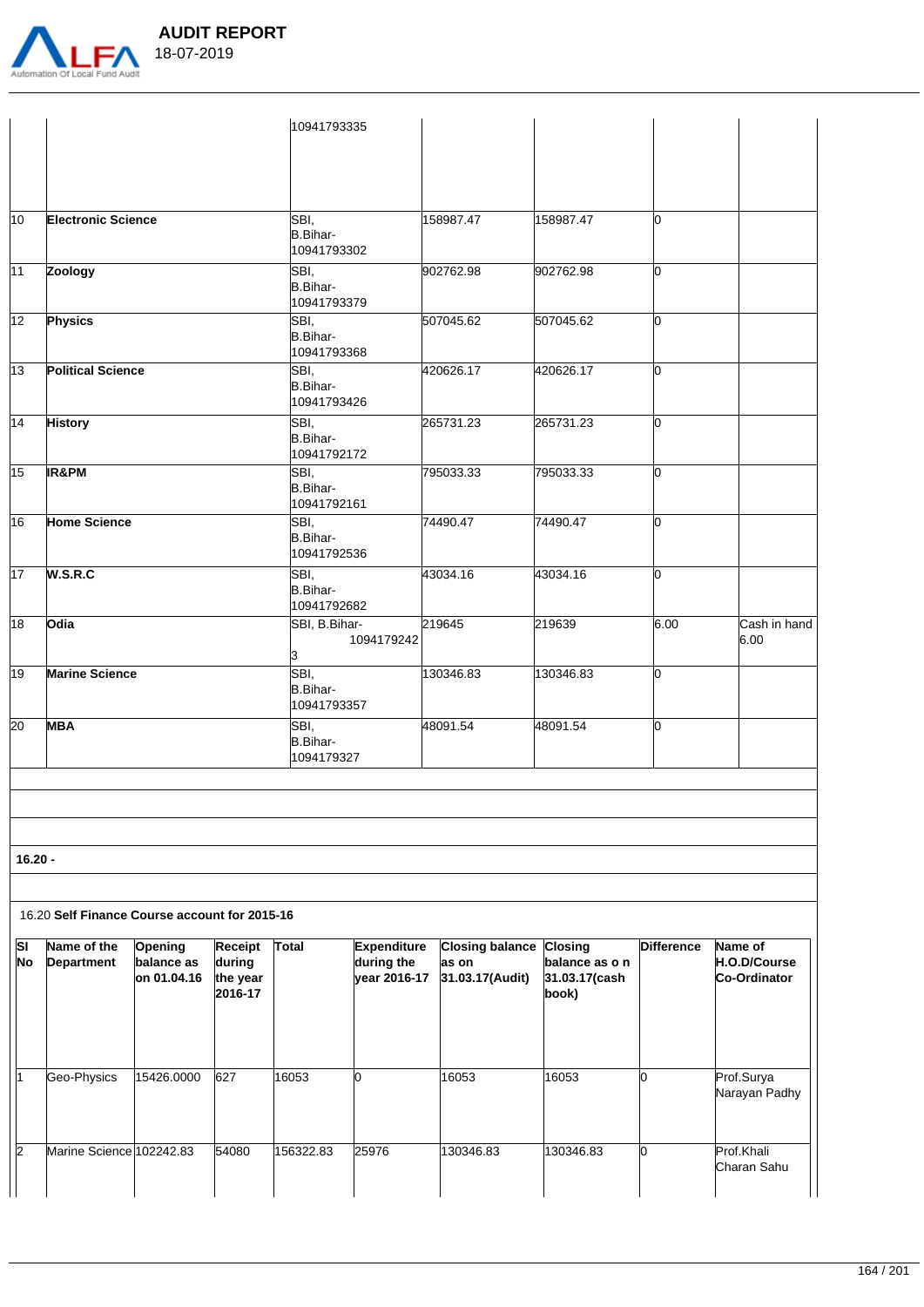

|                 |                          | 10941793335                      |           |           |      |                      |
|-----------------|--------------------------|----------------------------------|-----------|-----------|------|----------------------|
|                 |                          |                                  |           |           |      |                      |
| 10              | Electronic Science       | SBI,<br>B.Bihar-<br>10941793302  | 158987.47 | 158987.47 | b    |                      |
| 11              | Zoology                  | SBI,<br>B.Bihar-<br>10941793379  | 902762.98 | 902762.98 | O    |                      |
| $\overline{12}$ | Physics                  | SBI,<br>B.Bihar-<br>10941793368  | 507045.62 | 507045.62 | lo   |                      |
| 13              | <b>Political Science</b> | SBI,<br>B.Bihar-<br>10941793426  | 420626.17 | 420626.17 | O    |                      |
| 14              | <b>History</b>           | SBI,<br>B.Bihar-<br>10941792172  | 265731.23 | 265731.23 | l0   |                      |
| 15              | <b>IR&amp;PM</b>         | SBI,<br>B.Bihar-<br>10941792161  | 795033.33 | 795033.33 | l0   |                      |
| 16              | Home Science             | SBI,<br>B.Bihar-<br>10941792536  | 74490.47  | 74490.47  | O    |                      |
| $\overline{17}$ | W.S.R.C                  | SBI,<br>B.Bihar-<br>10941792682  | 43034.16  | 43034.16  | l0   |                      |
| 18              | Odia                     | SBI, B.Bihar-<br>1094179242<br>3 | 219645    | 219639    | 6.00 | Cash in hand<br>6.00 |
| 19              | <b>Marine Science</b>    | SBI,<br>B.Bihar-<br>10941793357  | 130346.83 | 130346.83 | lo   |                      |
| 20              | <b>MBA</b>               | SBI,<br>B.Bihar-<br>1094179327   | 48091.54  | 48091.54  | o    |                      |
|                 |                          |                                  |           |           |      |                      |
|                 |                          |                                  |           |           |      |                      |
| $16.20 -$       |                          |                                  |           |           |      |                      |

|           | 16.20 Self Finance Course account for 2015-16 |                                       |                                          |           |                                                   |                                                     |                                                            |                   |                                                       |  |  |
|-----------|-----------------------------------------------|---------------------------------------|------------------------------------------|-----------|---------------------------------------------------|-----------------------------------------------------|------------------------------------------------------------|-------------------|-------------------------------------------------------|--|--|
| ΙSΙ<br>No | Name of the<br>Department                     | Opening<br>balance as<br>lon 01.04.16 | Receipt<br>during<br>the year<br>2016-17 | Total     | <b>Expenditure</b><br>during the<br>lvear 2016-17 | <b>Closing balance</b><br>las on<br>31.03.17(Audit) | <b>Closing</b><br>balance as o n<br>31.03.17(cash<br>book) | <b>Difference</b> | Name of<br><b>H.O.D/Course</b><br><b>Co-Ordinator</b> |  |  |
|           | Geo-Physics                                   | 15426.0000                            | 627                                      | 16053     |                                                   | 16053                                               | 16053                                                      |                   | Prof.Surya<br>Narayan Padhy                           |  |  |
| 12        | Marine Science 102242.83                      |                                       | 54080                                    | 156322.83 | 25976                                             | 130346.83                                           | 130346.83                                                  |                   | lProf.Khali<br>lCharan Sahu                           |  |  |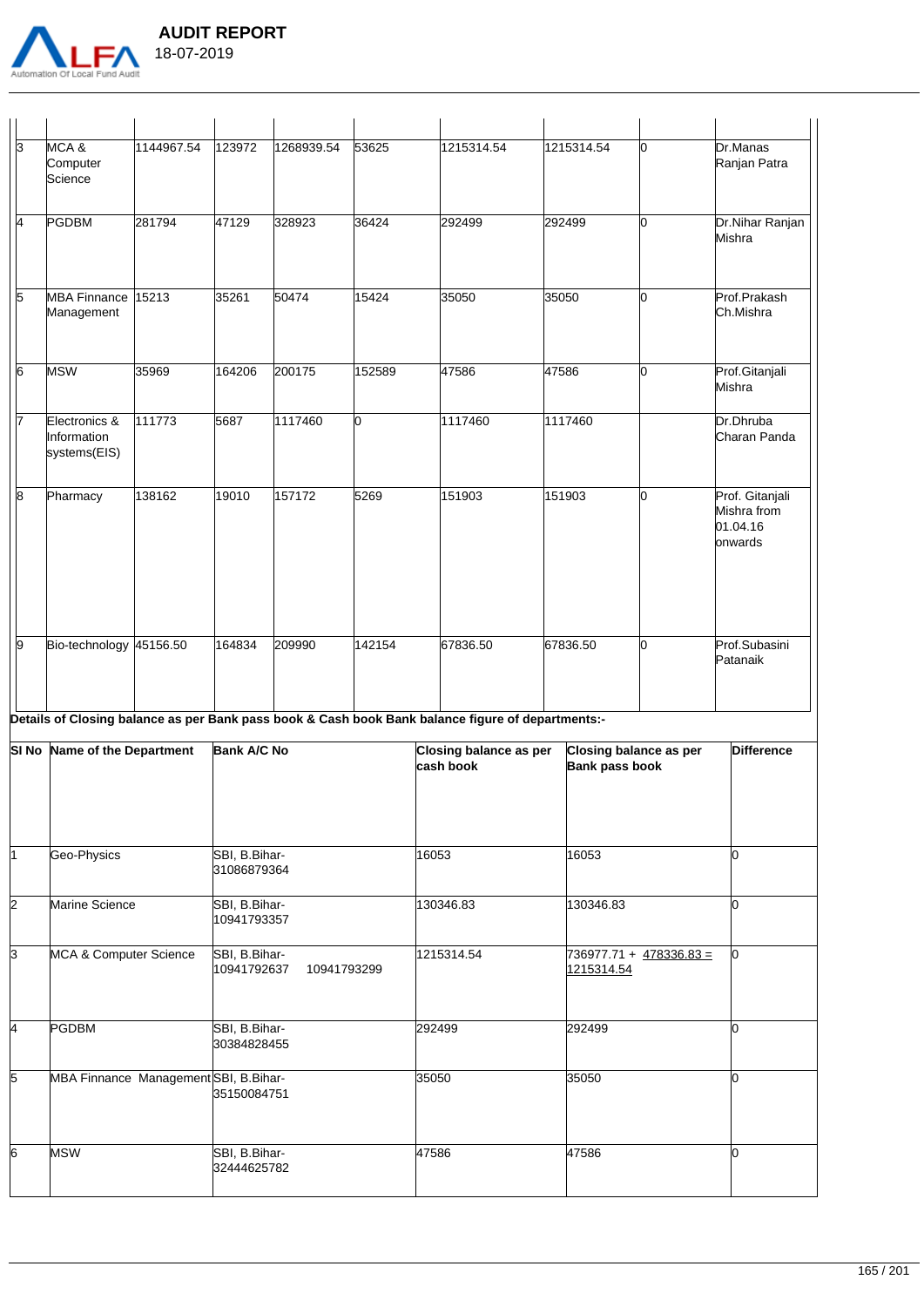

| <b>AUDIT REPORT</b> |
|---------------------|
| 18-07-2019          |

6 MSW SBI, B.Bihar-

32444625782

| $\overline{3}$ | MCA&<br>Computer<br>Science                                                                       | 1144967.54          | 123972                       | 1268939.54  | 53625  |        | 1215314.54                          |       | 1215314.54            | lO.                                       | Dr.Manas<br>Ranjan Patra                               |
|----------------|---------------------------------------------------------------------------------------------------|---------------------|------------------------------|-------------|--------|--------|-------------------------------------|-------|-----------------------|-------------------------------------------|--------------------------------------------------------|
| $\overline{4}$ | PGDBM                                                                                             | 281794              | 47129                        | 328923      | 36424  |        | 292499                              |       | 292499                | l0                                        | Dr.Nihar Ranjan<br>Mishra                              |
| $\overline{5}$ | <b>MBA Finnance</b><br>Management                                                                 | 15213               | 35261                        | 50474       | 15424  |        | 35050                               | 35050 |                       | l0                                        | Prof.Prakash<br>Ch.Mishra                              |
| 6              | MSW                                                                                               | 35969               | 164206                       | 200175      | 152589 |        | 47586                               | 47586 |                       | l0                                        | Prof.Gitanjali<br>Mishra                               |
| 7              | Electronics &<br>Information<br>systems(EIS)                                                      | $\overline{111773}$ | 5687                         | 1117460     | lo     |        | 1117460                             |       | 1117460               |                                           | Dr.Dhruba<br>Charan Panda                              |
| 8              | Pharmacy                                                                                          | 138162              | 19010                        | 157172      | 5269   |        | 151903                              |       | 151903                | 0                                         | Prof. Gitanjali<br>Mishra from<br>01.04.16<br>lonwards |
| 9              | Bio-technology 45156.50                                                                           |                     | 164834                       | 209990      | 142154 |        | 67836.50                            |       | 67836.50              | 0                                         | Prof.Subasini<br>Patanaik                              |
|                | Details of Closing balance as per Bank pass book & Cash book Bank balance figure of departments:- |                     |                              |             |        |        |                                     |       |                       |                                           |                                                        |
| <b>SI No</b>   | Name of the Department                                                                            |                     | <b>Bank A/C No</b>           |             |        |        | Closing balance as per<br>cash book |       | <b>Bank pass book</b> | Closing balance as per                    | Difference                                             |
| l1.            | Geo-Physics                                                                                       |                     | SBI, B.Bihar-<br>31086879364 |             |        | 16053  |                                     |       | 16053                 |                                           | In.                                                    |
| $\overline{2}$ | Marine Science                                                                                    |                     | SBI, B.Bihar-<br>10941793357 |             |        |        | 130346.83                           |       | 130346.83             |                                           | lo.                                                    |
| $\overline{3}$ | MCA & Computer Science                                                                            |                     | SBI, B.Bihar-<br>10941792637 | 10941793299 |        |        | 1215314.54                          |       | 1215314.54            | $736977.71 + \frac{478336.83}{478336.83}$ | In.                                                    |
| 4              | PGDBM                                                                                             |                     | SBI, B.Bihar-<br>30384828455 |             |        | 292499 |                                     |       | 292499                |                                           | n                                                      |
| 5              | MBA Finnance Management SBI, B.Bihar-                                                             |                     | 35150084751                  |             |        | 35050  |                                     |       | 35050                 |                                           | ln.                                                    |
|                |                                                                                                   |                     |                              |             |        |        |                                     |       |                       |                                           |                                                        |

47586 **47586** 0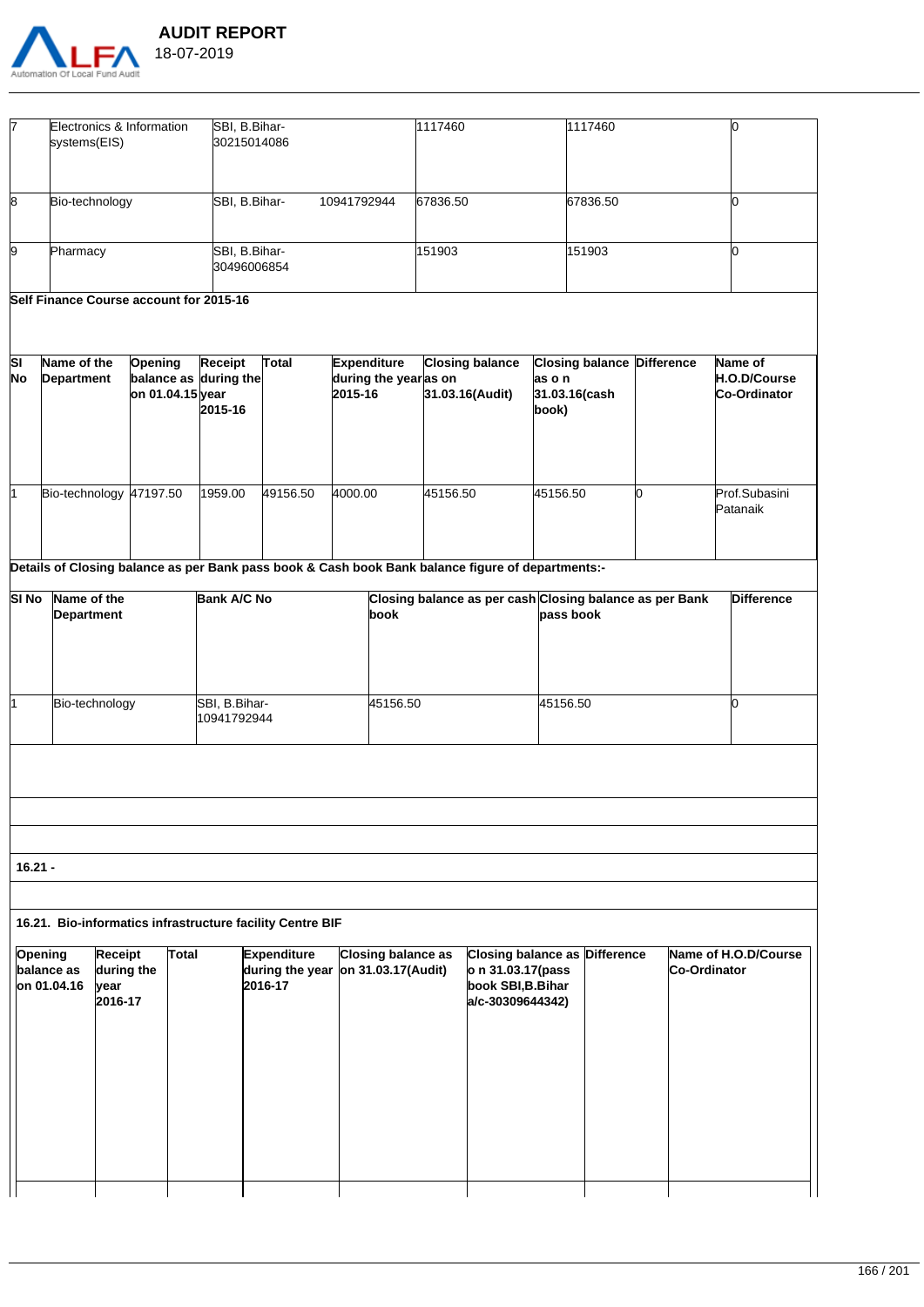

|              | Electronics & Information<br>systems(EIS)                             |                                                      | SBI, B.Bihar-<br>30215014086 |                               |                                                                 |                                                         | 1117460<br>1117460                                          |                                   |          |                                   | Ю                                       |
|--------------|-----------------------------------------------------------------------|------------------------------------------------------|------------------------------|-------------------------------|-----------------------------------------------------------------|---------------------------------------------------------|-------------------------------------------------------------|-----------------------------------|----------|-----------------------------------|-----------------------------------------|
| 8            | Bio-technology                                                        |                                                      | SBI, B.Bihar-                |                               | 10941792944                                                     | 67836.50                                                |                                                             |                                   | 67836.50 |                                   | lо                                      |
| l9           | Pharmacy                                                              |                                                      | SBI, B.Bihar-<br>30496006854 |                               |                                                                 | 151903                                                  |                                                             |                                   | 151903   |                                   | lo.                                     |
|              | Self Finance Course account for 2015-16                               |                                                      |                              |                               |                                                                 |                                                         |                                                             |                                   |          |                                   |                                         |
| SI<br>No     | Name of the<br>Department                                             | Opening<br>balance as during the<br>on 01.04.15 year | Receipt<br>2015-16           | Total                         | <b>Expenditure</b><br>during the yearas on<br>2015-16           |                                                         | <b>Closing balance</b><br>31.03.16(Audit)                   | las o n<br>31.03.16(cash<br>book) |          | <b>Closing balance Difference</b> | Name of<br>H.O.D/Course<br>Co-Ordinator |
|              | Bio-technology 47197.50                                               |                                                      | 1959.00                      | 49156.50                      | 4000.00                                                         | 45156.50                                                |                                                             | 45156.50                          |          | 0                                 | Prof.Subasini<br>Patanaik               |
| <b>SI No</b> | Name of the<br><b>Department</b>                                      |                                                      | Bank A/C No                  |                               | book                                                            | Closing balance as per cash Closing balance as per Bank |                                                             | pass book                         |          |                                   | <b>Difference</b>                       |
|              | Bio-technology                                                        |                                                      | SBI, B.Bihar-<br>10941792944 |                               | 45156.50                                                        |                                                         |                                                             | 45156.50                          |          |                                   | O                                       |
|              |                                                                       |                                                      |                              |                               |                                                                 |                                                         |                                                             |                                   |          |                                   |                                         |
| $16.21 -$    |                                                                       |                                                      |                              |                               |                                                                 |                                                         |                                                             |                                   |          |                                   |                                         |
|              | 16.21. Bio-informatics infrastructure facility Centre BIF             |                                                      |                              |                               |                                                                 |                                                         |                                                             |                                   |          |                                   |                                         |
| Opening      | Receipt<br>during the<br>balance as<br>on 01.04.16<br>year<br>2016-17 | Total                                                |                              | <b>Expenditure</b><br>2016-17 | <b>Closing balance as</b><br>during the year on 31.03.17(Audit) |                                                         | o n 31.03.17(pass<br>book SBI, B. Bihar<br>a/c-30309644342) | Closing balance as Difference     |          |                                   | Name of H.O.D/Course<br>Co-Ordinator    |
|              |                                                                       |                                                      |                              |                               |                                                                 |                                                         |                                                             |                                   |          |                                   |                                         |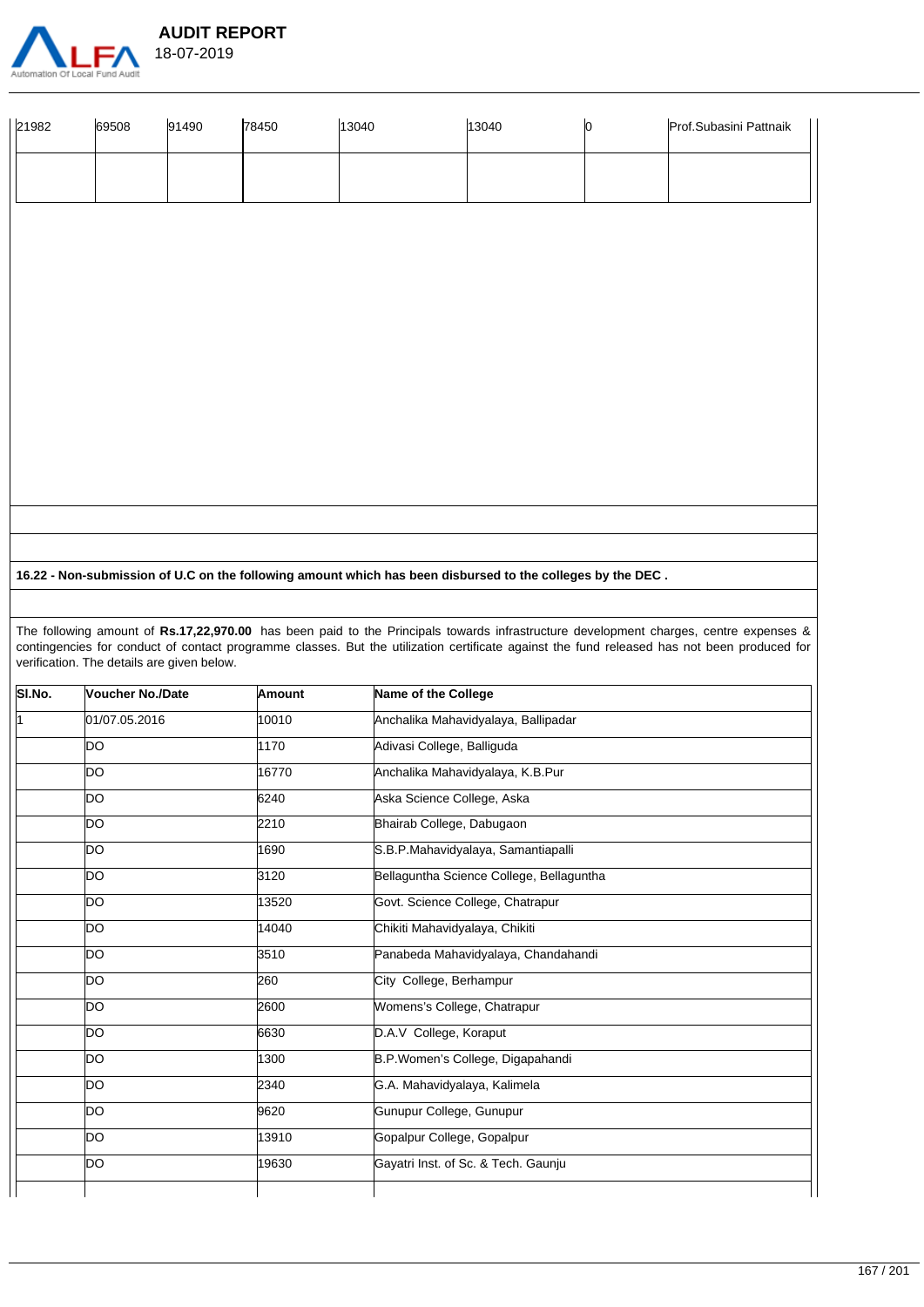

| 21982 | 69508 | 91490 | 78450 | 13040 | 13040 | $ 0\rangle$ | Prof.Subasini Pattnaik |
|-------|-------|-------|-------|-------|-------|-------------|------------------------|
|       |       |       |       |       |       |             |                        |
|       |       |       |       |       |       |             |                        |
|       |       |       |       |       |       |             |                        |
|       |       |       |       |       |       |             |                        |
|       |       |       |       |       |       |             |                        |
|       |       |       |       |       |       |             |                        |
|       |       |       |       |       |       |             |                        |
|       |       |       |       |       |       |             |                        |
|       |       |       |       |       |       |             |                        |

**16.22 - Non-submission of U.C on the following amount which has been disbursed to the colleges by the DEC .**

The following amount of **Rs.17,22,970.00** has been paid to the Principals towards infrastructure development charges, centre expenses & contingencies for conduct of contact programme classes. But the utilization certificate against the fund released has not been produced for verification. The details are given below.

| SI.No. | <b>Voucher No./Date</b> | Amount | Name of the College                      |
|--------|-------------------------|--------|------------------------------------------|
| 11     | 01/07.05.2016           | 10010  | Anchalika Mahavidyalaya, Ballipadar      |
|        | ÞО                      | 1170   | Adivasi College, Balliguda               |
|        | lDO.                    | 16770  | Anchalika Mahavidyalaya, K.B.Pur         |
|        | IDО                     | 6240   | Aska Science College, Aska               |
|        | lDO.                    | 2210   | Bhairab College, Dabugaon                |
|        | DО                      | 1690   | S.B.P.Mahavidyalaya, Samantiapalli       |
|        | DО                      | 3120   | Bellaguntha Science College, Bellaguntha |
|        | IDО                     | 13520  | Govt. Science College, Chatrapur         |
|        | þо                      | 14040  | Chikiti Mahavidyalaya, Chikiti           |
|        | lDO.                    | 3510   | Panabeda Mahavidyalaya, Chandahandi      |
|        | ÞО                      | 260    | City College, Berhampur                  |
|        | þо                      | 2600   | Womens's College, Chatrapur              |
|        | IDO.                    | 6630   | D.A.V College, Koraput                   |
|        | þо                      | 1300   | B.P.Women's College, Digapahandi         |
|        | IDO.                    | 2340   | G.A. Mahavidyalaya, Kalimela             |
|        | IDO.                    | 9620   | Gunupur College, Gunupur                 |
|        | DО                      | 13910  | Gopalpur College, Gopalpur               |
|        | IDO.                    | 19630  | Gayatri Inst. of Sc. & Tech. Gaunju      |
|        |                         |        |                                          |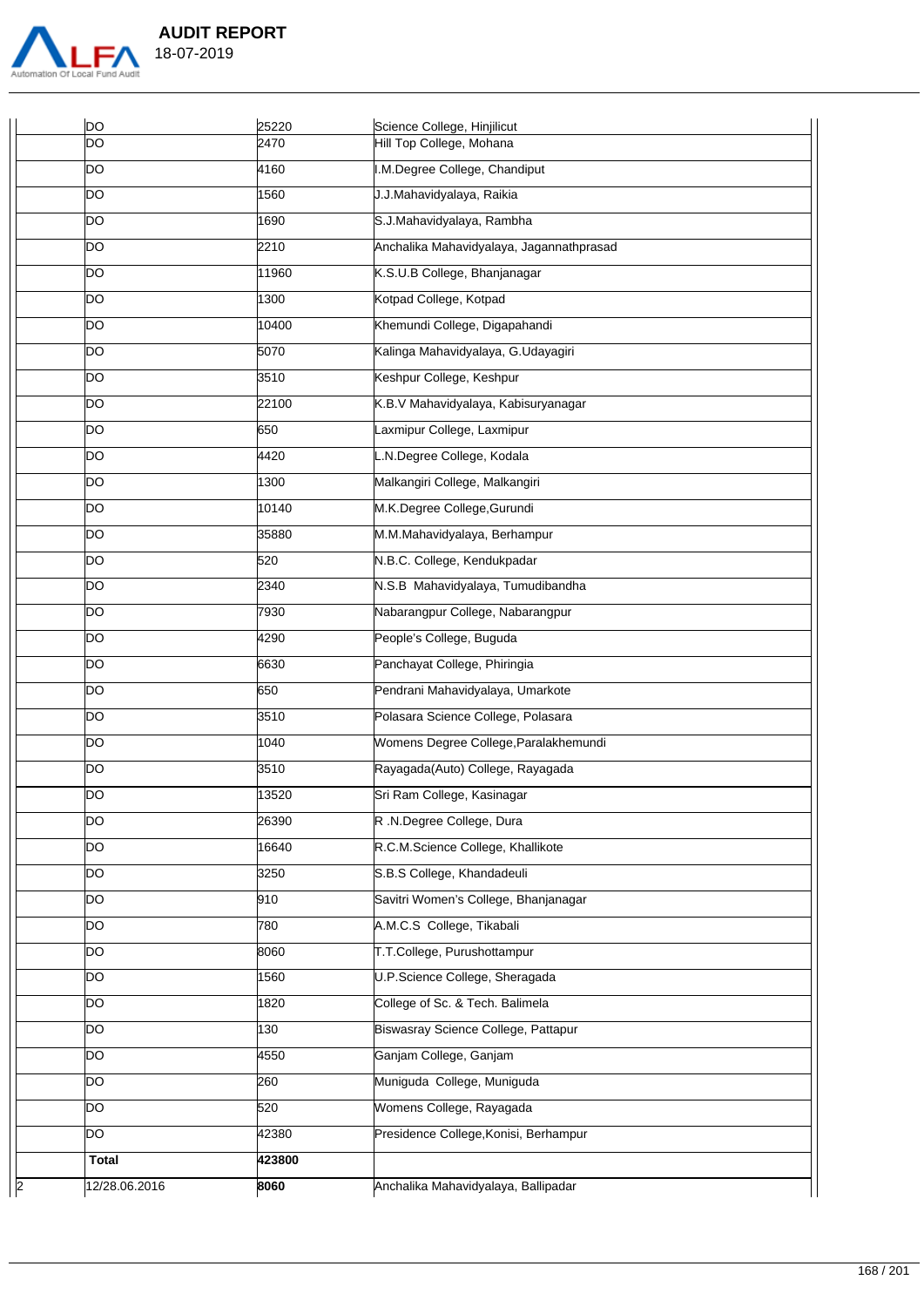

|   | þо<br>DO      | 25220<br>2470 | Science College, Hinjilicut<br>Hill Top College, Mohana |
|---|---------------|---------------|---------------------------------------------------------|
|   | DO            | 4160          | I.M.Degree College, Chandiput                           |
|   | DO            | 1560          | J.J.Mahavidyalaya, Raikia                               |
|   | lDО           | 1690          | S.J.Mahavidyalaya, Rambha                               |
|   | lDО           | 2210          | Anchalika Mahavidyalaya, Jagannathprasad                |
|   | lDО           | 11960         | K.S.U.B College, Bhanjanagar                            |
|   | DO            | 1300          | Kotpad College, Kotpad                                  |
|   | DO            | 10400         | Khemundi College, Digapahandi                           |
|   | lDО           | 5070          | Kalinga Mahavidyalaya, G.Udayagiri                      |
|   | DO            | 3510          | Keshpur College, Keshpur                                |
|   | lDО           | 22100         | K.B.V Mahavidyalaya, Kabisuryanagar                     |
|   | DO            | 650           | Laxmipur College, Laxmipur                              |
|   | DO            | 4420          | L.N.Degree College, Kodala                              |
|   | lDО           | 1300          | Malkangiri College, Malkangiri                          |
|   | DO            | 10140         | M.K.Degree College, Gurundi                             |
|   | lDО           | 35880         | M.M.Mahavidyalaya, Berhampur                            |
|   | DO            | 520           | N.B.C. College, Kendukpadar                             |
|   | DO            | 2340          | N.S.B Mahavidyalaya, Tumudibandha                       |
|   | lDО           | 7930          | Nabarangpur College, Nabarangpur                        |
|   | DO            | 4290          | People's College, Buguda                                |
|   | lDО           | 6630          | Panchayat College, Phiringia                            |
|   | lDО           | 650           | Pendrani Mahavidyalaya, Umarkote                        |
|   | DO            | 3510          | Polasara Science College, Polasara                      |
|   | lDО           | 1040          | Womens Degree College, Paralakhemundi                   |
|   | lDО           | 3510          | Rayagada(Auto) College, Rayagada                        |
|   | lDО           | 13520         | Sri Ram College, Kasinagar                              |
|   | þо            | 26390         | R .N.Degree College, Dura                               |
|   | DО            | 16640         | R.C.M.Science College, Khallikote                       |
|   | lDО           | 3250          | S.B.S College, Khandadeuli                              |
|   | DО            | 910           | Savitri Women's College, Bhanjanagar                    |
|   | lDО           | 780           | A.M.C.S College, Tikabali                               |
|   | þо            | 8060          | T.T.College, Purushottampur                             |
|   | DO            | 1560          | U.P.Science College, Sheragada                          |
|   | lDО           | 1820          | College of Sc. & Tech. Balimela                         |
|   | DО            | 130           | Biswasray Science College, Pattapur                     |
|   | DО            | 4550          | Ganjam College, Ganjam                                  |
|   | þо            | 260           | Muniguda College, Muniguda                              |
|   | DO            | 520           | Womens College, Rayagada                                |
|   | DО            | 42380         | Presidence College, Konisi, Berhampur                   |
|   | <b>Total</b>  | 423800        |                                                         |
| 2 | 12/28.06.2016 | 8060          | Anchalika Mahavidyalaya, Ballipadar                     |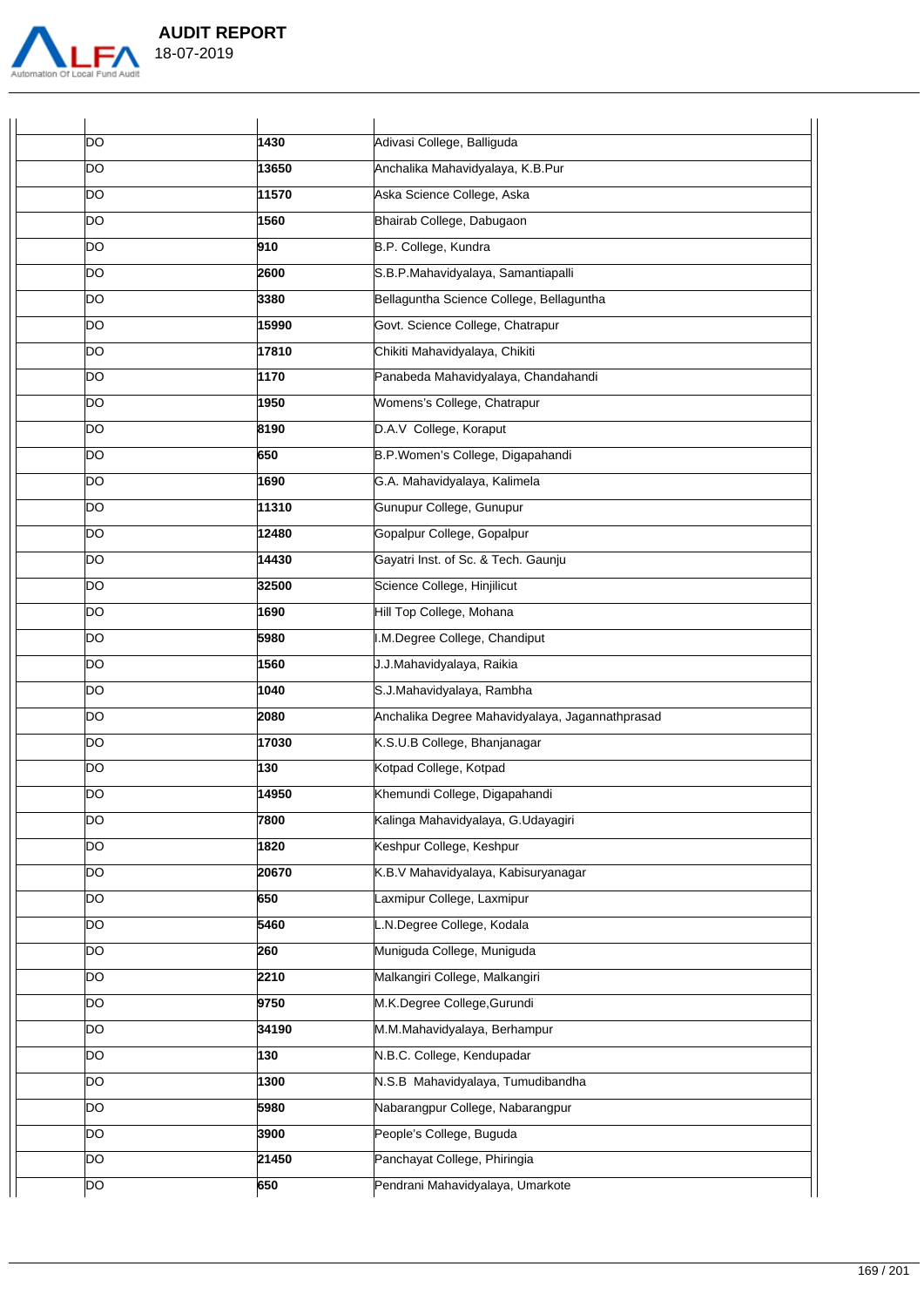

|                   | <b>AUDIT REPORT</b> |
|-------------------|---------------------|
| <b>19 07 2010</b> |                     |

18-07-2019

| lDО            | 1430  | Adivasi College, Balliguda                      |
|----------------|-------|-------------------------------------------------|
| þо             | 13650 | Anchalika Mahavidyalaya, K.B.Pur                |
| DO             | 11570 | Aska Science College, Aska                      |
| DО             | 1560  | Bhairab College, Dabugaon                       |
| lDО            | 910   | B.P. College, Kundra                            |
| þо             | 2600  | S.B.P.Mahavidyalaya, Samantiapalli              |
| DО             | 3380  | Bellaguntha Science College, Bellaguntha        |
| DO             | 15990 | Govt. Science College, Chatrapur                |
| þо             | 17810 | Chikiti Mahavidyalaya, Chikiti                  |
| lDО            | 1170  | Panabeda Mahavidyalaya, Chandahandi             |
| þо             | 1950  | Womens's College, Chatrapur                     |
| DО             | 8190  | D.A.V College, Koraput                          |
| DО             | 650   | B.P.Women's College, Digapahandi                |
| þо             | 1690  | G.A. Mahavidyalaya, Kalimela                    |
| þо             | 11310 | Gunupur College, Gunupur                        |
| þо             | 12480 | Gopalpur College, Gopalpur                      |
| þо             | 14430 | Gayatri Inst. of Sc. & Tech. Gaunju             |
| lDО            | 32500 | Science College, Hinjilicut                     |
| lDО            | 1690  | Hill Top College, Mohana                        |
| þо             | 5980  | I.M.Degree College, Chandiput                   |
| þо             | 1560  | J.J.Mahavidyalaya, Raikia                       |
| þо             | 1040  | S.J.Mahavidyalaya, Rambha                       |
| DО             | 2080  | Anchalika Degree Mahavidyalaya, Jagannathprasad |
| þо             | 17030 | K.S.U.B College, Bhanjanagar                    |
| þо             | 130   | Kotpad College, Kotpad                          |
| þо             | 14950 | Khemundi College, Digapahandi                   |
| þо             | 7800  | Kalinga Mahavidyalaya, G.Udayagiri              |
| þо             | 1820  | Keshpur College, Keshpur                        |
| þо             | 20670 | K.B.V Mahavidyalaya, Kabisuryanagar             |
| þо             | 650   | Laxmipur College, Laxmipur                      |
| þо             | 5460  | L.N.Degree College, Kodala                      |
| þо             | 260   | Muniguda College, Muniguda                      |
| DО             | 2210  | Malkangiri College, Malkangiri                  |
| DО             | 9750  | M.K.Degree College, Gurundi                     |
| þо             | 34190 | M.M.Mahavidyalaya, Berhampur                    |
| þо             | 130   | N.B.C. College, Kendupadar                      |
| þо             | 1300  | N.S.B Mahavidyalaya, Tumudibandha               |
| DО             | 5980  | Nabarangpur College, Nabarangpur                |
| DО             | 3900  | People's College, Buguda                        |
| þо             | 21450 | Panchayat College, Phiringia                    |
| $\overline{p}$ | 650   | Pendrani Mahavidyalaya, Umarkote                |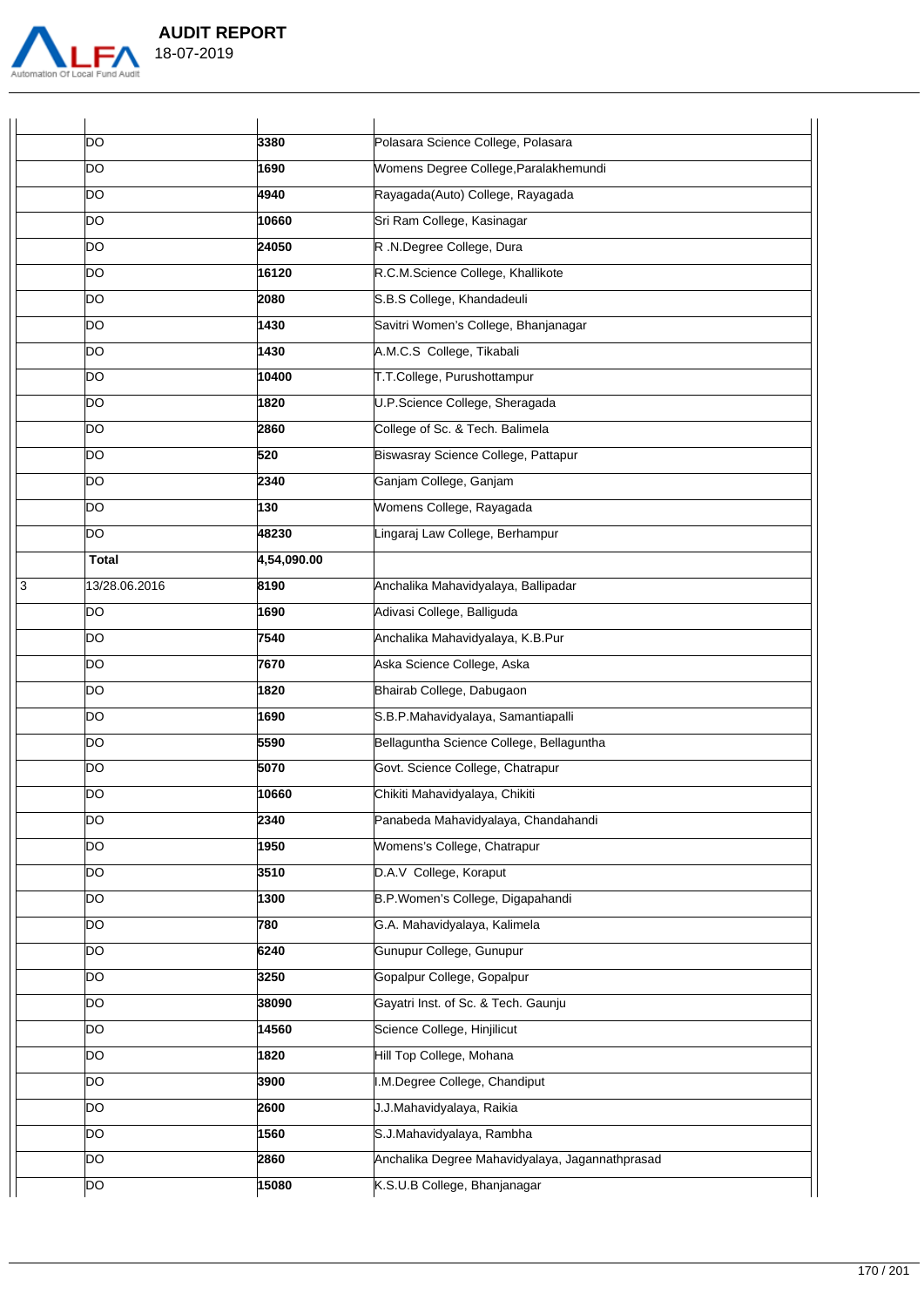

|            | <b>AUDIT REPORT</b> |
|------------|---------------------|
| 18-07-2019 |                     |

DO **3380** Polasara Science College, Polasara DO **1690** Womens Degree College,Paralakhemundi DO **4940** Rayagada(Auto) College, Rayagada **10660** Sri Ram College, Kasinagar DO **24050** R .N.Degree College, Dura DO **16120** R.C.M.Science College, Khallikote **2080** S.B.S College, Khandadeuli DO **1430** Savitri Women's College, Bhanjanagar **1430 A.M.C.S College, Tikabali 10400** T.T.College, Purushottampur DO **1820** U.P.Science College, Sheragada DO **2860** College of Sc. & Tech. Balimela **520 Biswasray Science College, Pattapur** DO **2340** Ganjam College, Ganjam **130** Womens College, Rayagada **130** DO **48230** Lingaraj Law College, Berhampur **Total 4,54,090.00** 3 13/28.06.2016 **8190** Anchalika Mahavidyalaya, Ballipadar DO **1690** Adivasi College, Balliguda DO **7540** Anchalika Mahavidyalaya, K.B.Pur **200 12670 Aska Science College, Aska 1820** Bhairab College, Dabugaon DO **1690** S.B.P.Mahavidyalaya, Samantiapalli DO **5590** Bellaguntha Science College, Bellaguntha **5070 Govt.** Science College, Chatrapur DO **10660** Chikiti Mahavidyalaya, Chikiti DO **2340** Panabeda Mahavidyalaya, Chandahandi DO **1950** Womens's College, Chatrapur DO **3510** D.A.V College, Koraput DO **1300** B.P.Women's College, Digapahandi DO **780** G.A. Mahavidyalaya, Kalimela **6240** Gunupur College, Gunupur **3250** Gopalpur College, Gopalpur DO **38090** Gayatri Inst. of Sc. & Tech. Gaunju **14560** Science College, Hinjilicut DO **1820** Hill Top College, Mohana DO **3900** I.M.Degree College, Chandiput DO **2600** J.J.Mahavidyalaya, Raikia DO **1560** S.J.Mahavidyalaya, Rambha DO **2860** Anchalika Degree Mahavidyalaya, Jagannathprasad

DO **15080** K.S.U.B College, Bhanjanagar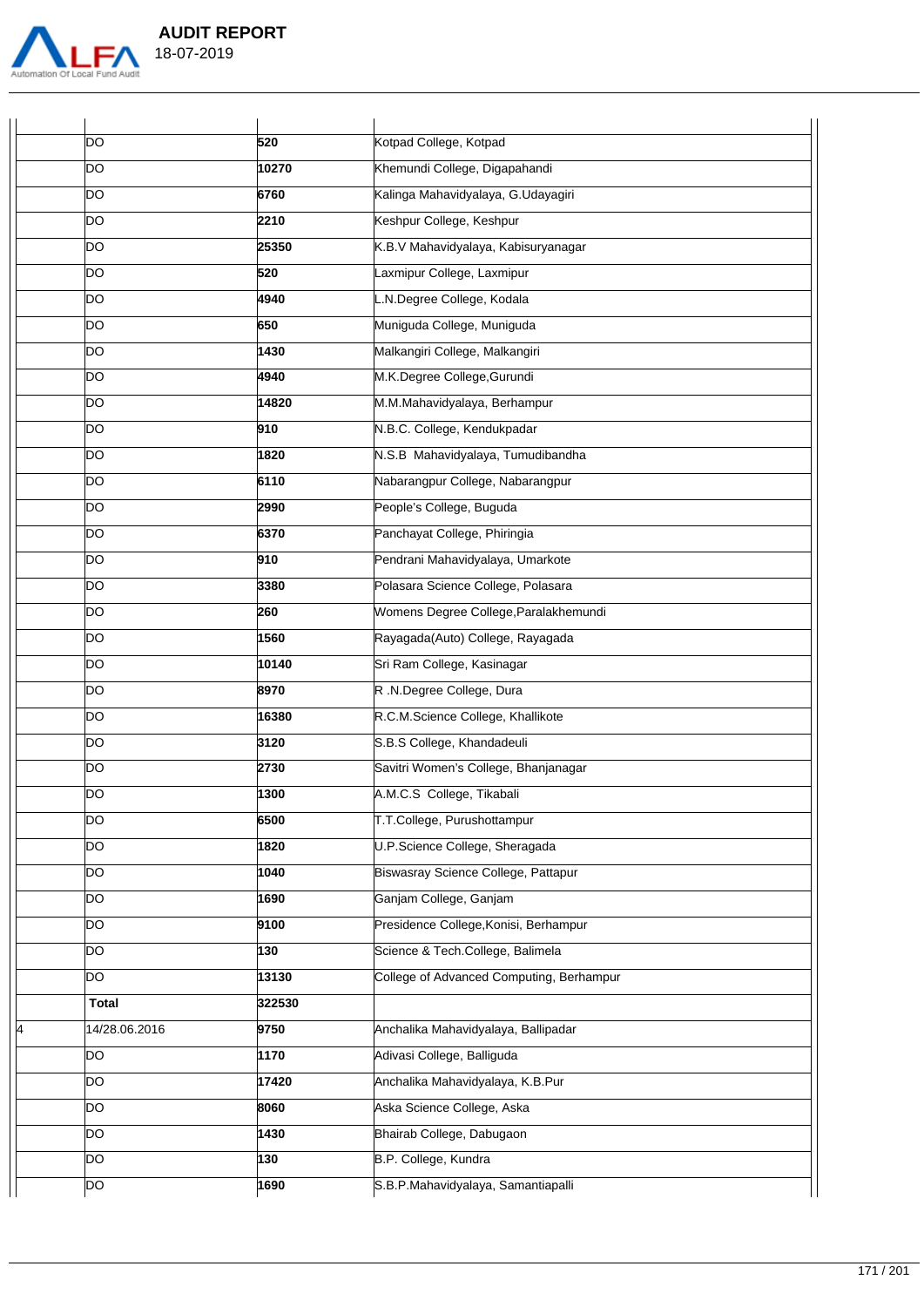

|                   | <b>AUDIT REPORT</b> |
|-------------------|---------------------|
| <b>19 07 2010</b> |                     |

18-07-2019

| lDО           | 520    | Kotpad College, Kotpad                   |
|---------------|--------|------------------------------------------|
| lDО           | 10270  | Khemundi College, Digapahandi            |
| IDО           | 6760   | Kalinga Mahavidyalaya, G.Udayagiri       |
| lро           | 2210   | Keshpur College, Keshpur                 |
| ÞО            | 25350  | K.B.V Mahavidyalaya, Kabisuryanagar      |
| þо            | 520    | Laxmipur College, Laxmipur               |
| lDО           | 4940   | L.N.Degree College, Kodala               |
| IDО           | 650    | Muniguda College, Muniguda               |
| þо            | 1430   | Malkangiri College, Malkangiri           |
| ÞО            | 4940   | M.K.Degree College, Gurundi              |
| þо            | 14820  | M.M.Mahavidyalaya, Berhampur             |
| lDО           | 910    | N.B.C. College, Kendukpadar              |
| IDО           | 1820   | N.S.B Mahavidyalaya, Tumudibandha        |
| þо            | 6110   | Nabarangpur College, Nabarangpur         |
| lDО           | 2990   | People's College, Buguda                 |
| þо            | 6370   | Panchayat College, Phiringia             |
| lDО           | 910    | Pendrani Mahavidyalaya, Umarkote         |
| IDО           | 3380   | Polasara Science College, Polasara       |
| lро           | 260    | Womens Degree College, Paralakhemundi    |
| lDО           | 1560   | Rayagada(Auto) College, Rayagada         |
| þо            | 10140  | Sri Ram College, Kasinagar               |
| lDО           | 8970   | R .N.Degree College, Dura                |
| IDО           | 16380  | R.C.M.Science College, Khallikote        |
| lро           | 3120   | S.B.S College, Khandadeuli               |
| lDО           | 2730   | Savitri Women's College, Bhanjanagar     |
| lDО           | 1300   | A.M.C.S College, Tikabali                |
| lDО           | 6500   | T.T.College, Purushottampur              |
| DО            | 1820   | U.P.Science College, Sheragada           |
| lDО           | 1040   | Biswasray Science College, Pattapur      |
| þо            | 1690   | Ganjam College, Ganjam                   |
| þо            | 9100   | Presidence College, Konisi, Berhampur    |
| þо            | 130    | Science & Tech.College, Balimela         |
| DО            | 13130  | College of Advanced Computing, Berhampur |
| <b>Total</b>  | 322530 |                                          |
| 14/28.06.2016 | 9750   | Anchalika Mahavidyalaya, Ballipadar      |
| DО            | 1170   | Adivasi College, Balliguda               |
| þо            | 17420  | Anchalika Mahavidyalaya, K.B.Pur         |
| DО            | 8060   | Aska Science College, Aska               |
| DО            | 1430   | Bhairab College, Dabugaon                |
| þо            | 130    | B.P. College, Kundra                     |
| DO            | 1690   | S.B.P.Mahavidyalaya, Samantiapalli       |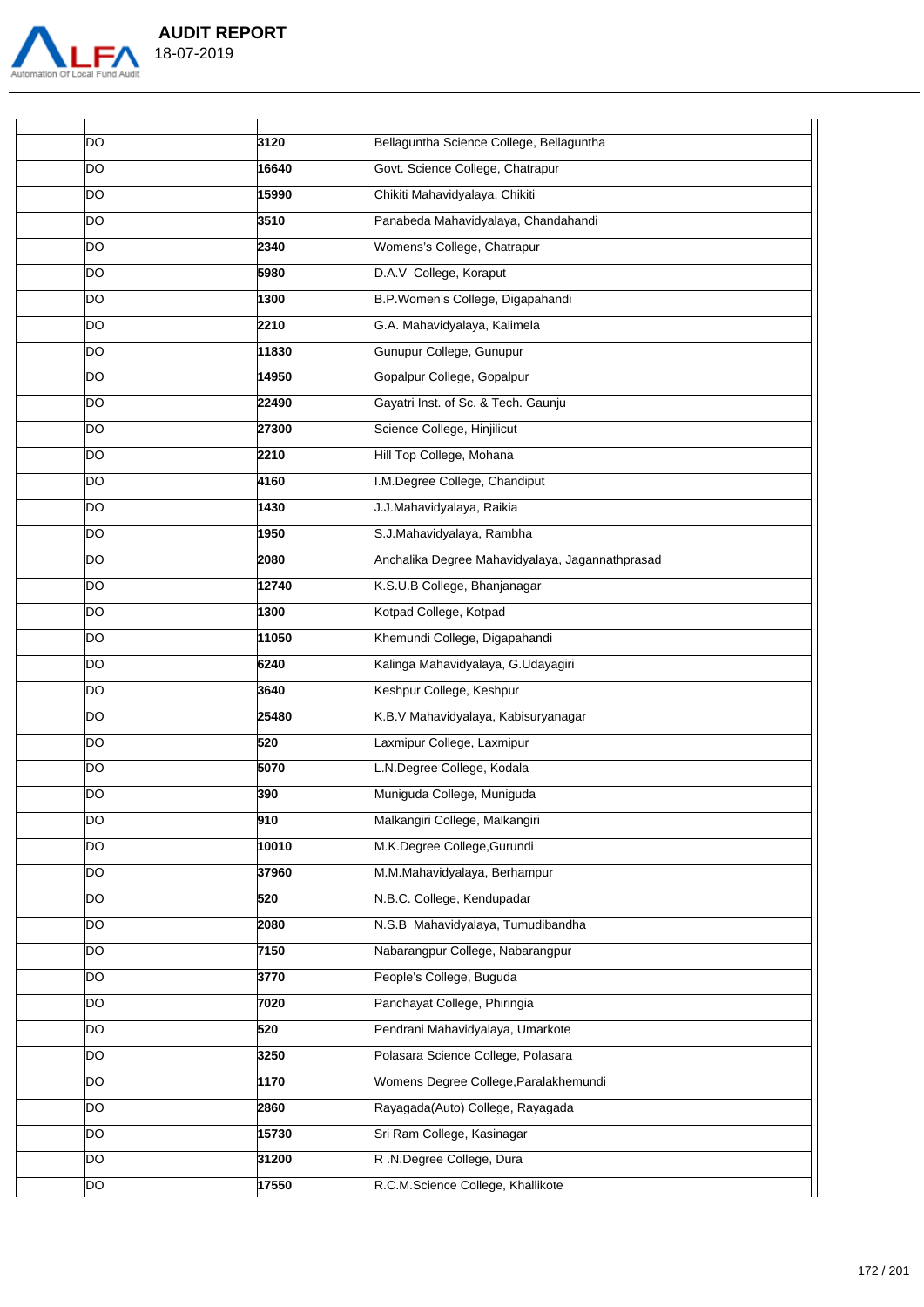

|            | <b>AUDIT REPORT</b> |
|------------|---------------------|
| 18-07-2019 |                     |

| lро            | 3120  | Bellaguntha Science College, Bellaguntha        |
|----------------|-------|-------------------------------------------------|
| þо             | 16640 | Govt. Science College, Chatrapur                |
| þо             | 15990 | Chikiti Mahavidyalaya, Chikiti                  |
| þо             | 3510  | Panabeda Mahavidyalaya, Chandahandi             |
| þо             | 2340  | Womens's College, Chatrapur                     |
| þо             | 5980  | D.A.V College, Koraput                          |
| DО             | 1300  | B.P.Women's College, Digapahandi                |
| DО             | 2210  | G.A. Mahavidyalaya, Kalimela                    |
| þо             | 11830 | Gunupur College, Gunupur                        |
| þо             | 14950 | Gopalpur College, Gopalpur                      |
| þо             | 22490 | Gayatri Inst. of Sc. & Tech. Gaunju             |
| DО             | 27300 | Science College, Hinjilicut                     |
| DО             | 2210  | Hill Top College, Mohana                        |
| þо             | 4160  | I.M.Degree College, Chandiput                   |
| þо             | 1430  | J.J.Mahavidyalaya, Raikia                       |
| þо             | 1950  | S.J.Mahavidyalaya, Rambha                       |
| DО             | 2080  | Anchalika Degree Mahavidyalaya, Jagannathprasad |
| DО             | 12740 | K.S.U.B College, Bhanjanagar                    |
| þо             | 1300  | Kotpad College, Kotpad                          |
| DО             | 11050 | Khemundi College, Digapahandi                   |
| þо             | 6240  | Kalinga Mahavidyalaya, G.Udayagiri              |
| DО             | 3640  | Keshpur College, Keshpur                        |
| DО             | 25480 | K.B.V Mahavidyalaya, Kabisuryanagar             |
| þо             | 520   | Laxmipur College, Laxmipur                      |
| DО             | 5070  | N.Degree College, Kodala                        |
| DО             | 390   | Muniguda College, Muniguda                      |
| lро            | 910   | Malkangiri College, Malkangiri                  |
| þо             | 10010 | M.K.Degree College, Gurundi                     |
| þо             | 37960 | M.M.Mahavidyalaya, Berhampur                    |
| DО             | 520   | N.B.C. College, Kendupadar                      |
| þо             | 2080  | N.S.B Mahavidyalaya, Tumudibandha               |
| þо             | 7150  | Nabarangpur College, Nabarangpur                |
| þо             | 3770  | People's College, Buguda                        |
| DО             | 7020  | Panchayat College, Phiringia                    |
| þо             | 520   | Pendrani Mahavidyalaya, Umarkote                |
| DO             | 3250  | Polasara Science College, Polasara              |
| þо             | 1170  | Womens Degree College, Paralakhemundi           |
| þо             | 2860  | Rayagada(Auto) College, Rayagada                |
| þо             | 15730 | Sri Ram College, Kasinagar                      |
| þо             | 31200 | R .N.Degree College, Dura                       |
| $\overline{p}$ | 17550 | R.C.M.Science College, Khallikote               |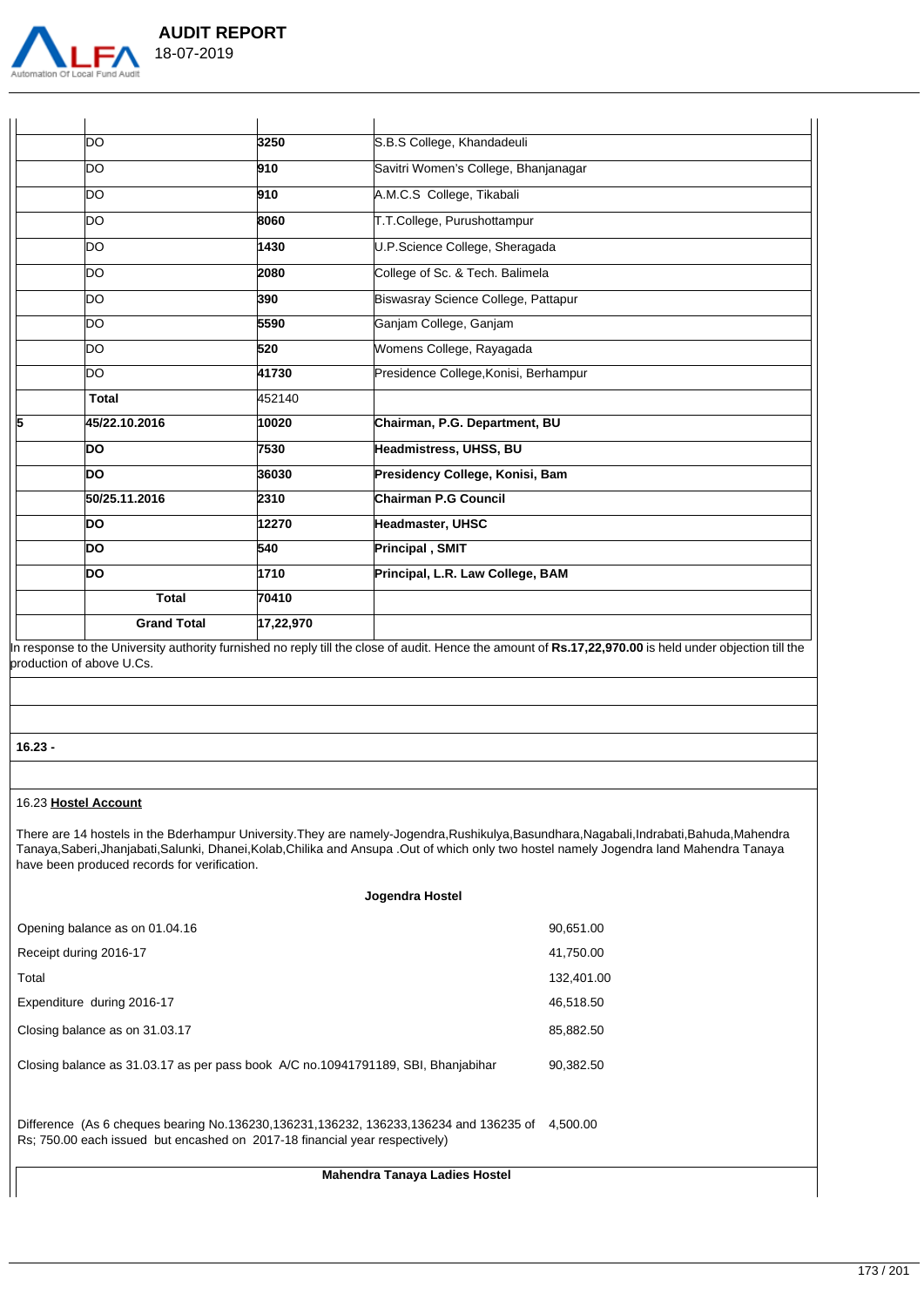

| lDО                | 3250               | S.B.S College, Khandadeuli            |
|--------------------|--------------------|---------------------------------------|
| lDО                | 910                | Savitri Women's College, Bhanjanagar  |
| þо                 | 910                | A.M.C.S College, Tikabali             |
| IDО                | 8060               | T.T.College, Purushottampur           |
| IDО                | 1430               | U.P.Science College, Sheragada        |
| þо                 | 2080               | College of Sc. & Tech. Balimela       |
| IDО                | 390                | Biswasray Science College, Pattapur   |
| IDО                | 5590               | Ganjam College, Ganjam                |
| lDO.               | 520                | Womens College, Rayagada              |
| lDO.               | 41730              | Presidence College, Konisi, Berhampur |
| <b>Total</b>       | 452140             |                                       |
| 45/22.10.2016      | 10020              | Chairman, P.G. Department, BU         |
| <b>DO</b>          | 7530               | Headmistress, UHSS, BU                |
| <b>DO</b>          | 36030              | Presidency College, Konisi, Bam       |
| 50/25.11.2016      | 2310               | Chairman P.G Council                  |
| <b>DO</b>          | 12270              | Headmaster, UHSC                      |
| <b>DO</b>          | 540                | Principal, SMIT                       |
| <b>DO</b>          | 1710               | Principal, L.R. Law College, BAM      |
| <b>Total</b>       | 70410              |                                       |
| <b>Grand Total</b> | $\sqrt{17,22,970}$ |                                       |

In response to the University authority furnished no reply till the close of audit. Hence the amount of **Rs.17,22,970.00** is held under objection till the production of above U.Cs.

## **16.23 -**

#### 16.23 **Hostel Account**

There are 14 hostels in the Bderhampur University.They are namely-Jogendra,Rushikulya,Basundhara,Nagabali,Indrabati,Bahuda,Mahendra Tanaya,Saberi,Jhanjabati,Salunki, Dhanei,Kolab,Chilika and Ansupa .Out of which only two hostel namely Jogendra land Mahendra Tanaya have been produced records for verification.

| Jogendra Hostel                                                                                                                                                         |            |
|-------------------------------------------------------------------------------------------------------------------------------------------------------------------------|------------|
| Opening balance as on 01.04.16                                                                                                                                          | 90.651.00  |
| Receipt during 2016-17                                                                                                                                                  | 41,750.00  |
| Total                                                                                                                                                                   | 132,401.00 |
| Expenditure during 2016-17                                                                                                                                              | 46,518.50  |
| Closing balance as on 31.03.17                                                                                                                                          | 85,882.50  |
| Closing balance as 31.03.17 as per pass book A/C no.10941791189, SBI, Bhanjabihar                                                                                       | 90,382.50  |
| Difference (As 6 cheques bearing No.136230, 136231, 136232, 136233, 136234 and 136235 of<br>Rs; 750.00 each issued but encashed on 2017-18 financial year respectively) | 4.500.00   |

**Mahendra Tanaya Ladies Hostel**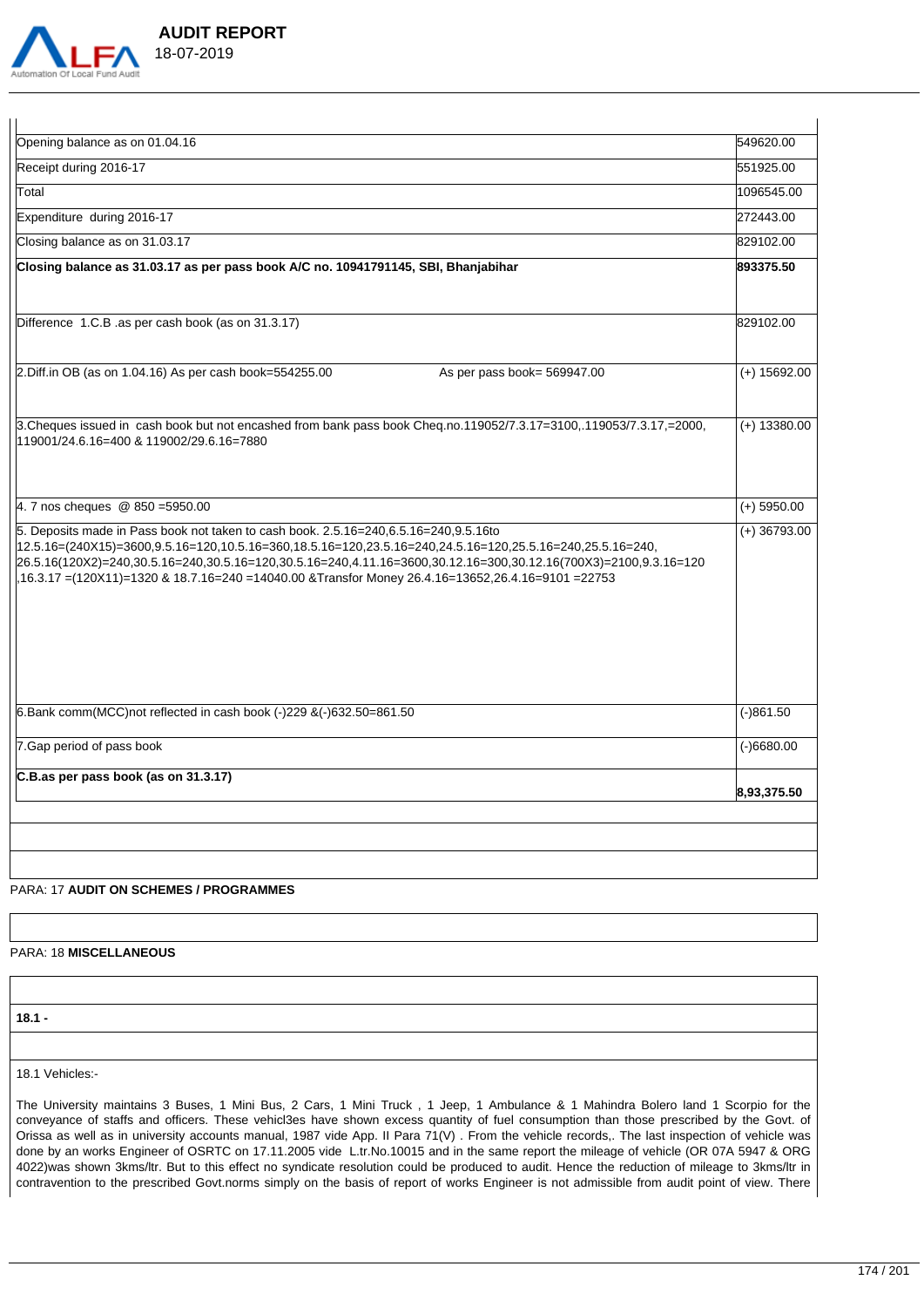

|                                                                                                                                                                                                                                                                                                                                                                                                                                                                                                                                                                      | 549620.00      |
|----------------------------------------------------------------------------------------------------------------------------------------------------------------------------------------------------------------------------------------------------------------------------------------------------------------------------------------------------------------------------------------------------------------------------------------------------------------------------------------------------------------------------------------------------------------------|----------------|
| Receipt during 2016-17                                                                                                                                                                                                                                                                                                                                                                                                                                                                                                                                               | 551925.00      |
| Total                                                                                                                                                                                                                                                                                                                                                                                                                                                                                                                                                                | 1096545.00     |
| Expenditure during 2016-17                                                                                                                                                                                                                                                                                                                                                                                                                                                                                                                                           | 272443.00      |
| Closing balance as on 31.03.17                                                                                                                                                                                                                                                                                                                                                                                                                                                                                                                                       | 829102.00      |
| Closing balance as 31.03.17 as per pass book A/C no. 10941791145, SBI, Bhanjabihar                                                                                                                                                                                                                                                                                                                                                                                                                                                                                   | 893375.50      |
| Difference 1.C.B .as per cash book (as on 31.3.17)                                                                                                                                                                                                                                                                                                                                                                                                                                                                                                                   | 829102.00      |
| 2. Diff.in OB (as on 1.04.16) As per cash book=554255.00<br>As per pass book= 569947.00                                                                                                                                                                                                                                                                                                                                                                                                                                                                              | $(+)$ 15692.00 |
| 3.Cheques issued in cash book but not encashed from bank pass book Cheq.no.119052/7.3.17=3100,.119053/7.3.17=2000,<br>119001/24.6.16=400 & 119002/29.6.16=7880                                                                                                                                                                                                                                                                                                                                                                                                       | $(+) 13380.00$ |
| 4. 7 nos cheques $@ 850 = 5950.00$                                                                                                                                                                                                                                                                                                                                                                                                                                                                                                                                   | $(+)$ 5950.00  |
| 5. Deposits made in Pass book not taken to cash book. $2.5.16=240,6.5.16=240,9.5.16$ to<br>$12.5.16 = (240X15) = 3600, 9.5.16 = 120, 10.5.16 = 360, 18.5.16 = 120, 23.5.16 = 240, 24.5.16 = 120, 25.5.16 = 240, 25.5.16 = 240, 25.5.16 = 240, 25.5.16 = 240, 25.5.16 = 240, 25.5.16 = 240, 25.5.16 = 240, 25.5.16 = 240, 25.5.16 = 240, 2$<br>l26.5.16(120X2)=240,30.5.16=240,30.5.16=120,30.5.16=240,4.11.16=3600,30.12.16=300,30.12.16(700X3)=2100,9.3.16=120<br>.16.3.17 =(120X11)=1320 & 18.7.16=240 =14040.00 &Transfor Money 26.4.16=13652,26.4.16=9101 =22753 | $(+)$ 36793.00 |
| 6. Bank comm(MCC)not reflected in cash book (-)229 &(-)632.50=861.50                                                                                                                                                                                                                                                                                                                                                                                                                                                                                                 | $(-)861.50$    |
| 7. Gap period of pass book                                                                                                                                                                                                                                                                                                                                                                                                                                                                                                                                           | $(-)6680.00$   |
|                                                                                                                                                                                                                                                                                                                                                                                                                                                                                                                                                                      |                |

# PARA: 18 **MISCELLANEOUS**

**18.1 -** 

18.1 Vehicles:-

The University maintains 3 Buses, 1 Mini Bus, 2 Cars, 1 Mini Truck , 1 Jeep, 1 Ambulance & 1 Mahindra Bolero land 1 Scorpio for the conveyance of staffs and officers. These vehicl3es have shown excess quantity of fuel consumption than those prescribed by the Govt. of Orissa as well as in university accounts manual, 1987 vide App. II Para 71(V) . From the vehicle records,. The last inspection of vehicle was done by an works Engineer of OSRTC on 17.11.2005 vide L.tr.No.10015 and in the same report the mileage of vehicle (OR 07A 5947 & ORG 4022)was shown 3kms/ltr. But to this effect no syndicate resolution could be produced to audit. Hence the reduction of mileage to 3kms/ltr in contravention to the prescribed Govt.norms simply on the basis of report of works Engineer is not admissible from audit point of view. There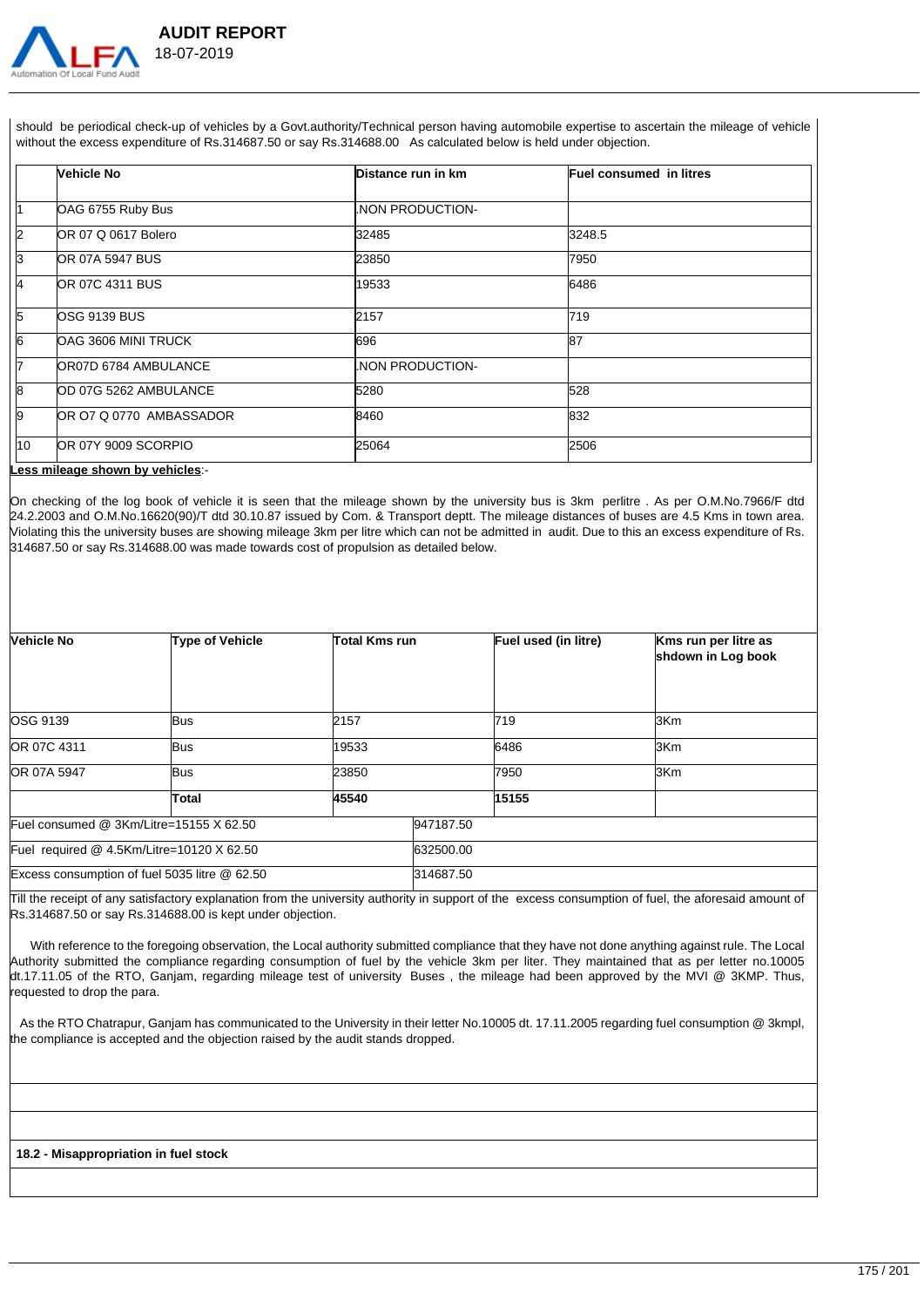

should be periodical check-up of vehicles by a Govt.authority/Technical person having automobile expertise to ascertain the mileage of vehicle without the excess expenditure of Rs.314687.50 or say Rs.314688.00 As calculated below is held under objection.

|                | Vehicle No                   | Distance run in km | <b>Fuel consumed in litres</b> |
|----------------|------------------------------|--------------------|--------------------------------|
|                | OAG 6755 Ruby Bus            | INON PRODUCTION-   |                                |
| 2              | OR 07 Q 0617 Bolero          | 32485              | 3248.5                         |
| ß              | <b>OR 07A 5947 BUS</b>       | 23850              | 7950                           |
| l4             | <b>OR 07C 4311 BUS</b>       | 19533              | 6486                           |
| 5              | OSG 9139 BUS                 | 2157               | 719                            |
| 6              | IOAG 3606 MINI TRUCK         | 696                | 87                             |
| 17             | IOR07D 6784 AMBULANCE        | INON PRODUCTION-   |                                |
| $\overline{8}$ | <b>OD 07G 5262 AMBULANCE</b> | 5280               | 528                            |
| 9              | OR O7 Q 0770 AMBASSADOR      | 8460               | 832                            |
| 10             | OR 07Y 9009 SCORPIO          | 25064              | 2506                           |

### **Less mileage shown by vehicles**:-

On checking of the log book of vehicle it is seen that the mileage shown by the university bus is 3km perlitre . As per O.M.No.7966/F dtd 24.2.2003 and O.M.No.16620(90)/T dtd 30.10.87 issued by Com. & Transport deptt. The mileage distances of buses are 4.5 Kms in town area. Violating this the university buses are showing mileage 3km per litre which can not be admitted in audit. Due to this an excess expenditure of Rs. 314687.50 or say Rs.314688.00 was made towards cost of propulsion as detailed below.

| <b>Vehicle No</b> | <b>Type of Vehicle</b>                        | Total Kms run | Fuel used (in litre) | Kms run per litre as<br>shdown in Log book |
|-------------------|-----------------------------------------------|---------------|----------------------|--------------------------------------------|
| <b>OSG 9139</b>   | <b>Bus</b>                                    | 2157          | 1719                 | 3Km                                        |
| OR 07C 4311       | <b>Bus</b>                                    | 19533         | 6486                 | 3Km                                        |
| OR 07A 5947       | <b>Bus</b>                                    | 23850         | 7950                 | 3Km                                        |
|                   | Total                                         | 45540         | 15155                |                                            |
|                   | Fuel consumed @ 3Km/Litre=15155 X 62.50       |               | 947187.50            |                                            |
|                   | Fuel required @ 4.5Km/Litre=10120 X 62.50     |               | 632500.00            |                                            |
|                   | Excess consumption of fuel 5035 litre @ 62.50 |               | 314687.50            |                                            |

Till the receipt of any satisfactory explanation from the university authority in support of the excess consumption of fuel, the aforesaid amount of Rs.314687.50 or say Rs.314688.00 is kept under objection.

With reference to the foregoing observation, the Local authority submitted compliance that they have not done anything against rule. The Local Authority submitted the compliance regarding consumption of fuel by the vehicle 3km per liter. They maintained that as per letter no.10005 dt.17.11.05 of the RTO, Ganjam, regarding mileage test of university Buses , the mileage had been approved by the MVI @ 3KMP. Thus, requested to drop the para.

 As the RTO Chatrapur, Ganjam has communicated to the University in their letter No.10005 dt. 17.11.2005 regarding fuel consumption @ 3kmpl, the compliance is accepted and the objection raised by the audit stands dropped.

#### **18.2 - Misappropriation in fuel stock**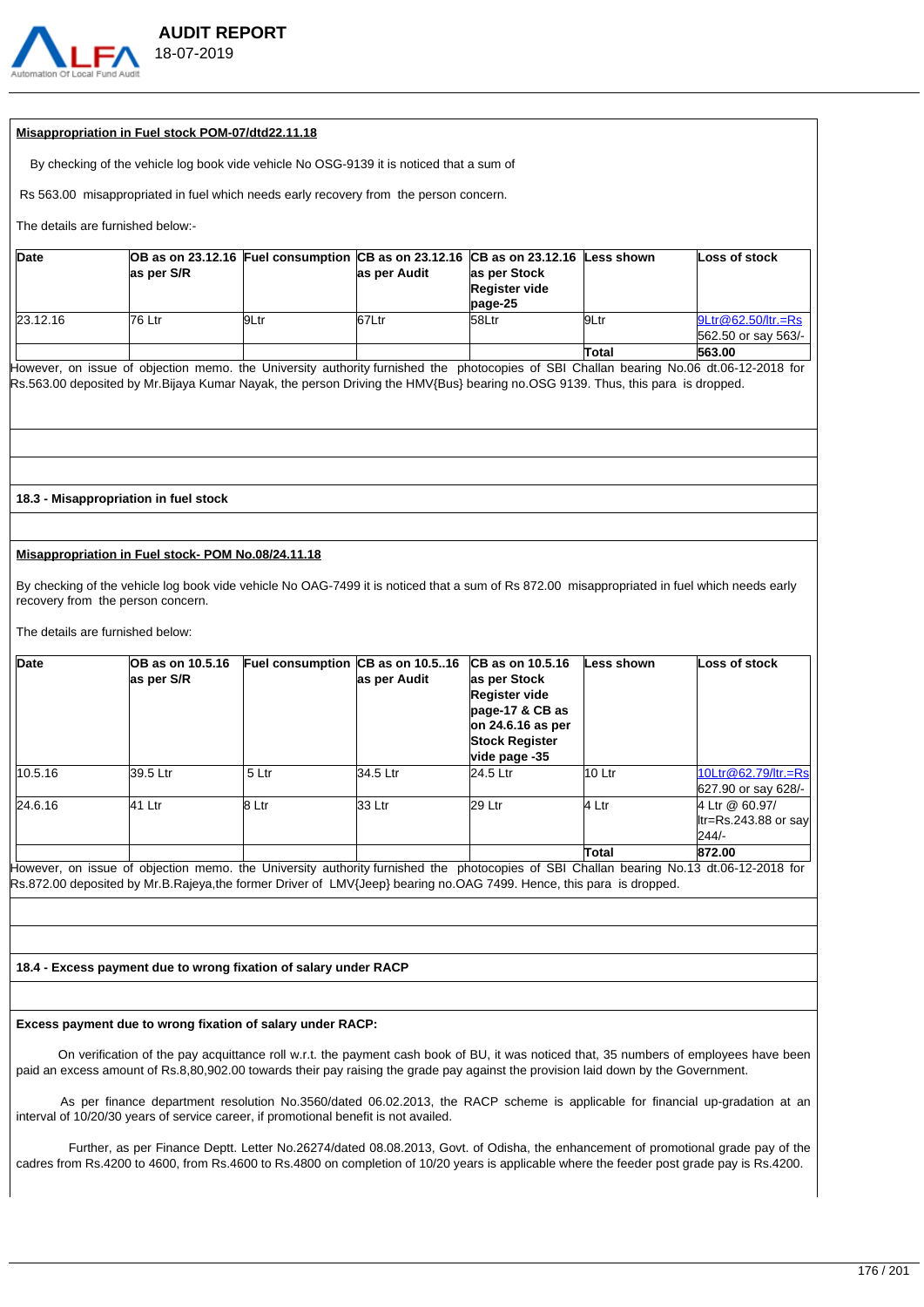

#### **Misappropriation in Fuel stock POM-07/dtd22.11.18**

By checking of the vehicle log book vide vehicle No OSG-9139 it is noticed that a sum of

Rs 563.00 misappropriated in fuel which needs early recovery from the person concern.

The details are furnished below:-

| Date     |            |      |               | OB as on 23.12.16 Fuel consumption CB as on 23.12.16 CB as on 23.12.16 Less shown |             | Loss of stock             |
|----------|------------|------|---------------|-----------------------------------------------------------------------------------|-------------|---------------------------|
|          | as per S/R |      | las per Audit | as per Stock                                                                      |             |                           |
|          |            |      |               | Register vide                                                                     |             |                           |
|          |            |      |               | $page-25$                                                                         |             |                           |
| 23.12.16 | 76 Ltr     | 9Ltr | 67Ltr         | 58Ltr                                                                             | <b>9Ltr</b> | $9$ Ltr $@62.50$ /ltr.=Rs |
|          |            |      |               |                                                                                   |             | 562.50 or say 563/-       |
|          |            |      |               |                                                                                   | lTotal      | 563.00                    |

However, on issue of objection memo. the University authority furnished the photocopies of SBI Challan bearing No.06 dt.06-12-2018 for Rs.563.00 deposited by Mr.Bijaya Kumar Nayak, the person Driving the HMV{Bus} bearing no.OSG 9139. Thus, this para is dropped.

**18.3 - Misappropriation in fuel stock**

# **Misappropriation in Fuel stock- POM No.08/24.11.18**

By checking of the vehicle log book vide vehicle No OAG-7499 it is noticed that a sum of Rs 872.00 misappropriated in fuel which needs early recovery from the person concern.

The details are furnished below:

| Date    | OB as on 10.5.16                                                                                                                       | Fuel consumption CB as on 10.516 |              | ICB as on 10.5.16     | Less shown | Loss of stock            |
|---------|----------------------------------------------------------------------------------------------------------------------------------------|----------------------------------|--------------|-----------------------|------------|--------------------------|
|         | as per S/R                                                                                                                             |                                  | as per Audit | as per Stock          |            |                          |
|         |                                                                                                                                        |                                  |              | Register vide         |            |                          |
|         |                                                                                                                                        |                                  |              | page-17 $&$ CB as     |            |                          |
|         |                                                                                                                                        |                                  |              | $ $ on 24.6.16 as per |            |                          |
|         |                                                                                                                                        |                                  |              | <b>Stock Register</b> |            |                          |
|         |                                                                                                                                        |                                  |              | vide page -35         |            |                          |
| 10.5.16 | 39.5 Ltr                                                                                                                               | 5 Ltr                            | 34.5 Ltr     | 24.5 Ltr              | l10 Ltr    | 10Ltr@62.79/ltr.=Rs      |
|         |                                                                                                                                        |                                  |              |                       |            | 627.90 or say 628/-      |
| 24.6.16 | 41 Ltr                                                                                                                                 | 8 Ltr                            | 33 Ltr       | $29$ Ltr              | 14 Ltr     | 4 Ltr @ 60.97/           |
|         |                                                                                                                                        |                                  |              |                       |            | $ltr = Rs.243.88$ or say |
|         |                                                                                                                                        |                                  |              |                       |            | $244/-$                  |
|         |                                                                                                                                        |                                  |              |                       | Total      | 872.00                   |
|         | However, on issue of objection memo. the University authority furnished the photocopies of SBI Challan bearing No.13 dt.06-12-2018 for |                                  |              |                       |            |                          |
|         | Rs.872.00 deposited by Mr.B.Rajeva,the former Driver of LMV{Jeep} bearing no.OAG 7499. Hence, this para is dropped.                    |                                  |              |                       |            |                          |

#### **18.4 - Excess payment due to wrong fixation of salary under RACP**

# **Excess payment due to wrong fixation of salary under RACP:**

 On verification of the pay acquittance roll w.r.t. the payment cash book of BU, it was noticed that, 35 numbers of employees have been paid an excess amount of Rs.8,80,902.00 towards their pay raising the grade pay against the provision laid down by the Government.

 As per finance department resolution No.3560/dated 06.02.2013, the RACP scheme is applicable for financial up-gradation at an interval of 10/20/30 years of service career, if promotional benefit is not availed.

 Further, as per Finance Deptt. Letter No.26274/dated 08.08.2013, Govt. of Odisha, the enhancement of promotional grade pay of the cadres from Rs.4200 to 4600, from Rs.4600 to Rs.4800 on completion of 10/20 years is applicable where the feeder post grade pay is Rs.4200.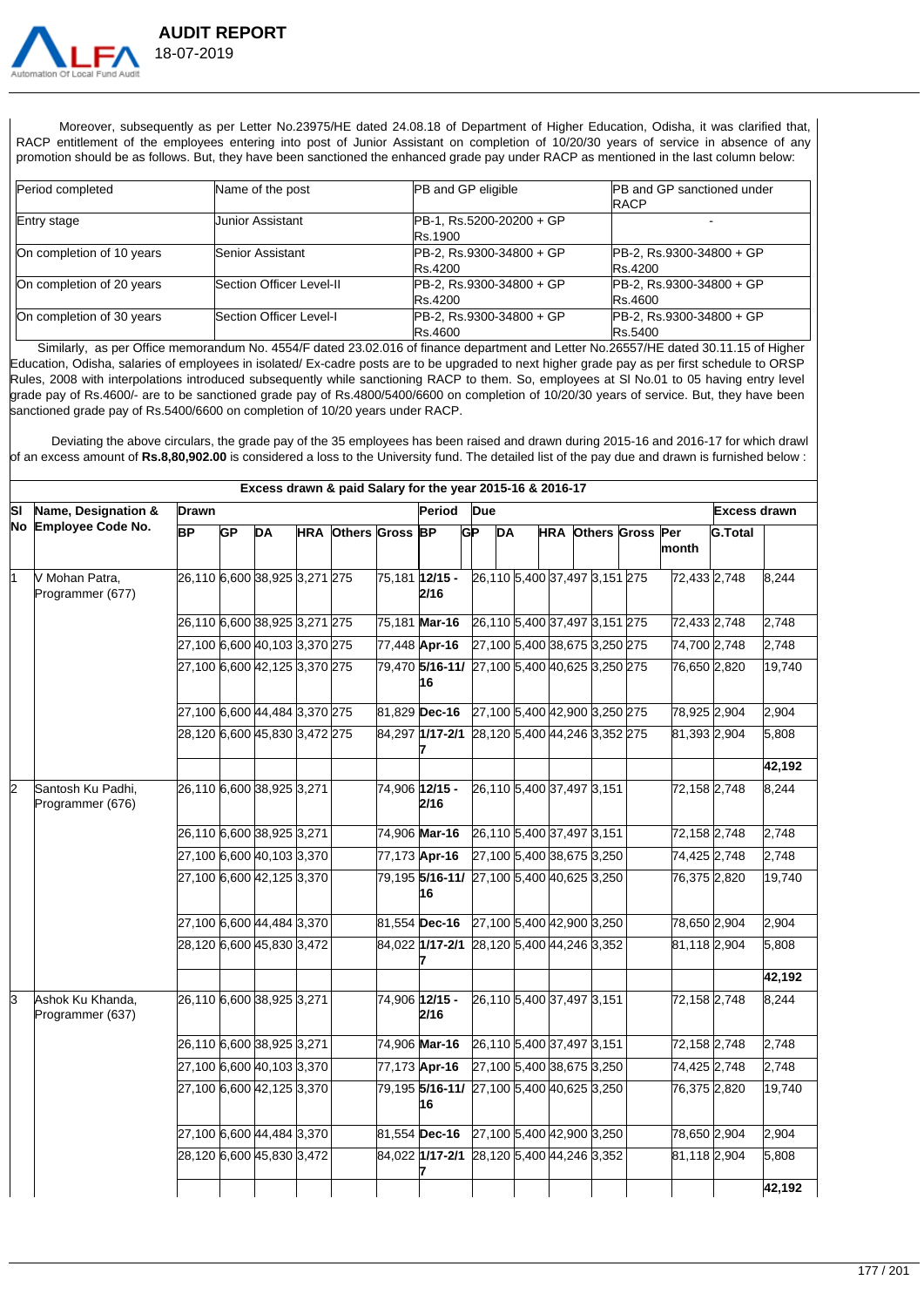

 Moreover, subsequently as per Letter No.23975/HE dated 24.08.18 of Department of Higher Education, Odisha, it was clarified that, RACP entitlement of the employees entering into post of Junior Assistant on completion of 10/20/30 years of service in absence of any promotion should be as follows. But, they have been sanctioned the enhanced grade pay under RACP as mentioned in the last column below:

| Period completed          | Name of the post         | <b>PB and GP eligible</b> | <b>PB</b> and GP sanctioned under |
|---------------------------|--------------------------|---------------------------|-----------------------------------|
|                           |                          |                           | <b>RACP</b>                       |
| Entry stage               | Uunior Assistant         | PB-1, Rs.5200-20200 + GP  |                                   |
|                           |                          | Rs.1900                   |                                   |
| On completion of 10 years | Senior Assistant         | PB-2, Rs.9300-34800 + GP  | $PB-2$ , Rs.9300-34800 + GP       |
|                           |                          | Rs.4200                   | <b>Rs.4200</b>                    |
| On completion of 20 years | Section Officer Level-II | PB-2, Rs.9300-34800 + GP  | PB-2, Rs.9300-34800 + GP          |
|                           |                          | Rs.4200                   | <b>Rs.4600</b>                    |
| On completion of 30 years | Section Officer Level-I  | PB-2, Rs.9300-34800 + GP  | $PB-2$ , Rs.9300-34800 + GP       |
|                           |                          | Rs.4600                   | Rs.5400                           |

 Similarly, as per Office memorandum No. 4554/F dated 23.02.016 of finance department and Letter No.26557/HE dated 30.11.15 of Higher Education, Odisha, salaries of employees in isolated/ Ex-cadre posts are to be upgraded to next higher grade pay as per first schedule to ORSP Rules, 2008 with interpolations introduced subsequently while sanctioning RACP to them. So, employees at Sl No.01 to 05 having entry level grade pay of Rs.4600/- are to be sanctioned grade pay of Rs.4800/5400/6600 on completion of 10/20/30 years of service. But, they have been sanctioned grade pay of Rs.5400/6600 on completion of 10/20 years under RACP.

 Deviating the above circulars, the grade pay of the 35 employees has been raised and drawn during 2015-16 and 2016-17 for which drawl of an excess amount of **Rs.8,80,902.00** is considered a loss to the University fund. The detailed list of the pay due and drawn is furnished below :

|     |                                       |       |           |                               |                            | Excess drawn & paid Salary for the year 2015-16 & 2016-17 |           |    |  |                               |                             |              |              |        |
|-----|---------------------------------------|-------|-----------|-------------------------------|----------------------------|-----------------------------------------------------------|-----------|----|--|-------------------------------|-----------------------------|--------------|--------------|--------|
| ΙSΙ | Name, Designation &                   | Drawn |           |                               |                            | Period                                                    | Due       |    |  |                               |                             |              | Excess drawn |        |
|     | No Employee Code No.                  | ВP    | <b>GP</b> | DA                            | <b>HRA Others Gross BP</b> |                                                           | <b>GP</b> | DA |  |                               | <b>HRA Others Gross Per</b> | month        | G.Total      |        |
| ł1  | V Mohan Patra,<br>Programmer (677)    |       |           | 26,110 6,600 38,925 3,271 275 |                            | 75,181 12/15 -<br>2/16                                    |           |    |  | 26,110 5,400 37,497 3,151 275 |                             | 72,433 2,748 |              | 8,244  |
|     |                                       |       |           | 26,110 6,600 38,925 3,271 275 |                            | 75,181 Mar-16                                             |           |    |  | 26,110 5,400 37,497 3,151 275 |                             | 72,433 2,748 |              | 2,748  |
|     |                                       |       |           | 27,100 6,600 40,103 3,370 275 |                            | 77,448 Apr-16                                             |           |    |  | 27,100 5,400 38,675 3,250 275 |                             | 74,700 2,748 |              | 2,748  |
|     |                                       |       |           | 27,100 6,600 42,125 3,370 275 |                            | 79,470 5/16-11/ 27,100 5,400 40,625 3,250 275<br>16       |           |    |  |                               |                             | 76,650 2,820 |              | 19,740 |
|     |                                       |       |           | 27,100 6,600 44,484 3,370 275 |                            | 81,829 Dec-16                                             |           |    |  | 27,100 5,400 42,900 3,250 275 |                             | 78,925 2,904 |              | 2,904  |
|     |                                       |       |           | 28,120 6,600 45,830 3,472 275 |                            | 84,297 1/17-2/1 28,120 5,400 44,246 3,352 275             |           |    |  |                               |                             | 81,393 2,904 |              | 5,808  |
|     |                                       |       |           |                               |                            |                                                           |           |    |  |                               |                             |              |              | 42,192 |
| 2   | Santosh Ku Padhi,<br>Programmer (676) |       |           | 26,110 6,600 38,925 3,271     |                            | 74,906 12/15 -<br>2/16                                    |           |    |  | 26,110 5,400 37,497 3,151     |                             | 72,158 2,748 |              | 8,244  |
|     |                                       |       |           | 26,110 6,600 38,925 3,271     |                            | 74,906 Mar-16                                             |           |    |  | 26,110 5,400 37,497 3,151     |                             | 72,158 2,748 |              | 2,748  |
|     |                                       |       |           | 27,100 6,600 40,103 3,370     |                            | 77,173 Apr-16                                             |           |    |  | 27,100 5,400 38,675 3,250     |                             | 74,425 2,748 |              | 2,748  |
|     |                                       |       |           | 27,100 6,600 42,125 3,370     |                            | 79,195 5/16-11/ 27,100 5,400 40,625 3,250<br>16           |           |    |  |                               |                             | 76,375 2,820 |              | 19,740 |
|     |                                       |       |           | 27,100 6,600 44,484 3,370     |                            | 81,554 <b>Dec-16</b>                                      |           |    |  | 27,100 5,400 42,900 3,250     |                             | 78,650 2,904 |              | 2,904  |
|     |                                       |       |           | 28,120 6,600 45,830 3,472     |                            | 84,022 1/17-2/1 28,120 5,400 44,246 3,352                 |           |    |  |                               |                             | 81,118 2,904 |              | 5,808  |
|     |                                       |       |           |                               |                            |                                                           |           |    |  |                               |                             |              |              | 42,192 |
| l3  | Ashok Ku Khanda,<br>Programmer (637)  |       |           | 26,110 6,600 38,925 3,271     |                            | 74,906 12/15 -<br>2/16                                    |           |    |  | 26,110 5,400 37,497 3,151     |                             | 72,158 2,748 |              | 8,244  |
|     |                                       |       |           | 26,110 6,600 38,925 3,271     |                            | 74,906 Mar-16                                             |           |    |  | 26,110 5,400 37,497 3,151     |                             | 72,158 2,748 |              | 2,748  |
|     |                                       |       |           | 27,100 6,600 40,103 3,370     |                            | 77,173 Apr-16                                             |           |    |  | 27,100 5,400 38,675 3,250     |                             | 74,425 2,748 |              | 2,748  |
|     |                                       |       |           | 27,100 6,600 42,125 3,370     |                            | 79,195 5/16-11/ 27,100 5,400 40,625 3,250<br>16           |           |    |  |                               |                             | 76,375 2,820 |              | 19,740 |
|     |                                       |       |           | 27,100 6,600 44,484 3,370     |                            | 81,554 Dec-16                                             |           |    |  | 27,100 5,400 42,900 3,250     |                             | 78,650 2,904 |              | 2,904  |
|     |                                       |       |           | 28,120 6,600 45,830 3,472     |                            | 84,022 1/17-2/1 28,120 5,400 44,246 3,352                 |           |    |  |                               |                             | 81,118 2,904 |              | 5,808  |
|     |                                       |       |           |                               |                            |                                                           |           |    |  |                               |                             |              |              | 42,192 |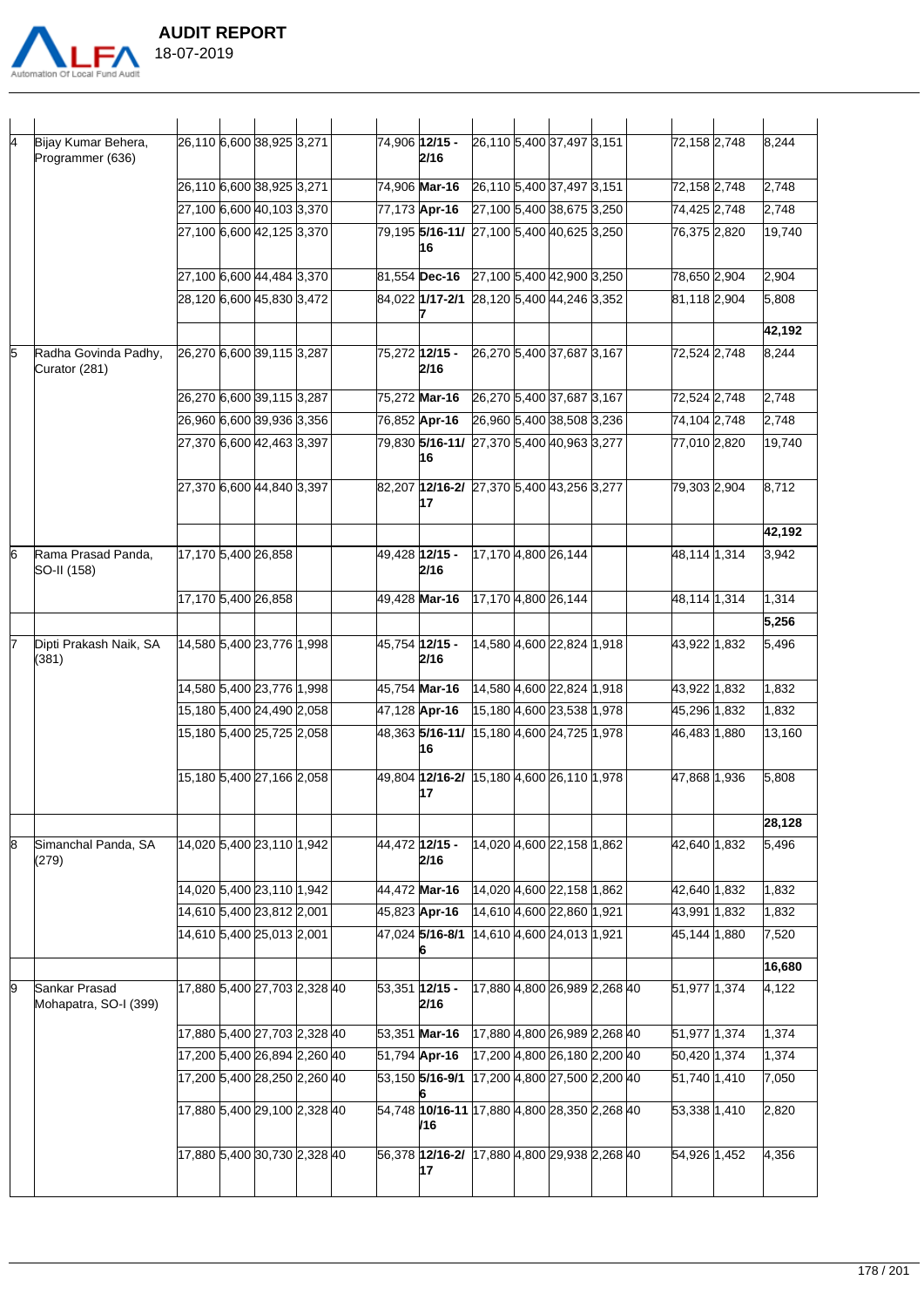

| 4 | Bijay Kumar Behera,<br>Programmer (636) |                           | 26,110 6,600 38,925 3,271    |  | 74,906 12/15 -<br>2/16                              | 26,110 5,400 37,497 3,151    |                              |  | 72,158 2,748 | 8,244           |
|---|-----------------------------------------|---------------------------|------------------------------|--|-----------------------------------------------------|------------------------------|------------------------------|--|--------------|-----------------|
|   |                                         |                           | 26,110 6,600 38,925 3,271    |  | 74,906 Mar-16                                       | 26,110 5,400 37,497 3,151    |                              |  | 72,158 2,748 | 2,748           |
|   |                                         |                           | 27,100 6,600 40,103 3,370    |  | 77,173 Apr-16                                       | 27,100 5,400 38,675 3,250    |                              |  | 74,425 2,748 | 2,748           |
|   |                                         |                           | 27,100 6,600 42,125 3,370    |  | 79,195 5/16-11/ 27,100 5,400 40,625 3,250<br>16     |                              |                              |  | 76,375 2,820 | 19,740          |
|   |                                         |                           | 27,100 6,600 44,484 3,370    |  | 81,554 Dec-16                                       | 27,100 5,400 42,900 3,250    |                              |  | 78,650 2,904 | 2,904           |
|   |                                         |                           | 28,120 6,600 45,830 3,472    |  | 84,022 1/17-2/1                                     | 28,120 5,400 44,246 3,352    |                              |  | 81,118 2,904 | 5,808           |
|   |                                         |                           |                              |  |                                                     |                              |                              |  |              | 42,192          |
| 5 | Radha Govinda Padhy,<br>Curator (281)   | 26,270 6,600 39,115 3,287 |                              |  | 75,272 <b>12/15 -</b><br>2/16                       | 26,270 5,400 37,687 3,167    |                              |  | 72,524 2,748 | 8,244           |
|   |                                         |                           | 26,270 6,600 39,115 3,287    |  | 75,272 <b>Mar-16</b>                                | 26,270 5,400 37,687 3,167    |                              |  | 72,524 2,748 | 2,748           |
|   |                                         |                           | 26,960 6,600 39,936 3,356    |  | 76,852 Apr-16                                       | 26,960 5,400 38,508 3,236    |                              |  | 74,104 2,748 | 2,748           |
|   |                                         |                           | 27,370 6,600 42,463 3,397    |  | 79,830 5/16-11/ 27,370 5,400 40,963 3,277<br>16     |                              |                              |  | 77,010 2,820 | 19,740          |
|   |                                         |                           | 27,370 6,600 44,840 3,397    |  | 82,207 12/16-2/ 27,370 5,400 43,256 3,277<br>17     |                              |                              |  | 79,303 2,904 | 8,712           |
|   |                                         |                           |                              |  |                                                     |                              |                              |  |              | 42,192          |
| 6 | Rama Prasad Panda,<br>SO-II (158)       |                           | 17,170 5,400 26,858          |  | 49,428 12/15 -<br>2/16                              |                              | 17,170 4,800 26,144          |  | 48,114 1,314 | 3,942           |
|   |                                         |                           | 17,170 5,400 26,858          |  | 49,428 Mar-16                                       | 17,170 4,800 26,144          |                              |  | 48,114 1,314 | 1,314           |
|   |                                         |                           |                              |  |                                                     |                              |                              |  |              | 5,256           |
|   | Dipti Prakash Naik, SA<br>(381)         |                           | 14,580 5,400 23,776 1,998    |  | 45,754 12/15 -<br>2/16                              |                              | 14,580 4,600 22,824  1,918   |  | 43,922 1,832 | 5,496           |
|   |                                         |                           | 14,580 5,400 23,776 1,998    |  | 45,754 <b>Mar-16</b>                                |                              | 14,580 4,600 22,824 1,918    |  | 43,922 1,832 | 1,832           |
|   |                                         |                           | 15,180 5,400 24,490 2,058    |  | 47,128 Apr-16                                       |                              | 15,180 4,600 23,538  1,978   |  | 45,296 1,832 | 1,832           |
|   |                                         |                           | 15,180 5,400 25,725 2,058    |  | 48,363 5/16-11/<br>16                               | 15,180 4,600 24,725 1,978    |                              |  | 46,483 1,880 | 13,160          |
|   |                                         |                           | 15,180 5,400 27,166 2,058    |  | 49,804 12/16-2/ 15,180 4,600 26,110 1,978<br>17     |                              |                              |  | 47,868 1,936 | 5,808           |
|   |                                         |                           |                              |  |                                                     |                              |                              |  |              | $\sqrt{28,128}$ |
| 8 | Simanchal Panda, SA<br>(279)            |                           | 14,020 5,400 23,110 1,942    |  | 44,472 12/15 -<br>2/16                              |                              | 14,020  4,600  22,158  1,862 |  | 42,640 1,832 | 5,496           |
|   |                                         |                           | 14,020 5,400 23,110 1,942    |  | 44,472 Mar-16                                       |                              | 1,862 4,600 22,158 1,862     |  | 42,640 1,832 | 1,832           |
|   |                                         |                           | 14,610 5,400 23,812 2,001    |  | 45,823 Apr-16                                       |                              | 14,610 4,600 22,860  1,921   |  | 43,991 1,832 | 1,832           |
|   |                                         |                           | 14,610 5,400 25,013 2,001    |  | 47,024 5/16-8/1<br>16                               | 14,610 4,600 24,013 1,921    |                              |  | 45,144 1,880 | 7,520           |
|   |                                         |                           |                              |  |                                                     |                              |                              |  |              | 16,680          |
| 9 | Sankar Prasad<br>Mohapatra, SO-I (399)  |                           | 17,880 5,400 27,703 2,328 40 |  | 53,351 12/15 -<br>2/16                              |                              | 17,880 4,800 26,989 2,268 40 |  | 51,977 1,374 | 4,122           |
|   |                                         |                           | 17,880 5,400 27,703 2,328 40 |  | 53,351 Mar-16                                       |                              | 17,880 4,800 26,989 2,268 40 |  | 51,977 1,374 | 1,374           |
|   |                                         |                           | 17,200 5,400 26,894 2,260 40 |  | 51,794 Apr-16                                       |                              | 17,200 4,800 26,180 2,200 40 |  | 50,420 1,374 | 1,374           |
|   |                                         |                           | 17,200 5,400 28,250 2,260 40 |  | 53,150 5/16-9/1                                     | 17,200 4,800 27,500 2,200 40 |                              |  | 51,740 1,410 | 7,050           |
|   |                                         |                           | 17,880 5,400 29,100 2,328 40 |  | 54,748 10/16-11 17,880 4,800 28,350 2,268 40<br>/16 |                              |                              |  | 53,338 1,410 | 2,820           |
|   |                                         |                           | 17,880 5,400 30,730 2,328 40 |  | 56,378 12/16-2/ 17,880 4,800 29,938 2,268 40<br>17  |                              |                              |  | 54,926 1,452 | 4,356           |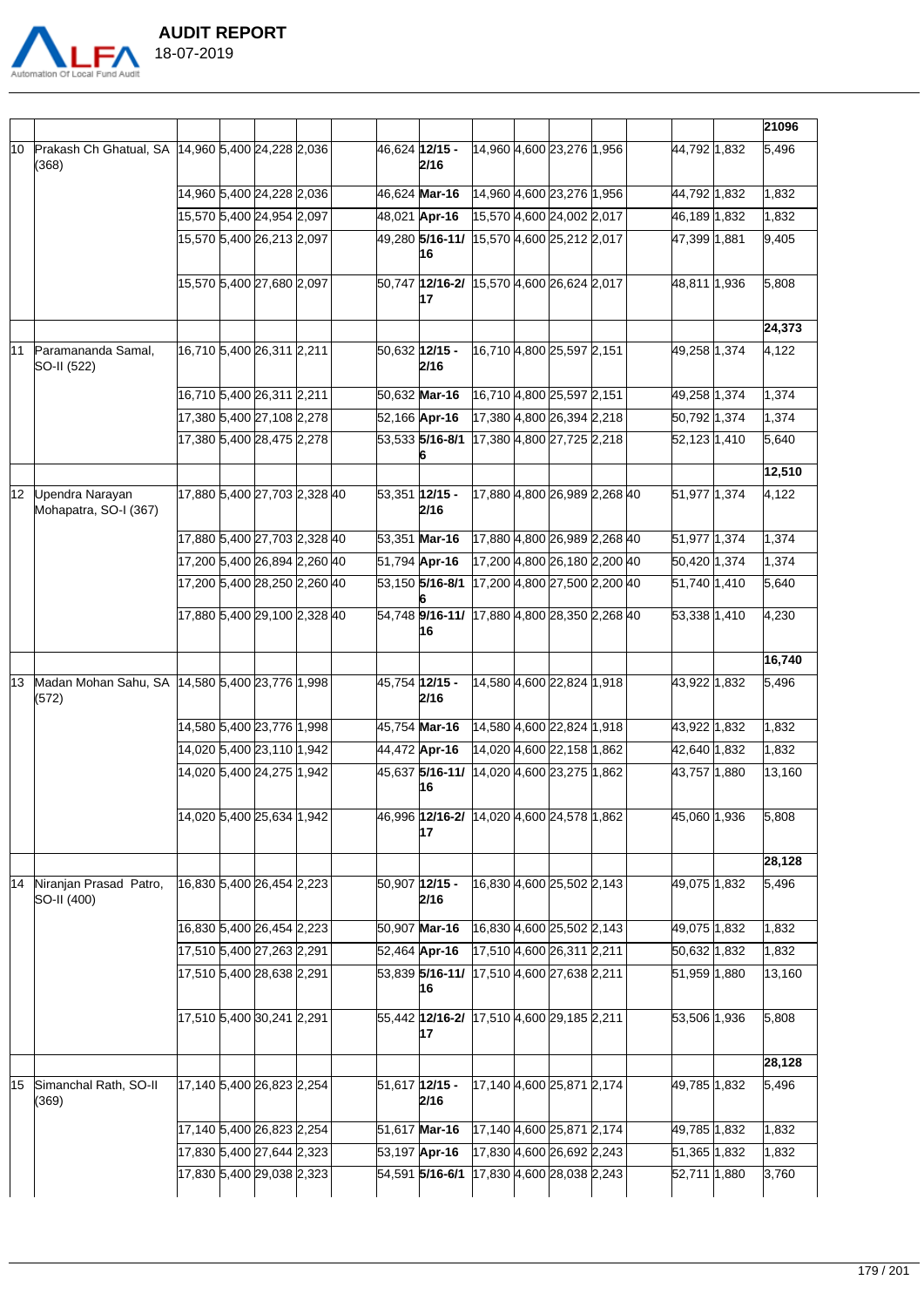

|    |                                                         |                           |                              |  |                |                                                    |  |                              |  |              | 21096  |
|----|---------------------------------------------------------|---------------------------|------------------------------|--|----------------|----------------------------------------------------|--|------------------------------|--|--------------|--------|
| 10 | Prakash Ch Ghatual, SA 14,960 5,400 24,228 2,036        |                           |                              |  | 46,624 12/15 - |                                                    |  | 14,960 4,600 23,276 1,956    |  | 44,792 1,832 | 5,496  |
|    | (368)                                                   |                           |                              |  |                | 2/16                                               |  |                              |  |              |        |
|    |                                                         |                           | 14,960 5,400 24,228 2,036    |  |                | 46,624 Mar-16                                      |  | 14,960 4,600 23,276 1,956    |  | 44,792 1,832 | 1,832  |
|    |                                                         |                           | 15,570 5,400 24,954 2,097    |  |                | 48,021 Apr-16                                      |  | 15,570 4,600 24,002 2,017    |  | 46,189 1,832 | 1,832  |
|    |                                                         |                           | 15,570 5,400 26,213 2,097    |  |                | 49,280 <b>5/16-11/</b><br>16                       |  | 15,570 4,600 25,212 2,017    |  | 47,399 1,881 | 9,405  |
|    |                                                         |                           | 15,570 5,400 27,680 2,097    |  |                | 50,747 12/16-2/ 15,570 4,600 26,624 2,017<br>17    |  |                              |  | 48,811 1,936 | 5,808  |
|    |                                                         |                           |                              |  |                |                                                    |  |                              |  |              | 24,373 |
|    | 11 Paramananda Samal,<br>SO-II (522)                    |                           | 16,710 5,400 26,311 2,211    |  | 50,632 12/15 - | 2/16                                               |  | 16,710 4,800 25,597 2,151    |  | 49,258 1,374 | 4,122  |
|    |                                                         |                           | 16,710 5,400 26,311 2,211    |  |                | 50,632 Mar-16                                      |  | 16,710 4,800 25,597 2,151    |  | 49,258 1,374 | 1,374  |
|    |                                                         |                           | 17,380 5,400 27,108 2,278    |  |                | 52,166 Apr-16                                      |  | 17,380 4,800 26,394 2,218    |  | 50,792 1,374 | 1,374  |
|    |                                                         |                           | 17,380 5,400 28,475 2,278    |  |                | 53,533 5/16-8/1 17,380 4,800 27,725 2,218<br>16    |  |                              |  | 52,123 1,410 | 5,640  |
|    |                                                         |                           |                              |  |                |                                                    |  |                              |  |              | 12,510 |
| 12 | Upendra Narayan<br>Mohapatra, SO-I (367)                |                           | 17,880 5,400 27,703 2,328 40 |  | 53,351 12/15 - | 2/16                                               |  | 17,880 4,800 26,989 2,268 40 |  | 51,977 1,374 | 4,122  |
|    |                                                         |                           | 17,880 5,400 27,703 2,328 40 |  |                | 53,351 Mar-16                                      |  | 17,880 4,800 26,989 2,268 40 |  | 51,977 1,374 | 1,374  |
|    |                                                         |                           | 17,200 5,400 26,894 2,260 40 |  | 51,794 Apr-16  |                                                    |  | 17,200 4,800 26,180 2,200 40 |  | 50,420 1,374 | 1,374  |
|    |                                                         |                           | 17,200 5,400 28,250 2,260 40 |  |                | 53,150 5/16-8/1 17,200 4,800 27,500 2,200 40       |  |                              |  | 51,740 1,410 | 5,640  |
|    |                                                         |                           | 17,880 5,400 29,100 2,328 40 |  |                | 54,748 9/16-11/ 17,880 4,800 28,350 2,268 40<br>16 |  |                              |  | 53,338 1,410 | 4,230  |
|    |                                                         |                           |                              |  |                |                                                    |  |                              |  |              | 16,740 |
| 13 | Madan Mohan Sahu, SA 14,580 5,400 23,776 1,998<br>(572) |                           |                              |  |                | 45,754 12/15 -<br>2/16                             |  | 14,580 4,600 22,824 1,918    |  | 43,922 1,832 | 5,496  |
|    |                                                         |                           | 14,580 5,400 23,776 1,998    |  |                | 45,754 Mar-16                                      |  | 14,580 4,600 22,824 1,918    |  | 43,922 1,832 | 1,832  |
|    |                                                         |                           | 14,020 5,400 23,110 1,942    |  |                | 44,472 Apr-16                                      |  | 14,020 4,600 22,158 1,862    |  | 42,640 1,832 | 1,832  |
|    |                                                         |                           | 14,020 5,400 24,275 1,942    |  |                | 45,637 5/16-11/ 14,020 4,600 23,275 1,862<br>16    |  |                              |  | 43,757 1,880 | 13,160 |
|    |                                                         |                           | 14,020 5,400 25,634 1,942    |  |                | 46,996 12/16-2/ 14,020 4,600 24,578 1,862<br>17    |  |                              |  | 45,060 1,936 | 5,808  |
|    |                                                         |                           |                              |  |                |                                                    |  |                              |  |              | 28,128 |
| 14 | Niranjan Prasad Patro,<br>SO-II (400)                   |                           | 16,830 5,400 26,454 2,223    |  | 50,907 12/15 - | 2/16                                               |  | 16,830 4,600 25,502 2,143    |  | 49,075 1,832 | 5,496  |
|    |                                                         |                           | 16,830 5,400 26,454 2,223    |  |                | 50,907 Mar-16                                      |  | 16,830 4,600 25,502 2,143    |  | 49,075 1,832 | 1,832  |
|    |                                                         |                           | 17,510 5,400 27,263 2,291    |  |                | 52,464 Apr-16                                      |  | 17,510 4,600 26,311 2,211    |  | 50,632 1,832 | 1,832  |
|    |                                                         |                           | 17,510 5,400 28,638 2,291    |  |                | 53,839 5/16-11/ 17,510 4,600 27,638 2,211<br>16    |  |                              |  | 51,959 1,880 | 13,160 |
|    |                                                         |                           | 17,510 5,400 30,241 2,291    |  |                | 55,442 12/16-2/ 17,510 4,600 29,185 2,211<br>17    |  |                              |  | 53,506 1,936 | 5,808  |
|    |                                                         |                           |                              |  |                |                                                    |  |                              |  |              | 28,128 |
| 15 | Simanchal Rath, SO-II<br>(369)                          |                           | 17,140 5,400 26,823 2,254    |  | 51,617 12/15 - | 2/16                                               |  | 17,140 4,600 25,871 2,174    |  | 49,785 1,832 | 5,496  |
|    |                                                         |                           |                              |  |                | 51,617 Mar-16                                      |  | 17,140 4,600 25,871 2,174    |  | 49,785 1,832 | 1,832  |
|    |                                                         |                           |                              |  |                |                                                    |  |                              |  |              |        |
|    |                                                         | 17,140 5,400 26,823 2,254 | 17,830 5,400 27,644 2,323    |  |                | 53,197 Apr-16                                      |  | 17,830 4,600 26,692 2,243    |  | 51,365 1,832 | 1,832  |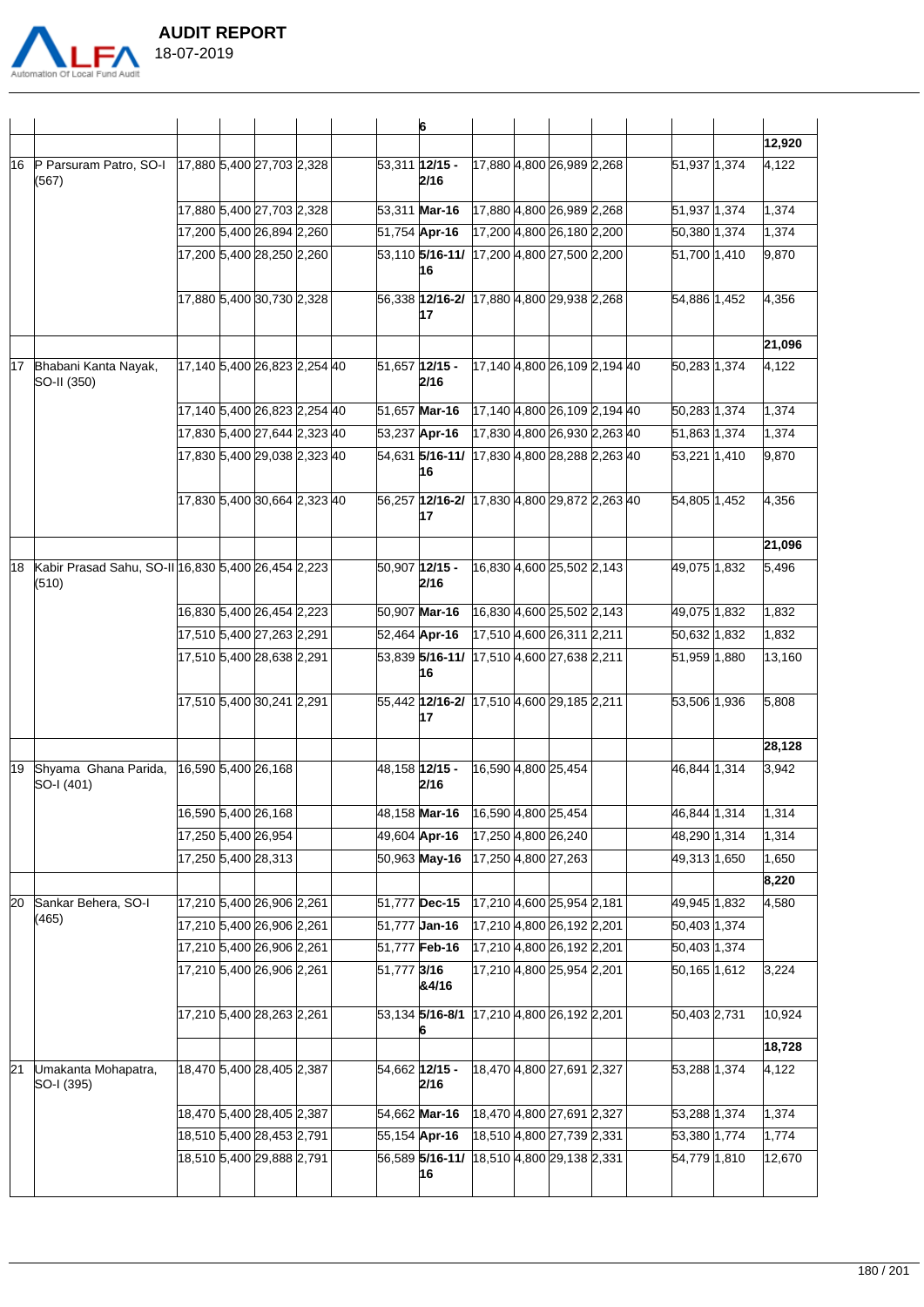

|    |                                                             |  |                              |  |             | 6                                                         |  |                              |  |              | 12,920 |
|----|-------------------------------------------------------------|--|------------------------------|--|-------------|-----------------------------------------------------------|--|------------------------------|--|--------------|--------|
| 16 | P Parsuram Patro, SO-I<br>(567)                             |  | 17,880 5,400 27,703 2,328    |  |             | 53,311 12/15 -<br>2/16                                    |  | 17,880 4,800 26,989 2,268    |  | 51,937 1,374 | 4,122  |
|    |                                                             |  | 17,880 5,400 27,703 2,328    |  |             | 53,311 Mar-16                                             |  | 17,880 4,800 26,989 2,268    |  | 51,937 1,374 | 1,374  |
|    |                                                             |  | 17,200 5,400 26,894 2,260    |  |             | 51,754 Apr-16                                             |  | 17,200 4,800 26,180 2,200    |  | 50,380 1,374 | 1,374  |
|    |                                                             |  | 17,200 5,400 28,250 2,260    |  |             | 53,110 5/16-11/ 17,200 4,800 27,500 2,200<br>16           |  |                              |  | 51,700 1,410 | 9,870  |
|    |                                                             |  | 17,880 5,400 30,730 2,328    |  |             | 56,338 12/16-2/<br>17                                     |  | 17,880 4,800 29,938 2,268    |  | 54,886 1,452 | 4,356  |
|    |                                                             |  |                              |  |             |                                                           |  |                              |  |              | 21,096 |
| 17 | Bhabani Kanta Nayak,<br>SO-II (350)                         |  | 17,140 5,400 26,823 2,254 40 |  |             | 51,657 12/15 -<br>2/16                                    |  | 17,140 4,800 26,109 2,194 40 |  | 50,283 1,374 | 4,122  |
|    |                                                             |  | 17,140 5,400 26,823 2,254 40 |  |             | 51,657 Mar-16                                             |  | 17,140 4,800 26,109 2,194 40 |  | 50,283 1,374 | 1,374  |
|    |                                                             |  | 17,830 5,400 27,644 2,323 40 |  |             | 53,237 Apr-16                                             |  | 17,830 4,800 26,930 2,263 40 |  | 51,863 1,374 | 1,374  |
|    |                                                             |  | 17,830 5,400 29,038 2,323 40 |  |             | 54,631 5/16-11/<br>16                                     |  | 17,830 4,800 28,288 2,263 40 |  | 53,221 1,410 | 9,870  |
|    |                                                             |  | 17,830 5,400 30,664 2,323 40 |  |             | 56,257 <b>12/16-2/</b> 17,830 4,800 29,872 2,263 40<br>17 |  |                              |  | 54,805 1,452 | 4,356  |
|    |                                                             |  |                              |  |             |                                                           |  |                              |  |              | 21,096 |
| 18 | Kabir Prasad Sahu, SO-II 16,830 5,400 26,454 2,223<br>(510) |  |                              |  |             | 50,907 12/15 -<br>2/16                                    |  | 16,830 4,600 25,502 2,143    |  | 49,075 1,832 | 5,496  |
|    |                                                             |  | 16,830 5,400 26,454 2,223    |  |             | 50,907 Mar-16                                             |  | 16,830 4,600 25,502 2,143    |  | 49,075 1,832 | 1,832  |
|    |                                                             |  | 17,510 5,400 27,263 2,291    |  |             | 52,464 Apr-16                                             |  | 17,510 4,600 26,311 2,211    |  | 50,632 1,832 | 1,832  |
|    |                                                             |  | 17,510 5,400 28,638 2,291    |  |             | 53,839 5/16-11/<br>16                                     |  | 17,510 4,600 27,638 2,211    |  | 51,959 1,880 | 13,160 |
|    |                                                             |  | 17,510 5,400 30,241 2,291    |  |             | 55,442 12/16-2/ 17,510 4,600 29,185 2,211<br>17           |  |                              |  | 53,506 1,936 | 5,808  |
|    |                                                             |  |                              |  |             |                                                           |  |                              |  |              | 28,128 |
| 19 | Shyama Ghana Parida,<br>SO-I (401)                          |  | 16,590 5,400 26,168          |  |             | 48,158 12/15 -<br>2/16                                    |  | 16,590 4,800 25,454          |  | 46,844 1,314 | 3,942  |
|    |                                                             |  | 16,590 5,400 26,168          |  |             | 48,158 Mar-16                                             |  | 16,590 4,800 25,454          |  | 46,844 1,314 | 1,314  |
|    |                                                             |  | 17,250 5,400 26,954          |  |             | 49,604 Apr-16                                             |  | 17,250 4,800 26,240          |  | 48,290 1,314 | 1,314  |
|    |                                                             |  | 17,250 5,400 28,313          |  |             | 50,963 <b>May-16</b>                                      |  | 17,250 4,800 27,263          |  | 49,313 1,650 | 1,650  |
|    |                                                             |  |                              |  |             |                                                           |  |                              |  |              | 8,220  |
| 20 | Sankar Behera, SO-I                                         |  | 17,210 5,400 26,906 2,261    |  |             | 51,777 Dec-15                                             |  | 17,210 4,600 25,954 2,181    |  | 49,945 1,832 | 4,580  |
|    | (465)                                                       |  | 17,210 5,400 26,906 2,261    |  |             | 51,777 Jan-16                                             |  | 17,210 4,800 26,192 2,201    |  | 50,403 1,374 |        |
|    |                                                             |  | 17,210 5,400 26,906 2,261    |  |             | 51,777 Feb-16                                             |  | 17,210 4,800 26,192 2,201    |  | 50,403 1,374 |        |
|    |                                                             |  | 17,210 5,400 26,906 2,261    |  | 51,777 3/16 | 84/16                                                     |  | 17,210 4,800 25,954 2,201    |  | 50,165 1,612 | 3,224  |
|    |                                                             |  | 17,210 5,400 28,263 2,261    |  |             | 53,134 5/16-8/1<br>16                                     |  | 17,210 4,800 26,192 2,201    |  | 50,403 2,731 | 10,924 |
|    |                                                             |  |                              |  |             |                                                           |  |                              |  |              | 18,728 |
| 21 | Umakanta Mohapatra,<br>SO-I (395)                           |  | 18,470 5,400 28,405 2,387    |  |             | 54,662 12/15 -<br>2/16                                    |  | 18,470 4,800 27,691 2,327    |  | 53,288 1,374 | 4,122  |
|    |                                                             |  | 18,470 5,400 28,405 2,387    |  |             | 54,662 Mar-16                                             |  | 18,470 4,800 27,691 2,327    |  | 53,288 1,374 | 1,374  |
|    |                                                             |  | 18,510 5,400 28,453 2,791    |  |             | 55,154 Apr-16                                             |  | 18,510 4,800 27,739 2,331    |  | 53,380 1,774 | 1,774  |
|    |                                                             |  | 18,510 5,400 29,888 2,791    |  |             | 56,589 5/16-11/<br>16                                     |  | 18,510 4,800 29,138 2,331    |  | 54,779 1,810 | 12,670 |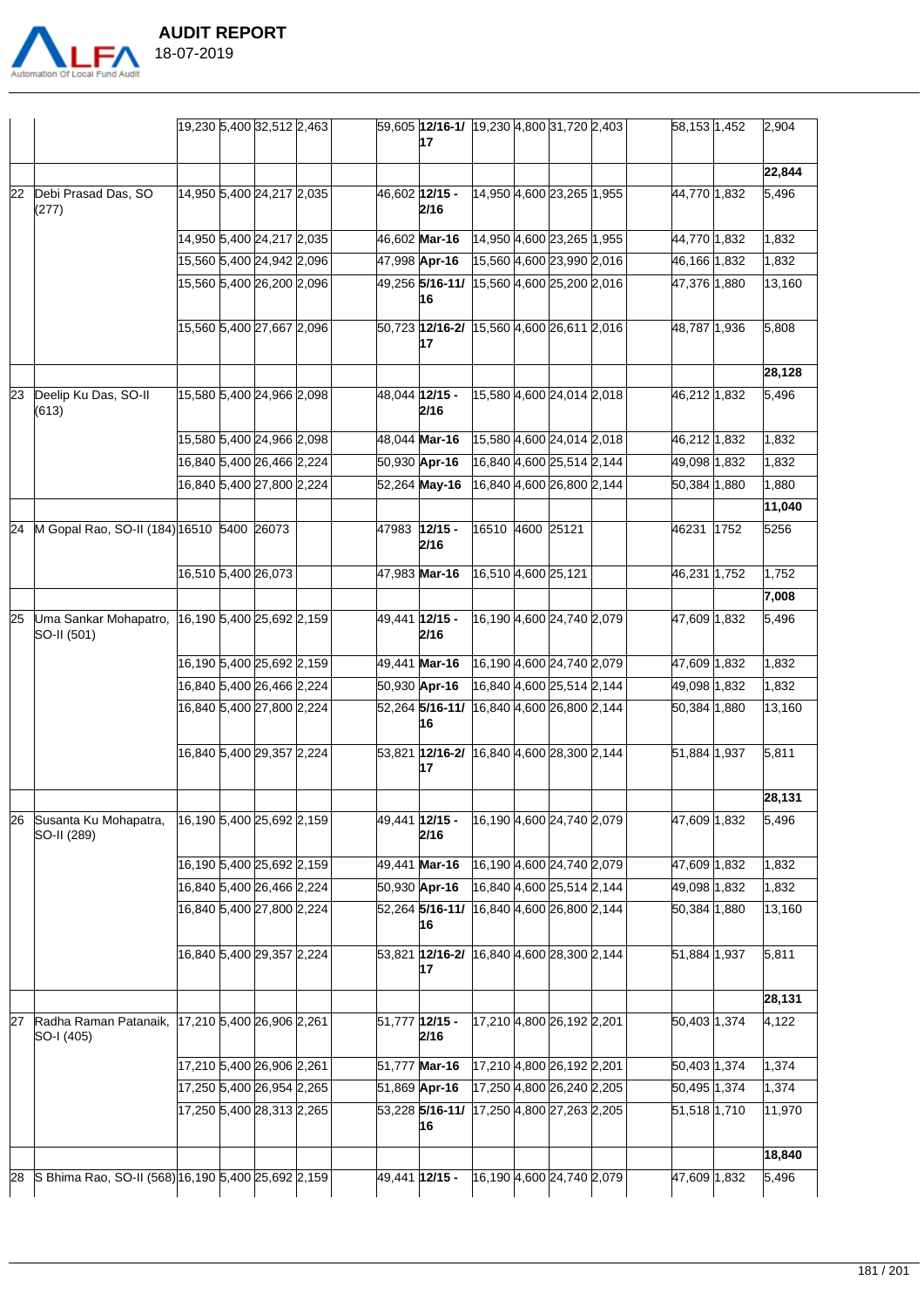

|            | <b>AUDIT REPORT</b> |
|------------|---------------------|
| 18-07-2019 |                     |

|    |                                                    |  | 19,230 5,400 32,512 2,463 |  | 59,605 12/16-1/ 19,230 4,800 31,720 2,403<br>17 |                           |                           | 58,153 1,452 | 2,904          |
|----|----------------------------------------------------|--|---------------------------|--|-------------------------------------------------|---------------------------|---------------------------|--------------|----------------|
|    |                                                    |  |                           |  |                                                 |                           |                           |              | 22,844         |
| 22 | Debi Prasad Das, SO<br>(277)                       |  | 14,950 5,400 24,217 2,035 |  | 46,602 12/15 -<br>2/16                          | 14,950 4,600 23,265 1,955 |                           | 44,770 1.832 | 5,496          |
|    |                                                    |  | 14,950 5,400 24,217 2,035 |  | 46,602 Mar-16                                   | 14,950 4,600 23,265 1,955 |                           | 44,770 1,832 | 1,832          |
|    |                                                    |  | 15,560 5,400 24,942 2,096 |  | 47,998 Apr-16                                   | 15,560 4,600 23,990 2,016 |                           | 46,166 1,832 | 1,832          |
|    |                                                    |  | 15,560 5,400 26,200 2,096 |  | 49,256 5/16-11/<br>16                           | 15,560 4,600 25,200 2,016 |                           | 47,376 1,880 | 13,160         |
|    |                                                    |  | 15,560 5,400 27,667 2,096 |  | 50,723 12/16-2/ 15,560 4,600 26,611 2,016<br>17 |                           |                           | 48,787 1,936 | 5,808          |
|    |                                                    |  |                           |  |                                                 |                           |                           |              | 28,128         |
| 23 | Deelip Ku Das, SO-II<br>(613)                      |  | 15,580 5,400 24,966 2,098 |  | 48,044 12/15 -<br>2/16                          | 15,580 4,600 24,014 2,018 |                           | 46,212 1,832 | 5,496          |
|    |                                                    |  | 15,580 5,400 24,966 2,098 |  | 48,044 Mar-16                                   | 15,580 4,600 24,014 2,018 |                           | 46,212 1,832 | 1,832          |
|    |                                                    |  | 16,840 5,400 26,466 2,224 |  | 50,930 Apr-16                                   |                           | 16,840 4,600 25,514 2,144 | 49,098 1,832 | 1,832          |
|    |                                                    |  | 16,840 5,400 27,800 2,224 |  | 52,264 May-16                                   | 16,840 4,600 26,800 2,144 |                           | 50,384 1,880 | 1,880          |
|    |                                                    |  |                           |  |                                                 |                           |                           |              | 11,040         |
| 24 | M Gopal Rao, SO-II (184) 16510 5400 26073          |  |                           |  | 47983 12/15 -<br>2/16                           | 16510 4600 25121          |                           | 46231 1752   | 5256           |
|    |                                                    |  | 16,510 5,400 26,073       |  | 47,983 Mar-16                                   | 16,510 4,600 25,121       |                           | 46,231 1,752 | 1,752          |
| 25 | Uma Sankar Mohapatro,<br>SO-II (501)               |  | 16,190 5,400 25,692 2,159 |  | 49,441 12/15 -<br>2/16                          |                           | 16,190 4,600 24,740 2,079 | 47,609 1,832 | 7,008<br>5,496 |
|    |                                                    |  | 16,190 5,400 25,692 2,159 |  | 49,441 Mar-16                                   | 16,190 4,600 24,740 2,079 |                           | 47,609 1,832 | 1,832          |
|    |                                                    |  | 16,840 5,400 26,466 2,224 |  | 50,930 Apr-16                                   | 16,840 4,600 25,514 2,144 |                           | 49,098 1,832 | 1,832          |
|    |                                                    |  | 16,840 5,400 27,800 2,224 |  | 52,264 5/16-11/<br>16                           | 16,840 4,600 26,800 2,144 |                           | 50,384 1,880 | 13,160         |
|    |                                                    |  | 16,840 5,400 29,357 2,224 |  | 53,821 12/16-2/ 16,840 4,600 28,300 2,144<br>17 |                           |                           | 51,884 1,937 | 5,811          |
|    |                                                    |  |                           |  |                                                 |                           |                           |              | 28,131         |
| 26 | Susanta Ku Mohapatra,<br>SO-II (289)               |  | 16,190 5,400 25,692 2,159 |  | 49,441 12/15 -<br>2/16                          | 16,190 4,600 24,740 2,079 |                           | 47,609 1,832 | 5,496          |
|    |                                                    |  | 16,190 5,400 25,692 2,159 |  | 49,441 Mar-16                                   | 16,190 4,600 24,740 2,079 |                           | 47,609 1,832 | 1,832          |
|    |                                                    |  | 16,840 5,400 26,466 2,224 |  | 50,930 Apr-16                                   |                           | 16,840 4,600 25,514 2,144 | 49,098 1,832 | 1,832          |
|    |                                                    |  | 16,840 5,400 27,800 2,224 |  | 52,264 5/16-11/<br>16                           | 16,840 4,600 26,800 2,144 |                           | 50,384 1,880 | 13,160         |
|    |                                                    |  | 16,840 5,400 29,357 2,224 |  | 53,821 12/16-2/<br>17                           | 16,840 4,600 28,300 2,144 |                           | 51,884 1,937 | 5,811          |
|    |                                                    |  |                           |  |                                                 |                           |                           |              | 28,131         |
| 27 | Radha Raman Patanaik,<br>SO-I (405)                |  | 17,210 5,400 26,906 2,261 |  | 51,777 12/15 -<br>2/16                          | 17,210 4,800 26,192 2,201 |                           | 50,403 1,374 | 4,122          |
|    |                                                    |  | 17,210 5,400 26,906 2,261 |  | 51,777 Mar-16                                   | 17,210 4,800 26,192 2,201 |                           | 50,403 1,374 | 1,374          |
|    |                                                    |  | 17,250 5,400 26,954 2,265 |  | 51,869 Apr-16                                   | 17,250 4,800 26,240 2,205 |                           | 50,495 1,374 | 1,374          |
|    |                                                    |  | 17,250 5,400 28,313 2,265 |  | 53,228 5/16-11/<br>16                           | 17,250 4,800 27,263 2,205 |                           | 51,518 1,710 | 11,970         |
|    |                                                    |  |                           |  |                                                 |                           |                           |              | 18,840         |
| 28 | S Bhima Rao, SO-II (568) 16,190 5,400 25,692 2,159 |  |                           |  | 49,441 12/15 -                                  | 16,190 4,600 24,740 2,079 |                           | 47,609 1,832 | 5,496          |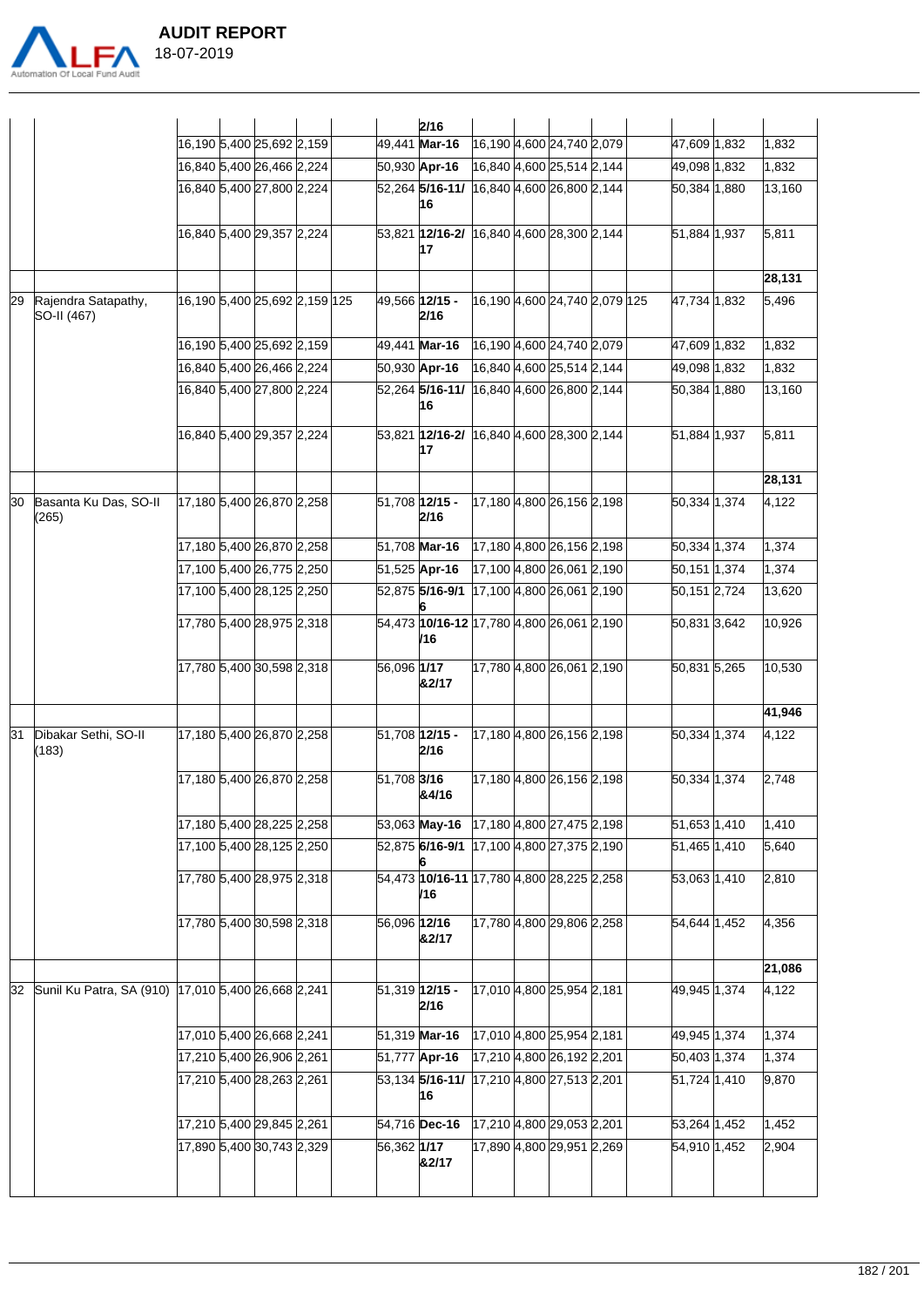

|    |                                                    |  |                               |  |              | 2/16                                             |                               |  |  |              |        |
|----|----------------------------------------------------|--|-------------------------------|--|--------------|--------------------------------------------------|-------------------------------|--|--|--------------|--------|
|    |                                                    |  | 16,190 5,400 25,692 2,159     |  |              | 49,441 Mar-16                                    | 16,190 4,600 24,740 2,079     |  |  | 47,609 1,832 | 1,832  |
|    |                                                    |  | 16,840 5,400 26,466 2,224     |  |              | 50,930 Apr-16                                    | 16,840 4,600 25,514 2,144     |  |  | 49,098 1,832 | 1,832  |
|    |                                                    |  | 16,840 5,400 27,800 2,224     |  |              | 52,264 5/16-11/ 16,840 4,600 26,800 2,144        |                               |  |  | 50,384 1,880 | 13,160 |
|    |                                                    |  |                               |  |              | 16                                               |                               |  |  |              |        |
|    |                                                    |  | 16,840 5,400 29,357 2,224     |  |              | 53,821 12/16-2/ 16,840 4,600 28,300 2,144        |                               |  |  | 51,884 1,937 | 5,811  |
|    |                                                    |  |                               |  |              | 17                                               |                               |  |  |              |        |
|    |                                                    |  |                               |  |              |                                                  |                               |  |  |              | 28,131 |
| 29 | Rajendra Satapathy,                                |  | 16,190 5,400 25,692 2,159 125 |  |              | 49,566 12/15 -                                   | 16,190 4,600 24,740 2,079 125 |  |  | 47,734 1,832 | 5,496  |
|    | SO-II (467)                                        |  |                               |  |              | 2/16                                             |                               |  |  |              |        |
|    |                                                    |  | 16,190 5,400 25,692 2,159     |  |              | 49,441 Mar-16                                    | 16,190 4,600 24,740 2,079     |  |  | 47,609 1,832 | 1,832  |
|    |                                                    |  | 16,840 5,400 26,466 2,224     |  |              | 50,930 Apr-16                                    | 16,840 4,600 25,514 2,144     |  |  | 49,098 1,832 | 1,832  |
|    |                                                    |  | 16,840 5,400 27,800 2,224     |  |              | 52,264 5/16-11/                                  | 16,840 4,600 26,800 2,144     |  |  | 50,384 1,880 | 13,160 |
|    |                                                    |  |                               |  |              | 16                                               |                               |  |  |              |        |
|    |                                                    |  | 16,840 5,400 29,357 2,224     |  |              | 53,821 12/16-2/ 16,840 4,600 28,300 2,144        |                               |  |  | 51,884 1,937 | 5,811  |
|    |                                                    |  |                               |  |              | 17                                               |                               |  |  |              |        |
|    |                                                    |  |                               |  |              |                                                  |                               |  |  |              | 28,131 |
| 30 | Basanta Ku Das, SO-II                              |  | 17,180 5,400 26,870 2,258     |  |              | $51,708$ 12/15 -                                 | 17,180 4,800 26,156 2,198     |  |  | 50,334 1,374 | 4,122  |
|    | (265)                                              |  |                               |  |              | 2/16                                             |                               |  |  |              |        |
|    |                                                    |  | 17,180 5,400 26,870 2,258     |  |              | 51,708 Mar-16                                    | 17,180 4,800 26,156 2,198     |  |  | 50,334 1,374 | 1,374  |
|    |                                                    |  | 17,100 5,400 26,775 2,250     |  |              | 51,525 Apr-16                                    | 17,100 4,800 26,061 2,190     |  |  | 50,151 1,374 | 1,374  |
|    |                                                    |  | 17,100 5,400 28,125 2,250     |  |              | 52,875 5/16-9/1                                  | 17,100 4,800 26,061 2,190     |  |  | 50,151 2,724 | 13,620 |
|    |                                                    |  |                               |  |              |                                                  |                               |  |  |              |        |
|    |                                                    |  | 17,780 5,400 28,975 2,318     |  |              | 54,473 10/16-12 17,780 4,800 26,061 2,190<br>/16 |                               |  |  | 50,831 3,642 | 10,926 |
|    |                                                    |  |                               |  |              |                                                  |                               |  |  |              |        |
|    |                                                    |  | 17,780 5,400 30,598 2,318     |  | 56,096 1/17  | 82/17                                            | 17,780 4,800 26,061 2,190     |  |  | 50,831 5,265 | 10,530 |
|    |                                                    |  |                               |  |              |                                                  |                               |  |  |              |        |
|    |                                                    |  |                               |  |              |                                                  |                               |  |  |              | 41,946 |
| 31 | Dibakar Sethi, SO-II<br>(183)                      |  | 17,180 5,400 26,870 2,258     |  |              | $51,708$ $\overline{12/15}$ -<br>2/16            | 17,180 4,800 26,156 2,198     |  |  | 50,334 1,374 | 4,122  |
|    |                                                    |  |                               |  |              |                                                  |                               |  |  |              |        |
|    |                                                    |  | 17,180 5,400 26,870 2,258     |  | 51,708 3/16  | 84/16                                            | 17,180 4,800 26,156 2,198     |  |  | 50,334 1,374 | 2,748  |
|    |                                                    |  |                               |  |              |                                                  |                               |  |  |              |        |
|    |                                                    |  | 17,180 5,400 28,225 2,258     |  |              | 53,063 May-16                                    | 17,180 4,800 27,475 2,198     |  |  | 51,653 1,410 | 1,410  |
|    |                                                    |  | 17,100 5,400 28,125 2,250     |  |              | 52,875 6/16-9/1                                  | 17,100 4,800 27,375 2,190     |  |  | 51,465 1,410 | 5,640  |
|    |                                                    |  | 17,780 5,400 28,975 2,318     |  |              | 54,473 10/16-11 17,780 4,800 28,225 2,258        |                               |  |  | 53,063 1,410 | 2,810  |
|    |                                                    |  |                               |  |              | /16                                              |                               |  |  |              |        |
|    |                                                    |  | 17,780 5,400 30,598 2,318     |  | 56,096 12/16 |                                                  | 17,780 4,800 29,806 2,258     |  |  | 54,644 1,452 | 4,356  |
|    |                                                    |  |                               |  |              | 82/17                                            |                               |  |  |              |        |
|    |                                                    |  |                               |  |              |                                                  |                               |  |  |              | 21,086 |
| 32 | Sunil Ku Patra, SA (910) 17,010 5,400 26,668 2,241 |  |                               |  |              | 51,319 12/15 -                                   | 17,010 4,800 25,954 2,181     |  |  | 49,945 1,374 | 4,122  |
|    |                                                    |  |                               |  |              | 2/16                                             |                               |  |  |              |        |
|    |                                                    |  | 17,010 5,400 26,668 2,241     |  |              | 51,319 Mar-16                                    | 17,010 4,800 25,954 2,181     |  |  | 49,945 1,374 | 1,374  |
|    |                                                    |  | 17,210 5,400 26,906 2,261     |  |              | 51,777 Apr-16                                    | 17,210 4,800 26,192 2,201     |  |  | 50,403 1,374 | 1,374  |
|    |                                                    |  | 17,210 5,400 28,263 2,261     |  |              | 53,134 5/16-11/                                  | 17,210 4,800 27,513 2,201     |  |  | 51,724 1,410 | 9,870  |
|    |                                                    |  |                               |  |              | 16                                               |                               |  |  |              |        |
|    |                                                    |  | 17,210 5,400 29,845 2,261     |  |              | 54,716 Dec-16                                    | 17,210 4,800 29,053 2,201     |  |  | 53,264 1,452 | 1,452  |
|    |                                                    |  | 17,890 5,400 30,743 2,329     |  | 56,362 1/17  |                                                  | 17,890 4,800 29,951 2,269     |  |  | 54,910 1,452 | 2,904  |
|    |                                                    |  |                               |  |              | 82/17                                            |                               |  |  |              |        |
|    |                                                    |  |                               |  |              |                                                  |                               |  |  |              |        |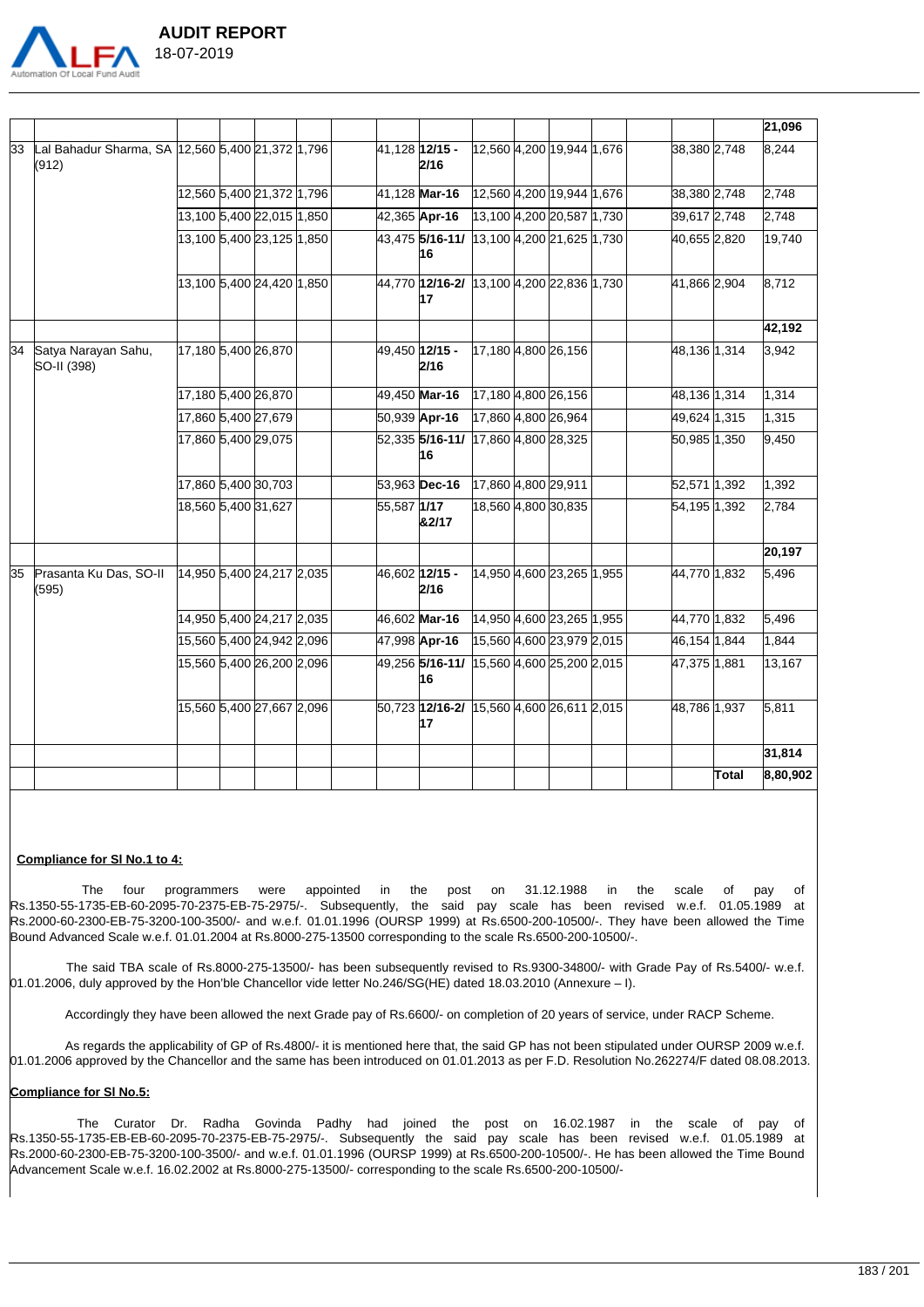

|            | <b>AUDIT REPORT</b> |
|------------|---------------------|
| 18-07-2019 |                     |

|    |                                                           |                     |                           |                |                                                 |                           |  |              |       | 21,096   |
|----|-----------------------------------------------------------|---------------------|---------------------------|----------------|-------------------------------------------------|---------------------------|--|--------------|-------|----------|
| 33 | Lal Bahadur Sharma, SA 12,560 5,400 21,372 1,796<br>(912) |                     |                           |                | 41,128 12/15 -<br>2/16                          | 1,676 19,944 1,676        |  | 38,380 2,748 |       | 8,244    |
|    |                                                           |                     | 12,560 5,400 21,372 1,796 |                | 41,128 Mar-16                                   | 12,560 4,200 19,944 1,676 |  | 38,380 2,748 |       | 2,748    |
|    |                                                           |                     | 13,100 5,400 22,015 1,850 |                | 42,365 Apr-16                                   | 13,100 4,200 20,587 1,730 |  | 39,617 2,748 |       | 2,748    |
|    |                                                           |                     | 13,100 5,400 23,125 1,850 |                | 43,475 5/16-11/ 13,100 4,200 21,625 1,730<br>16 |                           |  | 40,655 2,820 |       | 19,740   |
|    |                                                           |                     | 13,100 5,400 24,420 1,850 |                | 44,770 12/16-2/ 13,100 4,200 22,836 1,730<br>17 |                           |  | 41,866 2,904 |       | 8,712    |
|    |                                                           |                     |                           |                |                                                 |                           |  |              |       | 42,192   |
| 34 | Satya Narayan Sahu,<br>SO-II (398)                        | 17,180 5,400 26,870 |                           |                | 49,450 12/15 -<br>2/16                          | 17,180 4,800 26,156       |  | 48,136 1,314 |       | 3,942    |
|    |                                                           |                     | 17,180 5,400 26,870       |                | 49,450 Mar-16                                   | 17,180 4,800 26,156       |  | 48,136 1,314 |       | 1,314    |
|    |                                                           |                     | 17,860 5,400 27,679       |                | 50,939 Apr-16                                   | 17,860 4,800 26,964       |  | 49,624 1,315 |       | 1,315    |
|    |                                                           |                     | 17,860 5,400 29,075       |                | 52,335 5/16-11/<br>16                           | 17,860 4,800 28,325       |  | 50,985 1,350 |       | 9,450    |
|    |                                                           |                     | 17,860 5,400 30,703       |                | 53,963 Dec-16                                   | 17,860 4,800 29,911       |  | 52,571 1,392 |       | 1,392    |
|    |                                                           | 18,560 5,400 31,627 |                           | 55,587 1/17    | &2/17                                           | 18,560 4,800 30,835       |  | 54,195 1,392 |       | 2,784    |
|    |                                                           |                     |                           |                |                                                 |                           |  |              |       | 20,197   |
| 35 | Prasanta Ku Das, SO-II<br>(595)                           |                     | 14,950 5,400 24,217 2,035 | 46,602 12/15 - | 2/16                                            | 14,950 4,600 23,265 1,955 |  | 44,770 1,832 |       | 5,496    |
|    |                                                           |                     | 14,950 5,400 24,217 2,035 |                | 46,602 Mar-16                                   | 14,950 4,600 23,265 1,955 |  | 44,770 1,832 |       | 5,496    |
|    |                                                           |                     | 15,560 5,400 24,942 2,096 |                | 47,998 Apr-16                                   | 15,560 4,600 23,979 2,015 |  | 46,154 1,844 |       | 1,844    |
|    |                                                           |                     | 15,560 5,400 26,200 2,096 |                | 49,256 5/16-11/<br>16                           | 15,560 4,600 25,200 2,015 |  | 47,375 1,881 |       | 13,167   |
|    |                                                           |                     | 15,560 5,400 27,667 2,096 |                | 50,723 12/16-2/ 15,560 4,600 26,611 2,015<br>17 |                           |  | 48,786 1,937 |       | 5,811    |
|    |                                                           |                     |                           |                |                                                 |                           |  |              |       | 31,814   |
|    |                                                           |                     |                           |                |                                                 |                           |  |              | Total | 8,80,902 |

#### **Compliance for Sl No.1 to 4:**

 The four programmers were appointed in the post on 31.12.1988 in the scale of pay of Rs.1350-55-1735-EB-60-2095-70-2375-EB-75-2975/-. Subsequently, the said pay scale has been revised w.e.f. 01.05.1989 at Rs.2000-60-2300-EB-75-3200-100-3500/- and w.e.f. 01.01.1996 (OURSP 1999) at Rs.6500-200-10500/-. They have been allowed the Time Bound Advanced Scale w.e.f. 01.01.2004 at Rs.8000-275-13500 corresponding to the scale Rs.6500-200-10500/-.

 The said TBA scale of Rs.8000-275-13500/- has been subsequently revised to Rs.9300-34800/- with Grade Pay of Rs.5400/- w.e.f. 01.01.2006, duly approved by the Hon'ble Chancellor vide letter No.246/SG(HE) dated 18.03.2010 (Annexure – I).

Accordingly they have been allowed the next Grade pay of Rs.6600/- on completion of 20 years of service, under RACP Scheme.

 As regards the applicability of GP of Rs.4800/- it is mentioned here that, the said GP has not been stipulated under OURSP 2009 w.e.f. 01.01.2006 approved by the Chancellor and the same has been introduced on 01.01.2013 as per F.D. Resolution No.262274/F dated 08.08.2013.

#### **Compliance for Sl No.5:**

 The Curator Dr. Radha Govinda Padhy had joined the post on 16.02.1987 in the scale of pay of Rs.1350-55-1735-EB-EB-60-2095-70-2375-EB-75-2975/-. Subsequently the said pay scale has been revised w.e.f. 01.05.1989 at Rs.2000-60-2300-EB-75-3200-100-3500/- and w.e.f. 01.01.1996 (OURSP 1999) at Rs.6500-200-10500/-. He has been allowed the Time Bound Advancement Scale w.e.f. 16.02.2002 at Rs.8000-275-13500/- corresponding to the scale Rs.6500-200-10500/-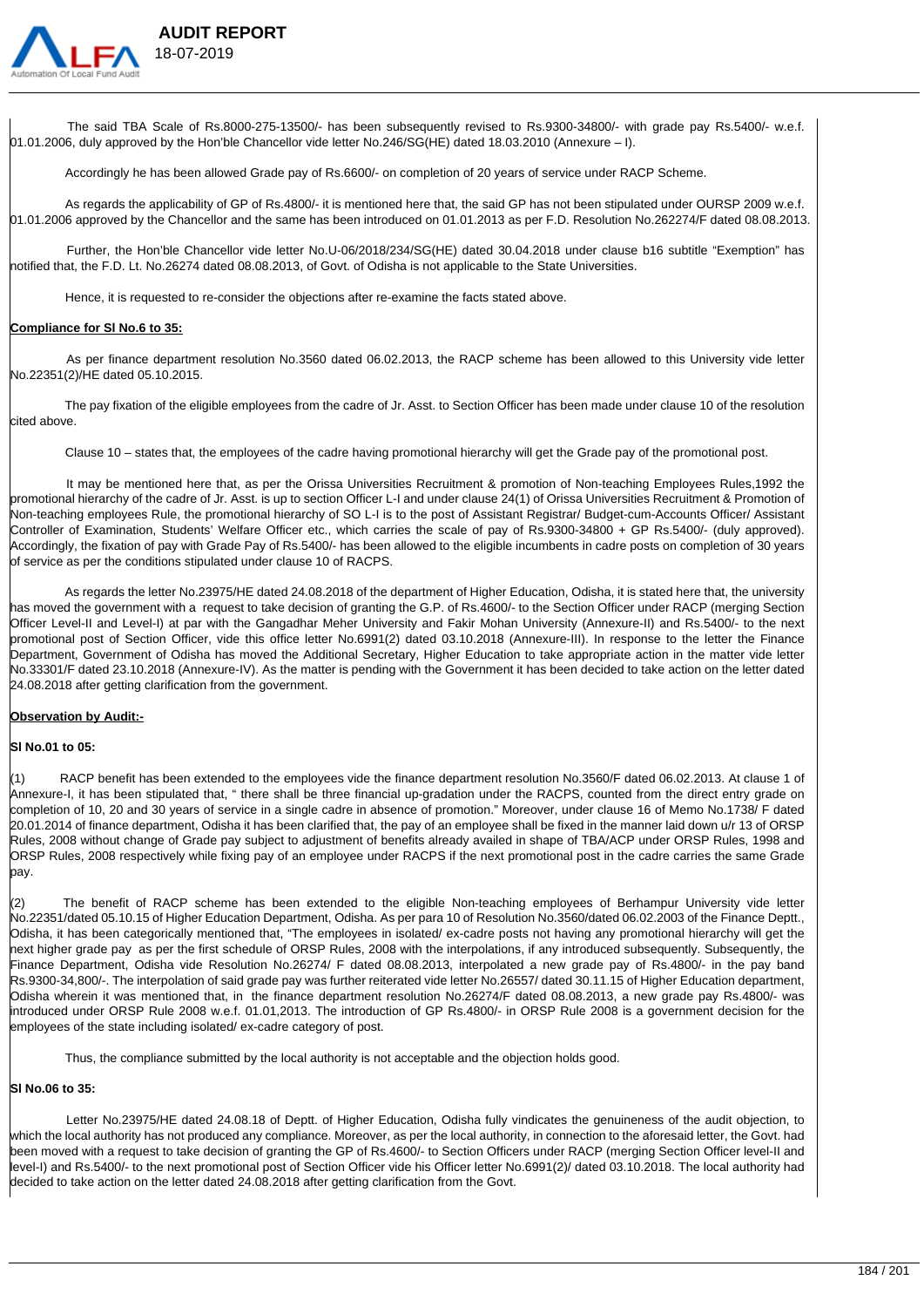

 The said TBA Scale of Rs.8000-275-13500/- has been subsequently revised to Rs.9300-34800/- with grade pay Rs.5400/- w.e.f. 01.01.2006, duly approved by the Hon'ble Chancellor vide letter No.246/SG(HE) dated 18.03.2010 (Annexure – I).

Accordingly he has been allowed Grade pay of Rs.6600/- on completion of 20 years of service under RACP Scheme.

 As regards the applicability of GP of Rs.4800/- it is mentioned here that, the said GP has not been stipulated under OURSP 2009 w.e.f. 01.01.2006 approved by the Chancellor and the same has been introduced on 01.01.2013 as per F.D. Resolution No.262274/F dated 08.08.2013.

 Further, the Hon'ble Chancellor vide letter No.U-06/2018/234/SG(HE) dated 30.04.2018 under clause b16 subtitle "Exemption" has notified that, the F.D. Lt. No.26274 dated 08.08.2013, of Govt. of Odisha is not applicable to the State Universities.

Hence, it is requested to re-consider the objections after re-examine the facts stated above.

#### **Compliance for Sl No.6 to 35:**

 As per finance department resolution No.3560 dated 06.02.2013, the RACP scheme has been allowed to this University vide letter No.22351(2)/HE dated 05.10.2015.

 The pay fixation of the eligible employees from the cadre of Jr. Asst. to Section Officer has been made under clause 10 of the resolution cited above.

Clause 10 – states that, the employees of the cadre having promotional hierarchy will get the Grade pay of the promotional post.

 It may be mentioned here that, as per the Orissa Universities Recruitment & promotion of Non-teaching Employees Rules,1992 the promotional hierarchy of the cadre of Jr. Asst. is up to section Officer L-I and under clause 24(1) of Orissa Universities Recruitment & Promotion of Non-teaching employees Rule, the promotional hierarchy of SO L-I is to the post of Assistant Registrar/ Budget-cum-Accounts Officer/ Assistant Controller of Examination, Students' Welfare Officer etc., which carries the scale of pay of Rs.9300-34800 + GP Rs.5400/- (duly approved). Accordingly, the fixation of pay with Grade Pay of Rs.5400/- has been allowed to the eligible incumbents in cadre posts on completion of 30 years of service as per the conditions stipulated under clause 10 of RACPS.

 As regards the letter No.23975/HE dated 24.08.2018 of the department of Higher Education, Odisha, it is stated here that, the university has moved the government with a request to take decision of granting the G.P. of Rs.4600/- to the Section Officer under RACP (merging Section Officer Level-II and Level-I) at par with the Gangadhar Meher University and Fakir Mohan University (Annexure-II) and Rs.5400/- to the next promotional post of Section Officer, vide this office letter No.6991(2) dated 03.10.2018 (Annexure-III). In response to the letter the Finance Department, Government of Odisha has moved the Additional Secretary, Higher Education to take appropriate action in the matter vide letter No.33301/F dated 23.10.2018 (Annexure-IV). As the matter is pending with the Government it has been decided to take action on the letter dated 24.08.2018 after getting clarification from the government.

#### **Observation by Audit:-**

### **Sl No.01 to 05:**

(1) RACP benefit has been extended to the employees vide the finance department resolution No.3560/F dated 06.02.2013. At clause 1 of Annexure-I, it has been stipulated that, " there shall be three financial up-gradation under the RACPS, counted from the direct entry grade on completion of 10, 20 and 30 years of service in a single cadre in absence of promotion." Moreover, under clause 16 of Memo No.1738/ F dated 20.01.2014 of finance department, Odisha it has been clarified that, the pay of an employee shall be fixed in the manner laid down u/r 13 of ORSP Rules, 2008 without change of Grade pay subject to adjustment of benefits already availed in shape of TBA/ACP under ORSP Rules, 1998 and ORSP Rules, 2008 respectively while fixing pay of an employee under RACPS if the next promotional post in the cadre carries the same Grade pay.

(2) The benefit of RACP scheme has been extended to the eligible Non-teaching employees of Berhampur University vide letter No.22351/dated 05.10.15 of Higher Education Department, Odisha. As per para 10 of Resolution No.3560/dated 06.02.2003 of the Finance Deptt., Odisha, it has been categorically mentioned that, "The employees in isolated/ ex-cadre posts not having any promotional hierarchy will get the next higher grade pay as per the first schedule of ORSP Rules, 2008 with the interpolations, if any introduced subsequently. Subsequently, the Finance Department, Odisha vide Resolution No.26274/ F dated 08.08.2013, interpolated a new grade pay of Rs.4800/- in the pay band Rs.9300-34,800/-. The interpolation of said grade pay was further reiterated vide letter No.26557/ dated 30.11.15 of Higher Education department, Odisha wherein it was mentioned that, in the finance department resolution No.26274/F dated 08.08.2013, a new grade pay Rs.4800/- was introduced under ORSP Rule 2008 w.e.f. 01.01,2013. The introduction of GP Rs.4800/- in ORSP Rule 2008 is a government decision for the employees of the state including isolated/ ex-cadre category of post.

Thus, the compliance submitted by the local authority is not acceptable and the objection holds good.

#### **Sl No.06 to 35:**

 Letter No.23975/HE dated 24.08.18 of Deptt. of Higher Education, Odisha fully vindicates the genuineness of the audit objection, to which the local authority has not produced any compliance. Moreover, as per the local authority, in connection to the aforesaid letter, the Govt. had been moved with a request to take decision of granting the GP of Rs.4600/- to Section Officers under RACP (merging Section Officer level-II and level-I) and Rs.5400/- to the next promotional post of Section Officer vide his Officer letter No.6991(2)/ dated 03.10.2018. The local authority had decided to take action on the letter dated 24.08.2018 after getting clarification from the Govt.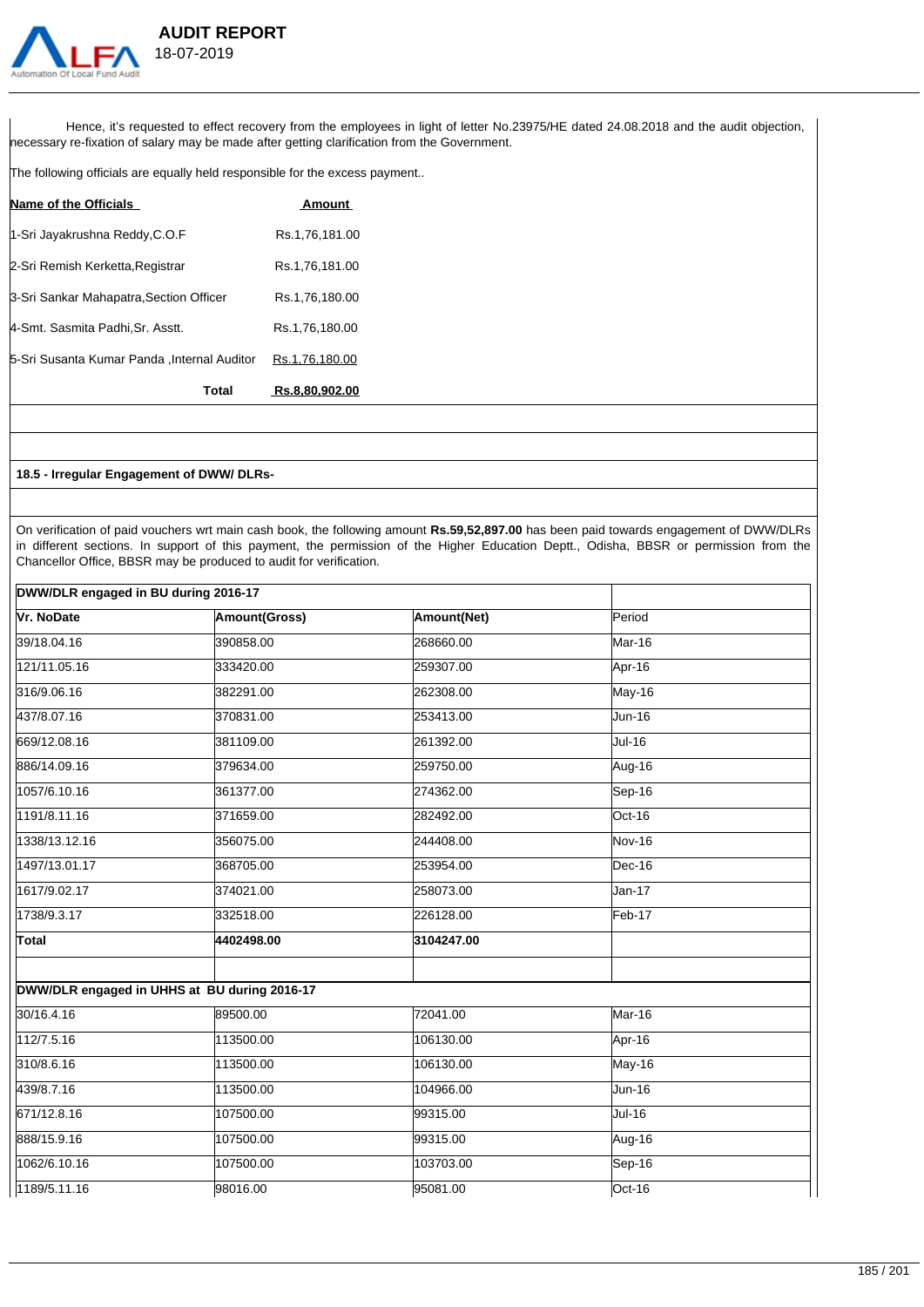

 Hence, it's requested to effect recovery from the employees in light of letter No.23975/HE dated 24.08.2018 and the audit objection, necessary re-fixation of salary may be made after getting clarification from the Government.

The following officials are equally held responsible for the excess payment..

| Name of the Officials                        | Amount         |
|----------------------------------------------|----------------|
| 1-Sri Jayakrushna Reddy, C.O.F               | Rs.1,76,181.00 |
| 2-Sri Remish Kerketta, Registrar             | Rs.1,76,181.00 |
| 3-Sri Sankar Mahapatra, Section Officer      | Rs.1,76,180.00 |
| 4-Smt. Sasmita Padhi,Sr. Asstt.              | Rs.1,76,180.00 |
| 5-Sri Susanta Kumar Panda , Internal Auditor | Rs.1,76,180.00 |
| <b>Total</b>                                 | Rs.8.80.902.00 |

#### **18.5 - Irregular Engagement of DWW/ DLRs-**

On verification of paid vouchers wrt main cash book, the following amount **Rs.59,52,897.00** has been paid towards engagement of DWW/DLRs in different sections. In support of this payment, the permission of the Higher Education Deptt., Odisha, BBSR or permission from the Chancellor Office, BBSR may be produced to audit for verification.

| DWW/DLR engaged in BU during 2016-17 |                                              |             |          |
|--------------------------------------|----------------------------------------------|-------------|----------|
| Vr. NoDate                           | Amount(Gross)                                | Amount(Net) | Period   |
| 39/18.04.16                          | 390858.00                                    | 268660.00   | Mar-16   |
| 121/11.05.16                         | 333420.00                                    | 259307.00   | Apr-16   |
| 316/9.06.16                          | 382291.00                                    | 262308.00   | May-16   |
| 437/8.07.16                          | 370831.00                                    | 253413.00   | Jun-16   |
| 669/12.08.16                         | 381109.00                                    | 261392.00   | Jul-16   |
| 886/14.09.16                         | 379634.00                                    | 259750.00   | Aug-16   |
| 1057/6.10.16                         | 361377.00                                    | 274362.00   | Sep-16   |
| 1191/8.11.16                         | 371659.00                                    | 282492.00   | Oct-16   |
| 1338/13.12.16                        | 356075.00                                    | 244408.00   | Nov-16   |
| 1497/13.01.17                        | 368705.00                                    | 253954.00   | $Dec-16$ |
| 1617/9.02.17                         | 374021.00                                    | 258073.00   | Jan-17   |
| 1738/9.3.17                          | 332518.00                                    | 226128.00   | Feb-17   |
| Total                                | 4402498.00                                   | 3104247.00  |          |
|                                      |                                              |             |          |
|                                      | DWW/DLR engaged in UHHS at BU during 2016-17 |             |          |
| 30/16.4.16                           | 89500.00                                     | 72041.00    | Mar-16   |
| 112/7.5.16                           | 113500.00                                    | 106130.00   | Apr-16   |
| 310/8.6.16                           | 113500.00                                    | 106130.00   | May-16   |
| 439/8.7.16                           | 113500.00                                    | 104966.00   | Jun-16   |
| 671/12.8.16                          | 107500.00                                    | 99315.00    | Jul-16   |
| 888/15.9.16                          | 107500.00                                    | 99315.00    | Aug-16   |
| 1062/6.10.16                         | 107500.00                                    | 103703.00   | Sep-16   |
| 1189/5.11.16                         | 98016.00                                     | 95081.00    | Oct-16   |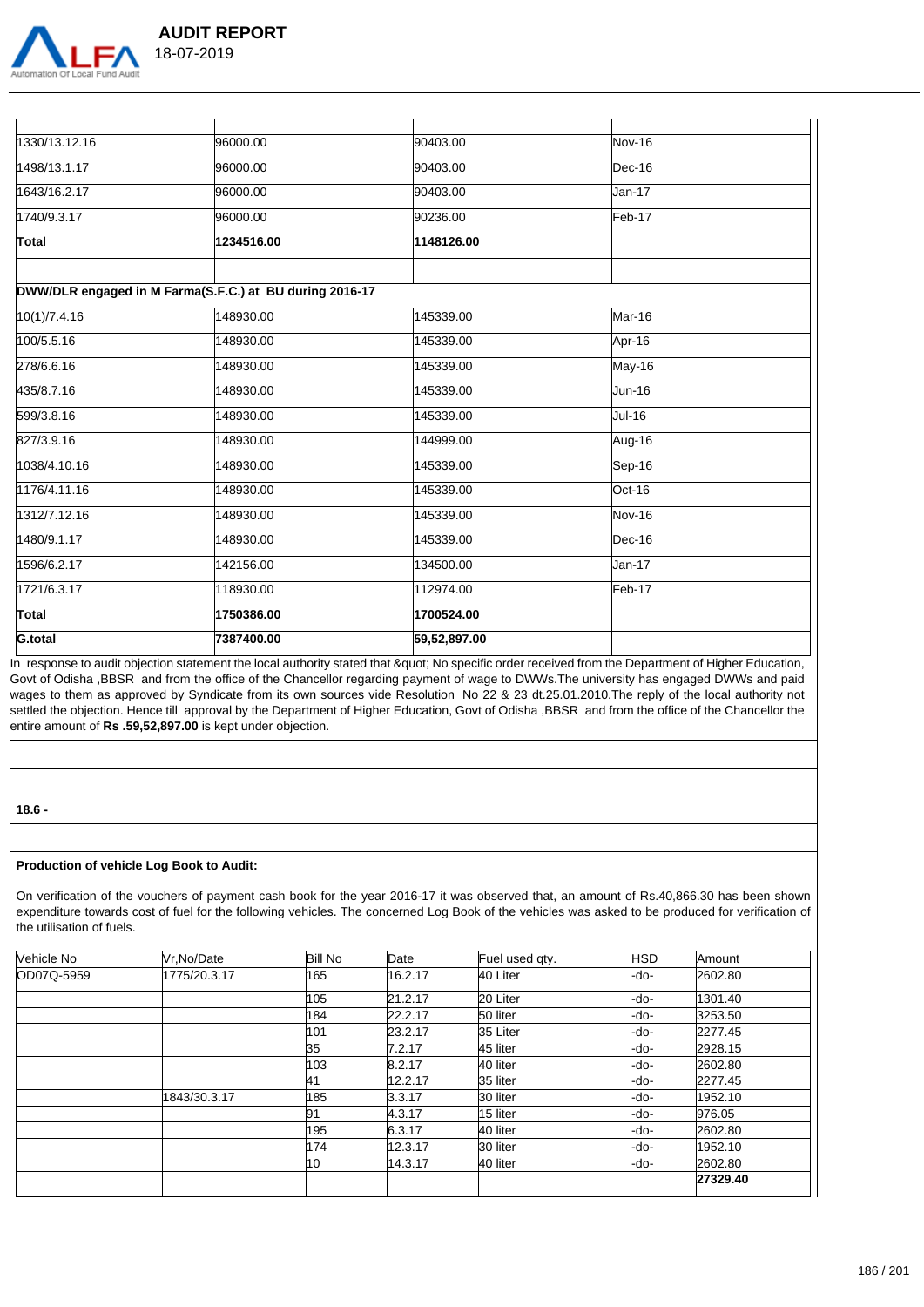

| 1330/13.12.16 | 96000.00                                                | 90403.00     | Nov-16   |
|---------------|---------------------------------------------------------|--------------|----------|
| 1498/13.1.17  | 96000.00                                                | 90403.00     | Dec-16   |
| 1643/16.2.17  | 96000.00                                                | 90403.00     | Jan-17   |
| 1740/9.3.17   | 96000.00                                                | 90236.00     | Feb-17   |
| Total         | 1234516.00                                              | 1148126.00   |          |
|               | DWW/DLR engaged in M Farma(S.F.C.) at BU during 2016-17 |              |          |
| 10(1)/7.4.16  | 148930.00                                               | 145339.00    | Mar-16   |
| 100/5.5.16    | 148930.00                                               | 145339.00    | Apr-16   |
| 278/6.6.16    | 148930.00                                               | 145339.00    | May-16   |
| 435/8.7.16    | 148930.00                                               | 145339.00    | Jun-16   |
| 599/3.8.16    | 148930.00                                               | 145339.00    | Jul-16   |
| 827/3.9.16    | 148930.00                                               | 144999.00    | Aug-16   |
| 1038/4.10.16  | 148930.00                                               | 145339.00    | Sep-16   |
| 1176/4.11.16  | 148930.00                                               | 145339.00    | Oct-16   |
| 1312/7.12.16  | 148930.00                                               | 145339.00    | Nov-16   |
| 1480/9.1.17   | 148930.00                                               | 145339.00    | $Dec-16$ |
| 1596/6.2.17   | 142156.00                                               | 134500.00    | Jan-17   |
| 1721/6.3.17   | 118930.00                                               | 112974.00    | Feb-17   |
| Total         | 1750386.00                                              | 1700524.00   |          |
| G.total       | 7387400.00                                              | 59,52,897.00 |          |

In response to audit objection statement the local authority stated that " No specific order received from the Department of Higher Education, Govt of Odisha ,BBSR and from the office of the Chancellor regarding payment of wage to DWWs.The university has engaged DWWs and paid wages to them as approved by Syndicate from its own sources vide Resolution No 22 & 23 dt.25.01.2010. The reply of the local authority not settled the objection. Hence till approval by the Department of Higher Education, Govt of Odisha ,BBSR and from the office of the Chancellor the entire amount of **Rs .59,52,897.00** is kept under objection.

**18.6 -** 

#### **Production of vehicle Log Book to Audit:**

On verification of the vouchers of payment cash book for the year 2016-17 it was observed that, an amount of Rs.40,866.30 has been shown expenditure towards cost of fuel for the following vehicles. The concerned Log Book of the vehicles was asked to be produced for verification of the utilisation of fuels.

| Vehicle No | Vr.No/Date   | <b>Bill No</b> | Date    | Fuel used aty. | <b>HSD</b> | Amount   |
|------------|--------------|----------------|---------|----------------|------------|----------|
| OD07Q-5959 | 1775/20.3.17 | 165            | 16.2.17 | 40 Liter       | -do-       | 2602.80  |
|            |              | 105            | 21.2.17 | 20 Liter       | -do-       | 1301.40  |
|            |              | 184            | 22.2.17 | 50 liter       | -do-       | 3253.50  |
|            |              | 101            | 23.2.17 | 35 Liter       | -do-       | 2277.45  |
|            |              | 35             | 7.2.17  | 45 liter       | -do-       | 2928.15  |
|            |              | 103            | 8.2.17  | 40 liter       | -do-       | 2602.80  |
|            |              | 41             | 12.2.17 | 35 liter       | -do-       | 2277.45  |
|            | 1843/30.3.17 | 185            | 3.3.17  | 30 liter       | -do-       | 1952.10  |
|            |              | 191            | 4.3.17  | 15 liter       | -do-       | 976.05   |
|            |              | 195            | 6.3.17  | 40 liter       | -do-       | 2602.80  |
|            |              | 174            | 12.3.17 | 30 liter       | -do-       | 1952.10  |
|            |              | 10             | 14.3.17 | 40 liter       | -do-       | 2602.80  |
|            |              |                |         |                |            | 27329.40 |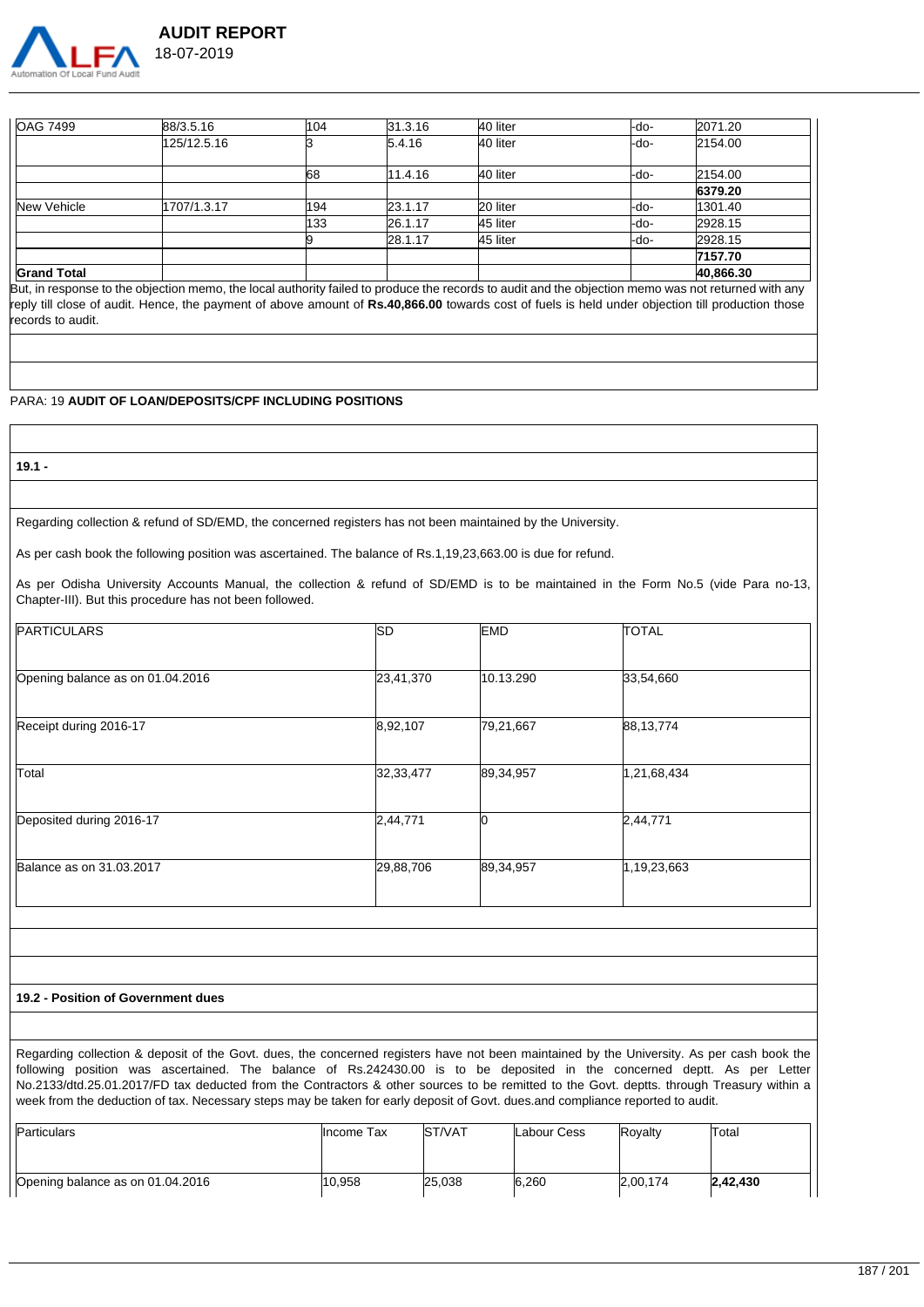

| OAG 7499           | 88/3.5.16                                                                                                                                                                                                                                                                                                | 104 | 31.3.16 | 40 liter | -do- | 2071.20   |
|--------------------|----------------------------------------------------------------------------------------------------------------------------------------------------------------------------------------------------------------------------------------------------------------------------------------------------------|-----|---------|----------|------|-----------|
|                    | 125/12.5.16                                                                                                                                                                                                                                                                                              |     | 5.4.16  | 40 liter | -do- | 2154.00   |
|                    |                                                                                                                                                                                                                                                                                                          | 68  | 11.4.16 | 40 liter | -do- | 2154.00   |
|                    |                                                                                                                                                                                                                                                                                                          |     |         |          |      | 6379.20   |
| New Vehicle        | 1707/1.3.17                                                                                                                                                                                                                                                                                              | 194 | 23.1.17 | 20 liter | -do- | 1301.40   |
|                    |                                                                                                                                                                                                                                                                                                          | 133 | 26.1.17 | 45 liter | -do- | 2928.15   |
|                    |                                                                                                                                                                                                                                                                                                          |     | 28.1.17 | 45 liter | -do- | 2928.15   |
|                    |                                                                                                                                                                                                                                                                                                          |     |         |          |      | 7157.70   |
| <b>Grand Total</b> |                                                                                                                                                                                                                                                                                                          |     |         |          |      | 40,866.30 |
| records to audit.  | But, in response to the objection memo, the local authority failed to produce the records to audit and the objection memo was not returned with any<br>reply till close of audit. Hence, the payment of above amount of Rs.40,866.00 towards cost of fuels is held under objection till production those |     |         |          |      |           |

#### PARA: 19 **AUDIT OF LOAN/DEPOSITS/CPF INCLUDING POSITIONS**

 **AUDIT REPORT** 

**19.1 -** 

Regarding collection & refund of SD/EMD, the concerned registers has not been maintained by the University.

As per cash book the following position was ascertained. The balance of Rs.1,19,23,663.00 is due for refund.

As per Odisha University Accounts Manual, the collection & refund of SD/EMD is to be maintained in the Form No.5 (vide Para no-13, Chapter-III). But this procedure has not been followed.

| <b>PARTICULARS</b>               | lsd         | <b>EMD</b> | <b>TOTAL</b> |
|----------------------------------|-------------|------------|--------------|
| Opening balance as on 01.04.2016 | 23,41,370   | 10.13.290  | 33,54,660    |
| Receipt during 2016-17           | 8,92,107    | 79,21,667  | 88,13,774    |
| Total                            | 32, 33, 477 | 89,34,957  | 1,21,68,434  |
| Deposited during 2016-17         | 2,44,771    |            | 2,44,771     |
| Balance as on 31.03.2017         | 29,88,706   | 89,34,957  | 1,19,23,663  |

#### **19.2 - Position of Government dues**

Regarding collection & deposit of the Govt. dues, the concerned registers have not been maintained by the University. As per cash book the following position was ascertained. The balance of Rs.242430.00 is to be deposited in the concerned deptt. As per Letter No.2133/dtd.25.01.2017/FD tax deducted from the Contractors & other sources to be remitted to the Govt. deptts. through Treasury within a week from the deduction of tax. Necessary steps may be taken for early deposit of Govt. dues and compliance reported to audit.

| <b>Particulars</b>               | Income Tax | <b>IST/VAT</b> | Labour Cess | Rovalty  | Total    |
|----------------------------------|------------|----------------|-------------|----------|----------|
| Opening balance as on 01.04.2016 | 10.958     | 25.038         | 6.260       | 2,00,174 | 2.42.430 |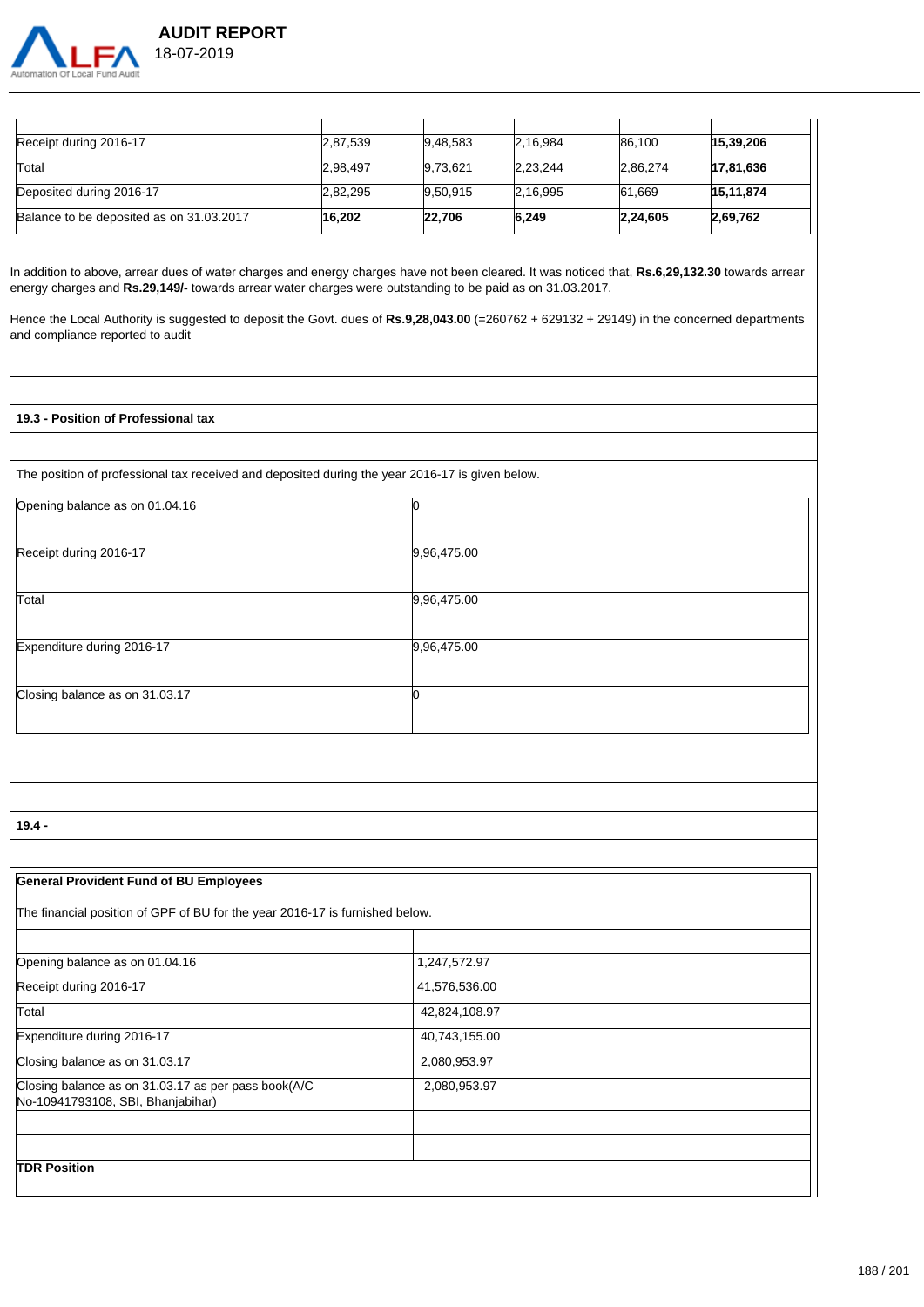

| Receipt during 2016-17                   | 2,87,539 | 9.48.583 | 2.16.984 | 86,100   | 15,39,206 |
|------------------------------------------|----------|----------|----------|----------|-----------|
| Total                                    | 2,98,497 | 9.73.621 | 2.23.244 | 2,86,274 | 17,81,636 |
| Deposited during 2016-17                 | 2.82.295 | 9.50.915 | 2.16.995 | 61.669   | 15,11,874 |
| Balance to be deposited as on 31.03.2017 | 16,202   | 22.706   | 6,249    | 2,24,605 | 2,69,762  |

In addition to above, arrear dues of water charges and energy charges have not been cleared. It was noticed that, **Rs.6,29,132.30** towards arrear energy charges and **Rs.29,149/-** towards arrear water charges were outstanding to be paid as on 31.03.2017.

Hence the Local Authority is suggested to deposit the Govt. dues of **Rs.9,28,043.00** (=260762 + 629132 + 29149) in the concerned departments and compliance reported to audit

#### **19.3 - Position of Professional tax**

The position of professional tax received and deposited during the year 2016-17 is given below.

| Opening balance as on 01.04.16 |             |
|--------------------------------|-------------|
| Receipt during 2016-17         | 9,96,475.00 |
| Total                          | 9,96,475.00 |
| Expenditure during 2016-17     | 9,96,475.00 |
| Closing balance as on 31.03.17 |             |
|                                |             |

| $19.4 -$                                                                                 |               |  |
|------------------------------------------------------------------------------------------|---------------|--|
|                                                                                          |               |  |
| <b>General Provident Fund of BU Employees</b>                                            |               |  |
| The financial position of GPF of BU for the year 2016-17 is furnished below.             |               |  |
|                                                                                          |               |  |
| Opening balance as on 01.04.16                                                           | 1,247,572.97  |  |
| Receipt during 2016-17                                                                   | 41,576,536.00 |  |
| Total                                                                                    | 42,824,108.97 |  |
| Expenditure during 2016-17                                                               | 40,743,155.00 |  |
| Closing balance as on 31.03.17                                                           | 2,080,953.97  |  |
| Closing balance as on 31.03.17 as per pass book(A/C<br>No-10941793108, SBI, Bhanjabihar) | 2,080,953.97  |  |
|                                                                                          |               |  |
|                                                                                          |               |  |
| <b>TDR Position</b>                                                                      |               |  |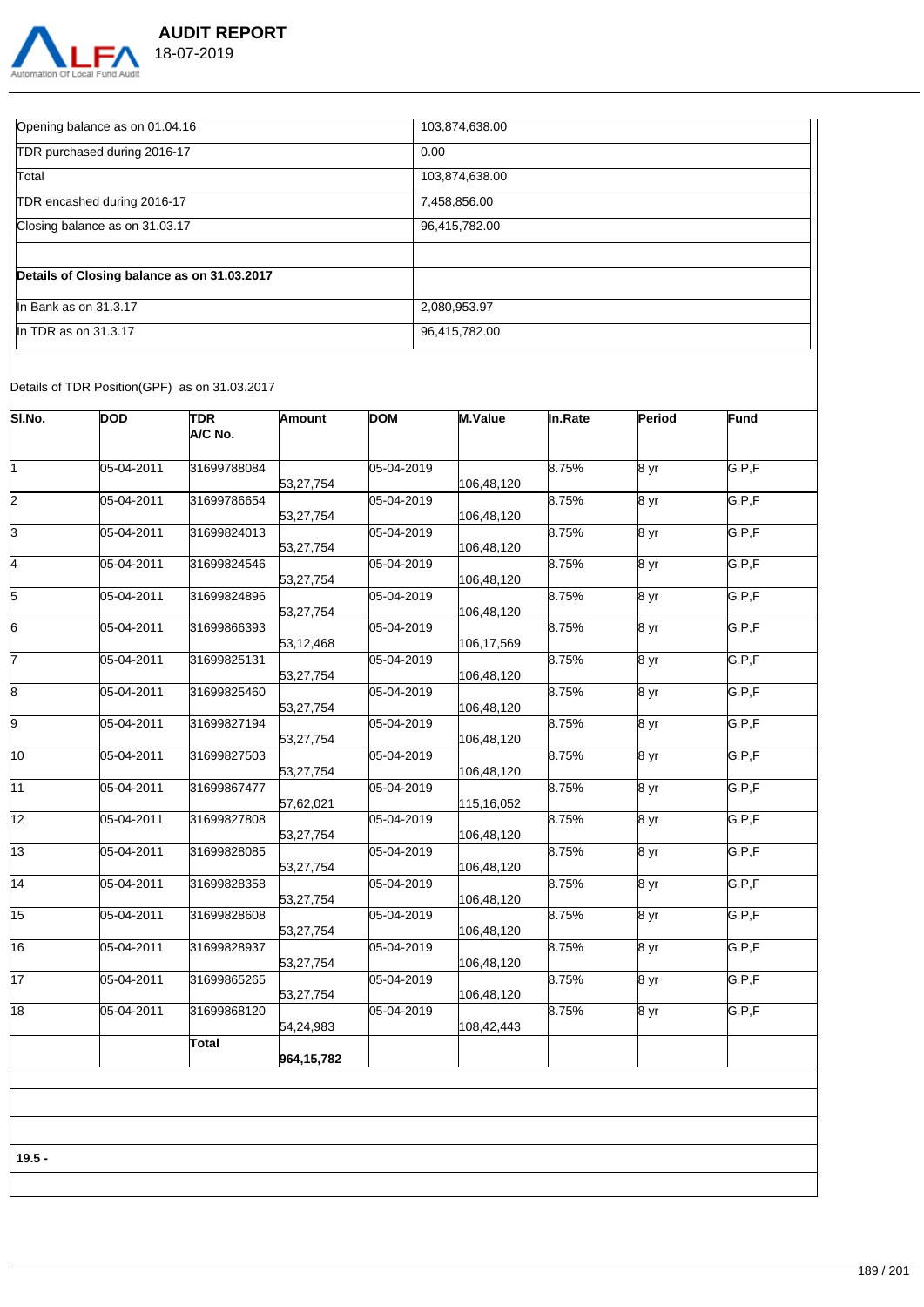

| Opening balance as on 01.04.16              | 103,874,638.00 |
|---------------------------------------------|----------------|
| TDR purchased during 2016-17                | 0.00           |
| Total                                       | 103,874,638.00 |
| TDR encashed during 2016-17                 | 7,458,856.00   |
| Closing balance as on 31.03.17              | 96,415,782.00  |
|                                             |                |
| Details of Closing balance as on 31.03.2017 |                |
| In Bank as on 31.3.17                       | 2,080,953.97   |
| $\ln$ TDR as on 31.3.17                     | 96,415,782.00  |

Details of TDR Position(GPF) as on 31.03.2017

| 05-04-2011 | 31699788084 |            |                                                                                                                                                                                                              |            |                                                                                                                                                                                                                              |      |       |
|------------|-------------|------------|--------------------------------------------------------------------------------------------------------------------------------------------------------------------------------------------------------------|------------|------------------------------------------------------------------------------------------------------------------------------------------------------------------------------------------------------------------------------|------|-------|
|            |             |            |                                                                                                                                                                                                              |            |                                                                                                                                                                                                                              |      |       |
|            |             | 53,27,754  | 05-04-2019                                                                                                                                                                                                   | 106,48,120 | 8.75%                                                                                                                                                                                                                        | 8 yr | G.P.F |
|            | 31699786654 |            | 05-04-2019                                                                                                                                                                                                   |            | 8.75%                                                                                                                                                                                                                        | 8 yr | G.P,F |
| 05-04-2011 | 31699824013 |            | 05-04-2019                                                                                                                                                                                                   |            | 8.75%                                                                                                                                                                                                                        | 8 yr | G.P,F |
| 05-04-2011 | 31699824546 |            | 05-04-2019                                                                                                                                                                                                   |            | 8.75%                                                                                                                                                                                                                        | 8 yr | G.P,F |
| 05-04-2011 | 31699824896 |            | 05-04-2019                                                                                                                                                                                                   |            | 8.75%                                                                                                                                                                                                                        | 8 yr | G.P,F |
| 05-04-2011 | 31699866393 |            | 05-04-2019                                                                                                                                                                                                   |            | 8.75%                                                                                                                                                                                                                        | 8 yr | G.P.F |
| 05-04-2011 | 31699825131 |            | 05-04-2019                                                                                                                                                                                                   |            | 8.75%                                                                                                                                                                                                                        | 8 yr | G.P.F |
| 05-04-2011 | 31699825460 |            | 05-04-2019                                                                                                                                                                                                   |            | 8.75%                                                                                                                                                                                                                        | 8 yr | G.P,F |
| 05-04-2011 | 31699827194 |            | 05-04-2019                                                                                                                                                                                                   |            | 8.75%                                                                                                                                                                                                                        | 8 yr | G.P.F |
| 05-04-2011 | 31699827503 |            | 05-04-2019                                                                                                                                                                                                   |            | 8.75%                                                                                                                                                                                                                        | 8 yr | G.P,F |
| 05-04-2011 | 31699867477 |            | 05-04-2019                                                                                                                                                                                                   |            | 8.75%                                                                                                                                                                                                                        | 8 yr | G.P,F |
| 05-04-2011 | 31699827808 |            | 05-04-2019                                                                                                                                                                                                   |            | 8.75%                                                                                                                                                                                                                        | 8 yr | G.P,F |
| 05-04-2011 | 31699828085 |            | 05-04-2019                                                                                                                                                                                                   |            | 8.75%                                                                                                                                                                                                                        | 8 yr | G.P,F |
| 05-04-2011 | 31699828358 |            | 05-04-2019                                                                                                                                                                                                   |            | 8.75%                                                                                                                                                                                                                        | 8 yr | G.P,F |
| 05-04-2011 | 31699828608 |            | 05-04-2019                                                                                                                                                                                                   |            | 8.75%                                                                                                                                                                                                                        | 8 yr | G.P,F |
| 05-04-2011 | 31699828937 |            | 05-04-2019                                                                                                                                                                                                   |            | 8.75%                                                                                                                                                                                                                        | 8 yr | G.P.F |
| 05-04-2011 | 31699865265 |            | 05-04-2019                                                                                                                                                                                                   |            | 8.75%                                                                                                                                                                                                                        | 8 yr | G.P.F |
| 05-04-2011 | 31699868120 | 54,24,983  | 05-04-2019                                                                                                                                                                                                   | 108,42,443 | 8.75%                                                                                                                                                                                                                        | 8 yr | G.P.F |
|            | Total       | 964,15,782 |                                                                                                                                                                                                              |            |                                                                                                                                                                                                                              |      |       |
|            |             |            |                                                                                                                                                                                                              |            |                                                                                                                                                                                                                              |      |       |
|            |             |            |                                                                                                                                                                                                              |            |                                                                                                                                                                                                                              |      |       |
|            | 05-04-2011  |            | 53,27,754<br>53,27,754<br>53,27,754<br>53,27,754<br>53,12,468<br>53,27,754<br>53,27,754<br>53,27,754<br>53,27,754<br>57,62,021<br>53,27,754<br>53,27,754<br>53,27,754<br>53,27,754<br>53,27,754<br>53,27,754 |            | 106,48,120<br>106,48,120<br>106,48,120<br>106,48,120<br>106,17,569<br>106,48,120<br>106,48,120<br>106,48,120<br>106,48,120<br>115,16,052<br>106,48,120<br>106,48,120<br>106,48,120<br>106,48,120<br>106,48,120<br>106,48,120 |      |       |

**19.5 -**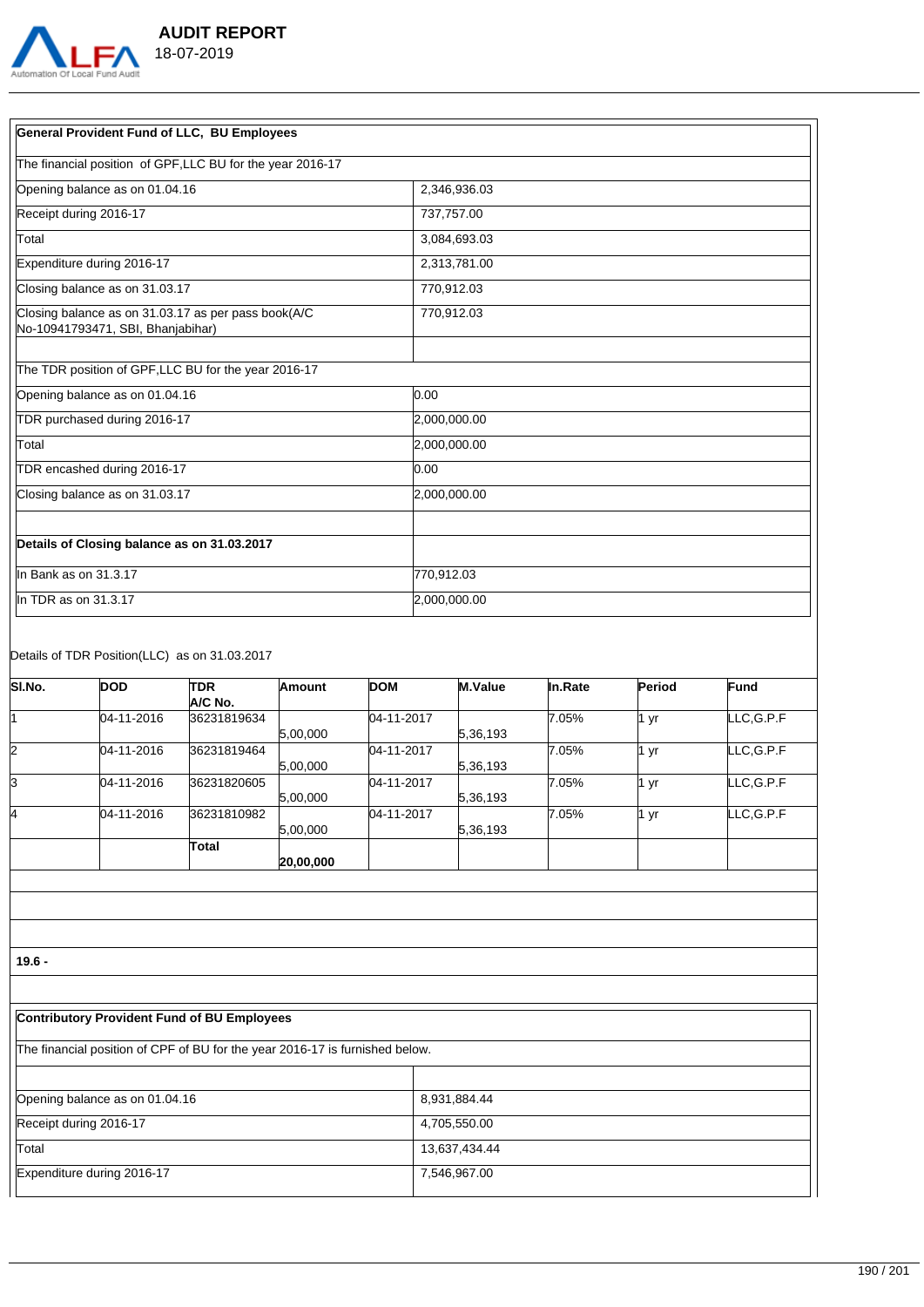

| <b>General Provident Fund of LLC, BU Employees</b>                                       |              |
|------------------------------------------------------------------------------------------|--------------|
| The financial position of GPF, LLC BU for the year 2016-17                               |              |
| Opening balance as on 01.04.16                                                           | 2,346,936.03 |
| Receipt during 2016-17                                                                   | 737,757.00   |
| Total                                                                                    | 3,084,693.03 |
| Expenditure during 2016-17                                                               | 2,313,781.00 |
| Closing balance as on 31.03.17                                                           | 770,912.03   |
| Closing balance as on 31.03.17 as per pass book(A/C<br>No-10941793471, SBI, Bhanjabihar) | 770,912.03   |
| The TDR position of GPF, LLC BU for the year 2016-17                                     |              |
| Opening balance as on 01.04.16                                                           | 0.00         |
| TDR purchased during 2016-17                                                             | 2,000,000.00 |
| Total                                                                                    | 2,000,000.00 |
| TDR encashed during 2016-17                                                              | 0.00         |
| Closing balance as on 31.03.17                                                           | 2,000,000.00 |
| Details of Closing balance as on 31.03.2017                                              |              |
| In Bank as on 31.3.17                                                                    | 770,912.03   |
| In TDR as on 31.3.17                                                                     | 2,000,000.00 |

## Details of TDR Position(LLC) as on 31.03.2017

| SI.No.   | <b>DOD</b>                                                                   | ltdr.<br>A/C No. | Amount    | <b>DOM</b> | M.Value       | In.Rate | Period | Fund       |
|----------|------------------------------------------------------------------------------|------------------|-----------|------------|---------------|---------|--------|------------|
| I1.      | 04-11-2016                                                                   | 36231819634      | 5,00,000  | 04-11-2017 | 5,36,193      | 7.05%   | 1 yr   | LLC,G.P.F  |
| 2        | 04-11-2016                                                                   | 36231819464      | 5,00,000  | 04-11-2017 | 5,36,193      | 7.05%   | 1 yr   | LLC, G.P.F |
| l3       | 04-11-2016                                                                   | 36231820605      | 5,00,000  | 04-11-2017 | 5,36,193      | 7.05%   | 1 yr   | LLC, G.P.F |
| 4        | 04-11-2016                                                                   | 36231810982      | 5,00,000  | 04-11-2017 | 5,36,193      | 7.05%   | 1 yr   | LLC, G.P.F |
|          |                                                                              | Total            | 20,00,000 |            |               |         |        |            |
| $19.6 -$ |                                                                              |                  |           |            |               |         |        |            |
|          | <b>Contributory Provident Fund of BU Employees</b>                           |                  |           |            |               |         |        |            |
|          | The financial position of CPF of BU for the year 2016-17 is furnished below. |                  |           |            |               |         |        |            |
|          | Opening balance as on 01.04.16                                               |                  |           |            | 8,931,884.44  |         |        |            |
|          | Receipt during 2016-17                                                       |                  |           |            | 4,705,550.00  |         |        |            |
| Total    |                                                                              |                  |           |            | 13,637,434.44 |         |        |            |
|          | Expenditure during 2016-17                                                   |                  |           |            | 7,546,967.00  |         |        |            |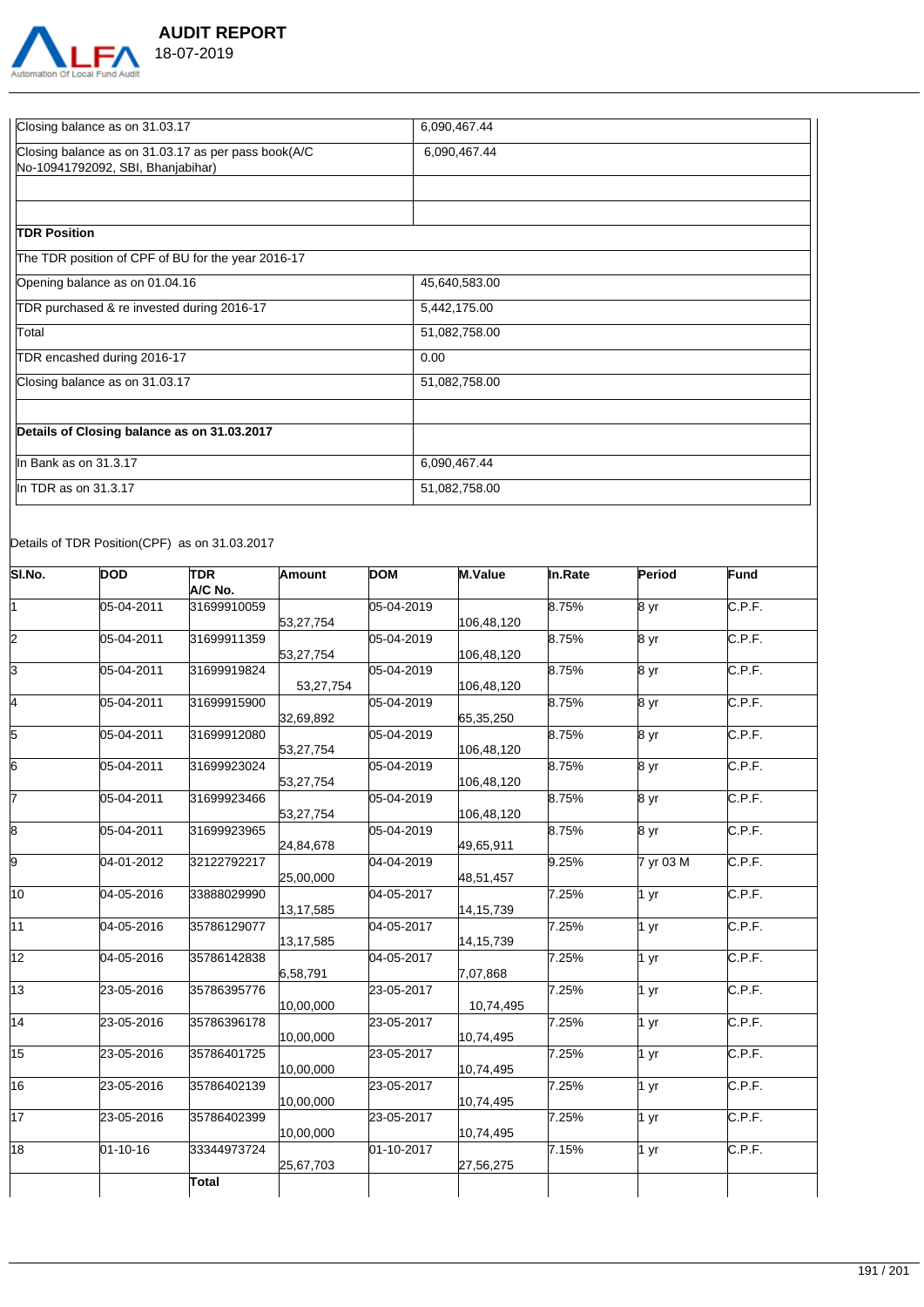

| Closing balance as on 31.03.17                                                           | 6,090,467.44  |
|------------------------------------------------------------------------------------------|---------------|
| Closing balance as on 31.03.17 as per pass book(A/C<br>No-10941792092, SBI, Bhanjabihar) | 6,090,467.44  |
|                                                                                          |               |
| <b>TDR Position</b>                                                                      |               |
|                                                                                          |               |
| The TDR position of CPF of BU for the year 2016-17                                       |               |
| Opening balance as on 01.04.16                                                           | 45,640,583.00 |
| TDR purchased & re invested during 2016-17                                               | 5,442,175.00  |
| Total                                                                                    | 51,082,758.00 |
| TDR encashed during 2016-17                                                              | 0.00          |
| Closing balance as on 31.03.17                                                           | 51,082,758.00 |
|                                                                                          |               |
| Details of Closing balance as on 31.03.2017                                              |               |
| In Bank as on 31.3.17                                                                    | 6,090,467.44  |
| $\ln$ TDR as on 31.3.17                                                                  | 51,082,758.00 |

Details of TDR Position(CPF) as on 31.03.2017

| SI.No. | <b>DOD</b>     | <b>TDR</b><br>A/C No. | Amount    | <b>DOM</b> | M.Value     | In.Rate | Period         | Fund   |
|--------|----------------|-----------------------|-----------|------------|-------------|---------|----------------|--------|
| I1     | 05-04-2011     | 31699910059           | 53,27,754 | 05-04-2019 | 106,48,120  | 8.75%   | 8 yr           | C.P.F. |
| 2      | 05-04-2011     | 31699911359           | 53,27,754 | 05-04-2019 | 106,48,120  | 8.75%   | 8 yr           | C.P.F. |
| 3      | 05-04-2011     | 31699919824           | 53,27,754 | 05-04-2019 | 106,48,120  | 8.75%   | 8 yr           | C.P.F. |
| 4      | 05-04-2011     | 31699915900           | 32,69,892 | 05-04-2019 | 65,35,250   | 8.75%   | 8 yr           | C.P.F. |
| 5      | 05-04-2011     | 31699912080           | 53,27,754 | 05-04-2019 | 106,48,120  | 8.75%   | $8 \text{ yr}$ | C.P.F. |
| 6      | 05-04-2011     | 31699923024           | 53,27,754 | 05-04-2019 | 106,48,120  | 8.75%   | 8 yr           | C.P.F. |
| 7      | 05-04-2011     | 31699923466           | 53,27,754 | 05-04-2019 | 106,48,120  | 8.75%   | 8 yr           | C.P.F. |
| 8      | 05-04-2011     | 31699923965           | 24,84,678 | 05-04-2019 | 49,65,911   | 8.75%   | 8 yr           | C.P.F. |
| l9     | 04-01-2012     | 32122792217           | 25,00,000 | 04-04-2019 | 48,51,457   | 9.25%   | 7 yr 03 M      | C.P.F. |
| 10     | 04-05-2016     | 33888029990           | 13,17,585 | 04-05-2017 | 14, 15, 739 | 7.25%   | 1 yr           | C.P.F. |
| 11     | 04-05-2016     | 35786129077           | 13,17,585 | 04-05-2017 | 14, 15, 739 | 7.25%   | 1 yr           | C.P.F. |
| 12     | 04-05-2016     | 35786142838           | 6,58,791  | 04-05-2017 | 7,07,868    | 7.25%   | 1 yr           | C.P.F. |
| 13     | 23-05-2016     | 35786395776           | 10,00,000 | 23-05-2017 | 10,74,495   | 7.25%   | 1 yr           | C.P.F. |
| 14     | 23-05-2016     | 35786396178           | 10,00,000 | 23-05-2017 | 10,74,495   | 7.25%   | 1 yr           | C.P.F. |
| 15     | 23-05-2016     | 35786401725           | 10,00,000 | 23-05-2017 | 10,74,495   | 7.25%   | 1 yr           | C.P.F. |
| 16     | 23-05-2016     | 35786402139           | 10,00,000 | 23-05-2017 | 10,74,495   | 7.25%   | 1 yr           | C.P.F. |
| 17     | 23-05-2016     | 35786402399           | 10,00,000 | 23-05-2017 | 10,74,495   | 7.25%   | 1 yr           | C.P.F. |
| 18     | $01 - 10 - 16$ | 33344973724           | 25,67,703 | 01-10-2017 | 27,56,275   | 7.15%   | 1 yr           | C.P.F. |
|        |                | Total                 |           |            |             |         |                |        |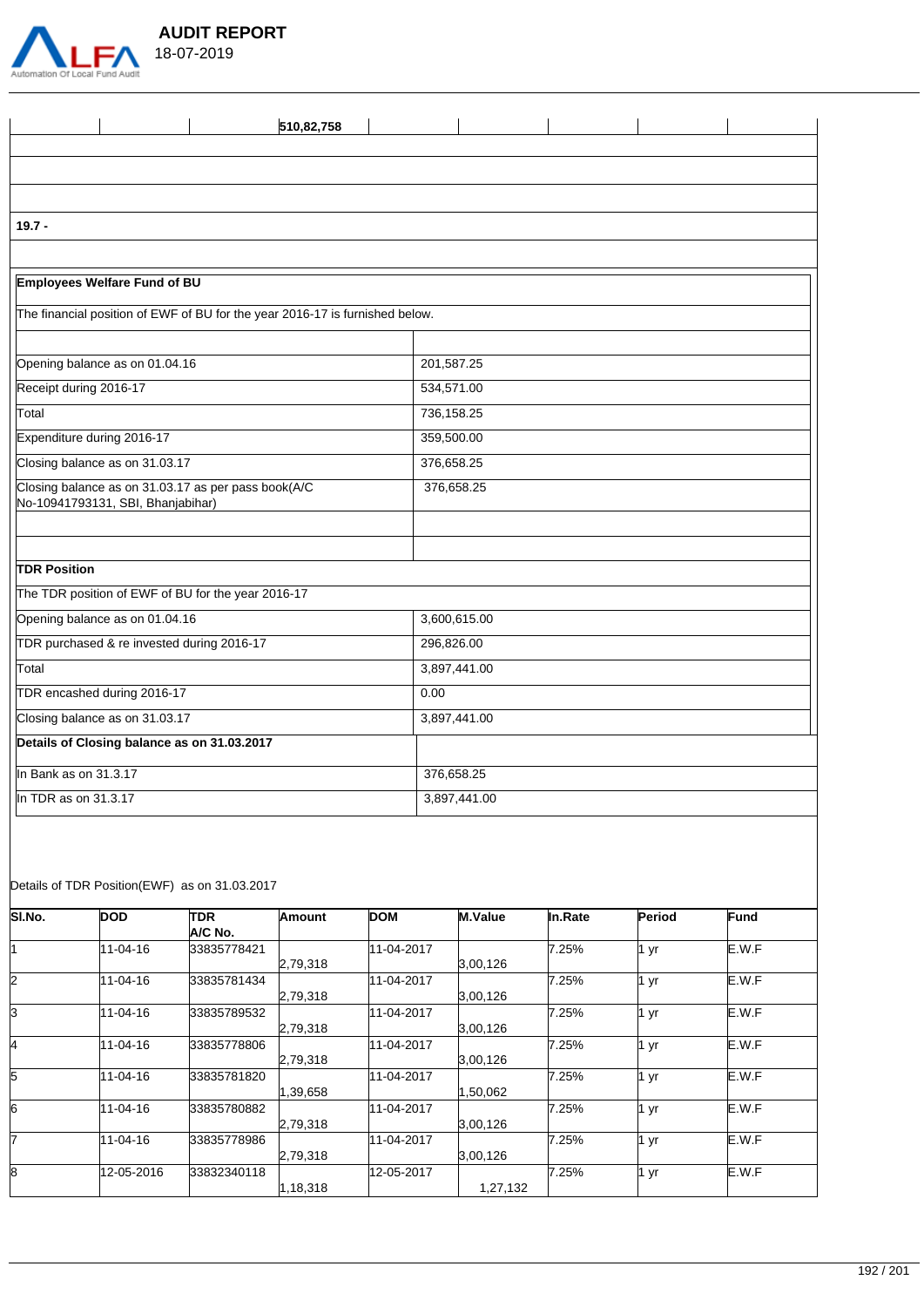

| <b>AUDIT REPORT</b> |  |
|---------------------|--|
| 18-07-2019          |  |

| 510,82,758                                                                               |              |  |  |  |  |  |  |
|------------------------------------------------------------------------------------------|--------------|--|--|--|--|--|--|
|                                                                                          |              |  |  |  |  |  |  |
|                                                                                          |              |  |  |  |  |  |  |
|                                                                                          |              |  |  |  |  |  |  |
| $19.7 -$                                                                                 |              |  |  |  |  |  |  |
|                                                                                          |              |  |  |  |  |  |  |
| <b>Employees Welfare Fund of BU</b>                                                      |              |  |  |  |  |  |  |
| The financial position of EWF of BU for the year 2016-17 is furnished below.             |              |  |  |  |  |  |  |
|                                                                                          |              |  |  |  |  |  |  |
| Opening balance as on 01.04.16                                                           | 201,587.25   |  |  |  |  |  |  |
| Receipt during 2016-17                                                                   | 534,571.00   |  |  |  |  |  |  |
| Total                                                                                    | 736,158.25   |  |  |  |  |  |  |
| Expenditure during 2016-17                                                               | 359,500.00   |  |  |  |  |  |  |
| Closing balance as on 31.03.17                                                           | 376,658.25   |  |  |  |  |  |  |
| Closing balance as on 31.03.17 as per pass book(A/C<br>No-10941793131, SBI, Bhanjabihar) | 376,658.25   |  |  |  |  |  |  |
|                                                                                          |              |  |  |  |  |  |  |
| <b>TDR Position</b>                                                                      |              |  |  |  |  |  |  |
| The TDR position of EWF of BU for the year 2016-17                                       |              |  |  |  |  |  |  |
| Opening balance as on 01.04.16                                                           | 3,600,615.00 |  |  |  |  |  |  |
| TDR purchased & re invested during 2016-17                                               | 296,826.00   |  |  |  |  |  |  |
| Total                                                                                    | 3,897,441.00 |  |  |  |  |  |  |
| TDR encashed during 2016-17<br>0.00                                                      |              |  |  |  |  |  |  |
| Closing balance as on 31.03.17                                                           | 3,897,441.00 |  |  |  |  |  |  |
| Details of Closing balance as on 31.03.2017                                              |              |  |  |  |  |  |  |
| In Bank as on 31.3.17                                                                    | 376,658.25   |  |  |  |  |  |  |
| In TDR as on $31.3.17$                                                                   | 3,897,441.00 |  |  |  |  |  |  |

# Details of TDR Position(EWF) as on 31.03.2017

| SI.No. | <b>DOD</b> | <b>TDR</b>  | Amount   | <b>DOM</b> | <b>M.Value</b> | In.Rate | Period | Fund  |
|--------|------------|-------------|----------|------------|----------------|---------|--------|-------|
|        |            | A/C No.     |          |            |                |         |        |       |
| I1     | 11-04-16   | 33835778421 |          | 11-04-2017 |                | 7.25%   | 1 yr   | E.W.F |
|        |            |             | 2,79,318 |            | 3,00,126       |         |        |       |
| 2      | 11-04-16   | 33835781434 |          | 11-04-2017 |                | 7.25%   | 1 yr   | E.W.F |
|        |            |             | 2,79,318 |            | 3,00,126       |         |        |       |
| lЗ     | 11-04-16   | 33835789532 |          | 11-04-2017 |                | 7.25%   | 1 yr   | E.W.F |
|        |            |             | 2,79,318 |            | 3,00,126       |         |        |       |
| 4      | 11-04-16   | 33835778806 |          | 11-04-2017 |                | 7.25%   | 1 yr   | E.W.F |
|        |            |             | 2,79,318 |            | 3,00,126       |         |        |       |
| 5      | 11-04-16   | 33835781820 |          | 11-04-2017 |                | 7.25%   | 1 yr   | E.W.F |
|        |            |             | 1,39,658 |            | 1,50,062       |         |        |       |
| 6      | 11-04-16   | 33835780882 |          | 11-04-2017 |                | 7.25%   | 1 yr   | E.W.F |
|        |            |             | 2,79,318 |            | 3,00,126       |         |        |       |
| 17     | 11-04-16   | 33835778986 |          | 11-04-2017 |                | 7.25%   | 1 yr   | E.W.F |
|        |            |             | 2,79,318 |            | 3,00,126       |         |        |       |
| l8     | 12-05-2016 | 33832340118 |          | 12-05-2017 |                | 7.25%   | 1 yr   | E.W.F |
|        |            |             | 1,18,318 |            | 1,27,132       |         |        |       |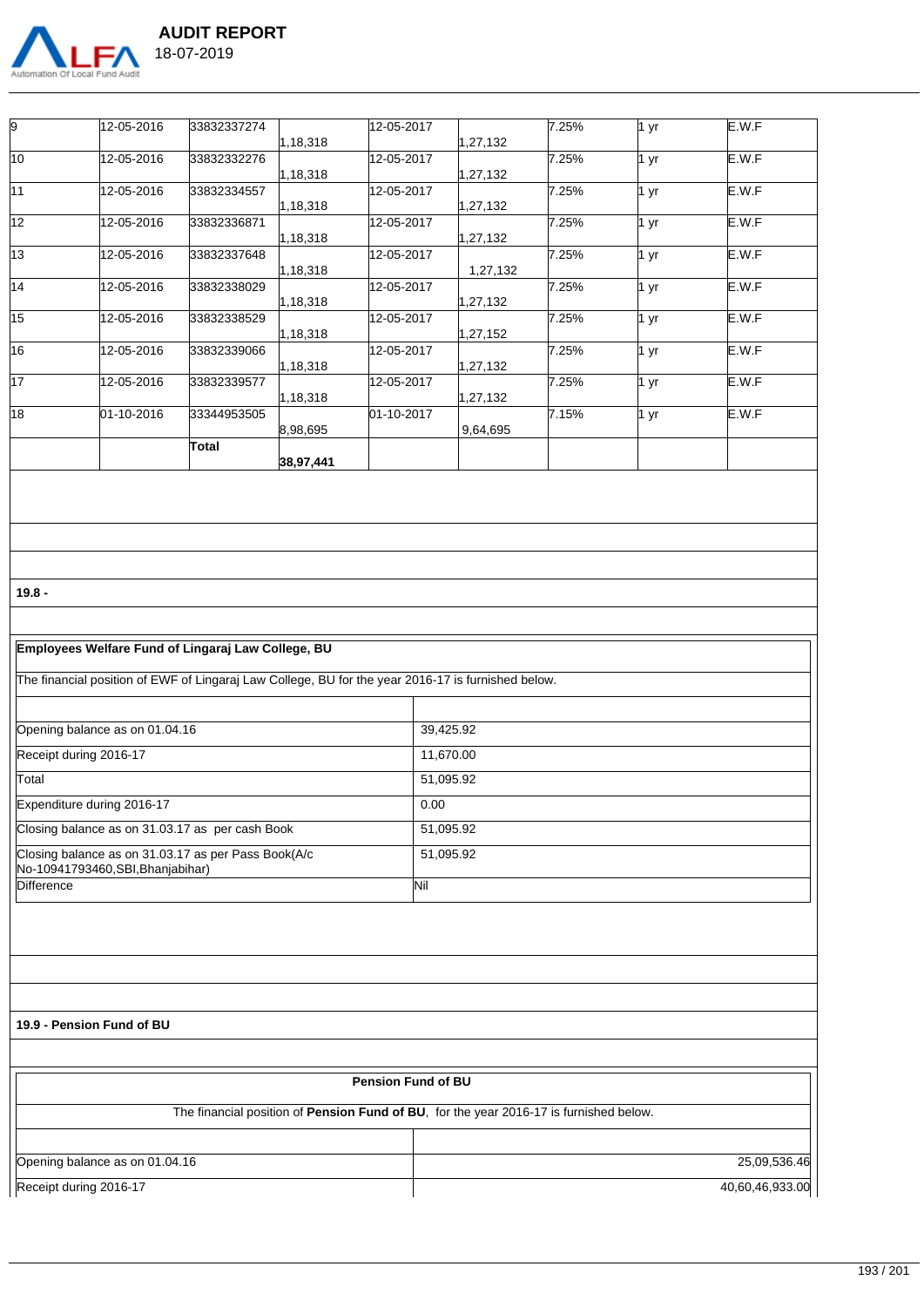

|    | 12-05-2016 | 33832339577 | 1,18,318   | 12-05-2017 | 1,27,132 | 7.25% | 1 yr      | E.W.F |
|----|------------|-------------|------------|------------|----------|-------|-----------|-------|
| 17 |            |             | 1, 18, 318 |            | 1,27,132 |       |           |       |
| 16 | 12-05-2016 | 33832339066 |            | 12-05-2017 |          | 7.25% | 1 yr      | E.W.F |
|    |            |             | 1,18,318   |            | 1,27,152 |       |           |       |
| 15 | 12-05-2016 | 33832338529 |            | 12-05-2017 |          | 7.25% | 1 yr      | E.W.F |
|    |            | 33832338029 | 1,18,318   |            | 1,27,132 | 7.25% | 1 yr      |       |
| 14 | 12-05-2016 |             | 1, 18, 318 | 12-05-2017 | 1,27,132 |       |           | E.W.F |
| 13 | 12-05-2016 | 33832337648 |            | 12-05-2017 |          | 7.25% | 1 yr      | E.W.F |
|    |            |             | 1,18,318   |            | 1,27,132 |       |           |       |
| 12 | 12-05-2016 | 33832336871 |            | 12-05-2017 |          | 7.25% | 1 yr      | E.W.F |
|    |            |             | 1,18,318   |            | 1,27,132 |       |           |       |
| 11 | 12-05-2016 | 33832334557 |            | 12-05-2017 |          | 7.25% | 1 yr      | E.W.F |
| 10 | 12-05-2016 | 33832332276 | 1,18,318   | 12-05-2017 | 1,27,132 | 7.25% | 1 yr      | E.W.F |
|    |            |             | 1,18,318   |            | 1,27,132 |       |           |       |
| l9 | 12-05-2016 | 33832337274 |            | 12-05-2017 |          | 7.25% | $1 \, yr$ | E.W.F |

**19.8 -** 

| Employees Welfare Fund of Lingaraj Law College, BU                                                 |           |  |  |  |  |  |  |  |
|----------------------------------------------------------------------------------------------------|-----------|--|--|--|--|--|--|--|
| The financial position of EWF of Lingaraj Law College, BU for the year 2016-17 is furnished below. |           |  |  |  |  |  |  |  |
|                                                                                                    |           |  |  |  |  |  |  |  |
| Opening balance as on 01.04.16                                                                     | 39,425.92 |  |  |  |  |  |  |  |
| Receipt during 2016-17                                                                             | 11,670.00 |  |  |  |  |  |  |  |
| Total                                                                                              | 51,095.92 |  |  |  |  |  |  |  |
| Expenditure during 2016-17                                                                         | 0.00      |  |  |  |  |  |  |  |
| Closing balance as on 31.03.17 as per cash Book                                                    | 51,095.92 |  |  |  |  |  |  |  |
| Closing balance as on 31.03.17 as per Pass Book(A/c<br>No-10941793460, SBI, Bhanjabihar)           | 51,095.92 |  |  |  |  |  |  |  |
| Difference                                                                                         | Nil       |  |  |  |  |  |  |  |

**19.9 - Pension Fund of BU**

| <b>Pension Fund of BU</b>                                                                      |
|------------------------------------------------------------------------------------------------|
| The financial position of <b>Pension Fund of BU</b> , for the year 2016-17 is furnished below. |
|                                                                                                |
| 25,09,536.46<br>40,60,46,933.00                                                                |
|                                                                                                |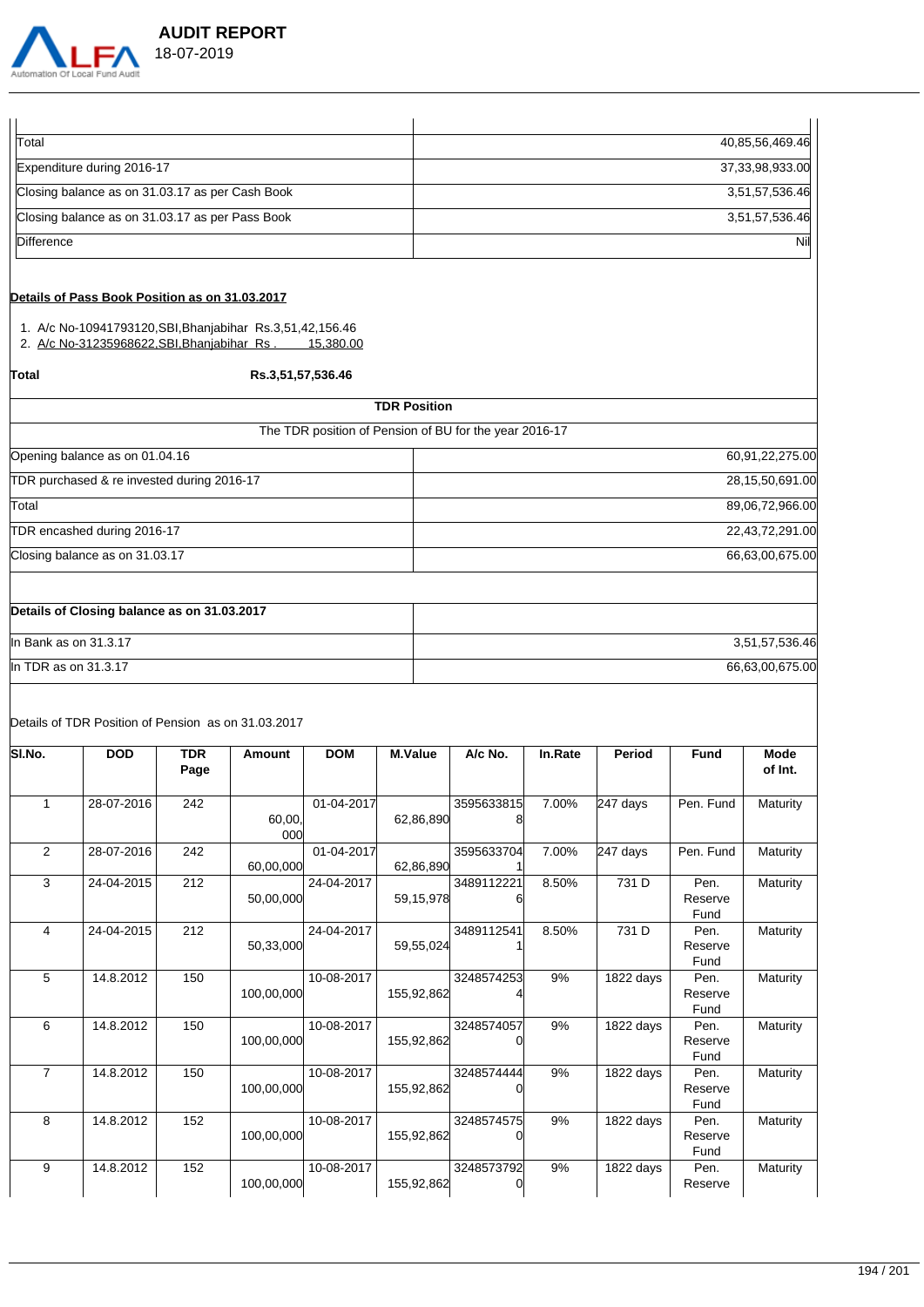

Total 40,85,56,469.46 Expenditure during 2016-17 37,33,98,933.00 Closing balance as on 31.03.17 as per Cash Book 3,51,57,536.46 Closing balance as on 31.03.17 as per Pass Book 3,51,57,536.46 Difference Nil

## **Details of Pass Book Position as on 31.03.2017**

1. A/c No-10941793120,SBI,Bhanjabihar Rs.3,51,42,156.46

2. A/c No-31235968622,SBI,Bhanjabihar Rs . 15,380.00

**Total Rs.3,51,57,536.46**

| The TDR position of Pension of BU for the year 2016-17 |                    |
|--------------------------------------------------------|--------------------|
| Opening balance as on 01.04.16                         | 60,91,22,275.00    |
| TDR purchased & re invested during 2016-17             | 28, 15, 50, 691.00 |
| Total                                                  | 89,06,72,966.00    |
| TDR encashed during 2016-17                            | 22,43,72,291.00    |
| Closing balance as on 31.03.17                         | 66,63,00,675.00    |
|                                                        |                    |
| Details of Closing balance as on 31.03.2017            |                    |

**TDR Position**

| lln Bank as on 31.3.17  | 3,51,57,536.46  |
|-------------------------|-----------------|
| $\ln$ TDR as on 31.3.17 | 66,63,00,675.00 |

Details of TDR Position of Pension as on 31.03.2017

| SI.No.         | <b>DOD</b> | <b>TDR</b><br>Page | Amount        | <b>DOM</b> | <b>M.Value</b> | A/c No.    | In Rate | <b>Period</b> | <b>Fund</b>             | <b>Mode</b><br>of Int. |
|----------------|------------|--------------------|---------------|------------|----------------|------------|---------|---------------|-------------------------|------------------------|
| 1              | 28-07-2016 | 242                | 60,00.<br>000 | 01-04-2017 | 62,86,890      | 3595633815 | 7.00%   | 247 days      | Pen. Fund               | <b>Maturity</b>        |
| 2              | 28-07-2016 | 242                | 60,00,000     | 01-04-2017 | 62,86,890      | 3595633704 | 7.00%   | $247$ days    | Pen. Fund               | Maturity               |
| 3              | 24-04-2015 | 212                | 50,00,000     | 24-04-2017 | 59,15,978      | 3489112221 | 8.50%   | 731 D         | Pen.<br>Reserve<br>Fund | <b>Maturity</b>        |
| $\overline{4}$ | 24-04-2015 | 212                | 50,33,000     | 24-04-2017 | 59,55,024      | 3489112541 | 8.50%   | 731 D         | Pen.<br>Reserve<br>Fund | Maturity               |
| 5              | 14.8.2012  | 150                | 100.00.000    | 10-08-2017 | 155,92,862     | 3248574253 | 9%      | 1822 days     | Pen.<br>Reserve<br>Fund | Maturity               |
| 6              | 14.8.2012  | 150                | 100.00.000    | 10-08-2017 | 155,92,862     | 3248574057 | 9%      | 1822 days     | Pen.<br>Reserve<br>Fund | Maturity               |
| $\overline{7}$ | 14.8.2012  | 150                | 100,00,000    | 10-08-2017 | 155,92,862     | 3248574444 | 9%      | 1822 days     | Pen.<br>Reserve<br>Fund | Maturity               |
| 8              | 14.8.2012  | 152                | 100,00,000    | 10-08-2017 | 155,92,862     | 3248574575 | 9%      | 1822 days     | Pen.<br>Reserve<br>Fund | Maturity               |
| 9              | 14.8.2012  | 152                | 100,00,000    | 10-08-2017 | 155,92,862     | 3248573792 | 9%      | 1822 days     | Pen.<br>Reserve         | Maturity               |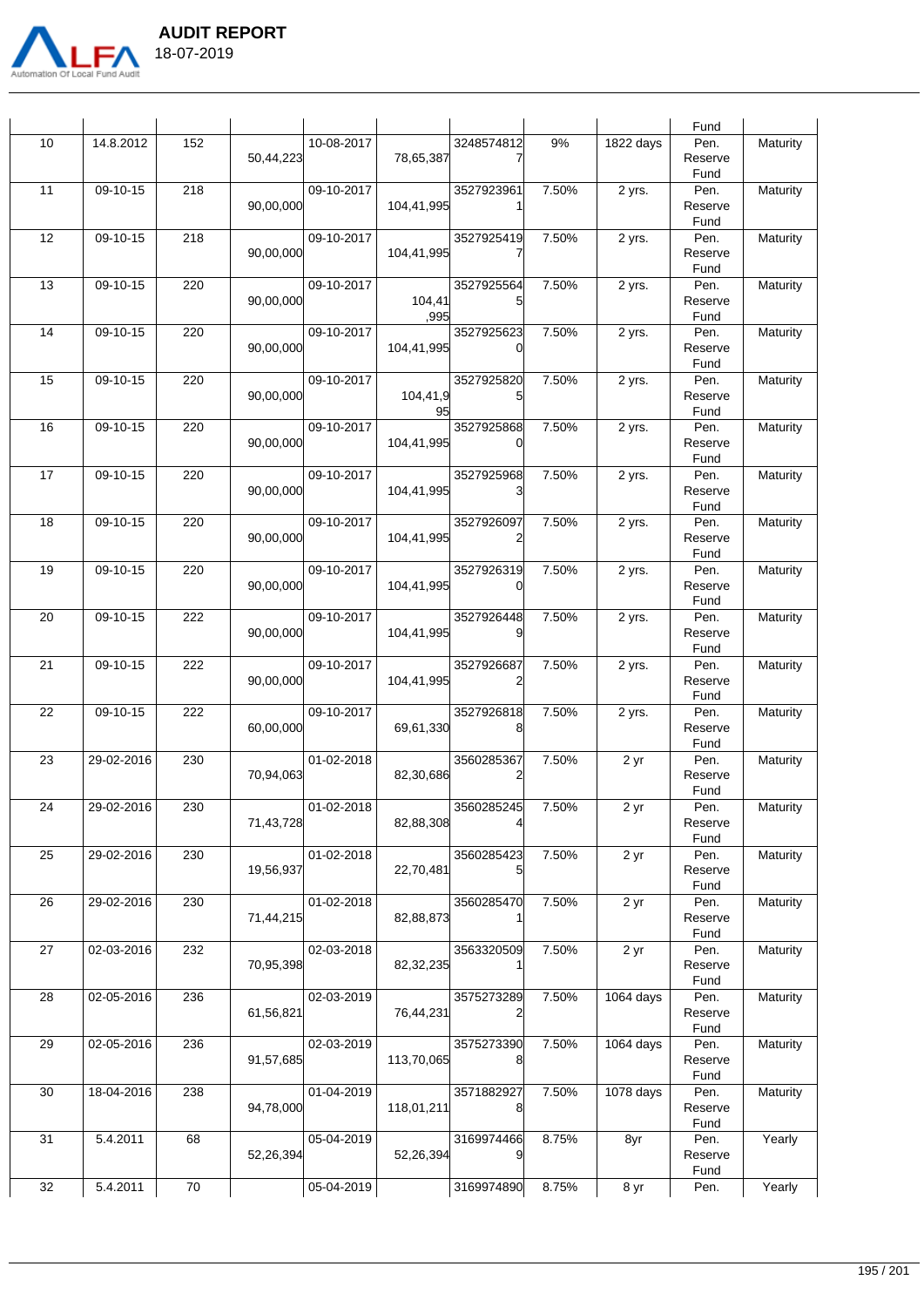

| 10              | 14.8.2012  | 152 | 50,44,223 | 10-08-2017               | 78,65,387      | 3248574812      | 9%    | 1822 days       | Fund<br>Pen.<br>Reserve | Maturity |
|-----------------|------------|-----|-----------|--------------------------|----------------|-----------------|-------|-----------------|-------------------------|----------|
| 11              | 09-10-15   | 218 |           | 09-10-2017               |                | 3527923961      | 7.50% | 2 yrs.          | Fund<br>Pen.            | Maturity |
|                 |            |     | 90,00,000 |                          | 104,41,995     |                 |       |                 | Reserve<br>Fund         |          |
| 12              | 09-10-15   | 218 | 90,00,000 | 09-10-2017               | 104,41,995     | 3527925419      | 7.50% | 2 yrs.          | Pen.<br>Reserve<br>Fund | Maturity |
| 13              | 09-10-15   | 220 | 90,00,000 | 09-10-2017               | 104,41         | 3527925564      | 7.50% | 2 yrs.          | Pen.<br>Reserve         | Maturity |
| 14              | 09-10-15   | 220 |           | $09-10-2017$             | ,995           | 3527925623      | 7.50% | 2 yrs.          | Fund<br>Pen.            | Maturity |
|                 |            |     | 90,00,000 |                          | 104,41,995     | O               |       |                 | Reserve<br>Fund         |          |
| 15              | 09-10-15   | 220 | 90,00,000 | 09-10-2017               | 104,41,9<br>95 | 3527925820      | 7.50% | 2 yrs.          | Pen.<br>Reserve<br>Fund | Maturity |
| 16              | 09-10-15   | 220 | 90,00,000 | $\overline{09}$ -10-2017 | 104,41,995     | 3527925868      | 7.50% | 2 yrs.          | Pen.<br>Reserve         | Maturity |
| 17              | 09-10-15   | 220 | 90,00,000 | 09-10-2017               | 104,41,995     | 3527925968      | 7.50% | 2 yrs.          | Fund<br>Pen.<br>Reserve | Maturity |
| 18              | 09-10-15   | 220 | 90,00,000 | 09-10-2017               | 104,41,995     | 3527926097      | 7.50% | 2 yrs.          | Fund<br>Pen.<br>Reserve | Maturity |
| 19              | 09-10-15   | 220 | 90,00,000 | $09 - 10 - 2017$         | 104,41,995     | 3527926319      | 7.50% | 2 yrs.          | Fund<br>Pen.<br>Reserve | Maturity |
| 20              | 09-10-15   | 222 | 90,00,000 | 09-10-2017               | 104,41,995     | 3527926448      | 7.50% | 2 yrs.          | Fund<br>Pen.<br>Reserve | Maturity |
| 21              | $09-10-15$ | 222 | 90,00,000 | $09 - 10 - 2017$         | 104,41,995     | 3527926687      | 7.50% | 2 yrs.          | Fund<br>Pen.<br>Reserve | Maturity |
| 22              | 09-10-15   | 222 | 60,00,000 | 09-10-2017               | 69,61,330      | 3527926818      | 7.50% | 2 yrs.          | Fund<br>Pen.<br>Reserve | Maturity |
| 23              | 29-02-2016 | 230 |           | $01 - 02 - 2018$         |                | 3560285367      | 7.50% | 2 yr            | Fund<br>Pen.            | Maturity |
|                 |            |     | 70,94,063 |                          | 82,30,686      |                 |       |                 | Reserve<br>Fund         |          |
| $\overline{24}$ | 29-02-2016 | 230 | 71,43,728 | $01-02-2018$             | 82,88,308      | 3560285245      | 7.50% | 2 <sub>yr</sub> | Pen.<br>Reserve<br>Fund | Maturity |
| 25              | 29-02-2016 | 230 | 19,56,937 | 01-02-2018               | 22,70,481      | 3560285423      | 7.50% | 2 yr            | Pen.<br>Reserve<br>Fund | Maturity |
| 26              | 29-02-2016 | 230 | 71,44,215 | 01-02-2018               | 82,88,873      | 3560285470      | 7.50% | 2 yr            | Pen.<br>Reserve<br>Fund | Maturity |
| 27              | 02-03-2016 | 232 | 70,95,398 | 02-03-2018               | 82,32,235      | 3563320509      | 7.50% | 2 yr            | Pen.<br>Reserve<br>Fund | Maturity |
| 28              | 02-05-2016 | 236 | 61,56,821 | 02-03-2019               | 76,44,231      | 3575273289      | 7.50% | 1064 days       | Pen.<br>Reserve<br>Fund | Maturity |
| 29              | 02-05-2016 | 236 | 91,57,685 | 02-03-2019               | 113,70,065     | 3575273390      | 7.50% | 1064 days       | Pen.<br>Reserve<br>Fund | Maturity |
| 30              | 18-04-2016 | 238 | 94,78,000 | 01-04-2019               | 118,01,211     | 3571882927<br>8 | 7.50% | 1078 days       | Pen.<br>Reserve<br>Fund | Maturity |
| 31              | 5.4.2011   | 68  | 52,26,394 | 05-04-2019               | 52,26,394      | 3169974466      | 8.75% | 8yr             | Pen.<br>Reserve<br>Fund | Yearly   |
| 32              | 5.4.2011   | 70  |           | 05-04-2019               |                | 3169974890      | 8.75% | 8 yr            | Pen.                    | Yearly   |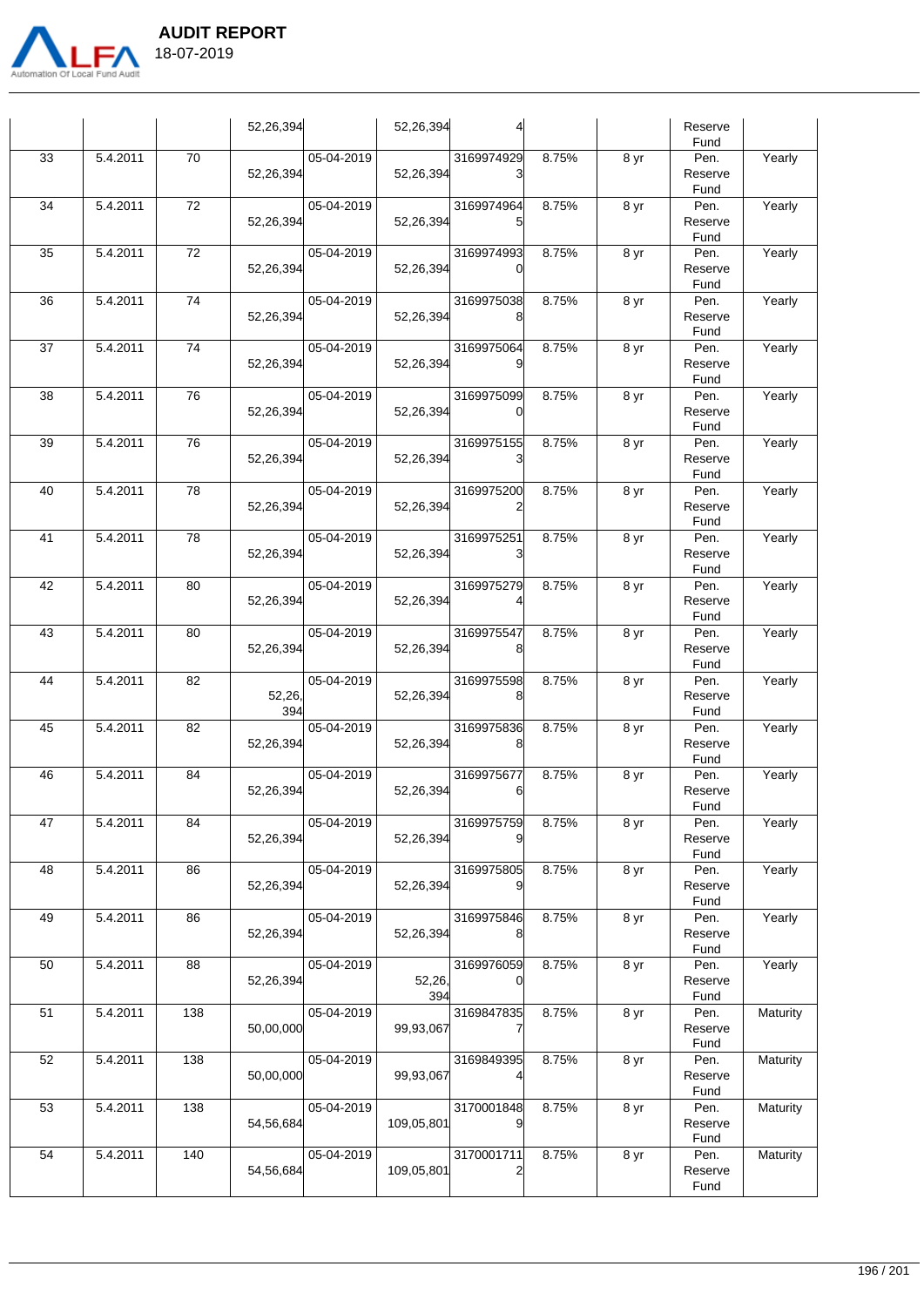

|    |          |     | 52,26,394     |            | 52,26,394     |                 |       |                 | Reserve<br>Fund         |          |
|----|----------|-----|---------------|------------|---------------|-----------------|-------|-----------------|-------------------------|----------|
| 33 | 5.4.2011 | 70  | 52,26,394     | 05-04-2019 | 52,26,394     | 3169974929      | 8.75% | 8 yr            | Pen.<br>Reserve<br>Fund | Yearly   |
| 34 | 5.4.2011 | 72  | 52,26,394     | 05-04-2019 | 52,26,394     | 3169974964      | 8.75% | 8 yr            | Pen.<br>Reserve<br>Fund | Yearly   |
| 35 | 5.4.2011 | 72  | 52,26,394     | 05-04-2019 | 52,26,394     | 3169974993      | 8.75% | 8 yr            | Pen.<br>Reserve<br>Fund | Yearly   |
| 36 | 5.4.2011 | 74  | 52,26,394     | 05-04-2019 | 52,26,394     | 3169975038      | 8.75% | 8 yr            | Pen.<br>Reserve<br>Fund | Yearly   |
| 37 | 5.4.2011 | 74  | 52,26,394     | 05-04-2019 | 52,26,394     | 3169975064      | 8.75% | 8 yr            | Pen.<br>Reserve<br>Fund | Yearly   |
| 38 | 5.4.2011 | 76  | 52,26,394     | 05-04-2019 | 52,26,394     | 3169975099      | 8.75% | 8 yr            | Pen.<br>Reserve<br>Fund | Yearly   |
| 39 | 5.4.2011 | 76  | 52,26,394     | 05-04-2019 | 52,26,394     | 3169975155      | 8.75% | 8 yr            | Pen.<br>Reserve<br>Fund | Yearly   |
| 40 | 5.4.2011 | 78  | 52,26,394     | 05-04-2019 | 52,26,394     | 3169975200      | 8.75% | 8 yr            | Pen.<br>Reserve<br>Fund | Yearly   |
| 41 | 5.4.2011 | 78  | 52,26,394     | 05-04-2019 | 52,26,394     | 3169975251      | 8.75% | 8 yr            | Pen.<br>Reserve<br>Fund | Yearly   |
| 42 | 5.4.2011 | 80  | 52,26,394     | 05-04-2019 | 52,26,394     | 3169975279      | 8.75% | 8 yr            | Pen.<br>Reserve<br>Fund | Yearly   |
| 43 | 5.4.2011 | 80  | 52,26,394     | 05-04-2019 | 52,26,394     | 3169975547      | 8.75% | 8 yr            | Pen.<br>Reserve<br>Fund | Yearly   |
| 44 | 5.4.2011 | 82  | 52,26,<br>394 | 05-04-2019 | 52,26,394     | 3169975598      | 8.75% | 8 yr            | Pen.<br>Reserve<br>Fund | Yearly   |
| 45 | 5.4.2011 | 82  | 52,26,394     | 05-04-2019 | 52,26,394     | 3169975836      | 8.75% | 8 yr            | Pen.<br>Reserve<br>Fund | Yearly   |
| 46 | 5.4.2011 | 84  | 52,26,394     | 05-04-2019 | 52,26,394     | 3169975677<br>6 | 8.75% | 8 yr            | Pen.<br>Reserve<br>Fund | Yearly   |
| 47 | 5.4.2011 | 84  | 52,26,394     | 05-04-2019 | 52,26,394     | 3169975759      | 8.75% | 8 <sub>yr</sub> | Pen.<br>Reserve<br>Fund | Yearly   |
| 48 | 5.4.2011 | 86  | 52,26,394     | 05-04-2019 | 52,26,394     | 3169975805      | 8.75% | 8 yr            | Pen.<br>Reserve<br>Fund | Yearly   |
| 49 | 5.4.2011 | 86  | 52,26,394     | 05-04-2019 | 52,26,394     | 3169975846      | 8.75% | 8 yr            | Pen.<br>Reserve<br>Fund | Yearly   |
| 50 | 5.4.2011 | 88  | 52,26,394     | 05-04-2019 | 52,26,<br>394 | 3169976059<br>0 | 8.75% | 8 yr            | Pen.<br>Reserve<br>Fund | Yearly   |
| 51 | 5.4.2011 | 138 | 50,00,000     | 05-04-2019 | 99,93,067     | 3169847835      | 8.75% | 8 yr            | Pen.<br>Reserve<br>Fund | Maturity |
| 52 | 5.4.2011 | 138 | 50,00,000     | 05-04-2019 | 99,93,067     | 3169849395      | 8.75% | 8 yr            | Pen.<br>Reserve<br>Fund | Maturity |
| 53 | 5.4.2011 | 138 | 54,56,684     | 05-04-2019 | 109,05,801    | 3170001848      | 8.75% | 8 yr            | Pen.<br>Reserve<br>Fund | Maturity |
| 54 | 5.4.2011 | 140 |               | 05-04-2019 |               | 3170001711      | 8.75% | 8 yr            | Pen.                    | Maturity |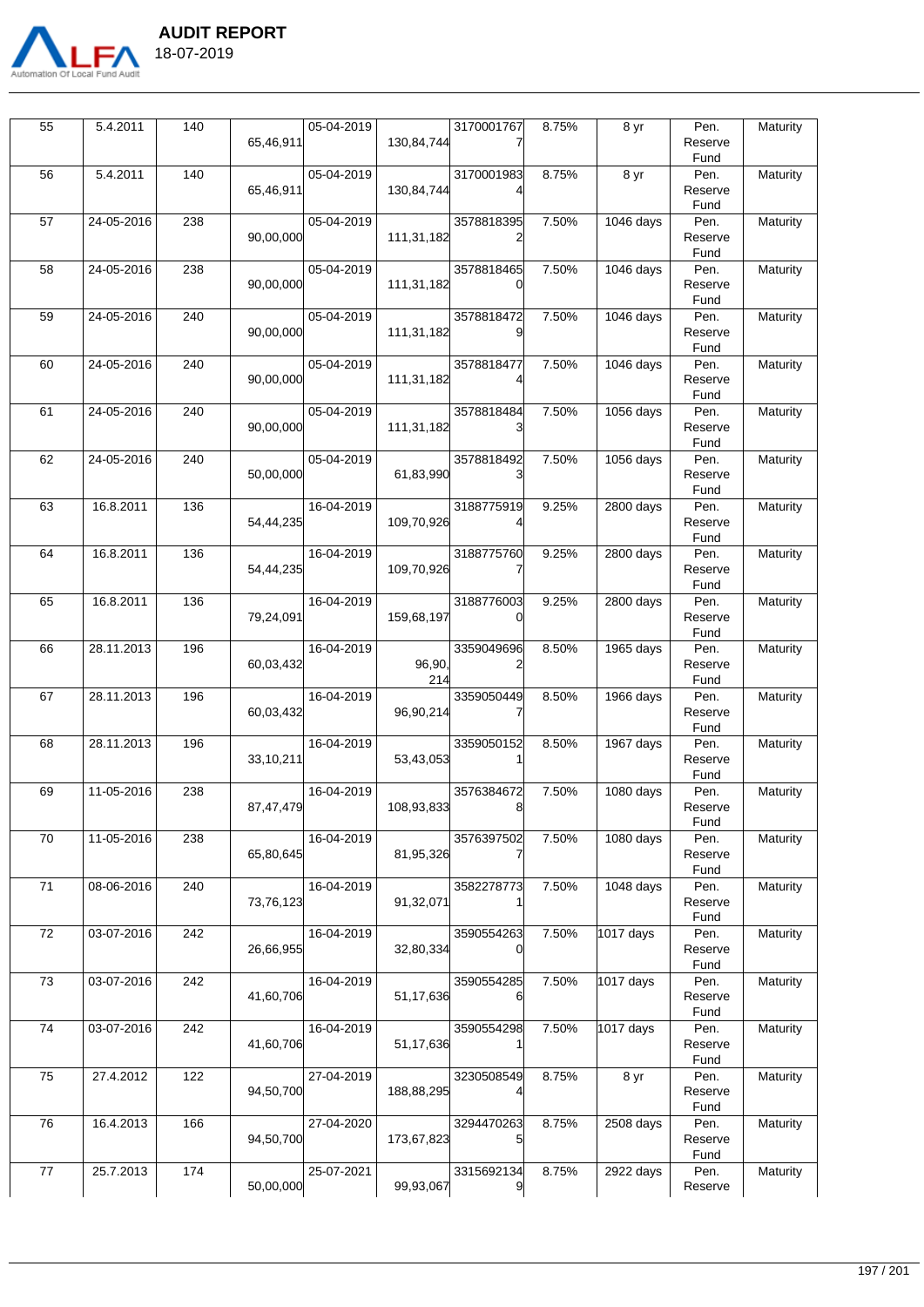

|            | <b>AUDIT REPORT</b> |
|------------|---------------------|
| 18-07-2019 |                     |

| 55 | 5.4.2011   | 140 | 65,46,911 | 05-04-2019       | 130,84,744    | 3170001767             | 8.75% | 8 yr        | Pen.<br>Reserve<br>Fund | Maturity |
|----|------------|-----|-----------|------------------|---------------|------------------------|-------|-------------|-------------------------|----------|
| 56 | 5.4.2011   | 140 | 65,46,911 | 05-04-2019       | 130,84,744    | 3170001983             | 8.75% | 8 yr        | Pen.<br>Reserve<br>Fund | Maturity |
| 57 | 24-05-2016 | 238 | 90,00,000 | 05-04-2019       | 111,31,182    | 3578818395             | 7.50% | 1046 days   | Pen.<br>Reserve<br>Fund | Maturity |
| 58 | 24-05-2016 | 238 | 90,00,000 | 05-04-2019       | 111,31,182    | 3578818465<br>0        | 7.50% | $1046$ days | Pen.<br>Reserve<br>Fund | Maturity |
| 59 | 24-05-2016 | 240 | 90,00,000 | 05-04-2019       | 111,31,182    | 3578818472<br>9        | 7.50% | $1046$ days | Pen.<br>Reserve<br>Fund | Maturity |
| 60 | 24-05-2016 | 240 | 90,00,000 | 05-04-2019       | 111,31,182    | 3578818477             | 7.50% | 1046 days   | Pen.<br>Reserve<br>Fund | Maturity |
| 61 | 24-05-2016 | 240 | 90,00,000 | 05-04-2019       | 111,31,182    | 3578818484             | 7.50% | 1056 days   | Pen.<br>Reserve<br>Fund | Maturity |
| 62 | 24-05-2016 | 240 | 50,00,000 | 05-04-2019       | 61,83,990     | 3578818492             | 7.50% | 1056 days   | Pen.<br>Reserve<br>Fund | Maturity |
| 63 | 16.8.2011  | 136 | 54,44,235 | 16-04-2019       | 109,70,926    | 3188775919             | 9.25% | 2800 days   | Pen.<br>Reserve<br>Fund | Maturity |
| 64 | 16.8.2011  | 136 | 54,44,235 | 16-04-2019       | 109,70,926    | 3188775760             | 9.25% | 2800 days   | Pen.<br>Reserve<br>Fund | Maturity |
| 65 | 16.8.2011  | 136 | 79,24,091 | 16-04-2019       | 159,68,197    | 3188776003<br>$\Omega$ | 9.25% | 2800 days   | Pen.<br>Reserve<br>Fund | Maturity |
| 66 | 28.11.2013 | 196 | 60,03,432 | 16-04-2019       | 96,90,<br>214 | 3359049696<br>2        | 8.50% | $1965$ days | Pen.<br>Reserve<br>Fund | Maturity |
| 67 | 28.11.2013 | 196 | 60,03,432 | 16-04-2019       | 96,90,214     | 3359050449             | 8.50% | $1966$ days | Pen.<br>Reserve<br>Fund | Maturity |
| 68 | 28.11.2013 | 196 | 33,10,211 | 16-04-2019       | 53,43,053     | 3359050152             | 8.50% | 1967 days   | Pen.<br>Reserve<br>Fund | Maturity |
| 69 | 11-05-2016 | 238 | 87,47,479 | 16-04-2019       | 108,93,833    | 3576384672<br>R        | 7.50% | 1080 days   | Pen.<br>Reserve<br>Fund | Maturity |
| 70 | 11-05-2016 | 238 | 65,80,645 | 16-04-2019       | 81,95,326     | 3576397502             | 7.50% | 1080 days   | Pen.<br>Reserve<br>Fund | Maturity |
| 71 | 08-06-2016 | 240 | 73,76,123 | 16-04-2019       | 91,32,071     | 3582278773             | 7.50% | $1048$ days | Pen.<br>Reserve<br>Fund | Maturity |
| 72 | 03-07-2016 | 242 | 26,66,955 | 16-04-2019       | 32,80,334     | 3590554263<br>0        | 7.50% | 1017 days   | Pen.<br>Reserve<br>Fund | Maturity |
| 73 | 03-07-2016 | 242 | 41,60,706 | 16-04-2019       | 51,17,636     | 3590554285<br>6        | 7.50% | 1017 days   | Pen.<br>Reserve<br>Fund | Maturity |
| 74 | 03-07-2016 | 242 | 41,60,706 | 16-04-2019       | 51,17,636     | 3590554298             | 7.50% | 1017 days   | Pen.<br>Reserve<br>Fund | Maturity |
| 75 | 27.4.2012  | 122 | 94,50,700 | 27-04-2019       | 188,88,295    | 3230508549             | 8.75% | 8 yr        | Pen.<br>Reserve<br>Fund | Maturity |
| 76 | 16.4.2013  | 166 | 94,50,700 | $27 - 04 - 2020$ | 173,67,823    | 3294470263<br>5        | 8.75% | 2508 days   | Pen.<br>Reserve<br>Fund | Maturity |
| 77 | 25.7.2013  | 174 | 50,00,000 | 25-07-2021       | 99,93,067     | 3315692134<br>9        | 8.75% | 2922 days   | Pen.<br>Reserve         | Maturity |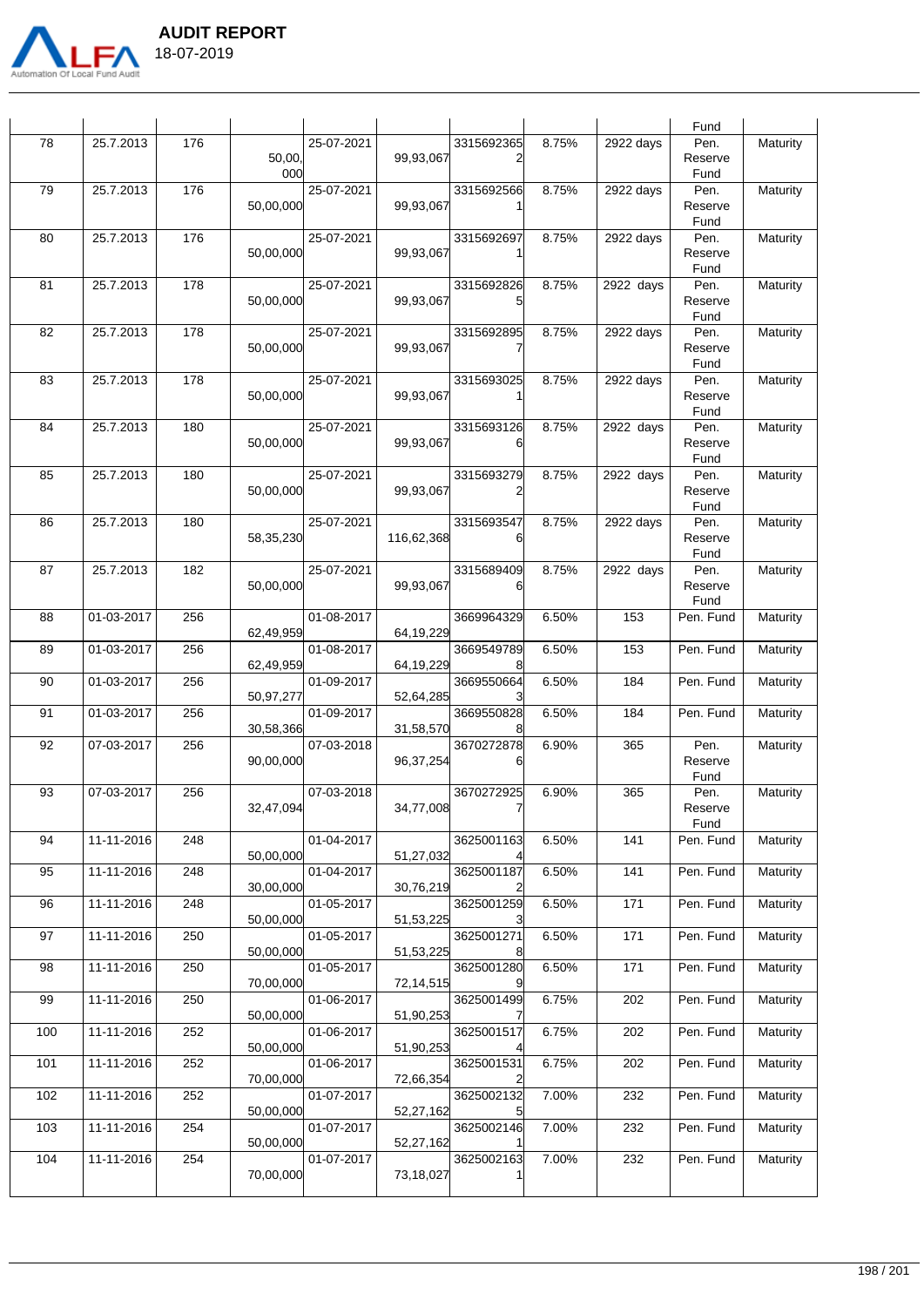

|            | <b>AUDIT REPORT</b> |
|------------|---------------------|
| 18-07-2019 |                     |

|     |            |     |               |                  |            |                 |       |                  | Fund                    |          |
|-----|------------|-----|---------------|------------------|------------|-----------------|-------|------------------|-------------------------|----------|
| 78  | 25.7.2013  | 176 | 50,00,<br>000 | 25-07-2021       | 99,93,067  | 3315692365      | 8.75% | 2922 days        | Pen.<br>Reserve<br>Fund | Maturity |
| 79  | 25.7.2013  | 176 | 50,00,000     | 25-07-2021       | 99,93,067  | 3315692566      | 8.75% | 2922 days        | Pen.<br>Reserve<br>Fund | Maturity |
| 80  | 25.7.2013  | 176 | 50,00,000     | 25-07-2021       | 99,93,067  | 3315692697      | 8.75% | 2922 days        | Pen.<br>Reserve<br>Fund | Maturity |
| 81  | 25.7.2013  | 178 | 50,00,000     | 25-07-2021       | 99,93,067  | 3315692826<br>5 | 8.75% | 2922 days        | Pen.<br>Reserve<br>Fund | Maturity |
| 82  | 25.7.2013  | 178 | 50,00,000     | 25-07-2021       | 99,93,067  | 3315692895      | 8.75% | 2922 days        | Pen.<br>Reserve<br>Fund | Maturity |
| 83  | 25.7.2013  | 178 | 50,00,000     | 25-07-2021       | 99,93,067  | 3315693025      | 8.75% | 2922 days        | Pen.<br>Reserve<br>Fund | Maturity |
| 84  | 25.7.2013  | 180 | 50,00,000     | 25-07-2021       | 99,93,067  | 3315693126      | 8.75% | 2922 days        | Pen.<br>Reserve<br>Fund | Maturity |
| 85  | 25.7.2013  | 180 | 50,00,000     | 25-07-2021       | 99,93,067  | 3315693279      | 8.75% | 2922 days        | Pen.<br>Reserve<br>Fund | Maturity |
| 86  | 25.7.2013  | 180 | 58,35,230     | 25-07-2021       | 116,62,368 | 3315693547      | 8.75% | 2922 days        | Pen.<br>Reserve<br>Fund | Maturity |
| 87  | 25.7.2013  | 182 | 50,00,000     | 25-07-2021       | 99,93,067  | 3315689409      | 8.75% | 2922 days        | Pen.<br>Reserve<br>Fund | Maturity |
| 88  | 01-03-2017 | 256 | 62,49,959     | 01-08-2017       | 64,19,229  | 3669964329      | 6.50% | 153              | Pen. Fund               | Maturity |
| 89  | 01-03-2017 | 256 | 62,49,959     | 01-08-2017       | 64,19,229  | 3669549789      | 6.50% | 153              | Pen. Fund               | Maturity |
| 90  | 01-03-2017 | 256 | 50,97,277     | 01-09-2017       | 52,64,285  | 3669550664      | 6.50% | 184              | Pen. Fund               | Maturity |
| 91  | 01-03-2017 | 256 | 30,58,366     | 01-09-2017       | 31,58,570  | 3669550828      | 6.50% | 184              | Pen. Fund               | Maturity |
| 92  | 07-03-2017 | 256 | 90,00,000     | 07-03-2018       | 96,37,254  | 3670272878      | 6.90% | 365              | Pen.<br>Reserve<br>Fund | Maturity |
| 93  | 07-03-2017 | 256 | 32,47,094     | 07-03-2018       | 34,77,008  | 3670272925      | 6.90% | 365              | Pen.<br>Reserve<br>Fund | Maturity |
| 94  | 11-11-2016 | 248 | 50,00,000     | 01-04-2017       | 51,27,032  | 3625001163      | 6.50% | 141              | Pen. Fund               | Maturity |
| 95  | 11-11-2016 | 248 | 30,00,000     | 01-04-2017       | 30,76,219  | 3625001187      | 6.50% | 141              | Pen. Fund               | Maturity |
| 96  | 11-11-2016 | 248 | 50,00,000     | $01 - 05 - 2017$ | 51,53,225  | 3625001259      | 6.50% | $\overline{171}$ | Pen. Fund               | Maturity |
| 97  | 11-11-2016 | 250 | 50,00,000     | 01-05-2017       | 51,53,225  | 3625001271      | 6.50% | 171              | Pen. Fund               | Maturity |
| 98  | 11-11-2016 | 250 | 70,00,000     | 01-05-2017       | 72,14,515  | 3625001280      | 6.50% | 171              | Pen. Fund               | Maturity |
| 99  | 11-11-2016 | 250 | 50,00,000     | 01-06-2017       | 51,90,253  | 3625001499      | 6.75% | 202              | Pen. Fund               | Maturity |
| 100 | 11-11-2016 | 252 | 50,00,000     | 01-06-2017       | 51,90,253  | 3625001517      | 6.75% | 202              | Pen. Fund               | Maturity |
| 101 | 11-11-2016 | 252 | 70,00,000     | 01-06-2017       | 72,66,354  | 3625001531      | 6.75% | 202              | Pen. Fund               | Maturity |
| 102 | 11-11-2016 | 252 | 50,00,000     | 01-07-2017       | 52,27,162  | 3625002132      | 7.00% | 232              | Pen. Fund               | Maturity |
| 103 | 11-11-2016 | 254 | 50,00,000     | 01-07-2017       | 52,27,162  | 3625002146      | 7.00% | 232              | Pen. Fund               | Maturity |
| 104 | 11-11-2016 | 254 | 70,00,000     | 01-07-2017       | 73,18,027  | 3625002163      | 7.00% | 232              | Pen. Fund               | Maturity |
|     |            |     |               |                  |            |                 |       |                  |                         |          |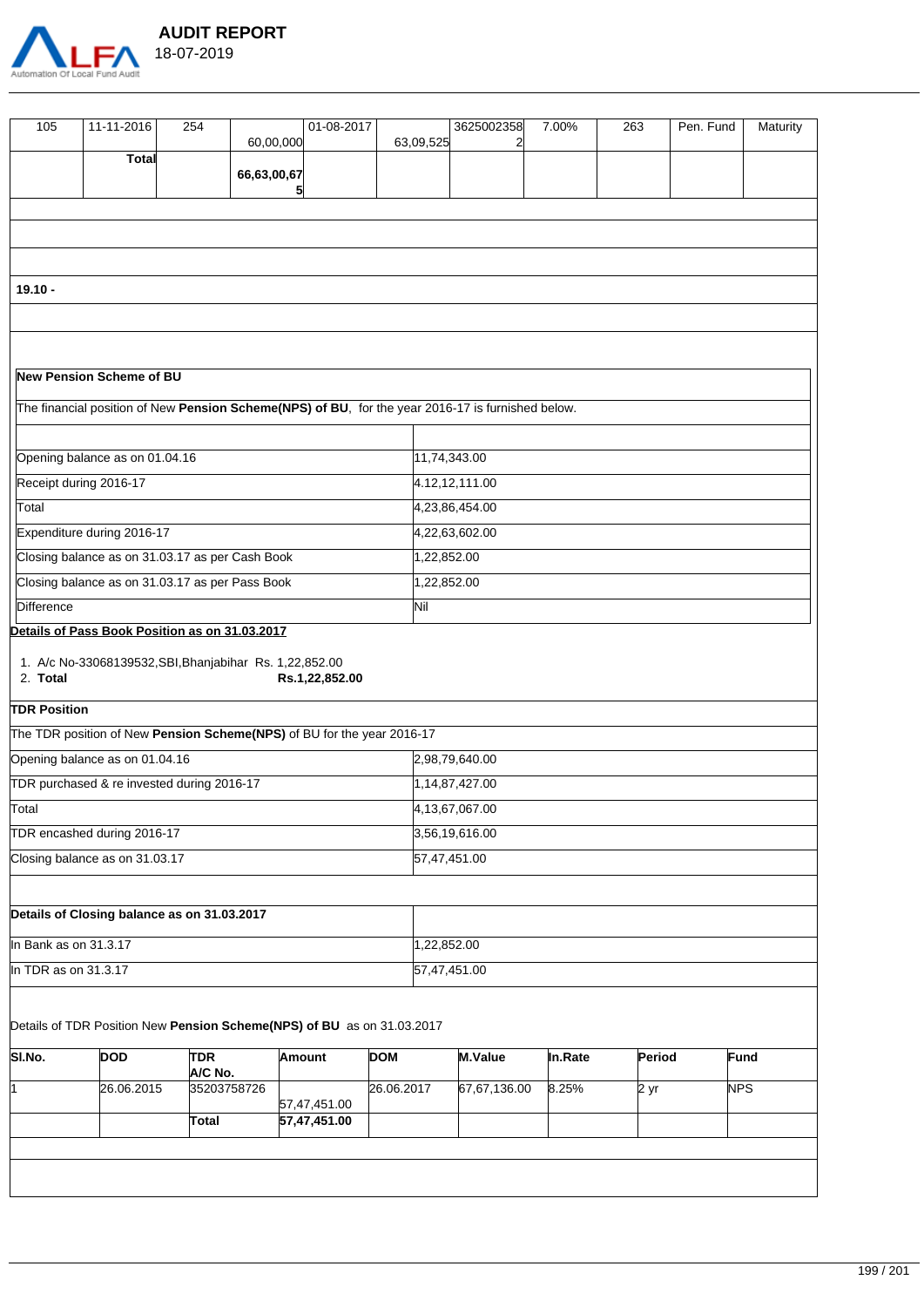

| 105                                                                                               | 11-11-2016                                 | 254                                                                    | 01-08-2017<br>60,00,000 |                | 63,09,525      | 3625002358     | 7.00%   | 263            | Pen. Fund  | Maturity |  |
|---------------------------------------------------------------------------------------------------|--------------------------------------------|------------------------------------------------------------------------|-------------------------|----------------|----------------|----------------|---------|----------------|------------|----------|--|
|                                                                                                   | <b>Total</b>                               |                                                                        |                         |                |                |                |         |                |            |          |  |
|                                                                                                   |                                            |                                                                        | 66,63,00,67<br>5        |                |                |                |         |                |            |          |  |
|                                                                                                   |                                            |                                                                        |                         |                |                |                |         |                |            |          |  |
|                                                                                                   |                                            |                                                                        |                         |                |                |                |         |                |            |          |  |
|                                                                                                   |                                            |                                                                        |                         |                |                |                |         |                |            |          |  |
| $19.10 -$                                                                                         |                                            |                                                                        |                         |                |                |                |         |                |            |          |  |
|                                                                                                   |                                            |                                                                        |                         |                |                |                |         |                |            |          |  |
|                                                                                                   |                                            |                                                                        |                         |                |                |                |         |                |            |          |  |
|                                                                                                   | New Pension Scheme of BU                   |                                                                        |                         |                |                |                |         |                |            |          |  |
| The financial position of New Pension Scheme(NPS) of BU, for the year 2016-17 is furnished below. |                                            |                                                                        |                         |                |                |                |         |                |            |          |  |
|                                                                                                   |                                            |                                                                        |                         |                |                |                |         |                |            |          |  |
|                                                                                                   | Opening balance as on 01.04.16             |                                                                        |                         |                | 11,74,343.00   |                |         |                |            |          |  |
| Receipt during 2016-17                                                                            |                                            |                                                                        |                         |                |                | 4.12,12,111.00 |         |                |            |          |  |
| Total                                                                                             |                                            |                                                                        |                         |                | 4,23,86,454.00 |                |         |                |            |          |  |
|                                                                                                   | Expenditure during 2016-17                 |                                                                        |                         |                | 4,22,63,602.00 |                |         |                |            |          |  |
|                                                                                                   |                                            | Closing balance as on 31.03.17 as per Cash Book                        |                         |                | 1,22,852.00    |                |         |                |            |          |  |
|                                                                                                   |                                            | Closing balance as on 31.03.17 as per Pass Book                        |                         |                | 1,22,852.00    |                |         |                |            |          |  |
| Difference<br>Details of Pass Book Position as on 31.03.2017                                      | Nil                                        |                                                                        |                         |                |                |                |         |                |            |          |  |
| 2. Total<br><b>TDR Position</b>                                                                   |                                            | 1. A/c No-33068139532, SBI, Bhanjabihar Rs. 1, 22, 852.00              | Rs.1,22,852.00          |                |                |                |         |                |            |          |  |
|                                                                                                   |                                            | The TDR position of New Pension Scheme(NPS) of BU for the year 2016-17 |                         |                |                |                |         |                |            |          |  |
|                                                                                                   | Opening balance as on 01.04.16             |                                                                        |                         |                |                | 2,98,79,640.00 |         |                |            |          |  |
|                                                                                                   | TDR purchased & re invested during 2016-17 |                                                                        |                         |                | 1,14,87,427.00 |                |         |                |            |          |  |
| Total                                                                                             |                                            |                                                                        |                         | 4,13,67,067.00 |                |                |         |                |            |          |  |
| TDR encashed during 2016-17                                                                       |                                            |                                                                        |                         | 3,56,19,616.00 |                |                |         |                |            |          |  |
| Closing balance as on 31.03.17<br>57,47,451.00                                                    |                                            |                                                                        |                         |                |                |                |         |                |            |          |  |
|                                                                                                   |                                            |                                                                        |                         |                |                |                |         |                |            |          |  |
|                                                                                                   |                                            | Details of Closing balance as on 31.03.2017                            |                         |                |                |                |         |                |            |          |  |
| In Bank as on 31.3.17                                                                             |                                            |                                                                        |                         | 1,22,852.00    |                |                |         |                |            |          |  |
| In TDR as on 31.3.17<br>57,47,451.00                                                              |                                            |                                                                        |                         |                |                |                |         |                |            |          |  |
|                                                                                                   |                                            | Details of TDR Position New Pension Scheme(NPS) of BU as on 31.03.2017 |                         |                |                |                |         |                |            |          |  |
| SI.No.                                                                                            | <b>DOD</b>                                 | <b>TDR</b><br>A/C No.                                                  | Amount                  | <b>DOM</b>     |                | M.Value        | In.Rate | Period         | Fund       |          |  |
| $\mathbf{1}$                                                                                      | 26.06.2015                                 | 35203758726                                                            | 57,47,451.00            | 26.06.2017     |                | 67,67,136.00   | 8.25%   | $2 \text{ yr}$ | <b>NPS</b> |          |  |
|                                                                                                   |                                            | Total                                                                  | 57,47,451.00            |                |                |                |         |                |            |          |  |
|                                                                                                   |                                            |                                                                        |                         |                |                |                |         |                |            |          |  |
|                                                                                                   |                                            |                                                                        |                         |                |                |                |         |                |            |          |  |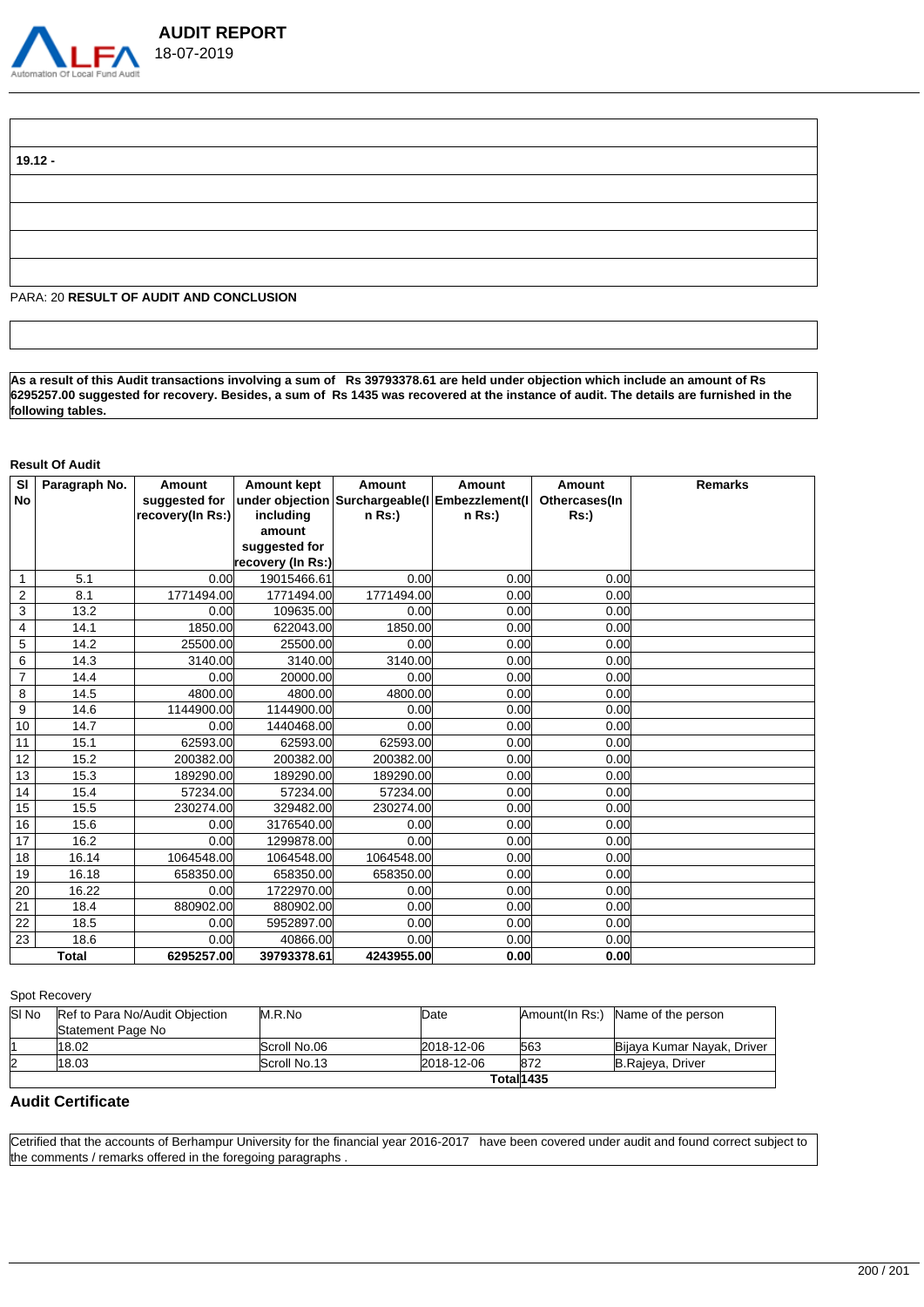

**19.12 -** 

## PARA: 20 **RESULT OF AUDIT AND CONCLUSION**

 **AUDIT REPORT** 

**As a result of this Audit transactions involving a sum of Rs 39793378.61 are held under objection which include an amount of Rs 6295257.00 suggested for recovery. Besides, a sum of Rs 1435 was recovered at the instance of audit. The details are furnished in the following tables.**

## **Result Of Audit**

| <b>SI</b>      | Paragraph No. | Amount           | <b>Amount kept</b> | Amount                                         | Amount   | Amount        | <b>Remarks</b> |
|----------------|---------------|------------------|--------------------|------------------------------------------------|----------|---------------|----------------|
| No             |               | suggested for    |                    | under objection Surchargeable(I Embezzlement(I |          | Othercases(In |                |
|                |               | recovery(In Rs:) | including          | $n$ Rs: $)$                                    | $n$ Rs:) | <b>Rs:)</b>   |                |
|                |               |                  | amount             |                                                |          |               |                |
|                |               |                  | suggested for      |                                                |          |               |                |
|                |               |                  | recovery (In Rs:)  |                                                |          |               |                |
| 1              | 5.1           | 0.00             | 19015466.61        | 0.00                                           | 0.00     | 0.00          |                |
| $\overline{2}$ | 8.1           | 1771494.00       | 1771494.00         | 1771494.00                                     | 0.00     | 0.00          |                |
| 3              | 13.2          | 0.00             | 109635.00          | 0.00                                           | 0.00     | 0.00          |                |
| 4              | 14.1          | 1850.00          | 622043.00          | 1850.00                                        | 0.00     | 0.00          |                |
| 5              | 14.2          | 25500.00         | 25500.00           | 0.00                                           | 0.00     | 0.00          |                |
| 6              | 14.3          | 3140.00          | 3140.00            | 3140.00                                        | 0.00     | 0.00          |                |
| 7              | 14.4          | 0.00             | 20000.00           | 0.00                                           | 0.00     | 0.00          |                |
| 8              | 14.5          | 4800.00          | 4800.00            | 4800.00                                        | 0.00     | 0.00          |                |
| 9              | 14.6          | 1144900.00       | 1144900.00         | 0.00                                           | 0.00     | 0.00          |                |
| 10             | 14.7          | 0.00             | 1440468.00         | 0.00                                           | 0.00     | 0.00          |                |
| 11             | 15.1          | 62593.00         | 62593.00           | 62593.00                                       | 0.00     | 0.00          |                |
| 12             | 15.2          | 200382.00        | 200382.00          | 200382.00                                      | 0.00     | 0.00          |                |
| 13             | 15.3          | 189290.00        | 189290.00          | 189290.00                                      | 0.00     | 0.00          |                |
| 14             | 15.4          | 57234.00         | 57234.00           | 57234.00                                       | 0.00     | 0.00          |                |
| 15             | 15.5          | 230274.00        | 329482.00          | 230274.00                                      | 0.00     | 0.00          |                |
| 16             | 15.6          | 0.00             | 3176540.00         | 0.00                                           | 0.00     | 0.00          |                |
| 17             | 16.2          | 0.00             | 1299878.00         | 0.00                                           | 0.00     | 0.00          |                |
| 18             | 16.14         | 1064548.00       | 1064548.00         | 1064548.00                                     | 0.00     | 0.00          |                |
| 19             | 16.18         | 658350.00        | 658350.00          | 658350.00                                      | 0.00     | 0.00          |                |
| 20             | 16.22         | 0.00             | 1722970.00         | 0.00                                           | 0.00     | 0.00          |                |
| 21             | 18.4          | 880902.00        | 880902.00          | 0.00                                           | 0.00     | 0.00          |                |
| 22             | 18.5          | 0.00             | 5952897.00         | 0.00                                           | 0.00     | 0.00          |                |
| 23             | 18.6          | 0.00             | 40866.00           | 0.00                                           | 0.00     | 0.00          |                |
|                | <b>Total</b>  | 6295257.00       | 39793378.61        | 4243955.00                                     | 0.00     | 0.00          |                |

## Spot Recovery

| <b>SI No</b> | Ref to Para No/Audit Objection | M.R.No<br>Date |            | Amount(In Rs:) | Name of the person         |  |  |  |
|--------------|--------------------------------|----------------|------------|----------------|----------------------------|--|--|--|
|              | Statement Page No              |                |            |                |                            |  |  |  |
|              | 18.02                          | Scroll No.06   | 2018-12-06 | 563            | Bijaya Kumar Nayak, Driver |  |  |  |
|              | 18.03                          | Scroll No.13   | 2018-12-06 | 872            | B.Rajeya, Driver           |  |  |  |
|              | Total <sup>1435</sup>          |                |            |                |                            |  |  |  |

## **Audit Certificate**

Cetrified that the accounts of Berhampur University for the financial year 2016-2017 have been covered under audit and found correct subject to the comments / remarks offered in the foregoing paragraphs .